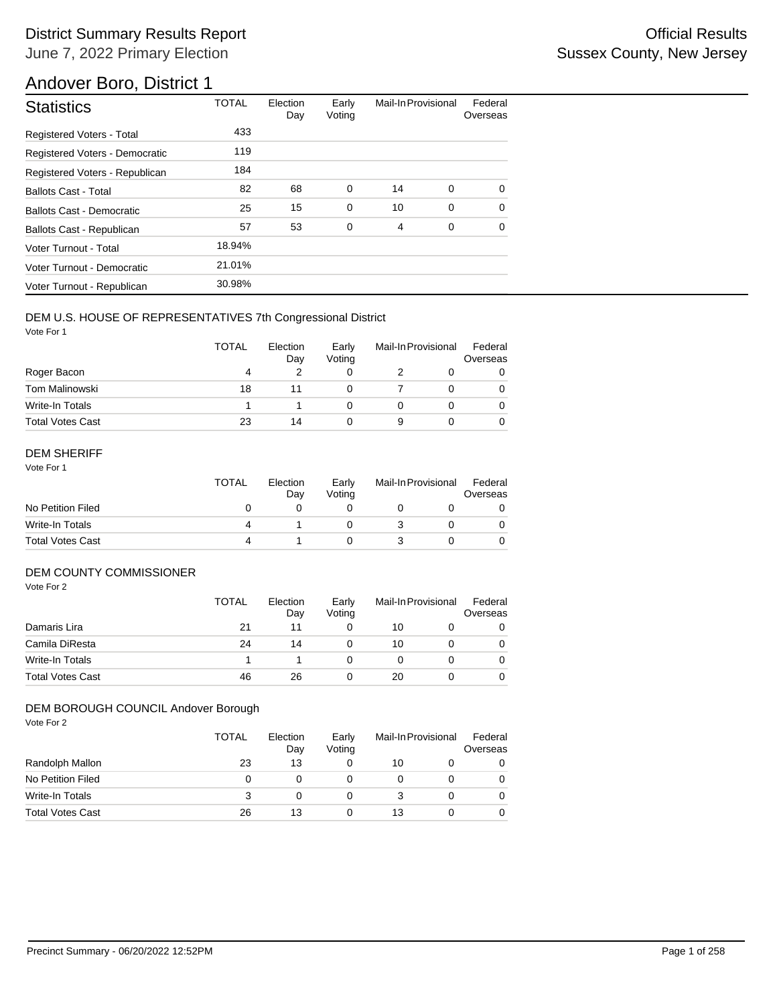## Andover Boro, District 1

| <b>Statistics</b>                | <b>TOTAL</b> | Election<br>Day | Early<br>Voting | Mail-In Provisional |   | Federal<br>Overseas |
|----------------------------------|--------------|-----------------|-----------------|---------------------|---|---------------------|
| <b>Registered Voters - Total</b> | 433          |                 |                 |                     |   |                     |
| Registered Voters - Democratic   | 119          |                 |                 |                     |   |                     |
| Registered Voters - Republican   | 184          |                 |                 |                     |   |                     |
| <b>Ballots Cast - Total</b>      | 82           | 68              | 0               | 14                  | 0 | 0                   |
| Ballots Cast - Democratic        | 25           | 15              | $\mathbf 0$     | 10                  | 0 | $\Omega$            |
| Ballots Cast - Republican        | 57           | 53              | 0               | 4                   | 0 | 0                   |
| Voter Turnout - Total            | 18.94%       |                 |                 |                     |   |                     |
| Voter Turnout - Democratic       | 21.01%       |                 |                 |                     |   |                     |
| Voter Turnout - Republican       | 30.98%       |                 |                 |                     |   |                     |

### DEM U.S. HOUSE OF REPRESENTATIVES 7th Congressional District

Vote For 1

|                         | <b>TOTAL</b> | Election<br>Day | Early<br>Voting | Mail-In Provisional |  | Federal<br>Overseas |
|-------------------------|--------------|-----------------|-----------------|---------------------|--|---------------------|
| Roger Bacon             | 4            |                 |                 |                     |  | 0                   |
| <b>Tom Malinowski</b>   | 18           |                 |                 |                     |  |                     |
| Write-In Totals         |              |                 |                 |                     |  |                     |
| <b>Total Votes Cast</b> | 23           | 14              |                 |                     |  |                     |

### DEM SHERIFF

Vote For 1

|                         | TOTAL | Election<br>Dav | Early<br>Votina | Mail-In Provisional |  | Federal<br>Overseas |
|-------------------------|-------|-----------------|-----------------|---------------------|--|---------------------|
| No Petition Filed       |       |                 |                 |                     |  |                     |
| Write-In Totals         | Δ     |                 |                 |                     |  |                     |
| <b>Total Votes Cast</b> | 4     |                 |                 |                     |  |                     |

## DEM COUNTY COMMISSIONER

Vote For 2

|                         | TOTAL | Election<br>Day | Early<br>Votina |    | Mail-In Provisional |   |
|-------------------------|-------|-----------------|-----------------|----|---------------------|---|
| Damaris Lira            | 21    | 11              |                 | 10 |                     | 0 |
| Camila DiResta          | 24    | 14              |                 | 10 |                     | 0 |
| Write-In Totals         |       |                 |                 |    |                     | 0 |
| <b>Total Votes Cast</b> | 46    | 26              |                 | 20 |                     | 0 |

#### DEM BOROUGH COUNCIL Andover Borough

|                         | <b>TOTAL</b> | Election<br>Day | Early<br>Voting | Mail-In Provisional |  | Federal<br>Overseas |
|-------------------------|--------------|-----------------|-----------------|---------------------|--|---------------------|
| Randolph Mallon         | 23           | 13              | 0               | 10                  |  |                     |
| No Petition Filed       | 0            |                 |                 |                     |  |                     |
| Write-In Totals         | з            | $\mathbf{I}$    | 0               |                     |  |                     |
| <b>Total Votes Cast</b> | 26           | 13              | 0               | 13                  |  |                     |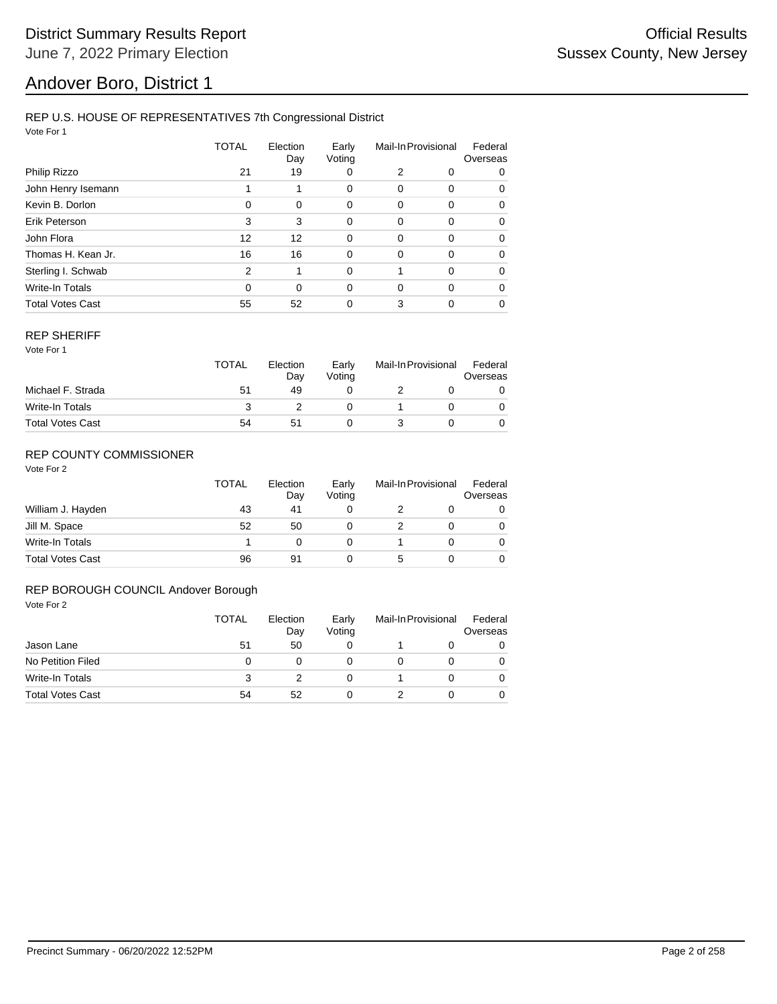## Andover Boro, District 1

#### REP U.S. HOUSE OF REPRESENTATIVES 7th Congressional District

Vote For 1

|                         | TOTAL         | Election<br>Day | Early<br>Voting | Mail-In Provisional |          | Federal<br>Overseas |  |
|-------------------------|---------------|-----------------|-----------------|---------------------|----------|---------------------|--|
| Philip Rizzo            | 21            | 19              | 0               | 2                   | 0        | 0                   |  |
| John Henry Isemann      |               |                 | 0               | 0                   | 0        | 0                   |  |
| Kevin B. Dorlon         | $\Omega$      | 0               | 0               | 0                   | 0        | 0                   |  |
| Erik Peterson           | 3             | 3               | 0               | 0                   | $\Omega$ | 0                   |  |
| John Flora              | 12            | 12              | $\mathbf 0$     | 0                   | $\Omega$ | 0                   |  |
| Thomas H. Kean Jr.      | 16            | 16              | 0               | 0                   | 0        | 0                   |  |
| Sterling I. Schwab      | $\mathcal{P}$ | 1               | $\Omega$        |                     | $\Omega$ | $\Omega$            |  |
| <b>Write-In Totals</b>  | $\Omega$      | $\Omega$        | 0               | $\Omega$            | $\Omega$ | 0                   |  |
| <b>Total Votes Cast</b> | 55            | 52              | 0               | 3                   | 0        | 0                   |  |

#### REP SHERIFF

Vote For 1

|                         | TOTAL | Election<br>Day | Early<br>Votina | Mail-In Provisional |  | Federal<br>Overseas |
|-------------------------|-------|-----------------|-----------------|---------------------|--|---------------------|
| Michael F. Strada       | 51    | 49              |                 |                     |  |                     |
| Write-In Totals         |       |                 |                 |                     |  |                     |
| <b>Total Votes Cast</b> | 54    | 51              |                 |                     |  |                     |

### REP COUNTY COMMISSIONER

Vote For 2

|                         | TOTAL | Election<br>Day | Early<br>Voting | Mail-In Provisional |  | Federal<br>Overseas |
|-------------------------|-------|-----------------|-----------------|---------------------|--|---------------------|
| William J. Hayden       | 43    | 41              |                 |                     |  | 0                   |
| Jill M. Space           | 52    | 50              |                 |                     |  | 0                   |
| Write-In Totals         |       |                 |                 |                     |  | 0                   |
| <b>Total Votes Cast</b> | 96    | 91              |                 | 5                   |  |                     |

#### REP BOROUGH COUNCIL Andover Borough

| Vote For 2              |              |                 |                 |   |                     |                     |
|-------------------------|--------------|-----------------|-----------------|---|---------------------|---------------------|
|                         | <b>TOTAL</b> | Election<br>Day | Early<br>Voting |   | Mail-In Provisional | Federal<br>Overseas |
| Jason Lane              | 51           | 50              | 0               |   | O                   | 0                   |
| No Petition Filed       | 0            | 0               | 0               | O | 0                   | $\Omega$            |
| Write-In Totals         | 3            | 2               | 0               |   | 0                   | $\Omega$            |
| <b>Total Votes Cast</b> | 54           | 52              | 0               |   | 0                   | $\Omega$            |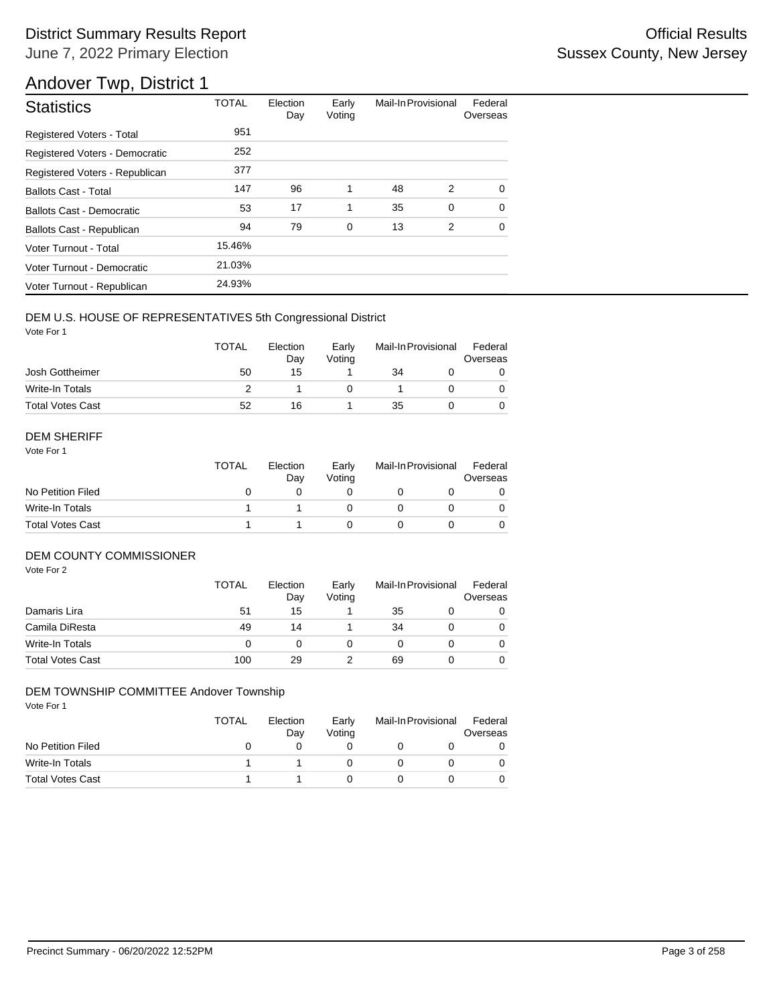## Andover Twp, District 1

| <b>Statistics</b>                | <b>TOTAL</b> | Election<br>Day | Early<br>Voting | Mail-In Provisional |   | Federal<br>Overseas |
|----------------------------------|--------------|-----------------|-----------------|---------------------|---|---------------------|
| <b>Registered Voters - Total</b> | 951          |                 |                 |                     |   |                     |
| Registered Voters - Democratic   | 252          |                 |                 |                     |   |                     |
| Registered Voters - Republican   | 377          |                 |                 |                     |   |                     |
| <b>Ballots Cast - Total</b>      | 147          | 96              | 1               | 48                  | 2 | $\Omega$            |
| Ballots Cast - Democratic        | 53           | 17              | 1               | 35                  | 0 | $\Omega$            |
| Ballots Cast - Republican        | 94           | 79              | $\mathbf 0$     | 13                  | 2 | $\mathbf 0$         |
| Voter Turnout - Total            | 15.46%       |                 |                 |                     |   |                     |
| Voter Turnout - Democratic       | 21.03%       |                 |                 |                     |   |                     |
| Voter Turnout - Republican       | 24.93%       |                 |                 |                     |   |                     |

### DEM U.S. HOUSE OF REPRESENTATIVES 5th Congressional District

Vote For 1

|                         | <b>TOTAL</b> | Election<br>Dav | Early<br>Votina | Mail-In Provisional |  | Federal<br>Overseas |
|-------------------------|--------------|-----------------|-----------------|---------------------|--|---------------------|
| Josh Gottheimer         | 50           | 15              |                 | 34                  |  |                     |
| Write-In Totals         |              |                 |                 |                     |  |                     |
| <b>Total Votes Cast</b> | 52           | 16              |                 | 35                  |  |                     |

#### DEM SHERIFF

Vote For 1

|                         | <b>TOTAL</b> | Election<br>Day | Early<br>Votina | Mail-In Provisional |  | Federal<br>Overseas |  |
|-------------------------|--------------|-----------------|-----------------|---------------------|--|---------------------|--|
| No Petition Filed       |              |                 |                 |                     |  |                     |  |
| Write-In Totals         |              |                 |                 |                     |  | $\Omega$            |  |
| <b>Total Votes Cast</b> |              |                 |                 |                     |  |                     |  |

#### DEM COUNTY COMMISSIONER

Vote For 2

|                         | TOTAL | Election<br>Day | Early<br>Voting | Mail-In Provisional | Federal<br>Overseas |
|-------------------------|-------|-----------------|-----------------|---------------------|---------------------|
| Damaris Lira            | 51    | 15              |                 | 35                  | 0                   |
| Camila DiResta          | 49    | 14              |                 | 34                  | $\Omega$            |
| Write-In Totals         | 0     |                 |                 |                     | $\Omega$            |
| <b>Total Votes Cast</b> | 100   | 29              |                 | 69                  | 0                   |

#### DEM TOWNSHIP COMMITTEE Andover Township

|                         | TOTAL | Election<br>Dav | Early<br>Votina | Mail-In Provisional | Federal<br>Overseas |
|-------------------------|-------|-----------------|-----------------|---------------------|---------------------|
| No Petition Filed       |       |                 |                 |                     |                     |
| Write-In Totals         |       |                 |                 |                     |                     |
| <b>Total Votes Cast</b> |       |                 |                 |                     |                     |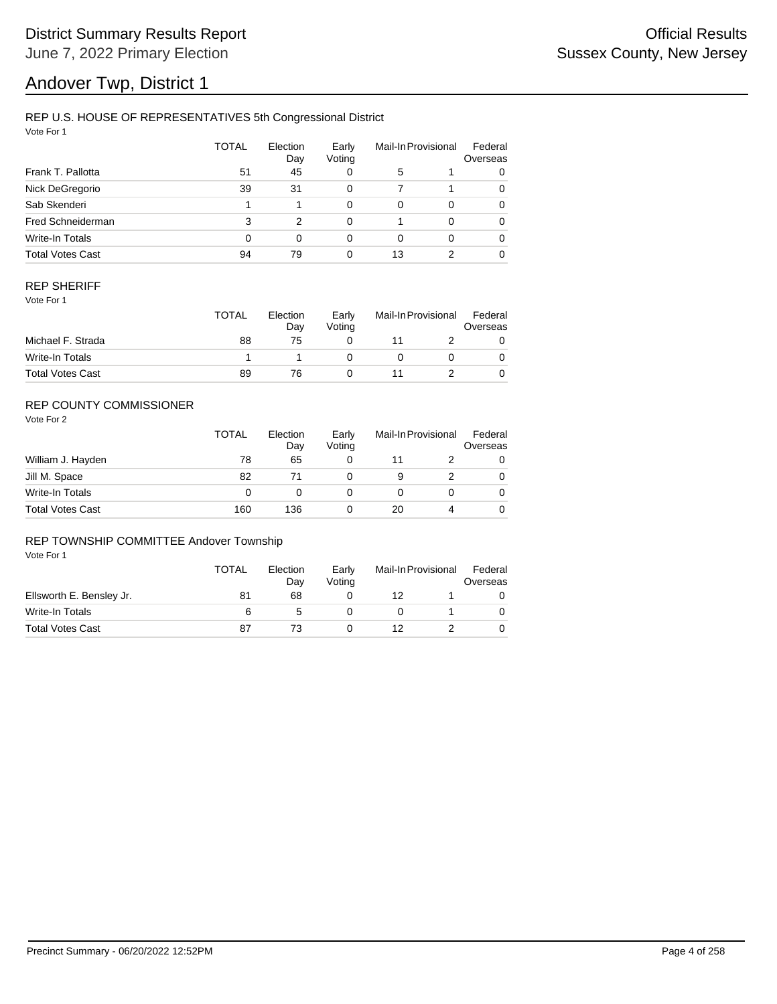# Andover Twp, District 1

### REP U.S. HOUSE OF REPRESENTATIVES 5th Congressional District

Vote For 1

|                         | TOTAL | Election<br>Day | Early<br>Voting |    | Mail-In Provisional | Federal<br>Overseas |
|-------------------------|-------|-----------------|-----------------|----|---------------------|---------------------|
| Frank T. Pallotta       | 51    | 45              | 0               | 5  |                     | 0                   |
| Nick DeGregorio         | 39    | 31              | 0               |    |                     | 0                   |
| Sab Skenderi            |       |                 | 0               | 0  | $\Omega$            | 0                   |
| Fred Schneiderman       | 3     | 2               | 0               |    | 0                   | 0                   |
| Write-In Totals         | 0     | $\Omega$        | 0               | 0  | $\Omega$            | 0                   |
| <b>Total Votes Cast</b> | 94    | 79              | 0               | 13 |                     | 0                   |

#### REP SHERIFF

Vote For 1

|                         | <b>TOTAL</b> | Election<br>Day | Early<br>Votina | Mail-In Provisional |  | Federal<br>Overseas |
|-------------------------|--------------|-----------------|-----------------|---------------------|--|---------------------|
| Michael F. Strada       | 88           | 75              |                 |                     |  |                     |
| Write-In Totals         |              |                 |                 |                     |  |                     |
| <b>Total Votes Cast</b> | 89           | 76              |                 |                     |  |                     |

## REP COUNTY COMMISSIONER

Vote For 2

|                         | TOTAL | Election<br>Day | Early<br>Voting | Mail-In Provisional |   | Federal<br>Overseas |
|-------------------------|-------|-----------------|-----------------|---------------------|---|---------------------|
| William J. Hayden       | 78    | 65              |                 |                     |   | 0                   |
| Jill M. Space           | 82    |                 |                 | 9                   |   | 0                   |
| Write-In Totals         | 0     |                 |                 |                     |   | 0                   |
| <b>Total Votes Cast</b> | 160   | 136             |                 | 20                  | 4 | 0                   |

#### REP TOWNSHIP COMMITTEE Andover Township

|                          | <b>TOTAL</b> | Election<br>Dav | Early<br>Votina | Mail-In Provisional |  | Federal<br>Overseas |  |
|--------------------------|--------------|-----------------|-----------------|---------------------|--|---------------------|--|
| Ellsworth E. Bensley Jr. | 81           | 68              |                 | 12                  |  |                     |  |
| Write-In Totals          | 6            |                 |                 |                     |  |                     |  |
| <b>Total Votes Cast</b>  | 87           |                 |                 | 12                  |  |                     |  |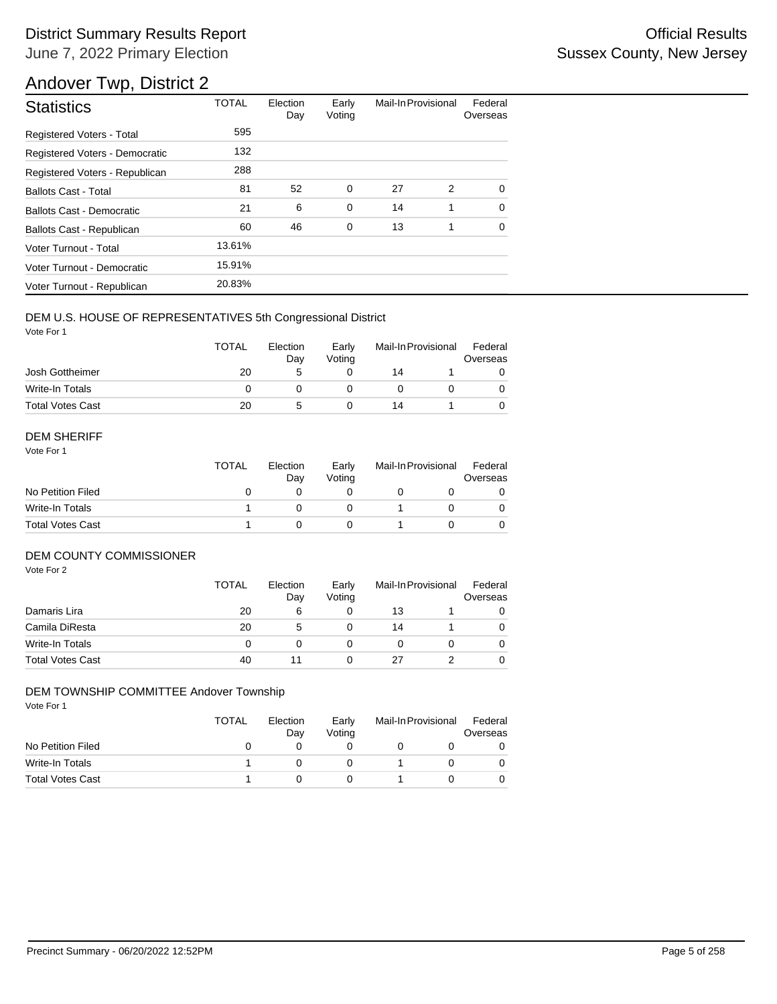## Andover Twp, District 2

| <b>Statistics</b>              | <b>TOTAL</b> | Election<br>Day | Early<br>Voting | Mail-In Provisional |   | Federal<br>Overseas |
|--------------------------------|--------------|-----------------|-----------------|---------------------|---|---------------------|
| Registered Voters - Total      | 595          |                 |                 |                     |   |                     |
| Registered Voters - Democratic | 132          |                 |                 |                     |   |                     |
| Registered Voters - Republican | 288          |                 |                 |                     |   |                     |
| <b>Ballots Cast - Total</b>    | 81           | 52              | 0               | 27                  | 2 | $\Omega$            |
| Ballots Cast - Democratic      | 21           | 6               | $\mathbf 0$     | 14                  | 1 | $\Omega$            |
| Ballots Cast - Republican      | 60           | 46              | $\mathbf 0$     | 13                  | 1 | $\Omega$            |
| Voter Turnout - Total          | 13.61%       |                 |                 |                     |   |                     |
| Voter Turnout - Democratic     | 15.91%       |                 |                 |                     |   |                     |
| Voter Turnout - Republican     | 20.83%       |                 |                 |                     |   |                     |

### DEM U.S. HOUSE OF REPRESENTATIVES 5th Congressional District

Vote For 1

|                         | <b>TOTAL</b> | Election<br>Dav | Early<br>Votina | Mail-In Provisional |  | Federal<br>Overseas |  |
|-------------------------|--------------|-----------------|-----------------|---------------------|--|---------------------|--|
| Josh Gottheimer         | 20           |                 |                 | 14                  |  |                     |  |
| Write-In Totals         |              |                 |                 |                     |  |                     |  |
| <b>Total Votes Cast</b> | 20           | G               |                 | 14                  |  |                     |  |

#### DEM SHERIFF

Vote For 1

|                         | <b>TOTAL</b> | Election<br>Dav | Early<br>Votina | Mail-In Provisional |  | Federal<br>Overseas |  |
|-------------------------|--------------|-----------------|-----------------|---------------------|--|---------------------|--|
| No Petition Filed       |              |                 |                 |                     |  |                     |  |
| Write-In Totals         |              |                 |                 |                     |  | $\Omega$            |  |
| <b>Total Votes Cast</b> |              |                 |                 |                     |  |                     |  |

#### DEM COUNTY COMMISSIONER

Vote For 2

|                         | <b>TOTAL</b> | Election<br>Day | Early<br>Votina |    | Mail-In Provisional | Federal<br>Overseas |
|-------------------------|--------------|-----------------|-----------------|----|---------------------|---------------------|
| Damaris Lira            | 20           | 6               |                 | 13 |                     | 0                   |
| Camila DiResta          | 20           | 5               |                 | 14 |                     | 0                   |
| Write-In Totals         |              |                 |                 |    |                     | 0                   |
| <b>Total Votes Cast</b> | 40           |                 |                 | 27 |                     | $\Omega$            |

#### DEM TOWNSHIP COMMITTEE Andover Township

|                         | TOTAL | Election<br>Day | Early<br>Votina | Mail-In Provisional | Federal<br>Overseas |
|-------------------------|-------|-----------------|-----------------|---------------------|---------------------|
| No Petition Filed       |       |                 |                 |                     |                     |
| Write-In Totals         |       |                 |                 |                     |                     |
| <b>Total Votes Cast</b> |       |                 |                 |                     |                     |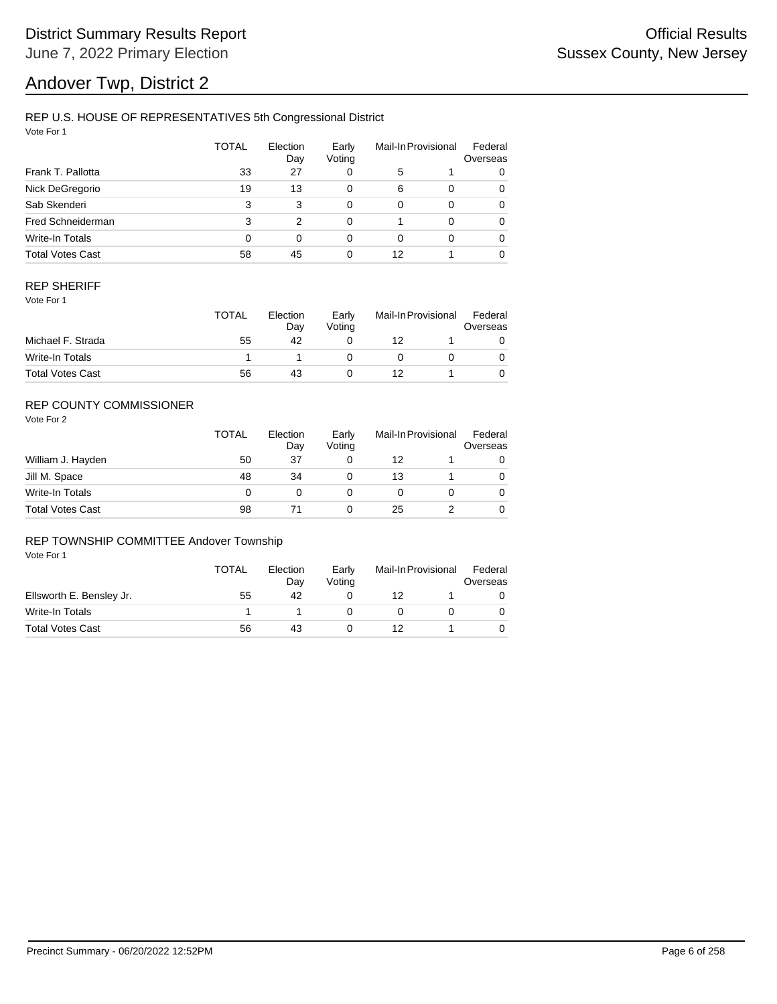# Andover Twp, District 2

### REP U.S. HOUSE OF REPRESENTATIVES 5th Congressional District

Vote For 1

|                         | <b>TOTAL</b> | Election<br>Day | Early<br>Voting |          | Mail-In Provisional | Federal<br>Overseas |
|-------------------------|--------------|-----------------|-----------------|----------|---------------------|---------------------|
| Frank T. Pallotta       | 33           | 27              | 0               | 5        |                     | 0                   |
| Nick DeGregorio         | 19           | 13              | 0               | 6        | $\Omega$            | 0                   |
| Sab Skenderi            | 3            | 3               | 0               | $\Omega$ | $\Omega$            | 0                   |
| Fred Schneiderman       | 3            | 2               | 0               |          | $\Omega$            | 0                   |
| Write-In Totals         | 0            | $\Omega$        | 0               | 0        | $\Omega$            | 0                   |
| <b>Total Votes Cast</b> | 58           | 45              | 0               | 12       |                     | 0                   |

#### REP SHERIFF

Vote For 1

|                         | <b>TOTAL</b> | Election<br>Day | Early<br>Votina | Mail-In Provisional |  | Federal<br>Overseas |
|-------------------------|--------------|-----------------|-----------------|---------------------|--|---------------------|
| Michael F. Strada       | 55           | 42              |                 | 12                  |  |                     |
| Write-In Totals         |              |                 |                 |                     |  |                     |
| <b>Total Votes Cast</b> | 56           | 43              |                 |                     |  |                     |

## REP COUNTY COMMISSIONER

Vote For 2

|                         | <b>TOTAL</b> | Election<br>Day | Early<br>Voting | Mail-In Provisional |  | Federal<br>Overseas |
|-------------------------|--------------|-----------------|-----------------|---------------------|--|---------------------|
| William J. Hayden       | 50           | 37              |                 | 12                  |  | 0                   |
| Jill M. Space           | 48           | 34              |                 | 13                  |  | 0                   |
| Write-In Totals         | 0            |                 |                 |                     |  | 0                   |
| <b>Total Votes Cast</b> | 98           |                 |                 | 25                  |  | 0                   |

#### REP TOWNSHIP COMMITTEE Andover Township

|                          | <b>TOTAL</b> | Election<br>Dav | Early<br>Votina | Mail-In Provisional |  | Federal<br>Overseas |  |
|--------------------------|--------------|-----------------|-----------------|---------------------|--|---------------------|--|
| Ellsworth E. Bensley Jr. | 55           | 42              |                 | 12                  |  |                     |  |
| Write-In Totals          |              |                 |                 |                     |  |                     |  |
| <b>Total Votes Cast</b>  | 56           | 43              |                 | 12                  |  |                     |  |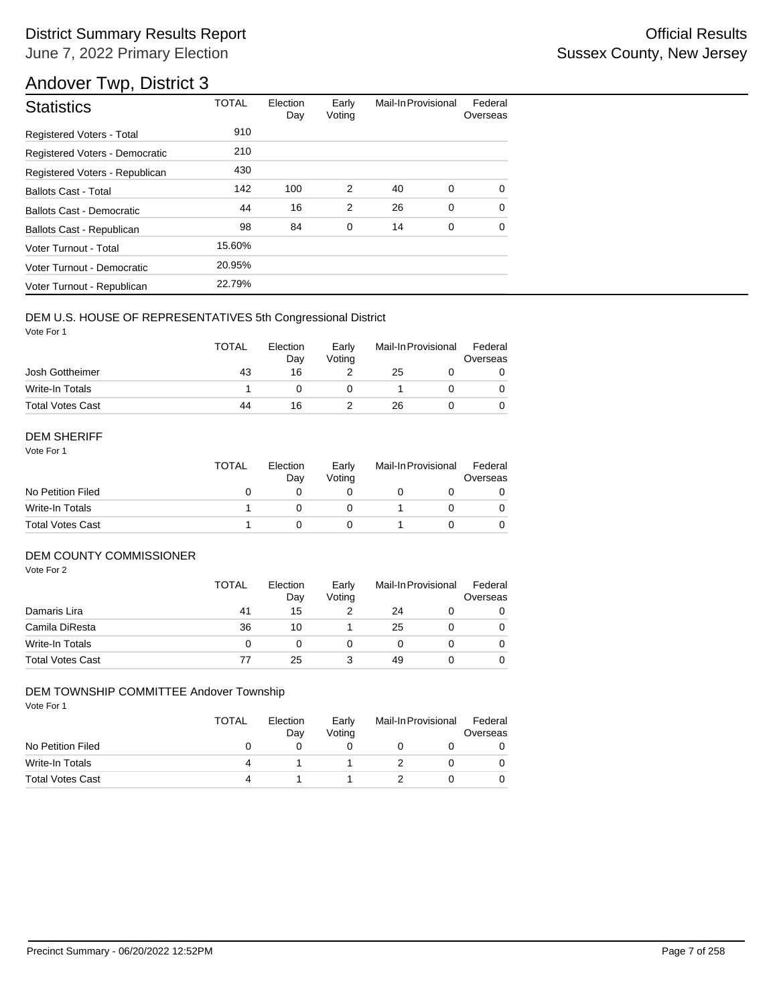## Andover Twp, District 3

| <b>Statistics</b>                | <b>TOTAL</b> | Election<br>Day | Early<br>Voting | Mail-In Provisional |   | Federal<br>Overseas |
|----------------------------------|--------------|-----------------|-----------------|---------------------|---|---------------------|
| <b>Registered Voters - Total</b> | 910          |                 |                 |                     |   |                     |
| Registered Voters - Democratic   | 210          |                 |                 |                     |   |                     |
| Registered Voters - Republican   | 430          |                 |                 |                     |   |                     |
| <b>Ballots Cast - Total</b>      | 142          | 100             | 2               | 40                  | 0 | $\Omega$            |
| Ballots Cast - Democratic        | 44           | 16              | $\overline{2}$  | 26                  | 0 | $\Omega$            |
| Ballots Cast - Republican        | 98           | 84              | 0               | 14                  | 0 | $\Omega$            |
| Voter Turnout - Total            | 15.60%       |                 |                 |                     |   |                     |
| Voter Turnout - Democratic       | 20.95%       |                 |                 |                     |   |                     |
| Voter Turnout - Republican       | 22.79%       |                 |                 |                     |   |                     |

#### DEM U.S. HOUSE OF REPRESENTATIVES 5th Congressional District

Vote For 1

|                         | <b>TOTAL</b> | Election<br>Dav | Early<br>Votina | Mail-In Provisional |  | Federal<br>Overseas |
|-------------------------|--------------|-----------------|-----------------|---------------------|--|---------------------|
| Josh Gottheimer         | 43           | 16              |                 | 25                  |  |                     |
| Write-In Totals         |              |                 |                 |                     |  |                     |
| <b>Total Votes Cast</b> | 44           | 16              |                 | 26                  |  |                     |

#### DEM SHERIFF

Vote For 1

|                         | <b>TOTAL</b> | Election<br>Dav | Early<br>Votina | Mail-In Provisional |  | Federal<br>Overseas |  |
|-------------------------|--------------|-----------------|-----------------|---------------------|--|---------------------|--|
| No Petition Filed       |              |                 |                 |                     |  |                     |  |
| Write-In Totals         |              |                 |                 |                     |  | $\Omega$            |  |
| <b>Total Votes Cast</b> |              |                 |                 |                     |  |                     |  |

### DEM COUNTY COMMISSIONER

Vote For 2

|                         | <b>TOTAL</b> | Election<br>Day | Early<br>Voting |    | Mail-In Provisional | Federal<br>Overseas |
|-------------------------|--------------|-----------------|-----------------|----|---------------------|---------------------|
| Damaris Lira            | 41           | 15              |                 | 24 |                     | 0                   |
| Camila DiResta          | 36           | 10              |                 | 25 |                     | $\Omega$            |
| Write-In Totals         |              |                 |                 |    |                     | $\Omega$            |
| <b>Total Votes Cast</b> | 77           | 25              |                 | 49 |                     | 0                   |

#### DEM TOWNSHIP COMMITTEE Andover Township

|                         | <b>TOTAL</b> | Election<br>Dav | Early<br>Votina | Mail-In Provisional | Federal<br>Overseas |
|-------------------------|--------------|-----------------|-----------------|---------------------|---------------------|
| No Petition Filed       |              |                 |                 |                     |                     |
| Write-In Totals         | 4            |                 |                 |                     |                     |
| <b>Total Votes Cast</b> | Δ            |                 |                 |                     |                     |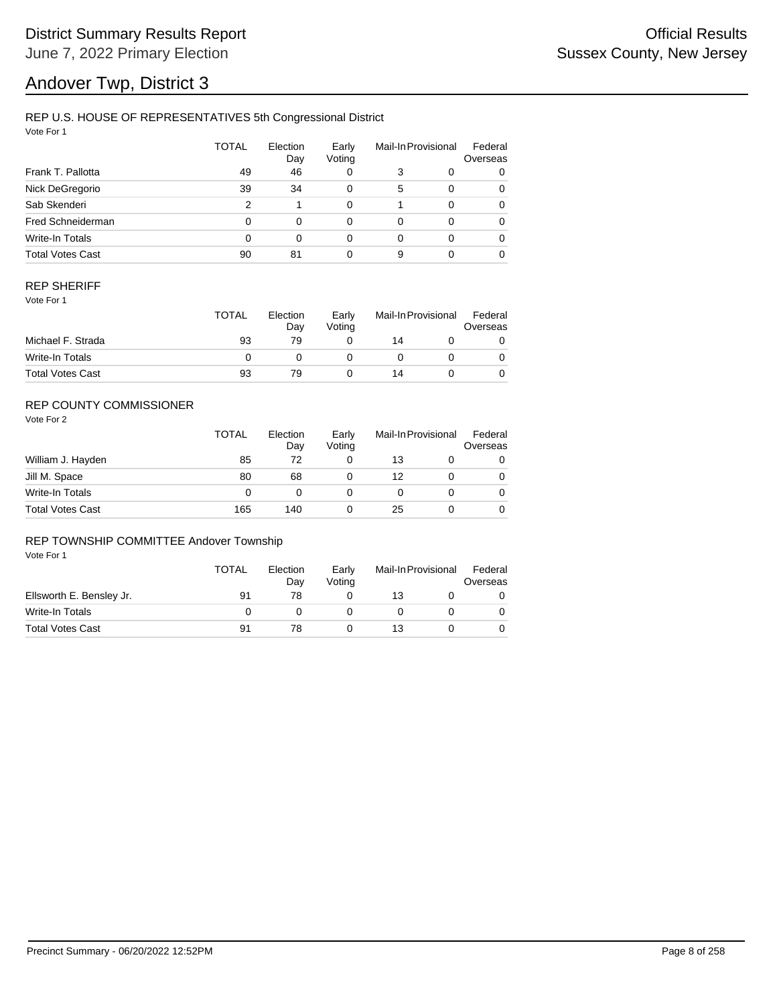# Andover Twp, District 3

### REP U.S. HOUSE OF REPRESENTATIVES 5th Congressional District

Vote For 1

|                         | <b>TOTAL</b> | Election<br>Day | Early<br>Voting |   | Mail-In Provisional | Federal<br>Overseas |
|-------------------------|--------------|-----------------|-----------------|---|---------------------|---------------------|
| Frank T. Pallotta       | 49           | 46              | 0               | 3 | 0                   | 0                   |
| Nick DeGregorio         | 39           | 34              | 0               | 5 | $\Omega$            | 0                   |
| Sab Skenderi            | 2            |                 | 0               |   | $\Omega$            | 0                   |
| Fred Schneiderman       | 0            | $\Omega$        | 0               | 0 | $\Omega$            | 0                   |
| Write-In Totals         | 0            | $\Omega$        | 0               | 0 | $\Omega$            | 0                   |
| <b>Total Votes Cast</b> | 90           | 81              | 0               | 9 | $\Omega$            | 0                   |

#### REP SHERIFF

Vote For 1

|                         | TOTAL | Election<br>Dav | Early<br>Votina | Mail-In Provisional |  | Federal<br>Overseas |  |
|-------------------------|-------|-----------------|-----------------|---------------------|--|---------------------|--|
| Michael F. Strada       | 93    | 79              |                 | 14                  |  |                     |  |
| Write-In Totals         |       |                 |                 |                     |  |                     |  |
| <b>Total Votes Cast</b> | 93    | 79              |                 | 14                  |  |                     |  |

## REP COUNTY COMMISSIONER

Vote For 2

|                         | TOTAL | Election<br>Day | Early<br>Voting |    | Mail-In Provisional | Federal<br>Overseas |
|-------------------------|-------|-----------------|-----------------|----|---------------------|---------------------|
| William J. Hayden       | 85    | 72              |                 | 13 |                     | 0                   |
| Jill M. Space           | 80    | 68              |                 | 12 |                     | 0                   |
| Write-In Totals         | 0     |                 |                 |    |                     | $\Omega$            |
| <b>Total Votes Cast</b> | 165   | 140             |                 | 25 |                     | 0                   |

#### REP TOWNSHIP COMMITTEE Andover Township

|                          | <b>TOTAL</b> | Election<br>Dav | Early<br>Votina | Mail-In Provisional |  | Federal<br>Overseas |  |
|--------------------------|--------------|-----------------|-----------------|---------------------|--|---------------------|--|
| Ellsworth E. Bensley Jr. | 91           | 78              |                 | 13                  |  |                     |  |
| Write-In Totals          |              |                 |                 |                     |  |                     |  |
| <b>Total Votes Cast</b>  | 91           | 78              |                 | 13                  |  |                     |  |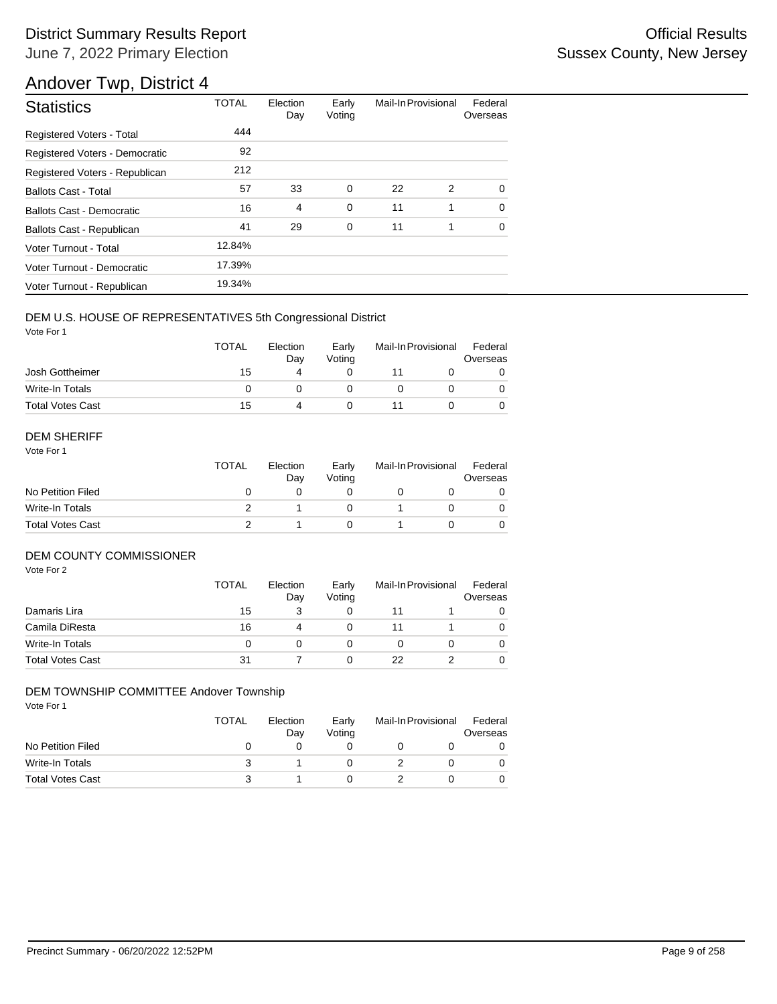## Andover Twp, District 4

| <b>Statistics</b>                | <b>TOTAL</b> | Election<br>Day | Early<br>Voting | Mail-In Provisional |   | Federal<br>Overseas |
|----------------------------------|--------------|-----------------|-----------------|---------------------|---|---------------------|
| <b>Registered Voters - Total</b> | 444          |                 |                 |                     |   |                     |
| Registered Voters - Democratic   | 92           |                 |                 |                     |   |                     |
| Registered Voters - Republican   | 212          |                 |                 |                     |   |                     |
| <b>Ballots Cast - Total</b>      | 57           | 33              | $\mathbf 0$     | 22                  | 2 | $\Omega$            |
| Ballots Cast - Democratic        | 16           | $\overline{4}$  | $\mathbf 0$     | 11                  | 1 | $\Omega$            |
| Ballots Cast - Republican        | 41           | 29              | 0               | 11                  | 1 | $\Omega$            |
| Voter Turnout - Total            | 12.84%       |                 |                 |                     |   |                     |
| Voter Turnout - Democratic       | 17.39%       |                 |                 |                     |   |                     |
| Voter Turnout - Republican       | 19.34%       |                 |                 |                     |   |                     |

### DEM U.S. HOUSE OF REPRESENTATIVES 5th Congressional District

Vote For 1

|                         | <b>TOTAL</b> | Election<br>Dav | Early<br>Votina | Mail-In Provisional |  | Federal<br>Overseas |  |
|-------------------------|--------------|-----------------|-----------------|---------------------|--|---------------------|--|
| Josh Gottheimer         | 15           |                 |                 |                     |  |                     |  |
| Write-In Totals         |              |                 |                 |                     |  |                     |  |
| <b>Total Votes Cast</b> | 15           |                 |                 |                     |  |                     |  |

#### DEM SHERIFF

Vote For 1

|                         | <b>TOTAL</b> | Election<br>Dav | Early<br>Votina | Mail-In Provisional |  | Federal<br>Overseas |  |
|-------------------------|--------------|-----------------|-----------------|---------------------|--|---------------------|--|
| No Petition Filed       |              |                 |                 |                     |  |                     |  |
| Write-In Totals         |              |                 |                 |                     |  | 0                   |  |
| <b>Total Votes Cast</b> |              |                 |                 |                     |  |                     |  |

#### DEM COUNTY COMMISSIONER

Vote For 2

|                         | <b>TOTAL</b> | Election<br>Day | Early<br>Votina |    | Mail-In Provisional |          |
|-------------------------|--------------|-----------------|-----------------|----|---------------------|----------|
| Damaris Lira            | 15           |                 |                 |    |                     |          |
| Camila DiResta          | 16           | 4               |                 |    |                     | 0        |
| Write-In Totals         |              |                 |                 |    |                     | $\Omega$ |
| <b>Total Votes Cast</b> | 31           |                 |                 | 22 |                     | 0        |

#### DEM TOWNSHIP COMMITTEE Andover Township

|                         | <b>TOTAL</b> | Election<br>Dav | Early<br>Votina | Mail-In Provisional |  | Federal<br>Overseas |
|-------------------------|--------------|-----------------|-----------------|---------------------|--|---------------------|
| No Petition Filed       |              |                 |                 |                     |  |                     |
| Write-In Totals         |              |                 |                 |                     |  |                     |
| <b>Total Votes Cast</b> |              |                 |                 |                     |  |                     |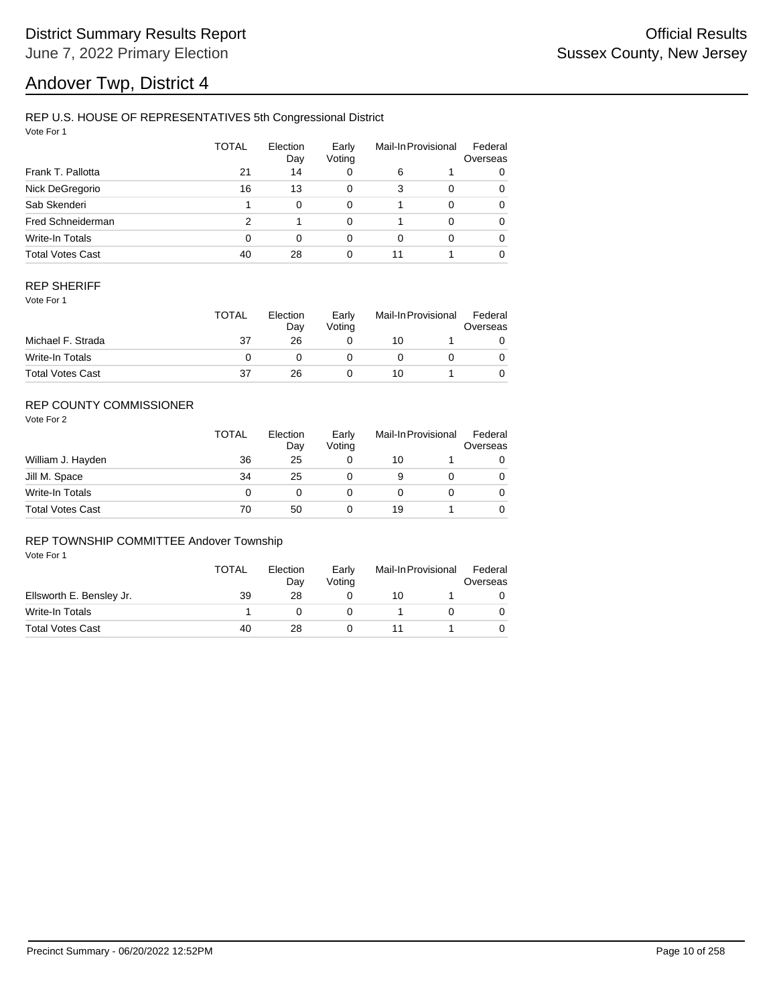# Andover Twp, District 4

### REP U.S. HOUSE OF REPRESENTATIVES 5th Congressional District

Vote For 1

|                         | TOTAL | Election<br>Day | Early<br>Voting |    | Mail-In Provisional |   |
|-------------------------|-------|-----------------|-----------------|----|---------------------|---|
| Frank T. Pallotta       | 21    | 14              | 0               | 6  |                     | 0 |
| Nick DeGregorio         | 16    | 13              | 0               | 3  | 0                   | 0 |
| Sab Skenderi            |       | $\Omega$        | 0               |    | $\Omega$            | 0 |
| Fred Schneiderman       | 2     |                 | 0               |    | $\Omega$            | 0 |
| Write-In Totals         | 0     | $\Omega$        | 0               | 0  | $\Omega$            | 0 |
| <b>Total Votes Cast</b> | 40    | 28              | 0               | 11 |                     | 0 |

#### REP SHERIFF

Vote For 1

|                         | TOTAL | Election<br>Dav | Early<br>Votina | Mail-In Provisional |  | Federal<br>Overseas |
|-------------------------|-------|-----------------|-----------------|---------------------|--|---------------------|
| Michael F. Strada       | 37    | 26              |                 | 10                  |  |                     |
| Write-In Totals         |       |                 |                 |                     |  |                     |
| <b>Total Votes Cast</b> | 37    | 26              |                 | 10                  |  |                     |

## REP COUNTY COMMISSIONER

Vote For 2

|                         | TOTAL | Election<br>Day | Early<br>Voting | Mail-In Provisional |  | Federal<br>Overseas |
|-------------------------|-------|-----------------|-----------------|---------------------|--|---------------------|
| William J. Hayden       | 36    | 25              |                 | 10                  |  | 0                   |
| Jill M. Space           | 34    | 25              |                 | 9                   |  | 0                   |
| Write-In Totals         |       | O               |                 |                     |  | $\Omega$            |
| <b>Total Votes Cast</b> | 70    | 50              |                 | 19                  |  | 0                   |

#### REP TOWNSHIP COMMITTEE Andover Township

|                          | <b>TOTAL</b> | Election<br>Dav | Early<br>Votina | Mail-In Provisional |  | Federal<br>Overseas |
|--------------------------|--------------|-----------------|-----------------|---------------------|--|---------------------|
| Ellsworth E. Bensley Jr. | 39           | 28              |                 | 10                  |  |                     |
| Write-In Totals          |              |                 |                 |                     |  |                     |
| <b>Total Votes Cast</b>  | 40           | 28              |                 |                     |  |                     |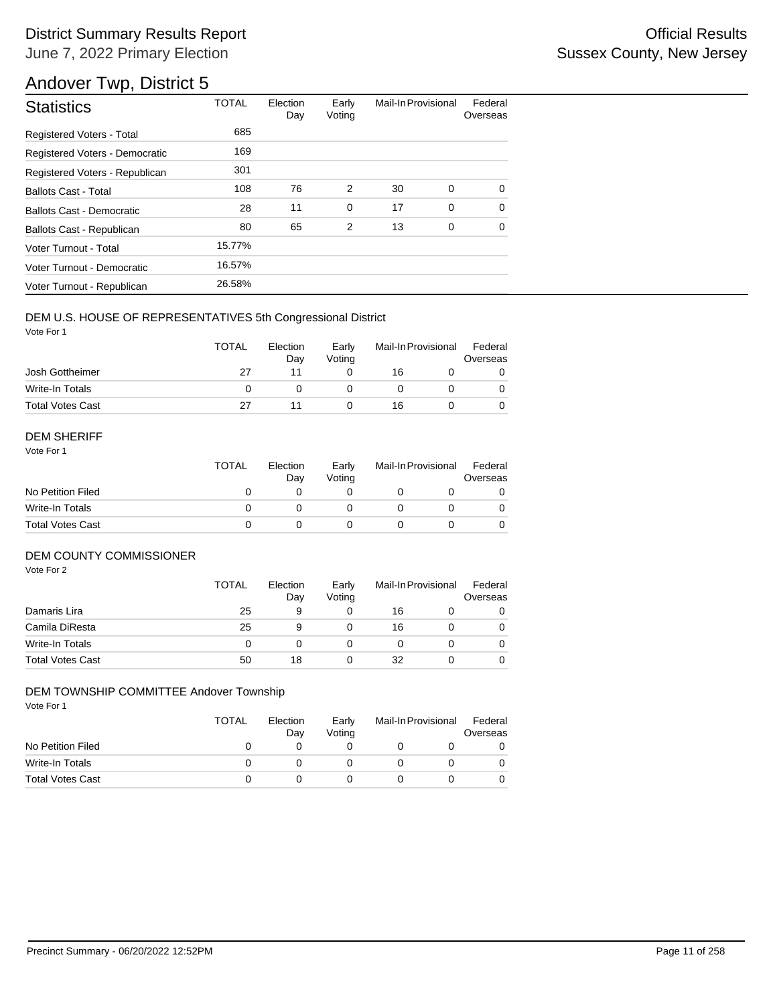## Andover Twp, District 5

| <b>Statistics</b>                | <b>TOTAL</b> | Election<br>Day | Early<br>Voting | Mail-In Provisional |             | Federal<br>Overseas |
|----------------------------------|--------------|-----------------|-----------------|---------------------|-------------|---------------------|
| Registered Voters - Total        | 685          |                 |                 |                     |             |                     |
| Registered Voters - Democratic   | 169          |                 |                 |                     |             |                     |
| Registered Voters - Republican   | 301          |                 |                 |                     |             |                     |
| <b>Ballots Cast - Total</b>      | 108          | 76              | 2               | 30                  | 0           | 0                   |
| <b>Ballots Cast - Democratic</b> | 28           | 11              | $\mathbf 0$     | 17                  | $\mathbf 0$ | $\Omega$            |
| Ballots Cast - Republican        | 80           | 65              | 2               | 13                  | 0           | $\Omega$            |
| Voter Turnout - Total            | 15.77%       |                 |                 |                     |             |                     |
| Voter Turnout - Democratic       | 16.57%       |                 |                 |                     |             |                     |
| Voter Turnout - Republican       | 26.58%       |                 |                 |                     |             |                     |

#### DEM U.S. HOUSE OF REPRESENTATIVES 5th Congressional District

Vote For 1

|                         | <b>TOTAL</b> | Election<br>Dav | Early<br>Votina | Mail-In Provisional |  | Federal<br>Overseas |
|-------------------------|--------------|-----------------|-----------------|---------------------|--|---------------------|
| Josh Gottheimer         | 27           |                 |                 | 16                  |  |                     |
| Write-In Totals         |              |                 |                 |                     |  |                     |
| <b>Total Votes Cast</b> | 27           |                 |                 | 16                  |  |                     |

#### DEM SHERIFF

Vote For 1

|                         | <b>TOTAL</b> | Election<br>Dav | Early<br>Votina | Mail-In Provisional |  | Federal<br>Overseas |  |
|-------------------------|--------------|-----------------|-----------------|---------------------|--|---------------------|--|
| No Petition Filed       |              |                 |                 |                     |  |                     |  |
| Write-In Totals         |              |                 |                 |                     |  | $\Omega$            |  |
| <b>Total Votes Cast</b> |              |                 |                 |                     |  |                     |  |

#### DEM COUNTY COMMISSIONER

Vote For 2

|                         | <b>TOTAL</b> | Election<br>Day | Early<br>Voting |    | Mail-In Provisional | Federal<br>Overseas |
|-------------------------|--------------|-----------------|-----------------|----|---------------------|---------------------|
| Damaris Lira            | 25           | 9               |                 | 16 |                     | 0                   |
| Camila DiResta          | 25           | 9               |                 | 16 |                     | $\Omega$            |
| Write-In Totals         |              |                 |                 |    |                     | $\Omega$            |
| <b>Total Votes Cast</b> | 50           | 18              |                 | 32 |                     | 0                   |

#### DEM TOWNSHIP COMMITTEE Andover Township

|                         | <b>TOTAL</b> | Election<br>Day | Early<br>Votina | Mail-In Provisional | Federal<br>Overseas |
|-------------------------|--------------|-----------------|-----------------|---------------------|---------------------|
| No Petition Filed       |              |                 |                 |                     |                     |
| Write-In Totals         |              |                 |                 |                     |                     |
| <b>Total Votes Cast</b> |              |                 |                 |                     |                     |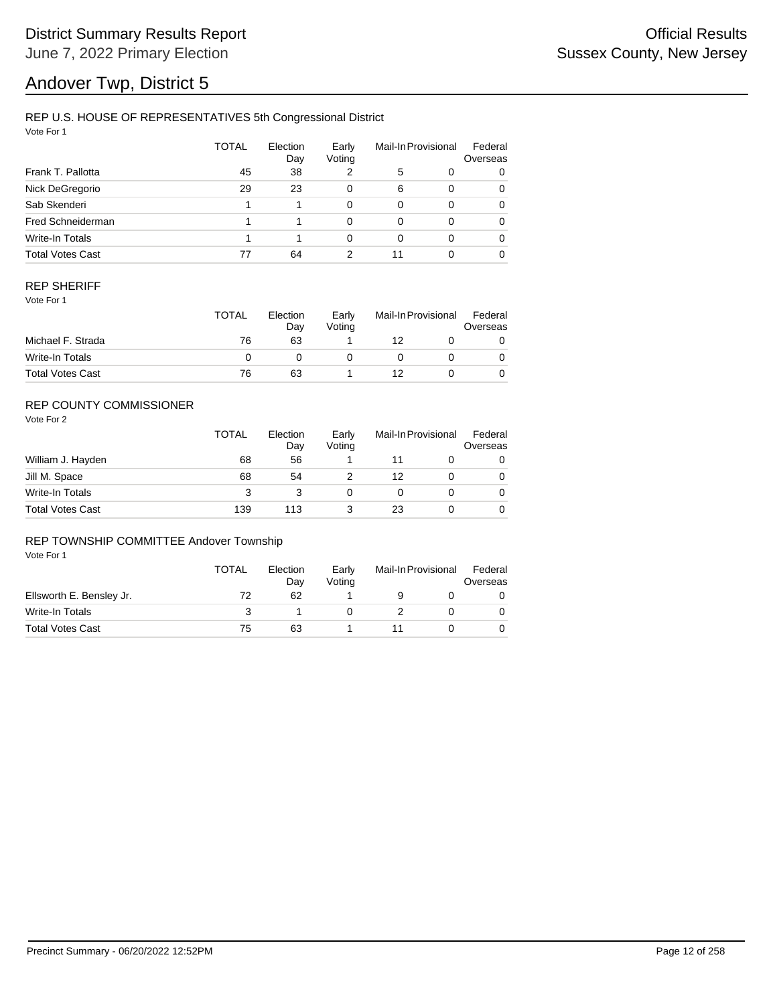# Andover Twp, District 5

### REP U.S. HOUSE OF REPRESENTATIVES 5th Congressional District

Vote For 1

|                         | <b>TOTAL</b> | Election<br>Day | Early<br>Voting |    | Mail-In Provisional | Federal<br>Overseas |
|-------------------------|--------------|-----------------|-----------------|----|---------------------|---------------------|
| Frank T. Pallotta       | 45           | 38              | 2               | 5  | 0                   | 0                   |
| Nick DeGregorio         | 29           | 23              | 0               | 6  | $\Omega$            | 0                   |
| Sab Skenderi            |              |                 | 0               | 0  | $\Omega$            | 0                   |
| Fred Schneiderman       |              |                 | 0               | 0  | $\Omega$            | 0                   |
| Write-In Totals         |              |                 | 0               | 0  | $\Omega$            | 0                   |
| <b>Total Votes Cast</b> | 77           | 64              | 2               | 11 |                     | 0                   |

#### REP SHERIFF

Vote For 1

|                         | <b>TOTAL</b> | Election<br>Dav | Early<br>Votina | Mail-In Provisional |  | Federal<br>Overseas |
|-------------------------|--------------|-----------------|-----------------|---------------------|--|---------------------|
| Michael F. Strada       | 76           | 63              |                 | 12                  |  |                     |
| Write-In Totals         |              |                 |                 |                     |  |                     |
| <b>Total Votes Cast</b> | 76           | 63              |                 | 12                  |  |                     |

## REP COUNTY COMMISSIONER

Vote For 2

|                         | TOTAL | Election<br>Day | Early<br>Voting | Mail-In Provisional |  | Federal<br>Overseas |
|-------------------------|-------|-----------------|-----------------|---------------------|--|---------------------|
| William J. Hayden       | 68    | 56              |                 |                     |  | 0                   |
| Jill M. Space           | 68    | 54              |                 | 12                  |  | 0                   |
| Write-In Totals         | 3     |                 |                 |                     |  | 0                   |
| <b>Total Votes Cast</b> | 139   | 113             |                 | 23                  |  | 0                   |

#### REP TOWNSHIP COMMITTEE Andover Township

|                          | <b>TOTAL</b> | Election<br>Dav | Early<br>Votina | Mail-In Provisional | Federal<br>Overseas |
|--------------------------|--------------|-----------------|-----------------|---------------------|---------------------|
| Ellsworth E. Bensley Jr. | 72           | 62              |                 |                     |                     |
| Write-In Totals          |              |                 |                 |                     |                     |
| <b>Total Votes Cast</b>  | 75           | 63              |                 |                     |                     |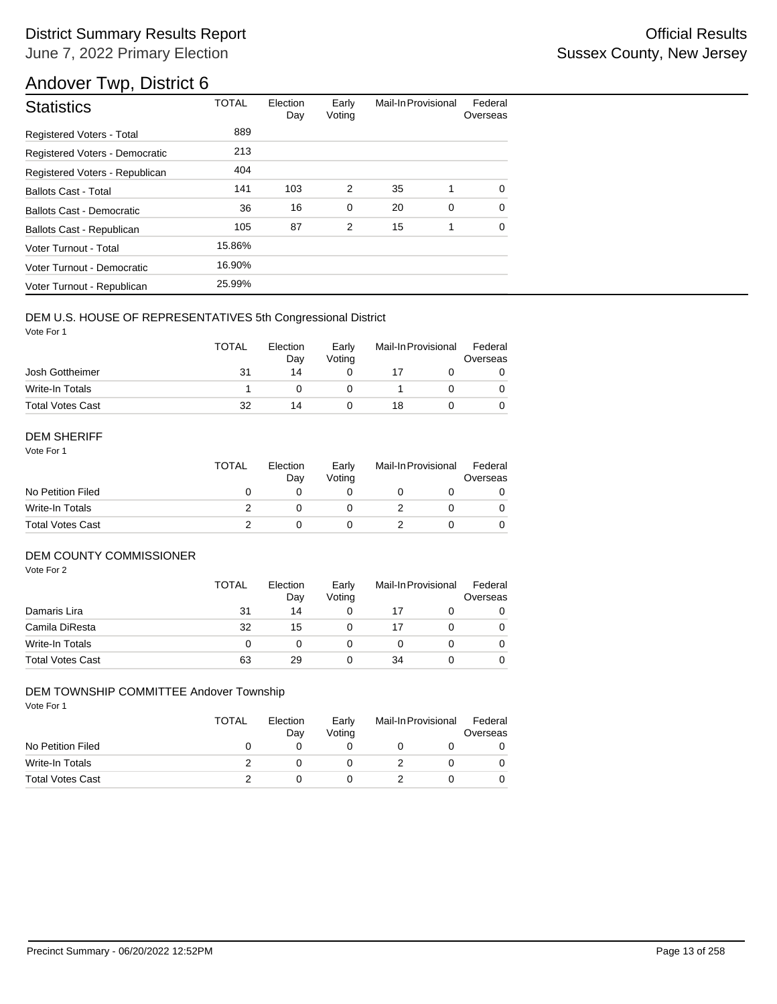## Andover Twp, District 6

| <b>Statistics</b>                | <b>TOTAL</b> | Election<br>Day | Early<br>Voting | Mail-In Provisional |   | Federal<br>Overseas |
|----------------------------------|--------------|-----------------|-----------------|---------------------|---|---------------------|
| Registered Voters - Total        | 889          |                 |                 |                     |   |                     |
| Registered Voters - Democratic   | 213          |                 |                 |                     |   |                     |
| Registered Voters - Republican   | 404          |                 |                 |                     |   |                     |
| <b>Ballots Cast - Total</b>      | 141          | 103             | 2               | 35                  | 1 | $\Omega$            |
| Ballots Cast - Democratic        | 36           | 16              | $\mathbf 0$     | 20                  | 0 | $\Omega$            |
| <b>Ballots Cast - Republican</b> | 105          | 87              | 2               | 15                  | 1 | $\Omega$            |
| Voter Turnout - Total            | 15.86%       |                 |                 |                     |   |                     |
| Voter Turnout - Democratic       | 16.90%       |                 |                 |                     |   |                     |
| Voter Turnout - Republican       | 25.99%       |                 |                 |                     |   |                     |

#### DEM U.S. HOUSE OF REPRESENTATIVES 5th Congressional District

Vote For 1

|                         | <b>TOTAL</b> | Election<br>Dav | Early<br>Votina | Mail-In Provisional |  | Federal<br>Overseas |  |
|-------------------------|--------------|-----------------|-----------------|---------------------|--|---------------------|--|
| Josh Gottheimer         | 31           | 14              |                 |                     |  |                     |  |
| Write-In Totals         |              |                 |                 |                     |  |                     |  |
| <b>Total Votes Cast</b> | 32           | 14              |                 | 18                  |  |                     |  |

#### DEM SHERIFF

Vote For 1

|                         | <b>TOTAL</b> | Election<br>Dav | Early<br>Votina | Mail-In Provisional |  | Federal<br>Overseas |  |
|-------------------------|--------------|-----------------|-----------------|---------------------|--|---------------------|--|
| No Petition Filed       |              |                 |                 |                     |  |                     |  |
| Write-In Totals         |              |                 |                 |                     |  | 0                   |  |
| <b>Total Votes Cast</b> |              |                 |                 |                     |  |                     |  |

#### DEM COUNTY COMMISSIONER

Vote For 2

|                         | <b>TOTAL</b> | Election<br>Day | Early<br>Voting |    | Mail-In Provisional | Federal<br>Overseas |
|-------------------------|--------------|-----------------|-----------------|----|---------------------|---------------------|
| Damaris Lira            | 31           | 14              |                 | 17 |                     | 0                   |
| Camila DiResta          | 32           | 15              |                 | 17 |                     | $\Omega$            |
| Write-In Totals         | $\Omega$     |                 |                 |    |                     | $\Omega$            |
| <b>Total Votes Cast</b> | 63           | 29              |                 | 34 |                     | 0                   |

#### DEM TOWNSHIP COMMITTEE Andover Township

|                         | <b>TOTAL</b> | Election<br>Day | Early<br>Votina | Mail-In Provisional | Federal<br>Overseas |
|-------------------------|--------------|-----------------|-----------------|---------------------|---------------------|
| No Petition Filed       |              |                 |                 |                     |                     |
| Write-In Totals         |              |                 |                 |                     |                     |
| <b>Total Votes Cast</b> |              |                 |                 |                     |                     |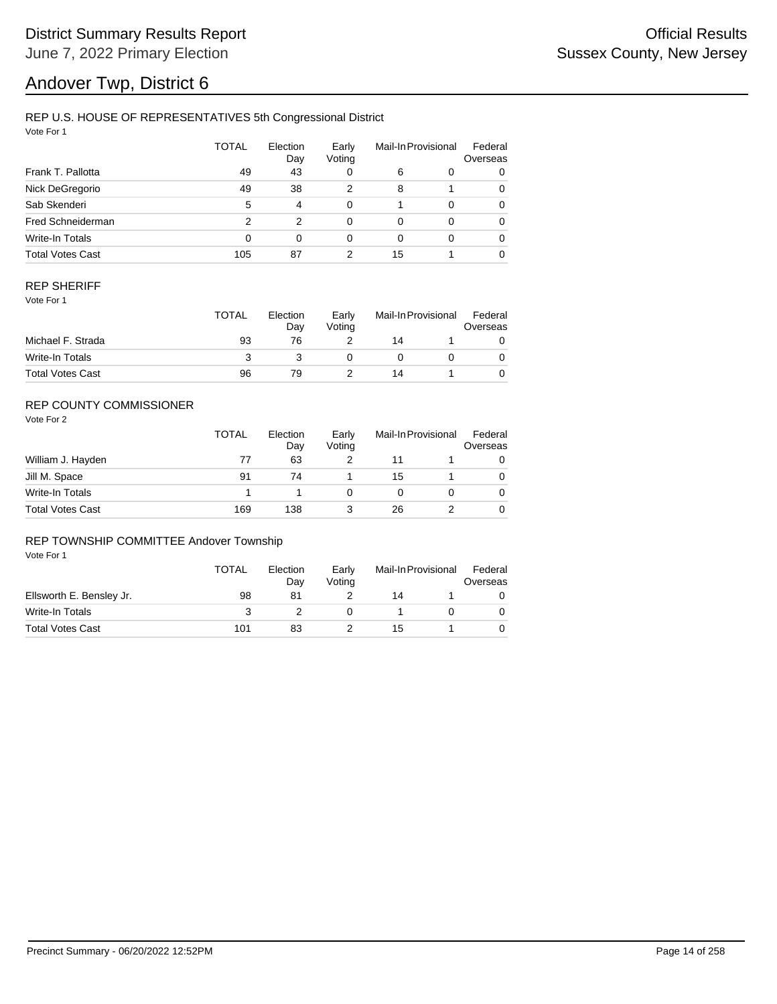# Andover Twp, District 6

### REP U.S. HOUSE OF REPRESENTATIVES 5th Congressional District

Vote For 1

|                         | <b>TOTAL</b> | Election<br>Day | Early<br>Voting |    | Mail-In Provisional | Federal<br>Overseas |
|-------------------------|--------------|-----------------|-----------------|----|---------------------|---------------------|
| Frank T. Pallotta       | 49           | 43              | 0               | 6  | 0                   | 0                   |
| Nick DeGregorio         | 49           | 38              | 2               | 8  |                     | 0                   |
| Sab Skenderi            | 5            | 4               | 0               |    | $\Omega$            | 0                   |
| Fred Schneiderman       | 2            | 2               | 0               | 0  | $\Omega$            | 0                   |
| Write-In Totals         | 0            | $\Omega$        | 0               | 0  | $\Omega$            | 0                   |
| <b>Total Votes Cast</b> | 105          | 87              | 2               | 15 |                     | 0                   |

#### REP SHERIFF

Vote For 1

|                         | <b>TOTAL</b> | Election<br>Dav | Early<br>Votina | Mail-In Provisional |  | Federal<br>Overseas |  |
|-------------------------|--------------|-----------------|-----------------|---------------------|--|---------------------|--|
| Michael F. Strada       | 93           | 76              |                 | 14                  |  |                     |  |
| Write-In Totals         |              |                 |                 |                     |  |                     |  |
| <b>Total Votes Cast</b> | 96           | 79              |                 | 14                  |  |                     |  |

## REP COUNTY COMMISSIONER

Vote For 2

|                         | <b>TOTAL</b> | Election<br>Day | Early<br>Votina |    | Mail-In Provisional | Federal<br>Overseas |
|-------------------------|--------------|-----------------|-----------------|----|---------------------|---------------------|
| William J. Hayden       | 77           | 63              |                 |    |                     |                     |
| Jill M. Space           | 91           | 74              |                 | 15 |                     | 0                   |
| Write-In Totals         |              |                 |                 |    |                     | 0                   |
| <b>Total Votes Cast</b> | 169          | 138             |                 | 26 |                     | 0                   |

#### REP TOWNSHIP COMMITTEE Andover Township

|                          | <b>TOTAL</b> | Election<br>Dav | Early<br>Votina | Mail-In Provisional |  | Federal<br>Overseas |
|--------------------------|--------------|-----------------|-----------------|---------------------|--|---------------------|
| Ellsworth E. Bensley Jr. | 98           | 81              |                 | 14                  |  |                     |
| Write-In Totals          |              |                 |                 |                     |  |                     |
| <b>Total Votes Cast</b>  | 101          | 83              |                 | 15                  |  |                     |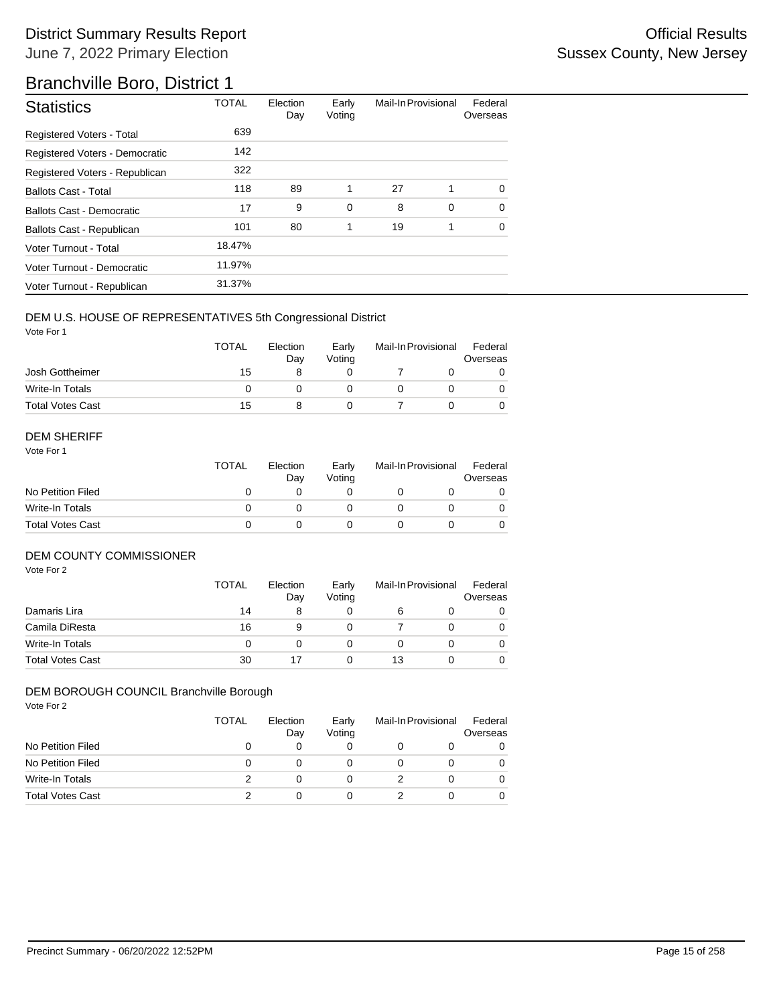## Branchville Boro, District 1

| <b>Statistics</b>                | <b>TOTAL</b> | Election<br>Day | Early<br>Voting | Mail-In Provisional |             | Federal<br>Overseas |
|----------------------------------|--------------|-----------------|-----------------|---------------------|-------------|---------------------|
| Registered Voters - Total        | 639          |                 |                 |                     |             |                     |
| Registered Voters - Democratic   | 142          |                 |                 |                     |             |                     |
| Registered Voters - Republican   | 322          |                 |                 |                     |             |                     |
| <b>Ballots Cast - Total</b>      | 118          | 89              | 1               | 27                  | 1           | $\Omega$            |
| <b>Ballots Cast - Democratic</b> | 17           | 9               | $\mathbf 0$     | 8                   | $\mathbf 0$ | $\Omega$            |
| Ballots Cast - Republican        | 101          | 80              | 1               | 19                  | 1           | $\Omega$            |
| Voter Turnout - Total            | 18.47%       |                 |                 |                     |             |                     |
| Voter Turnout - Democratic       | 11.97%       |                 |                 |                     |             |                     |
| Voter Turnout - Republican       | 31.37%       |                 |                 |                     |             |                     |

#### DEM U.S. HOUSE OF REPRESENTATIVES 5th Congressional District

Vote For 1

|                         | <b>TOTAL</b> | Election<br>Dav | Early<br>Votina | Mail-In Provisional |  | Federal<br>Overseas |  |
|-------------------------|--------------|-----------------|-----------------|---------------------|--|---------------------|--|
| Josh Gottheimer         | 15           |                 |                 |                     |  |                     |  |
| Write-In Totals         |              |                 |                 |                     |  | 0                   |  |
| <b>Total Votes Cast</b> | 15           |                 |                 |                     |  |                     |  |

#### DEM SHERIFF

Vote For 1

|                         | TOTAL | Election<br>Day | Early<br>Votina | Mail-In Provisional |  | Federal<br>Overseas |  |
|-------------------------|-------|-----------------|-----------------|---------------------|--|---------------------|--|
| No Petition Filed       |       |                 |                 |                     |  |                     |  |
| Write-In Totals         |       |                 |                 |                     |  | $\Omega$            |  |
| <b>Total Votes Cast</b> |       |                 |                 |                     |  |                     |  |

#### DEM COUNTY COMMISSIONER

Vote For 2

|                         | <b>TOTAL</b> | Election<br>Day | Early<br>Votina |    | Mail-In Provisional | Federal<br>Overseas |
|-------------------------|--------------|-----------------|-----------------|----|---------------------|---------------------|
| Damaris Lira            | 14           | 8               |                 |    |                     | 0                   |
| Camila DiResta          | 16           | 9               |                 |    |                     | 0                   |
| Write-In Totals         |              |                 |                 |    |                     | $\Omega$            |
| <b>Total Votes Cast</b> | 30           |                 |                 | 13 |                     | 0                   |

## DEM BOROUGH COUNCIL Branchville Borough

|                         | TOTAL | Election<br>Day | Early<br>Voting | Mail-In Provisional | Federal<br>Overseas |
|-------------------------|-------|-----------------|-----------------|---------------------|---------------------|
| No Petition Filed       |       |                 | 0               |                     | 0                   |
| No Petition Filed       | 0     |                 | O               |                     |                     |
| Write-In Totals         |       |                 | 0               |                     |                     |
| <b>Total Votes Cast</b> |       |                 | 0               |                     |                     |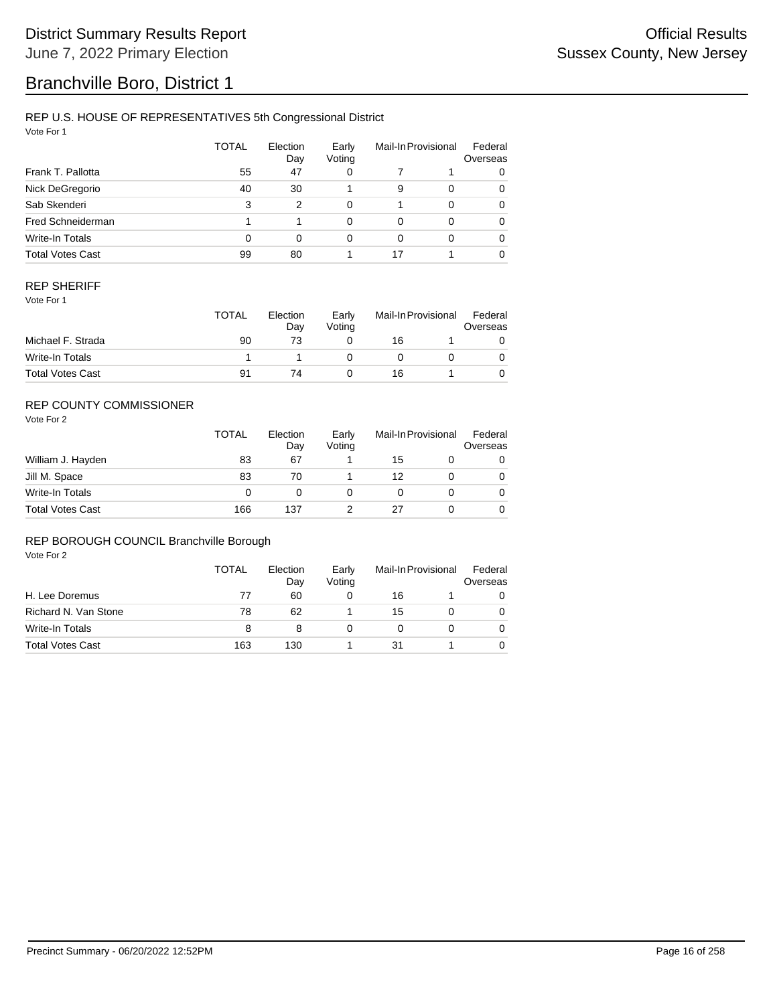## Branchville Boro, District 1

### REP U.S. HOUSE OF REPRESENTATIVES 5th Congressional District

Vote For 1

|                         | TOTAL | Election<br>Day | Early<br>Voting |          | Mail-In Provisional | Federal<br>Overseas |
|-------------------------|-------|-----------------|-----------------|----------|---------------------|---------------------|
| Frank T. Pallotta       | 55    | 47              | 0               |          |                     | 0                   |
| Nick DeGregorio         | 40    | 30              |                 | 9        | $\Omega$            | 0                   |
| Sab Skenderi            | 3     | 2               | $\Omega$        |          | $\Omega$            | 0                   |
| Fred Schneiderman       |       |                 | $\Omega$        | $\Omega$ | $\Omega$            | 0                   |
| Write-In Totals         | 0     | 0               | 0               | $\Omega$ | $\Omega$            | 0                   |
| <b>Total Votes Cast</b> | 99    | 80              |                 | 17       |                     | $\Omega$            |

#### REP SHERIFF

Vote For 1

|                         | <b>TOTAL</b> | Election<br>Day | Early<br>Votina | Mail-In Provisional |  | Federal<br>Overseas |
|-------------------------|--------------|-----------------|-----------------|---------------------|--|---------------------|
| Michael F. Strada       | 90           | 73              |                 | 16                  |  |                     |
| Write-In Totals         |              |                 |                 |                     |  |                     |
| <b>Total Votes Cast</b> | 91           | 74              |                 | 16                  |  |                     |

## REP COUNTY COMMISSIONER

Vote For 2

|                         | <b>TOTAL</b> | Election<br>Day | Early<br>Voting | Mail-In Provisional |  | Federal<br>Overseas |
|-------------------------|--------------|-----------------|-----------------|---------------------|--|---------------------|
| William J. Hayden       | 83           | 67              |                 | 15                  |  | 0                   |
| Jill M. Space           | 83           | 70              |                 | 12                  |  | 0                   |
| Write-In Totals         | 0            |                 |                 |                     |  | 0                   |
| <b>Total Votes Cast</b> | 166          | 137             |                 |                     |  | 0                   |

#### REP BOROUGH COUNCIL Branchville Borough

|                         | TOTAL | Election<br>Day | Early<br>Voting | Mail-In Provisional |  | Federal<br>Overseas |
|-------------------------|-------|-----------------|-----------------|---------------------|--|---------------------|
| H. Lee Doremus          | 77    | 60              |                 | 16                  |  |                     |
| Richard N. Van Stone    | 78    | 62              |                 | 15                  |  |                     |
| Write-In Totals         | 8     | 8               |                 |                     |  | 0                   |
| <b>Total Votes Cast</b> | 163   | 130             |                 | 31                  |  |                     |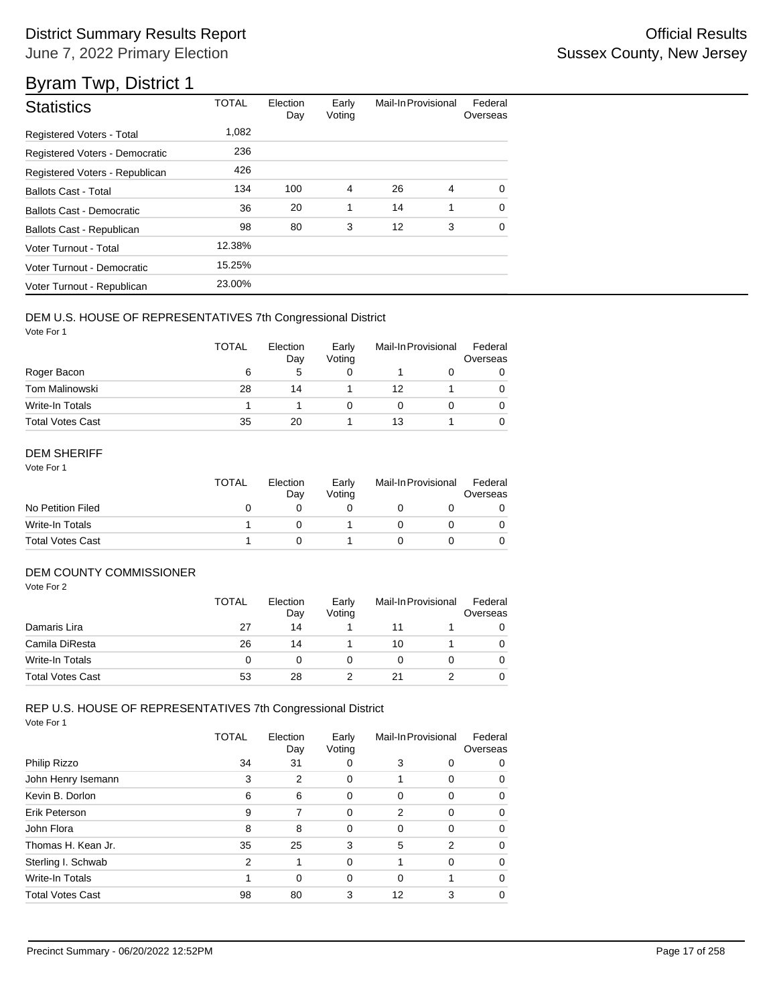| <b>Statistics</b>              | <b>TOTAL</b> | Election<br>Day | Early<br>Voting | Mail-In Provisional |   | Federal<br>Overseas |
|--------------------------------|--------------|-----------------|-----------------|---------------------|---|---------------------|
| Registered Voters - Total      | 1,082        |                 |                 |                     |   |                     |
| Registered Voters - Democratic | 236          |                 |                 |                     |   |                     |
| Registered Voters - Republican | 426          |                 |                 |                     |   |                     |
| <b>Ballots Cast - Total</b>    | 134          | 100             | $\overline{4}$  | 26                  | 4 | $\Omega$            |
| Ballots Cast - Democratic      | 36           | 20              | 1               | 14                  | 1 | $\Omega$            |
| Ballots Cast - Republican      | 98           | 80              | 3               | 12                  | 3 | $\Omega$            |
| Voter Turnout - Total          | 12.38%       |                 |                 |                     |   |                     |
| Voter Turnout - Democratic     | 15.25%       |                 |                 |                     |   |                     |
| Voter Turnout - Republican     | 23.00%       |                 |                 |                     |   |                     |

### DEM U.S. HOUSE OF REPRESENTATIVES 7th Congressional District

Vote For 1

|                         | <b>TOTAL</b> | Election<br>Day | Early<br>Voting | Mail-In Provisional |  | Federal<br>Overseas |
|-------------------------|--------------|-----------------|-----------------|---------------------|--|---------------------|
| Roger Bacon             | 6            | 5               | O               |                     |  | 0                   |
| <b>Tom Malinowski</b>   | 28           | 14              |                 | 12                  |  | 0                   |
| Write-In Totals         |              |                 | Ω               |                     |  | 0                   |
| <b>Total Votes Cast</b> | 35           | 20              |                 | 13                  |  | 0                   |

### DEM SHERIFF

Vote For 1

|                         | <b>TOTAL</b> | Election<br>Dav | Early<br>Votina | Mail-In Provisional |  | Federal<br>Overseas |
|-------------------------|--------------|-----------------|-----------------|---------------------|--|---------------------|
| No Petition Filed       |              |                 |                 |                     |  |                     |
| Write-In Totals         |              |                 |                 |                     |  |                     |
| <b>Total Votes Cast</b> |              |                 |                 |                     |  |                     |

## DEM COUNTY COMMISSIONER

Vote For 2

|                         | <b>TOTAL</b> | Election<br>Day | Early<br>Votina | Mail-In Provisional |  | Federal<br>Overseas |
|-------------------------|--------------|-----------------|-----------------|---------------------|--|---------------------|
| Damaris Lira            | 27           | 14              |                 | 11                  |  |                     |
| Camila DiResta          | 26           | 14              |                 | 10                  |  | 0                   |
| Write-In Totals         | 0            |                 |                 |                     |  | 0                   |
| <b>Total Votes Cast</b> | 53           | 28              |                 |                     |  |                     |

# REP U.S. HOUSE OF REPRESENTATIVES 7th Congressional District

|                         | TOTAL | Election<br>Day | Early<br>Voting | Mail-In Provisional |          | Federal<br>Overseas |
|-------------------------|-------|-----------------|-----------------|---------------------|----------|---------------------|
| Philip Rizzo            | 34    | 31              | 0               | 3                   | 0        | 0                   |
| John Henry Isemann      | 3     | 2               | 0               | 1                   | 0        | 0                   |
| Kevin B. Dorlon         | 6     | 6               | 0               | 0                   | $\Omega$ | 0                   |
| Erik Peterson           | 9     | 7               | 0               | 2                   | $\Omega$ | 0                   |
| John Flora              | 8     | 8               | 0               | 0                   | $\Omega$ | 0                   |
| Thomas H. Kean Jr.      | 35    | 25              | 3               | 5                   | 2        | 0                   |
| Sterling I. Schwab      | 2     | 1               | 0               | 1                   | $\Omega$ | 0                   |
| Write-In Totals         | 1     | 0               | 0               | 0                   |          | 0                   |
| <b>Total Votes Cast</b> | 98    | 80              | 3               | 12                  | 3        | 0                   |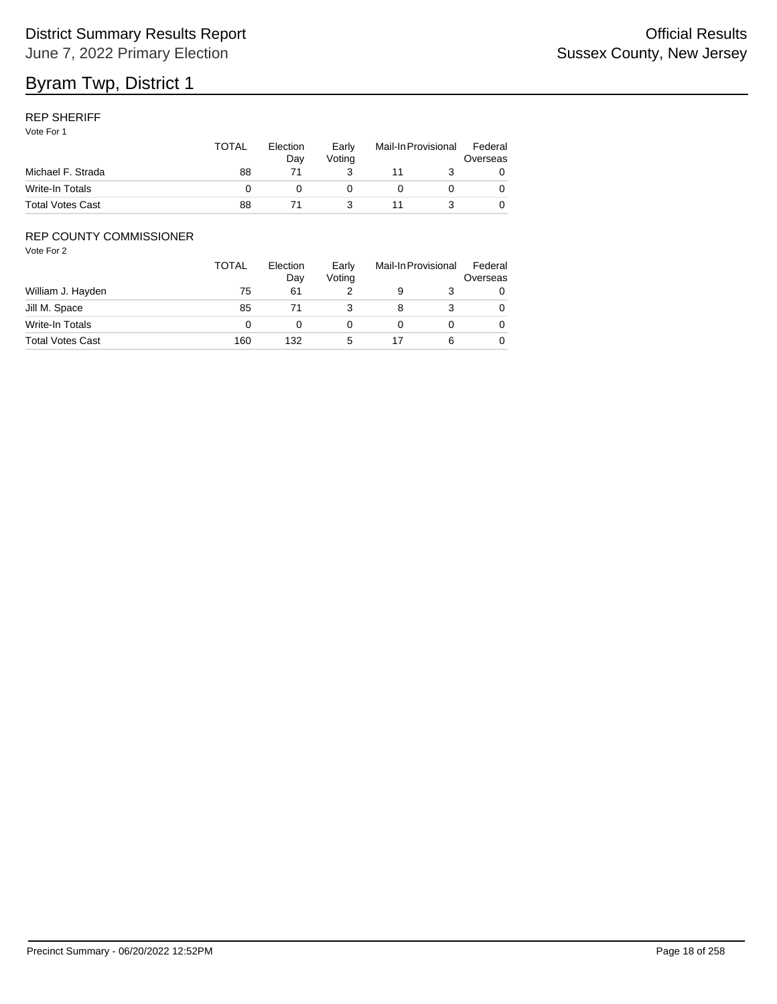### REP SHERIFF

Vote For 1

|                         | <b>TOTAL</b> | Election<br>Dav | Early<br>Votina | Mail-In Provisional |  | Federal<br>Overseas |
|-------------------------|--------------|-----------------|-----------------|---------------------|--|---------------------|
| Michael F. Strada       | 88           |                 |                 |                     |  |                     |
| Write-In Totals         |              |                 |                 |                     |  |                     |
| <b>Total Votes Cast</b> | 88           |                 |                 |                     |  |                     |

## REP COUNTY COMMISSIONER

|                         | <b>TOTAL</b> | Election<br>Day | Early<br>Voting | Mail-In Provisional |   | Federal<br>Overseas |
|-------------------------|--------------|-----------------|-----------------|---------------------|---|---------------------|
| William J. Hayden       | 75           | 61              |                 | 9                   |   | 0                   |
| Jill M. Space           | 85           |                 |                 |                     |   | 0                   |
| Write-In Totals         |              |                 |                 |                     |   | 0                   |
| <b>Total Votes Cast</b> | 160          | 132             | 5               |                     | 6 | 0                   |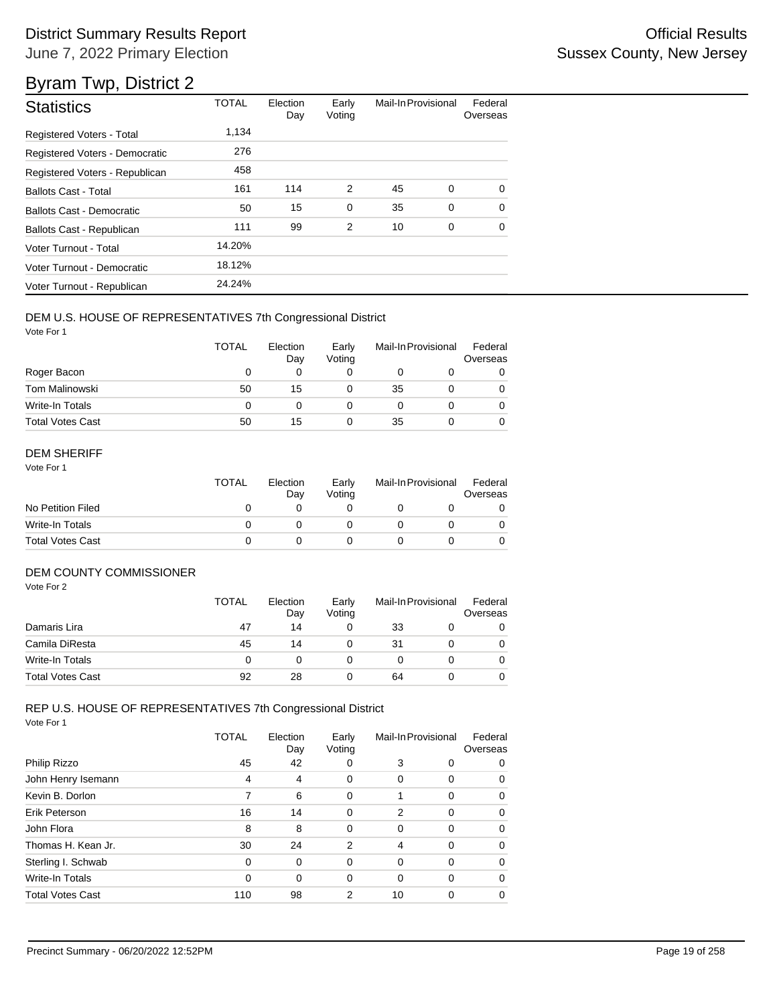| <b>Statistics</b>                | <b>TOTAL</b> | Election<br>Day | Early<br>Voting | Mail-In Provisional |   | Federal<br>Overseas |
|----------------------------------|--------------|-----------------|-----------------|---------------------|---|---------------------|
| Registered Voters - Total        | 1,134        |                 |                 |                     |   |                     |
| Registered Voters - Democratic   | 276          |                 |                 |                     |   |                     |
| Registered Voters - Republican   | 458          |                 |                 |                     |   |                     |
| <b>Ballots Cast - Total</b>      | 161          | 114             | 2               | 45                  | 0 | $\Omega$            |
| <b>Ballots Cast - Democratic</b> | 50           | 15              | $\mathbf 0$     | 35                  | 0 | $\Omega$            |
| Ballots Cast - Republican        | 111          | 99              | 2               | 10                  | 0 | 0                   |
| Voter Turnout - Total            | 14.20%       |                 |                 |                     |   |                     |
| Voter Turnout - Democratic       | 18.12%       |                 |                 |                     |   |                     |
| Voter Turnout - Republican       | 24.24%       |                 |                 |                     |   |                     |

### DEM U.S. HOUSE OF REPRESENTATIVES 7th Congressional District

Vote For 1

|                         | <b>TOTAL</b> | Election<br>Day | Early<br>Voting | Mail-In Provisional |  | Federal<br>Overseas |
|-------------------------|--------------|-----------------|-----------------|---------------------|--|---------------------|
| Roger Bacon             | O            | 0               |                 |                     |  |                     |
| <b>Tom Malinowski</b>   | 50           | 15              |                 | 35                  |  |                     |
| Write-In Totals         | 0            |                 |                 |                     |  |                     |
| <b>Total Votes Cast</b> | 50           | 15              |                 | 35                  |  |                     |

### DEM SHERIFF

Vote For 1

|                         | <b>TOTAL</b> | Election<br>Dav | Early<br>Votina | Mail-In Provisional |  | Federal<br>Overseas |
|-------------------------|--------------|-----------------|-----------------|---------------------|--|---------------------|
| No Petition Filed       |              |                 |                 |                     |  |                     |
| Write-In Totals         |              |                 |                 |                     |  |                     |
| <b>Total Votes Cast</b> |              |                 |                 |                     |  |                     |

## DEM COUNTY COMMISSIONER

Vote For 2

|                         | <b>TOTAL</b> | Election<br>Day | Early<br>Votina | Mail-In Provisional |  | Federal<br>Overseas |
|-------------------------|--------------|-----------------|-----------------|---------------------|--|---------------------|
| Damaris Lira            | 47           | 14              |                 | 33                  |  |                     |
| Camila DiResta          | 45           | 14              |                 | 31                  |  | 0                   |
| Write-In Totals         | 0            |                 |                 |                     |  | 0                   |
| <b>Total Votes Cast</b> | 92           | 28              |                 | 64                  |  |                     |

## REP U.S. HOUSE OF REPRESENTATIVES 7th Congressional District

|                         | TOTAL    | Election<br>Day | Early<br>Voting | Mail-In Provisional |          | Federal<br>Overseas |
|-------------------------|----------|-----------------|-----------------|---------------------|----------|---------------------|
| Philip Rizzo            | 45       | 42              | 0               | 3                   | 0        | 0                   |
| John Henry Isemann      | 4        | 4               | 0               | 0                   | 0        | 0                   |
| Kevin B. Dorlon         | 7        | 6               | 0               |                     | $\Omega$ | 0                   |
| Erik Peterson           | 16       | 14              | 0               | 2                   | $\Omega$ | 0                   |
| John Flora              | 8        | 8               | 0               | $\Omega$            | $\Omega$ | 0                   |
| Thomas H. Kean Jr.      | 30       | 24              | 2               | 4                   | $\Omega$ | 0                   |
| Sterling I. Schwab      | $\Omega$ | $\Omega$        | 0               | $\Omega$            | $\Omega$ | 0                   |
| Write-In Totals         | $\Omega$ | 0               | 0               | $\Omega$            | $\Omega$ | 0                   |
| <b>Total Votes Cast</b> | 110      | 98              | 2               | 10                  | $\Omega$ | 0                   |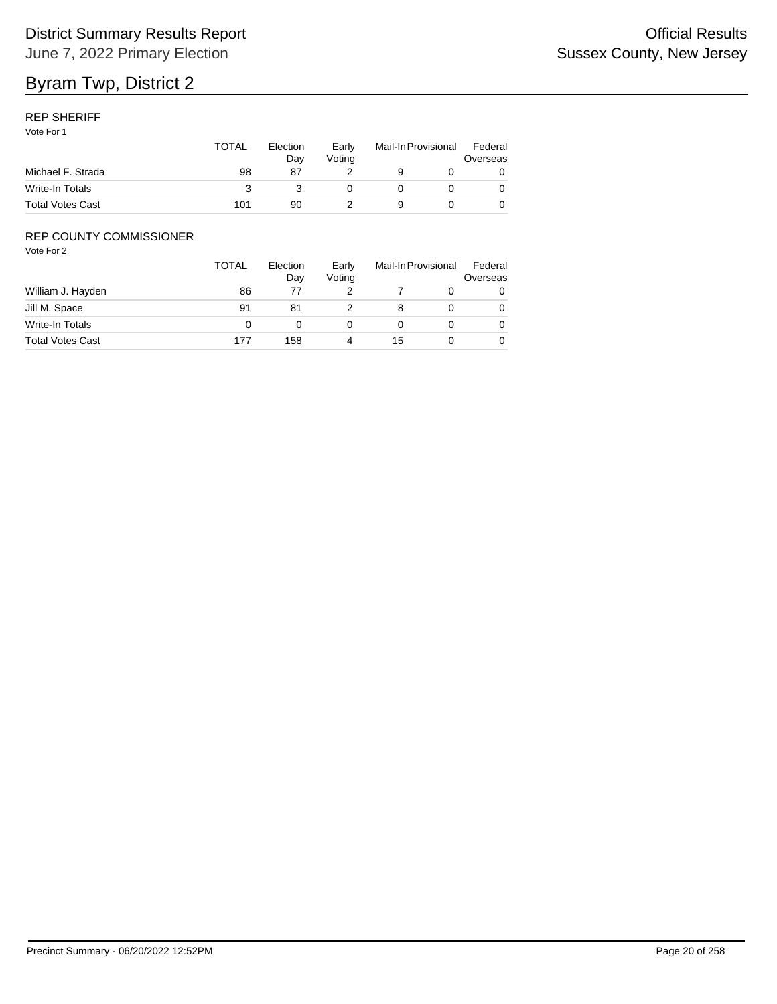#### REP SHERIFF

Vote For 1

|                         | TOTAL | Election<br>Dav | Early<br>Votina | Mail-In Provisional |  | Federal<br>Overseas |  |
|-------------------------|-------|-----------------|-----------------|---------------------|--|---------------------|--|
| Michael F. Strada       | 98    | 87              |                 |                     |  |                     |  |
| Write-In Totals         |       |                 |                 |                     |  |                     |  |
| <b>Total Votes Cast</b> | 101   | 90              |                 | a                   |  |                     |  |

## REP COUNTY COMMISSIONER

|                         | <b>TOTAL</b> | Election<br>Day | Early<br>Voting | Mail-In Provisional |  | Federal<br>Overseas |
|-------------------------|--------------|-----------------|-----------------|---------------------|--|---------------------|
| William J. Hayden       | 86           |                 |                 |                     |  | 0                   |
| Jill M. Space           | 91           | 81              |                 |                     |  | 0                   |
| Write-In Totals         |              |                 |                 |                     |  | 0                   |
| <b>Total Votes Cast</b> | 177          | 158             |                 | 15                  |  | 0                   |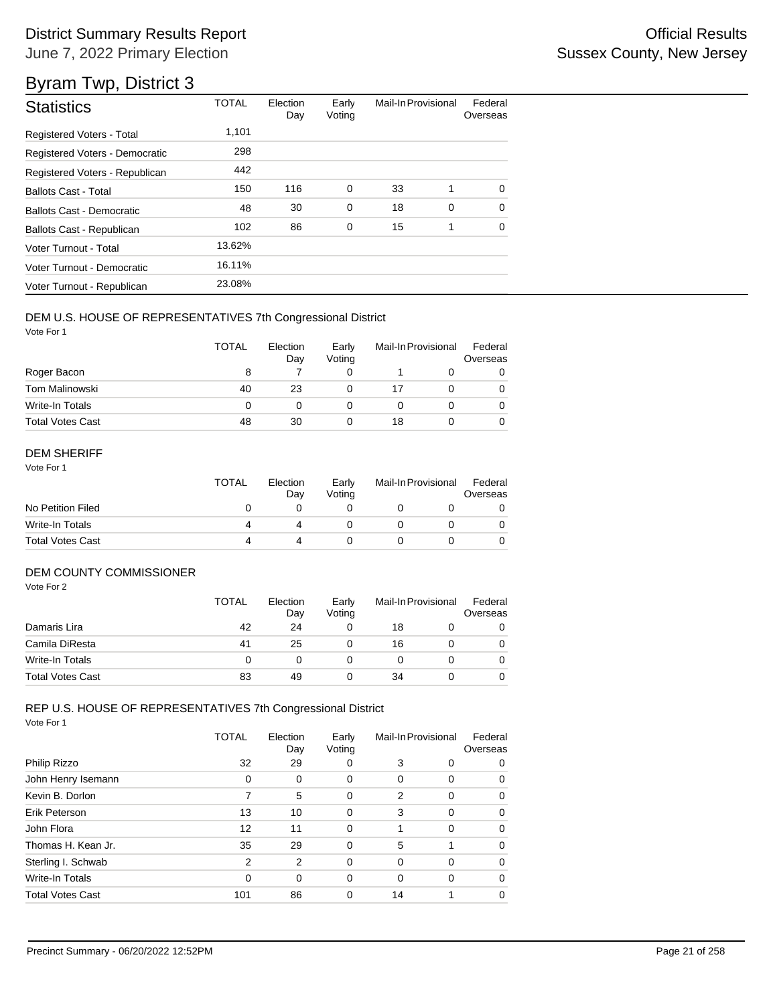| <b>Statistics</b>                | <b>TOTAL</b> | Election<br>Day | Early<br>Voting | Mail-In Provisional |   | Federal<br>Overseas |
|----------------------------------|--------------|-----------------|-----------------|---------------------|---|---------------------|
| <b>Registered Voters - Total</b> | 1,101        |                 |                 |                     |   |                     |
| Registered Voters - Democratic   | 298          |                 |                 |                     |   |                     |
| Registered Voters - Republican   | 442          |                 |                 |                     |   |                     |
| <b>Ballots Cast - Total</b>      | 150          | 116             | $\mathbf 0$     | 33                  | 1 | $\Omega$            |
| Ballots Cast - Democratic        | 48           | 30              | 0               | 18                  | 0 | $\Omega$            |
| Ballots Cast - Republican        | 102          | 86              | 0               | 15                  | 1 | $\Omega$            |
| Voter Turnout - Total            | 13.62%       |                 |                 |                     |   |                     |
| Voter Turnout - Democratic       | 16.11%       |                 |                 |                     |   |                     |
| Voter Turnout - Republican       | 23.08%       |                 |                 |                     |   |                     |

### DEM U.S. HOUSE OF REPRESENTATIVES 7th Congressional District

Vote For 1

|                         | <b>TOTAL</b> | Election<br>Day | Early<br>Voting | Mail-In Provisional |  | Federal<br>Overseas |
|-------------------------|--------------|-----------------|-----------------|---------------------|--|---------------------|
| Roger Bacon             | 8            |                 |                 |                     |  |                     |
| <b>Tom Malinowski</b>   | 40           | 23              |                 | 17                  |  |                     |
| Write-In Totals         | 0            | 0               |                 |                     |  |                     |
| <b>Total Votes Cast</b> | 48           | 30              |                 | 18                  |  |                     |

### DEM SHERIFF

Vote For 1

|                         | TOTAL | Election<br>Dav | Early<br>Votina | Mail-In Provisional |  | Federal<br>Overseas |  |
|-------------------------|-------|-----------------|-----------------|---------------------|--|---------------------|--|
| No Petition Filed       |       |                 |                 |                     |  |                     |  |
| Write-In Totals         | Δ     |                 |                 |                     |  |                     |  |
| <b>Total Votes Cast</b> | 4     |                 |                 |                     |  |                     |  |

## DEM COUNTY COMMISSIONER

Vote For 2

|                         | <b>TOTAL</b> | Election<br>Day | Early<br>Votina | Mail-In Provisional |  | Federal<br>Overseas |
|-------------------------|--------------|-----------------|-----------------|---------------------|--|---------------------|
| Damaris Lira            | 42           | 24              |                 | 18                  |  |                     |
| Camila DiResta          | 41           | 25              |                 | 16                  |  | 0                   |
| Write-In Totals         |              |                 |                 |                     |  | 0                   |
| <b>Total Votes Cast</b> | 83           | 49              |                 | 34                  |  |                     |

## REP U.S. HOUSE OF REPRESENTATIVES 7th Congressional District

|                         | TOTAL | Election<br>Day | Early<br>Voting | Mail-In Provisional |          | Federal<br>Overseas |
|-------------------------|-------|-----------------|-----------------|---------------------|----------|---------------------|
| Philip Rizzo            | 32    | 29              | 0               | 3                   | 0        | 0                   |
| John Henry Isemann      | 0     | 0               | 0               | 0                   | 0        | 0                   |
| Kevin B. Dorlon         | 7     | 5               | 0               | 2                   | $\Omega$ | 0                   |
| Erik Peterson           | 13    | 10              | 0               | 3                   | 0        | 0                   |
| John Flora              | 12    | 11              | 0               | 1                   | $\Omega$ | 0                   |
| Thomas H. Kean Jr.      | 35    | 29              | 0               | 5                   |          | 0                   |
| Sterling I. Schwab      | 2     | $\overline{2}$  | 0               | 0                   | $\Omega$ | 0                   |
| Write-In Totals         | 0     | 0               | 0               | 0                   | $\Omega$ | 0                   |
| <b>Total Votes Cast</b> | 101   | 86              | 0               | 14                  |          | 0                   |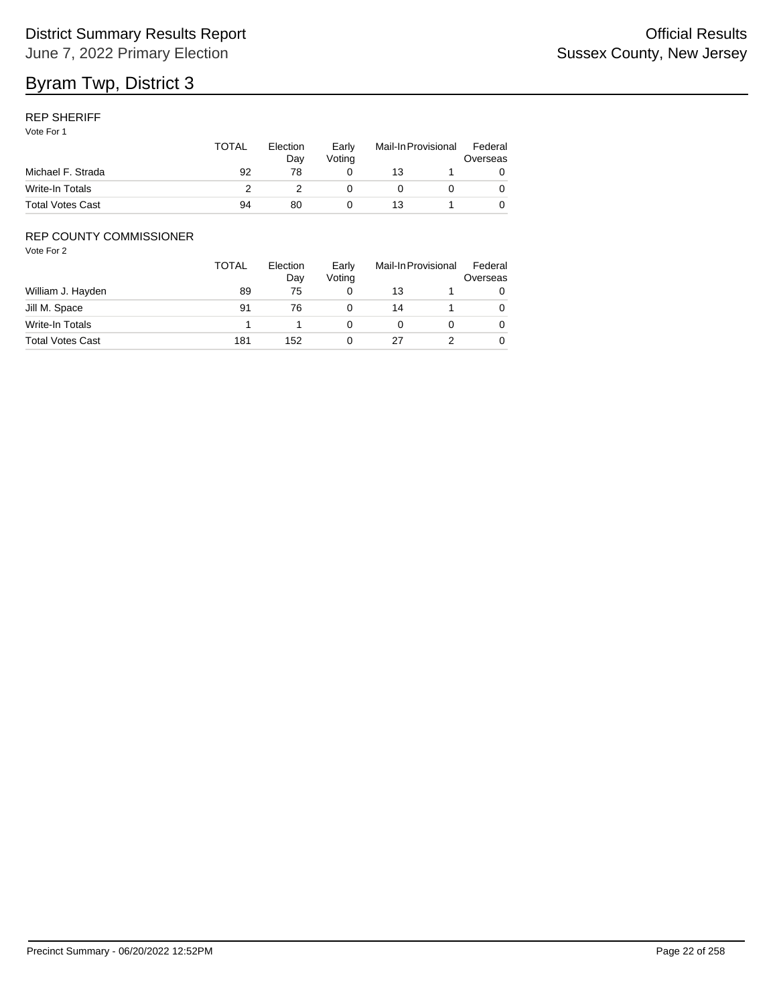### REP SHERIFF

Vote For 1

|                         | <b>TOTAL</b> | Election<br>Dav | Early<br>Votina | Mail-In Provisional |  | Federal<br>Overseas |
|-------------------------|--------------|-----------------|-----------------|---------------------|--|---------------------|
| Michael F. Strada       | 92           | 78              |                 | 13                  |  |                     |
| Write-In Totals         |              |                 |                 |                     |  |                     |
| <b>Total Votes Cast</b> | 94           | 80              |                 | 13                  |  |                     |

### REP COUNTY COMMISSIONER

|                         | <b>TOTAL</b> | Election<br>Day | Early<br>Voting | Mail-In Provisional |  | Federal<br>Overseas |
|-------------------------|--------------|-----------------|-----------------|---------------------|--|---------------------|
| William J. Hayden       | 89           | 75              | 0               | 13                  |  |                     |
| Jill M. Space           | 91           | 76              | 0               | 14                  |  | 0                   |
| Write-In Totals         |              |                 |                 |                     |  | 0                   |
| <b>Total Votes Cast</b> | 181          | 152             | 0               | 27                  |  | 0                   |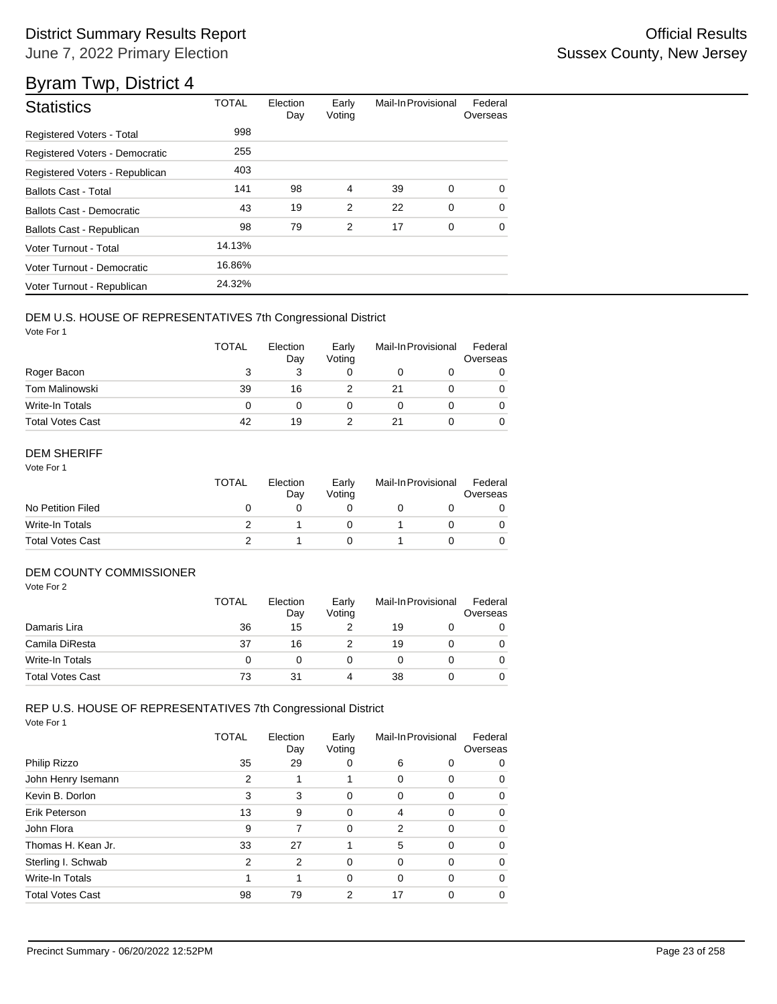# Byram Twp, District 4

| <b>Statistics</b>                | <b>TOTAL</b> | Election<br>Day | Early<br>Voting | Mail-In Provisional |             | Federal<br>Overseas |
|----------------------------------|--------------|-----------------|-----------------|---------------------|-------------|---------------------|
| <b>Registered Voters - Total</b> | 998          |                 |                 |                     |             |                     |
| Registered Voters - Democratic   | 255          |                 |                 |                     |             |                     |
| Registered Voters - Republican   | 403          |                 |                 |                     |             |                     |
| <b>Ballots Cast - Total</b>      | 141          | 98              | 4               | 39                  | 0           | 0                   |
| Ballots Cast - Democratic        | 43           | 19              | $\overline{2}$  | 22                  | $\mathbf 0$ | $\Omega$            |
| Ballots Cast - Republican        | 98           | 79              | 2               | 17                  | 0           | $\Omega$            |
| Voter Turnout - Total            | 14.13%       |                 |                 |                     |             |                     |
| Voter Turnout - Democratic       | 16.86%       |                 |                 |                     |             |                     |
| Voter Turnout - Republican       | 24.32%       |                 |                 |                     |             |                     |

### DEM U.S. HOUSE OF REPRESENTATIVES 7th Congressional District

Vote For 1

|                         | TOTAL | Election<br>Day | Early<br>Voting | Mail-In Provisional |  | Federal<br>Overseas |
|-------------------------|-------|-----------------|-----------------|---------------------|--|---------------------|
| Roger Bacon             | 3     |                 |                 |                     |  |                     |
| Tom Malinowski          | 39    | 16              |                 | 21                  |  |                     |
| Write-In Totals         | 0     |                 |                 |                     |  |                     |
| <b>Total Votes Cast</b> | 42    | 19              |                 | 21                  |  |                     |

### DEM SHERIFF

Vote For 1

|                         | <b>TOTAL</b> | Election<br>Dav | Early<br>Votina | Mail-In Provisional |  | Federal<br>Overseas |  |
|-------------------------|--------------|-----------------|-----------------|---------------------|--|---------------------|--|
| No Petition Filed       |              |                 |                 |                     |  |                     |  |
| Write-In Totals         |              |                 |                 |                     |  |                     |  |
| <b>Total Votes Cast</b> |              |                 |                 |                     |  |                     |  |

## DEM COUNTY COMMISSIONER

Vote For 2

|                         | <b>TOTAL</b> | Election<br>Day | Early<br>Votina | Mail-In Provisional |  | Federal<br>Overseas |
|-------------------------|--------------|-----------------|-----------------|---------------------|--|---------------------|
| Damaris Lira            | 36           | 15              |                 | 19                  |  |                     |
| Camila DiResta          | 37           | 16              |                 | 19                  |  | 0                   |
| Write-In Totals         | O            |                 |                 |                     |  | 0                   |
| <b>Total Votes Cast</b> | 73           | 31              |                 | 38                  |  | 0                   |

# REP U.S. HOUSE OF REPRESENTATIVES 7th Congressional District

|                         | TOTAL | Election<br>Day | Early<br>Voting | Mail-In Provisional |          | Federal<br>Overseas |
|-------------------------|-------|-----------------|-----------------|---------------------|----------|---------------------|
| Philip Rizzo            | 35    | 29              | 0               | 6                   | 0        | 0                   |
| John Henry Isemann      | 2     | 1               |                 | 0                   | 0        | 0                   |
| Kevin B. Dorlon         | 3     | 3               | 0               | 0                   | $\Omega$ | 0                   |
| Erik Peterson           | 13    | 9               | 0               | 4                   | $\Omega$ | 0                   |
| John Flora              | 9     | 7               | 0               | 2                   | $\Omega$ | 0                   |
| Thomas H. Kean Jr.      | 33    | 27              | 1               | 5                   | $\Omega$ | 0                   |
| Sterling I. Schwab      | 2     | $\overline{2}$  | $\Omega$        | 0                   | $\Omega$ | 0                   |
| Write-In Totals         | 1     | 1               | 0               | 0                   | $\Omega$ | 0                   |
| <b>Total Votes Cast</b> | 98    | 79              | 2               | 17                  | $\Omega$ | 0                   |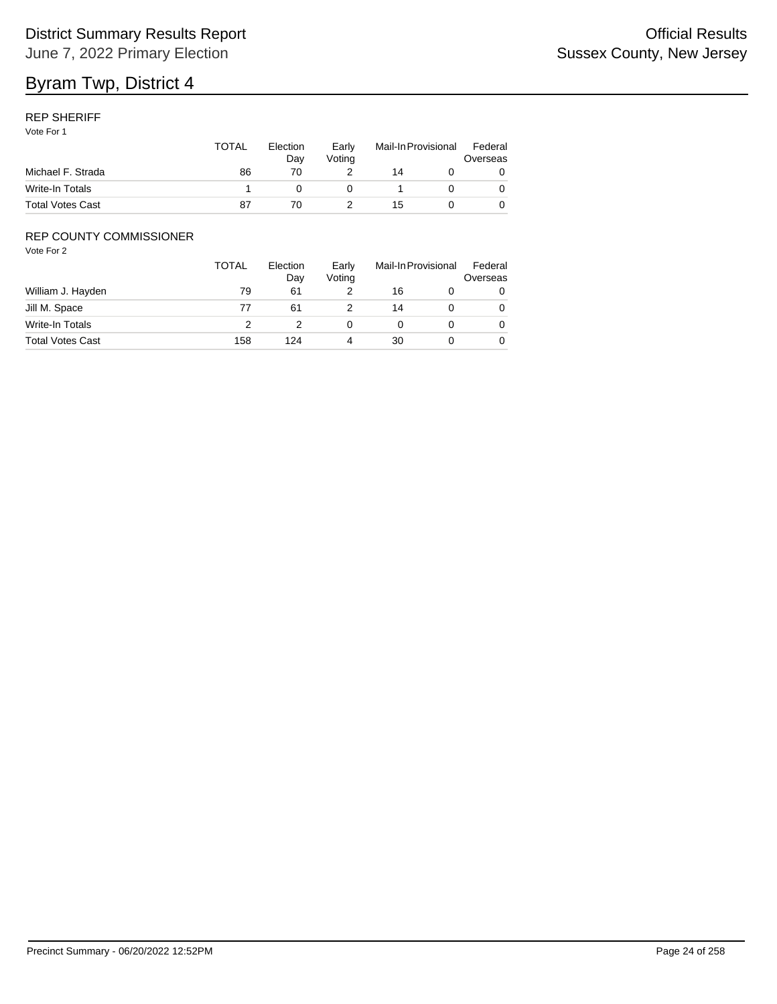#### REP SHERIFF

Vote For 1

|                         | TOTAL | Election<br>Dav | Early<br>Votina | Mail-In Provisional |  | Federal<br>Overseas |
|-------------------------|-------|-----------------|-----------------|---------------------|--|---------------------|
| Michael F. Strada       | 86    | 70              |                 | 14                  |  |                     |
| Write-In Totals         |       |                 |                 |                     |  |                     |
| <b>Total Votes Cast</b> | 87    | 70              |                 | 15                  |  |                     |

### REP COUNTY COMMISSIONER

|                         | <b>TOTAL</b> | Election<br>Day | Early<br>Voting | Mail-In Provisional |  | Federal<br>Overseas |
|-------------------------|--------------|-----------------|-----------------|---------------------|--|---------------------|
| William J. Hayden       | 79           | 61              |                 | 16                  |  | 0                   |
| Jill M. Space           | 77           | 61              |                 | 14                  |  | 0                   |
| Write-In Totals         |              |                 |                 |                     |  | 0                   |
| <b>Total Votes Cast</b> | 158          | 124             |                 | 30                  |  | 0                   |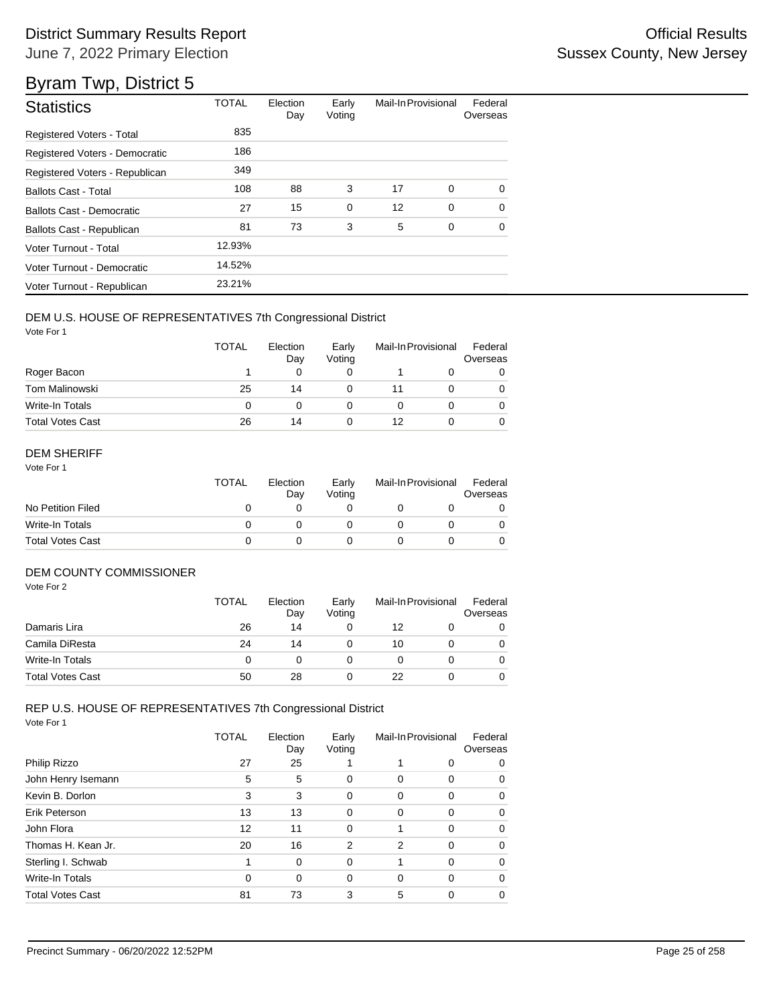| <b>Statistics</b>                | <b>TOTAL</b> | Election<br>Day | Early<br>Voting | Mail-In Provisional |   | Federal<br>Overseas |
|----------------------------------|--------------|-----------------|-----------------|---------------------|---|---------------------|
| <b>Registered Voters - Total</b> | 835          |                 |                 |                     |   |                     |
| Registered Voters - Democratic   | 186          |                 |                 |                     |   |                     |
| Registered Voters - Republican   | 349          |                 |                 |                     |   |                     |
| <b>Ballots Cast - Total</b>      | 108          | 88              | 3               | 17                  | 0 | 0                   |
| Ballots Cast - Democratic        | 27           | 15              | $\mathbf 0$     | 12                  | 0 | $\Omega$            |
| Ballots Cast - Republican        | 81           | 73              | 3               | 5                   | 0 | $\Omega$            |
| Voter Turnout - Total            | 12.93%       |                 |                 |                     |   |                     |
| Voter Turnout - Democratic       | 14.52%       |                 |                 |                     |   |                     |
| Voter Turnout - Republican       | 23.21%       |                 |                 |                     |   |                     |

### DEM U.S. HOUSE OF REPRESENTATIVES 7th Congressional District

Vote For 1

|                         | <b>TOTAL</b> | Election<br>Day | Early<br>Voting | Mail-In Provisional |  | Federal<br>Overseas |
|-------------------------|--------------|-----------------|-----------------|---------------------|--|---------------------|
| Roger Bacon             |              |                 |                 |                     |  | 0                   |
| <b>Tom Malinowski</b>   | 25           | 14              |                 | 11                  |  | 0                   |
| Write-In Totals         | 0            |                 |                 |                     |  | 0                   |
| <b>Total Votes Cast</b> | 26           | 14              |                 | 12                  |  | 0                   |

### DEM SHERIFF

Vote For 1

|                         | TOTAL | Election<br>Dav | Early<br>Votina | Mail-In Provisional |  | Federal<br>Overseas |  |
|-------------------------|-------|-----------------|-----------------|---------------------|--|---------------------|--|
| No Petition Filed       |       |                 |                 |                     |  |                     |  |
| Write-In Totals         |       |                 |                 |                     |  |                     |  |
| <b>Total Votes Cast</b> |       |                 |                 |                     |  |                     |  |

## DEM COUNTY COMMISSIONER

Vote For 2

|                         | TOTAL    | Election<br>Day | Early<br>Votina | Mail-In Provisional |  | Federal<br>Overseas |
|-------------------------|----------|-----------------|-----------------|---------------------|--|---------------------|
| Damaris Lira            | 26       | 14              |                 | 12                  |  | 0                   |
| Camila DiResta          | 24       | 14              |                 | 10                  |  | 0                   |
| Write-In Totals         | $\Omega$ |                 |                 |                     |  | 0                   |
| <b>Total Votes Cast</b> | 50       | 28              |                 | 22                  |  | 0                   |

# REP U.S. HOUSE OF REPRESENTATIVES 7th Congressional District

|                         | TOTAL | Election<br>Day | Early<br>Voting | Mail-In Provisional |          | Federal<br>Overseas |
|-------------------------|-------|-----------------|-----------------|---------------------|----------|---------------------|
| Philip Rizzo            | 27    | 25              |                 |                     | 0        | 0                   |
| John Henry Isemann      | 5     | 5               | 0               | 0                   | 0        | 0                   |
| Kevin B. Dorlon         | 3     | 3               | 0               | 0                   | $\Omega$ | 0                   |
| Erik Peterson           | 13    | 13              | 0               | $\Omega$            | $\Omega$ | 0                   |
| John Flora              | 12    | 11              | 0               |                     | $\Omega$ | 0                   |
| Thomas H. Kean Jr.      | 20    | 16              | 2               | 2                   | $\Omega$ | 0                   |
| Sterling I. Schwab      | 1     | $\Omega$        | 0               |                     | $\Omega$ | 0                   |
| Write-In Totals         | 0     | $\Omega$        | 0               | $\Omega$            | $\Omega$ | 0                   |
| <b>Total Votes Cast</b> | 81    | 73              | 3               | 5                   | $\Omega$ | 0                   |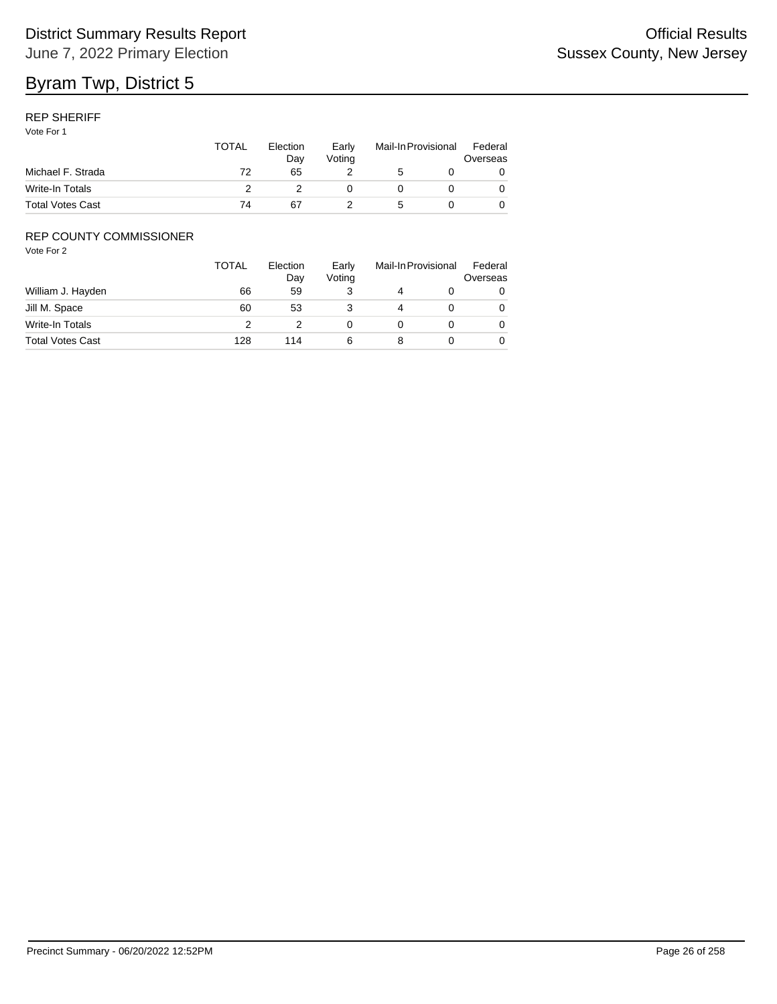### REP SHERIFF

Vote For 1

|                         | TOTAL | Election<br>Dav | Early<br>Votina | Mail-In Provisional |  | Federal<br>Overseas |
|-------------------------|-------|-----------------|-----------------|---------------------|--|---------------------|
| Michael F. Strada       | 72    | 65              |                 |                     |  |                     |
| Write-In Totals         |       |                 |                 |                     |  |                     |
| <b>Total Votes Cast</b> | 74    | 67              |                 |                     |  |                     |

### REP COUNTY COMMISSIONER

|                         | TOTAL | Election<br>Day | Early<br>Voting | Mail-In Provisional |  | Federal<br>Overseas |
|-------------------------|-------|-----------------|-----------------|---------------------|--|---------------------|
| William J. Hayden       | 66    | 59              |                 |                     |  | 0                   |
| Jill M. Space           | 60    | 53              |                 | 4                   |  | 0                   |
| Write-In Totals         | っ     |                 |                 |                     |  | 0                   |
| <b>Total Votes Cast</b> | 128   | 114             | 6               |                     |  | 0                   |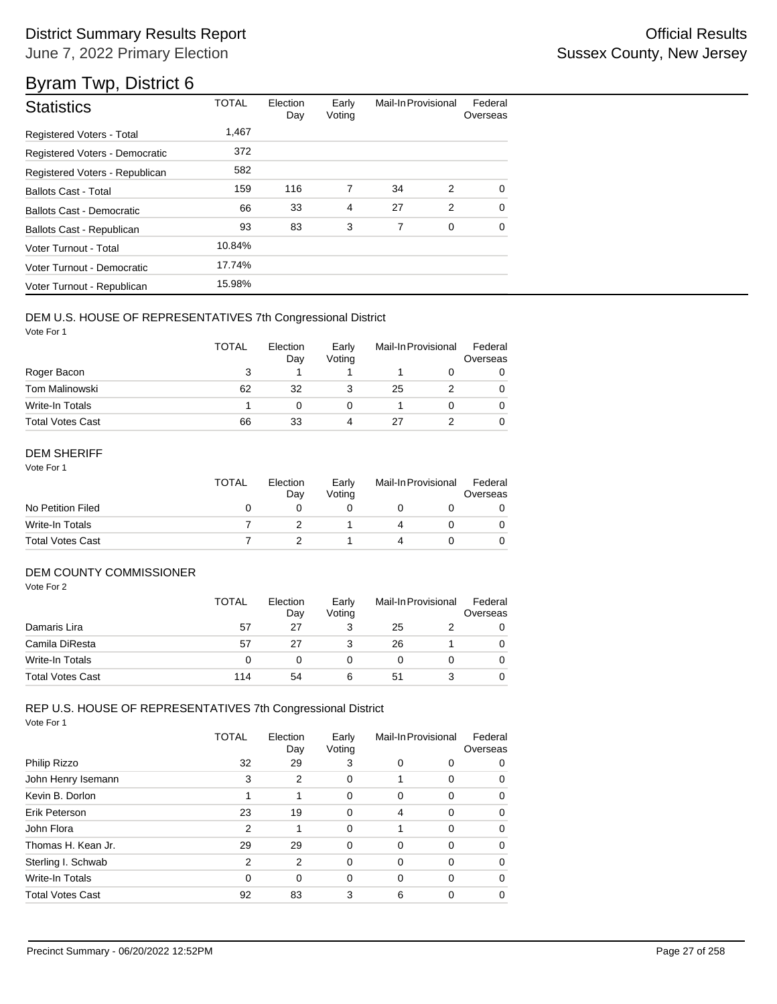| <b>Statistics</b>                | <b>TOTAL</b> | Election<br>Day | Early<br>Voting | Mail-In Provisional |   | Federal<br>Overseas |
|----------------------------------|--------------|-----------------|-----------------|---------------------|---|---------------------|
| <b>Registered Voters - Total</b> | 1,467        |                 |                 |                     |   |                     |
| Registered Voters - Democratic   | 372          |                 |                 |                     |   |                     |
| Registered Voters - Republican   | 582          |                 |                 |                     |   |                     |
| <b>Ballots Cast - Total</b>      | 159          | 116             | 7               | 34                  | 2 | $\Omega$            |
| <b>Ballots Cast - Democratic</b> | 66           | 33              | 4               | 27                  | 2 | $\Omega$            |
| Ballots Cast - Republican        | 93           | 83              | 3               | 7                   | 0 | $\Omega$            |
| Voter Turnout - Total            | 10.84%       |                 |                 |                     |   |                     |
| Voter Turnout - Democratic       | 17.74%       |                 |                 |                     |   |                     |
| Voter Turnout - Republican       | 15.98%       |                 |                 |                     |   |                     |

#### DEM U.S. HOUSE OF REPRESENTATIVES 7th Congressional District

Vote For 1

|                         | <b>TOTAL</b> | Election<br>Day | Early<br>Voting | Mail-In Provisional |  | Federal<br>Overseas |
|-------------------------|--------------|-----------------|-----------------|---------------------|--|---------------------|
| Roger Bacon             | 3            |                 |                 |                     |  |                     |
| Tom Malinowski          | 62           | 32              |                 | 25                  |  | 0                   |
| Write-In Totals         |              |                 |                 |                     |  |                     |
| <b>Total Votes Cast</b> | 66           | 33              | 4               | 27                  |  |                     |

### DEM SHERIFF

Vote For 1

|                         | TOTAL | Election<br>Dav | Early<br>Votina | Mail-In Provisional |  | Federal<br>Overseas |
|-------------------------|-------|-----------------|-----------------|---------------------|--|---------------------|
| No Petition Filed       |       |                 |                 |                     |  |                     |
| Write-In Totals         |       |                 |                 |                     |  |                     |
| <b>Total Votes Cast</b> |       |                 |                 |                     |  |                     |

## DEM COUNTY COMMISSIONER

Vote For 2

|                         | <b>TOTAL</b> | Election<br>Day | Early<br>Votina | Mail-In Provisional |  | Federal<br>Overseas |
|-------------------------|--------------|-----------------|-----------------|---------------------|--|---------------------|
| Damaris Lira            | 57           | 27              |                 | 25                  |  | 0                   |
| Camila DiResta          | 57           | 27              |                 | 26                  |  | 0                   |
| Write-In Totals         |              |                 |                 |                     |  | 0                   |
| <b>Total Votes Cast</b> | 114          | 54              | 6               | 51                  |  | 0                   |

# REP U.S. HOUSE OF REPRESENTATIVES 7th Congressional District

|                         | TOTAL          | Election<br>Day | Early<br>Voting |          | Mail-In Provisional | Federal<br>Overseas |
|-------------------------|----------------|-----------------|-----------------|----------|---------------------|---------------------|
| Philip Rizzo            | 32             | 29              | 3               | 0        | 0                   | 0                   |
| John Henry Isemann      | 3              | $\overline{2}$  | 0               |          | 0                   | 0                   |
| Kevin B. Dorlon         |                |                 | 0               | $\Omega$ | $\Omega$            | $\Omega$            |
| Erik Peterson           | 23             | 19              | 0               | 4        | $\Omega$            | 0                   |
| John Flora              | $\overline{2}$ |                 | 0               |          | $\Omega$            | 0                   |
| Thomas H. Kean Jr.      | 29             | 29              | 0               | $\Omega$ | $\Omega$            | 0                   |
| Sterling I. Schwab      | 2              | $\overline{2}$  | 0               | 0        | 0                   | 0                   |
| Write-In Totals         | $\Omega$       | $\Omega$        | 0               | $\Omega$ | $\Omega$            | 0                   |
| <b>Total Votes Cast</b> | 92             | 83              | 3               | 6        | $\Omega$            | 0                   |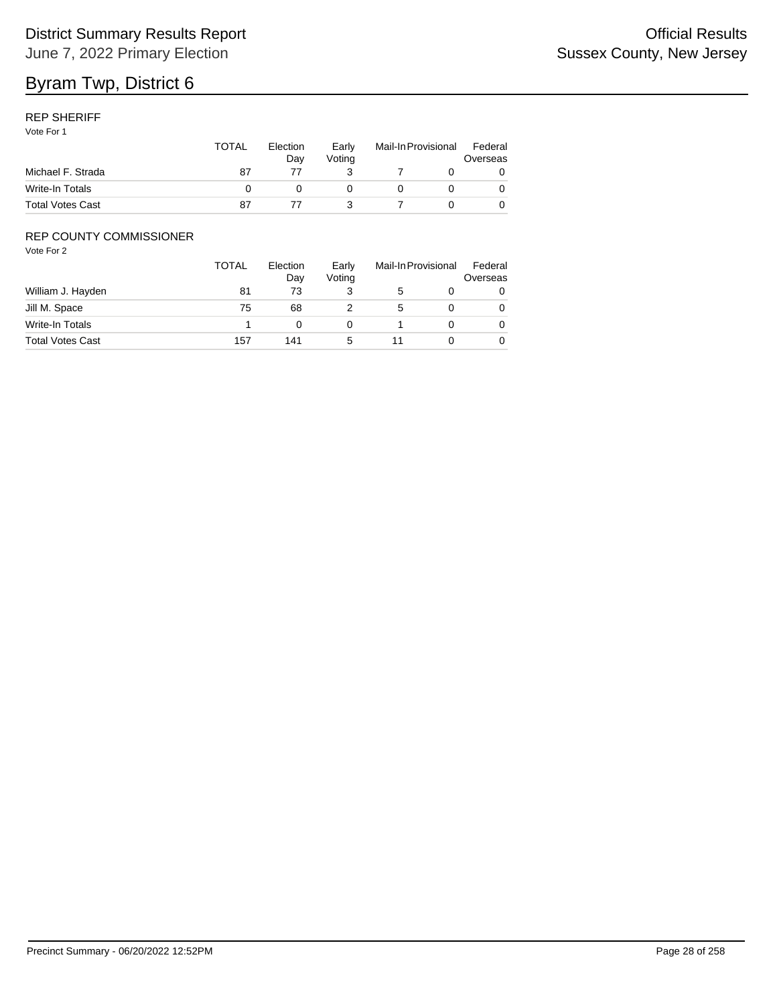### REP SHERIFF

Vote For 1

|                         | <b>TOTAL</b> | Election<br>Dav | Early<br>Votina | Mail-In Provisional |  | Federal<br>Overseas |  |
|-------------------------|--------------|-----------------|-----------------|---------------------|--|---------------------|--|
| Michael F. Strada       | 87           |                 |                 |                     |  |                     |  |
| Write-In Totals         |              |                 |                 |                     |  |                     |  |
| <b>Total Votes Cast</b> | 87           |                 |                 |                     |  |                     |  |

### REP COUNTY COMMISSIONER

|                         | <b>TOTAL</b> | Election<br>Day | Early<br>Voting | Mail-In Provisional |  | Federal<br>Overseas |
|-------------------------|--------------|-----------------|-----------------|---------------------|--|---------------------|
| William J. Hayden       | 81           | 73              |                 |                     |  | 0                   |
| Jill M. Space           | 75           | 68              |                 | 5                   |  | 0                   |
| Write-In Totals         |              |                 |                 |                     |  | 0                   |
| <b>Total Votes Cast</b> | 157          | 141             |                 |                     |  | 0                   |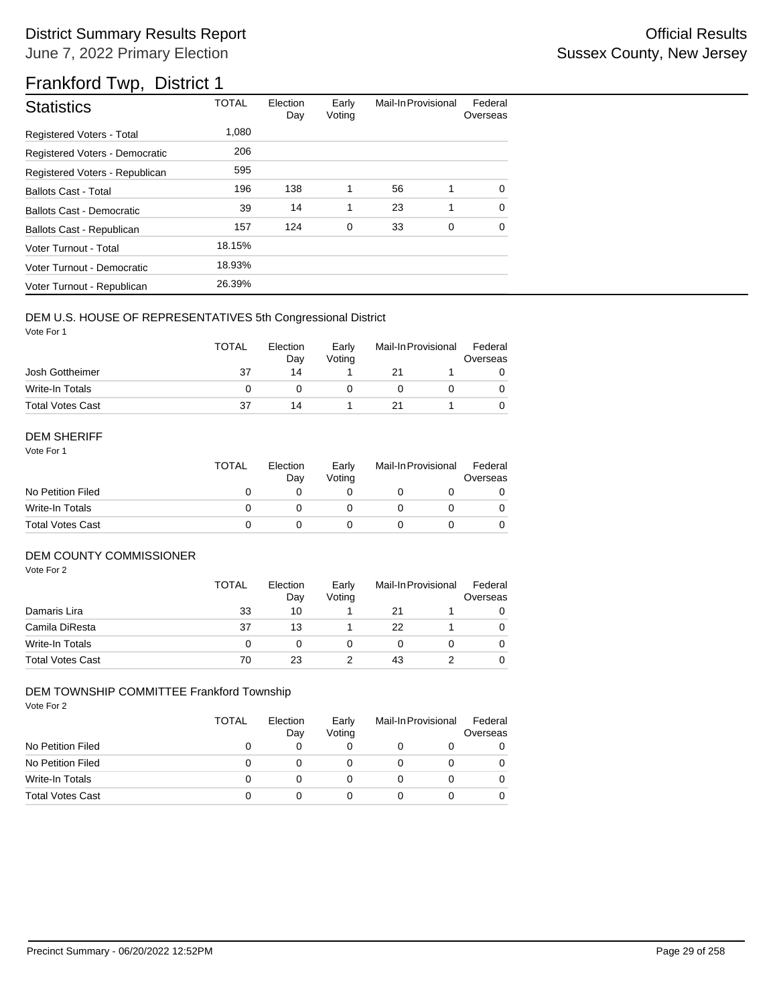| <b>Statistics</b>                | <b>TOTAL</b> | Election<br>Day | Early<br>Voting | Mail-In Provisional |   | Federal<br>Overseas |
|----------------------------------|--------------|-----------------|-----------------|---------------------|---|---------------------|
| <b>Registered Voters - Total</b> | 1,080        |                 |                 |                     |   |                     |
| Registered Voters - Democratic   | 206          |                 |                 |                     |   |                     |
| Registered Voters - Republican   | 595          |                 |                 |                     |   |                     |
| <b>Ballots Cast - Total</b>      | 196          | 138             | 1               | 56                  | 1 | $\Omega$            |
| Ballots Cast - Democratic        | 39           | 14              | 1               | 23                  | 1 | $\Omega$            |
| Ballots Cast - Republican        | 157          | 124             | $\mathbf 0$     | 33                  | 0 | 0                   |
| Voter Turnout - Total            | 18.15%       |                 |                 |                     |   |                     |
| Voter Turnout - Democratic       | 18.93%       |                 |                 |                     |   |                     |
| Voter Turnout - Republican       | 26.39%       |                 |                 |                     |   |                     |

### DEM U.S. HOUSE OF REPRESENTATIVES 5th Congressional District

Vote For 1

|                         | <b>TOTAL</b> | Election<br>Dav | Early<br>Votina | Mail-In Provisional |  | Federal<br>Overseas |
|-------------------------|--------------|-----------------|-----------------|---------------------|--|---------------------|
| Josh Gottheimer         | 37           | 14              |                 | 21                  |  |                     |
| Write-In Totals         |              |                 |                 |                     |  |                     |
| <b>Total Votes Cast</b> | 37           | 14              |                 |                     |  |                     |

#### DEM SHERIFF

Vote For 1

|                         | <b>TOTAL</b> | Election<br>Dav | Early<br>Votina | Mail-In Provisional |  | Federal<br>Overseas |  |
|-------------------------|--------------|-----------------|-----------------|---------------------|--|---------------------|--|
| No Petition Filed       |              |                 |                 |                     |  |                     |  |
| Write-In Totals         |              |                 |                 |                     |  | $\Omega$            |  |
| <b>Total Votes Cast</b> |              |                 |                 |                     |  |                     |  |

### DEM COUNTY COMMISSIONER

Vote For 2

|                         | <b>TOTAL</b> | Election<br>Day | Early<br>Votina |    | Mail-In Provisional | Federal<br>Overseas |
|-------------------------|--------------|-----------------|-----------------|----|---------------------|---------------------|
| Damaris Lira            | 33           | 10              |                 | 21 |                     | 0                   |
| Camila DiResta          | 37           | 13              |                 | 22 |                     | 0                   |
| Write-In Totals         |              |                 |                 |    |                     | 0                   |
| <b>Total Votes Cast</b> | 70           | 23              |                 | 43 |                     | 0                   |

#### DEM TOWNSHIP COMMITTEE Frankford Township

|                         | TOTAL | Election<br>Day | Early<br>Voting | Mail-In Provisional | Federal<br>Overseas |
|-------------------------|-------|-----------------|-----------------|---------------------|---------------------|
| No Petition Filed       |       | 0               | 0               |                     |                     |
| No Petition Filed       | 0     |                 | O               |                     |                     |
| Write-In Totals         |       |                 | 0               |                     |                     |
| <b>Total Votes Cast</b> |       |                 | 0               |                     |                     |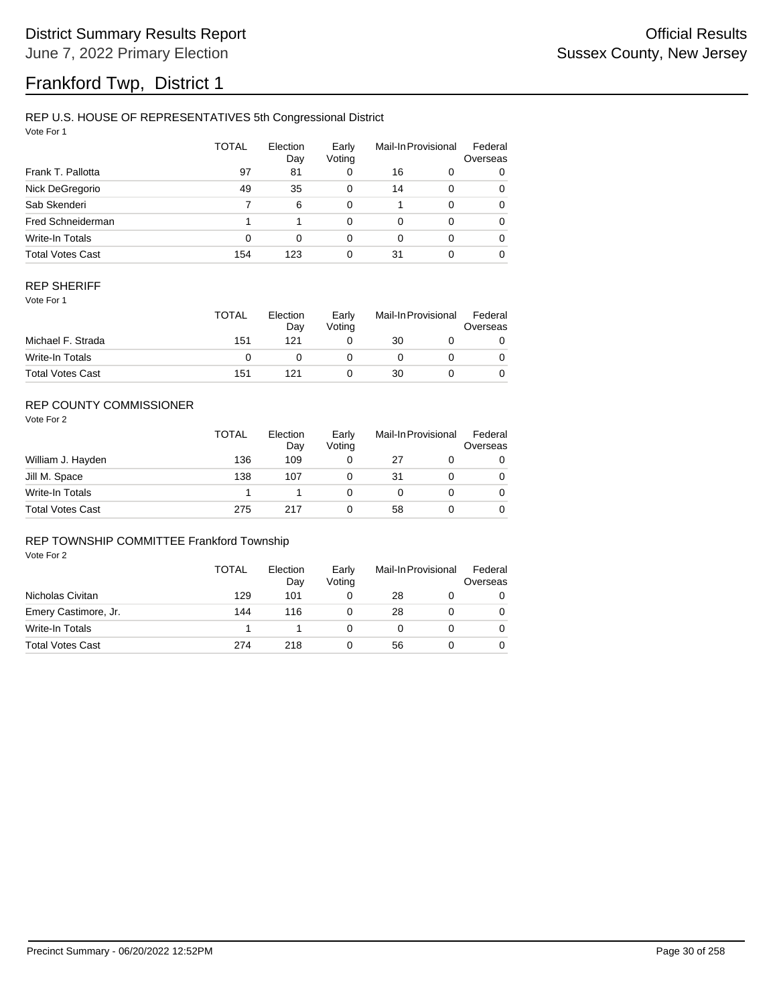### REP U.S. HOUSE OF REPRESENTATIVES 5th Congressional District

Vote For 1

|                         | <b>TOTAL</b> | Election<br>Day | Early<br>Voting |          | Mail-In Provisional | Federal<br>Overseas |
|-------------------------|--------------|-----------------|-----------------|----------|---------------------|---------------------|
| Frank T. Pallotta       | 97           | 81              | 0               | 16       | 0                   | 0                   |
| Nick DeGregorio         | 49           | 35              | 0               | 14       | 0                   | 0                   |
| Sab Skenderi            |              | 6               | 0               |          | 0                   | 0                   |
| Fred Schneiderman       |              |                 | 0               | $\Omega$ | 0                   | 0                   |
| Write-In Totals         | 0            | 0               | 0               | $\Omega$ | 0                   | 0                   |
| <b>Total Votes Cast</b> | 154          | 123             | 0               | 31       |                     | 0                   |

#### REP SHERIFF

Vote For 1

|                         | <b>TOTAL</b> | Election<br>Dav | Early<br>Votina | Mail-In Provisional |  | Federal<br>Overseas |
|-------------------------|--------------|-----------------|-----------------|---------------------|--|---------------------|
| Michael F. Strada       | 151          | 121             |                 | 30                  |  |                     |
| Write-In Totals         |              |                 |                 |                     |  |                     |
| <b>Total Votes Cast</b> | 151          | 121             |                 | 30                  |  |                     |

## REP COUNTY COMMISSIONER

Vote For 2

|                         | <b>TOTAL</b> | Election<br>Day | Early<br>Voting | Mail-In Provisional |  | Federal<br>Overseas |
|-------------------------|--------------|-----------------|-----------------|---------------------|--|---------------------|
| William J. Hayden       | 136          | 109             | 0               | 27                  |  | 0                   |
| Jill M. Space           | 138          | 107             |                 | 31                  |  | 0                   |
| Write-In Totals         |              |                 |                 |                     |  | 0                   |
| <b>Total Votes Cast</b> | 275          | 217             |                 | 58                  |  | 0                   |

#### REP TOWNSHIP COMMITTEE Frankford Township

|                         | TOTAL | Election<br>Day | Early<br>Voting | Mail-In Provisional |  | Federal<br>Overseas |
|-------------------------|-------|-----------------|-----------------|---------------------|--|---------------------|
| Nicholas Civitan        | 129   | 101             |                 | 28                  |  | 0                   |
| Emery Castimore, Jr.    | 144   | 116             |                 | 28                  |  |                     |
| Write-In Totals         |       |                 |                 |                     |  |                     |
| <b>Total Votes Cast</b> | 274   | 218             |                 | 56                  |  |                     |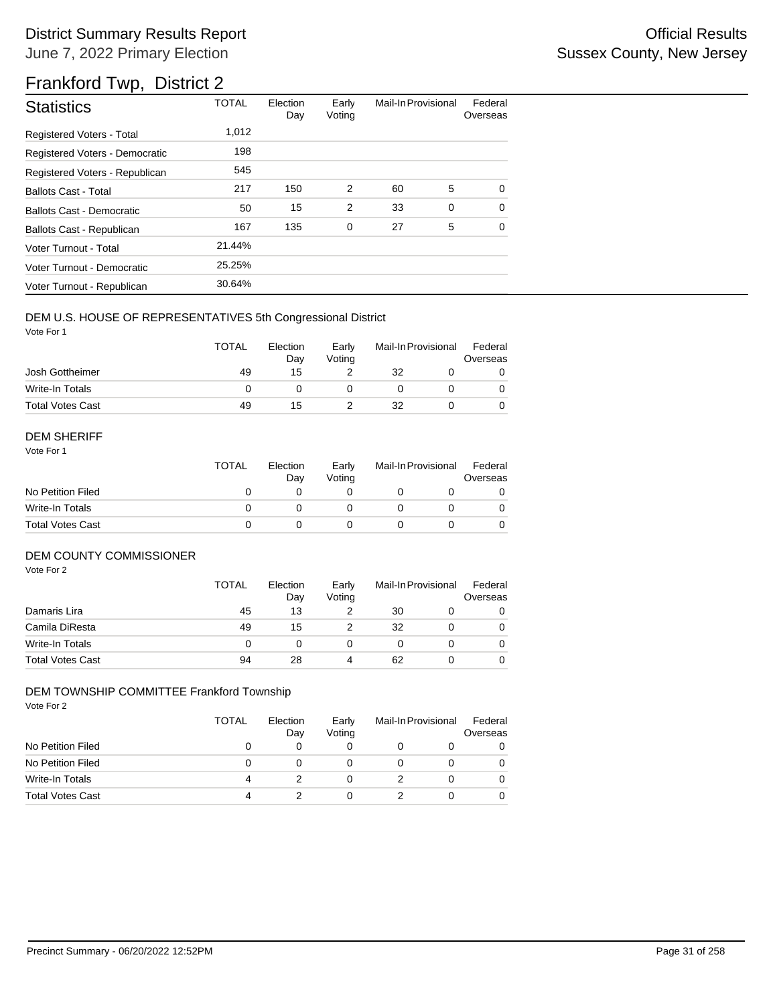| <b>Statistics</b>                | <b>TOTAL</b> | Election<br>Day | Early<br>Voting | Mail-In Provisional |   | Federal<br>Overseas |
|----------------------------------|--------------|-----------------|-----------------|---------------------|---|---------------------|
| <b>Registered Voters - Total</b> | 1,012        |                 |                 |                     |   |                     |
| Registered Voters - Democratic   | 198          |                 |                 |                     |   |                     |
| Registered Voters - Republican   | 545          |                 |                 |                     |   |                     |
| <b>Ballots Cast - Total</b>      | 217          | 150             | 2               | 60                  | 5 | $\Omega$            |
| Ballots Cast - Democratic        | 50           | 15              | $\overline{2}$  | 33                  | 0 | $\Omega$            |
| Ballots Cast - Republican        | 167          | 135             | 0               | 27                  | 5 | $\Omega$            |
| Voter Turnout - Total            | 21.44%       |                 |                 |                     |   |                     |
| Voter Turnout - Democratic       | 25.25%       |                 |                 |                     |   |                     |
| Voter Turnout - Republican       | 30.64%       |                 |                 |                     |   |                     |

### DEM U.S. HOUSE OF REPRESENTATIVES 5th Congressional District

Vote For 1

|                         | <b>TOTAL</b> | Election<br>Day | Early<br>Votina | Mail-In Provisional |  | Federal<br>Overseas |  |
|-------------------------|--------------|-----------------|-----------------|---------------------|--|---------------------|--|
| Josh Gottheimer         | 49           | 15              |                 | 32                  |  |                     |  |
| Write-In Totals         |              |                 |                 |                     |  |                     |  |
| <b>Total Votes Cast</b> | 49           | 15              |                 | 32                  |  |                     |  |

#### DEM SHERIFF

Vote For 1

|                         | <b>TOTAL</b> | Election<br>Dav | Early<br>Votina | Mail-In Provisional |  | Federal<br>Overseas |  |
|-------------------------|--------------|-----------------|-----------------|---------------------|--|---------------------|--|
| No Petition Filed       |              |                 |                 |                     |  |                     |  |
| Write-In Totals         |              |                 |                 |                     |  | $\Omega$            |  |
| <b>Total Votes Cast</b> |              |                 |                 |                     |  |                     |  |

### DEM COUNTY COMMISSIONER

Vote For 2

|                         | <b>TOTAL</b> | Election<br>Day | Early<br>Votina |    | Mail-In Provisional | Federal<br>Overseas |
|-------------------------|--------------|-----------------|-----------------|----|---------------------|---------------------|
| Damaris Lira            | 45           | 13              |                 | 30 |                     | 0                   |
| Camila DiResta          | 49           | 15              |                 | 32 |                     | 0                   |
| <b>Write-In Totals</b>  |              |                 |                 |    |                     | 0                   |
| <b>Total Votes Cast</b> | 94           | 28              | 4               | 62 |                     | $\Omega$            |

### DEM TOWNSHIP COMMITTEE Frankford Township

|                         | TOTAL | Election<br>Day | Early<br>Voting | Mail-In Provisional | Federal<br>Overseas |
|-------------------------|-------|-----------------|-----------------|---------------------|---------------------|
| No Petition Filed       |       | 0               | 0               |                     |                     |
| No Petition Filed       | 0     |                 | 0               |                     |                     |
| Write-In Totals         |       |                 | 0               |                     |                     |
| <b>Total Votes Cast</b> | 4     |                 | 0               |                     |                     |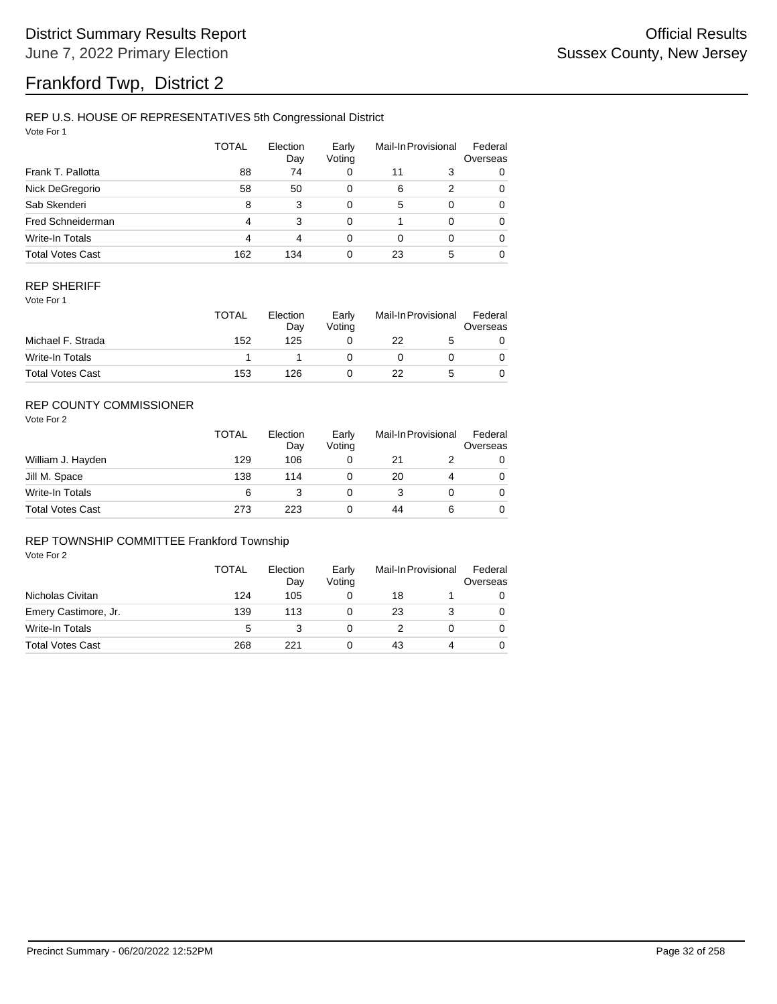### REP U.S. HOUSE OF REPRESENTATIVES 5th Congressional District

Vote For 1

|                          | TOTAL | Election<br>Day | Early<br>Voting |          | Mail-In Provisional | Federal<br>Overseas |
|--------------------------|-------|-----------------|-----------------|----------|---------------------|---------------------|
| Frank T. Pallotta        | 88    | 74              | 0               | 11       | 3                   | 0                   |
| Nick DeGregorio          | 58    | 50              | 0               | 6        | 2                   | 0                   |
| Sab Skenderi             | 8     | 3               | 0               | 5        | 0                   | 0                   |
| <b>Fred Schneiderman</b> | 4     | 3               | 0               |          | 0                   | 0                   |
| Write-In Totals          | 4     | 4               | 0               | $\Omega$ | 0                   | 0                   |
| <b>Total Votes Cast</b>  | 162   | 134             | 0               | 23       | 5                   | 0                   |

#### REP SHERIFF

Vote For 1

|                         | <b>TOTAL</b> | Election<br>Dav | Early<br>Votina | Mail-In Provisional |  | Federal<br>Overseas |
|-------------------------|--------------|-----------------|-----------------|---------------------|--|---------------------|
| Michael F. Strada       | 152          | 125             |                 | 22                  |  |                     |
| Write-In Totals         |              |                 |                 |                     |  |                     |
| <b>Total Votes Cast</b> | 153          | 126             |                 | 22                  |  |                     |

## REP COUNTY COMMISSIONER

Vote For 2

|                         | <b>TOTAL</b> | Election<br>Day | Early<br>Votina | Mail-In Provisional |   | Federal<br>Overseas |
|-------------------------|--------------|-----------------|-----------------|---------------------|---|---------------------|
| William J. Hayden       | 129          | 106             |                 | 21                  |   | 0                   |
| Jill M. Space           | 138          | 114             |                 | 20                  | 4 | 0                   |
| Write-In Totals         | 6            |                 |                 |                     |   | 0                   |
| <b>Total Votes Cast</b> | 273          | 223             |                 | 44                  | 6 | 0                   |

#### REP TOWNSHIP COMMITTEE Frankford Township

|                         | TOTAL | Election<br>Day | Early<br>Votina | Mail-In Provisional |  | Federal<br>Overseas |
|-------------------------|-------|-----------------|-----------------|---------------------|--|---------------------|
| Nicholas Civitan        | 124   | 105             |                 | 18                  |  |                     |
| Emery Castimore, Jr.    | 139   | 113             |                 | 23                  |  |                     |
| Write-In Totals         | 5     |                 |                 |                     |  |                     |
| <b>Total Votes Cast</b> | 268   |                 |                 | 43                  |  |                     |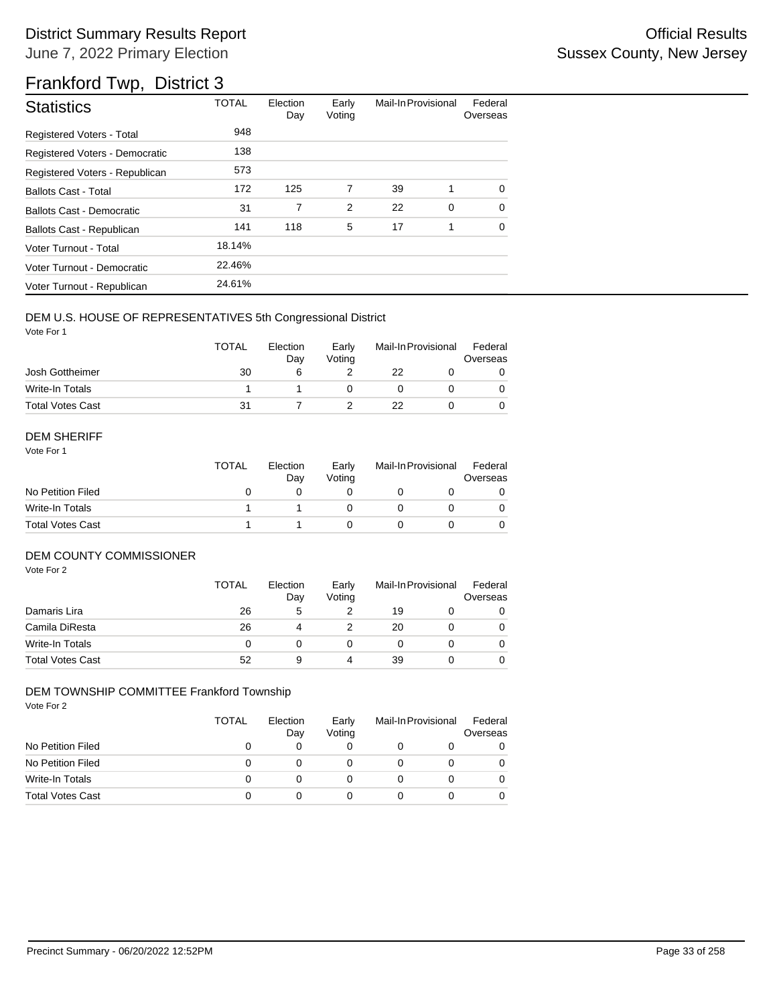| <b>Statistics</b>                | <b>TOTAL</b> | Election<br>Day | Early<br>Voting | Mail-In Provisional |   | Federal<br>Overseas |
|----------------------------------|--------------|-----------------|-----------------|---------------------|---|---------------------|
| <b>Registered Voters - Total</b> | 948          |                 |                 |                     |   |                     |
| Registered Voters - Democratic   | 138          |                 |                 |                     |   |                     |
| Registered Voters - Republican   | 573          |                 |                 |                     |   |                     |
| <b>Ballots Cast - Total</b>      | 172          | 125             | 7               | 39                  | 1 | $\Omega$            |
| <b>Ballots Cast - Democratic</b> | 31           | 7               | 2               | 22                  | 0 | $\Omega$            |
| Ballots Cast - Republican        | 141          | 118             | 5               | 17                  | 1 | $\Omega$            |
| Voter Turnout - Total            | 18.14%       |                 |                 |                     |   |                     |
| Voter Turnout - Democratic       | 22.46%       |                 |                 |                     |   |                     |
| Voter Turnout - Republican       | 24.61%       |                 |                 |                     |   |                     |

#### DEM U.S. HOUSE OF REPRESENTATIVES 5th Congressional District

Vote For 1

|                         | <b>TOTAL</b> | Election<br>Dav | Early<br>Votina | Mail-In Provisional |  | Federal<br>Overseas |  |
|-------------------------|--------------|-----------------|-----------------|---------------------|--|---------------------|--|
| Josh Gottheimer         | 30           |                 |                 | 22                  |  |                     |  |
| Write-In Totals         |              |                 |                 |                     |  |                     |  |
| <b>Total Votes Cast</b> | 31           |                 |                 | 22                  |  |                     |  |

#### DEM SHERIFF

Vote For 1

|                         | <b>TOTAL</b> | Election<br>Dav | Early<br>Votina | Mail-In Provisional |  | Federal<br>Overseas |  |
|-------------------------|--------------|-----------------|-----------------|---------------------|--|---------------------|--|
| No Petition Filed       |              |                 |                 |                     |  |                     |  |
| Write-In Totals         |              |                 |                 |                     |  | $\Omega$            |  |
| <b>Total Votes Cast</b> |              |                 |                 |                     |  |                     |  |

#### DEM COUNTY COMMISSIONER

Vote For 2

|                         | <b>TOTAL</b> | Election<br>Day | Early<br>Votina | Mail-In Provisional |  | Federal<br>Overseas |
|-------------------------|--------------|-----------------|-----------------|---------------------|--|---------------------|
| Damaris Lira            | 26           | 5               |                 | 19                  |  | 0                   |
| Camila DiResta          | 26           | 4               |                 | 20                  |  | 0                   |
| <b>Write-In Totals</b>  |              |                 |                 |                     |  | $\Omega$            |
| <b>Total Votes Cast</b> | 52           | 9               | 4               | 39                  |  | 0                   |

#### DEM TOWNSHIP COMMITTEE Frankford Township

|                         | TOTAL | Election<br>Day | Early<br>Voting | Mail-In Provisional | Federal<br>Overseas |
|-------------------------|-------|-----------------|-----------------|---------------------|---------------------|
| No Petition Filed       |       | 0               | 0               |                     | 0                   |
| No Petition Filed       | 0     |                 | 0               |                     |                     |
| Write-In Totals         | 0     | 0               | 0               |                     |                     |
| <b>Total Votes Cast</b> | 0     |                 | 0               |                     |                     |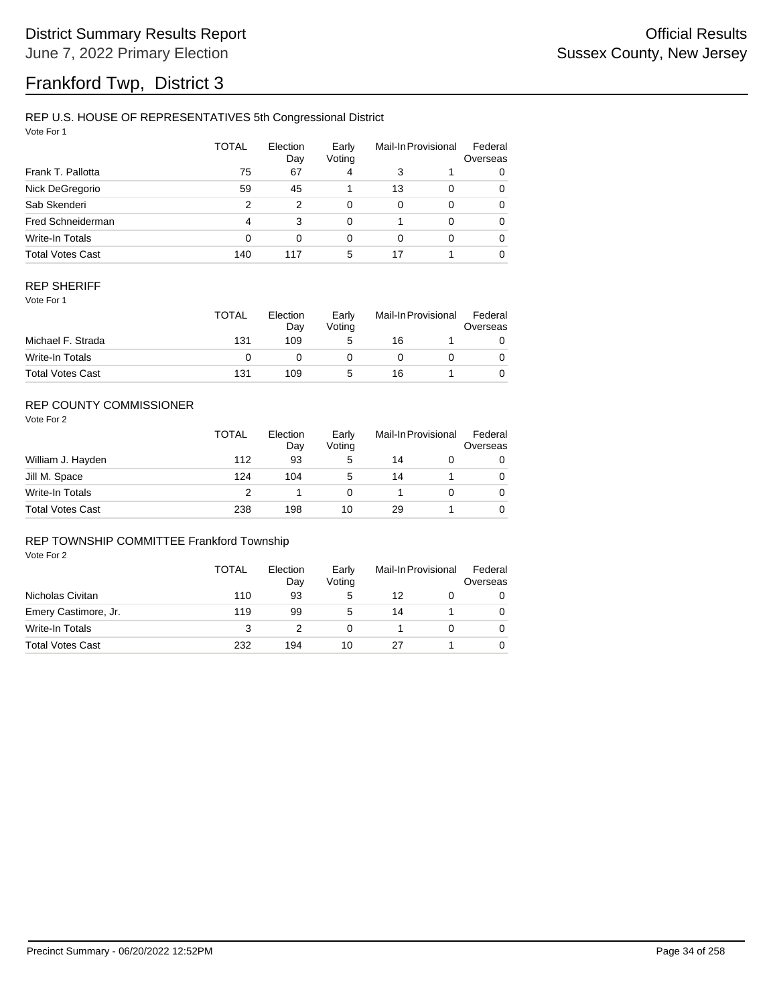## REP U.S. HOUSE OF REPRESENTATIVES 5th Congressional District

Vote For 1

|                         | <b>TOTAL</b> | Election<br>Day | Early<br>Voting |    | Mail-In Provisional | Federal<br>Overseas |
|-------------------------|--------------|-----------------|-----------------|----|---------------------|---------------------|
| Frank T. Pallotta       | 75           | 67              | 4               | 3  |                     | 0                   |
| Nick DeGregorio         | 59           | 45              |                 | 13 | $\Omega$            | 0                   |
| Sab Skenderi            | 2            | 2               | 0               | 0  | $\Omega$            | 0                   |
| Fred Schneiderman       | 4            | 3               | 0               |    | $\Omega$            | 0                   |
| Write-In Totals         | 0            | $\Omega$        | 0               | 0  | $\Omega$            | 0                   |
| <b>Total Votes Cast</b> | 140          | 117             | 5               | 17 |                     | 0                   |

#### REP SHERIFF

Vote For 1

|                         | TOTAL | Election<br>Dav | Early<br>Votina | Mail-In Provisional |  | Federal<br>Overseas |
|-------------------------|-------|-----------------|-----------------|---------------------|--|---------------------|
| Michael F. Strada       | 131   | 109             | 5               | 16                  |  |                     |
| Write-In Totals         |       |                 |                 |                     |  |                     |
| <b>Total Votes Cast</b> | 131   | 109             | G               | 16                  |  |                     |

## REP COUNTY COMMISSIONER

Vote For 2

|                         | TOTAL | Election<br>Day | Early<br>Voting | Mail-In Provisional |  | Federal<br>Overseas |
|-------------------------|-------|-----------------|-----------------|---------------------|--|---------------------|
| William J. Hayden       | 112   | 93              | 5               | 14                  |  | 0                   |
| Jill M. Space           | 124   | 104             | 5               | 14                  |  | 0                   |
| Write-In Totals         | っ     |                 |                 |                     |  | 0                   |
| <b>Total Votes Cast</b> | 238   | 198             | 10              | 29                  |  | 0                   |

#### REP TOWNSHIP COMMITTEE Frankford Township

|                         | TOTAL | Election<br>Day | Early<br>Voting | Mail-In Provisional |  | Federal<br>Overseas |
|-------------------------|-------|-----------------|-----------------|---------------------|--|---------------------|
| Nicholas Civitan        | 110   | 93              | 5               | 12                  |  | 0                   |
| Emery Castimore, Jr.    | 119   | 99              | 5               | 14                  |  |                     |
| Write-In Totals         | 3     |                 |                 |                     |  |                     |
| <b>Total Votes Cast</b> | 232   | 194             | 10              |                     |  |                     |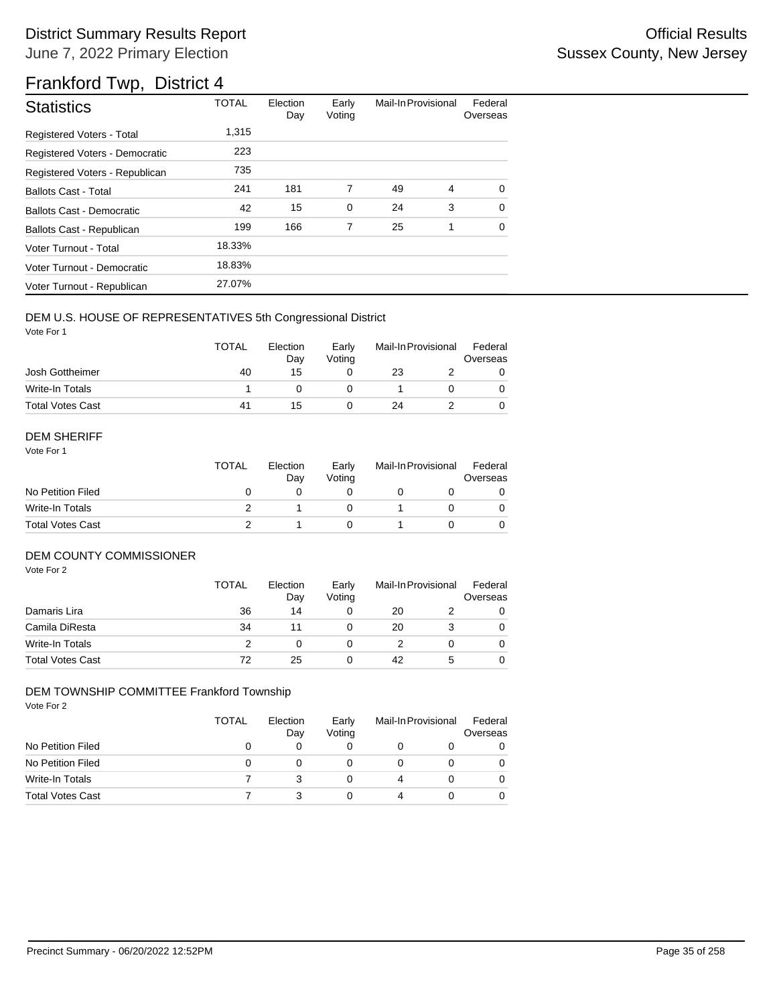| <b>Statistics</b>                | <b>TOTAL</b> | Election<br>Day | Early<br>Voting | Mail-In Provisional |   | Federal<br>Overseas |
|----------------------------------|--------------|-----------------|-----------------|---------------------|---|---------------------|
| <b>Registered Voters - Total</b> | 1.315        |                 |                 |                     |   |                     |
| Registered Voters - Democratic   | 223          |                 |                 |                     |   |                     |
| Registered Voters - Republican   | 735          |                 |                 |                     |   |                     |
| <b>Ballots Cast - Total</b>      | 241          | 181             | 7               | 49                  | 4 | $\Omega$            |
| Ballots Cast - Democratic        | 42           | 15              | $\mathbf 0$     | 24                  | 3 | $\Omega$            |
| Ballots Cast - Republican        | 199          | 166             | 7               | 25                  | 1 | $\Omega$            |
| Voter Turnout - Total            | 18.33%       |                 |                 |                     |   |                     |
| Voter Turnout - Democratic       | 18.83%       |                 |                 |                     |   |                     |
| Voter Turnout - Republican       | 27.07%       |                 |                 |                     |   |                     |

### DEM U.S. HOUSE OF REPRESENTATIVES 5th Congressional District

Vote For 1

|                         | <b>TOTAL</b> | Election<br>Day | Early<br>Votina | Mail-In Provisional |  | Federal<br>Overseas |
|-------------------------|--------------|-----------------|-----------------|---------------------|--|---------------------|
| Josh Gottheimer         | 40           | 15              |                 | 23                  |  |                     |
| Write-In Totals         |              |                 |                 |                     |  |                     |
| <b>Total Votes Cast</b> | 41           | 15              |                 | 24                  |  |                     |

#### DEM SHERIFF

Vote For 1

|                         | <b>TOTAL</b> | Election<br>Dav | Early<br>Votina | Mail-In Provisional |  | Federal<br>Overseas |  |
|-------------------------|--------------|-----------------|-----------------|---------------------|--|---------------------|--|
| No Petition Filed       |              |                 |                 |                     |  |                     |  |
| Write-In Totals         |              |                 |                 |                     |  | $\Omega$            |  |
| <b>Total Votes Cast</b> |              |                 |                 |                     |  |                     |  |

### DEM COUNTY COMMISSIONER

Vote For 2

|                         | <b>TOTAL</b> | Election<br>Day | Early<br>Votina |    | Mail-In Provisional | Federal<br>Overseas |
|-------------------------|--------------|-----------------|-----------------|----|---------------------|---------------------|
| Damaris Lira            | 36           | 14              |                 | 20 |                     | 0                   |
| Camila DiResta          | 34           |                 |                 | 20 |                     | 0                   |
| Write-In Totals         |              |                 |                 |    |                     | $\Omega$            |
| <b>Total Votes Cast</b> | 72           | 25              |                 | 42 | 5                   | 0                   |

#### DEM TOWNSHIP COMMITTEE Frankford Township

|                         | TOTAL | Election<br>Day | Early<br>Voting | Mail-In Provisional |  | Federal<br>Overseas |  |
|-------------------------|-------|-----------------|-----------------|---------------------|--|---------------------|--|
| No Petition Filed       |       | 0               | 0               |                     |  |                     |  |
| No Petition Filed       | 0     |                 | 0               |                     |  |                     |  |
| Write-In Totals         |       |                 | 0               | 4                   |  |                     |  |
| <b>Total Votes Cast</b> |       |                 | 0               | 4                   |  |                     |  |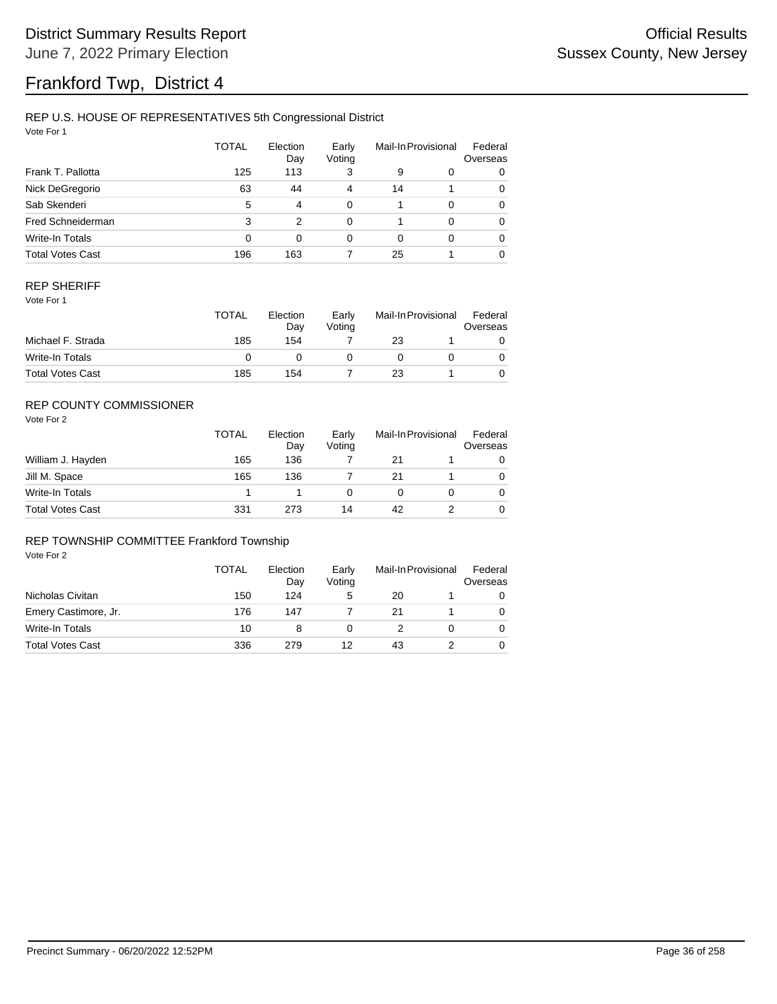## REP U.S. HOUSE OF REPRESENTATIVES 5th Congressional District

Vote For 1

|                         | <b>TOTAL</b> | Election<br>Day | Early<br>Voting | Mail-In Provisional |          | Federal<br>Overseas |
|-------------------------|--------------|-----------------|-----------------|---------------------|----------|---------------------|
| Frank T. Pallotta       | 125          | 113             | 3               | 9                   | 0        | 0                   |
| Nick DeGregorio         | 63           | 44              | 4               | 14                  |          | 0                   |
| Sab Skenderi            | 5            | 4               | 0               |                     | $\Omega$ | 0                   |
| Fred Schneiderman       | 3            | 2               | 0               |                     | $\Omega$ | 0                   |
| Write-In Totals         | 0            | $\Omega$        | 0               | 0                   | $\Omega$ | 0                   |
| <b>Total Votes Cast</b> | 196          | 163             |                 | 25                  |          | 0                   |

#### REP SHERIFF

Vote For 1

|                         | TOTAL | Election<br>Dav<br>154 | Early<br>Votina | Mail-In Provisional |  | Federal<br>Overseas |
|-------------------------|-------|------------------------|-----------------|---------------------|--|---------------------|
| Michael F. Strada       | 185   |                        |                 | 23                  |  |                     |
| Write-In Totals         |       |                        |                 |                     |  |                     |
| <b>Total Votes Cast</b> | 185   | 154                    |                 | 23                  |  |                     |

## REP COUNTY COMMISSIONER

Vote For 2

|                         | <b>TOTAL</b> | Election<br>Day | Early<br>Votina | Mail-In Provisional |  | Federal<br>Overseas |
|-------------------------|--------------|-----------------|-----------------|---------------------|--|---------------------|
| William J. Hayden       | 165          | 136             |                 | 21                  |  |                     |
| Jill M. Space           | 165          | 136             |                 | 21                  |  | $\Omega$            |
| Write-In Totals         |              |                 |                 | O                   |  | $\Omega$            |
| <b>Total Votes Cast</b> | 331          | 273             | 14              | 42                  |  | $\Omega$            |

#### REP TOWNSHIP COMMITTEE Frankford Township

|                         | TOTAL | Election<br>Day | Early<br>Voting | Mail-In Provisional |  | Federal<br>Overseas |
|-------------------------|-------|-----------------|-----------------|---------------------|--|---------------------|
| Nicholas Civitan        | 150   | 124             | 5               | 20                  |  |                     |
| Emery Castimore, Jr.    | 176   | 147             |                 | 21                  |  |                     |
| Write-In Totals         | 10    |                 |                 |                     |  |                     |
| <b>Total Votes Cast</b> | 336   | 279             | 12              | 43                  |  |                     |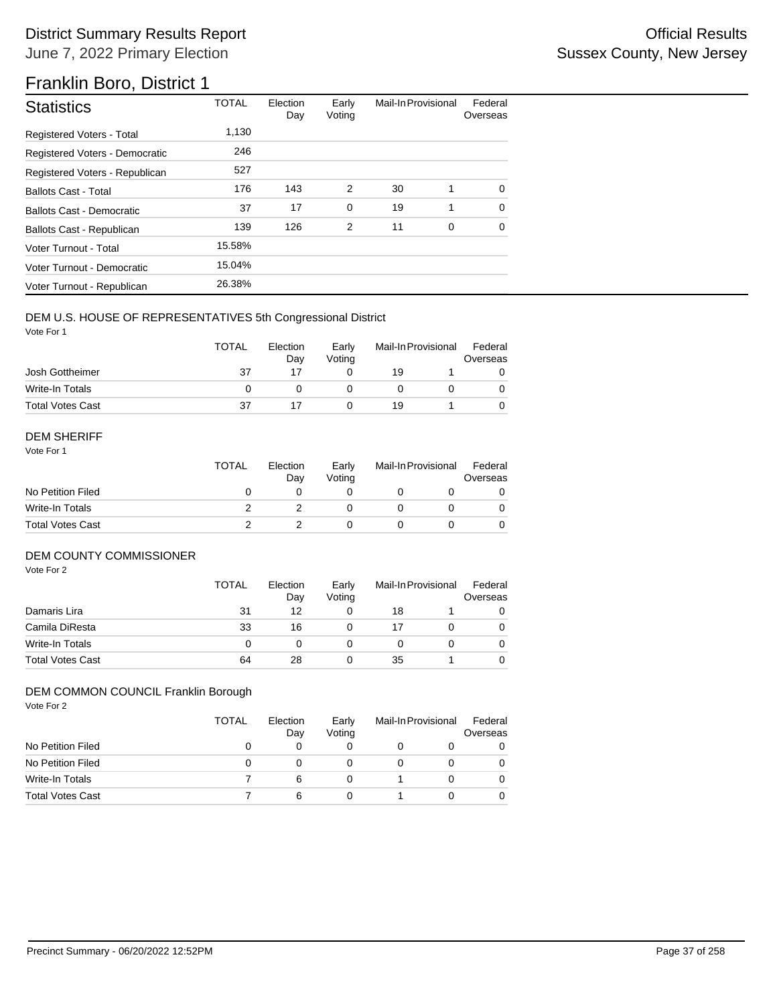# Franklin Boro, District 1

| <b>Statistics</b>                | <b>TOTAL</b> | Election<br>Day | Early<br>Voting | Mail-In Provisional |   | Federal<br>Overseas |
|----------------------------------|--------------|-----------------|-----------------|---------------------|---|---------------------|
| Registered Voters - Total        | 1,130        |                 |                 |                     |   |                     |
| Registered Voters - Democratic   | 246          |                 |                 |                     |   |                     |
| Registered Voters - Republican   | 527          |                 |                 |                     |   |                     |
| <b>Ballots Cast - Total</b>      | 176          | 143             | 2               | 30                  | 1 | 0                   |
| <b>Ballots Cast - Democratic</b> | 37           | 17              | $\mathbf 0$     | 19                  | 1 | $\Omega$            |
| Ballots Cast - Republican        | 139          | 126             | 2               | 11                  | 0 | $\Omega$            |
| Voter Turnout - Total            | 15.58%       |                 |                 |                     |   |                     |
| Voter Turnout - Democratic       | 15.04%       |                 |                 |                     |   |                     |
| Voter Turnout - Republican       | 26.38%       |                 |                 |                     |   |                     |

## DEM U.S. HOUSE OF REPRESENTATIVES 5th Congressional District

Vote For 1

|                         | <b>TOTAL</b> | Election<br>Dav | Early<br>Votina | Mail-In Provisional |  | Federal<br>Overseas |  |
|-------------------------|--------------|-----------------|-----------------|---------------------|--|---------------------|--|
| Josh Gottheimer         | 37           |                 |                 | 19                  |  |                     |  |
| Write-In Totals         |              |                 |                 |                     |  |                     |  |
| <b>Total Votes Cast</b> | 37           |                 |                 | 19                  |  |                     |  |

#### DEM SHERIFF

Vote For 1

|                         | <b>TOTAL</b> | Election<br>Dav | Early<br>Votina | Mail-In Provisional |  | Federal<br>Overseas |  |
|-------------------------|--------------|-----------------|-----------------|---------------------|--|---------------------|--|
| No Petition Filed       |              |                 |                 |                     |  |                     |  |
| Write-In Totals         |              |                 |                 |                     |  | 0                   |  |
| <b>Total Votes Cast</b> |              |                 |                 |                     |  |                     |  |

## DEM COUNTY COMMISSIONER

Vote For 2

|                         | <b>TOTAL</b> | Election<br>Day | Early<br>Votina |    | Mail-In Provisional |          |
|-------------------------|--------------|-----------------|-----------------|----|---------------------|----------|
| Damaris Lira            | 31           | 12              |                 | 18 |                     |          |
| Camila DiResta          | 33           | 16              |                 | 17 |                     | 0        |
| Write-In Totals         | 0            |                 |                 |    |                     | $\Omega$ |
| <b>Total Votes Cast</b> | 64           | 28              |                 | 35 |                     |          |

## DEM COMMON COUNCIL Franklin Borough

| Vote For 2              | <b>TOTAL</b> | Election<br>Day | Early<br>Voting | Mail-In Provisional |              | Federal<br>Overseas |  |
|-------------------------|--------------|-----------------|-----------------|---------------------|--------------|---------------------|--|
| No Petition Filed       | O            | 0               | 0               | 0                   | O            |                     |  |
| No Petition Filed       | 0            | 0               | 0               | 0                   | $\mathbf{0}$ | 0                   |  |
| <b>Write-In Totals</b>  |              | 6               | $\Omega$        |                     | 0            | $\mathbf{O}$        |  |
| <b>Total Votes Cast</b> |              | 6               | 0               |                     | 0            | $\mathbf{O}$        |  |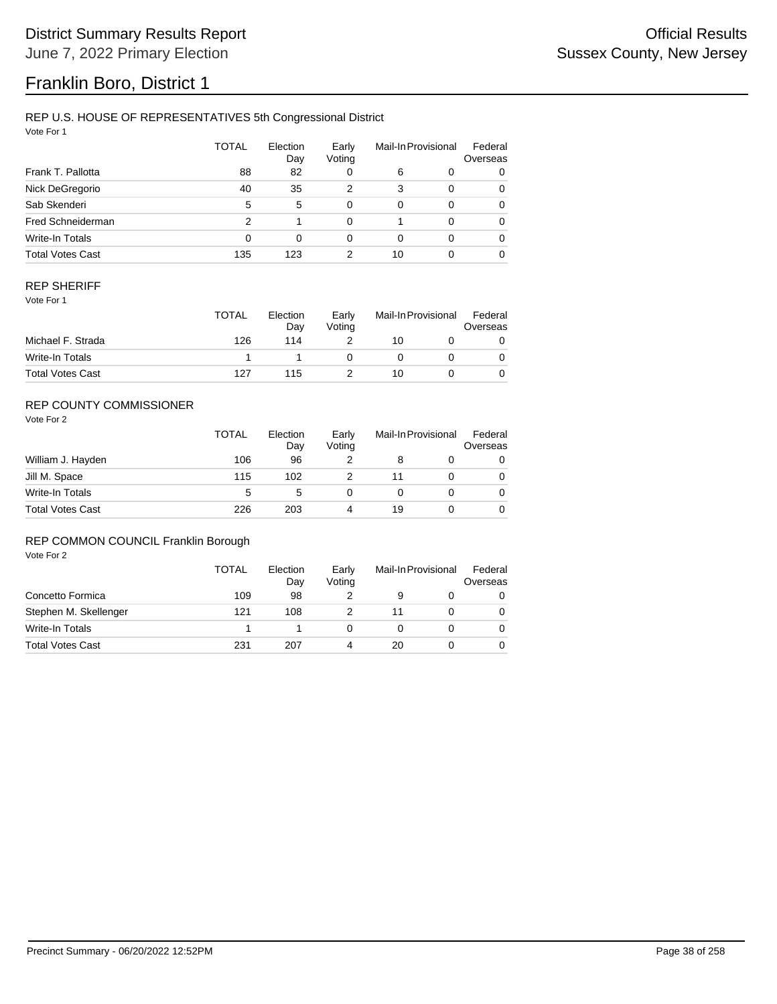# Franklin Boro, District 1

### REP U.S. HOUSE OF REPRESENTATIVES 5th Congressional District

Vote For 1

|                         | TOTAL          | Election<br>Day | Early<br>Voting |          | Mail-In Provisional | Federal<br>Overseas |
|-------------------------|----------------|-----------------|-----------------|----------|---------------------|---------------------|
| Frank T. Pallotta       | 88             | 82              | 0               | 6        | 0                   | 0                   |
| Nick DeGregorio         | 40             | 35              | 2               | 3        | $\Omega$            | 0                   |
| Sab Skenderi            | 5              | 5               | 0               | $\Omega$ | $\Omega$            | 0                   |
| Fred Schneiderman       | $\overline{2}$ |                 | 0               |          | $\Omega$            | 0                   |
| Write-In Totals         | 0              | 0               | 0               | 0        | $\Omega$            | 0                   |
| <b>Total Votes Cast</b> | 135            | 123             | 2               | 10       |                     | 0                   |

### REP SHERIFF

Vote For 1

|                         | <b>TOTAL</b> | Election<br>Day | Early<br>Votina | Mail-In Provisional |  | Federal<br>Overseas |  |
|-------------------------|--------------|-----------------|-----------------|---------------------|--|---------------------|--|
| Michael F. Strada       | 126          | 114             |                 | 10                  |  |                     |  |
| Write-In Totals         |              |                 |                 |                     |  |                     |  |
| <b>Total Votes Cast</b> | 127          | 115             |                 | 10                  |  |                     |  |

## REP COUNTY COMMISSIONER

Vote For 2

|                         | <b>TOTAL</b> | Election<br>Day | Early<br>Voting | Mail-In Provisional |  | Federal<br>Overseas |
|-------------------------|--------------|-----------------|-----------------|---------------------|--|---------------------|
| William J. Hayden       | 106          | 96              |                 | 8                   |  | 0                   |
| Jill M. Space           | 115          | 102             |                 |                     |  | 0                   |
| Write-In Totals         | 5            | 5               |                 |                     |  | 0                   |
| <b>Total Votes Cast</b> | 226          | 203             | 4               | 19                  |  | 0                   |

## REP COMMON COUNCIL Franklin Borough

|                         | TOTAL | Election<br>Day | Early<br>Voting | Mail-In Provisional |  | Federal<br>Overseas |
|-------------------------|-------|-----------------|-----------------|---------------------|--|---------------------|
| Concetto Formica        | 109   | 98              |                 |                     |  |                     |
| Stephen M. Skellenger   | 121   | 108             |                 | 11                  |  |                     |
| Write-In Totals         |       |                 |                 |                     |  |                     |
| <b>Total Votes Cast</b> | 231   | 207             |                 | 20                  |  |                     |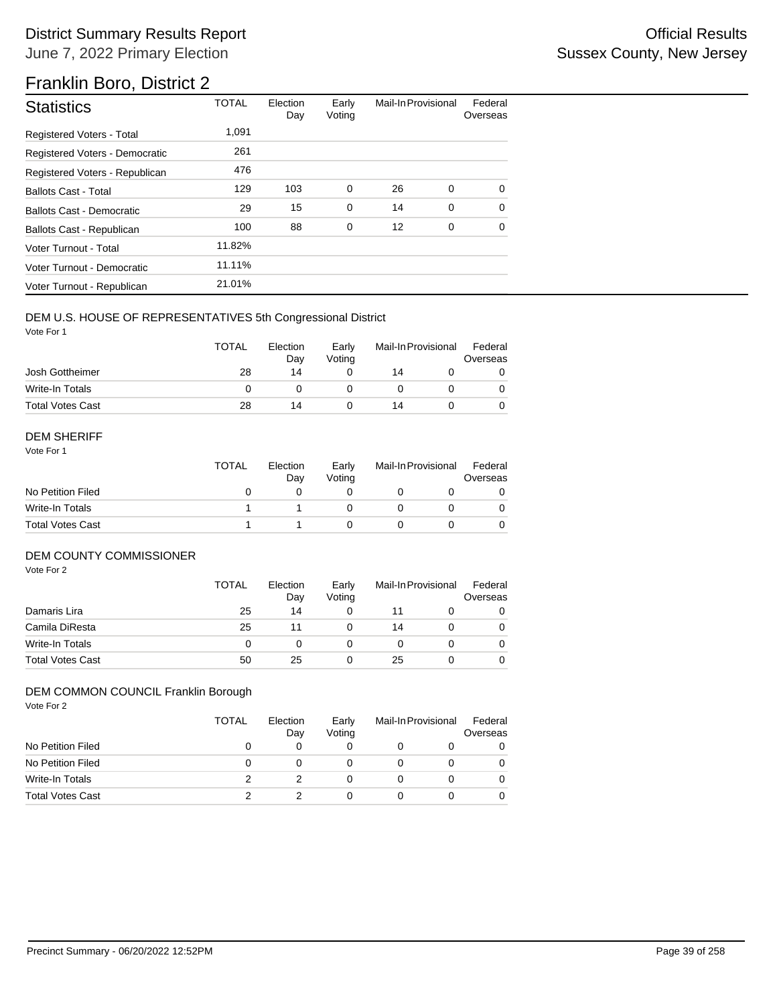# Franklin Boro, District 2

| <b>Statistics</b>                | <b>TOTAL</b> | Election<br>Day | Early<br>Voting | Mail-In Provisional |   | Federal<br>Overseas |
|----------------------------------|--------------|-----------------|-----------------|---------------------|---|---------------------|
| Registered Voters - Total        | 1,091        |                 |                 |                     |   |                     |
| Registered Voters - Democratic   | 261          |                 |                 |                     |   |                     |
| Registered Voters - Republican   | 476          |                 |                 |                     |   |                     |
| <b>Ballots Cast - Total</b>      | 129          | 103             | 0               | 26                  | 0 | $\Omega$            |
| <b>Ballots Cast - Democratic</b> | 29           | 15              | $\mathbf 0$     | 14                  | 0 | $\Omega$            |
| Ballots Cast - Republican        | 100          | 88              | $\mathbf 0$     | 12                  | 0 | $\Omega$            |
| Voter Turnout - Total            | 11.82%       |                 |                 |                     |   |                     |
| Voter Turnout - Democratic       | 11.11%       |                 |                 |                     |   |                     |
| Voter Turnout - Republican       | 21.01%       |                 |                 |                     |   |                     |

## DEM U.S. HOUSE OF REPRESENTATIVES 5th Congressional District

Vote For 1

|                         | <b>TOTAL</b> | Election<br>Day | Early<br>Votina | Mail-In Provisional |  | Federal<br>Overseas |  |
|-------------------------|--------------|-----------------|-----------------|---------------------|--|---------------------|--|
| Josh Gottheimer         | 28           | 14              |                 | 14                  |  |                     |  |
| Write-In Totals         |              |                 |                 |                     |  |                     |  |
| <b>Total Votes Cast</b> | 28           | 14              |                 | 14                  |  |                     |  |

### DEM SHERIFF

Vote For 1

|                         | <b>TOTAL</b> | Election<br>Day | Early<br>Votina | Mail-In Provisional |  | Federal<br>Overseas |  |
|-------------------------|--------------|-----------------|-----------------|---------------------|--|---------------------|--|
| No Petition Filed       |              |                 |                 |                     |  |                     |  |
| Write-In Totals         |              |                 |                 |                     |  | $\Omega$            |  |
| <b>Total Votes Cast</b> |              |                 |                 |                     |  |                     |  |

### DEM COUNTY COMMISSIONER

Vote For 2

|                         | <b>TOTAL</b> | Election<br>Day | Early<br>Votina |    | Mail-In Provisional | Federal<br>Overseas |
|-------------------------|--------------|-----------------|-----------------|----|---------------------|---------------------|
| Damaris Lira            | 25           | 14              |                 |    |                     | 0                   |
| Camila DiResta          | 25           | 11              |                 | 14 |                     | 0                   |
| Write-In Totals         |              |                 |                 |    |                     | $\Omega$            |
| <b>Total Votes Cast</b> | 50           | 25              |                 | 25 |                     | 0                   |

#### Vote For 2 DEM COMMON COUNCIL Franklin Borough

| VULE FUI Z              | <b>TOTAL</b> | Election<br>Day | Early<br>Voting | Mail-In Provisional |  | Federal<br>Overseas |  |
|-------------------------|--------------|-----------------|-----------------|---------------------|--|---------------------|--|
| No Petition Filed       | 0            | 0               |                 | $\Omega$            |  |                     |  |
| No Petition Filed       | 0            | 0               |                 | 0                   |  |                     |  |
| Write-In Totals         | 2            |                 |                 | 0                   |  |                     |  |
| <b>Total Votes Cast</b> |              |                 |                 | 0                   |  |                     |  |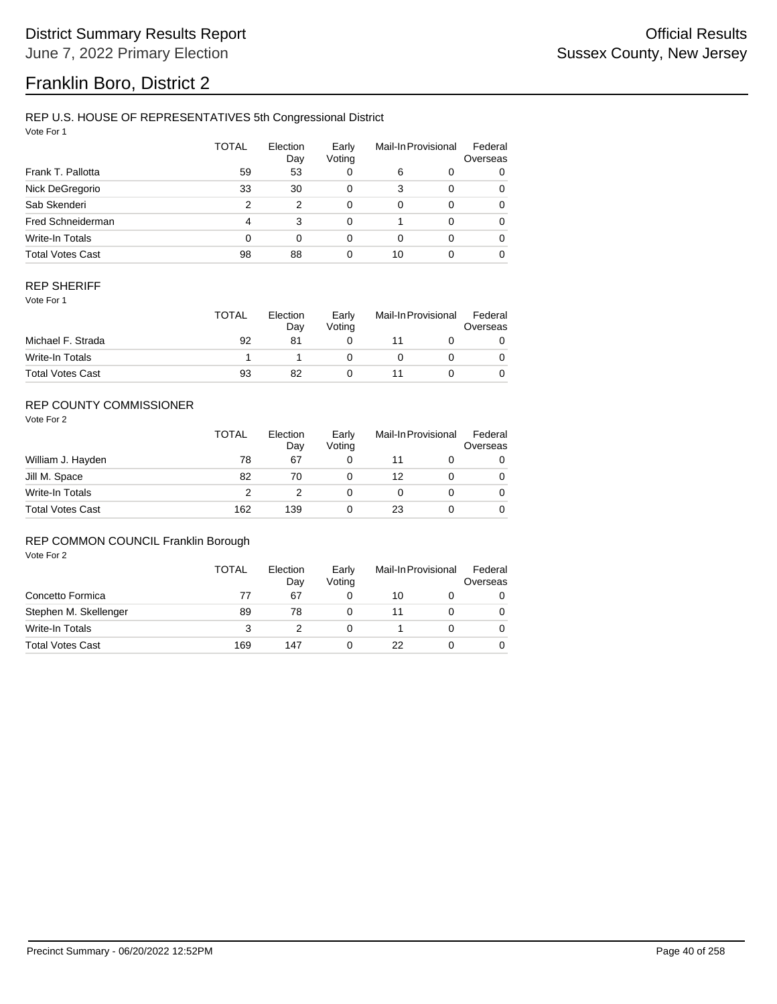# Franklin Boro, District 2

## REP U.S. HOUSE OF REPRESENTATIVES 5th Congressional District

Vote For 1

|                         | <b>TOTAL</b>   | Election<br>Day | Early<br>Voting |          | Mail-In Provisional | Federal<br>Overseas |
|-------------------------|----------------|-----------------|-----------------|----------|---------------------|---------------------|
| Frank T. Pallotta       | 59             | 53              | 0               | 6        | 0                   | 0                   |
| Nick DeGregorio         | 33             | 30              | 0               | 3        | $\Omega$            | 0                   |
| Sab Skenderi            | $\overline{2}$ | 2               | $\Omega$        | $\Omega$ | $\Omega$            | 0                   |
| Fred Schneiderman       | 4              | 3               | 0               |          | $\Omega$            | 0                   |
| Write-In Totals         | 0              | 0               | 0               | 0        | $\Omega$            | 0                   |
| <b>Total Votes Cast</b> | 98             | 88              | 0               | 10       |                     | 0                   |

### REP SHERIFF

Vote For 1

|                         | <b>TOTAL</b> | Election<br>Day | Early<br>Votina | Mail-In Provisional |  | Federal<br>Overseas |
|-------------------------|--------------|-----------------|-----------------|---------------------|--|---------------------|
| Michael F. Strada       | 92           | 81              |                 |                     |  |                     |
| Write-In Totals         |              |                 |                 |                     |  |                     |
| <b>Total Votes Cast</b> | 93           | 82              |                 |                     |  |                     |

## REP COUNTY COMMISSIONER

Vote For 2

|                         | <b>TOTAL</b> | Election<br>Day | Early<br>Voting |    | Mail-In Provisional | Federal<br>Overseas |
|-------------------------|--------------|-----------------|-----------------|----|---------------------|---------------------|
| William J. Hayden       | 78           | 67              |                 |    |                     | 0                   |
| Jill M. Space           | 82           | 70              |                 | 12 |                     | 0                   |
| Write-In Totals         | 2            |                 |                 |    |                     | 0                   |
| <b>Total Votes Cast</b> | 162          | 139             |                 | 23 |                     | 0                   |

## REP COMMON COUNCIL Franklin Borough

|                         | TOTAL | Election<br>Day | Early<br>Votina | Mail-In Provisional |  | Federal<br>Overseas |
|-------------------------|-------|-----------------|-----------------|---------------------|--|---------------------|
| Concetto Formica        | 77    | 67              |                 | 10                  |  |                     |
| Stephen M. Skellenger   | 89    | 78              |                 | 11                  |  |                     |
| Write-In Totals         | 3     |                 |                 |                     |  |                     |
| <b>Total Votes Cast</b> | 169   | 147             |                 | 22                  |  |                     |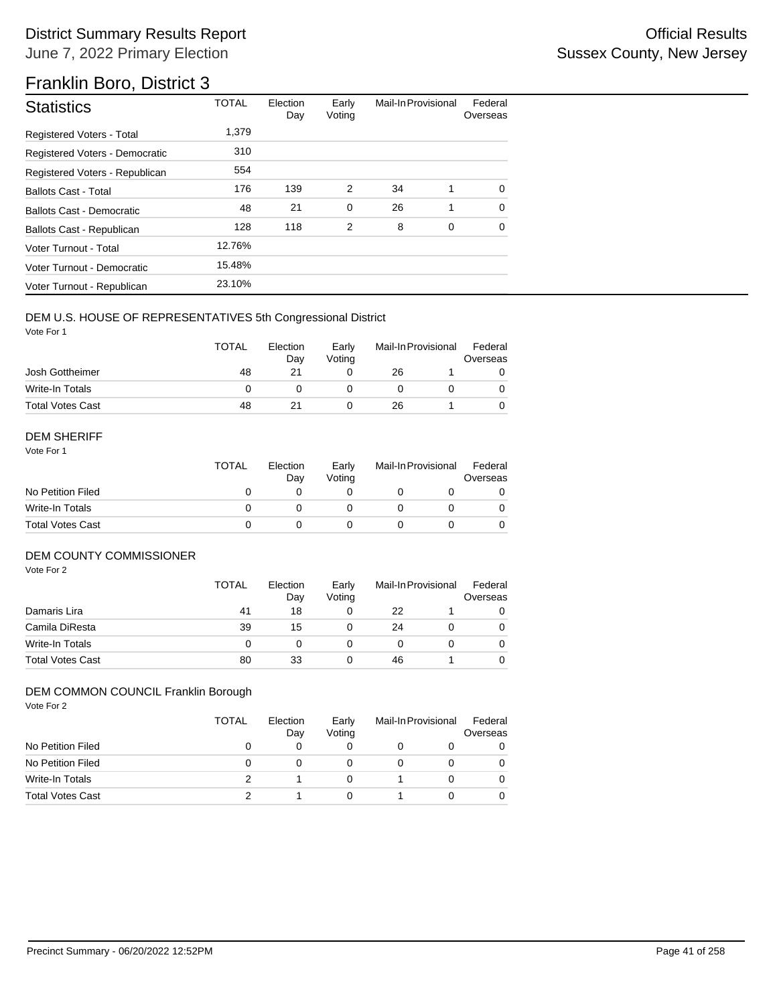# Franklin Boro, District 3

| <b>Statistics</b>                | <b>TOTAL</b> | Election<br>Day | Early<br>Voting | Mail-In Provisional |   | Federal<br>Overseas |
|----------------------------------|--------------|-----------------|-----------------|---------------------|---|---------------------|
| <b>Registered Voters - Total</b> | 1,379        |                 |                 |                     |   |                     |
| Registered Voters - Democratic   | 310          |                 |                 |                     |   |                     |
| Registered Voters - Republican   | 554          |                 |                 |                     |   |                     |
| <b>Ballots Cast - Total</b>      | 176          | 139             | 2               | 34                  | 1 | $\Omega$            |
| Ballots Cast - Democratic        | 48           | 21              | $\mathbf 0$     | 26                  | 1 | $\Omega$            |
| Ballots Cast - Republican        | 128          | 118             | 2               | 8                   | 0 | $\Omega$            |
| Voter Turnout - Total            | 12.76%       |                 |                 |                     |   |                     |
| Voter Turnout - Democratic       | 15.48%       |                 |                 |                     |   |                     |
| Voter Turnout - Republican       | 23.10%       |                 |                 |                     |   |                     |

## DEM U.S. HOUSE OF REPRESENTATIVES 5th Congressional District

Vote For 1

|                         | <b>TOTAL</b> | Election<br>Dav | Early<br>Votina | Mail-In Provisional |  | Federal<br>Overseas |  |
|-------------------------|--------------|-----------------|-----------------|---------------------|--|---------------------|--|
| Josh Gottheimer         | 48           |                 |                 | 26                  |  |                     |  |
| Write-In Totals         |              |                 |                 |                     |  |                     |  |
| <b>Total Votes Cast</b> | 48           |                 |                 | 26                  |  |                     |  |

#### DEM SHERIFF

Vote For 1

|                         | <b>TOTAL</b> | Election<br>Dav | Early<br>Votina | Mail-In Provisional |  | Federal<br>Overseas |  |
|-------------------------|--------------|-----------------|-----------------|---------------------|--|---------------------|--|
| No Petition Filed       |              |                 |                 |                     |  |                     |  |
| Write-In Totals         |              |                 |                 |                     |  | 0                   |  |
| <b>Total Votes Cast</b> |              |                 |                 |                     |  |                     |  |

## DEM COUNTY COMMISSIONER

Vote For 2

|                         | <b>TOTAL</b> | Election<br>Day | Early<br>Votina |    | Mail-In Provisional | Federal<br>Overseas |
|-------------------------|--------------|-----------------|-----------------|----|---------------------|---------------------|
| Damaris Lira            | 41           | 18              |                 | 22 |                     |                     |
| Camila DiResta          | 39           | 15              |                 | 24 |                     | 0                   |
| Write-In Totals         | 0            |                 |                 |    |                     | $\Omega$            |
| <b>Total Votes Cast</b> | 80           | 33              |                 | 46 |                     |                     |

#### $V_{\alpha\beta}$ DEM COMMON COUNCIL Franklin Borough

| VOIE FUIZ               | <b>TOTAL</b> | Election<br>Day | Early<br>Voting | Mail-In Provisional |  | Federal<br>Overseas |  |
|-------------------------|--------------|-----------------|-----------------|---------------------|--|---------------------|--|
| No Petition Filed       | O            | 0               |                 | O                   |  |                     |  |
| No Petition Filed       | 0            | 0               | 0               | 0                   |  |                     |  |
| <b>Write-In Totals</b>  | っ            |                 |                 |                     |  | 0                   |  |
| <b>Total Votes Cast</b> |              |                 |                 |                     |  |                     |  |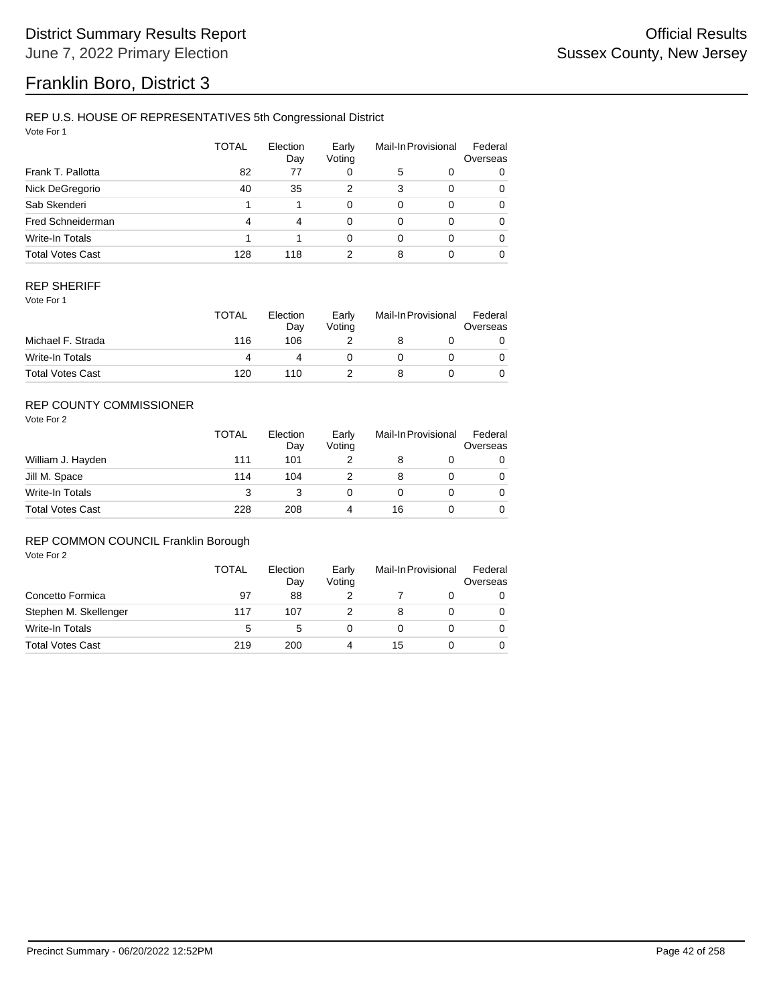# Franklin Boro, District 3

## REP U.S. HOUSE OF REPRESENTATIVES 5th Congressional District

Vote For 1

|                         | <b>TOTAL</b> | Election<br>Day | Early<br>Voting |          | Mail-In Provisional | Federal<br>Overseas |
|-------------------------|--------------|-----------------|-----------------|----------|---------------------|---------------------|
| Frank T. Pallotta       | 82           | 77              | 0               | 5        | 0                   | 0                   |
| Nick DeGregorio         | 40           | 35              | 2               | 3        | $\Omega$            | 0                   |
| Sab Skenderi            |              |                 | 0               | $\Omega$ | $\Omega$            | 0                   |
| Fred Schneiderman       | 4            | 4               | 0               | $\Omega$ | $\Omega$            | 0                   |
| Write-In Totals         |              |                 | 0               | $\Omega$ | $\Omega$            | 0                   |
| <b>Total Votes Cast</b> | 128          | 118             | 2               | 8        |                     | 0                   |

### REP SHERIFF

Vote For 1

|                         | <b>TOTAL</b> | Election<br>Day | Early<br>Votina | Mail-In Provisional |  | Federal<br>Overseas |
|-------------------------|--------------|-----------------|-----------------|---------------------|--|---------------------|
| Michael F. Strada       | 116          | 106             |                 |                     |  |                     |
| Write-In Totals         |              |                 |                 |                     |  |                     |
| <b>Total Votes Cast</b> | 120          | 110             |                 |                     |  |                     |

## REP COUNTY COMMISSIONER

Vote For 2

|                         | <b>TOTAL</b> | Election<br>Day | Early<br>Voting | Mail-In Provisional |  | Federal<br>Overseas |
|-------------------------|--------------|-----------------|-----------------|---------------------|--|---------------------|
| William J. Hayden       | 111          | 101             |                 |                     |  | 0                   |
| Jill M. Space           | 114          | 104             |                 | 8                   |  | 0                   |
| Write-In Totals         | 3            |                 |                 |                     |  | 0                   |
| <b>Total Votes Cast</b> | 228          | 208             | 4               | 16                  |  | 0                   |

## REP COMMON COUNCIL Franklin Borough

|                         | TOTAL | Election<br>Day | Early<br>Voting | Mail-In Provisional |  | Federal<br>Overseas |
|-------------------------|-------|-----------------|-----------------|---------------------|--|---------------------|
| Concetto Formica        | 97    | 88              |                 |                     |  |                     |
| Stephen M. Skellenger   | 117   | 107             |                 |                     |  |                     |
| Write-In Totals         | 5     | 5               |                 |                     |  |                     |
| <b>Total Votes Cast</b> | 219   | 200             |                 | 15                  |  |                     |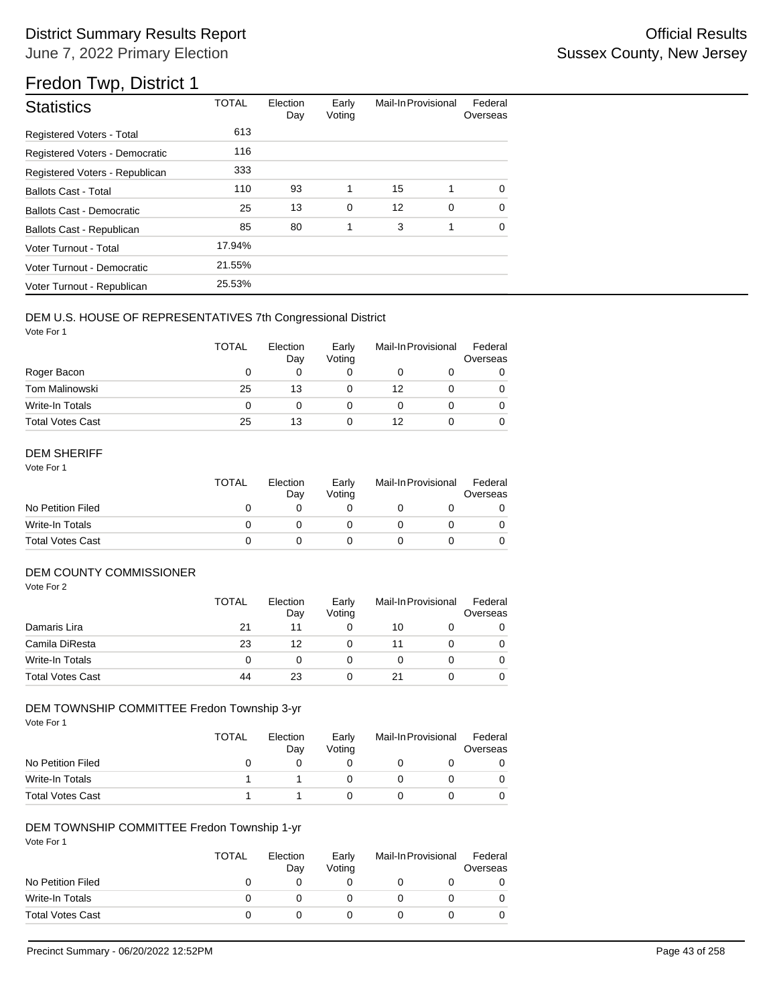# Fredon Twp, District 1

| <b>Statistics</b>                | <b>TOTAL</b> | Election<br>Day | Early<br>Voting | Mail-In Provisional |   | Federal<br>Overseas |
|----------------------------------|--------------|-----------------|-----------------|---------------------|---|---------------------|
| <b>Registered Voters - Total</b> | 613          |                 |                 |                     |   |                     |
| Registered Voters - Democratic   | 116          |                 |                 |                     |   |                     |
| Registered Voters - Republican   | 333          |                 |                 |                     |   |                     |
| <b>Ballots Cast - Total</b>      | 110          | 93              | 1               | 15                  | 1 | $\Omega$            |
| <b>Ballots Cast - Democratic</b> | 25           | 13              | 0               | 12                  | 0 | $\Omega$            |
| Ballots Cast - Republican        | 85           | 80              | 1               | 3                   | 1 | $\Omega$            |
| Voter Turnout - Total            | 17.94%       |                 |                 |                     |   |                     |
| Voter Turnout - Democratic       | 21.55%       |                 |                 |                     |   |                     |
| Voter Turnout - Republican       | 25.53%       |                 |                 |                     |   |                     |

## DEM U.S. HOUSE OF REPRESENTATIVES 7th Congressional District

Vote For 1

|                         | <b>TOTAL</b> | Election<br>Day | Early<br>Voting | Mail-In Provisional |  | Federal<br>Overseas |
|-------------------------|--------------|-----------------|-----------------|---------------------|--|---------------------|
| Roger Bacon             | O            | 0               |                 |                     |  |                     |
| <b>Tom Malinowski</b>   | 25           | 13              |                 | 12                  |  |                     |
| Write-In Totals         | 0            | O               |                 |                     |  |                     |
| <b>Total Votes Cast</b> | 25           | 13              |                 | 12                  |  |                     |

## DEM SHERIFF

Vote For 1

|                         | TOTAL | Election<br>Dav | Early<br>Votina | Mail-In Provisional |  | Federal<br>Overseas |  |
|-------------------------|-------|-----------------|-----------------|---------------------|--|---------------------|--|
| No Petition Filed       |       |                 |                 |                     |  |                     |  |
| Write-In Totals         |       |                 |                 |                     |  |                     |  |
| <b>Total Votes Cast</b> |       |                 |                 |                     |  |                     |  |

## DEM COUNTY COMMISSIONER

Vote For 2

|                         | <b>TOTAL</b> | Election<br>Day | Early<br>Votina | Mail-In Provisional | Federal<br>Overseas |
|-------------------------|--------------|-----------------|-----------------|---------------------|---------------------|
| Damaris Lira            | 21           | 11              |                 | 10                  | 0                   |
| Camila DiResta          | 23           | 12              |                 | 11                  | 0                   |
| Write-In Totals         | 0            |                 |                 |                     | $\Omega$            |
| <b>Total Votes Cast</b> | 44           | 23              |                 |                     | 0                   |

### DEM TOWNSHIP COMMITTEE Fredon Township 3-yr

Vote For 1

|                         | TOTAL | Election<br>Day | Early<br>Votina | Mail-In Provisional | Federal<br>Overseas |
|-------------------------|-------|-----------------|-----------------|---------------------|---------------------|
| No Petition Filed       |       |                 |                 |                     |                     |
| Write-In Totals         |       |                 |                 |                     |                     |
| <b>Total Votes Cast</b> |       |                 |                 |                     |                     |

## DEM TOWNSHIP COMMITTEE Fredon Township 1-yr

|                         | <b>TOTAL</b> | Election<br>Day | Early<br>Voting | Mail-In Provisional |  | Federal<br>Overseas |
|-------------------------|--------------|-----------------|-----------------|---------------------|--|---------------------|
| No Petition Filed       |              |                 |                 |                     |  |                     |
| Write-In Totals         |              |                 |                 |                     |  |                     |
| <b>Total Votes Cast</b> |              |                 |                 |                     |  |                     |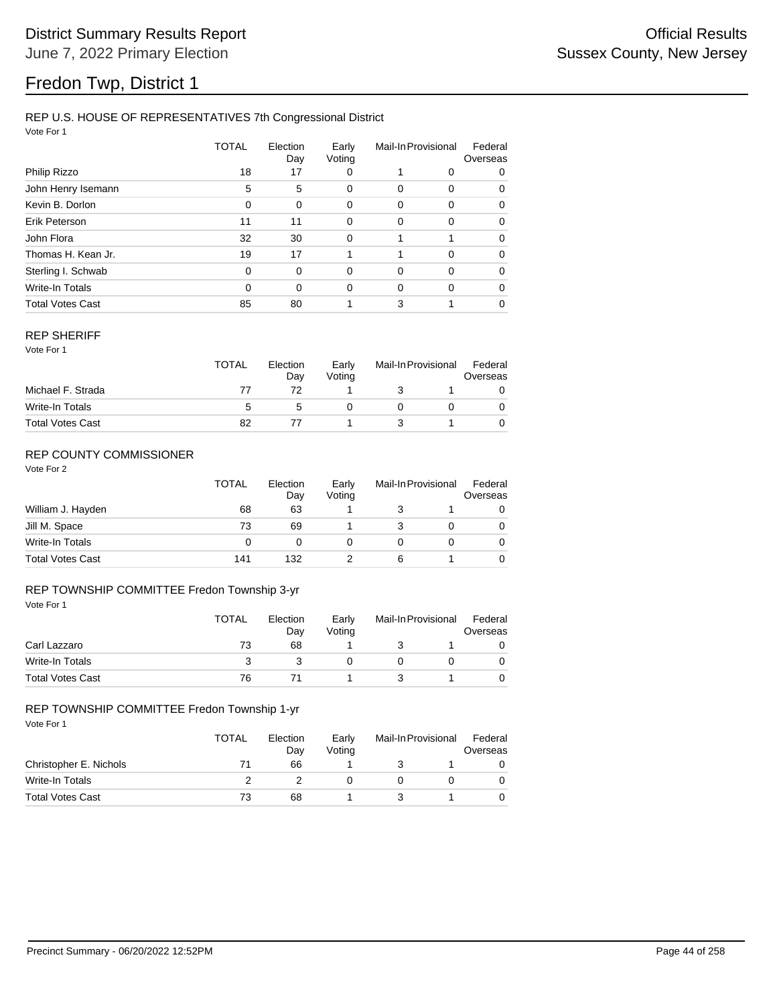# Fredon Twp, District 1

## REP U.S. HOUSE OF REPRESENTATIVES 7th Congressional District

Vote For 1

|                         | TOTAL    | Election<br>Day | Early<br>Voting | Mail-In Provisional |          | Federal<br>Overseas |  |
|-------------------------|----------|-----------------|-----------------|---------------------|----------|---------------------|--|
| Philip Rizzo            | 18       | 17              | 0               |                     | 0        | 0                   |  |
| John Henry Isemann      | 5        | 5               | 0               | 0                   | 0        | 0                   |  |
| Kevin B. Dorlon         | 0        | 0               | 0               | 0                   | 0        | 0                   |  |
| Erik Peterson           | 11       | 11              | 0               | 0                   | 0        | $\Omega$            |  |
| John Flora              | 32       | 30              | $\mathbf 0$     | 1                   | 1        | $\Omega$            |  |
| Thomas H. Kean Jr.      | 19       | 17              |                 |                     | $\Omega$ | $\Omega$            |  |
| Sterling I. Schwab      | $\Omega$ | $\Omega$        | 0               | 0                   | $\Omega$ | $\Omega$            |  |
| Write-In Totals         | 0        | $\Omega$        | 0               | $\Omega$            | $\Omega$ | $\Omega$            |  |
| <b>Total Votes Cast</b> | 85       | 80              |                 | 3                   |          | $\Omega$            |  |

#### REP SHERIFF

Vote For 1

|                         | <b>TOTAL</b> | Election<br>Day | Early<br>Votina | Mail-In Provisional |  | Federal<br>Overseas |  |
|-------------------------|--------------|-----------------|-----------------|---------------------|--|---------------------|--|
| Michael F. Strada       |              |                 |                 |                     |  |                     |  |
| Write-In Totals         |              | :C              |                 |                     |  |                     |  |
| <b>Total Votes Cast</b> | 82           |                 |                 |                     |  |                     |  |

## REP COUNTY COMMISSIONER

Vote For 2

|                         | <b>TOTAL</b> | Election<br>Day | Early<br>Voting | Mail-In Provisional |  | Federal<br>Overseas |
|-------------------------|--------------|-----------------|-----------------|---------------------|--|---------------------|
| William J. Hayden       | 68           | 63              |                 |                     |  | 0                   |
| Jill M. Space           | 73           | 69              |                 |                     |  | 0                   |
| Write-In Totals         | 0            |                 |                 |                     |  | 0                   |
| <b>Total Votes Cast</b> | 141          | 132             |                 | 6                   |  | 0                   |

## REP TOWNSHIP COMMITTEE Fredon Township 3-yr

| Vote For 1              |              |                 |                 |                     |  |                     |
|-------------------------|--------------|-----------------|-----------------|---------------------|--|---------------------|
|                         | <b>TOTAL</b> | Election<br>Day | Early<br>Voting | Mail-In Provisional |  | Federal<br>Overseas |
| Carl Lazzaro            | 73           | 68              |                 |                     |  |                     |
| Write-In Totals         | 3            |                 |                 | 0                   |  | 0                   |
| <b>Total Votes Cast</b> | 76           |                 |                 |                     |  |                     |

### REP TOWNSHIP COMMITTEE Fredon Township 1-yr

|                         | <b>TOTAL</b> | Election<br>Day | Early<br>Votina | Mail-In Provisional |  | Federal<br>Overseas |
|-------------------------|--------------|-----------------|-----------------|---------------------|--|---------------------|
| Christopher E. Nichols  | 71           | 66              |                 |                     |  |                     |
| Write-In Totals         |              |                 |                 |                     |  |                     |
| <b>Total Votes Cast</b> | 73           | 68              |                 |                     |  |                     |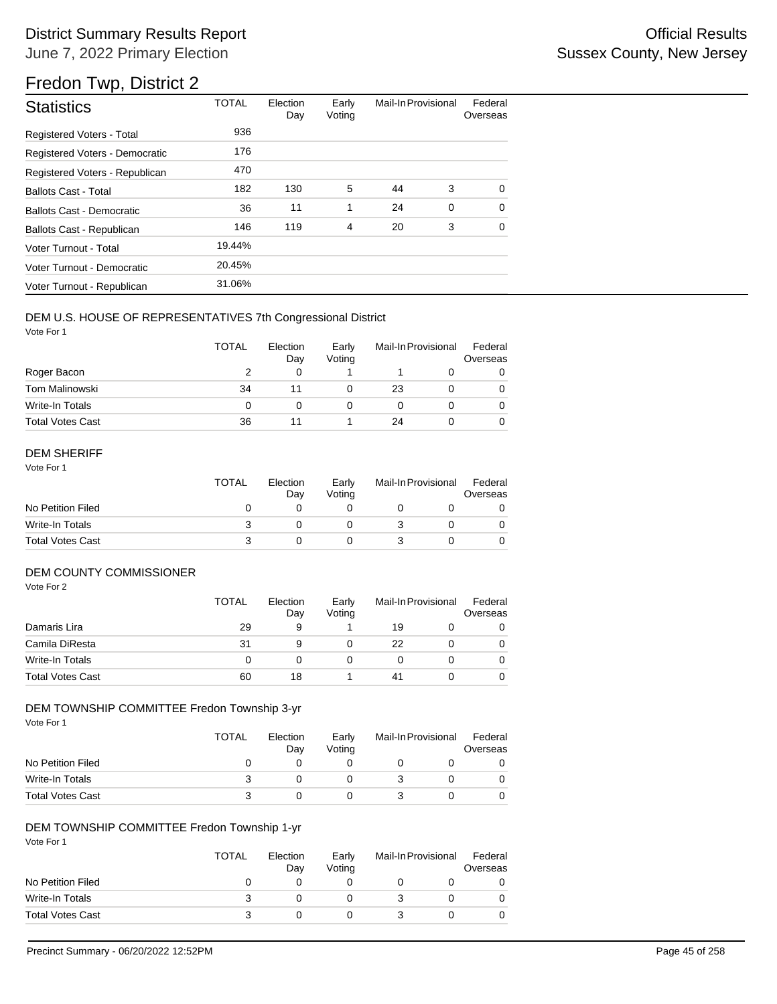# Fredon Twp, District 2

| <b>Statistics</b>                | <b>TOTAL</b> | Election<br>Day | Early<br>Voting | Mail-In Provisional |   | Federal<br>Overseas |
|----------------------------------|--------------|-----------------|-----------------|---------------------|---|---------------------|
| <b>Registered Voters - Total</b> | 936          |                 |                 |                     |   |                     |
| Registered Voters - Democratic   | 176          |                 |                 |                     |   |                     |
| Registered Voters - Republican   | 470          |                 |                 |                     |   |                     |
| <b>Ballots Cast - Total</b>      | 182          | 130             | 5               | 44                  | 3 | 0                   |
| Ballots Cast - Democratic        | 36           | 11              | 1               | 24                  | 0 | $\Omega$            |
| Ballots Cast - Republican        | 146          | 119             | 4               | 20                  | 3 | 0                   |
| Voter Turnout - Total            | 19.44%       |                 |                 |                     |   |                     |
| Voter Turnout - Democratic       | 20.45%       |                 |                 |                     |   |                     |
| Voter Turnout - Republican       | 31.06%       |                 |                 |                     |   |                     |

## DEM U.S. HOUSE OF REPRESENTATIVES 7th Congressional District

Vote For 1

|                         | <b>TOTAL</b> | Election<br>Day | Early<br>Voting | Mail-In Provisional |  | Federal<br>Overseas |
|-------------------------|--------------|-----------------|-----------------|---------------------|--|---------------------|
| Roger Bacon             |              | 0               |                 |                     |  |                     |
| Tom Malinowski          | 34           |                 |                 | 23                  |  | 0                   |
| Write-In Totals         | 0            |                 |                 |                     |  |                     |
| <b>Total Votes Cast</b> | 36           | 11              |                 | 24                  |  |                     |

## DEM SHERIFF

Vote For 1

|                         | TOTAL | Election<br>Dav | Early<br>Votina | Mail-In Provisional |  | Federal<br>Overseas |  |
|-------------------------|-------|-----------------|-----------------|---------------------|--|---------------------|--|
| No Petition Filed       |       |                 |                 |                     |  |                     |  |
| Write-In Totals         |       |                 |                 |                     |  |                     |  |
| <b>Total Votes Cast</b> |       |                 |                 |                     |  |                     |  |

## DEM COUNTY COMMISSIONER

Vote For 2

|                         | <b>TOTAL</b> | Election<br>Day | Early<br>Voting | Mail-In Provisional |  | Federal<br>Overseas |
|-------------------------|--------------|-----------------|-----------------|---------------------|--|---------------------|
| Damaris Lira            | 29           | 9               |                 | 19                  |  | 0                   |
| Camila DiResta          | 31           | 9               |                 | 22                  |  | $\Omega$            |
| Write-In Totals         |              |                 |                 |                     |  | $\Omega$            |
| <b>Total Votes Cast</b> | 60           | 18              |                 | 41                  |  | 0                   |

## DEM TOWNSHIP COMMITTEE Fredon Township 3-yr

Vote For 1

|                         | TOTAL | Election<br>Day | Early<br>Votina | Mail-In Provisional |  | Federal<br>Overseas |  |
|-------------------------|-------|-----------------|-----------------|---------------------|--|---------------------|--|
| No Petition Filed       |       |                 |                 |                     |  |                     |  |
| Write-In Totals         |       |                 |                 |                     |  |                     |  |
| <b>Total Votes Cast</b> |       |                 |                 |                     |  |                     |  |

## DEM TOWNSHIP COMMITTEE Fredon Township 1-yr

|                         | <b>TOTAL</b> | Election<br>Day | Early<br>Voting | Mail-In Provisional |  | Federal<br>Overseas |
|-------------------------|--------------|-----------------|-----------------|---------------------|--|---------------------|
| No Petition Filed       |              |                 |                 |                     |  |                     |
| Write-In Totals         |              |                 |                 |                     |  |                     |
| <b>Total Votes Cast</b> |              |                 |                 |                     |  |                     |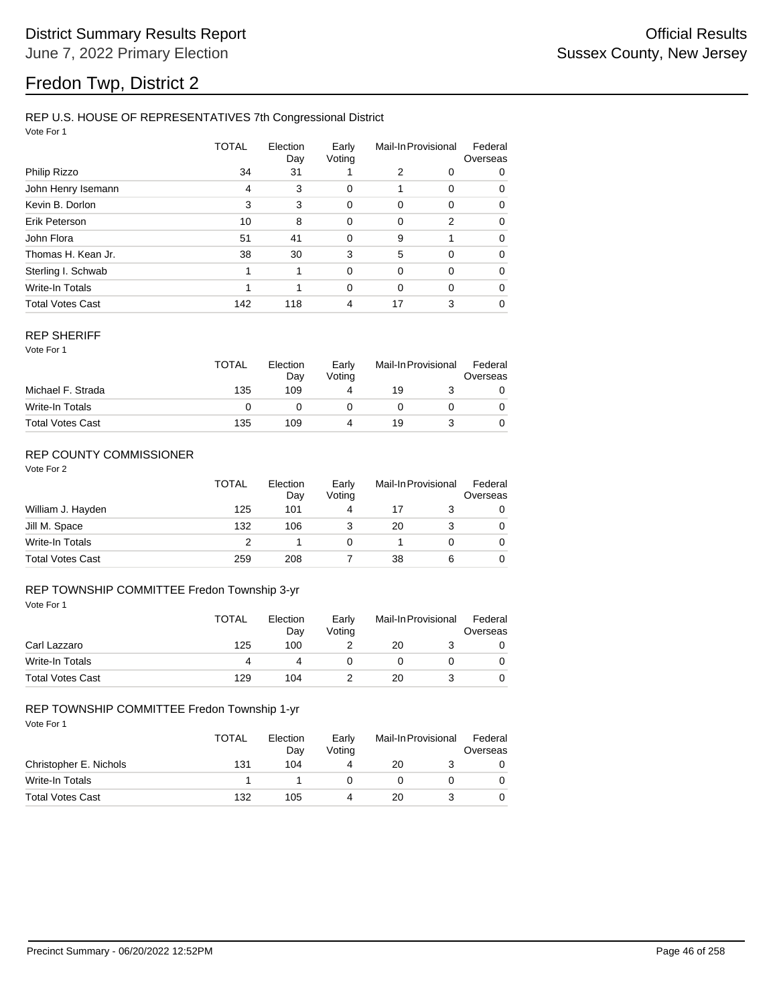# Fredon Twp, District 2

## REP U.S. HOUSE OF REPRESENTATIVES 7th Congressional District

Vote For 1

|                         | TOTAL | Election<br>Day | Early<br>Voting | Mail-In Provisional |          | Federal<br>Overseas |  |
|-------------------------|-------|-----------------|-----------------|---------------------|----------|---------------------|--|
| Philip Rizzo            | 34    | 31              |                 | 2                   | 0        | 0                   |  |
| John Henry Isemann      | 4     | 3               | 0               |                     | $\Omega$ | 0                   |  |
| Kevin B. Dorlon         | 3     | 3               | 0               | 0                   | 0        | 0                   |  |
| Erik Peterson           | 10    | 8               | 0               | 0                   | 2        | 0                   |  |
| John Flora              | 51    | 41              | $\mathbf 0$     | 9                   | 1        | $\Omega$            |  |
| Thomas H. Kean Jr.      | 38    | 30              | 3               | 5                   | $\Omega$ | 0                   |  |
| Sterling I. Schwab      | 1     | 1               | $\Omega$        | 0                   | $\Omega$ | 0                   |  |
| Write-In Totals         |       | 1               | 0               | $\Omega$            | $\Omega$ | $\Omega$            |  |
| <b>Total Votes Cast</b> | 142   | 118             | 4               | 17                  | 3        | 0                   |  |

#### REP SHERIFF

Vote For 1

|                         | <b>TOTAL</b> | Election<br>Day | Early<br>Voting | Mail-In Provisional |  | Federal<br>Overseas |
|-------------------------|--------------|-----------------|-----------------|---------------------|--|---------------------|
| Michael F. Strada       | 135          | 109             |                 | 19                  |  |                     |
| Write-In Totals         |              |                 |                 |                     |  |                     |
| <b>Total Votes Cast</b> | 135          | 109             |                 | 19                  |  |                     |

## REP COUNTY COMMISSIONER

Vote For 2

|                         | <b>TOTAL</b> | Election<br>Day | Early<br>Voting | Mail-In Provisional |   | Federal<br>Overseas |
|-------------------------|--------------|-----------------|-----------------|---------------------|---|---------------------|
| William J. Hayden       | 125          | 101             | 4               | 17                  |   | 0                   |
| Jill M. Space           | 132          | 106             |                 | 20                  |   | 0                   |
| Write-In Totals         |              |                 | 0               |                     |   | 0                   |
| <b>Total Votes Cast</b> | 259          | 208             |                 | 38                  | 6 | 0                   |

## REP TOWNSHIP COMMITTEE Fredon Township 3-yr

| Vote For 1              |              |                 |                 |                     |  |                     |
|-------------------------|--------------|-----------------|-----------------|---------------------|--|---------------------|
|                         | <b>TOTAL</b> | Election<br>Day | Early<br>Voting | Mail-In Provisional |  | Federal<br>Overseas |
| Carl Lazzaro            | 125          | 100             |                 | 20                  |  | 0                   |
| Write-In Totals         | 4            | 4               |                 | 0                   |  | 0                   |
| <b>Total Votes Cast</b> | 129          | 104             |                 | 20                  |  | 0                   |

### REP TOWNSHIP COMMITTEE Fredon Township 1-yr

|                         | <b>TOTAL</b> | Election<br>Dav | Early<br>Votina | Mail-In Provisional |  | Federal<br>Overseas |  |
|-------------------------|--------------|-----------------|-----------------|---------------------|--|---------------------|--|
| Christopher E. Nichols  | 131          | 104             |                 | 20                  |  |                     |  |
| Write-In Totals         |              |                 |                 |                     |  |                     |  |
| <b>Total Votes Cast</b> | 132          | 105             |                 | 20                  |  |                     |  |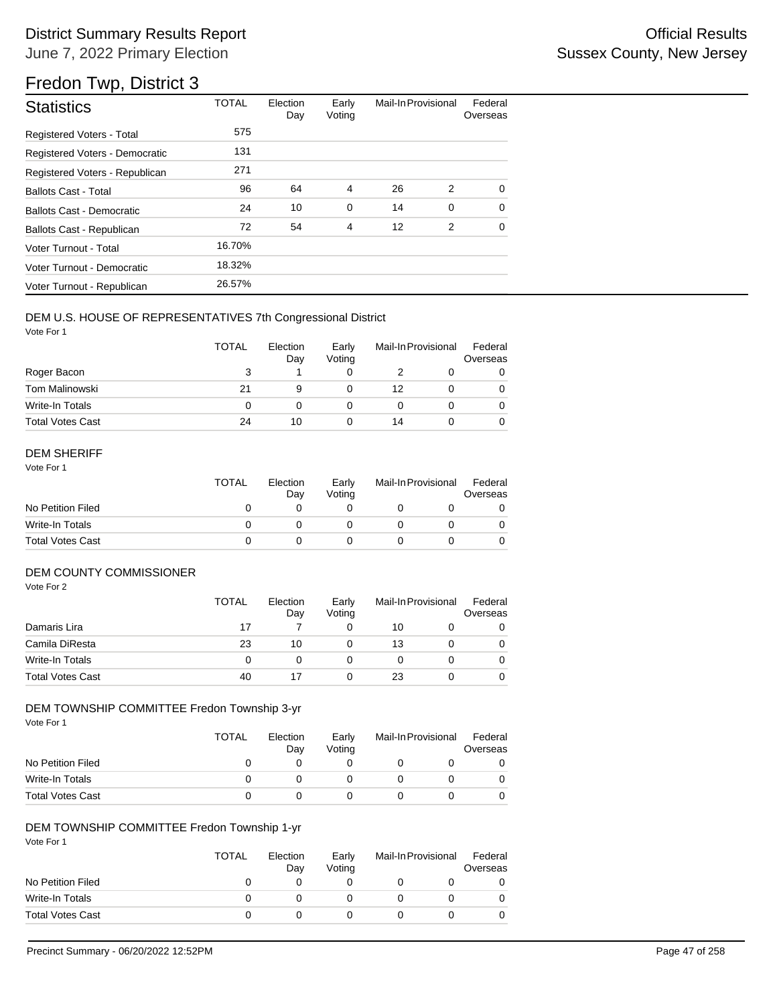# Fredon Twp, District 3

| <b>Statistics</b>                | <b>TOTAL</b> | Election<br>Day | Early<br>Voting | Mail-In Provisional |   | Federal<br>Overseas |
|----------------------------------|--------------|-----------------|-----------------|---------------------|---|---------------------|
| <b>Registered Voters - Total</b> | 575          |                 |                 |                     |   |                     |
| Registered Voters - Democratic   | 131          |                 |                 |                     |   |                     |
| Registered Voters - Republican   | 271          |                 |                 |                     |   |                     |
| <b>Ballots Cast - Total</b>      | 96           | 64              | 4               | 26                  | 2 | 0                   |
| Ballots Cast - Democratic        | 24           | 10              | $\mathbf 0$     | 14                  | 0 | $\Omega$            |
| Ballots Cast - Republican        | 72           | 54              | 4               | 12                  | 2 | 0                   |
| Voter Turnout - Total            | 16.70%       |                 |                 |                     |   |                     |
| Voter Turnout - Democratic       | 18.32%       |                 |                 |                     |   |                     |
| Voter Turnout - Republican       | 26.57%       |                 |                 |                     |   |                     |

## DEM U.S. HOUSE OF REPRESENTATIVES 7th Congressional District

Vote For 1

|                         | TOTAL | Election<br>Day | Early<br>Voting | Mail-In Provisional |  | Federal<br>Overseas |
|-------------------------|-------|-----------------|-----------------|---------------------|--|---------------------|
| Roger Bacon             |       |                 |                 |                     |  |                     |
| <b>Tom Malinowski</b>   | 21    | 9               |                 | 12                  |  |                     |
| Write-In Totals         | 0     |                 |                 |                     |  |                     |
| <b>Total Votes Cast</b> | 24    | 10              |                 | 14                  |  |                     |

## DEM SHERIFF

Vote For 1

|                         | <b>TOTAL</b> | Election<br>Dav | Early<br>Votina | Mail-In Provisional |  | Federal<br>Overseas |
|-------------------------|--------------|-----------------|-----------------|---------------------|--|---------------------|
| No Petition Filed       |              |                 |                 |                     |  |                     |
| Write-In Totals         |              |                 |                 |                     |  |                     |
| <b>Total Votes Cast</b> |              |                 |                 |                     |  |                     |

## DEM COUNTY COMMISSIONER

Vote For 2

|                         | <b>TOTAL</b> | Election<br>Day | Early<br>Votina | Mail-In Provisional |  | Federal<br>Overseas |
|-------------------------|--------------|-----------------|-----------------|---------------------|--|---------------------|
| Damaris Lira            | 17           |                 |                 | 10                  |  | 0                   |
| Camila DiResta          | 23           | 10              |                 | 13                  |  | $\Omega$            |
| Write-In Totals         | 0            |                 |                 |                     |  | $\Omega$            |
| <b>Total Votes Cast</b> | 40           |                 |                 | 23                  |  | 0                   |

## DEM TOWNSHIP COMMITTEE Fredon Township 3-yr

Vote For 1

|                         | TOTAL | Election<br>Day | Early<br>Votina | Mail-In Provisional | Federal<br>Overseas |
|-------------------------|-------|-----------------|-----------------|---------------------|---------------------|
| No Petition Filed       |       |                 |                 |                     |                     |
| Write-In Totals         |       |                 |                 |                     |                     |
| <b>Total Votes Cast</b> |       |                 |                 |                     |                     |

## DEM TOWNSHIP COMMITTEE Fredon Township 1-yr

|                         | <b>TOTAL</b> | Election<br>Day | Early<br>Voting | Mail-In Provisional | Federal<br>Overseas |
|-------------------------|--------------|-----------------|-----------------|---------------------|---------------------|
| No Petition Filed       | O            |                 |                 |                     |                     |
| Write-In Totals         |              |                 |                 |                     |                     |
| <b>Total Votes Cast</b> |              |                 |                 |                     |                     |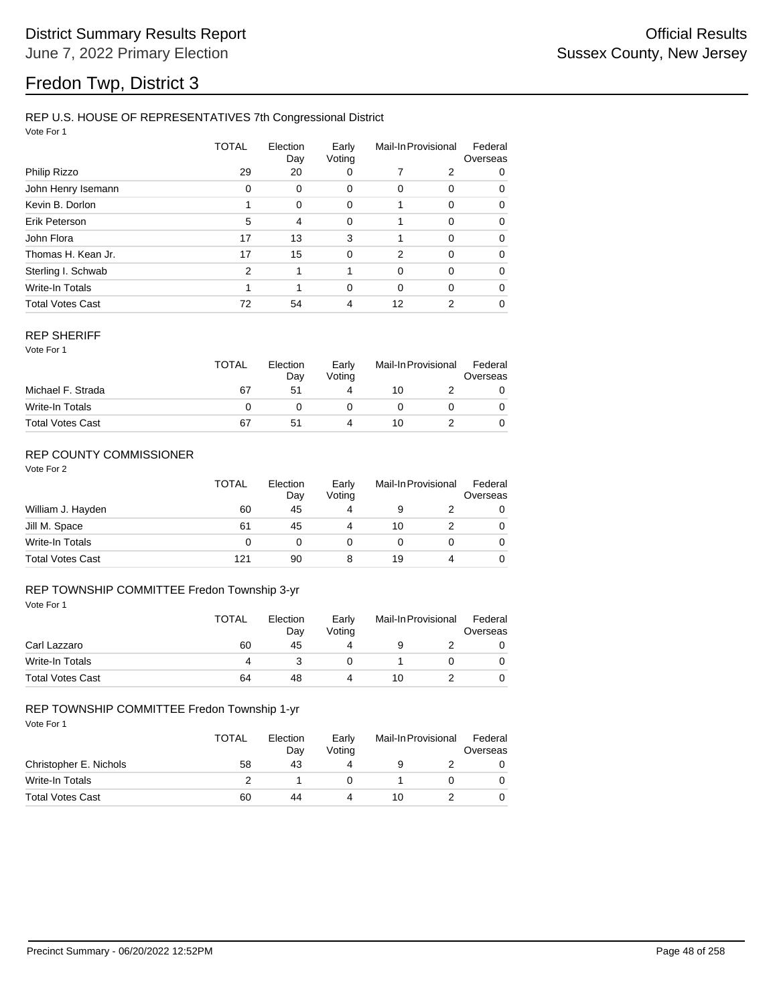# Fredon Twp, District 3

## REP U.S. HOUSE OF REPRESENTATIVES 7th Congressional District

Vote For 1

|                         | TOTAL         | Election<br>Day | Early<br>Voting | Mail-In Provisional |                | Federal<br>Overseas |  |
|-------------------------|---------------|-----------------|-----------------|---------------------|----------------|---------------------|--|
| Philip Rizzo            | 29            | 20              | 0               |                     | 2              | 0                   |  |
| John Henry Isemann      | 0             | 0               | 0               | 0                   | 0              | 0                   |  |
| Kevin B. Dorlon         |               | 0               | 0               |                     | 0              | 0                   |  |
| Erik Peterson           | 5             | 4               | 0               |                     | $\Omega$       | $\Omega$            |  |
| John Flora              | 17            | 13              | 3               | 1                   | $\Omega$       | $\Omega$            |  |
| Thomas H. Kean Jr.      | 17            | 15              | $\mathbf 0$     | 2                   | $\Omega$       | 0                   |  |
| Sterling I. Schwab      | $\mathcal{P}$ | 1               |                 | 0                   | $\Omega$       | $\Omega$            |  |
| Write-In Totals         |               | 1               | 0               | $\Omega$            | $\Omega$       | 0                   |  |
| <b>Total Votes Cast</b> | 72            | 54              | 4               | 12                  | $\overline{2}$ | 0                   |  |

#### REP SHERIFF

Vote For 1

|                         | <b>TOTAL</b> | Election<br>Day | Early<br>Voting | Mail-In Provisional |  | Federal<br>Overseas |
|-------------------------|--------------|-----------------|-----------------|---------------------|--|---------------------|
| Michael F. Strada       | 67           | 51              |                 | 10                  |  |                     |
| Write-In Totals         |              |                 |                 |                     |  |                     |
| <b>Total Votes Cast</b> | 67           | 51              |                 | 10                  |  |                     |

## REP COUNTY COMMISSIONER

Vote For 2

|                         | TOTAL | Election<br>Day | Early<br>Voting | Mail-In Provisional |   | Federal<br>Overseas |
|-------------------------|-------|-----------------|-----------------|---------------------|---|---------------------|
| William J. Hayden       | 60    | 45              | 4               |                     |   | 0                   |
| Jill M. Space           | 61    | 45              | 4               | 10                  |   | 0                   |
| Write-In Totals         | 0     | 0               | 0               |                     |   | 0                   |
| <b>Total Votes Cast</b> | 121   | 90              | 8               | 19                  | 4 | 0                   |

## REP TOWNSHIP COMMITTEE Fredon Township 3-yr

| Vote For 1              |              |                 |                 |                     |  |                     |
|-------------------------|--------------|-----------------|-----------------|---------------------|--|---------------------|
|                         | <b>TOTAL</b> | Election<br>Day | Early<br>Voting | Mail-In Provisional |  | Federal<br>Overseas |
| Carl Lazzaro            | 60           | 45              | 4               | 9                   |  | 0                   |
| Write-In Totals         | 4            |                 |                 |                     |  | 0                   |
| <b>Total Votes Cast</b> | 64           | 48              | 4               | 10                  |  | 0                   |

### REP TOWNSHIP COMMITTEE Fredon Township 1-yr

|                         | <b>TOTAL</b> | Election<br>Day | Early<br>Votina | Mail-In Provisional |  | Federal<br>Overseas |
|-------------------------|--------------|-----------------|-----------------|---------------------|--|---------------------|
| Christopher E. Nichols  | 58           | 43              |                 |                     |  |                     |
| Write-In Totals         |              |                 |                 |                     |  |                     |
| <b>Total Votes Cast</b> | 60           | 44              |                 | 10                  |  |                     |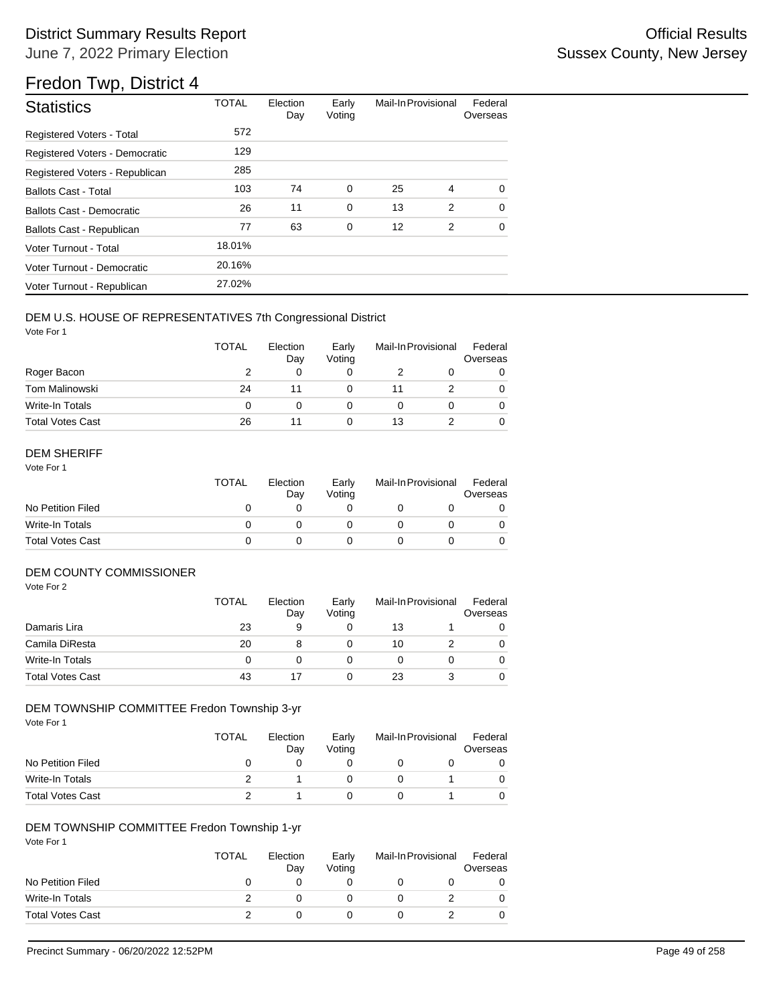# Fredon Twp, District 4

| <b>Statistics</b>              | <b>TOTAL</b> | Election<br>Day | Early<br>Voting | Mail-In Provisional |   | Federal<br>Overseas |
|--------------------------------|--------------|-----------------|-----------------|---------------------|---|---------------------|
| Registered Voters - Total      | 572          |                 |                 |                     |   |                     |
| Registered Voters - Democratic | 129          |                 |                 |                     |   |                     |
| Registered Voters - Republican | 285          |                 |                 |                     |   |                     |
| <b>Ballots Cast - Total</b>    | 103          | 74              | 0               | 25                  | 4 | $\Omega$            |
| Ballots Cast - Democratic      | 26           | 11              | 0               | 13                  | 2 | $\Omega$            |
| Ballots Cast - Republican      | 77           | 63              | 0               | 12                  | 2 | $\Omega$            |
| Voter Turnout - Total          | 18.01%       |                 |                 |                     |   |                     |
| Voter Turnout - Democratic     | 20.16%       |                 |                 |                     |   |                     |
| Voter Turnout - Republican     | 27.02%       |                 |                 |                     |   |                     |

## DEM U.S. HOUSE OF REPRESENTATIVES 7th Congressional District

Vote For 1

|                         | <b>TOTAL</b> | Election<br>Day | Early<br>Voting | Mail-In Provisional |  | Federal<br>Overseas |
|-------------------------|--------------|-----------------|-----------------|---------------------|--|---------------------|
| Roger Bacon             |              | 0               |                 |                     |  |                     |
| <b>Tom Malinowski</b>   | 24           |                 |                 | 11                  |  | 0                   |
| Write-In Totals         | 0            |                 |                 |                     |  |                     |
| <b>Total Votes Cast</b> | 26           |                 |                 | 13                  |  |                     |

## DEM SHERIFF

Vote For 1

|                         | <b>TOTAL</b> | Election<br>Dav | Early<br>Votina | Mail-In Provisional |  | Federal<br>Overseas |
|-------------------------|--------------|-----------------|-----------------|---------------------|--|---------------------|
| No Petition Filed       |              |                 |                 |                     |  |                     |
| Write-In Totals         |              |                 |                 |                     |  |                     |
| <b>Total Votes Cast</b> |              |                 |                 |                     |  |                     |

## DEM COUNTY COMMISSIONER

Vote For 2

|                         | <b>TOTAL</b> | Election<br>Day | Early<br>Votina | Mail-In Provisional |  | Federal<br>Overseas |
|-------------------------|--------------|-----------------|-----------------|---------------------|--|---------------------|
| Damaris Lira            | 23           | 9               |                 | 13                  |  |                     |
| Camila DiResta          | 20           |                 |                 | 10                  |  | 0                   |
| Write-In Totals         | 0            |                 |                 |                     |  | 0                   |
| <b>Total Votes Cast</b> | 43           |                 |                 | 23                  |  | 0                   |

## DEM TOWNSHIP COMMITTEE Fredon Township 3-yr

Vote For 1

|                         | TOTAL | Election<br>Day | Early<br>Votina | Mail-In Provisional |  | Federal<br>Overseas |
|-------------------------|-------|-----------------|-----------------|---------------------|--|---------------------|
| No Petition Filed       |       |                 |                 |                     |  |                     |
| Write-In Totals         |       |                 |                 |                     |  |                     |
| <b>Total Votes Cast</b> |       |                 |                 |                     |  |                     |

### DEM TOWNSHIP COMMITTEE Fredon Township 1-yr

|                         | <b>TOTAL</b> | Election<br>Day | Early<br>Voting | Mail-In Provisional |  | Federal<br>Overseas |  |
|-------------------------|--------------|-----------------|-----------------|---------------------|--|---------------------|--|
| No Petition Filed       |              |                 |                 |                     |  |                     |  |
| Write-In Totals         |              |                 |                 |                     |  |                     |  |
| <b>Total Votes Cast</b> |              |                 |                 |                     |  |                     |  |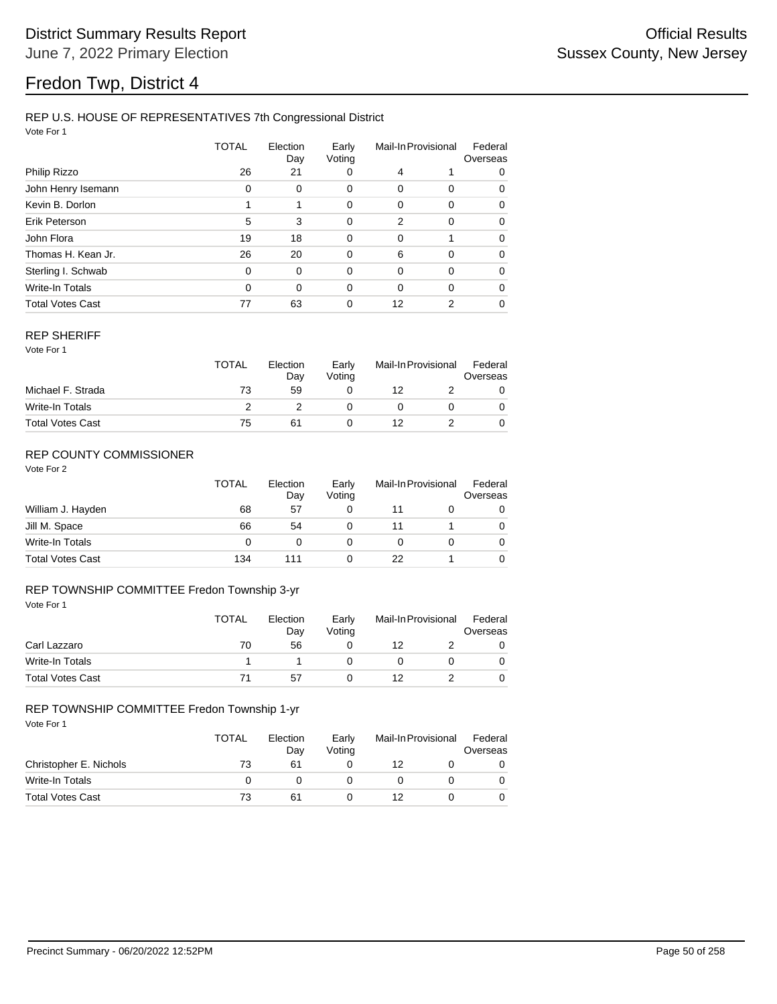# Fredon Twp, District 4

## REP U.S. HOUSE OF REPRESENTATIVES 7th Congressional District

Vote For 1

|                         | TOTAL    | Election<br>Day | Early<br>Voting | Mail-In Provisional |                | Federal<br>Overseas |  |
|-------------------------|----------|-----------------|-----------------|---------------------|----------------|---------------------|--|
| Philip Rizzo            | 26       | 21              | 0               | 4                   |                | 0                   |  |
| John Henry Isemann      | 0        | 0               | 0               | 0                   | 0              | 0                   |  |
| Kevin B. Dorlon         |          | 1               | 0               | 0                   | 0              | 0                   |  |
| Erik Peterson           | 5        | 3               | 0               | 2                   | 0              | $\Omega$            |  |
| John Flora              | 19       | 18              | 0               | 0                   | 1              | $\Omega$            |  |
| Thomas H. Kean Jr.      | 26       | 20              | 0               | 6                   | 0              | 0                   |  |
| Sterling I. Schwab      | 0        | $\Omega$        | 0               | 0                   | $\Omega$       | $\Omega$            |  |
| <b>Write-In Totals</b>  | $\Omega$ | $\Omega$        | 0               | $\Omega$            | $\Omega$       | $\Omega$            |  |
| <b>Total Votes Cast</b> | 77       | 63              | 0               | 12                  | $\overline{2}$ | 0                   |  |

#### REP SHERIFF

Vote For 1

|                         | <b>TOTAL</b> | Election<br>Day | Early<br>Voting | Mail-In Provisional |  | Federal<br>Overseas |
|-------------------------|--------------|-----------------|-----------------|---------------------|--|---------------------|
| Michael F. Strada       | 73           | 59              |                 | 12                  |  |                     |
| Write-In Totals         |              |                 |                 |                     |  |                     |
| <b>Total Votes Cast</b> | 75           | 61              |                 | 12                  |  |                     |

## REP COUNTY COMMISSIONER

Vote For 2

|                         | TOTAL | Election<br>Day | Early<br>Voting | Mail-In Provisional |  | Federal<br>Overseas |
|-------------------------|-------|-----------------|-----------------|---------------------|--|---------------------|
| William J. Hayden       | 68    | 57              | 0               | 11                  |  | 0                   |
| Jill M. Space           | 66    | 54              | 0               | 11                  |  | 0                   |
| Write-In Totals         | 0     | 0               |                 |                     |  | 0                   |
| <b>Total Votes Cast</b> | 134   | 111             | 0               | 22                  |  | 0                   |

## REP TOWNSHIP COMMITTEE Fredon Township 3-yr

| Vote For 1              |              |                 |                 |                     |  |                     |
|-------------------------|--------------|-----------------|-----------------|---------------------|--|---------------------|
|                         | <b>TOTAL</b> | Election<br>Day | Early<br>Voting | Mail-In Provisional |  | Federal<br>Overseas |
| Carl Lazzaro            | 70           | 56              |                 | 12                  |  | 0                   |
| Write-In Totals         |              |                 |                 | 0                   |  | 0                   |
| <b>Total Votes Cast</b> | 71           | 57              |                 | 12                  |  | 0                   |

### REP TOWNSHIP COMMITTEE Fredon Township 1-yr

|                         | <b>TOTAL</b> | Election<br>Day | Early<br>Votina | Mail-In Provisional |  | Federal<br>Overseas |
|-------------------------|--------------|-----------------|-----------------|---------------------|--|---------------------|
| Christopher E. Nichols  | 73           | 61              |                 | 12                  |  |                     |
| Write-In Totals         |              |                 |                 |                     |  |                     |
| <b>Total Votes Cast</b> | 73           | 61              |                 | 12                  |  |                     |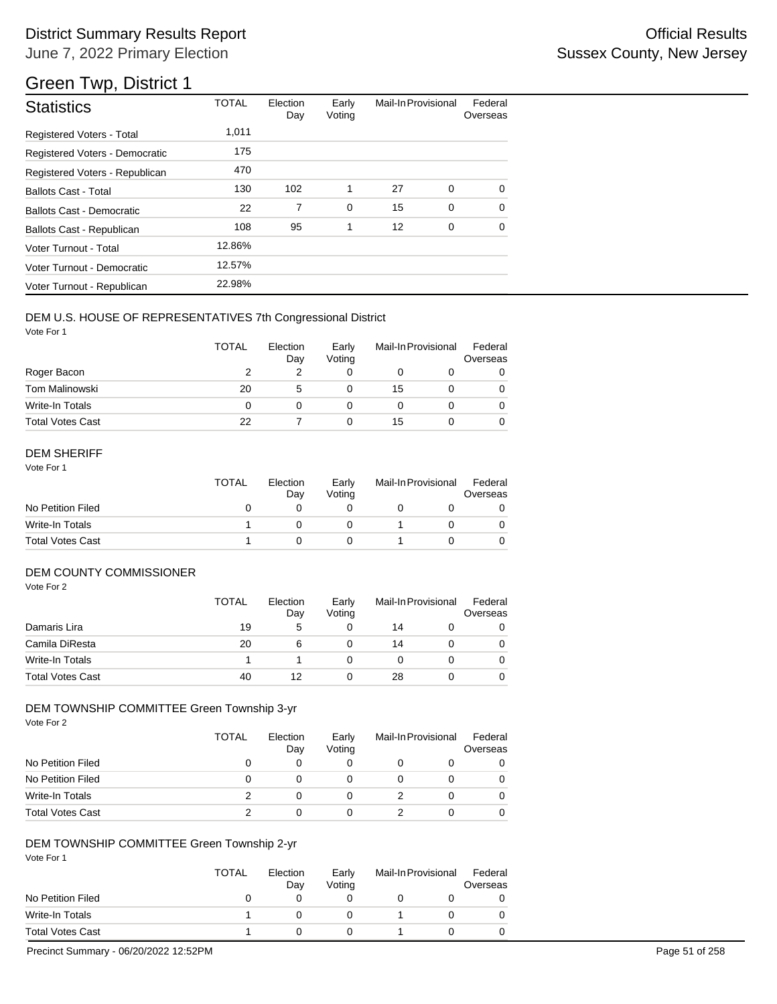| <b>Statistics</b>                | <b>TOTAL</b> | Election<br>Day | Early<br>Voting | Mail-In Provisional |   | Federal<br>Overseas |
|----------------------------------|--------------|-----------------|-----------------|---------------------|---|---------------------|
| <b>Registered Voters - Total</b> | 1,011        |                 |                 |                     |   |                     |
| Registered Voters - Democratic   | 175          |                 |                 |                     |   |                     |
| Registered Voters - Republican   | 470          |                 |                 |                     |   |                     |
| <b>Ballots Cast - Total</b>      | 130          | 102             | 1               | 27                  | 0 | $\Omega$            |
| <b>Ballots Cast - Democratic</b> | 22           | 7               | 0               | 15                  | 0 | $\Omega$            |
| Ballots Cast - Republican        | 108          | 95              | 1               | 12                  | 0 | $\Omega$            |
| Voter Turnout - Total            | 12.86%       |                 |                 |                     |   |                     |
| Voter Turnout - Democratic       | 12.57%       |                 |                 |                     |   |                     |
| Voter Turnout - Republican       | 22.98%       |                 |                 |                     |   |                     |

## DEM U.S. HOUSE OF REPRESENTATIVES 7th Congressional District

Vote For 1

|                         | TOTAL | Election<br>Day | Early<br>Voting |    | Mail-In Provisional | Federal<br>Overseas |
|-------------------------|-------|-----------------|-----------------|----|---------------------|---------------------|
| Roger Bacon             |       |                 |                 |    |                     |                     |
| <b>Tom Malinowski</b>   | 20    | 5               |                 | 15 |                     |                     |
| Write-In Totals         | 0     |                 |                 |    |                     |                     |
| <b>Total Votes Cast</b> | 22    |                 |                 | 15 |                     |                     |

## DEM SHERIFF

Vote For 1

|                         | TOTAL | Election<br>Dav | Early<br>Votina | Mail-In Provisional |  | Federal<br>Overseas |
|-------------------------|-------|-----------------|-----------------|---------------------|--|---------------------|
| No Petition Filed       |       |                 |                 |                     |  |                     |
| Write-In Totals         |       |                 |                 |                     |  |                     |
| <b>Total Votes Cast</b> |       |                 |                 |                     |  |                     |

## DEM COUNTY COMMISSIONER

Vote For 2

|                         | <b>TOTAL</b> | Election<br>Day | Early<br>Votina | Mail-In Provisional |  | Federal<br>Overseas |
|-------------------------|--------------|-----------------|-----------------|---------------------|--|---------------------|
| Damaris Lira            | 19           | 5               |                 | 14                  |  | 0                   |
| Camila DiResta          | 20           | 6               |                 | 14                  |  | 0                   |
| Write-In Totals         |              |                 |                 |                     |  | $\Omega$            |
| <b>Total Votes Cast</b> | 40           | 12              |                 | 28                  |  | 0                   |

## DEM TOWNSHIP COMMITTEE Green Township 3-yr

Vote For 2

|                         | <b>TOTAL</b> | Election<br>Day | Early<br>Voting | Mail-In Provisional | Federal<br>Overseas |
|-------------------------|--------------|-----------------|-----------------|---------------------|---------------------|
| No Petition Filed       | O            |                 |                 |                     |                     |
| No Petition Filed       | 0            |                 |                 |                     |                     |
| Write-In Totals         |              |                 |                 |                     |                     |
| <b>Total Votes Cast</b> |              |                 |                 |                     |                     |

## DEM TOWNSHIP COMMITTEE Green Township 2-yr

Vote For 1

|                         | <b>TOTAL</b> | Election<br>Day | Early<br>Votina | Mail-In Provisional | Federal<br>Overseas |
|-------------------------|--------------|-----------------|-----------------|---------------------|---------------------|
| No Petition Filed       |              |                 |                 |                     |                     |
| Write-In Totals         |              |                 |                 |                     |                     |
| <b>Total Votes Cast</b> |              |                 |                 |                     |                     |

Precinct Summary - 06/20/2022 12:52PM Page 51 of 258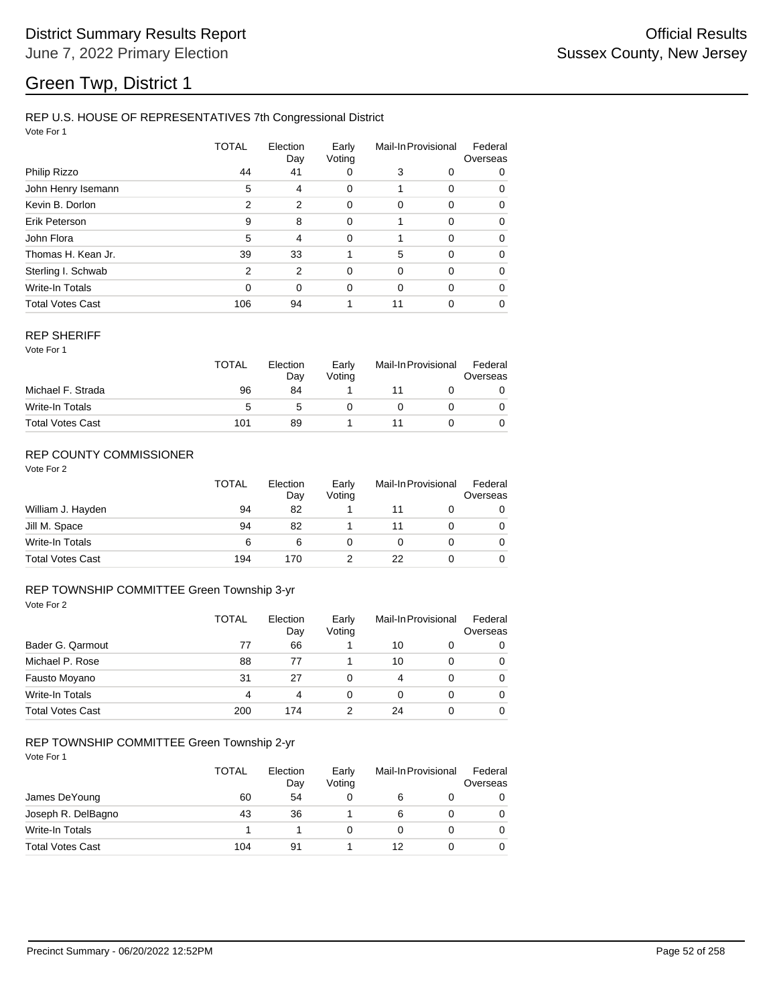## REP U.S. HOUSE OF REPRESENTATIVES 7th Congressional District

Vote For 1

|                         | TOTAL          | Election<br>Day | Early<br>Voting | Mail-In Provisional |          | Federal<br>Overseas |
|-------------------------|----------------|-----------------|-----------------|---------------------|----------|---------------------|
| Philip Rizzo            | 44             | 41              | 0               | 3                   | 0        | 0                   |
| John Henry Isemann      | 5              | 4               | 0               |                     | 0        | 0                   |
| Kevin B. Dorlon         | 2              | 2               | 0               | $\Omega$            | 0        | 0                   |
| Erik Peterson           | 9              | 8               | 0               |                     | 0        | 0                   |
| John Flora              | 5              | $\overline{4}$  | 0               |                     | $\Omega$ | 0                   |
| Thomas H. Kean Jr.      | 39             | 33              |                 | 5                   | $\Omega$ | 0                   |
| Sterling I. Schwab      | $\mathfrak{p}$ | 2               | $\Omega$        | $\Omega$            | 0        | 0                   |
| <b>Write-In Totals</b>  | $\Omega$       | $\Omega$        | 0               | 0                   | $\Omega$ | 0                   |
| <b>Total Votes Cast</b> | 106            | 94              |                 | 11                  | 0        | 0                   |

#### REP SHERIFF

Vote For 1

|                         | TOTAL | Election<br>Day | Early<br>Votina | Mail-In Provisional |  | Federal<br>Overseas |
|-------------------------|-------|-----------------|-----------------|---------------------|--|---------------------|
| Michael F. Strada       | 96    | 84              |                 |                     |  |                     |
| Write-In Totals         | 5     |                 |                 |                     |  |                     |
| <b>Total Votes Cast</b> | 101   | 89              |                 |                     |  |                     |

## REP COUNTY COMMISSIONER

Vote For 2

|                         | TOTAL | Election<br>Day | Early<br>Voting | Mail-In Provisional | Federal<br>Overseas |
|-------------------------|-------|-----------------|-----------------|---------------------|---------------------|
| William J. Hayden       | 94    | 82              |                 | 11                  | 0                   |
| Jill M. Space           | 94    | 82              |                 |                     | 0                   |
| Write-In Totals         | 6     | 6               |                 |                     | 0                   |
| <b>Total Votes Cast</b> | 194   | 170             |                 | 22                  | 0                   |

#### Vote For 2 REP TOWNSHIP COMMITTEE Green Township 3-yr

|                         | <b>TOTAL</b> | Election<br>Day | Early<br>Voting |    | Mail-In Provisional | Federal<br>Overseas |
|-------------------------|--------------|-----------------|-----------------|----|---------------------|---------------------|
| Bader G. Qarmout        | 77           | 66              |                 | 10 | 0                   | 0                   |
| Michael P. Rose         | 88           | 77              |                 | 10 | 0                   | 0                   |
| Fausto Moyano           | 31           | 27              | 0               | 4  | $\Omega$            | $\Omega$            |
| Write-In Totals         | 4            | 4               | 0               | 0  | 0                   | 0                   |
| <b>Total Votes Cast</b> | 200          | 174             |                 | 24 | 0                   | 0                   |

## REP TOWNSHIP COMMITTEE Green Township 2-yr

|                         | <b>TOTAL</b> | Election<br>Day | Early<br>Voting |    | Mail-In Provisional | Federal<br>Overseas |
|-------------------------|--------------|-----------------|-----------------|----|---------------------|---------------------|
| James DeYoung           | 60           | 54              |                 | 6  |                     | 0                   |
| Joseph R. DelBagno      | 43           | 36              |                 | 6  |                     | 0                   |
| Write-In Totals         |              |                 |                 |    |                     | 0                   |
| <b>Total Votes Cast</b> | 104          | 91              |                 | 12 |                     | 0                   |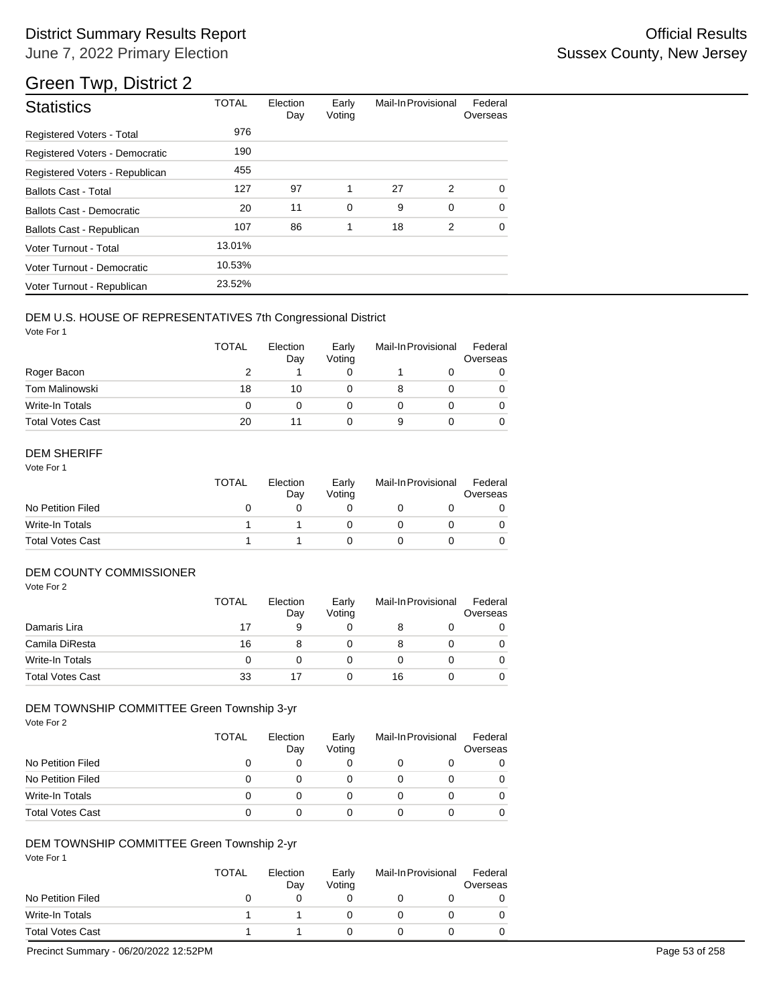# District Summary Results Report **Container and Container Container Container Container Container Container Container** June 7, 2022 Primary Election

# Green Twp, District 2

| <b>Statistics</b>              | <b>TOTAL</b> | Election<br>Day | Early<br>Voting | Mail-In Provisional |             | Federal<br>Overseas |
|--------------------------------|--------------|-----------------|-----------------|---------------------|-------------|---------------------|
| Registered Voters - Total      | 976          |                 |                 |                     |             |                     |
| Registered Voters - Democratic | 190          |                 |                 |                     |             |                     |
| Registered Voters - Republican | 455          |                 |                 |                     |             |                     |
| <b>Ballots Cast - Total</b>    | 127          | 97              | 1               | 27                  | 2           | $\Omega$            |
| Ballots Cast - Democratic      | 20           | 11              | 0               | 9                   | $\mathbf 0$ | $\Omega$            |
| Ballots Cast - Republican      | 107          | 86              | 1               | 18                  | 2           | $\Omega$            |
| Voter Turnout - Total          | 13.01%       |                 |                 |                     |             |                     |
| Voter Turnout - Democratic     | 10.53%       |                 |                 |                     |             |                     |
| Voter Turnout - Republican     | 23.52%       |                 |                 |                     |             |                     |

## DEM U.S. HOUSE OF REPRESENTATIVES 7th Congressional District

Vote For 1

|                         | <b>TOTAL</b> | Election<br>Day | Early<br>Voting | Mail-In Provisional |  | Federal<br>Overseas |
|-------------------------|--------------|-----------------|-----------------|---------------------|--|---------------------|
| Roger Bacon             |              |                 |                 |                     |  | 0                   |
| Tom Malinowski          | 18           | 10              |                 |                     |  | 0                   |
| Write-In Totals         | $\Omega$     |                 |                 |                     |  | 0                   |
| <b>Total Votes Cast</b> | 20           | 11              |                 | 9                   |  |                     |

## DEM SHERIFF

Vote For 1

|                         | <b>TOTAL</b> | Election<br>Dav | Early<br>Votina | Mail-In Provisional |  | Federal<br>Overseas |
|-------------------------|--------------|-----------------|-----------------|---------------------|--|---------------------|
| No Petition Filed       |              |                 |                 |                     |  |                     |
| Write-In Totals         |              |                 |                 |                     |  |                     |
| <b>Total Votes Cast</b> |              |                 |                 |                     |  |                     |

## DEM COUNTY COMMISSIONER

Vote For 2

|                         | <b>TOTAL</b> | Election<br>Day | Early<br>Votina | Mail-In Provisional |  | Federal<br>Overseas |
|-------------------------|--------------|-----------------|-----------------|---------------------|--|---------------------|
| Damaris Lira            | 17           | 9               |                 |                     |  | 0                   |
| Camila DiResta          | 16           |                 |                 |                     |  | 0                   |
| Write-In Totals         | 0            |                 |                 |                     |  | $\Omega$            |
| <b>Total Votes Cast</b> | 33           |                 |                 | 16                  |  | 0                   |

## DEM TOWNSHIP COMMITTEE Green Township 3-yr

Vote For 2

|                         | <b>TOTAL</b> | Election<br>Day | Early<br>Voting | Mail-In Provisional | Federal<br>Overseas |
|-------------------------|--------------|-----------------|-----------------|---------------------|---------------------|
| No Petition Filed       |              |                 | O               |                     |                     |
| No Petition Filed       |              |                 |                 |                     |                     |
| Write-In Totals         |              | $\mathbf{I}$    | $\mathbf{0}$    |                     |                     |
| <b>Total Votes Cast</b> |              |                 |                 |                     |                     |

## DEM TOWNSHIP COMMITTEE Green Township 2-yr

Vote For 1

|                         | <b>TOTAL</b> | Election<br>Day | Early<br>Votina | Mail-In Provisional | Federal<br>Overseas |
|-------------------------|--------------|-----------------|-----------------|---------------------|---------------------|
| No Petition Filed       |              |                 |                 |                     |                     |
| Write-In Totals         |              |                 |                 |                     |                     |
| <b>Total Votes Cast</b> |              |                 |                 |                     |                     |

Precinct Summary - 06/20/2022 12:52PM Page 53 of 258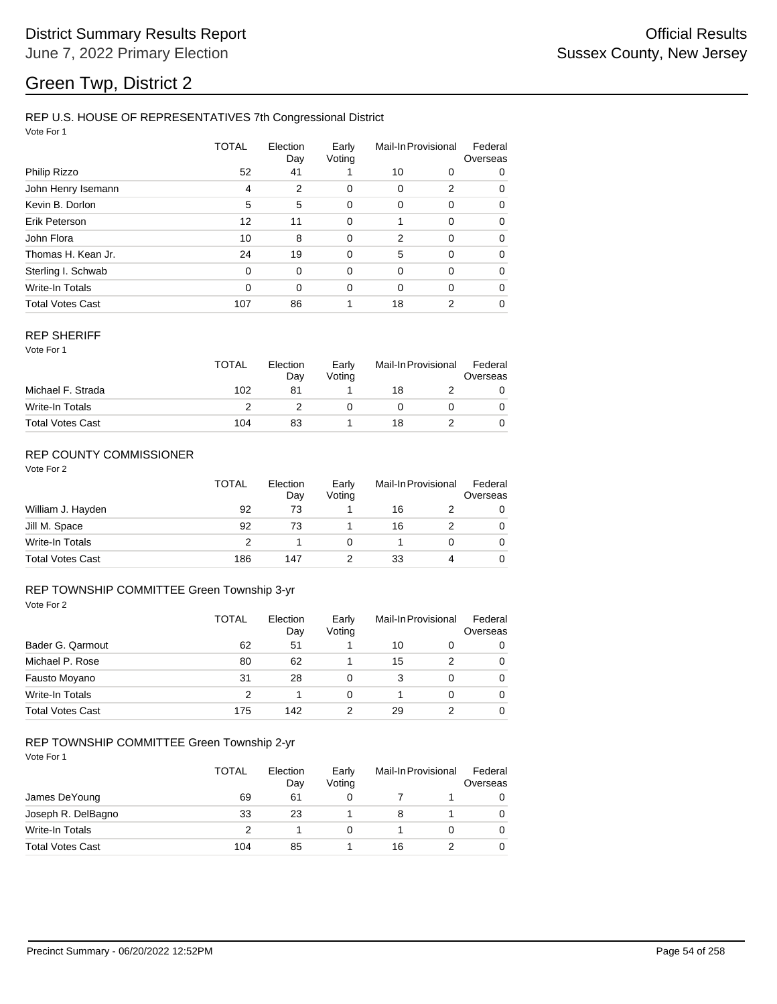## REP U.S. HOUSE OF REPRESENTATIVES 7th Congressional District

Vote For 1

|                         | TOTAL    | Election<br>Day | Early<br>Voting | Mail-In Provisional |             | Federal<br>Overseas |
|-------------------------|----------|-----------------|-----------------|---------------------|-------------|---------------------|
| Philip Rizzo            | 52       | 41              |                 | 10                  | 0           | 0                   |
| John Henry Isemann      | 4        | 2               | 0               | 0                   | 2           | 0                   |
| Kevin B. Dorlon         | 5        | 5               | 0               | 0                   | 0           | 0                   |
| Erik Peterson           | 12       | 11              | 0               |                     | 0           | 0                   |
| John Flora              | 10       | 8               | $\mathbf 0$     | 2                   | $\mathbf 0$ | 0                   |
| Thomas H. Kean Jr.      | 24       | 19              | 0               | 5                   | 0           | 0                   |
| Sterling I. Schwab      | $\Omega$ | 0               | 0               | 0                   | $\Omega$    | 0                   |
| <b>Write-In Totals</b>  | $\Omega$ | 0               | 0               | 0                   | $\Omega$    | 0                   |
| <b>Total Votes Cast</b> | 107      | 86              |                 | 18                  | 2           | 0                   |

#### REP SHERIFF

Vote For 1

|                         | TOTAL | Election<br>Dav | Early<br>Votina | Mail-In Provisional |  | Federal<br>Overseas |  |
|-------------------------|-------|-----------------|-----------------|---------------------|--|---------------------|--|
| Michael F. Strada       | 102   | 81              |                 | 18                  |  |                     |  |
| Write-In Totals         |       |                 |                 |                     |  |                     |  |
| <b>Total Votes Cast</b> | 104   | 83              |                 | 18                  |  |                     |  |

## REP COUNTY COMMISSIONER

Vote For 2

|                         | TOTAL | Election<br>Day | Early<br>Voting | Mail-In Provisional |   | Federal<br>Overseas |
|-------------------------|-------|-----------------|-----------------|---------------------|---|---------------------|
| William J. Hayden       | 92    | 73              |                 | 16                  |   | 0                   |
| Jill M. Space           | 92    | 73              |                 | 16                  |   | 0                   |
| Write-In Totals         |       |                 |                 |                     |   | 0                   |
| <b>Total Votes Cast</b> | 186   | 147             |                 | 33                  | 4 | 0                   |

#### Vote For 2 REP TOWNSHIP COMMITTEE Green Township 3-yr

|                         | <b>TOTAL</b> | Election<br>Day | Early<br>Voting |    | Mail-In Provisional | Federal<br>Overseas |
|-------------------------|--------------|-----------------|-----------------|----|---------------------|---------------------|
| Bader G. Qarmout        | 62           | 51              |                 | 10 | 0                   | 0                   |
| Michael P. Rose         | 80           | 62              |                 | 15 | 2                   | 0                   |
| Fausto Moyano           | 31           | 28              | 0               | 3  | $\Omega$            | $\Omega$            |
| Write-In Totals         | 2            |                 | 0               |    | $\Omega$            | 0                   |
| <b>Total Votes Cast</b> | 175          | 142             |                 | 29 |                     | 0                   |

# REP TOWNSHIP COMMITTEE Green Township 2-yr

|                         | TOTAL | Election<br>Day | Early<br>Voting |    | Mail-In Provisional | Federal<br>Overseas |
|-------------------------|-------|-----------------|-----------------|----|---------------------|---------------------|
| James DeYoung           | 69    | 61              |                 |    |                     | 0                   |
| Joseph R. DelBagno      | 33    | 23              |                 |    |                     | 0                   |
| Write-In Totals         |       |                 |                 |    |                     | 0                   |
| <b>Total Votes Cast</b> | 104   | 85              |                 | 16 |                     | 0                   |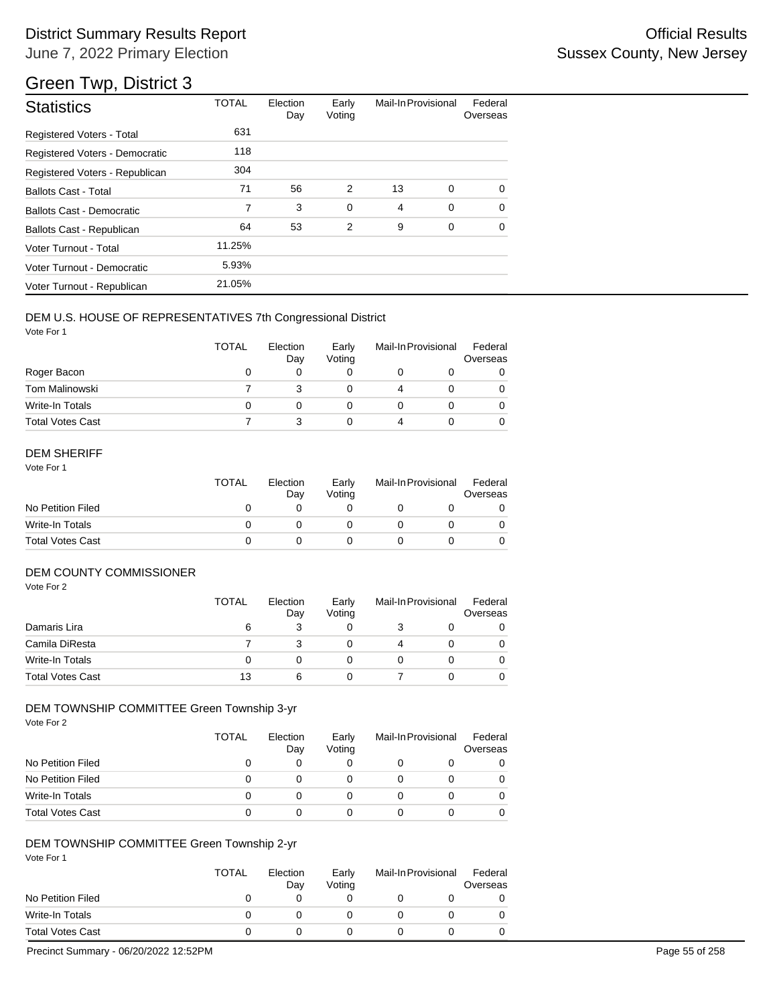| <b>Statistics</b>                | <b>TOTAL</b> | Election<br>Day | Early<br>Voting | Mail-In Provisional |             | Federal<br>Overseas |
|----------------------------------|--------------|-----------------|-----------------|---------------------|-------------|---------------------|
| <b>Registered Voters - Total</b> | 631          |                 |                 |                     |             |                     |
| Registered Voters - Democratic   | 118          |                 |                 |                     |             |                     |
| Registered Voters - Republican   | 304          |                 |                 |                     |             |                     |
| <b>Ballots Cast - Total</b>      | 71           | 56              | 2               | 13                  | $\mathbf 0$ | $\Omega$            |
| <b>Ballots Cast - Democratic</b> | 7            | 3               | 0               | 4                   | 0           | $\Omega$            |
| Ballots Cast - Republican        | 64           | 53              | 2               | 9                   | 0           | $\Omega$            |
| Voter Turnout - Total            | 11.25%       |                 |                 |                     |             |                     |
| Voter Turnout - Democratic       | 5.93%        |                 |                 |                     |             |                     |
| Voter Turnout - Republican       | 21.05%       |                 |                 |                     |             |                     |

## DEM U.S. HOUSE OF REPRESENTATIVES 7th Congressional District

Vote For 1

|                         | <b>TOTAL</b> | Election<br>Day | Early<br>Voting | Mail-In Provisional | Federal<br>Overseas |
|-------------------------|--------------|-----------------|-----------------|---------------------|---------------------|
| Roger Bacon             | O            |                 |                 |                     |                     |
| <b>Tom Malinowski</b>   |              |                 |                 |                     |                     |
| Write-In Totals         |              |                 |                 |                     |                     |
| <b>Total Votes Cast</b> |              |                 |                 |                     |                     |

## DEM SHERIFF

Vote For 1

|                         | TOTAL | Election<br>Dav | Early<br>Votina | Mail-In Provisional |  | Federal<br>Overseas |
|-------------------------|-------|-----------------|-----------------|---------------------|--|---------------------|
| No Petition Filed       |       |                 |                 |                     |  |                     |
| Write-In Totals         |       |                 |                 |                     |  |                     |
| <b>Total Votes Cast</b> |       |                 |                 |                     |  |                     |

## DEM COUNTY COMMISSIONER

Vote For 2

|                         | <b>TOTAL</b> | Election<br>Day | Early<br>Votina | Mail-In Provisional |  | Federal<br>Overseas |
|-------------------------|--------------|-----------------|-----------------|---------------------|--|---------------------|
| Damaris Lira            | 6            |                 |                 |                     |  | 0                   |
| Camila DiResta          |              |                 |                 |                     |  | 0                   |
| Write-In Totals         |              |                 |                 |                     |  | 0                   |
| <b>Total Votes Cast</b> | 13           | 6               |                 |                     |  | 0                   |

### DEM TOWNSHIP COMMITTEE Green Township 3-yr

Vote For 2

|                         | TOTAL | Election<br>Day | Early<br>Voting | Mail-In Provisional | Federal<br>Overseas |
|-------------------------|-------|-----------------|-----------------|---------------------|---------------------|
| No Petition Filed       | O     |                 |                 |                     |                     |
| No Petition Filed       | Ω     | $\mathbf{0}$    |                 |                     |                     |
| Write-In Totals         | O     | $\mathbf{0}$    |                 |                     |                     |
| <b>Total Votes Cast</b> | 0     |                 |                 |                     |                     |

### DEM TOWNSHIP COMMITTEE Green Township 2-yr

Vote For 1

|                         | <b>TOTAL</b> | Election<br>Day | Early<br>Votina | Mail-In Provisional | Federal<br>Overseas |
|-------------------------|--------------|-----------------|-----------------|---------------------|---------------------|
| No Petition Filed       |              |                 |                 |                     |                     |
| Write-In Totals         |              |                 |                 |                     |                     |
| <b>Total Votes Cast</b> |              |                 |                 |                     |                     |

Precinct Summary - 06/20/2022 12:52PM Page 55 of 258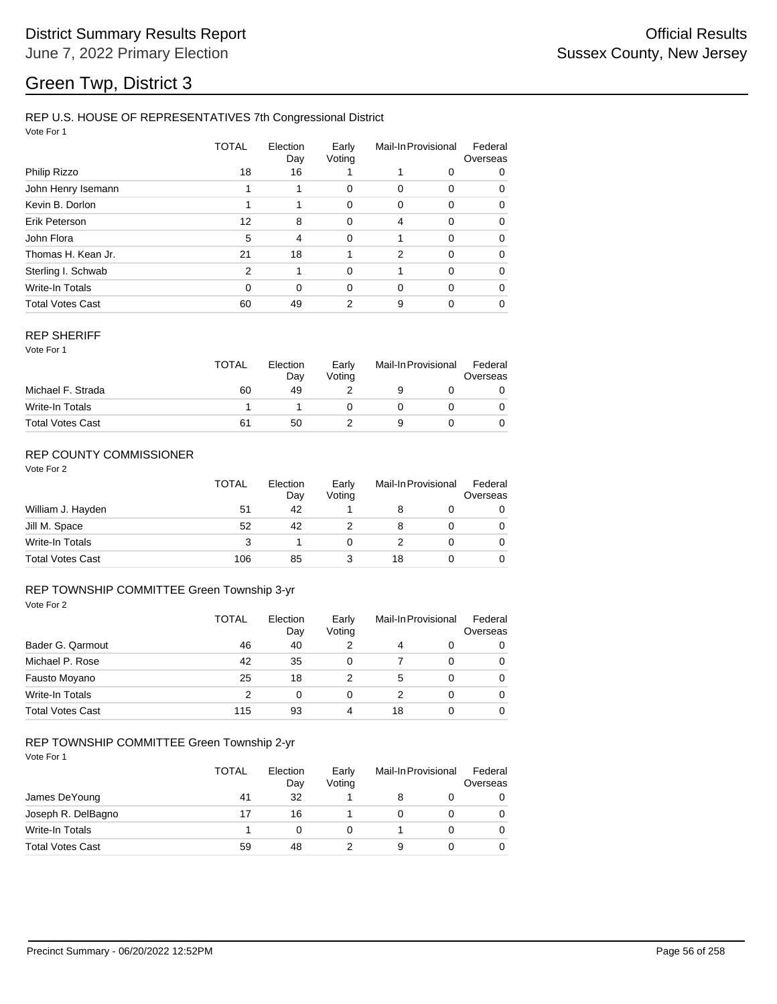## REP U.S. HOUSE OF REPRESENTATIVES 7th Congressional District

Vote For 1

|                         | <b>TOTAL</b>  | Election<br>Day | Early<br>Voting | Mail-In Provisional |          | Federal<br>Overseas |
|-------------------------|---------------|-----------------|-----------------|---------------------|----------|---------------------|
| Philip Rizzo            | 18            | 16              |                 |                     | 0        | 0                   |
| John Henry Isemann      |               | 1               | 0               | 0                   | 0        | 0                   |
| Kevin B. Dorlon         |               | 1               | 0               | 0                   | 0        | 0                   |
| Erik Peterson           | 12            | 8               | 0               | 4                   | 0        | 0                   |
| John Flora              | 5             | $\overline{4}$  | $\mathbf 0$     |                     | $\Omega$ | 0                   |
| Thomas H. Kean Jr.      | 21            | 18              |                 | 2                   | $\Omega$ | 0                   |
| Sterling I. Schwab      | $\mathcal{P}$ | 1               | $\Omega$        |                     | $\Omega$ | $\Omega$            |
| Write-In Totals         | $\Omega$      | $\Omega$        | 0               | 0                   | $\Omega$ | 0                   |
| <b>Total Votes Cast</b> | 60            | 49              | 2               | 9                   | 0        | 0                   |

#### REP SHERIFF

Vote For 1

|                         | TOTAL | Election<br>Dav | Early<br>Votina | Mail-In Provisional |  | Federal<br>Overseas |  |
|-------------------------|-------|-----------------|-----------------|---------------------|--|---------------------|--|
| Michael F. Strada       | 60    | 49              |                 |                     |  |                     |  |
| Write-In Totals         |       |                 |                 |                     |  |                     |  |
| <b>Total Votes Cast</b> | 61    | 50              |                 |                     |  |                     |  |

## REP COUNTY COMMISSIONER

Vote For 2

|                         | <b>TOTAL</b> | Election<br>Day | Early<br>Voting | Mail-In Provisional |  | Federal<br>Overseas |
|-------------------------|--------------|-----------------|-----------------|---------------------|--|---------------------|
| William J. Hayden       | 51           | 42              |                 |                     |  | 0                   |
| Jill M. Space           | 52           | 42              |                 |                     |  | 0                   |
| Write-In Totals         | 3            |                 |                 |                     |  | 0                   |
| <b>Total Votes Cast</b> | 106          | 85              |                 | 18                  |  |                     |

#### Vote For 2 REP TOWNSHIP COMMITTEE Green Township 3-yr

|                         | <b>TOTAL</b> | Election<br>Day | Early<br>Voting |    | Mail-In Provisional | Federal<br>Overseas |
|-------------------------|--------------|-----------------|-----------------|----|---------------------|---------------------|
| Bader G. Qarmout        | 46           | 40              |                 | 4  | 0                   | 0                   |
| Michael P. Rose         | 42           | 35              | 0               |    | 0                   | 0                   |
| Fausto Moyano           | 25           | 18              |                 | 5  | 0                   | $\Omega$            |
| Write-In Totals         | 2            | 0               | 0               | 2  | $\Omega$            | 0                   |
| <b>Total Votes Cast</b> | 115          | 93              | 4               | 18 | 0                   | 0                   |

# REP TOWNSHIP COMMITTEE Green Township 2-yr

|                         | <b>TOTAL</b> | Election<br>Day | Early<br>Voting |   | Mail-In Provisional | Federal<br>Overseas |
|-------------------------|--------------|-----------------|-----------------|---|---------------------|---------------------|
| James DeYoung           | 41           | 32              |                 | 8 |                     | 0                   |
| Joseph R. DelBagno      | 17           | 16              |                 |   |                     | 0                   |
| Write-In Totals         |              |                 |                 |   |                     | 0                   |
| <b>Total Votes Cast</b> | 59           | 48              |                 | 9 |                     |                     |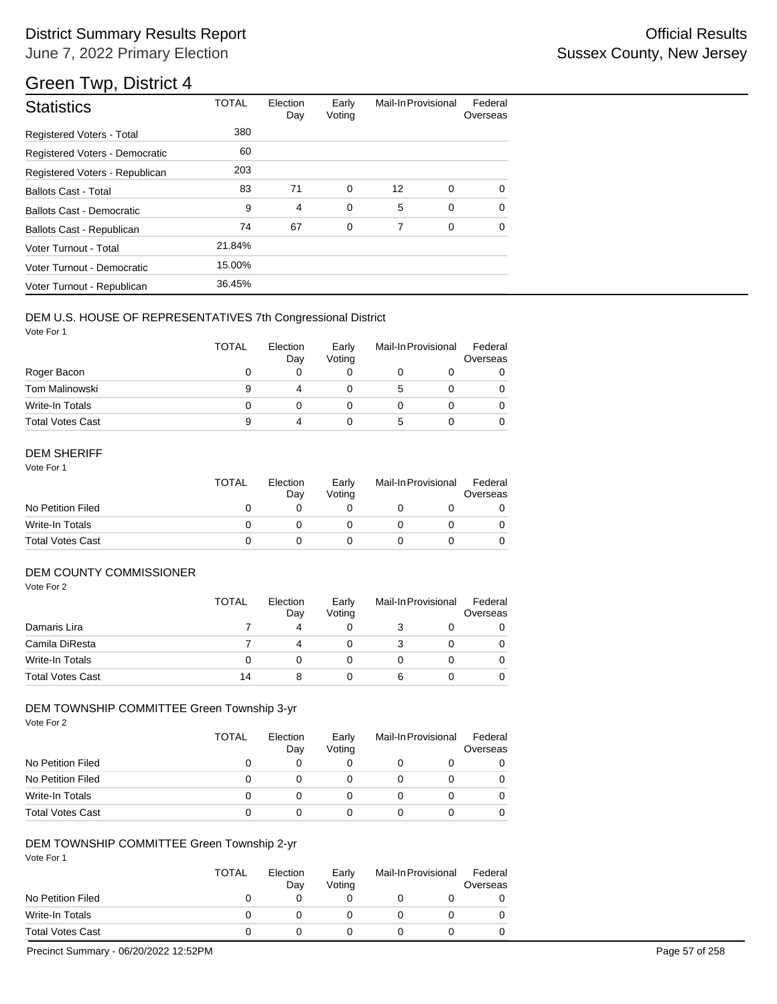# District Summary Results Report **Container and Container Container Container Container Container Container Container** June 7, 2022 Primary Election

# Green Twp, District 4

| <b>Statistics</b>                | <b>TOTAL</b> | Election<br>Day | Early<br>Voting | Mail-In Provisional |   | Federal<br>Overseas |
|----------------------------------|--------------|-----------------|-----------------|---------------------|---|---------------------|
| <b>Registered Voters - Total</b> | 380          |                 |                 |                     |   |                     |
| Registered Voters - Democratic   | 60           |                 |                 |                     |   |                     |
| Registered Voters - Republican   | 203          |                 |                 |                     |   |                     |
| <b>Ballots Cast - Total</b>      | 83           | 71              | 0               | 12                  | 0 | 0                   |
| Ballots Cast - Democratic        | 9            | 4               | $\mathbf 0$     | 5                   | 0 | $\Omega$            |
| Ballots Cast - Republican        | 74           | 67              | 0               | 7                   | 0 | $\Omega$            |
| Voter Turnout - Total            | 21.84%       |                 |                 |                     |   |                     |
| Voter Turnout - Democratic       | 15.00%       |                 |                 |                     |   |                     |
| Voter Turnout - Republican       | 36.45%       |                 |                 |                     |   |                     |

## DEM U.S. HOUSE OF REPRESENTATIVES 7th Congressional District

Vote For 1

|                         | <b>TOTAL</b> | Election<br>Day | Early<br>Voting | Mail-In Provisional | Federal<br>Overseas |
|-------------------------|--------------|-----------------|-----------------|---------------------|---------------------|
| Roger Bacon             | O            |                 |                 |                     |                     |
| <b>Tom Malinowski</b>   | 9            | 4               |                 | 5                   |                     |
| Write-In Totals         | Ω            |                 |                 |                     |                     |
| <b>Total Votes Cast</b> | 9            | 4               |                 | $\mathbf{b}$        |                     |

## DEM SHERIFF

Vote For 1

|                         | TOTAL | Election<br>Dav | Early<br>Votina | Mail-In Provisional |  | Federal<br>Overseas |
|-------------------------|-------|-----------------|-----------------|---------------------|--|---------------------|
| No Petition Filed       |       |                 |                 |                     |  |                     |
| Write-In Totals         |       |                 |                 |                     |  |                     |
| <b>Total Votes Cast</b> |       |                 |                 |                     |  |                     |

## DEM COUNTY COMMISSIONER

Vote For 2

|                         | TOTAL | Election<br>Day | Early<br>Votina |   | Mail-In Provisional | Federal<br>Overseas |
|-------------------------|-------|-----------------|-----------------|---|---------------------|---------------------|
| Damaris Lira            |       | 4               |                 |   |                     | 0                   |
| Camila DiResta          |       |                 |                 |   |                     | 0                   |
| Write-In Totals         |       |                 |                 |   |                     | 0                   |
| <b>Total Votes Cast</b> | 14    |                 |                 | 6 |                     | $\Omega$            |

### DEM TOWNSHIP COMMITTEE Green Township 3-yr

Vote For 2

|                         | <b>TOTAL</b> | Election<br>Day | Early<br>Voting | Mail-In Provisional | Federal<br>Overseas |
|-------------------------|--------------|-----------------|-----------------|---------------------|---------------------|
| No Petition Filed       |              |                 | O               |                     |                     |
| No Petition Filed       |              |                 |                 |                     |                     |
| Write-In Totals         |              | $\mathbf{I}$    | $\mathbf{0}$    |                     |                     |
| <b>Total Votes Cast</b> |              |                 |                 |                     |                     |

### DEM TOWNSHIP COMMITTEE Green Township 2-yr

Vote For 1

|                         | <b>TOTAL</b> | Election<br>Day | Early<br>Votina | Mail-In Provisional | Federal<br>Overseas |
|-------------------------|--------------|-----------------|-----------------|---------------------|---------------------|
| No Petition Filed       |              |                 |                 |                     |                     |
| Write-In Totals         |              |                 |                 |                     |                     |
| <b>Total Votes Cast</b> |              |                 |                 |                     |                     |

Precinct Summary - 06/20/2022 12:52PM Page 57 of 258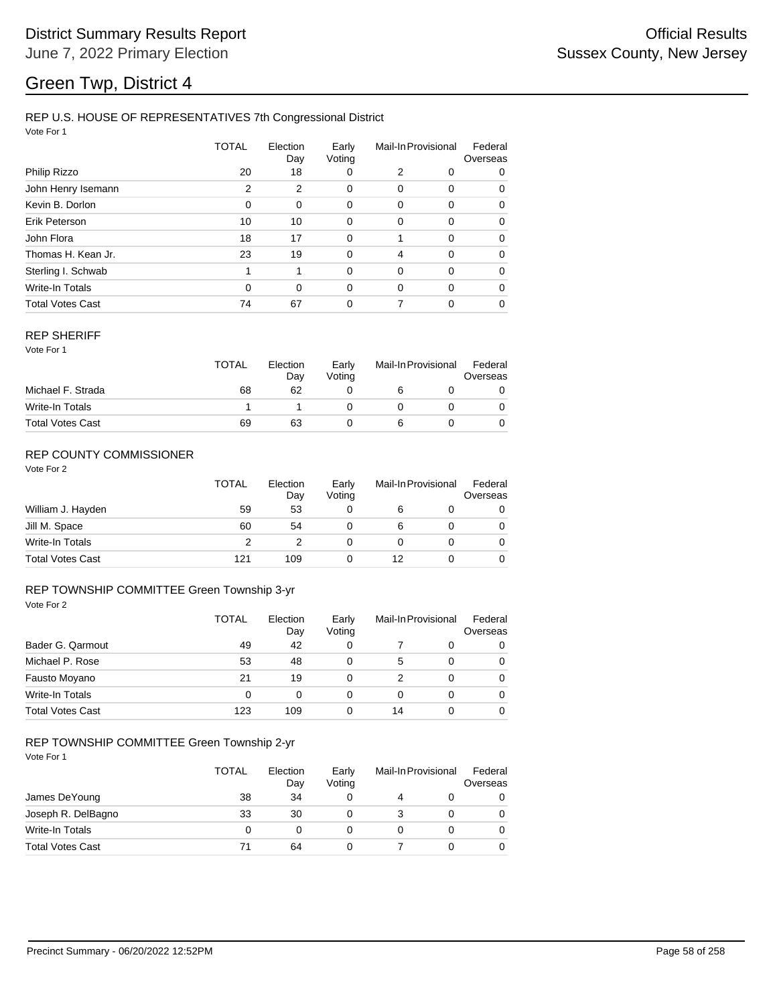## REP U.S. HOUSE OF REPRESENTATIVES 7th Congressional District

Vote For 1

|                         | TOTAL | Election<br>Day | Early<br>Voting | Mail-In Provisional |          | Federal<br>Overseas |
|-------------------------|-------|-----------------|-----------------|---------------------|----------|---------------------|
| Philip Rizzo            | 20    | 18              | 0               | 2                   | 0        | 0                   |
| John Henry Isemann      | 2     | 2               | 0               | 0                   | 0        | 0                   |
| Kevin B. Dorlon         | 0     | 0               | 0               | 0                   | 0        | 0                   |
| Erik Peterson           | 10    | 10              | 0               | 0                   | 0        | 0                   |
| John Flora              | 18    | 17              | $\mathbf 0$     |                     | 0        | 0                   |
| Thomas H. Kean Jr.      | 23    | 19              | 0               | 4                   | $\Omega$ | 0                   |
| Sterling I. Schwab      | 1     | 1               | $\mathbf 0$     | 0                   | 0        | 0                   |
| Write-In Totals         | 0     | $\Omega$        | 0               | 0                   | $\Omega$ | 0                   |
| <b>Total Votes Cast</b> | 74    | 67              | 0               |                     | 0        | 0                   |

#### REP SHERIFF

Vote For 1

|                         | TOTAL | Election<br>Day | Early<br>Votina | Mail-In Provisional |  | Federal<br>Overseas |
|-------------------------|-------|-----------------|-----------------|---------------------|--|---------------------|
| Michael F. Strada       | 68    | 62              |                 |                     |  |                     |
| Write-In Totals         |       |                 |                 |                     |  |                     |
| <b>Total Votes Cast</b> | 69    | 63              |                 |                     |  |                     |

## REP COUNTY COMMISSIONER

Vote For 2

|                         | <b>TOTAL</b> | Election<br>Day | Early<br>Voting | Mail-In Provisional |  | Federal<br>Overseas |
|-------------------------|--------------|-----------------|-----------------|---------------------|--|---------------------|
| William J. Hayden       | 59           | 53              | 0               | 6                   |  | 0                   |
| Jill M. Space           | 60           | 54              |                 | 6                   |  | 0                   |
| Write-In Totals         | っ            |                 |                 |                     |  | 0                   |
| <b>Total Votes Cast</b> | 121          | 109             |                 | 12                  |  |                     |

#### Vote For 2 REP TOWNSHIP COMMITTEE Green Township 3-yr

|                         | TOTAL | Election<br>Day | Early<br>Voting |    | Mail-In Provisional | Federal<br>Overseas |
|-------------------------|-------|-----------------|-----------------|----|---------------------|---------------------|
| Bader G. Qarmout        | 49    | 42              | 0               |    | 0                   | 0                   |
| Michael P. Rose         | 53    | 48              | $\Omega$        | 5  | 0                   | $\Omega$            |
| Fausto Moyano           | 21    | 19              | 0               |    | 0                   | $\Omega$            |
| Write-In Totals         | 0     | 0               | 0               | 0  | 0                   | $\Omega$            |
| <b>Total Votes Cast</b> | 123   | 109             | 0               | 14 | 0                   | $\Omega$            |

# REP TOWNSHIP COMMITTEE Green Township 2-yr

|                         | TOTAL | Election<br>Day | Early<br>Voting | Mail-In Provisional |   |
|-------------------------|-------|-----------------|-----------------|---------------------|---|
| James DeYoung           | 38    | 34              |                 |                     | 0 |
| Joseph R. DelBagno      | 33    | 30              |                 |                     | 0 |
| Write-In Totals         | 0     | O               |                 |                     | 0 |
| <b>Total Votes Cast</b> |       | 64              |                 |                     | 0 |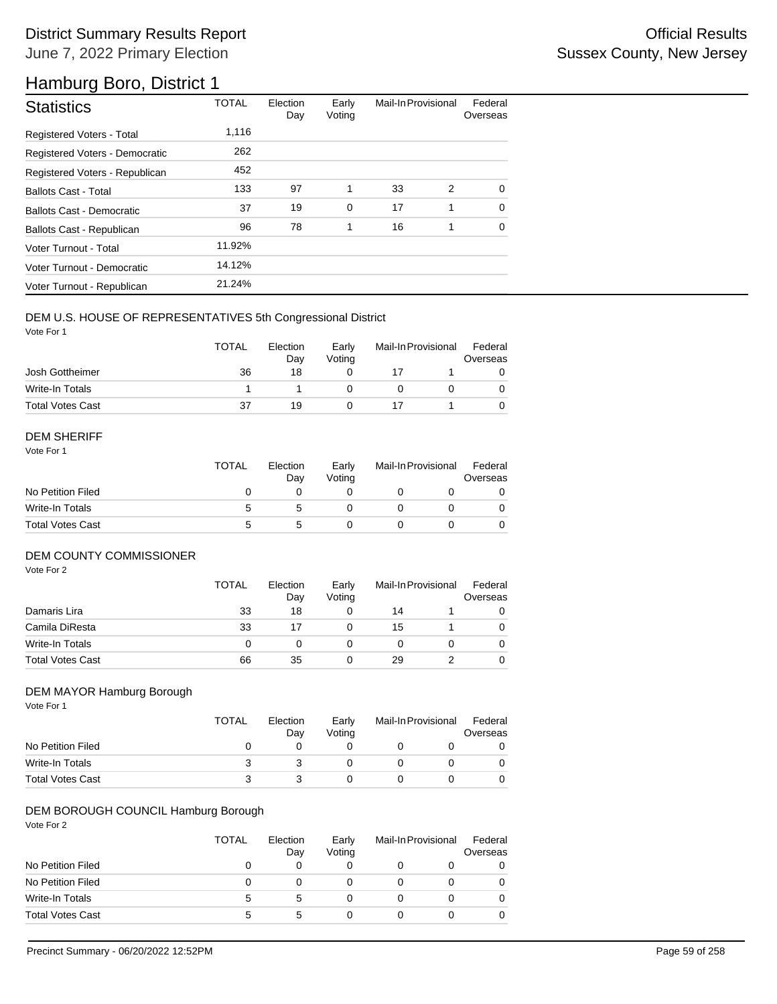# Hamburg Boro, District 1

| <b>Statistics</b>                | <b>TOTAL</b> | Election<br>Day | Early<br>Voting | Mail-In Provisional |   | Federal<br>Overseas |
|----------------------------------|--------------|-----------------|-----------------|---------------------|---|---------------------|
| <b>Registered Voters - Total</b> | 1,116        |                 |                 |                     |   |                     |
| Registered Voters - Democratic   | 262          |                 |                 |                     |   |                     |
| Registered Voters - Republican   | 452          |                 |                 |                     |   |                     |
| <b>Ballots Cast - Total</b>      | 133          | 97              | 1               | 33                  | 2 | 0                   |
| Ballots Cast - Democratic        | 37           | 19              | $\mathbf 0$     | 17                  | 1 | $\Omega$            |
| Ballots Cast - Republican        | 96           | 78              | 1               | 16                  | 1 | $\mathbf 0$         |
| Voter Turnout - Total            | 11.92%       |                 |                 |                     |   |                     |
| Voter Turnout - Democratic       | 14.12%       |                 |                 |                     |   |                     |
| Voter Turnout - Republican       | 21.24%       |                 |                 |                     |   |                     |

### DEM U.S. HOUSE OF REPRESENTATIVES 5th Congressional District

Vote For 1

|                         | <b>TOTAL</b> | Election<br>Day | Early<br>Votina | Mail-In Provisional |  | Federal<br>Overseas |
|-------------------------|--------------|-----------------|-----------------|---------------------|--|---------------------|
| Josh Gottheimer         | 36           | 18              |                 |                     |  |                     |
| Write-In Totals         |              |                 |                 |                     |  |                     |
| <b>Total Votes Cast</b> | 37           | 19              |                 |                     |  |                     |

### DEM SHERIFF

Vote For 1

|                         | <b>TOTAL</b> | Election<br>Day | Early<br>Votina | Mail-In Provisional |  | Federal<br>Overseas |
|-------------------------|--------------|-----------------|-----------------|---------------------|--|---------------------|
| No Petition Filed       |              |                 |                 |                     |  |                     |
| Write-In Totals         | 5            | 5               |                 |                     |  | $\Omega$            |
| <b>Total Votes Cast</b> | 5            | 5               |                 |                     |  |                     |

## DEM COUNTY COMMISSIONER

Vote For 2

|                         | <b>TOTAL</b> | Election<br>Day | Early<br>Votina |    | Mail-In Provisional | Federal<br>Overseas |
|-------------------------|--------------|-----------------|-----------------|----|---------------------|---------------------|
| Damaris Lira            | 33           | 18              |                 | 14 |                     | 0                   |
| Camila DiResta          | 33           |                 |                 | 15 |                     | 0                   |
| Write-In Totals         |              |                 |                 |    |                     | 0                   |
| <b>Total Votes Cast</b> | 66           | 35              |                 | 29 |                     | $\Omega$            |

## DEM MAYOR Hamburg Borough

Vote For 1

|                         | <b>TOTAL</b> | Election<br>Day | Early<br>Votina | Mail-In Provisional | Federal<br>Overseas |
|-------------------------|--------------|-----------------|-----------------|---------------------|---------------------|
| No Petition Filed       |              |                 |                 |                     |                     |
| Write-In Totals         |              |                 |                 |                     |                     |
| <b>Total Votes Cast</b> |              |                 |                 |                     |                     |

## DEM BOROUGH COUNCIL Hamburg Borough

|                         | TOTAL | Election<br>Day | Early<br>Voting | Mail-In Provisional |  | Federal<br>Overseas |
|-------------------------|-------|-----------------|-----------------|---------------------|--|---------------------|
| No Petition Filed       | O     |                 | 0               |                     |  | 0                   |
| No Petition Filed       | 0     |                 | $\mathbf{0}$    |                     |  | 0                   |
| Write-In Totals         | 5     | 5               | $\mathbf{0}$    |                     |  | 0                   |
| <b>Total Votes Cast</b> | 5     | 5               | 0               |                     |  | 0                   |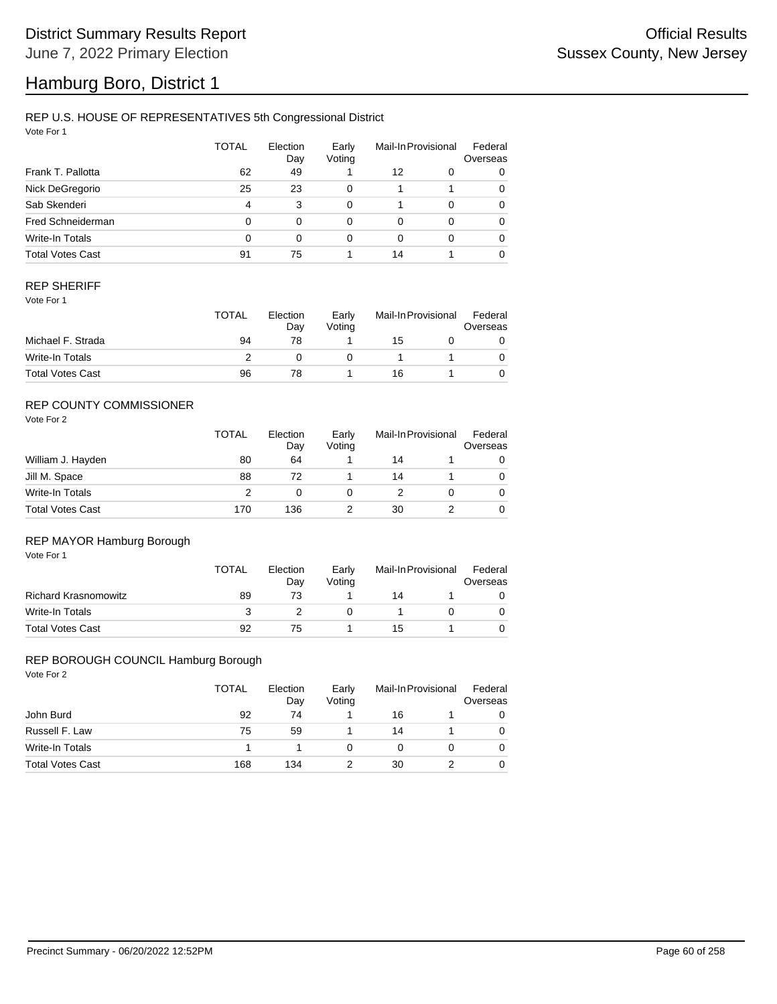# Hamburg Boro, District 1

## REP U.S. HOUSE OF REPRESENTATIVES 5th Congressional District

Vote For 1

|                         | <b>TOTAL</b> | Election<br>Day | Early<br>Voting |    | Mail-In Provisional | Federal<br>Overseas |
|-------------------------|--------------|-----------------|-----------------|----|---------------------|---------------------|
| Frank T. Pallotta       | 62           | 49              |                 | 12 | 0                   | 0                   |
| Nick DeGregorio         | 25           | 23              | 0               | 1  |                     | 0                   |
| Sab Skenderi            | 4            | 3               | 0               |    | $\Omega$            | 0                   |
| Fred Schneiderman       | 0            | $\Omega$        | 0               | 0  | $\Omega$            | 0                   |
| Write-In Totals         | 0            | $\Omega$        | 0               | 0  | $\Omega$            | 0                   |
| <b>Total Votes Cast</b> | 91           | 75              |                 | 14 |                     | 0                   |

## REP SHERIFF

Vote For 1

|                         | <b>TOTAL</b> | Election<br>Dav<br>78 | Early<br>Votina | Mail-In Provisional |  | Federal<br>Overseas |
|-------------------------|--------------|-----------------------|-----------------|---------------------|--|---------------------|
| Michael F. Strada       | 94           |                       |                 | 15                  |  |                     |
| Write-In Totals         |              |                       |                 |                     |  |                     |
| <b>Total Votes Cast</b> | 96           | 78                    |                 | 16                  |  |                     |

## REP COUNTY COMMISSIONER

Vote For 2

|                         | <b>TOTAL</b> | Election<br>Day | Early<br>Voting | Mail-In Provisional |  | Federal<br>Overseas |
|-------------------------|--------------|-----------------|-----------------|---------------------|--|---------------------|
| William J. Hayden       | 80           | 64              |                 | 14                  |  | 0                   |
| Jill M. Space           | 88           | 72              |                 | 14                  |  | 0                   |
| Write-In Totals         | っ            |                 |                 |                     |  | 0                   |
| <b>Total Votes Cast</b> | 170          | 136             |                 | 30                  |  | $\Omega$            |

### REP MAYOR Hamburg Borough

Vote For 1

|                             | TOTAL | Election<br>Day | Early<br>Votina | Mail-In Provisional |  | Federal<br>Overseas |
|-----------------------------|-------|-----------------|-----------------|---------------------|--|---------------------|
| <b>Richard Krasnomowitz</b> | 89    | 73              |                 | 14                  |  |                     |
| Write-In Totals             |       |                 |                 |                     |  |                     |
| <b>Total Votes Cast</b>     | 92    | 75              |                 | 15                  |  |                     |

#### REP BOROUGH COUNCIL Hamburg Borough

|                         | <b>TOTAL</b> | Election<br>Day | Early<br>Voting | Mail-In Provisional |  | Federal<br>Overseas |
|-------------------------|--------------|-----------------|-----------------|---------------------|--|---------------------|
| John Burd               | 92           | 74              |                 | 16                  |  |                     |
| Russell F. Law          | 75           | 59              |                 | 14                  |  | 0                   |
| Write-In Totals         |              |                 |                 |                     |  | 0                   |
| <b>Total Votes Cast</b> | 168          | 134             |                 | 30                  |  | 0                   |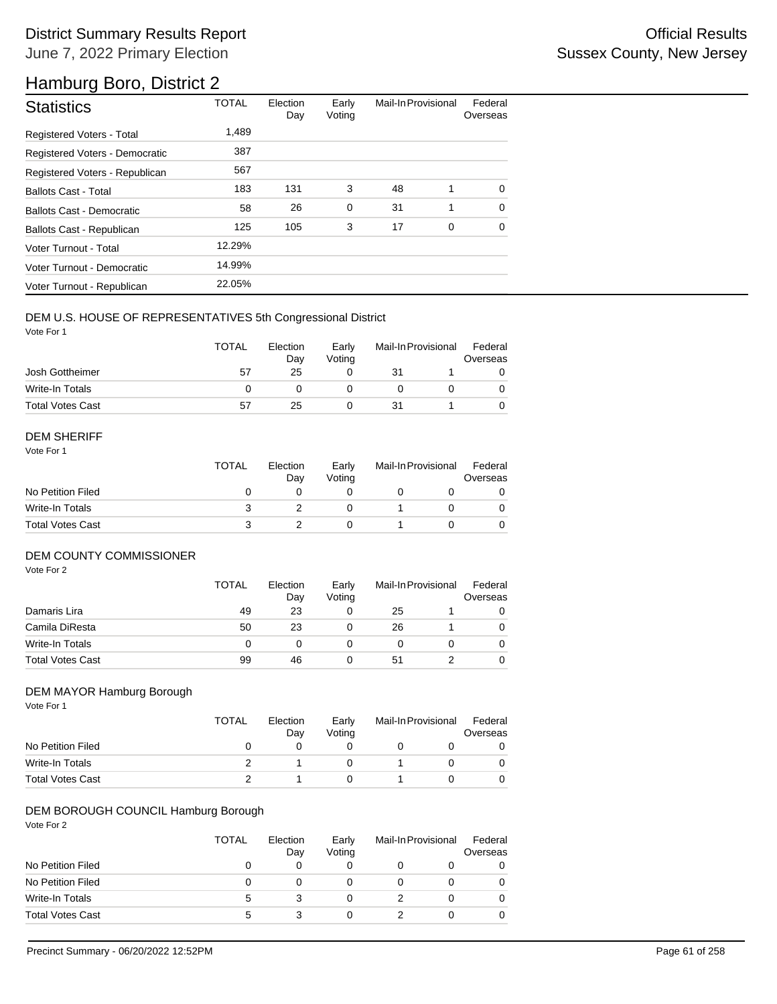# Hamburg Boro, District 2

| <b>Statistics</b>              | <b>TOTAL</b> | Election<br>Day | Early<br>Voting | Mail-In Provisional |             | Federal<br>Overseas |
|--------------------------------|--------------|-----------------|-----------------|---------------------|-------------|---------------------|
| Registered Voters - Total      | 1.489        |                 |                 |                     |             |                     |
| Registered Voters - Democratic | 387          |                 |                 |                     |             |                     |
| Registered Voters - Republican | 567          |                 |                 |                     |             |                     |
| <b>Ballots Cast - Total</b>    | 183          | 131             | 3               | 48                  | 1           | $\Omega$            |
| Ballots Cast - Democratic      | 58           | 26              | $\mathbf 0$     | 31                  | 1           | $\Omega$            |
| Ballots Cast - Republican      | 125          | 105             | 3               | 17                  | $\mathbf 0$ | $\mathbf 0$         |
| Voter Turnout - Total          | 12.29%       |                 |                 |                     |             |                     |
| Voter Turnout - Democratic     | 14.99%       |                 |                 |                     |             |                     |
| Voter Turnout - Republican     | 22.05%       |                 |                 |                     |             |                     |

### DEM U.S. HOUSE OF REPRESENTATIVES 5th Congressional District

Vote For 1

|                         | <b>TOTAL</b> | Election<br>Dav | Early<br>Votina | Mail-In Provisional |  | Federal<br>Overseas |
|-------------------------|--------------|-----------------|-----------------|---------------------|--|---------------------|
| Josh Gottheimer         | 57           | 25              |                 | 31                  |  |                     |
| Write-In Totals         |              |                 |                 |                     |  |                     |
| <b>Total Votes Cast</b> | 57           | 25              |                 | 31                  |  |                     |

#### DEM SHERIFF

Vote For 1

|                         | TOTAL | Election<br>Day | Early<br>Votina | Mail-In Provisional |  | Federal<br>Overseas |  |
|-------------------------|-------|-----------------|-----------------|---------------------|--|---------------------|--|
| No Petition Filed       |       |                 |                 |                     |  |                     |  |
| Write-In Totals         |       |                 |                 |                     |  |                     |  |
| <b>Total Votes Cast</b> |       |                 |                 |                     |  |                     |  |

## DEM COUNTY COMMISSIONER

Vote For 2

|                         | <b>TOTAL</b> | Election<br>Day | Early<br>Votina | Mail-In Provisional |  | Federal<br>Overseas |
|-------------------------|--------------|-----------------|-----------------|---------------------|--|---------------------|
| Damaris Lira            | 49           | 23              | 0               | 25                  |  | 0                   |
| Camila DiResta          | 50           | 23              |                 | 26                  |  | 0                   |
| Write-In Totals         |              |                 |                 |                     |  | 0                   |
| <b>Total Votes Cast</b> | 99           | 46              |                 | 51                  |  | $\Omega$            |

#### DEM MAYOR Hamburg Borough

Vote For 1

|                         | TOTAL | Election<br>Dav | Early<br>Votina | Mail-In Provisional |  | Federal<br>Overseas |
|-------------------------|-------|-----------------|-----------------|---------------------|--|---------------------|
| No Petition Filed       |       |                 |                 |                     |  |                     |
| Write-In Totals         |       |                 |                 |                     |  |                     |
| <b>Total Votes Cast</b> |       |                 |                 |                     |  |                     |

### DEM BOROUGH COUNCIL Hamburg Borough

|                         | TOTAL | Election<br>Day | Early<br>Voting | Mail-In Provisional |  | Federal<br>Overseas |
|-------------------------|-------|-----------------|-----------------|---------------------|--|---------------------|
| No Petition Filed       |       | 0               |                 |                     |  | 0                   |
| No Petition Filed       | 0     | O               |                 |                     |  | 0                   |
| Write-In Totals         | 5     |                 |                 |                     |  | 0                   |
| <b>Total Votes Cast</b> | 5     |                 |                 |                     |  | 0                   |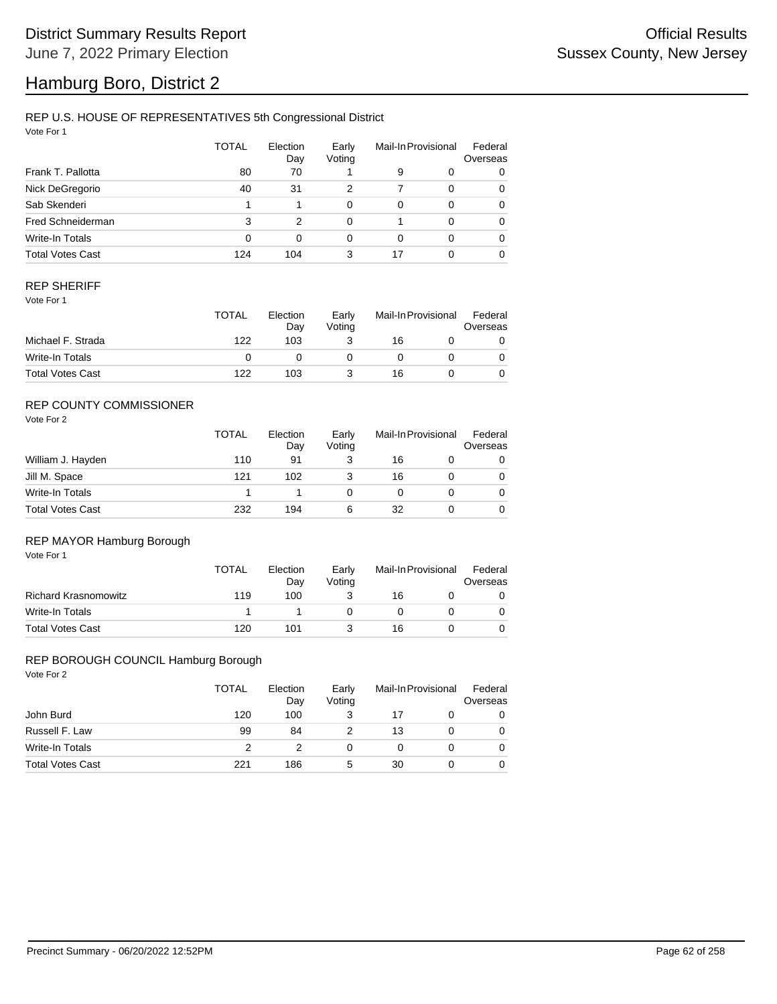# Hamburg Boro, District 2

## REP U.S. HOUSE OF REPRESENTATIVES 5th Congressional District

Vote For 1

|                         | <b>TOTAL</b> | Election<br>Day | Early<br>Voting |    | Mail-In Provisional | Federal<br>Overseas |
|-------------------------|--------------|-----------------|-----------------|----|---------------------|---------------------|
| Frank T. Pallotta       | 80           | 70              |                 | 9  | 0                   | 0                   |
| Nick DeGregorio         | 40           | 31              | 2               | 7  | $\Omega$            | 0                   |
| Sab Skenderi            |              |                 | 0               | 0  | $\Omega$            | 0                   |
| Fred Schneiderman       | 3            | 2               | 0               |    | $\Omega$            | 0                   |
| Write-In Totals         | 0            | $\Omega$        | 0               | 0  | $\Omega$            | 0                   |
| <b>Total Votes Cast</b> | 124          | 104             | 3               | 17 |                     | 0                   |

## REP SHERIFF

Vote For 1

|                         | TOTAL | Election<br>Day | Early<br>Votina | Mail-In Provisional |  | Federal<br>Overseas |
|-------------------------|-------|-----------------|-----------------|---------------------|--|---------------------|
| Michael F. Strada       | 122   | 103             |                 | 16                  |  |                     |
| Write-In Totals         |       |                 |                 |                     |  |                     |
| <b>Total Votes Cast</b> | 122   | 103             |                 | 16                  |  |                     |

## REP COUNTY COMMISSIONER

Vote For 2

|                         | <b>TOTAL</b> | Election<br>Day | Early<br>Voting | Mail-In Provisional |  | Federal<br>Overseas |  |
|-------------------------|--------------|-----------------|-----------------|---------------------|--|---------------------|--|
| William J. Hayden       | 110          | 91              |                 | 16                  |  | 0                   |  |
| Jill M. Space           | 121          | 102             |                 | 16                  |  | 0                   |  |
| Write-In Totals         |              |                 |                 |                     |  | 0                   |  |
| <b>Total Votes Cast</b> | 232          | 194             | 6               | 32                  |  | 0                   |  |

### REP MAYOR Hamburg Borough

Vote For 1

|                             | <b>TOTAL</b> | Election<br>Day | Early<br>Votina | Mail-In Provisional |  | Federal<br>Overseas |
|-----------------------------|--------------|-----------------|-----------------|---------------------|--|---------------------|
| <b>Richard Krasnomowitz</b> | 119          | 100             |                 | 16                  |  |                     |
| Write-In Totals             |              |                 |                 |                     |  |                     |
| <b>Total Votes Cast</b>     | 120          | 101             |                 | 16                  |  |                     |

#### REP BOROUGH COUNCIL Hamburg Borough

|                         | <b>TOTAL</b> | Election<br>Day | Early<br>Voting | Mail-In Provisional |  | Federal<br>Overseas |
|-------------------------|--------------|-----------------|-----------------|---------------------|--|---------------------|
| John Burd               | 120          | 100             |                 |                     |  |                     |
| Russell F. Law          | 99           | 84              |                 | 13                  |  |                     |
| Write-In Totals         |              |                 |                 |                     |  |                     |
| <b>Total Votes Cast</b> | 221          | 186             | 5               | 30                  |  |                     |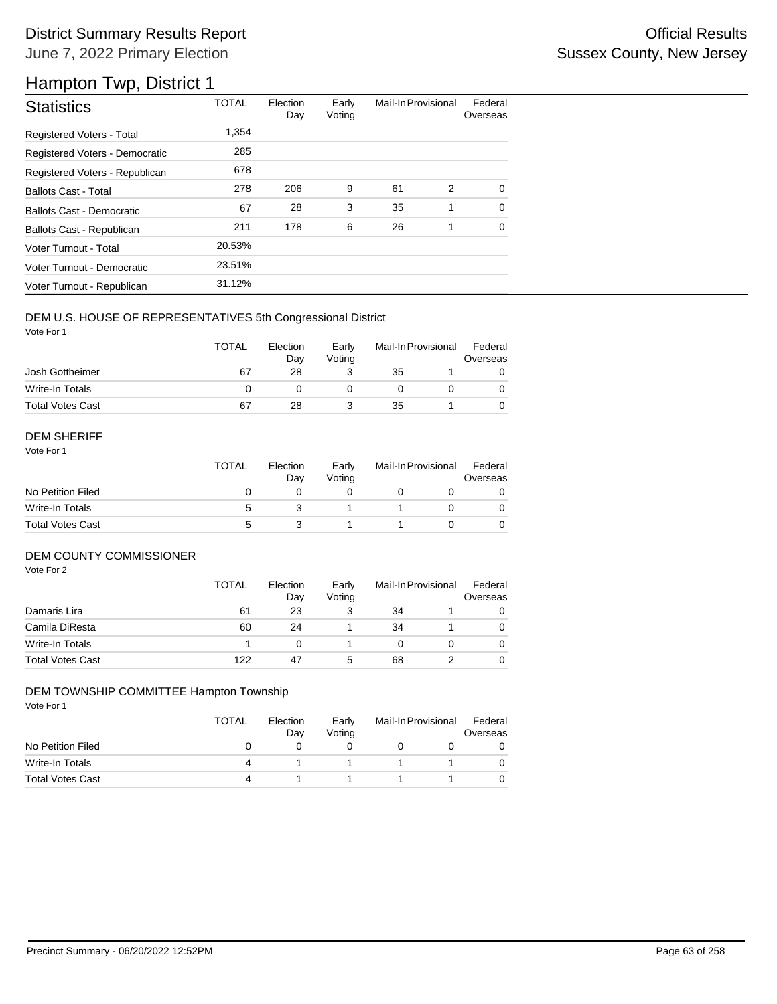# District Summary Results Report **Container and Container Container Container Container Container Container Container** June 7, 2022 Primary Election

# Hampton Twp, District 1

| <b>Statistics</b>                | <b>TOTAL</b> | Election<br>Day | Early<br>Voting | Mail-In Provisional |   | Federal<br>Overseas |
|----------------------------------|--------------|-----------------|-----------------|---------------------|---|---------------------|
| Registered Voters - Total        | 1.354        |                 |                 |                     |   |                     |
| Registered Voters - Democratic   | 285          |                 |                 |                     |   |                     |
| Registered Voters - Republican   | 678          |                 |                 |                     |   |                     |
| <b>Ballots Cast - Total</b>      | 278          | 206             | 9               | 61                  | 2 | $\Omega$            |
| <b>Ballots Cast - Democratic</b> | 67           | 28              | 3               | 35                  | 1 | $\Omega$            |
| Ballots Cast - Republican        | 211          | 178             | 6               | 26                  | 1 | $\Omega$            |
| Voter Turnout - Total            | 20.53%       |                 |                 |                     |   |                     |
| Voter Turnout - Democratic       | 23.51%       |                 |                 |                     |   |                     |
| Voter Turnout - Republican       | 31.12%       |                 |                 |                     |   |                     |

## DEM U.S. HOUSE OF REPRESENTATIVES 5th Congressional District

Vote For 1

|                         | <b>TOTAL</b> | Election<br>Dav | Early<br>Votina | Mail-In Provisional |  | Federal<br>Overseas |
|-------------------------|--------------|-----------------|-----------------|---------------------|--|---------------------|
| Josh Gottheimer         | 67           | 28              |                 | 35                  |  |                     |
| Write-In Totals         |              |                 |                 |                     |  |                     |
| <b>Total Votes Cast</b> | 67           | 28              |                 | 35                  |  |                     |

### DEM SHERIFF

Vote For 1

|                         | <b>TOTAL</b> | Election<br>Day | Early<br>Votina | Mail-In Provisional |  | Federal<br>Overseas |  |
|-------------------------|--------------|-----------------|-----------------|---------------------|--|---------------------|--|
| No Petition Filed       |              |                 |                 |                     |  |                     |  |
| Write-In Totals         | :5           |                 |                 |                     |  | $\Omega$            |  |
| <b>Total Votes Cast</b> | :5           |                 |                 |                     |  |                     |  |

## DEM COUNTY COMMISSIONER

Vote For 2

|                         | <b>TOTAL</b> | Election<br>Day | Early<br>Voting |    | Mail-In Provisional | Federal<br>Overseas |
|-------------------------|--------------|-----------------|-----------------|----|---------------------|---------------------|
| Damaris Lira            | 61           | 23              | 3               | 34 |                     | 0                   |
| Camila DiResta          | 60           | 24              |                 | 34 |                     | $\Omega$            |
| Write-In Totals         |              |                 |                 |    |                     | $\Omega$            |
| <b>Total Votes Cast</b> | 122          | 47              | 5               | 68 |                     | $\Omega$            |

### DEM TOWNSHIP COMMITTEE Hampton Township

|                         | <b>TOTAL</b> | Election<br>Dav | Early<br>Votina | Mail-In Provisional | Federal<br>Overseas |
|-------------------------|--------------|-----------------|-----------------|---------------------|---------------------|
| No Petition Filed       |              |                 |                 |                     |                     |
| Write-In Totals         | 4            |                 |                 |                     |                     |
| <b>Total Votes Cast</b> | Δ            |                 |                 |                     |                     |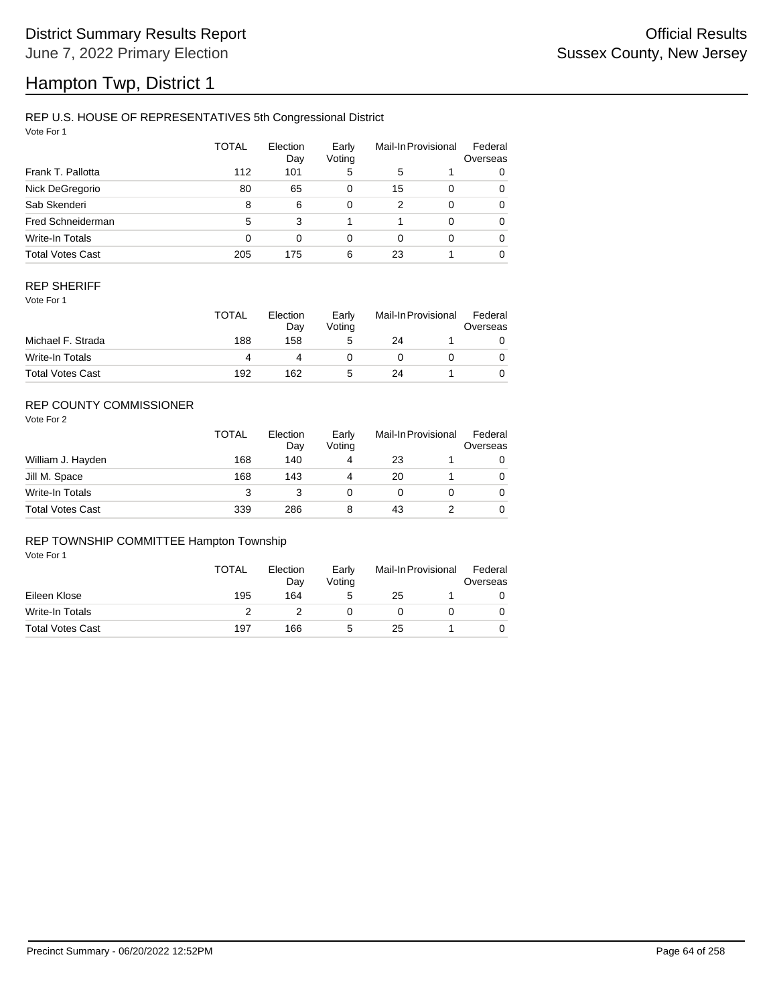# Hampton Twp, District 1

### REP U.S. HOUSE OF REPRESENTATIVES 5th Congressional District

Vote For 1

|                          | <b>TOTAL</b> | Election<br>Day | Early<br>Voting |    | Mail-In Provisional | Federal<br>Overseas |
|--------------------------|--------------|-----------------|-----------------|----|---------------------|---------------------|
| Frank T. Pallotta        | 112          | 101             | 5               | 5  |                     | 0                   |
| Nick DeGregorio          | 80           | 65              | 0               | 15 | $\Omega$            | 0                   |
| Sab Skenderi             | 8            | 6               | 0               | 2  | $\Omega$            | 0                   |
| <b>Fred Schneiderman</b> | 5            | 3               |                 |    | $\Omega$            | 0                   |
| Write-In Totals          | 0            | 0               | 0               | 0  | $\Omega$            | 0                   |
| <b>Total Votes Cast</b>  | 205          | 175             | 6               | 23 |                     | 0                   |

## REP SHERIFF

Vote For 1

|                         | TOTAL | Election<br>Dav | Early<br>Votina | Mail-In Provisional |  | Federal<br>Overseas |
|-------------------------|-------|-----------------|-----------------|---------------------|--|---------------------|
| Michael F. Strada       | 188   | 158             | 5               | 24                  |  |                     |
| Write-In Totals         |       |                 |                 |                     |  |                     |
| <b>Total Votes Cast</b> | 192   | 162             | G               | 24                  |  |                     |

## REP COUNTY COMMISSIONER

Vote For 2

|                         | <b>TOTAL</b> | Election<br>Day | Early<br>Voting | Mail-In Provisional | Federal<br>Overseas |
|-------------------------|--------------|-----------------|-----------------|---------------------|---------------------|
| William J. Hayden       | 168          | 140             | 4               | 23                  | 0                   |
| Jill M. Space           | 168          | 143             | 4               | 20                  | 0                   |
| Write-In Totals         | 3            |                 |                 |                     | 0                   |
| <b>Total Votes Cast</b> | 339          | 286             | 8               | 43                  | 0                   |

## REP TOWNSHIP COMMITTEE Hampton Township

|                         | <b>TOTAL</b> | Election<br>Day | Early<br>Voting | Mail-In Provisional |  | Federal<br>Overseas |
|-------------------------|--------------|-----------------|-----------------|---------------------|--|---------------------|
| Eileen Klose            | 195          | 164             | 5               | 25                  |  |                     |
| Write-In Totals         |              |                 |                 |                     |  |                     |
| <b>Total Votes Cast</b> | 197          | 166             | 5               | 25                  |  |                     |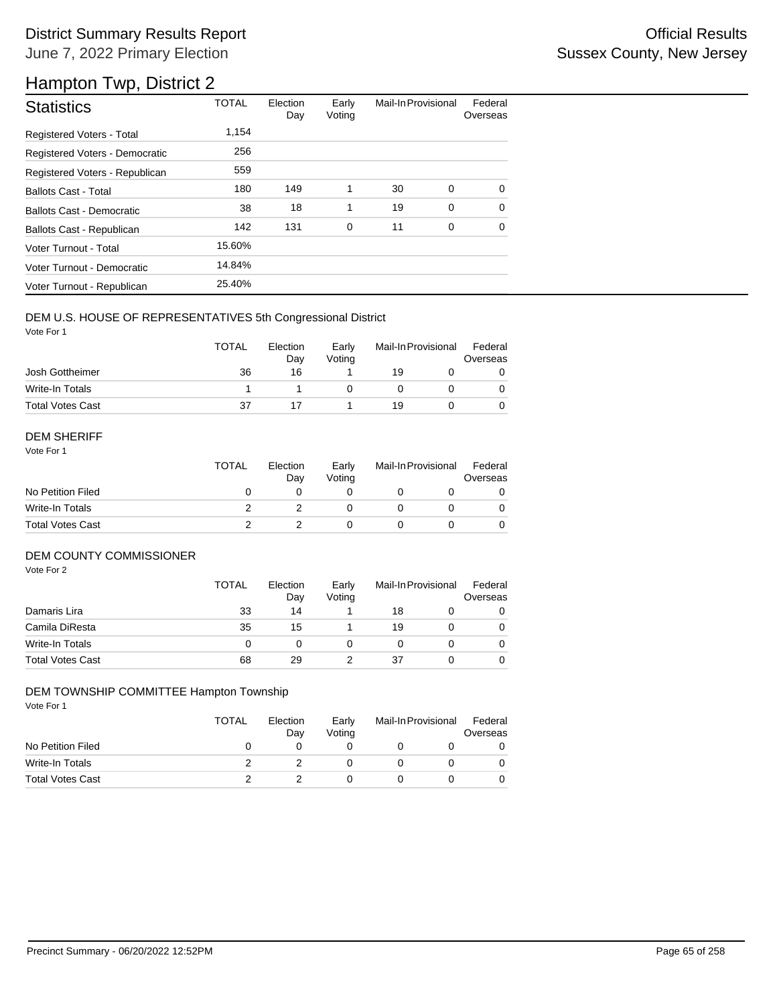# District Summary Results Report **Container and Container Container Container Container Container Container Container** June 7, 2022 Primary Election

# Hampton Twp, District 2

| <b>Statistics</b>              | <b>TOTAL</b> | Election<br>Day | Early<br>Voting | Mail-In Provisional |             | Federal<br>Overseas |
|--------------------------------|--------------|-----------------|-----------------|---------------------|-------------|---------------------|
| Registered Voters - Total      | 1,154        |                 |                 |                     |             |                     |
| Registered Voters - Democratic | 256          |                 |                 |                     |             |                     |
| Registered Voters - Republican | 559          |                 |                 |                     |             |                     |
| <b>Ballots Cast - Total</b>    | 180          | 149             | 1               | 30                  | 0           | $\Omega$            |
| Ballots Cast - Democratic      | 38           | 18              | 1               | 19                  | $\mathbf 0$ | $\Omega$            |
| Ballots Cast - Republican      | 142          | 131             | 0               | 11                  | 0           | 0                   |
| Voter Turnout - Total          | 15.60%       |                 |                 |                     |             |                     |
| Voter Turnout - Democratic     | 14.84%       |                 |                 |                     |             |                     |
| Voter Turnout - Republican     | 25.40%       |                 |                 |                     |             |                     |

## DEM U.S. HOUSE OF REPRESENTATIVES 5th Congressional District

Vote For 1

|                         | <b>TOTAL</b> | Election<br>Day | Early<br>Votina | Mail-In Provisional |  | Federal<br>Overseas |  |
|-------------------------|--------------|-----------------|-----------------|---------------------|--|---------------------|--|
| Josh Gottheimer         | 36           | 16              |                 | 19                  |  |                     |  |
| Write-In Totals         |              |                 |                 |                     |  |                     |  |
| <b>Total Votes Cast</b> | 37           |                 |                 | 19                  |  |                     |  |

#### DEM SHERIFF

Vote For 1

|                         | <b>TOTAL</b> | Election<br>Dav | Early<br>Votina | Mail-In Provisional |  | Federal<br>Overseas |  |
|-------------------------|--------------|-----------------|-----------------|---------------------|--|---------------------|--|
| No Petition Filed       |              |                 |                 |                     |  |                     |  |
| Write-In Totals         |              |                 |                 |                     |  | $\Omega$            |  |
| <b>Total Votes Cast</b> |              |                 |                 |                     |  |                     |  |

## DEM COUNTY COMMISSIONER

Vote For 2

|                         | <b>TOTAL</b> | Election<br>Day | Early<br>Voting |    | Mail-In Provisional | Federal<br>Overseas |
|-------------------------|--------------|-----------------|-----------------|----|---------------------|---------------------|
| Damaris Lira            | 33           | 14              |                 | 18 |                     | 0                   |
| Camila DiResta          | 35           | 15              |                 | 19 |                     | $\Omega$            |
| Write-In Totals         |              |                 |                 |    |                     | $\Omega$            |
| <b>Total Votes Cast</b> | 68           | 29              |                 | 37 |                     | 0                   |

### DEM TOWNSHIP COMMITTEE Hampton Township

|                         | <b>TOTAL</b> | Election<br>Dav | Early<br>Votina | Mail-In Provisional | Federal<br>Overseas |
|-------------------------|--------------|-----------------|-----------------|---------------------|---------------------|
| No Petition Filed       |              |                 |                 |                     |                     |
| Write-In Totals         |              |                 |                 |                     |                     |
| <b>Total Votes Cast</b> |              |                 |                 |                     |                     |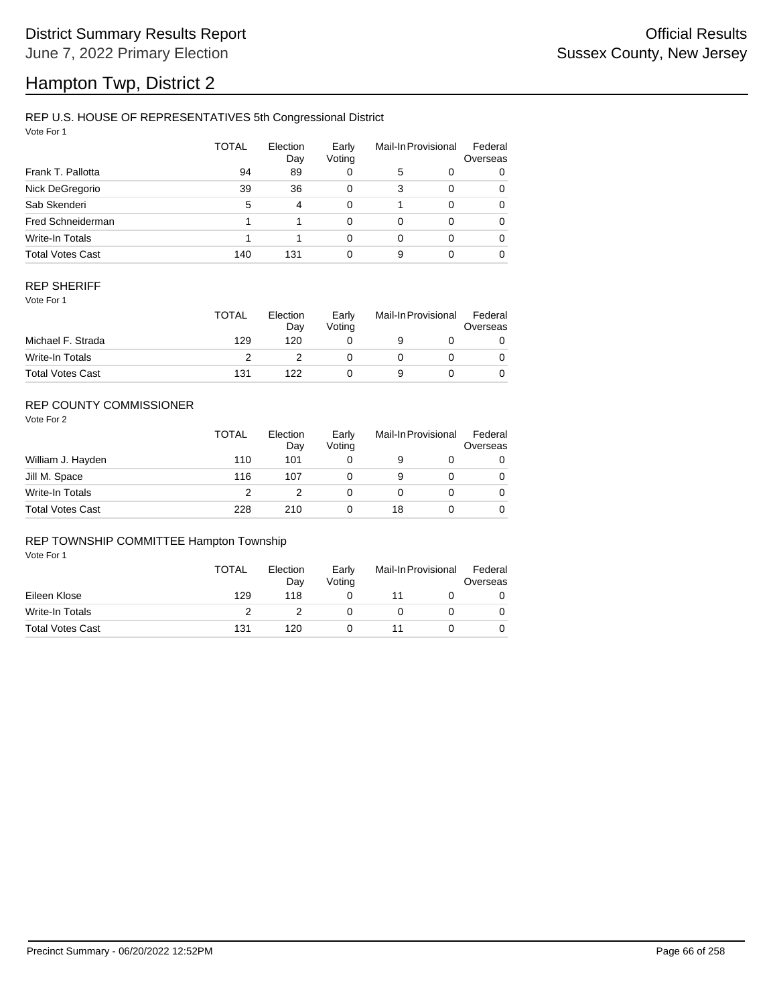# Hampton Twp, District 2

## REP U.S. HOUSE OF REPRESENTATIVES 5th Congressional District

Vote For 1

|                         | <b>TOTAL</b> | Election<br>Day | Early<br>Voting |   | Mail-In Provisional | Federal<br>Overseas |
|-------------------------|--------------|-----------------|-----------------|---|---------------------|---------------------|
| Frank T. Pallotta       | 94           | 89              | 0               | 5 | 0                   | 0                   |
| Nick DeGregorio         | 39           | 36              | 0               | 3 | $\Omega$            | 0                   |
| Sab Skenderi            | 5            | 4               | 0               |   | $\Omega$            | 0                   |
| Fred Schneiderman       |              |                 | 0               | 0 | $\Omega$            | 0                   |
| Write-In Totals         |              |                 | 0               | 0 | $\Omega$            | 0                   |
| <b>Total Votes Cast</b> | 140          | 131             | 0               | 9 |                     | 0                   |

### REP SHERIFF

Vote For 1

|                         | <b>TOTAL</b> | Election<br>Day | Early<br>Votina | Mail-In Provisional |  | Federal<br>Overseas |
|-------------------------|--------------|-----------------|-----------------|---------------------|--|---------------------|
| Michael F. Strada       | 129          | 120             |                 |                     |  |                     |
| Write-In Totals         |              |                 |                 |                     |  |                     |
| <b>Total Votes Cast</b> | 131          | 122             |                 |                     |  |                     |

## REP COUNTY COMMISSIONER

Vote For 2

|                         | TOTAL | Election<br>Day | Early<br>Voting | Mail-In Provisional |  | Federal<br>Overseas |
|-------------------------|-------|-----------------|-----------------|---------------------|--|---------------------|
| William J. Hayden       | 110   | 101             |                 | 9                   |  | 0                   |
| Jill M. Space           | 116   | 107             |                 | 9                   |  | $\Omega$            |
| Write-In Totals         |       |                 |                 |                     |  | 0                   |
| <b>Total Votes Cast</b> | 228   | 210             |                 | 18                  |  | $\Omega$            |

### REP TOWNSHIP COMMITTEE Hampton Township

|                         | <b>TOTAL</b> | Election<br>Day | Early<br>Votina | Mail-In Provisional |  | Federal<br>Overseas |
|-------------------------|--------------|-----------------|-----------------|---------------------|--|---------------------|
| Eileen Klose            | 129          | 118             |                 |                     |  |                     |
| Write-In Totals         |              |                 |                 |                     |  |                     |
| <b>Total Votes Cast</b> | 131          | 120             |                 |                     |  |                     |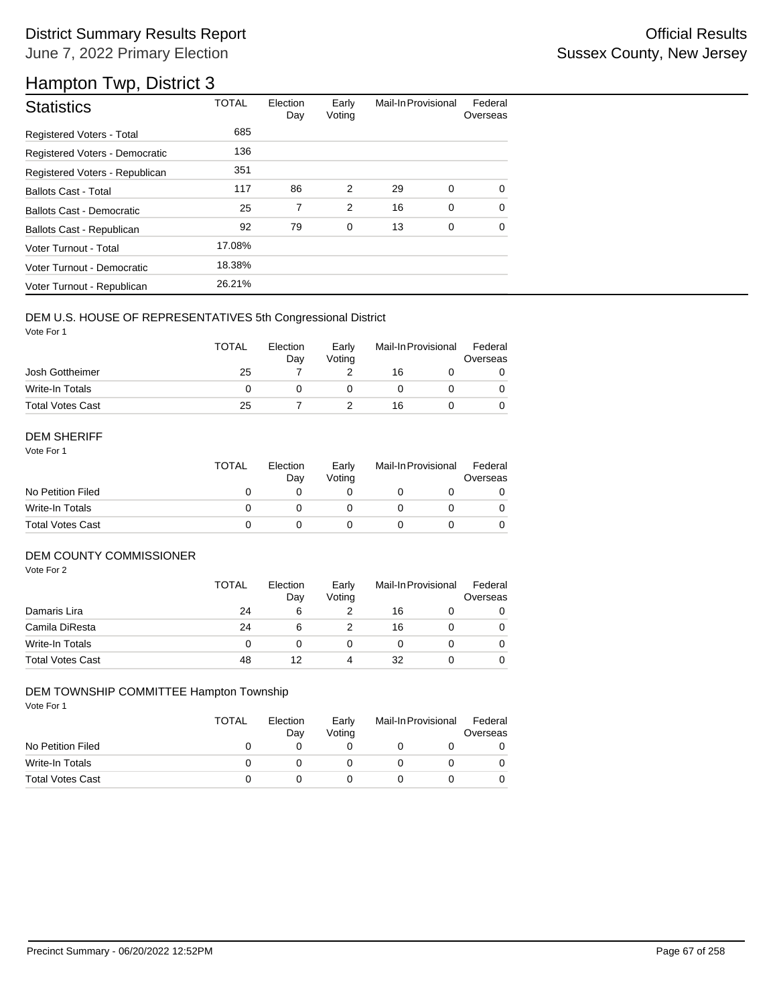# District Summary Results Report **Container and Container Container Container Container Container Container Container** June 7, 2022 Primary Election

# Hampton Twp, District 3

| <b>Statistics</b>                | <b>TOTAL</b> | Election<br>Day | Early<br>Voting | Mail-In Provisional |   | Federal<br>Overseas |
|----------------------------------|--------------|-----------------|-----------------|---------------------|---|---------------------|
| Registered Voters - Total        | 685          |                 |                 |                     |   |                     |
| Registered Voters - Democratic   | 136          |                 |                 |                     |   |                     |
| Registered Voters - Republican   | 351          |                 |                 |                     |   |                     |
| <b>Ballots Cast - Total</b>      | 117          | 86              | 2               | 29                  | 0 | $\Omega$            |
| <b>Ballots Cast - Democratic</b> | 25           | 7               | $\overline{2}$  | 16                  | 0 | $\Omega$            |
| Ballots Cast - Republican        | 92           | 79              | $\mathbf 0$     | 13                  | 0 | $\Omega$            |
| Voter Turnout - Total            | 17.08%       |                 |                 |                     |   |                     |
| Voter Turnout - Democratic       | 18.38%       |                 |                 |                     |   |                     |
| Voter Turnout - Republican       | 26.21%       |                 |                 |                     |   |                     |

## DEM U.S. HOUSE OF REPRESENTATIVES 5th Congressional District

Vote For 1

|                         | <b>TOTAL</b> | Election<br>Dav | Early<br>Votina | Mail-In Provisional |  | Federal<br>Overseas |
|-------------------------|--------------|-----------------|-----------------|---------------------|--|---------------------|
| Josh Gottheimer         | 25           |                 |                 | 16                  |  |                     |
| Write-In Totals         |              |                 |                 |                     |  |                     |
| <b>Total Votes Cast</b> | 25           |                 |                 | 16                  |  |                     |

### DEM SHERIFF

Vote For 1

|                         | <b>TOTAL</b> | Election<br>Dav | Early<br>Votina | Mail-In Provisional |  | Federal<br>Overseas |  |
|-------------------------|--------------|-----------------|-----------------|---------------------|--|---------------------|--|
| No Petition Filed       |              |                 |                 |                     |  |                     |  |
| Write-In Totals         |              |                 |                 |                     |  | $\Omega$            |  |
| <b>Total Votes Cast</b> |              |                 |                 |                     |  |                     |  |

## DEM COUNTY COMMISSIONER

Vote For 2

|                         | <b>TOTAL</b> | Election<br>Day | Early<br>Votina |    | Mail-In Provisional | Federal<br>Overseas |
|-------------------------|--------------|-----------------|-----------------|----|---------------------|---------------------|
| Damaris Lira            | 24           | 6               |                 | 16 |                     | 0                   |
| Camila DiResta          | 24           | 6               |                 | 16 |                     | 0                   |
| <b>Write-In Totals</b>  |              |                 |                 |    |                     | $\Omega$            |
| <b>Total Votes Cast</b> | 48           | 12              | 4               | 32 |                     | 0                   |

## DEM TOWNSHIP COMMITTEE Hampton Township

|                         | <b>TOTAL</b> | Election<br>Dav | Early<br>Votina | Mail-In Provisional | Federal<br>Overseas |
|-------------------------|--------------|-----------------|-----------------|---------------------|---------------------|
| No Petition Filed       |              |                 |                 |                     |                     |
| Write-In Totals         |              |                 |                 |                     |                     |
| <b>Total Votes Cast</b> |              |                 |                 |                     |                     |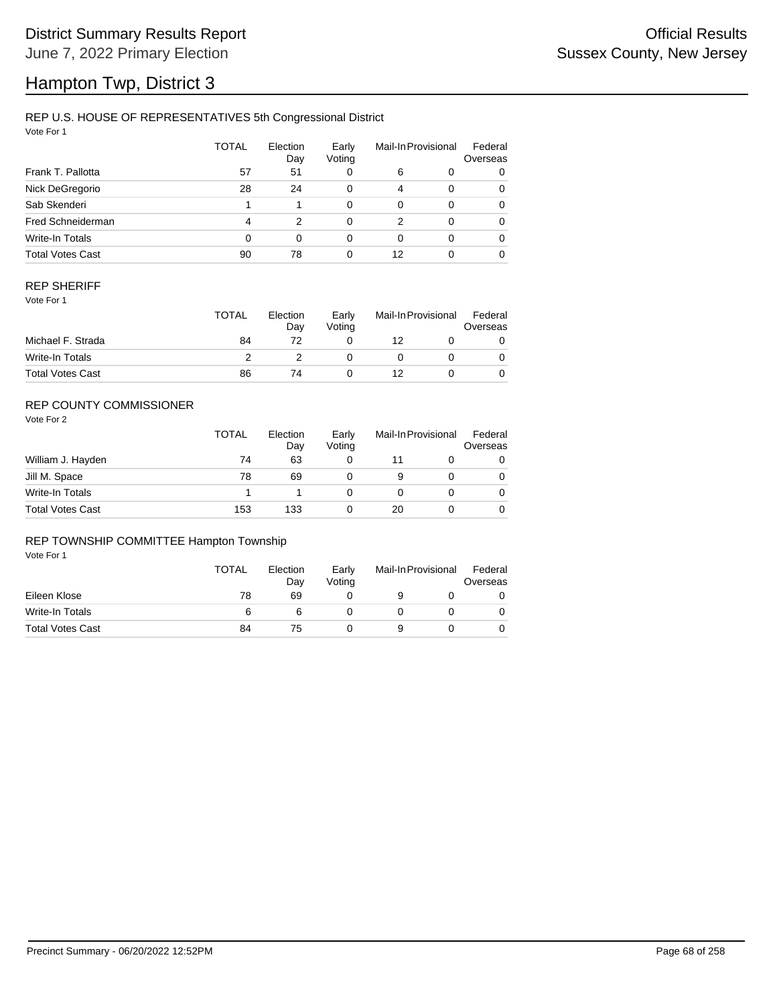# Hampton Twp, District 3

## REP U.S. HOUSE OF REPRESENTATIVES 5th Congressional District

Vote For 1

|                         | <b>TOTAL</b> | Election<br>Day | Early<br>Voting |    | Mail-In Provisional | Federal<br>Overseas |
|-------------------------|--------------|-----------------|-----------------|----|---------------------|---------------------|
| Frank T. Pallotta       | 57           | 51              | 0               | 6  | 0                   | 0                   |
| Nick DeGregorio         | 28           | 24              | 0               | 4  | $\Omega$            | 0                   |
| Sab Skenderi            |              |                 | 0               | 0  | $\Omega$            | 0                   |
| Fred Schneiderman       | 4            | 2               | 0               | 2  | $\Omega$            | 0                   |
| Write-In Totals         | 0            | $\Omega$        | 0               | 0  | $\Omega$            | 0                   |
| <b>Total Votes Cast</b> | 90           | 78              | 0               | 12 |                     | 0                   |

## REP SHERIFF

Vote For 1

|                         | TOTAL | Election<br>Day | Early<br>Votina | Mail-In Provisional |  | Federal<br>Overseas |
|-------------------------|-------|-----------------|-----------------|---------------------|--|---------------------|
| Michael F. Strada       | 84    |                 |                 | 12                  |  |                     |
| Write-In Totals         |       |                 |                 |                     |  |                     |
| <b>Total Votes Cast</b> | 86    | 74              |                 | 12                  |  |                     |

## REP COUNTY COMMISSIONER

Vote For 2

|                         | <b>TOTAL</b> | Election<br>Day | Early<br>Voting | Mail-In Provisional |  | Federal<br>Overseas |
|-------------------------|--------------|-----------------|-----------------|---------------------|--|---------------------|
| William J. Hayden       | 74           | 63              |                 |                     |  | 0                   |
| Jill M. Space           | 78           | 69              |                 | 9                   |  | 0                   |
| Write-In Totals         |              |                 |                 |                     |  | 0                   |
| <b>Total Votes Cast</b> | 153          | 133             |                 | 20                  |  | 0                   |

## REP TOWNSHIP COMMITTEE Hampton Township

|                         | <b>TOTAL</b> | Election<br>Day | Early<br>Voting | Mail-In Provisional |  | Federal<br>Overseas |
|-------------------------|--------------|-----------------|-----------------|---------------------|--|---------------------|
| Eileen Klose            | 78           | 69              |                 |                     |  |                     |
| Write-In Totals         | 6            |                 |                 |                     |  |                     |
| <b>Total Votes Cast</b> | 84           | 75              |                 |                     |  |                     |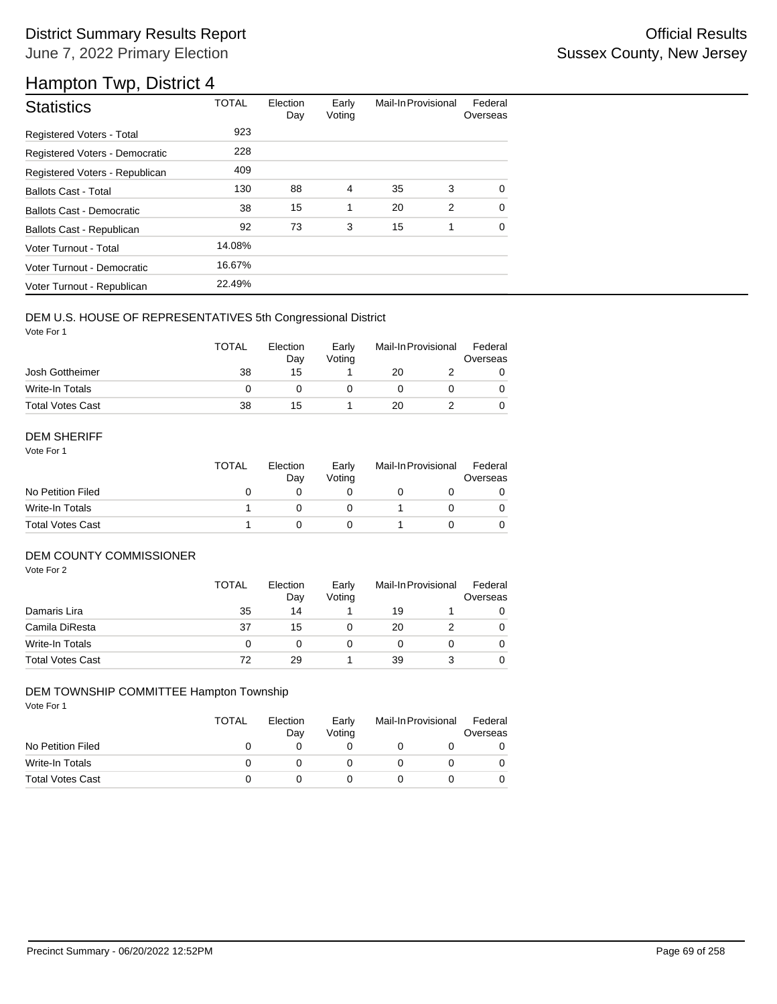# District Summary Results Report **Container and Container Container Container Container Container Container Container** June 7, 2022 Primary Election

# Hampton Twp, District 4

| <b>Statistics</b>                | <b>TOTAL</b> | Election<br>Day | Early<br>Voting | Mail-In Provisional |   | Federal<br>Overseas |
|----------------------------------|--------------|-----------------|-----------------|---------------------|---|---------------------|
| Registered Voters - Total        | 923          |                 |                 |                     |   |                     |
| Registered Voters - Democratic   | 228          |                 |                 |                     |   |                     |
| Registered Voters - Republican   | 409          |                 |                 |                     |   |                     |
| <b>Ballots Cast - Total</b>      | 130          | 88              | 4               | 35                  | 3 | 0                   |
| <b>Ballots Cast - Democratic</b> | 38           | 15              | 1               | 20                  | 2 | $\Omega$            |
| Ballots Cast - Republican        | 92           | 73              | 3               | 15                  | 1 | $\Omega$            |
| Voter Turnout - Total            | 14.08%       |                 |                 |                     |   |                     |
| Voter Turnout - Democratic       | 16.67%       |                 |                 |                     |   |                     |
| Voter Turnout - Republican       | 22.49%       |                 |                 |                     |   |                     |

## DEM U.S. HOUSE OF REPRESENTATIVES 5th Congressional District

Vote For 1

|                         | <b>TOTAL</b> | Election<br>Day | Early<br>Votina | Mail-In Provisional |  | Federal<br>Overseas |  |
|-------------------------|--------------|-----------------|-----------------|---------------------|--|---------------------|--|
| Josh Gottheimer         | 38           | 15              |                 | 20                  |  |                     |  |
| Write-In Totals         |              |                 |                 |                     |  |                     |  |
| <b>Total Votes Cast</b> | 38           | 15              |                 | 20                  |  |                     |  |

#### DEM SHERIFF

Vote For 1

|                         | <b>TOTAL</b> | Election<br>Day | Early<br>Votina | Mail-In Provisional |  | Federal<br>Overseas |  |
|-------------------------|--------------|-----------------|-----------------|---------------------|--|---------------------|--|
| No Petition Filed       |              |                 |                 |                     |  |                     |  |
| Write-In Totals         |              |                 |                 |                     |  | $\Omega$            |  |
| <b>Total Votes Cast</b> |              |                 |                 |                     |  |                     |  |

### DEM COUNTY COMMISSIONER

Vote For 2

|                         | <b>TOTAL</b> | Election<br>Day | Early<br>Voting | Mail-In Provisional |  | Federal<br>Overseas |
|-------------------------|--------------|-----------------|-----------------|---------------------|--|---------------------|
| Damaris Lira            | 35           | 14              |                 | 19                  |  |                     |
| Camila DiResta          | 37           | 15              |                 | 20                  |  | $\Omega$            |
| Write-In Totals         |              |                 |                 |                     |  | $\Omega$            |
| <b>Total Votes Cast</b> | 72           | 29              |                 | 39                  |  | 0                   |

### DEM TOWNSHIP COMMITTEE Hampton Township

|                         | TOTAL | Election<br>Day | Early<br>Votina | Mail-In Provisional |  | Federal<br>Overseas |
|-------------------------|-------|-----------------|-----------------|---------------------|--|---------------------|
| No Petition Filed       |       |                 |                 |                     |  |                     |
| Write-In Totals         |       |                 |                 |                     |  |                     |
| <b>Total Votes Cast</b> |       |                 |                 |                     |  |                     |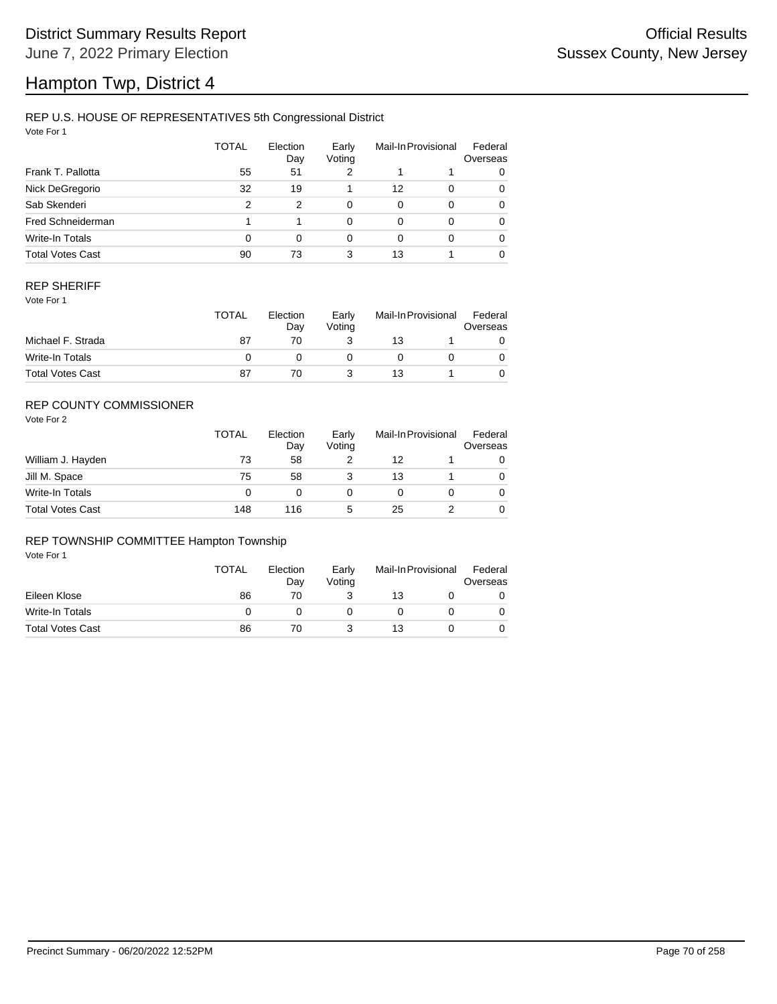# Hampton Twp, District 4

## REP U.S. HOUSE OF REPRESENTATIVES 5th Congressional District

Vote For 1

|                         | <b>TOTAL</b> | Election<br>Day | Early<br>Voting |    | Mail-In Provisional | Federal<br>Overseas |
|-------------------------|--------------|-----------------|-----------------|----|---------------------|---------------------|
| Frank T. Pallotta       | 55           | 51              | 2               |    |                     | 0                   |
| Nick DeGregorio         | 32           | 19              |                 | 12 | $\Omega$            | 0                   |
| Sab Skenderi            | 2            | 2               | 0               | 0  | $\Omega$            | 0                   |
| Fred Schneiderman       |              |                 | 0               | 0  | $\Omega$            | 0                   |
| Write-In Totals         | 0            | $\Omega$        | 0               | 0  | $\Omega$            | 0                   |
| <b>Total Votes Cast</b> | 90           | 73              | 3               | 13 |                     | 0                   |

### REP SHERIFF

Vote For 1

|                         | <b>TOTAL</b> | Election<br>Dav | Early<br>Votina | Mail-In Provisional |  | Federal<br>Overseas |
|-------------------------|--------------|-----------------|-----------------|---------------------|--|---------------------|
| Michael F. Strada       | 87           | 70              |                 | 13                  |  |                     |
| Write-In Totals         |              |                 |                 |                     |  |                     |
| <b>Total Votes Cast</b> | 87           |                 |                 | 13                  |  |                     |

## REP COUNTY COMMISSIONER

Vote For 2

|                         | <b>TOTAL</b> | Election<br>Day | Early<br>Votina |    | Mail-In Provisional |   |
|-------------------------|--------------|-----------------|-----------------|----|---------------------|---|
| William J. Hayden       | 73           | 58              |                 | 12 |                     | 0 |
| Jill M. Space           | 75           | 58              |                 | 13 |                     | 0 |
| Write-In Totals         | 0            |                 |                 |    |                     | 0 |
| <b>Total Votes Cast</b> | 148          | 116             | 5               | 25 |                     | 0 |

## REP TOWNSHIP COMMITTEE Hampton Township

|                         | <b>TOTAL</b> | Election<br>Day | Early<br>Voting | Mail-In Provisional |  | Federal<br>Overseas |  |
|-------------------------|--------------|-----------------|-----------------|---------------------|--|---------------------|--|
| Eileen Klose            | 86           | 70              |                 | 13                  |  |                     |  |
| Write-In Totals         |              |                 |                 |                     |  |                     |  |
| <b>Total Votes Cast</b> | 86           | 70              |                 | 13                  |  |                     |  |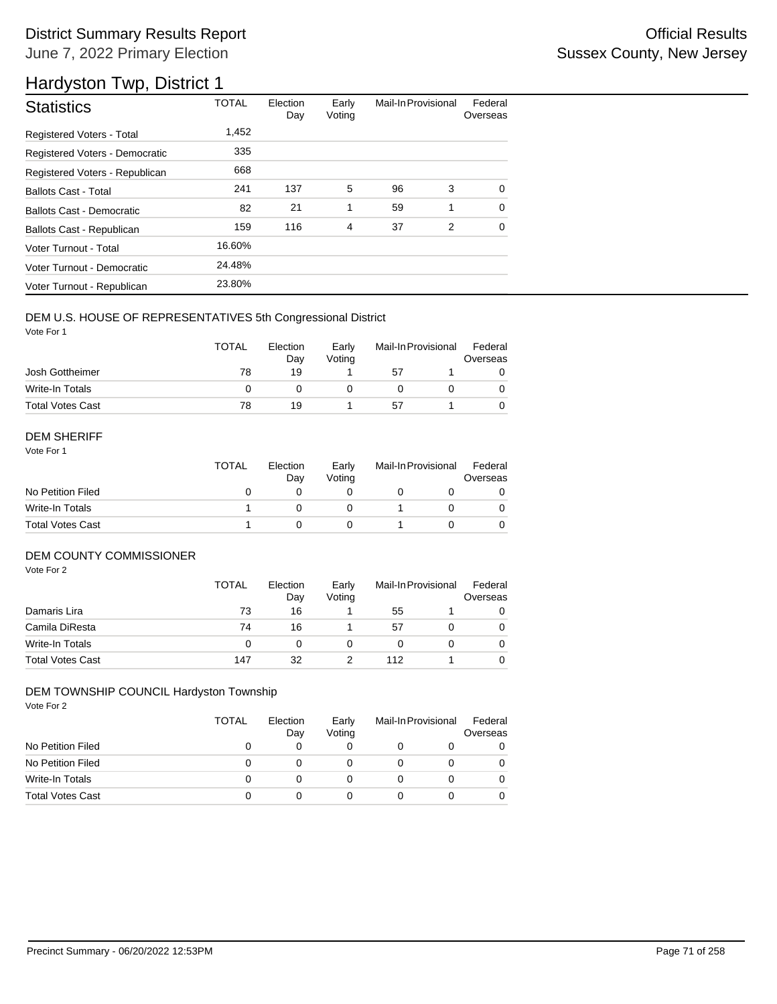# District Summary Results Report **Container and Container Container Container Container Container Container Container** June 7, 2022 Primary Election

# Hardyston Twp, District 1

| <b>Statistics</b>                | <b>TOTAL</b> | Election<br>Day | Early<br>Voting | Mail-In Provisional |   | Federal<br>Overseas |
|----------------------------------|--------------|-----------------|-----------------|---------------------|---|---------------------|
| Registered Voters - Total        | 1.452        |                 |                 |                     |   |                     |
| Registered Voters - Democratic   | 335          |                 |                 |                     |   |                     |
| Registered Voters - Republican   | 668          |                 |                 |                     |   |                     |
| <b>Ballots Cast - Total</b>      | 241          | 137             | 5               | 96                  | 3 | $\Omega$            |
| Ballots Cast - Democratic        | 82           | 21              | 1               | 59                  | 1 | $\Omega$            |
| <b>Ballots Cast - Republican</b> | 159          | 116             | 4               | 37                  | 2 | $\Omega$            |
| Voter Turnout - Total            | 16.60%       |                 |                 |                     |   |                     |
| Voter Turnout - Democratic       | 24.48%       |                 |                 |                     |   |                     |
| Voter Turnout - Republican       | 23.80%       |                 |                 |                     |   |                     |

## DEM U.S. HOUSE OF REPRESENTATIVES 5th Congressional District

Vote For 1

|                         | <b>TOTAL</b> | Election<br>Dav | Early<br>Votina |    | Mail-In Provisional |  |
|-------------------------|--------------|-----------------|-----------------|----|---------------------|--|
| Josh Gottheimer         | 78           | 19              |                 | 57 |                     |  |
| Write-In Totals         |              |                 |                 |    |                     |  |
| <b>Total Votes Cast</b> | 78           | 19              |                 | 51 |                     |  |

### DEM SHERIFF

Vote For 1

|                         | <b>TOTAL</b> | Election<br>Day | Early<br>Votina | Mail-In Provisional |  | Federal<br>Overseas |  |
|-------------------------|--------------|-----------------|-----------------|---------------------|--|---------------------|--|
| No Petition Filed       |              |                 |                 |                     |  |                     |  |
| Write-In Totals         |              |                 |                 |                     |  | $\Omega$            |  |
| <b>Total Votes Cast</b> |              |                 |                 |                     |  |                     |  |

## DEM COUNTY COMMISSIONER

Vote For 2

|                         | TOTAL | Election<br>Day | Early<br>Votina |     | Mail-In Provisional | Federal<br>Overseas |
|-------------------------|-------|-----------------|-----------------|-----|---------------------|---------------------|
| Damaris Lira            | 73    | 16              |                 | 55  |                     | 0                   |
| Camila DiResta          | 74    | 16              |                 | 57  |                     | 0                   |
| Write-In Totals         |       |                 |                 |     |                     | 0                   |
| <b>Total Votes Cast</b> | 147   | 32              |                 | 112 |                     | 0                   |

### DEM TOWNSHIP COUNCIL Hardyston Township

|                         | TOTAL | Election<br>Day | Early<br>Voting | Mail-In Provisional |  | Federal<br>Overseas |
|-------------------------|-------|-----------------|-----------------|---------------------|--|---------------------|
| No Petition Filed       |       |                 | 0               |                     |  | 0                   |
| No Petition Filed       | 0     |                 | O               |                     |  |                     |
| Write-In Totals         |       |                 |                 |                     |  |                     |
| <b>Total Votes Cast</b> |       |                 | 0               |                     |  |                     |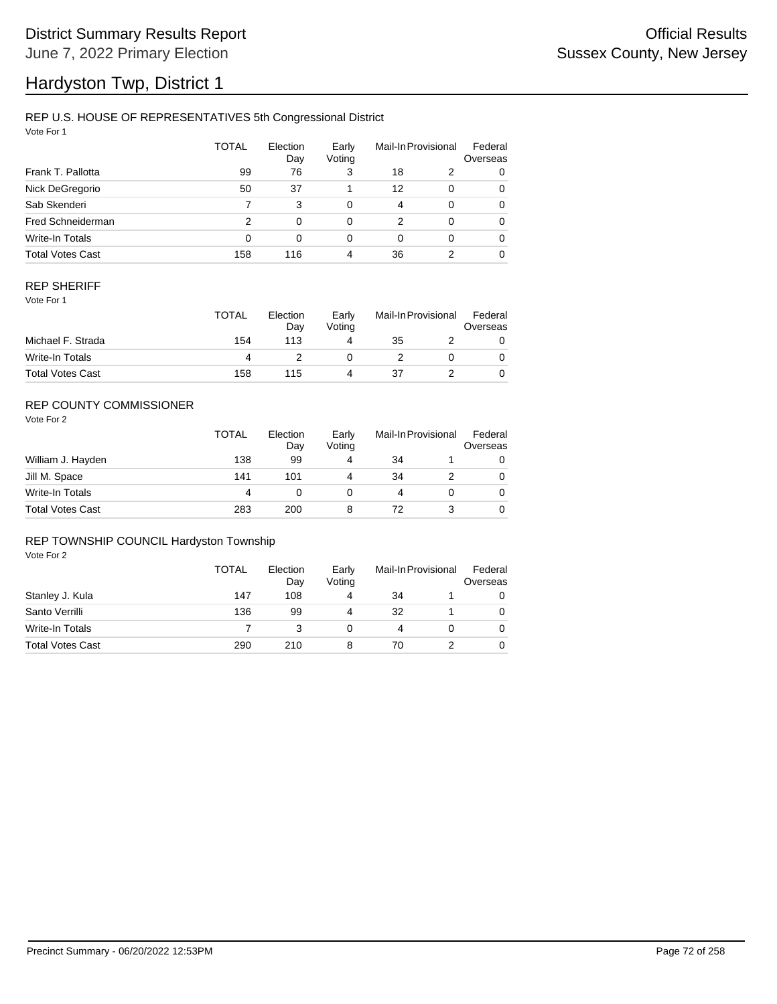# Hardyston Twp, District 1

## REP U.S. HOUSE OF REPRESENTATIVES 5th Congressional District

Vote For 1

|                         | TOTAL | Election<br>Day | Early<br>Voting | Mail-In Provisional |          | Federal<br>Overseas |
|-------------------------|-------|-----------------|-----------------|---------------------|----------|---------------------|
| Frank T. Pallotta       | 99    | 76              | 3               | 18                  | 2        | 0                   |
| Nick DeGregorio         | 50    | 37              |                 | 12                  | 0        | 0                   |
| Sab Skenderi            | 7     | 3               | $\Omega$        | 4                   | $\Omega$ | 0                   |
| Fred Schneiderman       | 2     | 0               | 0               | 2                   | $\Omega$ | 0                   |
| <b>Write-In Totals</b>  | 0     | 0               | $\Omega$        | 0                   | $\Omega$ | 0                   |
| <b>Total Votes Cast</b> | 158   | 116             | 4               | 36                  |          | 0                   |

## REP SHERIFF

Vote For 1

|                         | <b>TOTAL</b> | Election<br>Day | Early<br>Votina | Mail-In Provisional |  | Federal<br>Overseas |
|-------------------------|--------------|-----------------|-----------------|---------------------|--|---------------------|
| Michael F. Strada       | 154          | 113             |                 | 35                  |  |                     |
| Write-In Totals         |              |                 |                 |                     |  |                     |
| <b>Total Votes Cast</b> | 158          | 115             |                 | 37                  |  |                     |

## REP COUNTY COMMISSIONER

Vote For 2

|                         | <b>TOTAL</b> | Election<br>Day | Early<br>Voting | Mail-In Provisional |  | Federal<br>Overseas |
|-------------------------|--------------|-----------------|-----------------|---------------------|--|---------------------|
| William J. Hayden       | 138          | 99              | 4               | 34                  |  | 0                   |
| Jill M. Space           | 141          | 101             |                 | 34                  |  | 0                   |
| Write-In Totals         | 4            |                 |                 |                     |  | 0                   |
| <b>Total Votes Cast</b> | 283          | 200             | 8               | 72                  |  | 0                   |

## REP TOWNSHIP COUNCIL Hardyston Township

|                         | TOTAL | Election<br>Day | Early<br>Voting | Mail-In Provisional |  | Federal<br>Overseas |
|-------------------------|-------|-----------------|-----------------|---------------------|--|---------------------|
| Stanley J. Kula         | 147   | 108             |                 | 34                  |  | 0                   |
| Santo Verrilli          | 136   | 99              |                 | 32                  |  | 0                   |
| Write-In Totals         |       |                 |                 | 4                   |  | 0                   |
| <b>Total Votes Cast</b> | 290   | 210             | 8               | 70                  |  |                     |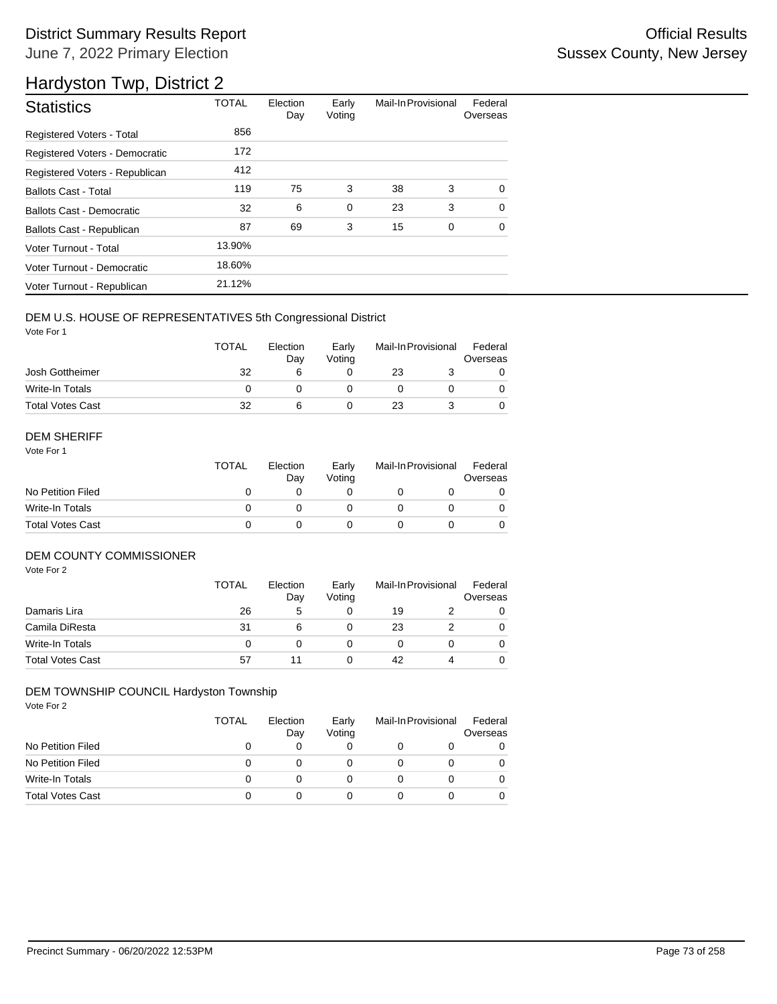## District Summary Results Report **Container and Container Container Container Container Container Container Container** June 7, 2022 Primary Election

## Hardyston Twp, District 2

| <b>Statistics</b>                | <b>TOTAL</b> | Election<br>Day | Early<br>Voting | Mail-In Provisional |   | Federal<br>Overseas |
|----------------------------------|--------------|-----------------|-----------------|---------------------|---|---------------------|
| <b>Registered Voters - Total</b> | 856          |                 |                 |                     |   |                     |
| Registered Voters - Democratic   | 172          |                 |                 |                     |   |                     |
| Registered Voters - Republican   | 412          |                 |                 |                     |   |                     |
| <b>Ballots Cast - Total</b>      | 119          | 75              | 3               | 38                  | 3 | $\Omega$            |
| <b>Ballots Cast - Democratic</b> | 32           | 6               | $\mathbf 0$     | 23                  | 3 | $\Omega$            |
| Ballots Cast - Republican        | 87           | 69              | 3               | 15                  | 0 | $\Omega$            |
| Voter Turnout - Total            | 13.90%       |                 |                 |                     |   |                     |
| Voter Turnout - Democratic       | 18.60%       |                 |                 |                     |   |                     |
| Voter Turnout - Republican       | 21.12%       |                 |                 |                     |   |                     |

#### DEM U.S. HOUSE OF REPRESENTATIVES 5th Congressional District

Vote For 1

|                         | <b>TOTAL</b> | Election<br>Dav | Early<br>Votina | Mail-In Provisional |  | Federal<br>Overseas |
|-------------------------|--------------|-----------------|-----------------|---------------------|--|---------------------|
| Josh Gottheimer         | 32           |                 |                 | 23                  |  |                     |
| Write-In Totals         |              |                 |                 |                     |  |                     |
| <b>Total Votes Cast</b> | 32           |                 |                 | 23                  |  |                     |

#### DEM SHERIFF

Vote For 1

|                         | TOTAL | Election<br>Day | Early<br>Votina | Mail-In Provisional |  | Federal<br>Overseas |
|-------------------------|-------|-----------------|-----------------|---------------------|--|---------------------|
| No Petition Filed       |       |                 |                 |                     |  |                     |
| Write-In Totals         |       |                 |                 |                     |  | $\Omega$            |
| <b>Total Votes Cast</b> |       |                 |                 |                     |  |                     |

#### DEM COUNTY COMMISSIONER

Vote For 2

|                         | <b>TOTAL</b> | Election<br>Day | Early<br>Votina | Mail-In Provisional |   | Federal<br>Overseas |
|-------------------------|--------------|-----------------|-----------------|---------------------|---|---------------------|
| Damaris Lira            | 26           | 5               |                 | 19                  |   | 0                   |
| Camila DiResta          | 31           | 6               |                 | 23                  |   | 0                   |
| <b>Write-In Totals</b>  |              |                 |                 |                     |   | $\Omega$            |
| <b>Total Votes Cast</b> | 57           | 11              |                 | 42                  | 4 | 0                   |

### DEM TOWNSHIP COUNCIL Hardyston Township

|                         | TOTAL | Election<br>Day | Early<br>Voting | Mail-In Provisional |  | Federal<br>Overseas |
|-------------------------|-------|-----------------|-----------------|---------------------|--|---------------------|
| No Petition Filed       |       |                 | 0               |                     |  | 0                   |
| No Petition Filed       | 0     |                 | O               |                     |  |                     |
| Write-In Totals         |       |                 |                 |                     |  |                     |
| <b>Total Votes Cast</b> |       |                 | 0               |                     |  |                     |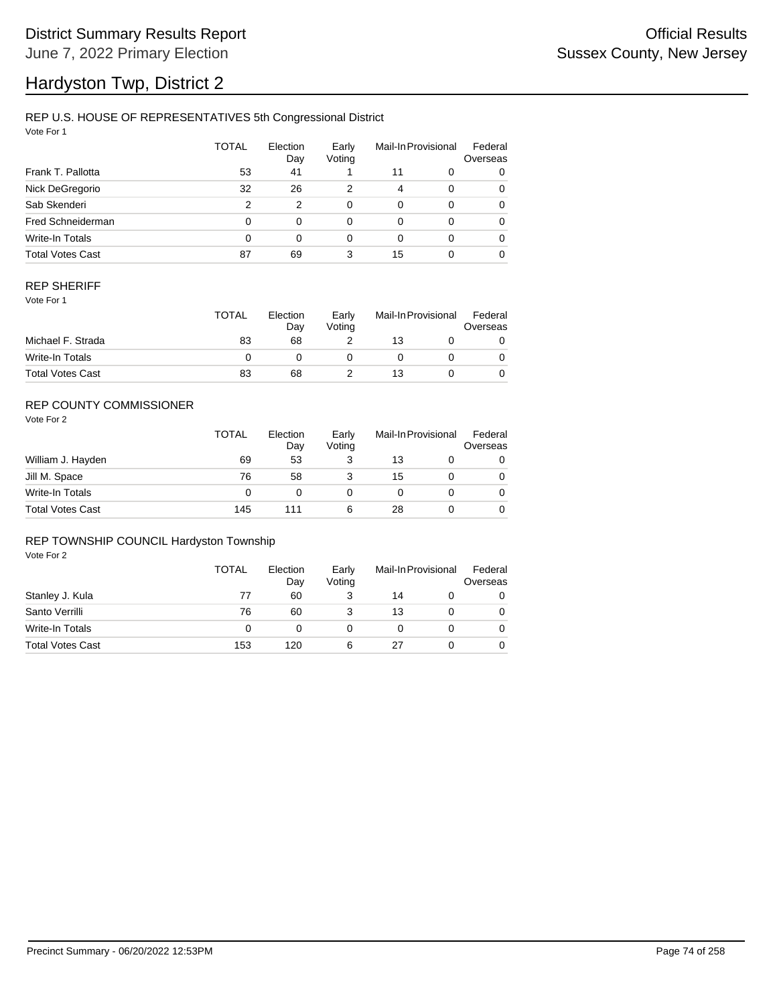# Hardyston Twp, District 2

### REP U.S. HOUSE OF REPRESENTATIVES 5th Congressional District

Vote For 1

|                         | <b>TOTAL</b> | Election<br>Day | Early<br>Voting |          | Mail-In Provisional | Federal<br>Overseas |
|-------------------------|--------------|-----------------|-----------------|----------|---------------------|---------------------|
| Frank T. Pallotta       | 53           | 41              |                 | 11       | 0                   | 0                   |
| Nick DeGregorio         | 32           | 26              | 2               | 4        | $\Omega$            | 0                   |
| Sab Skenderi            | 2            | 2               | $\Omega$        | $\Omega$ | $\Omega$            | 0                   |
| Fred Schneiderman       | 0            | 0               | 0               | 0        | 0                   | 0                   |
| Write-In Totals         | 0            | 0               | $\Omega$        | 0        | $\Omega$            | $\Omega$            |
| <b>Total Votes Cast</b> | 87           | 69              | 3               | 15       |                     | $\Omega$            |

#### REP SHERIFF

Vote For 1

|                         | <b>TOTAL</b> | Election<br>Day | Early<br>Votina | Mail-In Provisional |  | Federal<br>Overseas |
|-------------------------|--------------|-----------------|-----------------|---------------------|--|---------------------|
| Michael F. Strada       | 83           | 68              |                 | 13                  |  |                     |
| Write-In Totals         |              |                 |                 |                     |  |                     |
| <b>Total Votes Cast</b> | 83           | 68              |                 | 13                  |  |                     |

### REP COUNTY COMMISSIONER

Vote For 2

|                         | TOTAL | Election<br>Day | Early<br>Votina |    | Mail-In Provisional |   |
|-------------------------|-------|-----------------|-----------------|----|---------------------|---|
| William J. Hayden       | 69    | 53              | З               | 13 |                     | 0 |
| Jill M. Space           | 76    | 58              |                 | 15 |                     | 0 |
| Write-In Totals         | 0     |                 |                 |    |                     | 0 |
| <b>Total Votes Cast</b> | 145   | 111             | 6               | 28 |                     | 0 |

#### REP TOWNSHIP COUNCIL Hardyston Township

|                         | <b>TOTAL</b> | Election<br>Day | Early<br>Voting | Mail-In Provisional |  | Federal<br>Overseas |
|-------------------------|--------------|-----------------|-----------------|---------------------|--|---------------------|
| Stanley J. Kula         | 77           | 60              |                 | 14                  |  | 0                   |
| Santo Verrilli          | 76           | 60              |                 | 13                  |  | 0                   |
| Write-In Totals         | 0            |                 |                 |                     |  | 0                   |
| <b>Total Votes Cast</b> | 153          | 120             | 6               | 27                  |  | 0                   |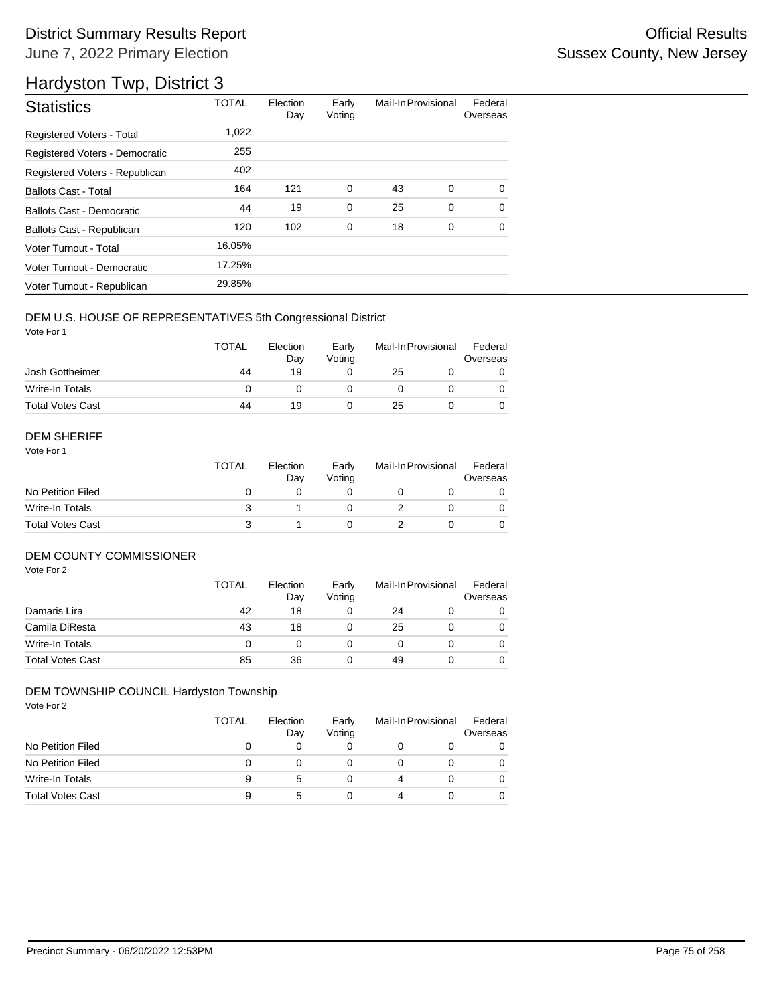## District Summary Results Report **Container and Container Container Container Container Container Container Container** June 7, 2022 Primary Election

## Hardyston Twp, District 3

| <b>Statistics</b>                | <b>TOTAL</b> | Election<br>Day | Early<br>Voting | Mail-In Provisional |   | Federal<br>Overseas |
|----------------------------------|--------------|-----------------|-----------------|---------------------|---|---------------------|
| Registered Voters - Total        | 1.022        |                 |                 |                     |   |                     |
| Registered Voters - Democratic   | 255          |                 |                 |                     |   |                     |
| Registered Voters - Republican   | 402          |                 |                 |                     |   |                     |
| <b>Ballots Cast - Total</b>      | 164          | 121             | 0               | 43                  | 0 | $\Omega$            |
| <b>Ballots Cast - Democratic</b> | 44           | 19              | $\mathbf 0$     | 25                  | 0 | $\Omega$            |
| <b>Ballots Cast - Republican</b> | 120          | 102             | 0               | 18                  | 0 | $\Omega$            |
| Voter Turnout - Total            | 16.05%       |                 |                 |                     |   |                     |
| Voter Turnout - Democratic       | 17.25%       |                 |                 |                     |   |                     |
| Voter Turnout - Republican       | 29.85%       |                 |                 |                     |   |                     |

#### DEM U.S. HOUSE OF REPRESENTATIVES 5th Congressional District

Vote For 1

|                         | <b>TOTAL</b> | Election<br>Day | Early<br>Votina | Mail-In Provisional |  | Federal<br>Overseas |
|-------------------------|--------------|-----------------|-----------------|---------------------|--|---------------------|
| Josh Gottheimer         | 44           | 19              |                 | 25                  |  |                     |
| Write-In Totals         |              |                 |                 |                     |  |                     |
| <b>Total Votes Cast</b> | 44           | 19              |                 | 25                  |  |                     |

#### DEM SHERIFF

Vote For 1

| <b>TOTAL</b> | Election<br>Day | Early<br>Votina |  |  | Federal<br>Overseas |  |
|--------------|-----------------|-----------------|--|--|---------------------|--|
|              |                 |                 |  |  |                     |  |
|              |                 |                 |  |  | $\Omega$            |  |
|              |                 |                 |  |  |                     |  |
|              |                 |                 |  |  | Mail-In Provisional |  |

#### DEM COUNTY COMMISSIONER

Vote For 2

|                         | <b>TOTAL</b> | Election<br>Day | Early<br>Voting |    | Mail-In Provisional | Federal<br>Overseas |
|-------------------------|--------------|-----------------|-----------------|----|---------------------|---------------------|
| Damaris Lira            | 42           | 18              |                 | 24 |                     | 0                   |
| Camila DiResta          | 43           | 18              |                 | 25 |                     | $\Omega$            |
| Write-In Totals         |              |                 |                 |    |                     | $\Omega$            |
| <b>Total Votes Cast</b> | 85           | 36              |                 | 49 |                     | $\Omega$            |

#### DEM TOWNSHIP COUNCIL Hardyston Township

|                         | TOTAL | Election<br>Day | Early<br>Voting | Mail-In Provisional |  | Federal<br>Overseas |
|-------------------------|-------|-----------------|-----------------|---------------------|--|---------------------|
| No Petition Filed       |       |                 | 0               |                     |  | 0                   |
| No Petition Filed       | 0     |                 | O               |                     |  |                     |
| Write-In Totals         | 9     | 5               | Ω               | 4                   |  |                     |
| <b>Total Votes Cast</b> | 9     | 5               |                 | 4                   |  |                     |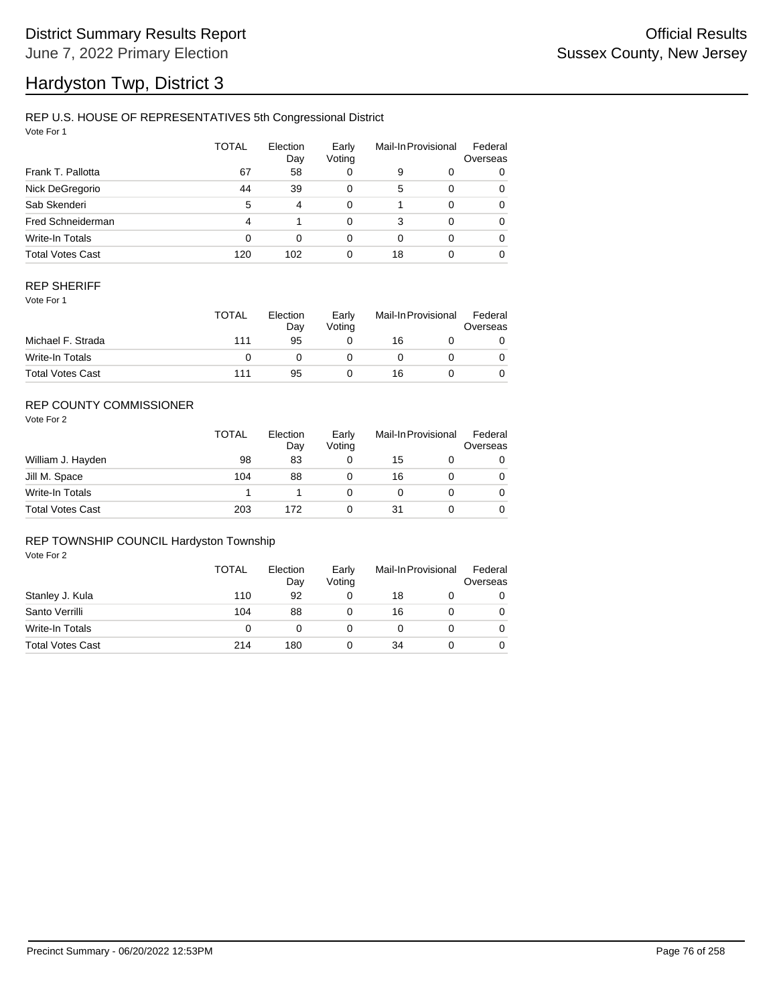# Hardyston Twp, District 3

### REP U.S. HOUSE OF REPRESENTATIVES 5th Congressional District

Vote For 1

|                         | TOTAL | Election<br>Day | Early<br>Voting |    | Mail-In Provisional | Federal<br>Overseas |
|-------------------------|-------|-----------------|-----------------|----|---------------------|---------------------|
| Frank T. Pallotta       | 67    | 58              | 0               | 9  | 0                   | 0                   |
| Nick DeGregorio         | 44    | 39              | 0               | 5  | $\Omega$            | 0                   |
| Sab Skenderi            | 5     | 4               | 0               |    | $\Omega$            | 0                   |
| Fred Schneiderman       | 4     |                 | 0               | 3  | $\Omega$            | 0                   |
| Write-In Totals         | 0     | 0               | 0               | 0  | $\Omega$            | 0                   |
| <b>Total Votes Cast</b> | 120   | 102             | 0               | 18 |                     | 0                   |

#### REP SHERIFF

Vote For 1

|                         | <b>TOTAL</b> | Election<br>Day | Early<br>Votina | Mail-In Provisional |  | Federal<br>Overseas |
|-------------------------|--------------|-----------------|-----------------|---------------------|--|---------------------|
| Michael F. Strada       | 111          | 95              |                 | 16                  |  |                     |
| Write-In Totals         |              |                 |                 |                     |  |                     |
| <b>Total Votes Cast</b> | 111          | 95              |                 | 16                  |  |                     |

### REP COUNTY COMMISSIONER

Vote For 2

|                         | <b>TOTAL</b> | Election<br>Day | Early<br>Voting | Mail-In Provisional |  | Federal<br>Overseas |
|-------------------------|--------------|-----------------|-----------------|---------------------|--|---------------------|
| William J. Hayden       | 98           | 83              |                 | 15                  |  | 0                   |
| Jill M. Space           | 104          | 88              |                 | 16                  |  | 0                   |
| Write-In Totals         |              |                 |                 |                     |  | 0                   |
| <b>Total Votes Cast</b> | 203          | 172             |                 | 31                  |  | 0                   |

#### REP TOWNSHIP COUNCIL Hardyston Township

|                         | <b>TOTAL</b> | Election<br>Day | Early<br>Voting | Mail-In Provisional |  | Federal<br>Overseas |
|-------------------------|--------------|-----------------|-----------------|---------------------|--|---------------------|
| Stanley J. Kula         | 110          | 92              |                 | 18                  |  | 0                   |
| Santo Verrilli          | 104          | 88              |                 | 16                  |  | 0                   |
| Write-In Totals         | 0            |                 |                 |                     |  | 0                   |
| <b>Total Votes Cast</b> | 214          | 180             |                 | 34                  |  |                     |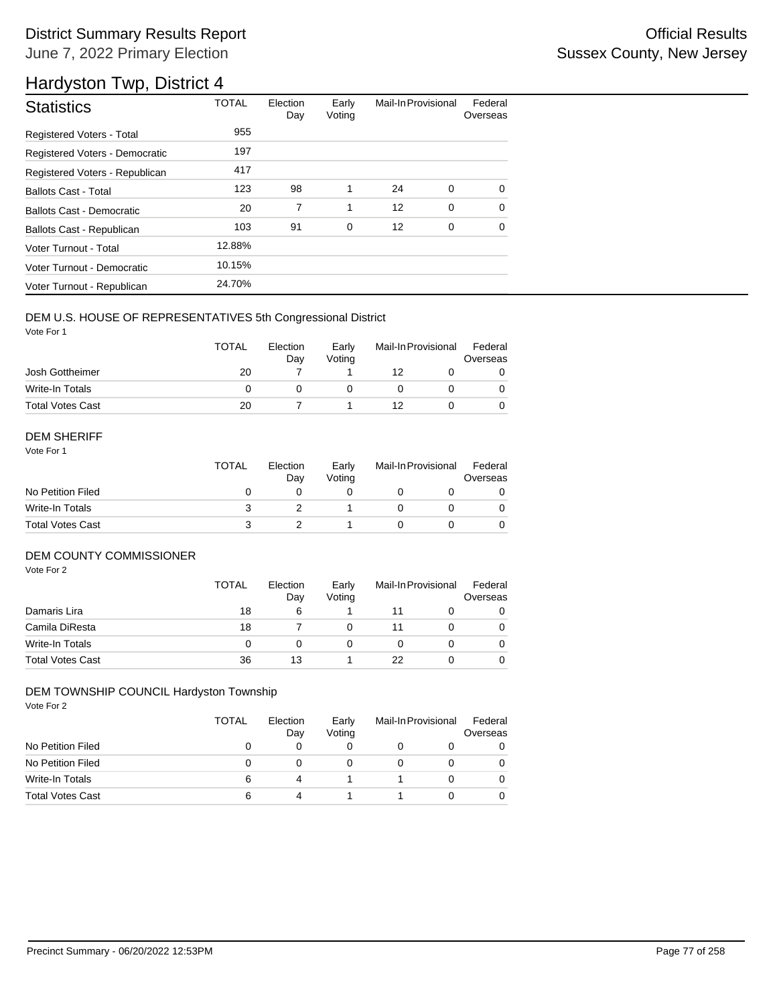## District Summary Results Report **Container and Container Container Container Container Container Container Container** June 7, 2022 Primary Election

## Hardyston Twp, District 4

| <b>Statistics</b>              | <b>TOTAL</b> | Election<br>Day | Early<br>Voting | Mail-In Provisional |             | Federal<br>Overseas |
|--------------------------------|--------------|-----------------|-----------------|---------------------|-------------|---------------------|
| Registered Voters - Total      | 955          |                 |                 |                     |             |                     |
| Registered Voters - Democratic | 197          |                 |                 |                     |             |                     |
| Registered Voters - Republican | 417          |                 |                 |                     |             |                     |
| <b>Ballots Cast - Total</b>    | 123          | 98              | 1               | 24                  | 0           | $\Omega$            |
| Ballots Cast - Democratic      | 20           | 7               | 1               | 12                  | $\mathbf 0$ | $\Omega$            |
| Ballots Cast - Republican      | 103          | 91              | 0               | 12                  | 0           | 0                   |
| Voter Turnout - Total          | 12.88%       |                 |                 |                     |             |                     |
| Voter Turnout - Democratic     | 10.15%       |                 |                 |                     |             |                     |
| Voter Turnout - Republican     | 24.70%       |                 |                 |                     |             |                     |

#### DEM U.S. HOUSE OF REPRESENTATIVES 5th Congressional District

Vote For 1

|                         | <b>TOTAL</b> | Election<br>Dav | Early<br>Votina | Mail-In Provisional |  | Federal<br>Overseas |  |
|-------------------------|--------------|-----------------|-----------------|---------------------|--|---------------------|--|
| Josh Gottheimer         | 20           |                 |                 | 12                  |  |                     |  |
| Write-In Totals         |              |                 |                 |                     |  |                     |  |
| <b>Total Votes Cast</b> | 20           |                 |                 | 12                  |  |                     |  |

#### DEM SHERIFF

Vote For 1

|                         | <b>TOTAL</b> | Election<br>Dav | Early<br>Votina | Mail-In Provisional |  | Federal<br>Overseas |  |
|-------------------------|--------------|-----------------|-----------------|---------------------|--|---------------------|--|
| No Petition Filed       |              |                 |                 |                     |  |                     |  |
| Write-In Totals         |              |                 |                 |                     |  | 0                   |  |
| <b>Total Votes Cast</b> |              |                 |                 |                     |  |                     |  |

#### DEM COUNTY COMMISSIONER

Vote For 2

|                         | <b>TOTAL</b> | Election<br>Day | Early<br>Votina |    | Mail-In Provisional | Federal<br>Overseas |
|-------------------------|--------------|-----------------|-----------------|----|---------------------|---------------------|
| Damaris Lira            | 18           | 6               |                 | 11 |                     | 0                   |
| Camila DiResta          | 18           |                 |                 | 11 |                     | 0                   |
| Write-In Totals         | 0            |                 |                 |    |                     | $\Omega$            |
| <b>Total Votes Cast</b> | 36           | 13              |                 | 22 |                     | 0                   |

#### DEM TOWNSHIP COUNCIL Hardyston Township

|                         | TOTAL | Election<br>Day | Early<br>Voting | Mail-In Provisional |  | Federal<br>Overseas |
|-------------------------|-------|-----------------|-----------------|---------------------|--|---------------------|
| No Petition Filed       |       |                 | 0               |                     |  | 0                   |
| No Petition Filed       | 0     |                 | O               |                     |  |                     |
| Write-In Totals         | 6     | 4               |                 |                     |  |                     |
| <b>Total Votes Cast</b> | 6     | 4               |                 |                     |  |                     |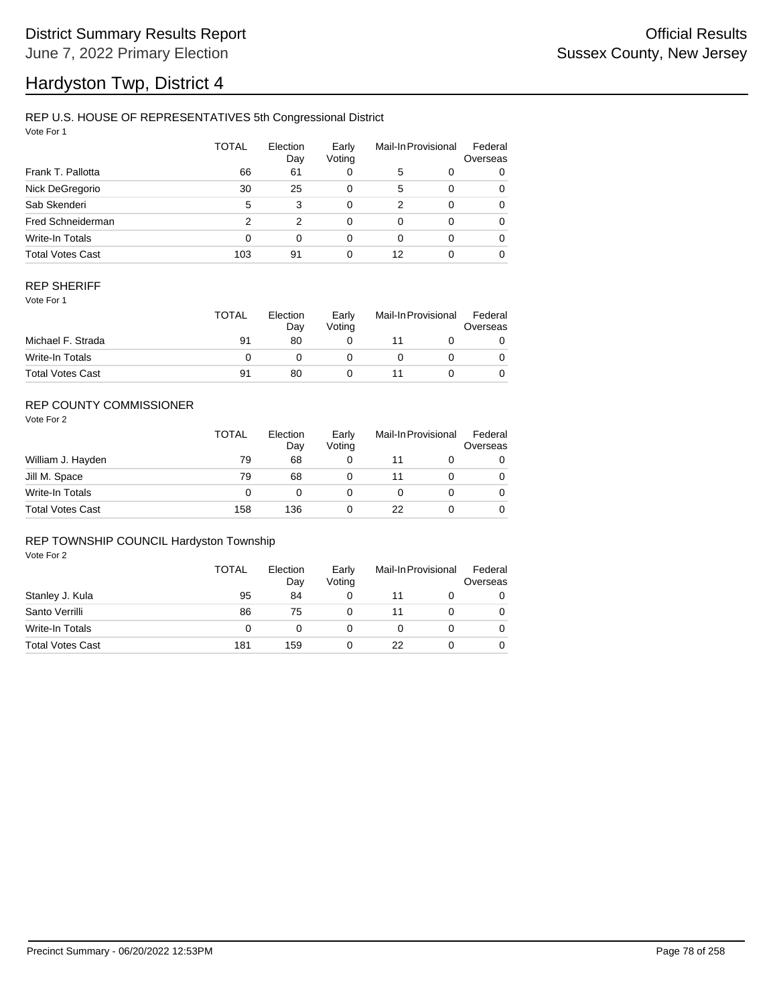# Hardyston Twp, District 4

### REP U.S. HOUSE OF REPRESENTATIVES 5th Congressional District

Vote For 1

|                         | <b>TOTAL</b> | Election<br>Day | Early<br>Voting |    | Mail-In Provisional | Federal<br>Overseas |
|-------------------------|--------------|-----------------|-----------------|----|---------------------|---------------------|
| Frank T. Pallotta       | 66           | 61              | 0               | 5  | 0                   | 0                   |
| Nick DeGregorio         | 30           | 25              | 0               | 5  | $\Omega$            | 0                   |
| Sab Skenderi            | 5            | 3               | 0               | 2  | $\Omega$            | 0                   |
| Fred Schneiderman       | 2            | 2               | 0               | 0  | $\Omega$            | 0                   |
| Write-In Totals         | 0            | $\Omega$        | 0               | 0  | $\Omega$            | 0                   |
| <b>Total Votes Cast</b> | 103          | 91              | 0               | 12 |                     | 0                   |

#### REP SHERIFF

Vote For 1

|                         | <b>TOTAL</b> | Election<br>Day | Early<br>Votina | Mail-In Provisional |  | Federal<br>Overseas |
|-------------------------|--------------|-----------------|-----------------|---------------------|--|---------------------|
| Michael F. Strada       | 91           | 80              |                 |                     |  |                     |
| Write-In Totals         |              |                 |                 |                     |  |                     |
| <b>Total Votes Cast</b> | 91           | 80              |                 |                     |  |                     |

### REP COUNTY COMMISSIONER

Vote For 2

|                         | <b>TOTAL</b> | Election<br>Day | Early<br>Votina |    | Mail-In Provisional | Federal<br>Overseas |
|-------------------------|--------------|-----------------|-----------------|----|---------------------|---------------------|
| William J. Hayden       | 79           | 68              | 0               |    |                     | 0                   |
| Jill M. Space           | 79           | 68              |                 |    |                     | 0                   |
| Write-In Totals         | 0            |                 |                 |    |                     | 0                   |
| <b>Total Votes Cast</b> | 158          | 136             |                 | 22 |                     | 0                   |

#### REP TOWNSHIP COUNCIL Hardyston Township

|                         | TOTAL | Election<br>Day | Early<br>Voting | Mail-In Provisional |  | Federal<br>Overseas |
|-------------------------|-------|-----------------|-----------------|---------------------|--|---------------------|
| Stanley J. Kula         | 95    | 84              |                 | 11                  |  | 0                   |
| Santo Verrilli          | 86    | 75              |                 | 11                  |  | 0                   |
| Write-In Totals         | 0     |                 |                 |                     |  | 0                   |
| <b>Total Votes Cast</b> | 181   | 159             |                 | 22                  |  |                     |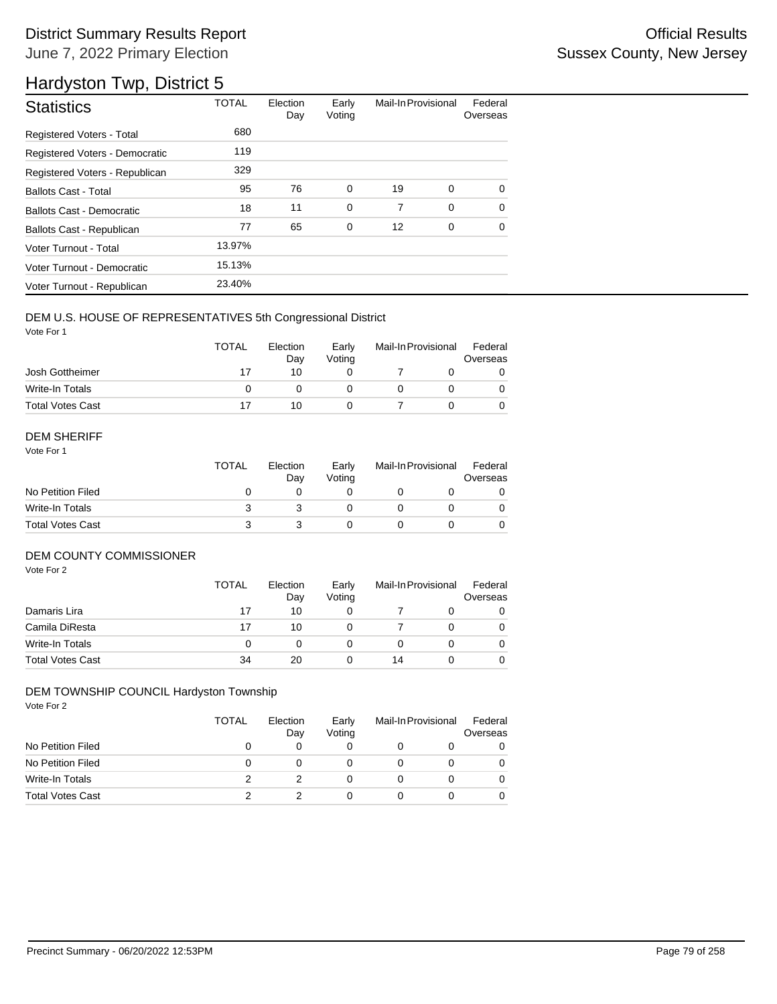## District Summary Results Report **Container and Container Container Container Container Container Container Container** June 7, 2022 Primary Election

## Hardyston Twp, District 5

| <b>Statistics</b>                | <b>TOTAL</b> | Election<br>Day | Early<br>Voting | Mail-In Provisional |             | Federal<br>Overseas |
|----------------------------------|--------------|-----------------|-----------------|---------------------|-------------|---------------------|
| <b>Registered Voters - Total</b> | 680          |                 |                 |                     |             |                     |
| Registered Voters - Democratic   | 119          |                 |                 |                     |             |                     |
| Registered Voters - Republican   | 329          |                 |                 |                     |             |                     |
| <b>Ballots Cast - Total</b>      | 95           | 76              | $\mathbf 0$     | 19                  | $\mathbf 0$ | $\Omega$            |
| Ballots Cast - Democratic        | 18           | 11              | $\mathbf 0$     | 7                   | $\mathbf 0$ | $\Omega$            |
| Ballots Cast - Republican        | 77           | 65              | 0               | 12                  | 0           | 0                   |
| Voter Turnout - Total            | 13.97%       |                 |                 |                     |             |                     |
| Voter Turnout - Democratic       | 15.13%       |                 |                 |                     |             |                     |
| Voter Turnout - Republican       | 23.40%       |                 |                 |                     |             |                     |

#### DEM U.S. HOUSE OF REPRESENTATIVES 5th Congressional District

Vote For 1

|                         | <b>TOTAL</b> | Election<br>Dav | Early<br>Votina | Mail-In Provisional |  | Federal<br>Overseas |  |
|-------------------------|--------------|-----------------|-----------------|---------------------|--|---------------------|--|
| Josh Gottheimer         | 17           | 10              |                 |                     |  |                     |  |
| Write-In Totals         |              |                 |                 |                     |  |                     |  |
| <b>Total Votes Cast</b> |              | 10              |                 |                     |  |                     |  |

#### DEM SHERIFF

Vote For 1

|                         | <b>TOTAL</b> | Election<br>Day | Early<br>Votina | Mail-In Provisional |  | Federal<br>Overseas |  |
|-------------------------|--------------|-----------------|-----------------|---------------------|--|---------------------|--|
| No Petition Filed       |              |                 |                 |                     |  |                     |  |
| Write-In Totals         |              |                 |                 |                     |  | 0                   |  |
| <b>Total Votes Cast</b> |              |                 |                 |                     |  |                     |  |

#### DEM COUNTY COMMISSIONER

Vote For 2

|                         | <b>TOTAL</b> | Election<br>Day | Early<br>Voting |    | Mail-In Provisional | Federal<br>Overseas |
|-------------------------|--------------|-----------------|-----------------|----|---------------------|---------------------|
| Damaris Lira            | 17           | 10              |                 |    |                     | 0                   |
| Camila DiResta          | 17           | 10              |                 |    |                     | $\Omega$            |
| Write-In Totals         |              |                 |                 |    |                     | $\Omega$            |
| <b>Total Votes Cast</b> | 34           | 20              |                 | 14 |                     | 0                   |

#### DEM TOWNSHIP COUNCIL Hardyston Township

|                         | TOTAL | Election<br>Day | Early<br>Voting | Mail-In Provisional |  | Federal<br>Overseas |
|-------------------------|-------|-----------------|-----------------|---------------------|--|---------------------|
| No Petition Filed       | 0     |                 |                 |                     |  |                     |
| No Petition Filed       | 0     |                 |                 |                     |  |                     |
| Write-In Totals         | 2     |                 |                 |                     |  |                     |
| <b>Total Votes Cast</b> |       |                 |                 |                     |  |                     |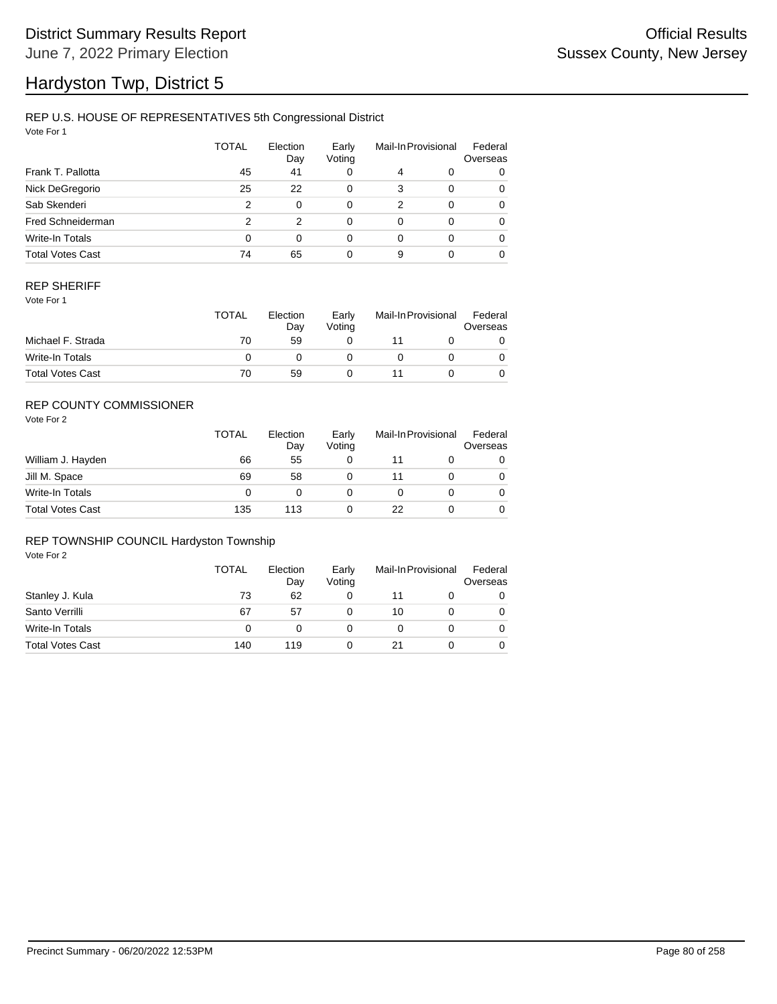# Hardyston Twp, District 5

### REP U.S. HOUSE OF REPRESENTATIVES 5th Congressional District

Vote For 1

|                         | <b>TOTAL</b> | Election<br>Day | Early<br>Voting |   | Mail-In Provisional | Federal<br>Overseas |
|-------------------------|--------------|-----------------|-----------------|---|---------------------|---------------------|
| Frank T. Pallotta       | 45           | 41              | 0               | 4 | 0                   | 0                   |
| Nick DeGregorio         | 25           | 22              | 0               | 3 | $\Omega$            | 0                   |
| Sab Skenderi            | 2            | $\Omega$        | 0               | 2 | $\Omega$            | 0                   |
| Fred Schneiderman       | 2            | 2               | 0               | 0 | $\Omega$            | 0                   |
| Write-In Totals         | 0            | $\Omega$        | 0               | 0 | $\Omega$            | 0                   |
| <b>Total Votes Cast</b> | 74           | 65              | 0               | 9 |                     | 0                   |

#### REP SHERIFF

Vote For 1

|                         | <b>TOTAL</b> | Election<br>Dav | Early<br>Votina | Mail-In Provisional |  | Federal<br>Overseas |
|-------------------------|--------------|-----------------|-----------------|---------------------|--|---------------------|
| Michael F. Strada       | 70           | 59              |                 |                     |  |                     |
| Write-In Totals         |              |                 |                 |                     |  |                     |
| <b>Total Votes Cast</b> | 70           | 59              |                 |                     |  |                     |

### REP COUNTY COMMISSIONER

Vote For 2

|                         | <b>TOTAL</b> | Election<br>Day | Early<br>Votina |    | Mail-In Provisional | Federal<br>Overseas |
|-------------------------|--------------|-----------------|-----------------|----|---------------------|---------------------|
| William J. Hayden       | 66           | 55              | 0               |    |                     | 0                   |
| Jill M. Space           | 69           | 58              |                 |    |                     | 0                   |
| Write-In Totals         | 0            |                 |                 |    |                     | 0                   |
| <b>Total Votes Cast</b> | 135          | 113             |                 | 22 |                     | 0                   |

#### REP TOWNSHIP COUNCIL Hardyston Township

|                         | TOTAL | Election<br>Day | Early<br>Voting | Mail-In Provisional |  | Federal<br>Overseas |
|-------------------------|-------|-----------------|-----------------|---------------------|--|---------------------|
| Stanley J. Kula         | 73    | 62              | 0               | 11                  |  | 0                   |
| Santo Verrilli          | 67    | 57              |                 | 10                  |  | 0                   |
| Write-In Totals         | 0     |                 |                 |                     |  | 0                   |
| <b>Total Votes Cast</b> | 140   | 119             |                 |                     |  |                     |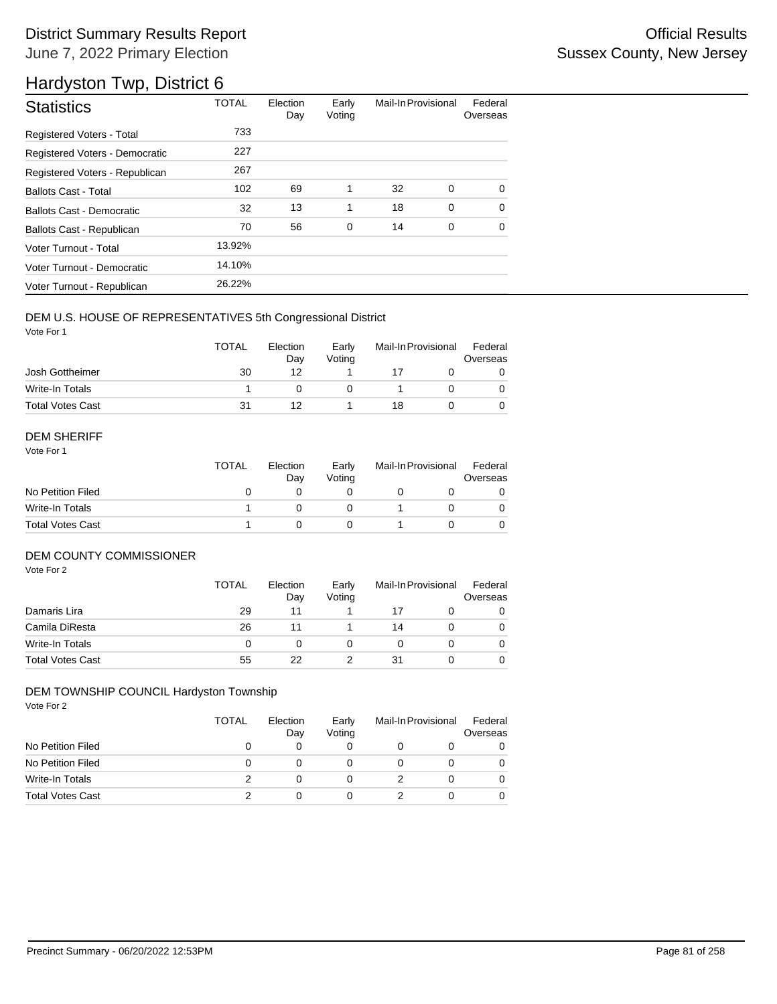## District Summary Results Report **Container and Container Container Container Container Container Container Container** June 7, 2022 Primary Election

## Hardyston Twp, District 6

| <b>Statistics</b>              | <b>TOTAL</b> | Election<br>Day | Early<br>Voting | Mail-In Provisional |             | Federal<br>Overseas |
|--------------------------------|--------------|-----------------|-----------------|---------------------|-------------|---------------------|
| Registered Voters - Total      | 733          |                 |                 |                     |             |                     |
| Registered Voters - Democratic | 227          |                 |                 |                     |             |                     |
| Registered Voters - Republican | 267          |                 |                 |                     |             |                     |
| <b>Ballots Cast - Total</b>    | 102          | 69              | 1               | 32                  | 0           | $\Omega$            |
| Ballots Cast - Democratic      | 32           | 13              | 1               | 18                  | $\mathbf 0$ | $\Omega$            |
| Ballots Cast - Republican      | 70           | 56              | 0               | 14                  | 0           | 0                   |
| Voter Turnout - Total          | 13.92%       |                 |                 |                     |             |                     |
| Voter Turnout - Democratic     | 14.10%       |                 |                 |                     |             |                     |
| Voter Turnout - Republican     | 26.22%       |                 |                 |                     |             |                     |

#### DEM U.S. HOUSE OF REPRESENTATIVES 5th Congressional District

Vote For 1

|                         | <b>TOTAL</b> | Election<br>Dav | Early<br>Votina | Mail-In Provisional |  | Federal<br>Overseas |  |
|-------------------------|--------------|-----------------|-----------------|---------------------|--|---------------------|--|
| Josh Gottheimer         | 30           | 12              |                 |                     |  |                     |  |
| Write-In Totals         |              |                 |                 |                     |  |                     |  |
| <b>Total Votes Cast</b> | 31           |                 |                 | 18                  |  |                     |  |

#### DEM SHERIFF

Vote For 1

|                         | TOTAL | Election<br>Day | Early<br>Votina | Mail-In Provisional |  | Federal<br>Overseas |  |
|-------------------------|-------|-----------------|-----------------|---------------------|--|---------------------|--|
| No Petition Filed       |       |                 |                 |                     |  |                     |  |
| Write-In Totals         |       |                 |                 |                     |  |                     |  |
| <b>Total Votes Cast</b> |       |                 |                 |                     |  |                     |  |

#### DEM COUNTY COMMISSIONER

Vote For 2

|                         | <b>TOTAL</b> | Election<br>Day | Early<br>Votina | Mail-In Provisional |  | Federal<br>Overseas |
|-------------------------|--------------|-----------------|-----------------|---------------------|--|---------------------|
| Damaris Lira            | 29           | 11              |                 | 17                  |  | 0                   |
| Camila DiResta          | 26           |                 |                 | 14                  |  | 0                   |
| Write-In Totals         |              |                 |                 |                     |  | $\Omega$            |
| <b>Total Votes Cast</b> | 55           | 22              |                 | 31                  |  |                     |

### DEM TOWNSHIP COUNCIL Hardyston Township

|                         | TOTAL | Election<br>Day | Early<br>Voting | Mail-In Provisional |  | Federal<br>Overseas |
|-------------------------|-------|-----------------|-----------------|---------------------|--|---------------------|
| No Petition Filed       |       |                 | 0               |                     |  | 0                   |
| No Petition Filed       | 0     |                 | O               |                     |  |                     |
| Write-In Totals         |       |                 | 0               |                     |  |                     |
| <b>Total Votes Cast</b> |       |                 | 0               |                     |  |                     |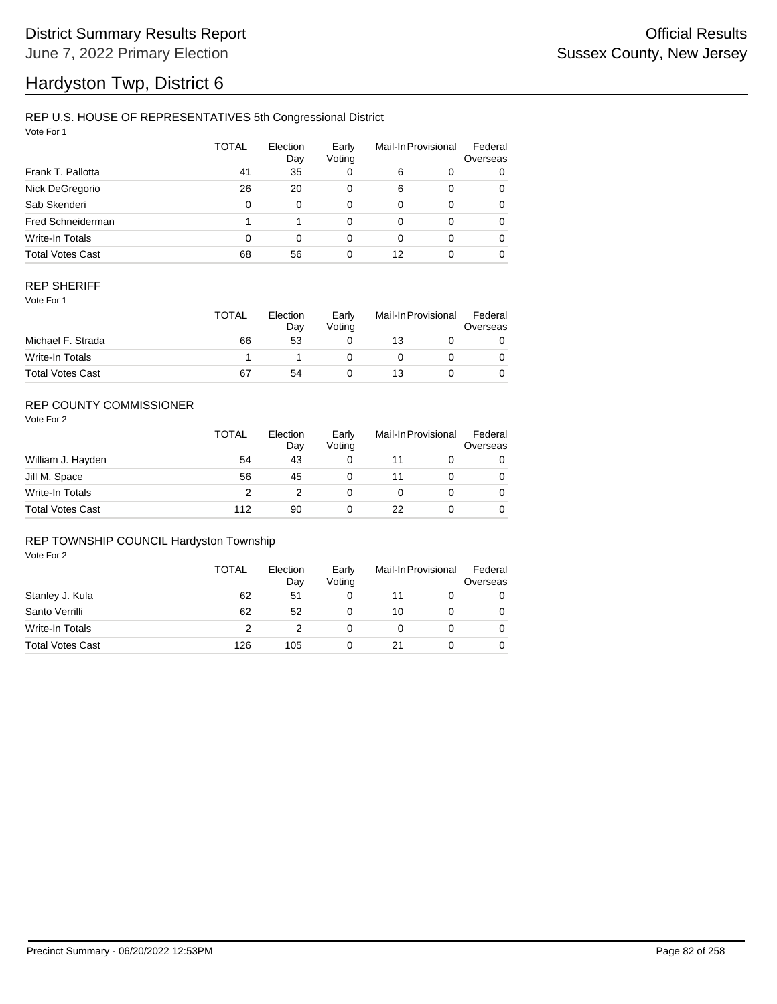# Hardyston Twp, District 6

### REP U.S. HOUSE OF REPRESENTATIVES 5th Congressional District

Vote For 1

|                         | <b>TOTAL</b> | Election<br>Day | Early<br>Voting |    | Mail-In Provisional | Federal<br>Overseas |
|-------------------------|--------------|-----------------|-----------------|----|---------------------|---------------------|
| Frank T. Pallotta       | 41           | 35              | 0               | 6  | 0                   | 0                   |
| Nick DeGregorio         | 26           | 20              | 0               | 6  | $\Omega$            | 0                   |
| Sab Skenderi            | 0            | $\Omega$        | 0               | 0  | $\Omega$            | 0                   |
| Fred Schneiderman       |              |                 | 0               | 0  | $\Omega$            | 0                   |
| Write-In Totals         | 0            | $\Omega$        | 0               | 0  | $\Omega$            | 0                   |
| <b>Total Votes Cast</b> | 68           | 56              | 0               | 12 |                     | 0                   |

#### REP SHERIFF

Vote For 1

|                         | TOTAL | Election<br>Dav | Early<br>Votina | Mail-In Provisional |  | Federal<br>Overseas |
|-------------------------|-------|-----------------|-----------------|---------------------|--|---------------------|
| Michael F. Strada       | 66    | 53              |                 | 13                  |  |                     |
| Write-In Totals         |       |                 |                 |                     |  |                     |
| <b>Total Votes Cast</b> | 67    | 54              |                 | 13                  |  |                     |

### REP COUNTY COMMISSIONER

Vote For 2

|                         | <b>TOTAL</b> | Election<br>Day | Early<br>Votina | Mail-In Provisional |  | Federal<br>Overseas |
|-------------------------|--------------|-----------------|-----------------|---------------------|--|---------------------|
| William J. Hayden       | 54           | 43              |                 |                     |  | 0                   |
| Jill M. Space           | 56           | 45              |                 |                     |  | 0                   |
| Write-In Totals         | っ            |                 |                 |                     |  | 0                   |
| <b>Total Votes Cast</b> | 112          | 90              |                 | 22                  |  | 0                   |

#### REP TOWNSHIP COUNCIL Hardyston Township

|                         | TOTAL | Election<br>Day | Early<br>Voting | Mail-In Provisional |  | Federal<br>Overseas |
|-------------------------|-------|-----------------|-----------------|---------------------|--|---------------------|
| Stanley J. Kula         | 62    | 51              |                 | 11                  |  | 0                   |
| Santo Verrilli          | 62    | 52              |                 | 10                  |  | 0                   |
| Write-In Totals         |       |                 |                 |                     |  | 0                   |
| <b>Total Votes Cast</b> | 126   | 105             |                 |                     |  |                     |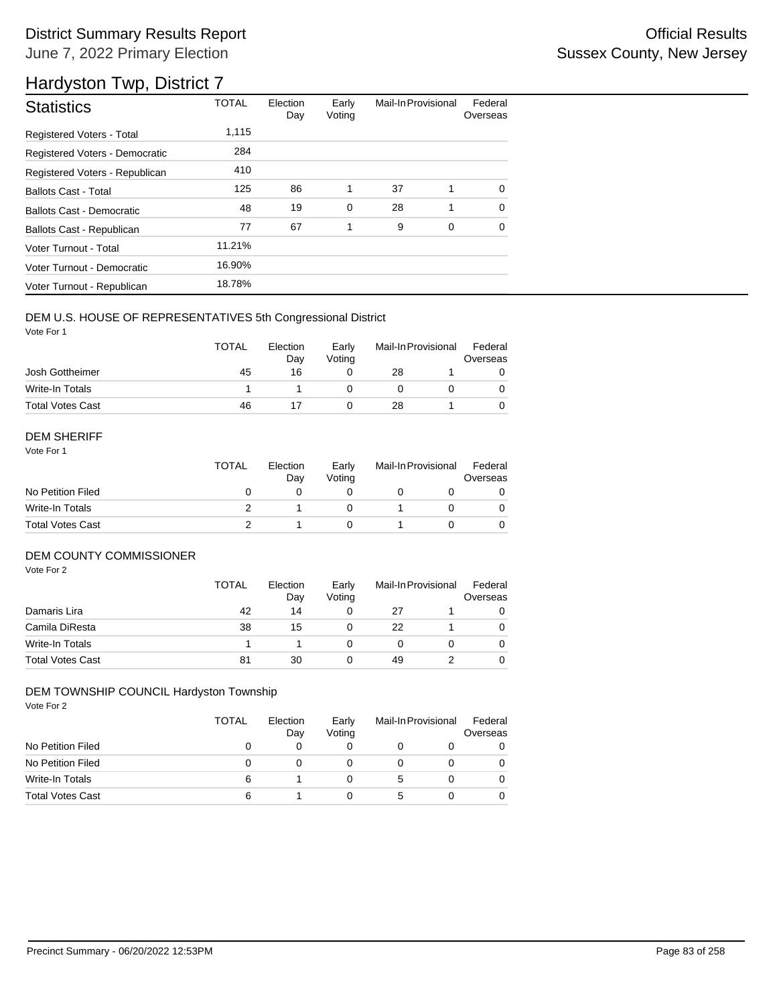## District Summary Results Report **Container and Container Container Container Container Container Container Container** June 7, 2022 Primary Election

## Hardyston Twp, District 7

| <b>Statistics</b>                | <b>TOTAL</b> | Election<br>Day | Early<br>Voting | Mail-In Provisional |   | Federal<br>Overseas |
|----------------------------------|--------------|-----------------|-----------------|---------------------|---|---------------------|
| Registered Voters - Total        | 1,115        |                 |                 |                     |   |                     |
| Registered Voters - Democratic   | 284          |                 |                 |                     |   |                     |
| Registered Voters - Republican   | 410          |                 |                 |                     |   |                     |
| <b>Ballots Cast - Total</b>      | 125          | 86              | 1               | 37                  | 1 | $\Omega$            |
| <b>Ballots Cast - Democratic</b> | 48           | 19              | $\mathbf 0$     | 28                  | 1 | $\Omega$            |
| Ballots Cast - Republican        | 77           | 67              | 1               | 9                   | 0 | 0                   |
| Voter Turnout - Total            | 11.21%       |                 |                 |                     |   |                     |
| Voter Turnout - Democratic       | 16.90%       |                 |                 |                     |   |                     |
| Voter Turnout - Republican       | 18.78%       |                 |                 |                     |   |                     |

### DEM U.S. HOUSE OF REPRESENTATIVES 5th Congressional District

Vote For 1

|                         | <b>TOTAL</b> | Election<br>Dav | Early<br>Votina | Mail-In Provisional |  | Federal<br>Overseas |  |
|-------------------------|--------------|-----------------|-----------------|---------------------|--|---------------------|--|
| Josh Gottheimer         | 45           | 16              |                 | 28                  |  |                     |  |
| Write-In Totals         |              |                 |                 |                     |  |                     |  |
| <b>Total Votes Cast</b> | 46           |                 |                 | 28                  |  |                     |  |

#### DEM SHERIFF

Vote For 1

|                         | <b>TOTAL</b> | Election<br>Dav | Early<br>Votina | Mail-In Provisional |  | Federal<br>Overseas |  |
|-------------------------|--------------|-----------------|-----------------|---------------------|--|---------------------|--|
| No Petition Filed       |              |                 |                 |                     |  |                     |  |
| Write-In Totals         |              |                 |                 |                     |  | $\Omega$            |  |
| <b>Total Votes Cast</b> |              |                 |                 |                     |  |                     |  |

#### DEM COUNTY COMMISSIONER

Vote For 2

|                         | <b>TOTAL</b> | Election<br>Day | Early<br>Votina | Mail-In Provisional |  | Federal<br>Overseas |
|-------------------------|--------------|-----------------|-----------------|---------------------|--|---------------------|
| Damaris Lira            | 42           | 14              |                 | 27                  |  | 0                   |
| Camila DiResta          | 38           | 15              |                 | 22                  |  | 0                   |
| Write-In Totals         |              |                 |                 |                     |  | 0                   |
| <b>Total Votes Cast</b> | 81           | 30              |                 | 49                  |  | 0                   |

#### DEM TOWNSHIP COUNCIL Hardyston Township

|                         | TOTAL | Election<br>Day | Early<br>Voting | Mail-In Provisional |  | Federal<br>Overseas |
|-------------------------|-------|-----------------|-----------------|---------------------|--|---------------------|
| No Petition Filed       | 0     |                 |                 |                     |  | 0                   |
| No Petition Filed       | 0     |                 |                 |                     |  |                     |
| Write-In Totals         | 6     |                 |                 | 5                   |  |                     |
| <b>Total Votes Cast</b> | 6     |                 |                 | .h                  |  |                     |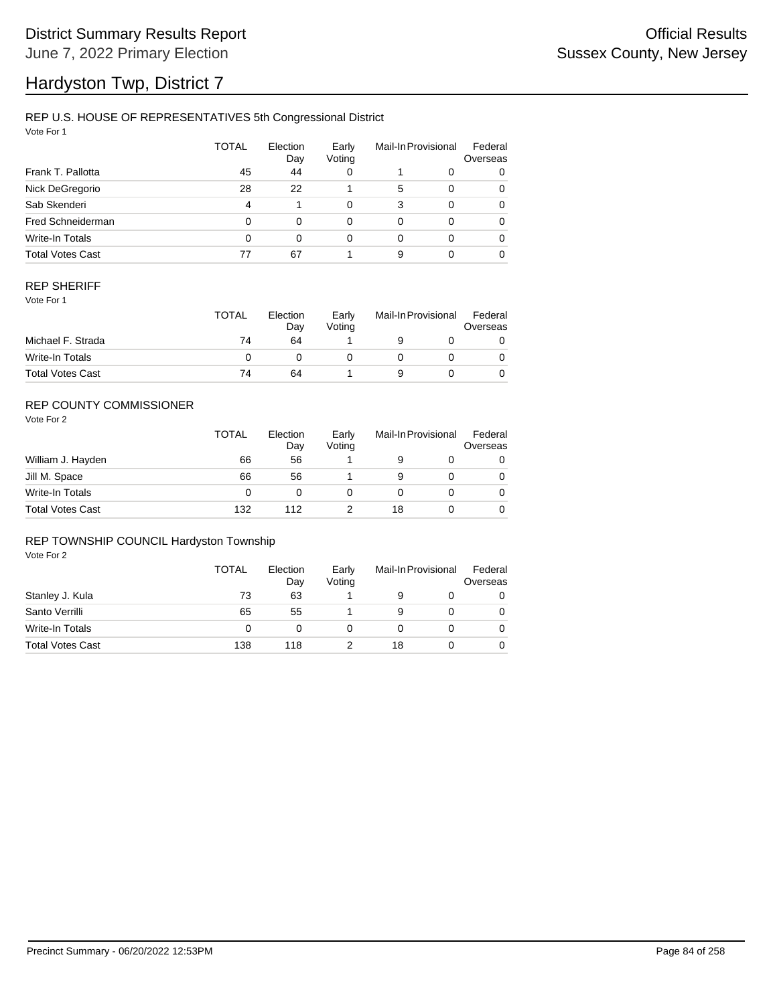# Hardyston Twp, District 7

### REP U.S. HOUSE OF REPRESENTATIVES 5th Congressional District

Vote For 1

|                         | TOTAL | Election<br>Day | Early<br>Voting |          | Mail-In Provisional | Federal<br>Overseas |
|-------------------------|-------|-----------------|-----------------|----------|---------------------|---------------------|
| Frank T. Pallotta       | 45    | 44              | 0               |          | 0                   | 0                   |
| Nick DeGregorio         | 28    | 22              |                 | 5        | 0                   | 0                   |
| Sab Skenderi            | 4     |                 | $\Omega$        | 3        | $\Omega$            | 0                   |
| Fred Schneiderman       | 0     | 0               | $\Omega$        | $\Omega$ | $\Omega$            | 0                   |
| Write-In Totals         | 0     | 0               | $\Omega$        | $\Omega$ | 0                   | 0                   |
| <b>Total Votes Cast</b> | 77    | 67              |                 | 9        |                     | 0                   |

#### REP SHERIFF

Vote For 1

|                         | <b>TOTAL</b> | Election<br>Day | Early<br>Votina | Mail-In Provisional |  | Federal<br>Overseas |
|-------------------------|--------------|-----------------|-----------------|---------------------|--|---------------------|
| Michael F. Strada       | 74           | 64              |                 |                     |  |                     |
| Write-In Totals         |              |                 |                 |                     |  |                     |
| <b>Total Votes Cast</b> | 74           | 64              |                 |                     |  |                     |

### REP COUNTY COMMISSIONER

Vote For 2

|                         | <b>TOTAL</b> | Election<br>Day | Early<br>Voting | Mail-In Provisional |  | Federal<br>Overseas |
|-------------------------|--------------|-----------------|-----------------|---------------------|--|---------------------|
| William J. Hayden       | 66           | 56              |                 | 9                   |  | 0                   |
| Jill M. Space           | 66           | 56              |                 | 9                   |  | 0                   |
| Write-In Totals         | 0            |                 |                 |                     |  | 0                   |
| <b>Total Votes Cast</b> | 132          | 112             |                 | 18                  |  | 0                   |

#### REP TOWNSHIP COUNCIL Hardyston Township

|                         | TOTAL | Election<br>Day | Early<br>Voting | Mail-In Provisional |  | Federal<br>Overseas |
|-------------------------|-------|-----------------|-----------------|---------------------|--|---------------------|
| Stanley J. Kula         | 73    | 63              |                 |                     |  | 0                   |
| Santo Verrilli          | 65    | 55              |                 |                     |  | 0                   |
| Write-In Totals         | 0     |                 |                 |                     |  | 0                   |
| <b>Total Votes Cast</b> | 138   | 118             |                 | 18                  |  |                     |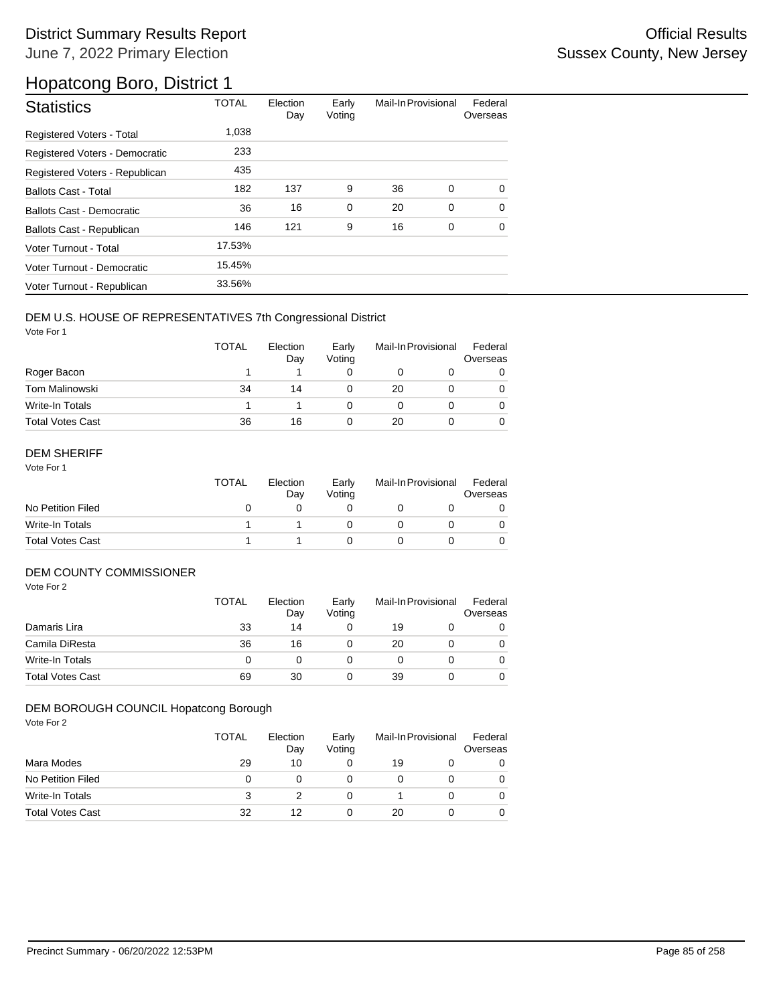| <b>Statistics</b>                | <b>TOTAL</b> | Election<br>Day | Early<br>Voting | Mail-In Provisional |             | Federal<br>Overseas |
|----------------------------------|--------------|-----------------|-----------------|---------------------|-------------|---------------------|
| <b>Registered Voters - Total</b> | 1,038        |                 |                 |                     |             |                     |
| Registered Voters - Democratic   | 233          |                 |                 |                     |             |                     |
| Registered Voters - Republican   | 435          |                 |                 |                     |             |                     |
| <b>Ballots Cast - Total</b>      | 182          | 137             | 9               | 36                  | 0           | $\Omega$            |
| Ballots Cast - Democratic        | 36           | 16              | $\mathbf 0$     | 20                  | $\mathbf 0$ | $\mathbf 0$         |
| Ballots Cast - Republican        | 146          | 121             | 9               | 16                  | 0           | $\mathbf 0$         |
| Voter Turnout - Total            | 17.53%       |                 |                 |                     |             |                     |
| Voter Turnout - Democratic       | 15.45%       |                 |                 |                     |             |                     |
| Voter Turnout - Republican       | 33.56%       |                 |                 |                     |             |                     |

### DEM U.S. HOUSE OF REPRESENTATIVES 7th Congressional District

Vote For 1

|                         | <b>TOTAL</b> | Election<br>Day | Early<br>Voting | Mail-In Provisional |  | Federal<br>Overseas |
|-------------------------|--------------|-----------------|-----------------|---------------------|--|---------------------|
| Roger Bacon             |              |                 |                 |                     |  |                     |
| <b>Tom Malinowski</b>   | 34           | 14              |                 | 20                  |  |                     |
| Write-In Totals         |              |                 |                 |                     |  |                     |
| <b>Total Votes Cast</b> | 36           | 16              |                 | 20                  |  |                     |

### DEM SHERIFF

Vote For 1

|                         | <b>TOTAL</b> | Election<br>Dav | Early<br>Votina | Mail-In Provisional |  | Federal<br>Overseas |
|-------------------------|--------------|-----------------|-----------------|---------------------|--|---------------------|
| No Petition Filed       |              |                 |                 |                     |  |                     |
| Write-In Totals         |              |                 |                 |                     |  |                     |
| <b>Total Votes Cast</b> |              |                 |                 |                     |  |                     |

### DEM COUNTY COMMISSIONER

Vote For 2

|                         | <b>TOTAL</b> | Election<br>Day | Early<br>Votina | Mail-In Provisional |  | Federal<br>Overseas |
|-------------------------|--------------|-----------------|-----------------|---------------------|--|---------------------|
| Damaris Lira            | 33           | 14              |                 | 19                  |  | 0                   |
| Camila DiResta          | 36           | 16              |                 | 20                  |  | 0                   |
| Write-In Totals         | O            |                 |                 |                     |  | 0                   |
| <b>Total Votes Cast</b> | 69           | 30              |                 | 39                  |  | 0                   |

#### DEM BOROUGH COUNCIL Hopatcong Borough

|                         | <b>TOTAL</b> | Election<br>Day | Early<br>Voting | Mail-In Provisional |  | Federal<br>Overseas |
|-------------------------|--------------|-----------------|-----------------|---------------------|--|---------------------|
| Mara Modes              | 29           | 10              | O               | 19                  |  |                     |
| No Petition Filed       | 0            |                 |                 |                     |  |                     |
| Write-In Totals         | 3            |                 | 0               |                     |  |                     |
| <b>Total Votes Cast</b> | 32           | 12              | 0               | 20                  |  |                     |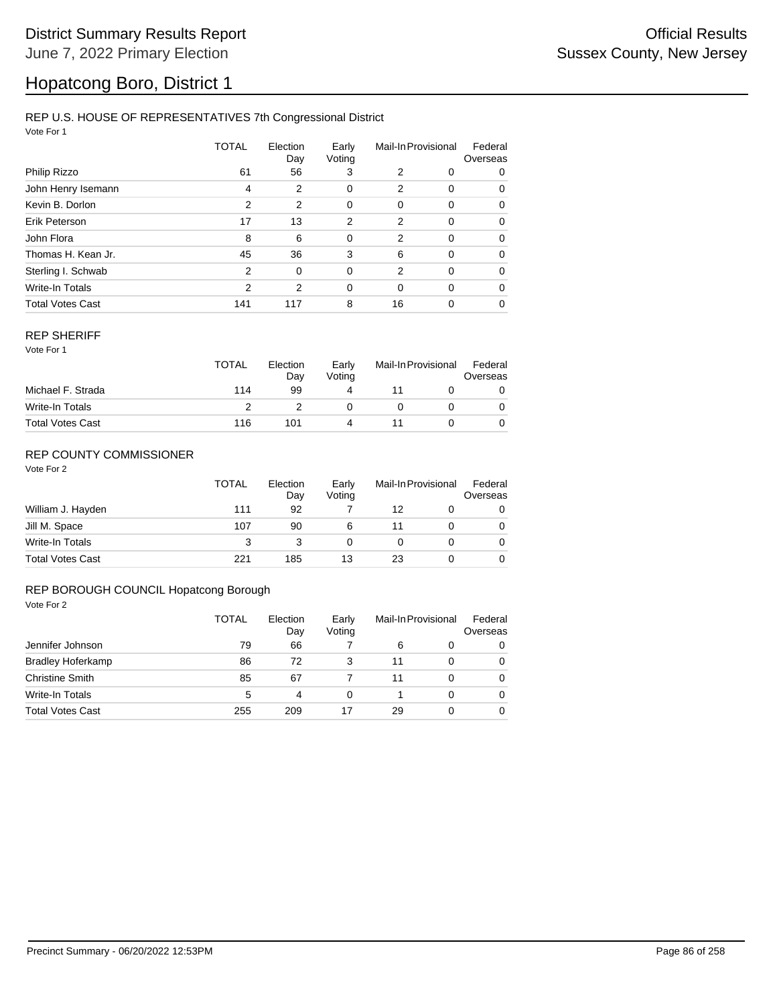### REP U.S. HOUSE OF REPRESENTATIVES 7th Congressional District

Vote For 1

|                         | TOTAL         | Election<br>Day | Early<br>Voting | Mail-In Provisional |          | Federal<br>Overseas |  |
|-------------------------|---------------|-----------------|-----------------|---------------------|----------|---------------------|--|
| Philip Rizzo            | 61            | 56              | 3               | 2                   | 0        | 0                   |  |
| John Henry Isemann      | 4             | 2               | 0               | 2                   | 0        | 0                   |  |
| Kevin B. Dorlon         | 2             | 2               | 0               | 0                   | 0        | 0                   |  |
| Erik Peterson           | 17            | 13              | 2               | 2                   | 0        | 0                   |  |
| John Flora              | 8             | 6               | $\mathbf 0$     | 2                   | $\Omega$ | 0                   |  |
| Thomas H. Kean Jr.      | 45            | 36              | 3               | 6                   | 0        | 0                   |  |
| Sterling I. Schwab      | $\mathcal{P}$ | $\Omega$        | $\mathbf 0$     | 2                   | 0        | 0                   |  |
| Write-In Totals         | $\mathcal{P}$ | 2               | 0               | 0                   | $\Omega$ | 0                   |  |
| <b>Total Votes Cast</b> | 141           | 117             | 8               | 16                  | 0        | 0                   |  |

#### REP SHERIFF

Vote For 1

|                         | <b>TOTAL</b> | Election<br>Day | Early<br>Votina | Mail-In Provisional |  | Federal<br>Overseas |
|-------------------------|--------------|-----------------|-----------------|---------------------|--|---------------------|
| Michael F. Strada       | 114          | 99              | 4               |                     |  |                     |
| Write-In Totals         |              |                 |                 |                     |  |                     |
| <b>Total Votes Cast</b> | 116          | 101             | Δ               |                     |  |                     |

### REP COUNTY COMMISSIONER

Vote For 2

|                         | <b>TOTAL</b> | Election<br>Dav | Early<br>Voting | Mail-In Provisional |  | Federal<br>Overseas |
|-------------------------|--------------|-----------------|-----------------|---------------------|--|---------------------|
| William J. Hayden       | 111          | 92              |                 | 12                  |  | 0                   |
| Jill M. Space           | 107          | 90              | 6               | 11                  |  | 0                   |
| Write-In Totals         | 3            |                 | 0               |                     |  | 0                   |
| <b>Total Votes Cast</b> | 221          | 185             | 13              | 23                  |  |                     |

#### REP BOROUGH COUNCIL Hopatcong Borough

|                          | <b>TOTAL</b> | Election<br>Day | Early<br>Voting | Mail-In Provisional |   | Federal<br>Overseas |
|--------------------------|--------------|-----------------|-----------------|---------------------|---|---------------------|
| Jennifer Johnson         | 79           | 66              |                 | 6                   | 0 | 0                   |
| <b>Bradley Hoferkamp</b> | 86           | 72              | 3               | 11                  | 0 | 0                   |
| <b>Christine Smith</b>   | 85           | 67              |                 | 11                  | 0 | 0                   |
| Write-In Totals          | 5            | 4               | 0               |                     | 0 | 0                   |
| <b>Total Votes Cast</b>  | 255          | 209             |                 | 29                  | 0 | 0                   |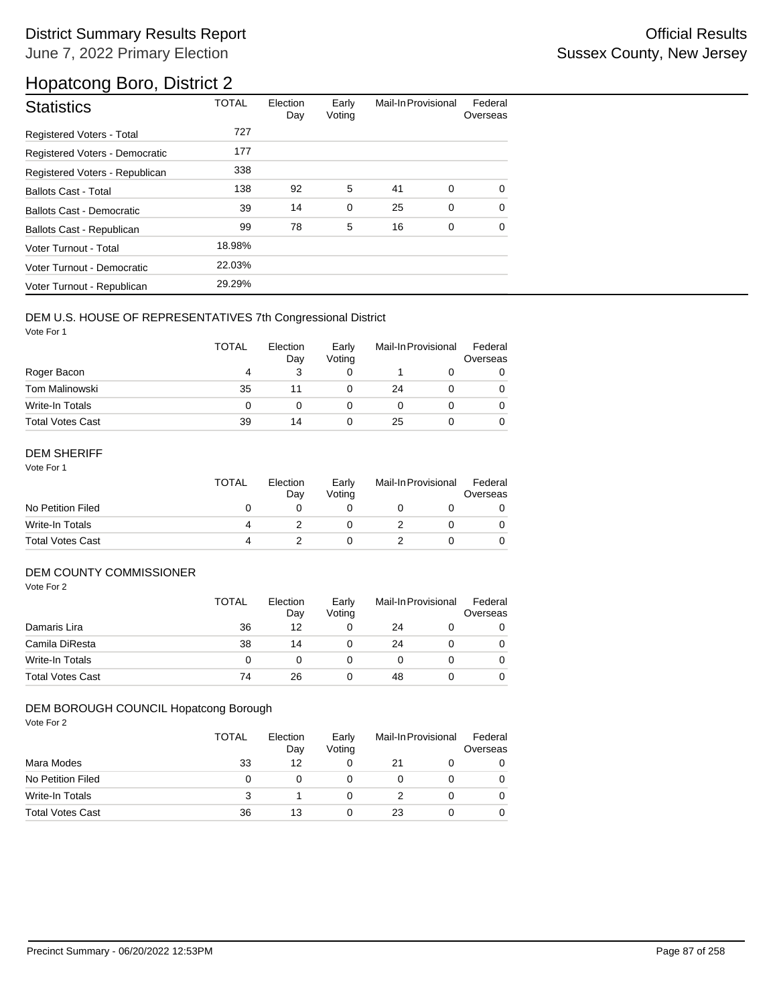## District Summary Results Report **Contract Contract Contract Contract Contract Contract Contract Contract Contract Contract Contract Contract Contract Contract Contract Contract Contract Contract Contract Contract Contract** June 7, 2022 Primary Election

## Hopatcong Boro, District 2

| <b>Statistics</b>                | <b>TOTAL</b> | Election<br>Day | Early<br>Voting | Mail-In Provisional |   | Federal<br>Overseas |
|----------------------------------|--------------|-----------------|-----------------|---------------------|---|---------------------|
| Registered Voters - Total        | 727          |                 |                 |                     |   |                     |
| Registered Voters - Democratic   | 177          |                 |                 |                     |   |                     |
| Registered Voters - Republican   | 338          |                 |                 |                     |   |                     |
| <b>Ballots Cast - Total</b>      | 138          | 92              | 5               | 41                  | 0 | $\Omega$            |
| <b>Ballots Cast - Democratic</b> | 39           | 14              | $\mathbf 0$     | 25                  | 0 | $\Omega$            |
| Ballots Cast - Republican        | 99           | 78              | 5               | 16                  | 0 | 0                   |
| Voter Turnout - Total            | 18.98%       |                 |                 |                     |   |                     |
| Voter Turnout - Democratic       | 22.03%       |                 |                 |                     |   |                     |
| Voter Turnout - Republican       | 29.29%       |                 |                 |                     |   |                     |

#### DEM U.S. HOUSE OF REPRESENTATIVES 7th Congressional District

Vote For 1

|                         | TOTAL | Election<br>Day | Early<br>Voting | Mail-In Provisional |  | Federal<br>Overseas |
|-------------------------|-------|-----------------|-----------------|---------------------|--|---------------------|
| Roger Bacon             | 4     | 3               |                 |                     |  | 0                   |
| Tom Malinowski          | 35    | 11              |                 | 24                  |  |                     |
| Write-In Totals         | 0     |                 |                 |                     |  |                     |
| <b>Total Votes Cast</b> | 39    | 14              |                 | 25                  |  |                     |

### DEM SHERIFF

Vote For 1

|                         | <b>TOTAL</b> | Election<br>Dav | Early<br>Votina | Mail-In Provisional |  | Federal<br>Overseas |
|-------------------------|--------------|-----------------|-----------------|---------------------|--|---------------------|
| No Petition Filed       |              |                 |                 |                     |  |                     |
| Write-In Totals         | 4            |                 |                 |                     |  |                     |
| <b>Total Votes Cast</b> | 4            |                 |                 |                     |  |                     |

### DEM COUNTY COMMISSIONER

Vote For 2

|                         | <b>TOTAL</b> | Election<br>Day | Early<br>Votina | Mail-In Provisional |  | Federal<br>Overseas |
|-------------------------|--------------|-----------------|-----------------|---------------------|--|---------------------|
| Damaris Lira            | 36           | 12              |                 | 24                  |  | 0                   |
| Camila DiResta          | 38           | 14              |                 | 24                  |  | 0                   |
| Write-In Totals         | 0            |                 |                 |                     |  | 0                   |
| <b>Total Votes Cast</b> | 74           | 26              |                 | 48                  |  | 0                   |

#### DEM BOROUGH COUNCIL Hopatcong Borough

|                         | <b>TOTAL</b> | Election<br>Day | Early<br>Voting | Mail-In Provisional |  | Federal<br>Overseas |
|-------------------------|--------------|-----------------|-----------------|---------------------|--|---------------------|
| Mara Modes              | 33           | 12              | 0               | 21                  |  |                     |
| No Petition Filed       | 0            |                 |                 |                     |  |                     |
| Write-In Totals         |              |                 |                 |                     |  |                     |
| <b>Total Votes Cast</b> | 36           | 13              | 0               | 23                  |  |                     |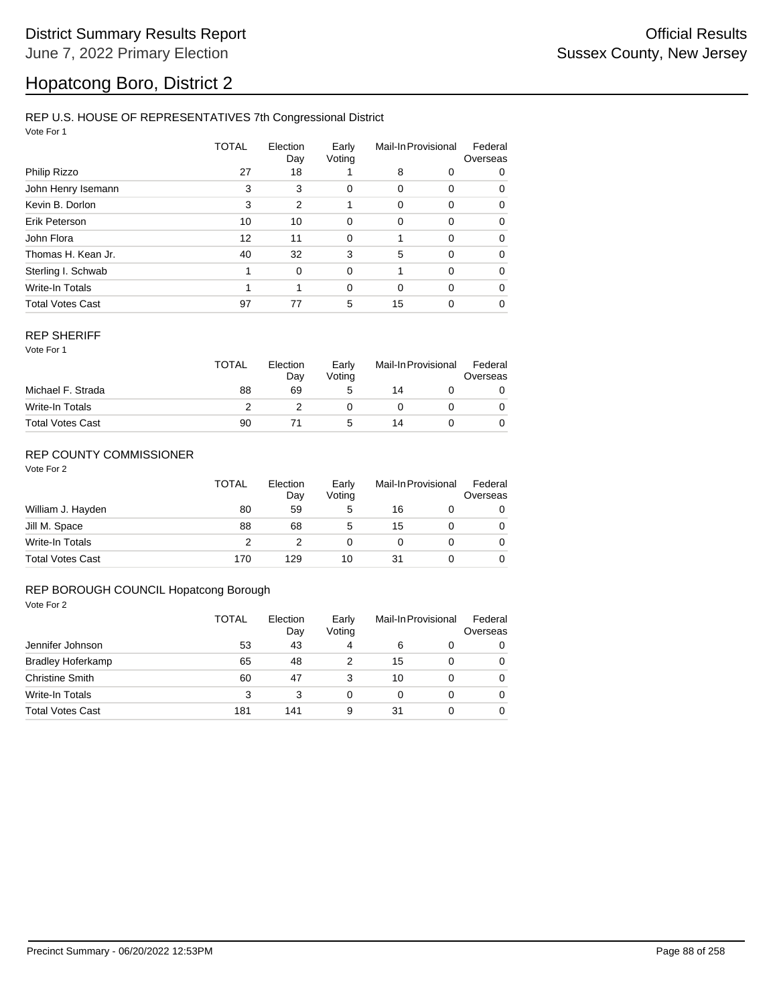#### REP U.S. HOUSE OF REPRESENTATIVES 7th Congressional District

Vote For 1

|                         | <b>TOTAL</b> | Election<br>Day | Early<br>Voting | Mail-In Provisional |          | Federal<br>Overseas |  |
|-------------------------|--------------|-----------------|-----------------|---------------------|----------|---------------------|--|
| Philip Rizzo            | 27           | 18              |                 | 8                   | 0        | 0                   |  |
| John Henry Isemann      | 3            | 3               | 0               | 0                   | 0        | 0                   |  |
| Kevin B. Dorlon         | 3            | $\overline{2}$  | 1               | 0                   | 0        | 0                   |  |
| Erik Peterson           | 10           | 10              | 0               | 0                   | 0        | 0                   |  |
| John Flora              | 12           | 11              | 0               |                     | 0        | 0                   |  |
| Thomas H. Kean Jr.      | 40           | 32              | 3               | 5                   | 0        | 0                   |  |
| Sterling I. Schwab      |              | $\mathbf 0$     | $\Omega$        |                     | $\Omega$ | 0                   |  |
| Write-In Totals         |              | 1               | $\Omega$        | $\Omega$            | $\Omega$ | 0                   |  |
| <b>Total Votes Cast</b> | 97           | 77              | 5               | 15                  | 0        | 0                   |  |

#### REP SHERIFF

Vote For 1

|                         | <b>TOTAL</b> | Election<br>Day | Early<br>Voting | Mail-In Provisional |  | Federal<br>Overseas |
|-------------------------|--------------|-----------------|-----------------|---------------------|--|---------------------|
| Michael F. Strada       | 88           | 69              | 5               | 14                  |  |                     |
| Write-In Totals         |              |                 |                 |                     |  |                     |
| <b>Total Votes Cast</b> | 90           |                 | 5               | 14                  |  |                     |

### REP COUNTY COMMISSIONER

Vote For 2

|                         | TOTAL | Election<br>Day | Early<br>Voting | Mail-In Provisional |  | Federal<br>Overseas |
|-------------------------|-------|-----------------|-----------------|---------------------|--|---------------------|
| William J. Hayden       | 80    | 59              | 5               | 16                  |  | 0                   |
| Jill M. Space           | 88    | 68              | 5               | 15                  |  | 0                   |
| Write-In Totals         |       |                 |                 |                     |  | 0                   |
| <b>Total Votes Cast</b> | 170   | 129             | 10              | 31                  |  |                     |

#### REP BOROUGH COUNCIL Hopatcong Borough

|                          | TOTAL | Election<br>Day | Early<br>Voting | Mail-In Provisional |          | Federal<br>Overseas |  |
|--------------------------|-------|-----------------|-----------------|---------------------|----------|---------------------|--|
| Jennifer Johnson         | 53    | 43              | 4               | 6                   | 0        | 0                   |  |
| <b>Bradley Hoferkamp</b> | 65    | 48              |                 | 15                  | 0        | 0                   |  |
| <b>Christine Smith</b>   | 60    | 47              | 3               | 10                  | $\Omega$ | 0                   |  |
| <b>Write-In Totals</b>   | 3     | 3               | 0               | 0                   | 0        | $\Omega$            |  |
| <b>Total Votes Cast</b>  | 181   | 141             | 9               | 31                  | 0        | 0                   |  |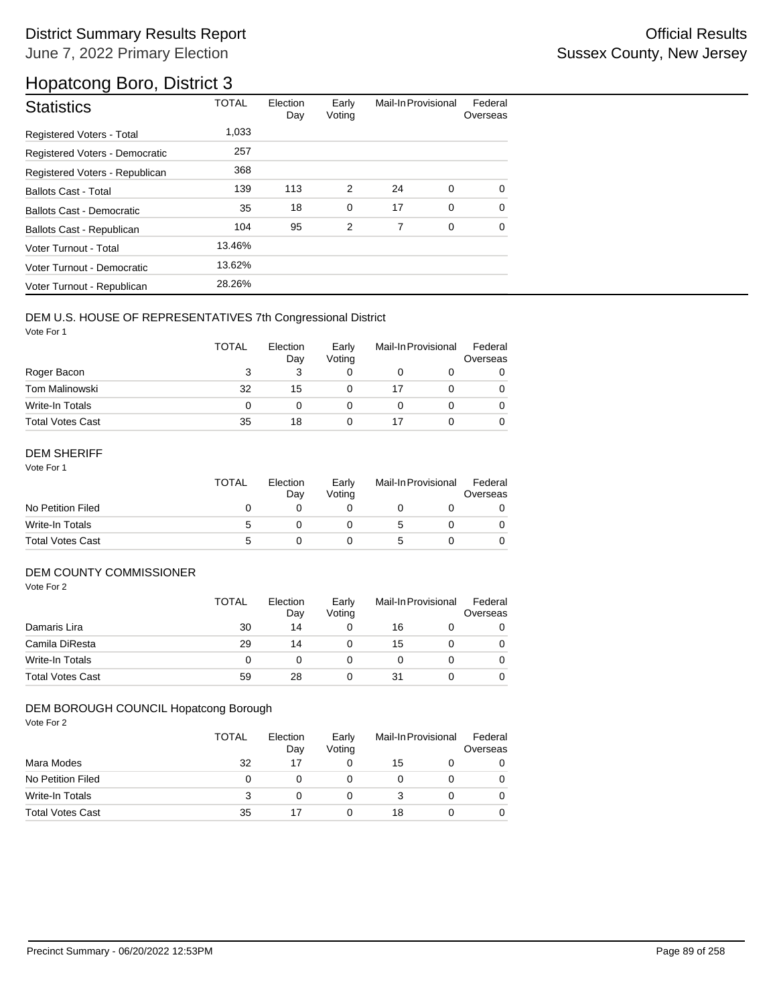| <b>Statistics</b>              | <b>TOTAL</b> | Election<br>Day | Early<br>Voting | Mail-In Provisional |   | Federal<br>Overseas |
|--------------------------------|--------------|-----------------|-----------------|---------------------|---|---------------------|
| Registered Voters - Total      | 1,033        |                 |                 |                     |   |                     |
| Registered Voters - Democratic | 257          |                 |                 |                     |   |                     |
| Registered Voters - Republican | 368          |                 |                 |                     |   |                     |
| <b>Ballots Cast - Total</b>    | 139          | 113             | 2               | 24                  | 0 | $\Omega$            |
| Ballots Cast - Democratic      | 35           | 18              | $\mathbf 0$     | 17                  | 0 | $\Omega$            |
| Ballots Cast - Republican      | 104          | 95              | 2               | 7                   | 0 | $\Omega$            |
| Voter Turnout - Total          | 13.46%       |                 |                 |                     |   |                     |
| Voter Turnout - Democratic     | 13.62%       |                 |                 |                     |   |                     |
| Voter Turnout - Republican     | 28.26%       |                 |                 |                     |   |                     |

### DEM U.S. HOUSE OF REPRESENTATIVES 7th Congressional District

Vote For 1

|                         | <b>TOTAL</b> | Election<br>Day | Early<br>Voting | Mail-In Provisional |  | Federal<br>Overseas |
|-------------------------|--------------|-----------------|-----------------|---------------------|--|---------------------|
| Roger Bacon             | 3            | 3               |                 |                     |  | 0                   |
| Tom Malinowski          | 32           | 15              |                 | 17                  |  | 0                   |
| Write-In Totals         | 0            |                 |                 |                     |  | 0                   |
| <b>Total Votes Cast</b> | 35           | 18              | 0               |                     |  | 0                   |

### DEM SHERIFF

Vote For 1

|                         | <b>TOTAL</b> | Election<br>Dav | Early<br>Votina | Mail-In Provisional |  | Federal<br>Overseas |
|-------------------------|--------------|-----------------|-----------------|---------------------|--|---------------------|
| No Petition Filed       |              |                 |                 |                     |  |                     |
| Write-In Totals         | :5           |                 |                 | 5.                  |  |                     |
| <b>Total Votes Cast</b> | 5            |                 |                 | G                   |  |                     |

### DEM COUNTY COMMISSIONER

Vote For 2

|                         | TOTAL | Election<br>Day | Early<br>Votina | Mail-In Provisional |  | Federal<br>Overseas |
|-------------------------|-------|-----------------|-----------------|---------------------|--|---------------------|
| Damaris Lira            | 30    | 14              |                 | 16                  |  | 0                   |
| Camila DiResta          | 29    | 14              |                 | 15                  |  | 0                   |
| Write-In Totals         | 0     |                 |                 |                     |  | 0                   |
| <b>Total Votes Cast</b> | 59    | 28              |                 | 31                  |  | 0                   |

### DEM BOROUGH COUNCIL Hopatcong Borough

|                         | <b>TOTAL</b> | Election<br>Day | Early<br>Voting | Mail-In Provisional |  | Federal<br>Overseas |
|-------------------------|--------------|-----------------|-----------------|---------------------|--|---------------------|
| Mara Modes              | 32           | 17              | O               | 15                  |  |                     |
| No Petition Filed       | 0            |                 |                 |                     |  |                     |
| Write-In Totals         | 3            |                 | 0               |                     |  |                     |
| <b>Total Votes Cast</b> | 35           |                 | O               | 18                  |  |                     |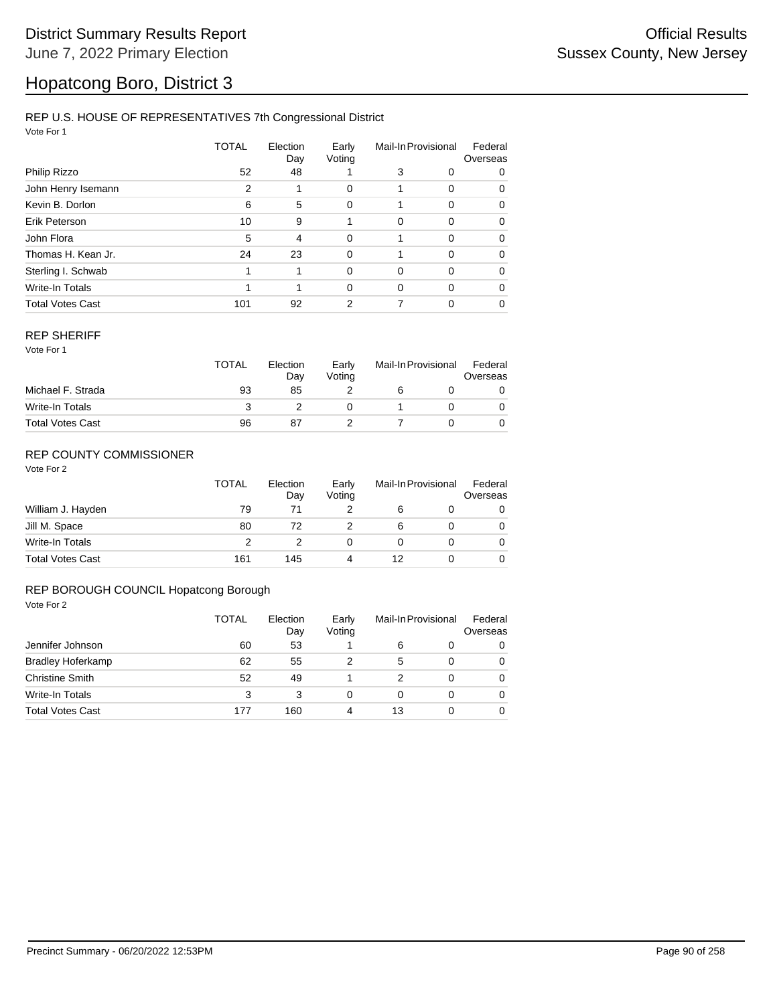### REP U.S. HOUSE OF REPRESENTATIVES 7th Congressional District

Vote For 1

|                         | TOTAL | Election<br>Day | Early<br>Voting | Mail-In Provisional |          | Federal<br>Overseas |  |
|-------------------------|-------|-----------------|-----------------|---------------------|----------|---------------------|--|
| Philip Rizzo            | 52    | 48              |                 | 3                   | 0        | 0                   |  |
| John Henry Isemann      | 2     |                 | 0               |                     | 0        | 0                   |  |
| Kevin B. Dorlon         | 6     | 5               | 0               |                     | 0        | 0                   |  |
| Erik Peterson           | 10    | 9               |                 | 0                   | $\Omega$ | 0                   |  |
| John Flora              | 5     | $\overline{4}$  | 0               | 1                   | $\Omega$ | 0                   |  |
| Thomas H. Kean Jr.      | 24    | 23              | 0               |                     | 0        | 0                   |  |
| Sterling I. Schwab      | 1     | 1               | $\Omega$        | 0                   | $\Omega$ | 0                   |  |
| Write-In Totals         |       | 1               | 0               | $\Omega$            | $\Omega$ | $\Omega$            |  |
| <b>Total Votes Cast</b> | 101   | 92              | 2               |                     | 0        | 0                   |  |

#### REP SHERIFF

Vote For 1

|                         | TOTAL | Election<br>Day | Early<br>Votina | Mail-In Provisional |  | Federal<br>Overseas |
|-------------------------|-------|-----------------|-----------------|---------------------|--|---------------------|
| Michael F. Strada       | 93    | 85              |                 |                     |  |                     |
| Write-In Totals         |       |                 |                 |                     |  |                     |
| <b>Total Votes Cast</b> | 96    | 87              |                 |                     |  |                     |

### REP COUNTY COMMISSIONER

Vote For 2

|                         | TOTAL | Election<br>Day | Early<br>Voting | Mail-In Provisional |  | Federal<br>Overseas |
|-------------------------|-------|-----------------|-----------------|---------------------|--|---------------------|
| William J. Hayden       | 79    | 71              |                 | 6                   |  | 0                   |
| Jill M. Space           | 80    | 72              |                 | 6                   |  | 0                   |
| Write-In Totals         | 2     |                 | 0               |                     |  | 0                   |
| <b>Total Votes Cast</b> | 161   | 145             |                 | 12                  |  | 0                   |

#### REP BOROUGH COUNCIL Hopatcong Borough

|                          | TOTAL | Election<br>Day<br>53 | Early<br>Voting | Mail-In Provisional |   | Federal<br>Overseas |
|--------------------------|-------|-----------------------|-----------------|---------------------|---|---------------------|
| Jennifer Johnson         | 60    |                       |                 | 6                   | 0 | 0                   |
| <b>Bradley Hoferkamp</b> | 62    | 55                    |                 | 5                   | 0 | $\Omega$            |
| <b>Christine Smith</b>   | 52    | 49                    |                 |                     | 0 | $\Omega$            |
| Write-In Totals          | 3     | 3                     | 0               | 0                   | 0 | $\Omega$            |
| <b>Total Votes Cast</b>  | 177   | 160                   | 4               | 13                  | 0 | $\Omega$            |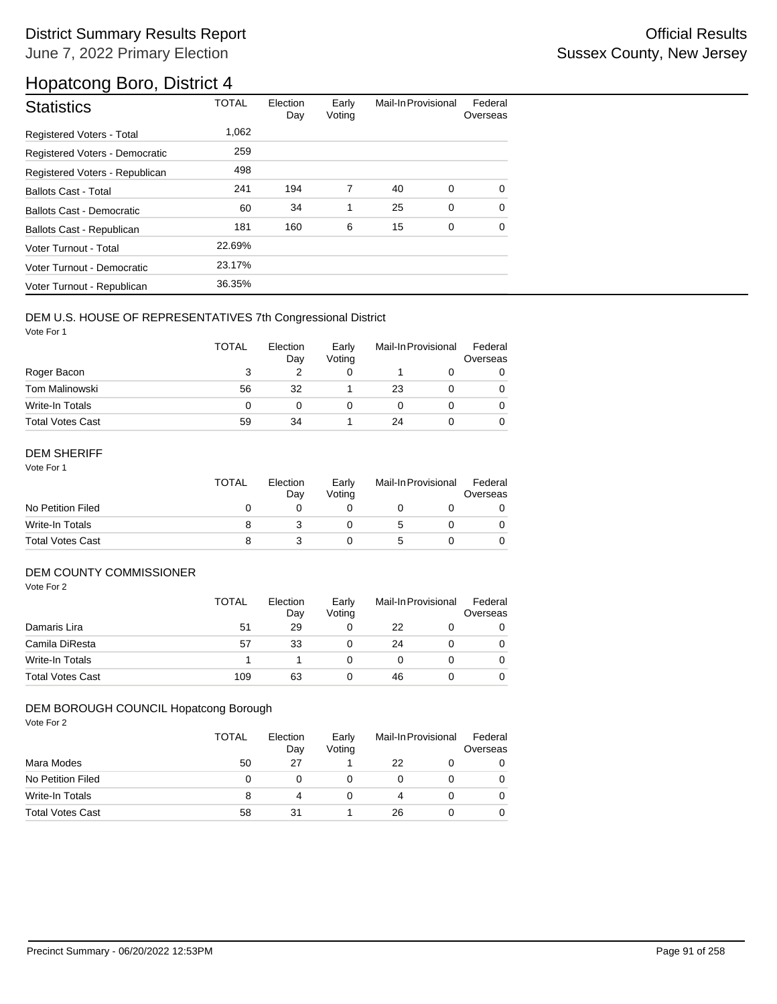| <b>Statistics</b>                | <b>TOTAL</b> | Election<br>Day | Early<br>Voting | Mail-In Provisional |             | Federal<br>Overseas |
|----------------------------------|--------------|-----------------|-----------------|---------------------|-------------|---------------------|
| <b>Registered Voters - Total</b> | 1,062        |                 |                 |                     |             |                     |
| Registered Voters - Democratic   | 259          |                 |                 |                     |             |                     |
| Registered Voters - Republican   | 498          |                 |                 |                     |             |                     |
| <b>Ballots Cast - Total</b>      | 241          | 194             | 7               | 40                  | 0           | $\Omega$            |
| Ballots Cast - Democratic        | 60           | 34              | 1               | 25                  | $\mathbf 0$ | $\Omega$            |
| Ballots Cast - Republican        | 181          | 160             | 6               | 15                  | 0           | 0                   |
| Voter Turnout - Total            | 22.69%       |                 |                 |                     |             |                     |
| Voter Turnout - Democratic       | 23.17%       |                 |                 |                     |             |                     |
| Voter Turnout - Republican       | 36.35%       |                 |                 |                     |             |                     |

### DEM U.S. HOUSE OF REPRESENTATIVES 7th Congressional District

Vote For 1

|                         | <b>TOTAL</b> | Election<br>Day | Early<br>Voting | Mail-In Provisional |  | Federal<br>Overseas |
|-------------------------|--------------|-----------------|-----------------|---------------------|--|---------------------|
| Roger Bacon             | 3            |                 |                 |                     |  |                     |
| <b>Tom Malinowski</b>   | 56           | 32              |                 | 23                  |  |                     |
| Write-In Totals         | 0            | 0               |                 |                     |  |                     |
| <b>Total Votes Cast</b> | 59           | 34              |                 | 24                  |  |                     |

### DEM SHERIFF

Vote For 1

|                         | <b>TOTAL</b> | Election<br>Dav | Early<br>Votina | Mail-In Provisional |  | Federal<br>Overseas |
|-------------------------|--------------|-----------------|-----------------|---------------------|--|---------------------|
| No Petition Filed       |              |                 |                 |                     |  |                     |
| Write-In Totals         |              |                 |                 |                     |  |                     |
| <b>Total Votes Cast</b> | 8            |                 |                 |                     |  |                     |

### DEM COUNTY COMMISSIONER

Vote For 2

|                         | <b>TOTAL</b> | Election<br>Day | Early<br>Votina | Mail-In Provisional |  | Federal<br>Overseas |
|-------------------------|--------------|-----------------|-----------------|---------------------|--|---------------------|
| Damaris Lira            | 51           | 29              |                 | 22                  |  |                     |
| Camila DiResta          | 57           | 33              |                 | 24                  |  | 0                   |
| Write-In Totals         |              |                 |                 |                     |  | 0                   |
| <b>Total Votes Cast</b> | 109          | 63              |                 | 46                  |  | 0                   |

### DEM BOROUGH COUNCIL Hopatcong Borough

|                         | <b>TOTAL</b> | Election<br>Day | Early<br>Voting | Mail-In Provisional |  | Federal<br>Overseas |
|-------------------------|--------------|-----------------|-----------------|---------------------|--|---------------------|
| Mara Modes              | 50           | 27              |                 | 22                  |  |                     |
| No Petition Filed       | 0            |                 |                 |                     |  |                     |
| Write-In Totals         | 8            | 4               |                 | 4                   |  |                     |
| <b>Total Votes Cast</b> | 58           | 31              |                 | 26                  |  |                     |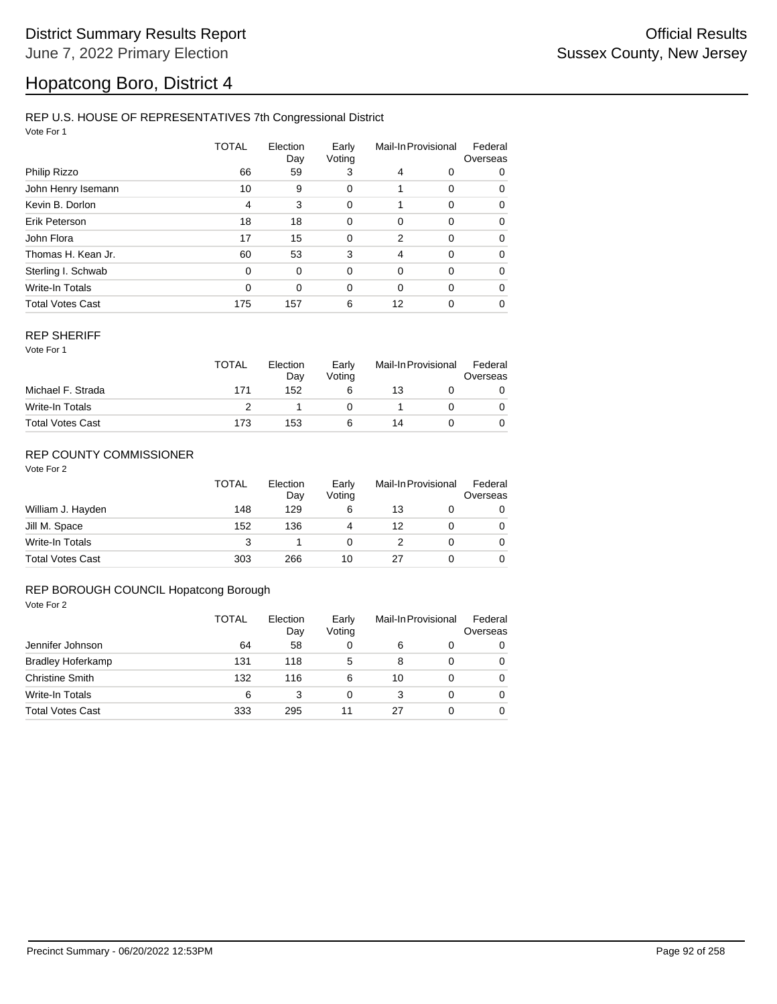#### REP U.S. HOUSE OF REPRESENTATIVES 7th Congressional District

Vote For 1

|                         | TOTAL    | Election<br>Day | Early<br>Voting | Mail-In Provisional |          | Federal<br>Overseas |  |
|-------------------------|----------|-----------------|-----------------|---------------------|----------|---------------------|--|
| Philip Rizzo            | 66       | 59              | 3               | 4                   | 0        | 0                   |  |
| John Henry Isemann      | 10       | 9               | 0               |                     | 0        | 0                   |  |
| Kevin B. Dorlon         | 4        | 3               | 0               | 1                   | 0        | 0                   |  |
| Erik Peterson           | 18       | 18              | $\mathbf 0$     | 0                   | 0        | 0                   |  |
| John Flora              | 17       | 15              | $\mathbf 0$     | 2                   | 0        | 0                   |  |
| Thomas H. Kean Jr.      | 60       | 53              | 3               | 4                   | 0        | 0                   |  |
| Sterling I. Schwab      | 0        | 0               | $\mathbf 0$     | 0                   | 0        | 0                   |  |
| Write-In Totals         | $\Omega$ | $\Omega$        | 0               | 0                   | $\Omega$ | 0                   |  |
| <b>Total Votes Cast</b> | 175      | 157             | 6               | 12                  | 0        | 0                   |  |

#### REP SHERIFF

Vote For 1

|                         | <b>TOTAL</b> | Election<br>Day | Early<br>Voting | Mail-In Provisional |  | Federal<br>Overseas |
|-------------------------|--------------|-----------------|-----------------|---------------------|--|---------------------|
| Michael F. Strada       | 171          | 152             |                 | 13                  |  |                     |
| Write-In Totals         |              |                 |                 |                     |  |                     |
| <b>Total Votes Cast</b> | 173          | 153             |                 | 14                  |  |                     |

### REP COUNTY COMMISSIONER

Vote For 2

|                         | TOTAL | Election<br>Day | Early<br>Voting | Mail-In Provisional |  | Federal<br>Overseas |
|-------------------------|-------|-----------------|-----------------|---------------------|--|---------------------|
| William J. Hayden       | 148   | 129             | 6               | 13                  |  | 0                   |
| Jill M. Space           | 152   | 136             | 4               | 12                  |  | 0                   |
| Write-In Totals         | 3     |                 |                 |                     |  | 0                   |
| <b>Total Votes Cast</b> | 303   | 266             | 10              | 27                  |  |                     |

#### REP BOROUGH COUNCIL Hopatcong Borough

|                          | TOTAL | Election<br>Day | Early<br>Voting | Mail-In Provisional |          | Federal<br>Overseas |
|--------------------------|-------|-----------------|-----------------|---------------------|----------|---------------------|
| Jennifer Johnson         | 64    | 58              | 0               | 6                   | 0        | 0                   |
| <b>Bradley Hoferkamp</b> | 131   | 118             | 5               | 8                   | 0        | $\Omega$            |
| <b>Christine Smith</b>   | 132   | 116             | 6               | 10                  | 0        | $\Omega$            |
| <b>Write-In Totals</b>   | 6     | 3               | 0               | 3                   | $\Omega$ | $\Omega$            |
| <b>Total Votes Cast</b>  | 333   | 295             | 11              | 27                  | 0        | $\Omega$            |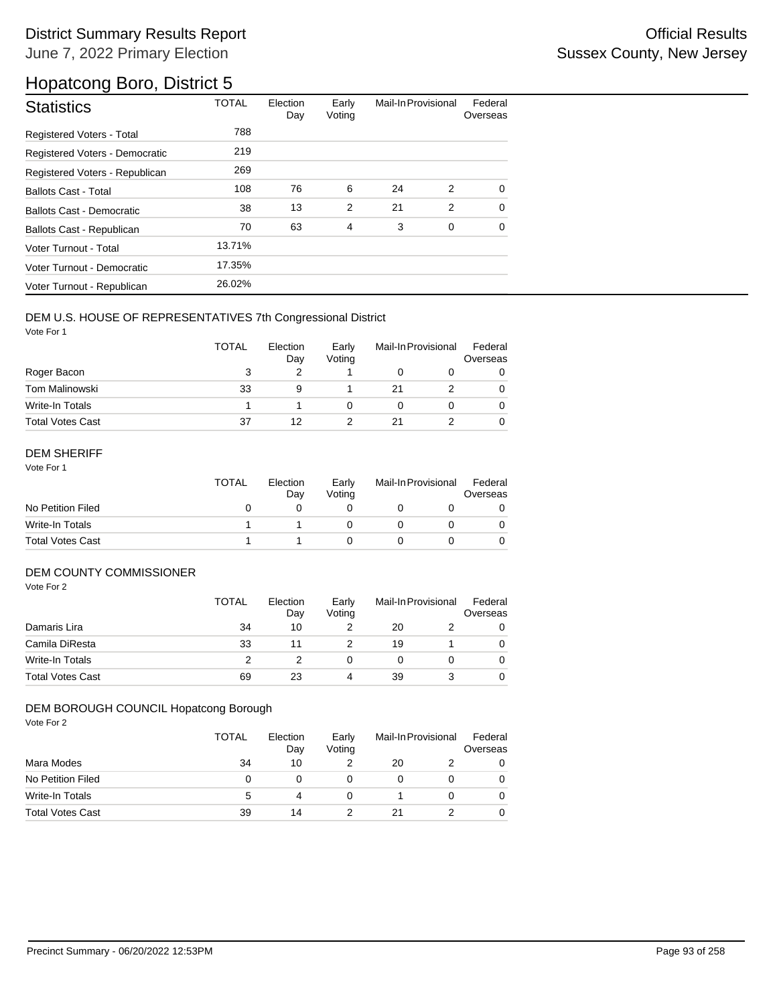| <b>Statistics</b>                | <b>TOTAL</b> | Election<br>Day | Early<br>Voting | Mail-In Provisional |             | Federal<br>Overseas |
|----------------------------------|--------------|-----------------|-----------------|---------------------|-------------|---------------------|
| Registered Voters - Total        | 788          |                 |                 |                     |             |                     |
| Registered Voters - Democratic   | 219          |                 |                 |                     |             |                     |
| Registered Voters - Republican   | 269          |                 |                 |                     |             |                     |
| <b>Ballots Cast - Total</b>      | 108          | 76              | 6               | 24                  | 2           | $\Omega$            |
| <b>Ballots Cast - Democratic</b> | 38           | 13              | $\overline{2}$  | 21                  | 2           | $\Omega$            |
| Ballots Cast - Republican        | 70           | 63              | $\overline{4}$  | 3                   | $\mathbf 0$ | $\Omega$            |
| Voter Turnout - Total            | 13.71%       |                 |                 |                     |             |                     |
| Voter Turnout - Democratic       | 17.35%       |                 |                 |                     |             |                     |
| Voter Turnout - Republican       | 26.02%       |                 |                 |                     |             |                     |

### DEM U.S. HOUSE OF REPRESENTATIVES 7th Congressional District

Vote For 1

|                         | <b>TOTAL</b> | Election<br>Day | Early<br>Voting | Mail-In Provisional |  | Federal<br>Overseas |
|-------------------------|--------------|-----------------|-----------------|---------------------|--|---------------------|
| Roger Bacon             | 3            |                 |                 |                     |  |                     |
| <b>Tom Malinowski</b>   | 33           | 9               |                 | 21                  |  | 0                   |
| Write-In Totals         |              |                 |                 |                     |  |                     |
| <b>Total Votes Cast</b> | 37           | 12              |                 | 21                  |  |                     |

### DEM SHERIFF

Vote For 1

|                         | <b>TOTAL</b> | Election<br>Dav | Early<br>Votina | Mail-In Provisional |  | Federal<br>Overseas |
|-------------------------|--------------|-----------------|-----------------|---------------------|--|---------------------|
| No Petition Filed       |              |                 |                 |                     |  |                     |
| Write-In Totals         |              |                 |                 |                     |  |                     |
| <b>Total Votes Cast</b> |              |                 |                 |                     |  |                     |

### DEM COUNTY COMMISSIONER

Vote For 2

|                         | <b>TOTAL</b> | Election<br>Day | Early<br>Votina | Mail-In Provisional |  | Federal<br>Overseas |
|-------------------------|--------------|-----------------|-----------------|---------------------|--|---------------------|
| Damaris Lira            | 34           | 10              |                 | 20                  |  | 0                   |
| Camila DiResta          | 33           |                 |                 | 19                  |  | 0                   |
| Write-In Totals         |              |                 |                 |                     |  | 0                   |
| <b>Total Votes Cast</b> | 69           | 23              | 4               | 39                  |  | 0                   |

#### DEM BOROUGH COUNCIL Hopatcong Borough

|                         | <b>TOTAL</b> | Election<br>Day | Early<br>Voting | Mail-In Provisional |  | Federal<br>Overseas |
|-------------------------|--------------|-----------------|-----------------|---------------------|--|---------------------|
| Mara Modes              | 34           | 10              |                 | 20                  |  | O                   |
| No Petition Filed       | 0            |                 | 0               |                     |  |                     |
| Write-In Totals         | 5            |                 | 0               |                     |  |                     |
| <b>Total Votes Cast</b> | 39           | 14              |                 |                     |  |                     |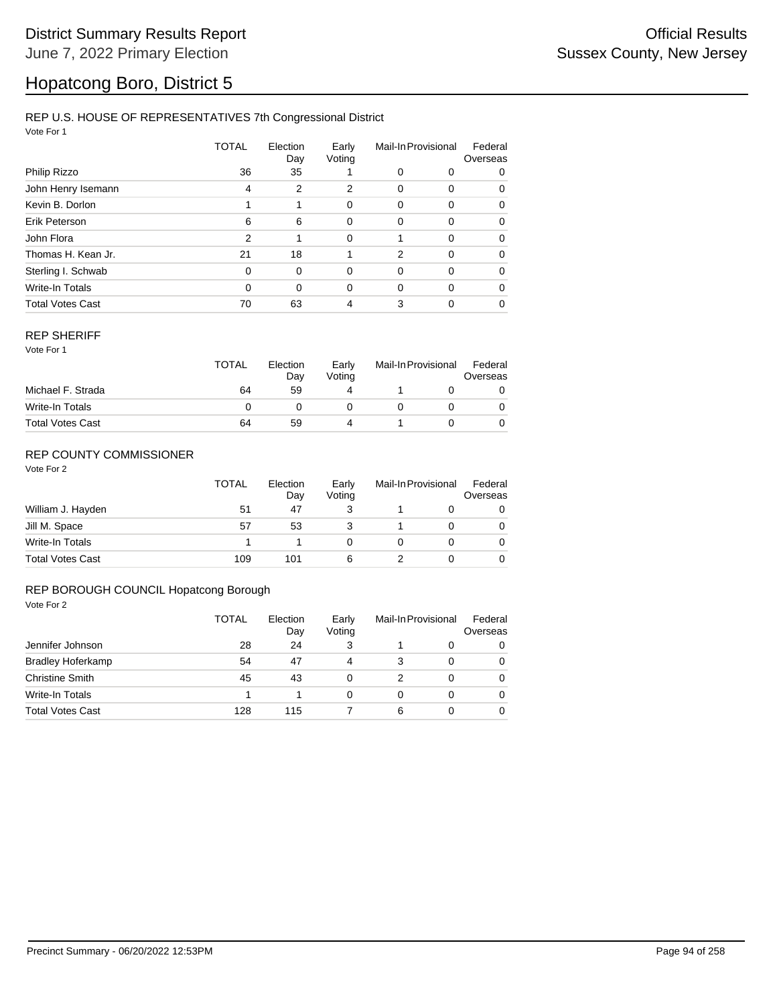### REP U.S. HOUSE OF REPRESENTATIVES 7th Congressional District

Vote For 1

|                         | TOTAL    | Election<br>Day | Early<br>Voting | Mail-In Provisional |          | Federal<br>Overseas |  |
|-------------------------|----------|-----------------|-----------------|---------------------|----------|---------------------|--|
| Philip Rizzo            | 36       | 35              |                 | 0                   | 0        | 0                   |  |
| John Henry Isemann      | 4        | 2               | 2               | 0                   | 0        | 0                   |  |
| Kevin B. Dorlon         |          | 1               | 0               | 0                   | 0        | 0                   |  |
| Erik Peterson           | 6        | 6               | 0               | 0                   | 0        | 0                   |  |
| John Flora              | 2        | 1               | 0               | 1                   | 0        | 0                   |  |
| Thomas H. Kean Jr.      | 21       | 18              |                 | $\overline{2}$      | $\Omega$ | 0                   |  |
| Sterling I. Schwab      | $\Omega$ | $\Omega$        | $\Omega$        | 0                   | 0        | 0                   |  |
| <b>Write-In Totals</b>  | $\Omega$ | $\Omega$        | 0               | $\Omega$            | $\Omega$ | 0                   |  |
| <b>Total Votes Cast</b> | 70       | 63              | 4               | 3                   | 0        | 0                   |  |

#### REP SHERIFF

Vote For 1

|                         | <b>TOTAL</b> | Election<br>Day | Early<br>Voting | Mail-In Provisional |  | Federal<br>Overseas |
|-------------------------|--------------|-----------------|-----------------|---------------------|--|---------------------|
| Michael F. Strada       | 64           | 59              | 4               |                     |  |                     |
| Write-In Totals         |              |                 |                 |                     |  |                     |
| <b>Total Votes Cast</b> | 64           | 59              | Δ               |                     |  |                     |

### REP COUNTY COMMISSIONER

Vote For 2

|                         | <b>TOTAL</b> | Election<br>Day | Early<br>Voting | Mail-In Provisional |  | Federal<br>Overseas |
|-------------------------|--------------|-----------------|-----------------|---------------------|--|---------------------|
| William J. Hayden       | 51           | 47              |                 |                     |  | 0                   |
| Jill M. Space           | 57           | 53              |                 |                     |  | 0                   |
| Write-In Totals         |              |                 | 0               |                     |  | 0                   |
| <b>Total Votes Cast</b> | 109          | 101             | 6               |                     |  |                     |

#### REP BOROUGH COUNCIL Hopatcong Borough

|                          | <b>TOTAL</b> | Election<br>Day | Early<br>Voting | Mail-In Provisional |   | Federal<br>Overseas |  |
|--------------------------|--------------|-----------------|-----------------|---------------------|---|---------------------|--|
| Jennifer Johnson         | 28           | 24              | 3               |                     | 0 | $\Omega$            |  |
| <b>Bradley Hoferkamp</b> | 54           | 47              | 4               | 3                   | 0 | $\Omega$            |  |
| <b>Christine Smith</b>   | 45           | 43              |                 |                     | 0 | $\Omega$            |  |
| Write-In Totals          |              |                 |                 | 0                   | 0 | $\Omega$            |  |
| <b>Total Votes Cast</b>  | 128          | 115             |                 | 6                   | 0 | $\Omega$            |  |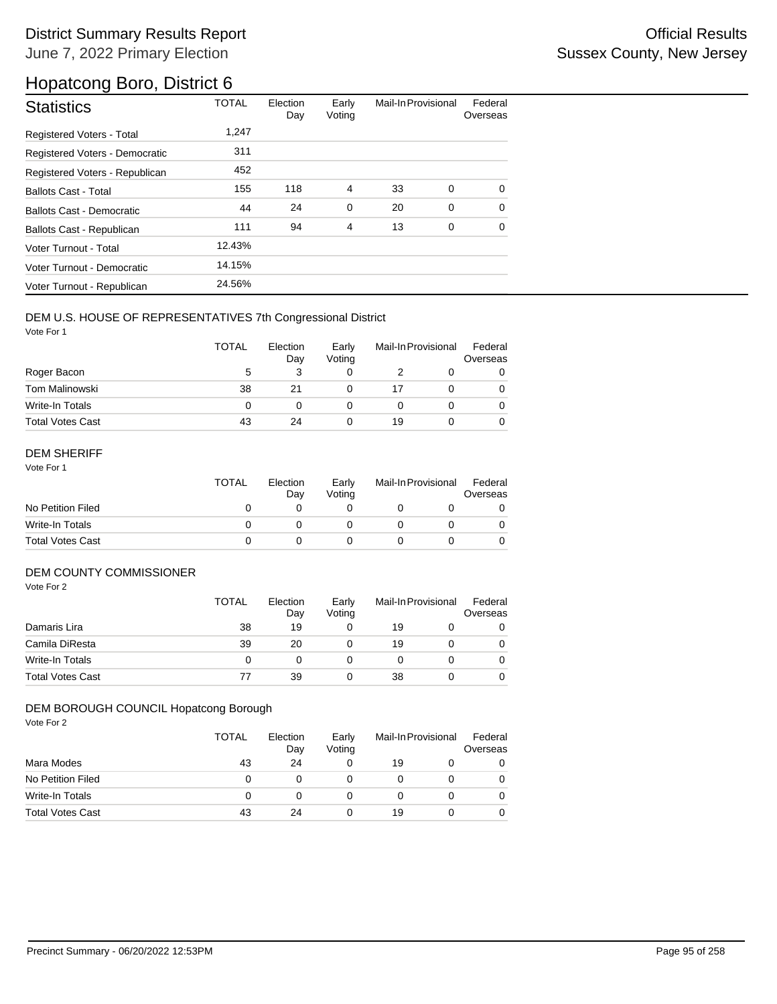| <b>Statistics</b>              | <b>TOTAL</b> | Election<br>Day | Early<br>Voting | Mail-In Provisional |   | Federal<br>Overseas |
|--------------------------------|--------------|-----------------|-----------------|---------------------|---|---------------------|
| Registered Voters - Total      | 1,247        |                 |                 |                     |   |                     |
| Registered Voters - Democratic | 311          |                 |                 |                     |   |                     |
| Registered Voters - Republican | 452          |                 |                 |                     |   |                     |
| <b>Ballots Cast - Total</b>    | 155          | 118             | 4               | 33                  | 0 | $\Omega$            |
| Ballots Cast - Democratic      | 44           | 24              | $\mathbf 0$     | 20                  | 0 | $\Omega$            |
| Ballots Cast - Republican      | 111          | 94              | $\overline{4}$  | 13                  | 0 | $\Omega$            |
| Voter Turnout - Total          | 12.43%       |                 |                 |                     |   |                     |
| Voter Turnout - Democratic     | 14.15%       |                 |                 |                     |   |                     |
| Voter Turnout - Republican     | 24.56%       |                 |                 |                     |   |                     |

### DEM U.S. HOUSE OF REPRESENTATIVES 7th Congressional District

Vote For 1

|                         | <b>TOTAL</b> | Election<br>Day | Early<br>Voting | Mail-In Provisional |  | Federal<br>Overseas |
|-------------------------|--------------|-----------------|-----------------|---------------------|--|---------------------|
| Roger Bacon             | 5            |                 |                 |                     |  |                     |
| Tom Malinowski          | 38           | 21              |                 | 17                  |  | 0                   |
| Write-In Totals         | 0            |                 |                 |                     |  |                     |
| <b>Total Votes Cast</b> | 43           | 24              |                 | 19                  |  |                     |

### DEM SHERIFF

Vote For 1

|                         | TOTAL | Election<br>Dav | Early<br>Votina | Mail-In Provisional |  | Federal<br>Overseas |
|-------------------------|-------|-----------------|-----------------|---------------------|--|---------------------|
| No Petition Filed       |       |                 |                 |                     |  |                     |
| Write-In Totals         |       |                 |                 |                     |  |                     |
| <b>Total Votes Cast</b> |       |                 |                 |                     |  |                     |

### DEM COUNTY COMMISSIONER

Vote For 2

|                         | <b>TOTAL</b> | Election<br>Day | Early<br>Votina | Mail-In Provisional |  | Federal<br>Overseas |
|-------------------------|--------------|-----------------|-----------------|---------------------|--|---------------------|
| Damaris Lira            | 38           | 19              |                 | 19                  |  | 0                   |
| Camila DiResta          | 39           | 20              |                 | 19                  |  | 0                   |
| Write-In Totals         | 0            |                 |                 |                     |  | 0                   |
| <b>Total Votes Cast</b> | 77           | 39              |                 | 38                  |  | 0                   |

#### DEM BOROUGH COUNCIL Hopatcong Borough

|                         | <b>TOTAL</b> | Election<br>Day | Early<br>Voting | Mail-In Provisional |  | Federal<br>Overseas |
|-------------------------|--------------|-----------------|-----------------|---------------------|--|---------------------|
| Mara Modes              | 43           | 24              | 0               | 19                  |  |                     |
| No Petition Filed       | 0            |                 |                 |                     |  |                     |
| Write-In Totals         | 0            |                 |                 |                     |  |                     |
| <b>Total Votes Cast</b> | 43           | 24              | 0               | 19                  |  |                     |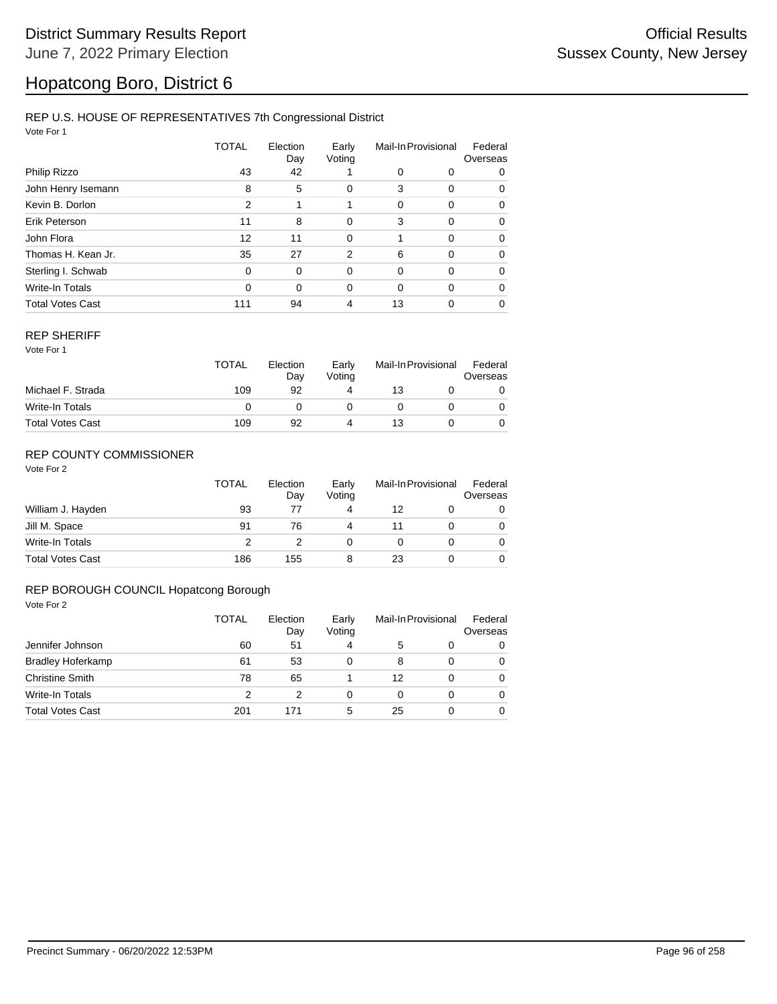#### REP U.S. HOUSE OF REPRESENTATIVES 7th Congressional District

Vote For 1

|                         | TOTAL    | Election<br>Day | Early<br>Voting | Mail-In Provisional |          | Federal<br>Overseas |  |
|-------------------------|----------|-----------------|-----------------|---------------------|----------|---------------------|--|
| Philip Rizzo            | 43       | 42              |                 | 0                   | 0        | 0                   |  |
| John Henry Isemann      | 8        | 5               | 0               | 3                   | 0        | 0                   |  |
| Kevin B. Dorlon         | 2        | 1               |                 | 0                   | 0        | 0                   |  |
| Erik Peterson           | 11       | 8               | 0               | 3                   | 0        | 0                   |  |
| John Flora              | 12       | 11              | $\mathbf 0$     |                     | $\Omega$ | $\Omega$            |  |
| Thomas H. Kean Jr.      | 35       | 27              | 2               | 6                   | 0        | 0                   |  |
| Sterling I. Schwab      | $\Omega$ | 0               | 0               | $\Omega$            | $\Omega$ | $\Omega$            |  |
| Write-In Totals         | $\Omega$ | $\Omega$        | $\Omega$        | $\Omega$            | $\Omega$ | $\Omega$            |  |
| <b>Total Votes Cast</b> | 111      | 94              | 4               | 13                  | 0        | 0                   |  |

#### REP SHERIFF

Vote For 1

|                         | <b>TOTAL</b> | Election<br>Day | Early<br>Voting | Mail-In Provisional |  | Federal<br>Overseas |
|-------------------------|--------------|-----------------|-----------------|---------------------|--|---------------------|
| Michael F. Strada       | 109          | 92              |                 | 13                  |  |                     |
| Write-In Totals         |              |                 |                 |                     |  |                     |
| <b>Total Votes Cast</b> | 109          | 92              |                 | 13                  |  |                     |

### REP COUNTY COMMISSIONER

Vote For 2

|                         | <b>TOTAL</b> | Election<br>Day | Early<br>Voting | Mail-In Provisional |  | Federal<br>Overseas |
|-------------------------|--------------|-----------------|-----------------|---------------------|--|---------------------|
| William J. Hayden       | 93           | 77              | 4               | 12                  |  | 0                   |
| Jill M. Space           | 91           | 76              | 4               |                     |  | 0                   |
| Write-In Totals         |              |                 |                 |                     |  | 0                   |
| <b>Total Votes Cast</b> | 186          | 155             | 8               | 23                  |  |                     |

#### REP BOROUGH COUNCIL Hopatcong Borough

|                          | TOTAL | Election<br>Day | Early<br>Voting | Mail-In Provisional |   | Federal<br>Overseas |  |
|--------------------------|-------|-----------------|-----------------|---------------------|---|---------------------|--|
| Jennifer Johnson         | 60    | 51              | 4               | 5                   | 0 | 0                   |  |
| <b>Bradley Hoferkamp</b> | 61    | 53              | 0               | 8                   | 0 | 0                   |  |
| <b>Christine Smith</b>   | 78    | 65              |                 | 12                  | 0 | 0                   |  |
| <b>Write-In Totals</b>   | 2     | 2               | 0               | 0                   | 0 | $\Omega$            |  |
| <b>Total Votes Cast</b>  | 201   | 171             | 5               | 25                  | 0 | 0                   |  |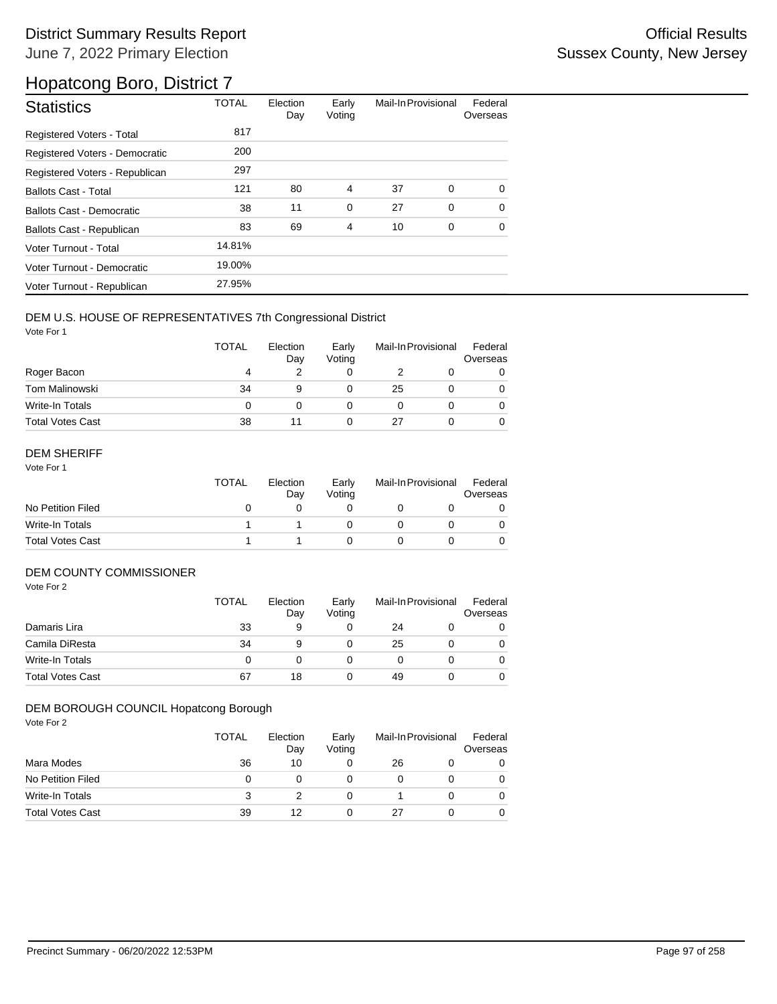| <b>Statistics</b>                | <b>TOTAL</b> | Election<br>Day | Early<br>Voting | Mail-In Provisional |             | Federal<br>Overseas |
|----------------------------------|--------------|-----------------|-----------------|---------------------|-------------|---------------------|
| <b>Registered Voters - Total</b> | 817          |                 |                 |                     |             |                     |
| Registered Voters - Democratic   | 200          |                 |                 |                     |             |                     |
| Registered Voters - Republican   | 297          |                 |                 |                     |             |                     |
| <b>Ballots Cast - Total</b>      | 121          | 80              | 4               | 37                  | $\mathbf 0$ | $\Omega$            |
| Ballots Cast - Democratic        | 38           | 11              | $\mathbf 0$     | 27                  | 0           | $\Omega$            |
| Ballots Cast - Republican        | 83           | 69              | $\overline{4}$  | 10                  | 0           | $\Omega$            |
| Voter Turnout - Total            | 14.81%       |                 |                 |                     |             |                     |
| Voter Turnout - Democratic       | 19.00%       |                 |                 |                     |             |                     |
| Voter Turnout - Republican       | 27.95%       |                 |                 |                     |             |                     |

### DEM U.S. HOUSE OF REPRESENTATIVES 7th Congressional District

Vote For 1

|                         | <b>TOTAL</b> | Election<br>Day | Early<br>Voting | Mail-In Provisional |  | Federal<br>Overseas |
|-------------------------|--------------|-----------------|-----------------|---------------------|--|---------------------|
| Roger Bacon             | 4            |                 |                 |                     |  | 0                   |
| <b>Tom Malinowski</b>   | 34           | 9               |                 | 25                  |  | 0                   |
| Write-In Totals         | 0            |                 |                 |                     |  | 0                   |
| <b>Total Votes Cast</b> | 38           |                 |                 | 27                  |  | 0                   |

### DEM SHERIFF

Vote For 1

|                         | <b>TOTAL</b> | Election<br>Dav | Early<br>Votina | Mail-In Provisional |  | Federal<br>Overseas |
|-------------------------|--------------|-----------------|-----------------|---------------------|--|---------------------|
| No Petition Filed       |              |                 |                 |                     |  |                     |
| Write-In Totals         |              |                 |                 |                     |  |                     |
| <b>Total Votes Cast</b> |              |                 |                 |                     |  |                     |

### DEM COUNTY COMMISSIONER

Vote For 2

|                         | <b>TOTAL</b> | Election<br>Day | Early<br>Votina | Mail-In Provisional |  | Federal<br>Overseas |
|-------------------------|--------------|-----------------|-----------------|---------------------|--|---------------------|
| Damaris Lira            | 33           | 9               |                 | 24                  |  | 0                   |
| Camila DiResta          | 34           | 9               |                 | 25                  |  | 0                   |
| Write-In Totals         | 0            |                 |                 |                     |  | 0                   |
| <b>Total Votes Cast</b> | 67           | 18              |                 | 49                  |  | 0                   |

#### DEM BOROUGH COUNCIL Hopatcong Borough

|                         | TOTAL | Election<br>Day | Early<br>Voting | Mail-In Provisional |  | Federal<br>Overseas |
|-------------------------|-------|-----------------|-----------------|---------------------|--|---------------------|
| Mara Modes              | 36    | 10              | 0               | 26                  |  |                     |
| No Petition Filed       |       |                 | O               |                     |  |                     |
| Write-In Totals         | 3     |                 | 0               |                     |  | 0                   |
| <b>Total Votes Cast</b> | 39    | 12              | 0               | 27                  |  |                     |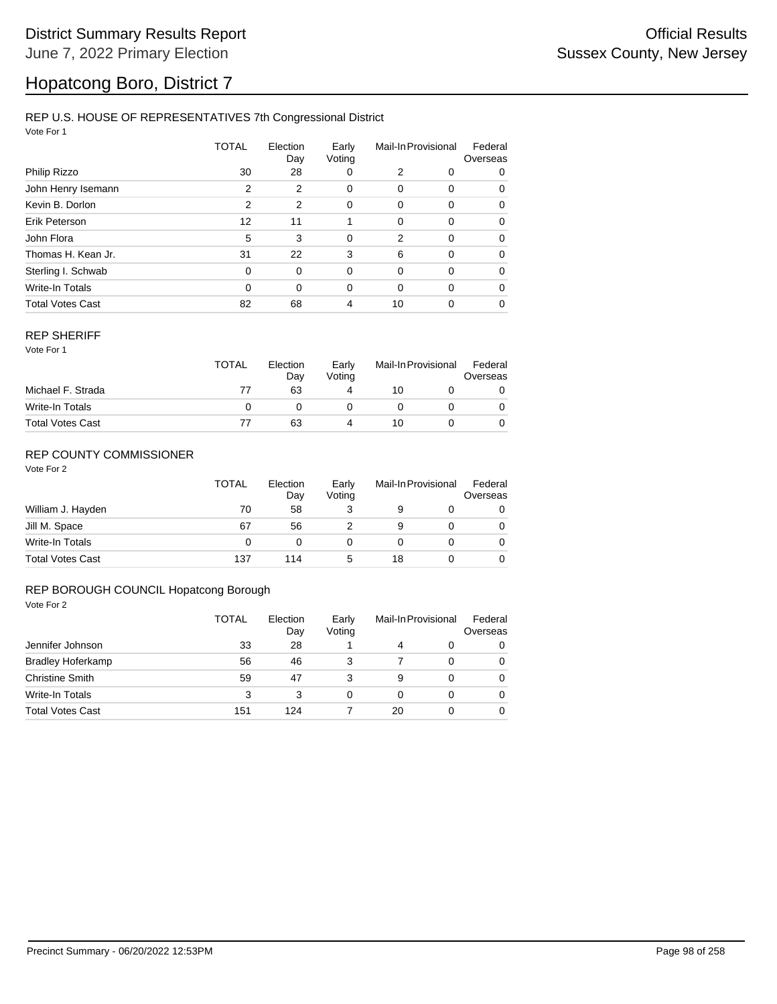#### REP U.S. HOUSE OF REPRESENTATIVES 7th Congressional District

Vote For 1

|                         | <b>TOTAL</b> | Election<br>Day | Early<br>Voting | Mail-In Provisional |          | Federal<br>Overseas |  |
|-------------------------|--------------|-----------------|-----------------|---------------------|----------|---------------------|--|
| Philip Rizzo            | 30           | 28              | 0               | 2                   | 0        | 0                   |  |
| John Henry Isemann      | 2            | 2               | 0               | 0                   | 0        | 0                   |  |
| Kevin B. Dorlon         | 2            | 2               | 0               | 0                   | 0        | 0                   |  |
| Erik Peterson           | 12           | 11              |                 | 0                   | 0        | 0                   |  |
| John Flora              | 5            | 3               | 0               | $\overline{2}$      | $\Omega$ | 0                   |  |
| Thomas H. Kean Jr.      | 31           | 22              | 3               | 6                   | 0        | 0                   |  |
| Sterling I. Schwab      | $\Omega$     | 0               | 0               | 0                   | 0        | 0                   |  |
| Write-In Totals         | $\Omega$     | $\Omega$        | 0               | $\Omega$            | $\Omega$ | 0                   |  |
| <b>Total Votes Cast</b> | 82           | 68              | 4               | 10                  | 0        | 0                   |  |

#### REP SHERIFF

Vote For 1

|                         | TOTAL | Election<br>Day | Early<br>Votina | Mail-In Provisional |  | Federal<br>Overseas |
|-------------------------|-------|-----------------|-----------------|---------------------|--|---------------------|
| Michael F. Strada       | 77    | 63              |                 | 10                  |  |                     |
| Write-In Totals         |       |                 |                 |                     |  |                     |
| <b>Total Votes Cast</b> |       | 63              |                 | 10                  |  |                     |

### REP COUNTY COMMISSIONER

Vote For 2

|                         | TOTAL | Election<br>Day | Early<br>Voting | Mail-In Provisional |  | Federal<br>Overseas |
|-------------------------|-------|-----------------|-----------------|---------------------|--|---------------------|
| William J. Hayden       | 70    | 58              |                 |                     |  | 0                   |
| Jill M. Space           | 67    | 56              |                 | 9                   |  | 0                   |
| Write-In Totals         | 0     |                 |                 |                     |  | 0                   |
| <b>Total Votes Cast</b> | 137   | 114             | 5               | 18                  |  |                     |

#### REP BOROUGH COUNCIL Hopatcong Borough

|                          | <b>TOTAL</b> | Election<br>Day<br>28 | Early<br>Voting | Mail-In Provisional |          | Federal<br>Overseas |  |
|--------------------------|--------------|-----------------------|-----------------|---------------------|----------|---------------------|--|
| Jennifer Johnson         | 33           |                       |                 | 4                   | 0        | 0                   |  |
| <b>Bradley Hoferkamp</b> | 56           | 46                    | 3               |                     | $\Omega$ | 0                   |  |
| <b>Christine Smith</b>   | 59           | 47                    | 3               | 9                   | $\Omega$ | 0                   |  |
| Write-In Totals          | 3            | 3                     | 0               | 0                   | $\Omega$ | 0                   |  |
| <b>Total Votes Cast</b>  | 151          | 124                   |                 | 20                  |          | 0                   |  |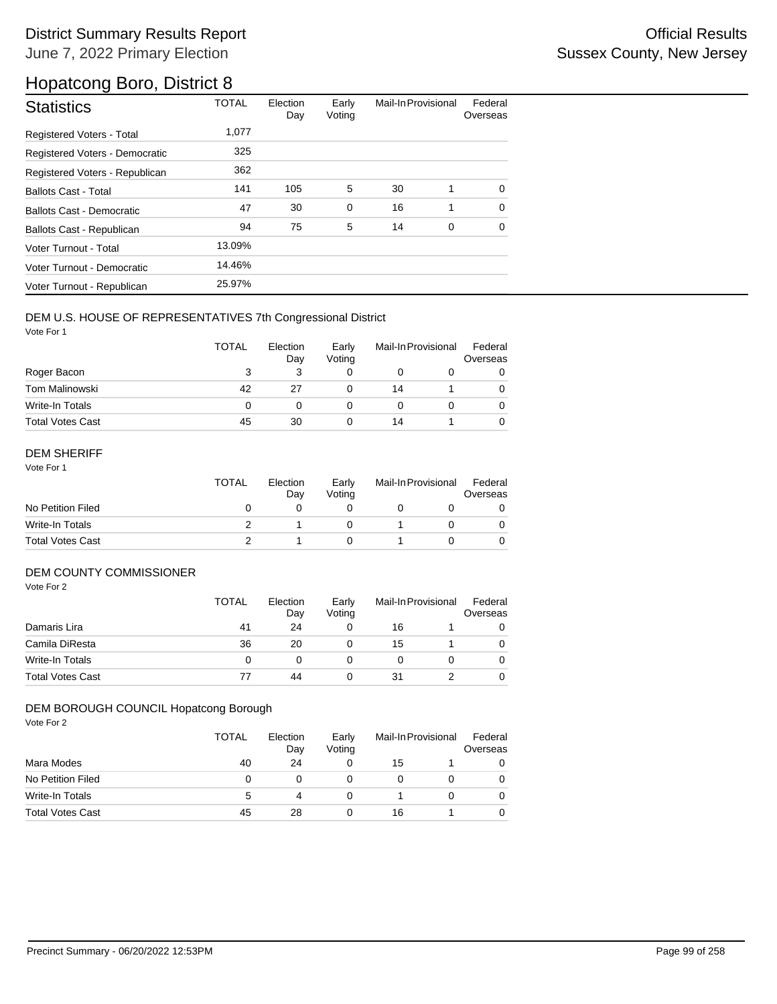| <b>Statistics</b>                | <b>TOTAL</b> | Election<br>Day | Early<br>Voting | Mail-In Provisional |   | Federal<br>Overseas |
|----------------------------------|--------------|-----------------|-----------------|---------------------|---|---------------------|
| Registered Voters - Total        | 1,077        |                 |                 |                     |   |                     |
| Registered Voters - Democratic   | 325          |                 |                 |                     |   |                     |
| Registered Voters - Republican   | 362          |                 |                 |                     |   |                     |
| <b>Ballots Cast - Total</b>      | 141          | 105             | 5               | 30                  | 1 | $\Omega$            |
| Ballots Cast - Democratic        | 47           | 30              | $\mathbf 0$     | 16                  | 1 | $\Omega$            |
| <b>Ballots Cast - Republican</b> | 94           | 75              | 5               | 14                  | 0 | $\Omega$            |
| Voter Turnout - Total            | 13.09%       |                 |                 |                     |   |                     |
| Voter Turnout - Democratic       | 14.46%       |                 |                 |                     |   |                     |
| Voter Turnout - Republican       | 25.97%       |                 |                 |                     |   |                     |

### DEM U.S. HOUSE OF REPRESENTATIVES 7th Congressional District

Vote For 1

|                         | <b>TOTAL</b> | Election<br>Day | Early<br>Voting | Mail-In Provisional |  | Federal<br>Overseas |
|-------------------------|--------------|-----------------|-----------------|---------------------|--|---------------------|
| Roger Bacon             |              |                 |                 |                     |  | 0                   |
| Tom Malinowski          | 42           | 27              |                 | 14                  |  | 0                   |
| Write-In Totals         | 0            |                 |                 |                     |  |                     |
| <b>Total Votes Cast</b> | 45           | 30              |                 | 14                  |  |                     |

### DEM SHERIFF

Vote For 1

|                         | <b>TOTAL</b> | Election<br>Dav | Early<br>Votina | Mail-In Provisional |  | Federal<br>Overseas |
|-------------------------|--------------|-----------------|-----------------|---------------------|--|---------------------|
| No Petition Filed       |              |                 |                 |                     |  |                     |
| Write-In Totals         |              |                 |                 |                     |  |                     |
| <b>Total Votes Cast</b> |              |                 |                 |                     |  |                     |

### DEM COUNTY COMMISSIONER

Vote For 2

|                         | <b>TOTAL</b> | Election<br>Day | Early<br>Votina |    | Mail-In Provisional | Federal<br>Overseas |
|-------------------------|--------------|-----------------|-----------------|----|---------------------|---------------------|
| Damaris Lira            | 41           | 24              |                 | 16 |                     |                     |
| Camila DiResta          | 36           | 20              |                 | 15 |                     | 0                   |
| Write-In Totals         | 0            |                 |                 |    |                     | 0                   |
| <b>Total Votes Cast</b> | 77           | 44              |                 | 31 |                     | 0                   |

#### DEM BOROUGH COUNCIL Hopatcong Borough

|                         | <b>TOTAL</b> | Election<br>Day | Early<br>Voting | Mail-In Provisional |  | Federal<br>Overseas |
|-------------------------|--------------|-----------------|-----------------|---------------------|--|---------------------|
| Mara Modes              | 40           | 24              | 0               | 15                  |  |                     |
| No Petition Filed       | 0            |                 |                 |                     |  | 0                   |
| Write-In Totals         | 5            |                 | 0               |                     |  |                     |
| <b>Total Votes Cast</b> | 45           | 28              | 0               | 16                  |  |                     |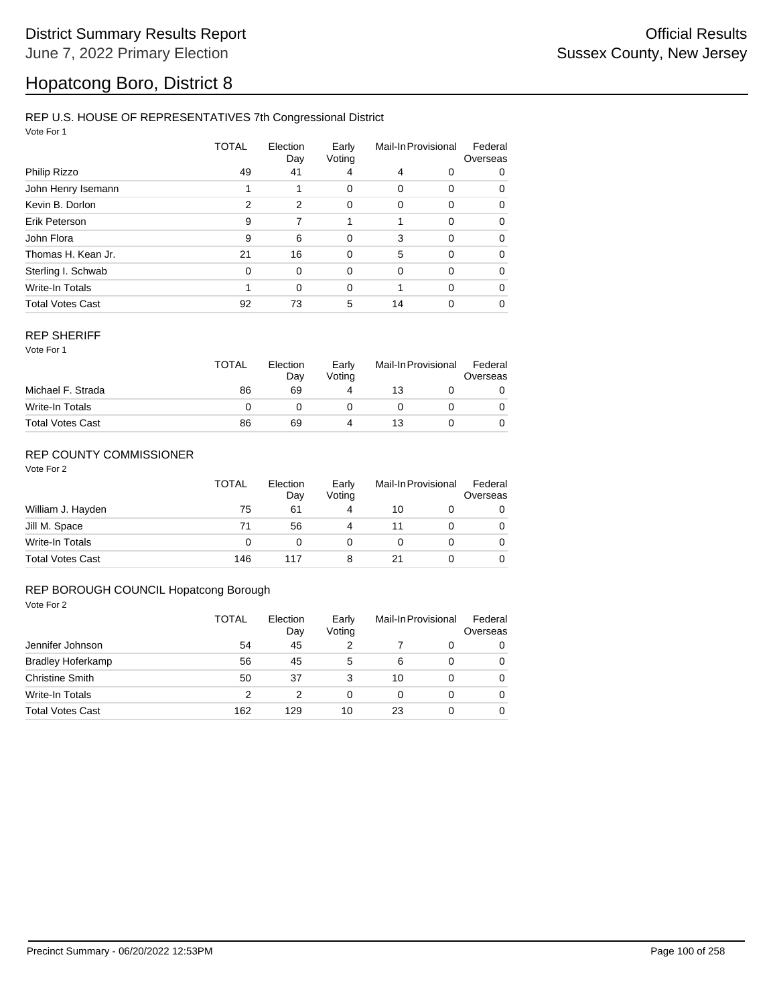### REP U.S. HOUSE OF REPRESENTATIVES 7th Congressional District

Vote For 1

|                         | TOTAL | Election<br>Day | Early<br>Voting | Mail-In Provisional |          | Federal<br>Overseas |  |
|-------------------------|-------|-----------------|-----------------|---------------------|----------|---------------------|--|
| Philip Rizzo            | 49    | 41              | 4               | 4                   | 0        | 0                   |  |
| John Henry Isemann      |       |                 | 0               | 0                   | 0        | 0                   |  |
| Kevin B. Dorlon         | 2     | 2               | 0               | 0                   | 0        | 0                   |  |
| Erik Peterson           | 9     | 7               |                 |                     | 0        | 0                   |  |
| John Flora              | 9     | 6               | $\mathbf 0$     | 3                   | $\Omega$ | 0                   |  |
| Thomas H. Kean Jr.      | 21    | 16              | 0               | 5                   | $\Omega$ | 0                   |  |
| Sterling I. Schwab      | 0     | $\Omega$        | $\Omega$        | 0                   | 0        | 0                   |  |
| <b>Write-In Totals</b>  |       | $\Omega$        | $\Omega$        |                     | $\Omega$ | 0                   |  |
| <b>Total Votes Cast</b> | 92    | 73              | 5               | 14                  | 0        | 0                   |  |

#### REP SHERIFF

Vote For 1

|                         | <b>TOTAL</b> | Election<br>Day | Early<br>Votina | Mail-In Provisional |  | Federal<br>Overseas |
|-------------------------|--------------|-----------------|-----------------|---------------------|--|---------------------|
| Michael F. Strada       | 86           | 69              |                 | 13                  |  |                     |
| Write-In Totals         |              |                 |                 |                     |  |                     |
| <b>Total Votes Cast</b> | 86           | 69              |                 | 13                  |  |                     |

### REP COUNTY COMMISSIONER

Vote For 2

|                         | <b>TOTAL</b> | Election<br>Day | Early<br>Voting | Mail-In Provisional |  | Federal<br>Overseas |
|-------------------------|--------------|-----------------|-----------------|---------------------|--|---------------------|
| William J. Hayden       | 75           | 61              | 4               | 10                  |  | 0                   |
| Jill M. Space           | 71           | 56              | 4               | 11                  |  | $\Omega$            |
| Write-In Totals         | 0            |                 |                 |                     |  | 0                   |
| <b>Total Votes Cast</b> | 146          | 117             | 8               | 21                  |  |                     |

#### REP BOROUGH COUNCIL Hopatcong Borough

|                          | TOTAL | Election<br>Day | Early<br>Voting | Mail-In Provisional |          | Federal<br>Overseas |
|--------------------------|-------|-----------------|-----------------|---------------------|----------|---------------------|
| Jennifer Johnson         | 54    | 45              | 2               |                     | $\Omega$ | 0                   |
| <b>Bradley Hoferkamp</b> | 56    | 45              | 5               | 6                   | $\Omega$ | 0                   |
| <b>Christine Smith</b>   | 50    | 37              | 3               | 10                  | 0        | 0                   |
| <b>Write-In Totals</b>   | 2     | 2               | 0               | 0                   | 0        | $\Omega$            |
| <b>Total Votes Cast</b>  | 162   | 129             | 10              | 23                  | 0        | 0                   |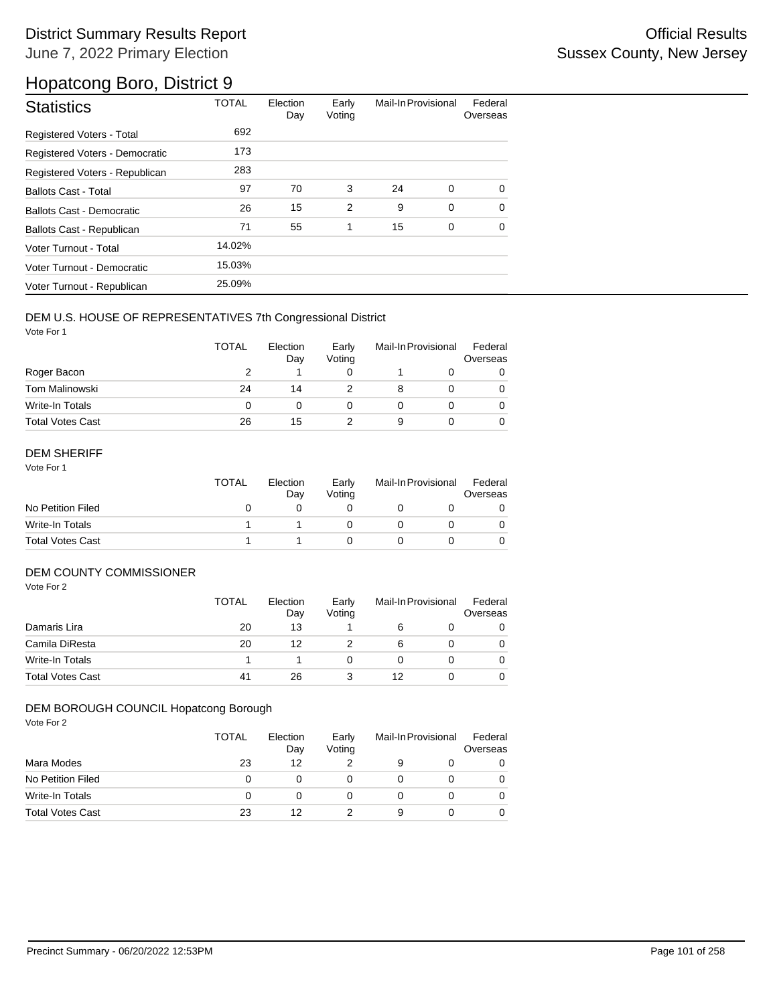## District Summary Results Report **Contract Contract Contract Contract Contract Contract Contract Contract Contract Contract Contract Contract Contract Contract Contract Contract Contract Contract Contract Contract Contract** June 7, 2022 Primary Election

## Hopatcong Boro, District 9

| <b>Statistics</b>              | <b>TOTAL</b> | Election<br>Day | Early<br>Voting | Mail-In Provisional |             | Federal<br>Overseas |
|--------------------------------|--------------|-----------------|-----------------|---------------------|-------------|---------------------|
| Registered Voters - Total      | 692          |                 |                 |                     |             |                     |
| Registered Voters - Democratic | 173          |                 |                 |                     |             |                     |
| Registered Voters - Republican | 283          |                 |                 |                     |             |                     |
| <b>Ballots Cast - Total</b>    | 97           | 70              | 3               | 24                  | 0           | $\Omega$            |
| Ballots Cast - Democratic      | 26           | 15              | $\overline{2}$  | 9                   | $\mathbf 0$ | $\Omega$            |
| Ballots Cast - Republican      | 71           | 55              | 1               | 15                  | 0           | $\Omega$            |
| Voter Turnout - Total          | 14.02%       |                 |                 |                     |             |                     |
| Voter Turnout - Democratic     | 15.03%       |                 |                 |                     |             |                     |
| Voter Turnout - Republican     | 25.09%       |                 |                 |                     |             |                     |

#### DEM U.S. HOUSE OF REPRESENTATIVES 7th Congressional District

Vote For 1

|                         | <b>TOTAL</b> | Election<br>Day | Early<br>Voting | Mail-In Provisional |  | Federal<br>Overseas |
|-------------------------|--------------|-----------------|-----------------|---------------------|--|---------------------|
| Roger Bacon             |              |                 |                 |                     |  |                     |
| Tom Malinowski          | 24           | 14              |                 |                     |  |                     |
| Write-In Totals         | 0            |                 |                 |                     |  |                     |
| <b>Total Votes Cast</b> | 26           | 15              |                 | 9                   |  |                     |

#### DEM SHERIFF

Vote For 1

|                         | <b>TOTAL</b> | Election<br>Dav | Early<br>Votina | Mail-In Provisional |  | Federal<br>Overseas |
|-------------------------|--------------|-----------------|-----------------|---------------------|--|---------------------|
| No Petition Filed       |              |                 |                 |                     |  |                     |
| Write-In Totals         |              |                 |                 |                     |  |                     |
| <b>Total Votes Cast</b> |              |                 |                 |                     |  |                     |

### DEM COUNTY COMMISSIONER

Vote For 2

|                         | <b>TOTAL</b> | Election<br>Day | Early<br>Votina |    | Mail-In Provisional | Federal<br>Overseas |
|-------------------------|--------------|-----------------|-----------------|----|---------------------|---------------------|
| Damaris Lira            | 20           | 13              |                 |    |                     | 0                   |
| Camila DiResta          | 20           | 12              |                 | 6  |                     | 0                   |
| Write-In Totals         |              |                 |                 |    |                     | $\Omega$            |
| <b>Total Votes Cast</b> | 41           | 26              |                 | 12 |                     | 0                   |

#### DEM BOROUGH COUNCIL Hopatcong Borough

|                         | <b>TOTAL</b> | Election<br>Day | Early<br>Voting | Mail-In Provisional |  | Federal<br>Overseas |
|-------------------------|--------------|-----------------|-----------------|---------------------|--|---------------------|
| Mara Modes              | 23           | 12              |                 | 9                   |  |                     |
| No Petition Filed       | 0            |                 |                 |                     |  |                     |
| Write-In Totals         |              |                 |                 |                     |  |                     |
| <b>Total Votes Cast</b> | 23           | 12              |                 | 9                   |  |                     |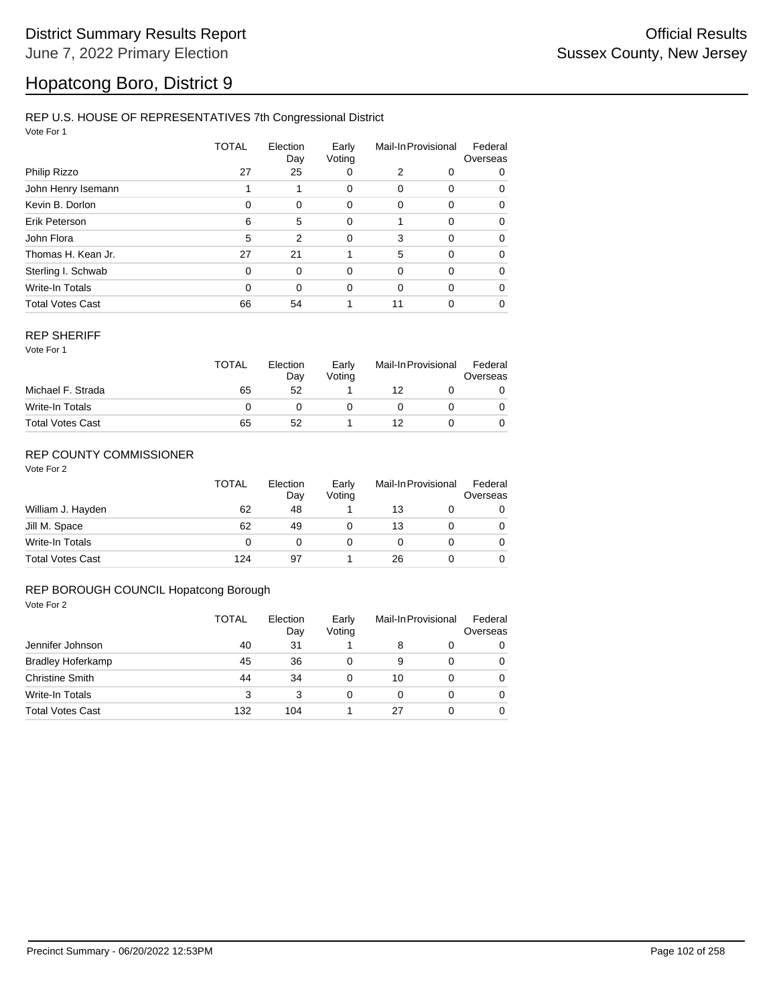#### REP U.S. HOUSE OF REPRESENTATIVES 7th Congressional District

Vote For 1

|                         | TOTAL | Election<br>Day | Early<br>Voting | Mail-In Provisional |          | Federal<br>Overseas |  |
|-------------------------|-------|-----------------|-----------------|---------------------|----------|---------------------|--|
| Philip Rizzo            | 27    | 25              | 0               | 2                   | 0        | 0                   |  |
| John Henry Isemann      |       |                 | 0               | 0                   | 0        | 0                   |  |
| Kevin B. Dorlon         | 0     | 0               | 0               | 0                   | 0        | 0                   |  |
| Erik Peterson           | 6     | 5               | 0               |                     | $\Omega$ | $\Omega$            |  |
| John Flora              | 5     | $\overline{2}$  | $\mathbf 0$     | 3                   | $\Omega$ | $\Omega$            |  |
| Thomas H. Kean Jr.      | 27    | 21              |                 | 5                   | 0        | 0                   |  |
| Sterling I. Schwab      | 0     | $\Omega$        | 0               | 0                   | $\Omega$ | $\Omega$            |  |
| Write-In Totals         | 0     | $\Omega$        | 0               | $\Omega$            | $\Omega$ | $\Omega$            |  |
| <b>Total Votes Cast</b> | 66    | 54              |                 | 11                  | 0        | 0                   |  |

#### REP SHERIFF

Vote For 1

|                         | TOTAL | Election<br>Day<br>52 | Early<br>Votina | Mail-In Provisional |  | Federal<br>Overseas |
|-------------------------|-------|-----------------------|-----------------|---------------------|--|---------------------|
| Michael F. Strada       | 65    |                       |                 | 12                  |  |                     |
| Write-In Totals         |       |                       |                 |                     |  |                     |
| <b>Total Votes Cast</b> | 65    | 52                    |                 | 12                  |  |                     |

### REP COUNTY COMMISSIONER

Vote For 2

|                         | <b>TOTAL</b> | Election<br>Day | Early<br>Voting | Mail-In Provisional |  | Federal<br>Overseas |
|-------------------------|--------------|-----------------|-----------------|---------------------|--|---------------------|
| William J. Hayden       | 62           | 48              |                 | 13                  |  | 0                   |
| Jill M. Space           | 62           | 49              |                 | 13                  |  | 0                   |
| Write-In Totals         | 0            |                 |                 |                     |  | 0                   |
| <b>Total Votes Cast</b> | 124          | 97              |                 | 26                  |  | 0                   |

#### REP BOROUGH COUNCIL Hopatcong Borough

|                          | TOTAL | Election<br>Day<br>31 | Early<br>Voting | Mail-In Provisional |          | Federal<br>Overseas |
|--------------------------|-------|-----------------------|-----------------|---------------------|----------|---------------------|
| Jennifer Johnson         | 40    |                       |                 | 8                   | 0        | 0                   |
| <b>Bradley Hoferkamp</b> | 45    | 36                    | 0               | 9                   | $\Omega$ | 0                   |
| <b>Christine Smith</b>   | 44    | 34                    | 0               | 10                  | 0        | 0                   |
| Write-In Totals          | 3     | 3                     | 0               | 0                   | 0        | 0                   |
| <b>Total Votes Cast</b>  | 132   | 104                   |                 | 27                  | 0        | 0                   |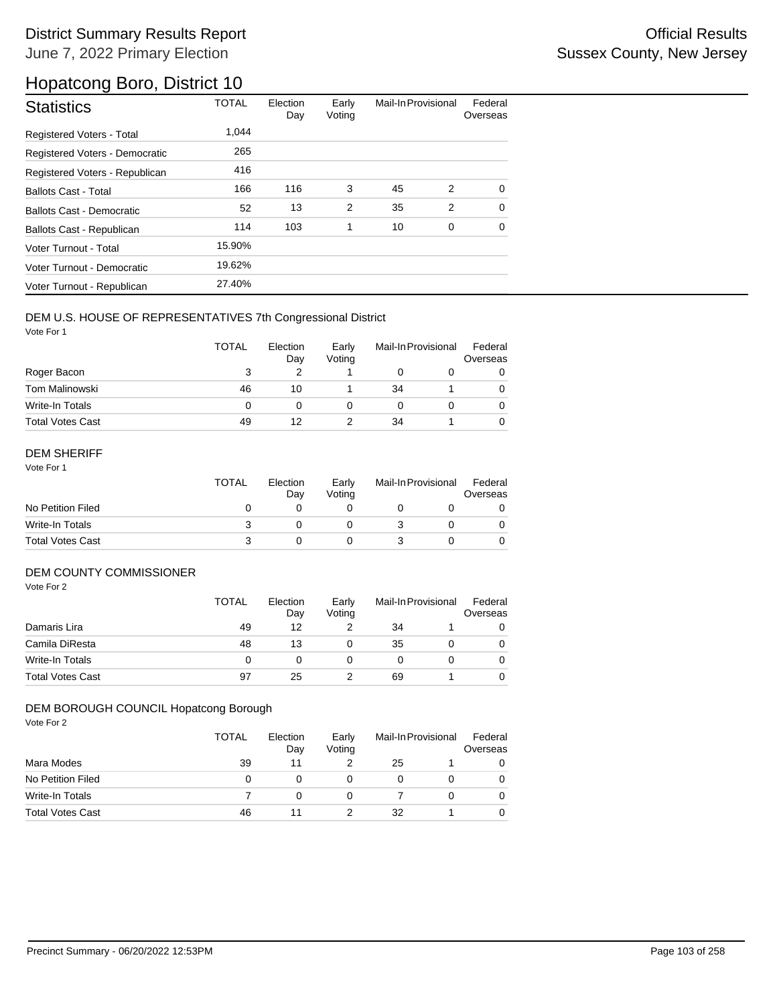| <b>Statistics</b>                | <b>TOTAL</b> | Election<br>Day | Early<br>Voting | Mail-In Provisional |   | Federal<br>Overseas |
|----------------------------------|--------------|-----------------|-----------------|---------------------|---|---------------------|
| Registered Voters - Total        | 1.044        |                 |                 |                     |   |                     |
| Registered Voters - Democratic   | 265          |                 |                 |                     |   |                     |
| Registered Voters - Republican   | 416          |                 |                 |                     |   |                     |
| <b>Ballots Cast - Total</b>      | 166          | 116             | 3               | 45                  | 2 | $\Omega$            |
| Ballots Cast - Democratic        | 52           | 13              | 2               | 35                  | 2 | $\Omega$            |
| <b>Ballots Cast - Republican</b> | 114          | 103             | 1               | 10                  | 0 | $\Omega$            |
| Voter Turnout - Total            | 15.90%       |                 |                 |                     |   |                     |
| Voter Turnout - Democratic       | 19.62%       |                 |                 |                     |   |                     |
| Voter Turnout - Republican       | 27.40%       |                 |                 |                     |   |                     |

### DEM U.S. HOUSE OF REPRESENTATIVES 7th Congressional District

Vote For 1

|                         | <b>TOTAL</b> | Election<br>Day | Early<br>Voting | Mail-In Provisional |  | Federal<br>Overseas |
|-------------------------|--------------|-----------------|-----------------|---------------------|--|---------------------|
| Roger Bacon             | 3            |                 |                 |                     |  |                     |
| <b>Tom Malinowski</b>   | 46           | 10              |                 | 34                  |  |                     |
| Write-In Totals         | 0            | O               |                 |                     |  |                     |
| <b>Total Votes Cast</b> | 49           | 12              |                 | 34                  |  |                     |

### DEM SHERIFF

Vote For 1

|                         | <b>TOTAL</b> | Election<br>Dav | Early<br>Votina | Mail-In Provisional |  | Federal<br>Overseas |
|-------------------------|--------------|-----------------|-----------------|---------------------|--|---------------------|
| No Petition Filed       |              |                 |                 |                     |  |                     |
| Write-In Totals         |              |                 |                 |                     |  |                     |
| <b>Total Votes Cast</b> |              |                 |                 |                     |  |                     |

### DEM COUNTY COMMISSIONER

Vote For 2

|                         | <b>TOTAL</b> | Election<br>Day | Early<br>Votina | Mail-In Provisional |  | Federal<br>Overseas |
|-------------------------|--------------|-----------------|-----------------|---------------------|--|---------------------|
| Damaris Lira            | 49           | 12              |                 | 34                  |  |                     |
| Camila DiResta          | 48           | 13              |                 | 35                  |  | 0                   |
| Write-In Totals         | 0            |                 |                 |                     |  | 0                   |
| <b>Total Votes Cast</b> | 97           | 25              |                 | 69                  |  | 0                   |

### DEM BOROUGH COUNCIL Hopatcong Borough

|                         | TOTAL | Election<br>Day | Early<br>Voting | Mail-In Provisional |  | Federal<br>Overseas |
|-------------------------|-------|-----------------|-----------------|---------------------|--|---------------------|
| Mara Modes              | 39    | 11              |                 | 25                  |  |                     |
| No Petition Filed       | 0     |                 | 0               |                     |  | 0                   |
| Write-In Totals         |       |                 | 0               |                     |  | 0                   |
| <b>Total Votes Cast</b> | 46    |                 |                 | 32                  |  |                     |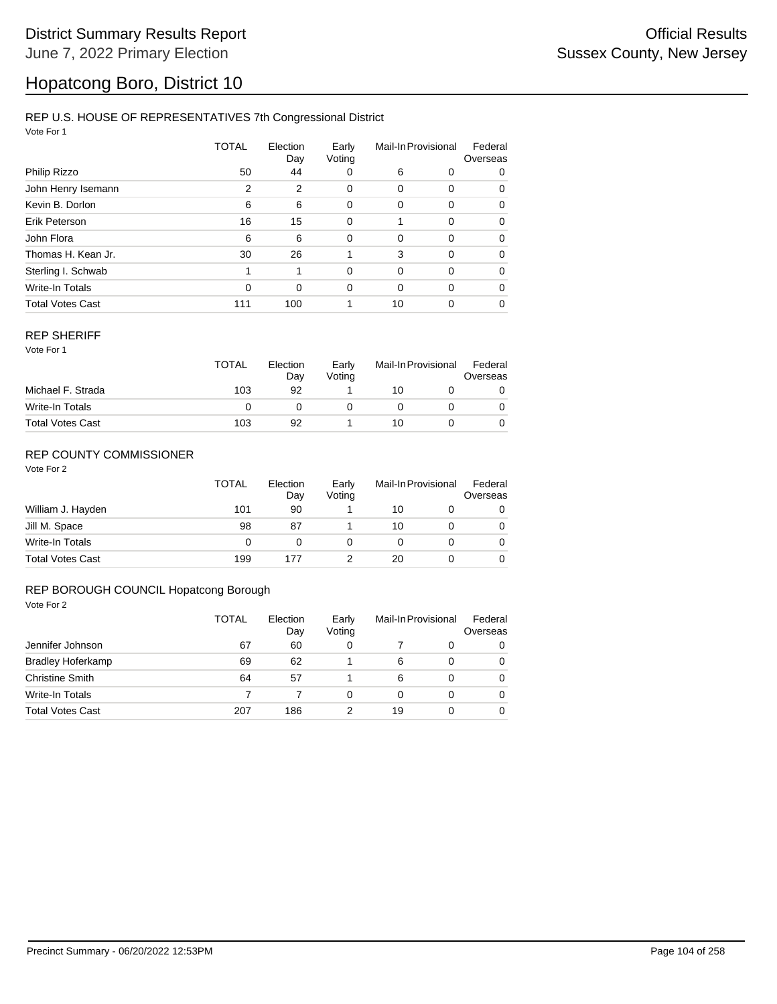#### REP U.S. HOUSE OF REPRESENTATIVES 7th Congressional District

Vote For 1

|                         | TOTAL    | Election<br>Day | Early<br>Voting | Mail-In Provisional |          | Federal<br>Overseas |  |
|-------------------------|----------|-----------------|-----------------|---------------------|----------|---------------------|--|
| Philip Rizzo            | 50       | 44              | 0               | 6                   | 0        | 0                   |  |
| John Henry Isemann      | 2        | 2               | 0               | 0                   | 0        | 0                   |  |
| Kevin B. Dorlon         | 6        | 6               | 0               | 0                   | 0        | 0                   |  |
| Erik Peterson           | 16       | 15              | 0               |                     | 0        | $\Omega$            |  |
| John Flora              | 6        | 6               | 0               | $\Omega$            | 0        | $\Omega$            |  |
| Thomas H. Kean Jr.      | 30       | 26              |                 | 3                   | $\Omega$ | 0                   |  |
| Sterling I. Schwab      | 1        | 1               | $\Omega$        | $\Omega$            | $\Omega$ | $\Omega$            |  |
| <b>Write-In Totals</b>  | $\Omega$ | $\Omega$        | $\Omega$        | $\Omega$            | $\Omega$ | $\Omega$            |  |
| <b>Total Votes Cast</b> | 111      | 100             |                 | 10                  | 0        | 0                   |  |

#### REP SHERIFF

Vote For 1

|                         | <b>TOTAL</b> | Election<br>Day | Early<br>Voting | Mail-In Provisional |  | Federal<br>Overseas |
|-------------------------|--------------|-----------------|-----------------|---------------------|--|---------------------|
| Michael F. Strada       | 103          | 92              |                 | 10                  |  |                     |
| Write-In Totals         |              |                 |                 |                     |  |                     |
| <b>Total Votes Cast</b> | 103          | 92              |                 | 10                  |  |                     |

### REP COUNTY COMMISSIONER

Vote For 2

|                         | <b>TOTAL</b> | Election<br>Dav | Early<br>Voting | Mail-In Provisional |  | Federal<br>Overseas |
|-------------------------|--------------|-----------------|-----------------|---------------------|--|---------------------|
| William J. Hayden       | 101          | 90              |                 | 10                  |  | 0                   |
| Jill M. Space           | 98           | 87              |                 | 10                  |  | 0                   |
| Write-In Totals         | 0            | 0               |                 |                     |  | 0                   |
| <b>Total Votes Cast</b> | 199          | 177             |                 | 20                  |  |                     |

#### REP BOROUGH COUNCIL Hopatcong Borough

|                          | TOTAL | Election<br>Day | Early<br>Voting | Mail-In Provisional |   | Federal<br>Overseas |
|--------------------------|-------|-----------------|-----------------|---------------------|---|---------------------|
| Jennifer Johnson         | 67    | 60              | 0               |                     | 0 | 0                   |
| <b>Bradley Hoferkamp</b> | 69    | 62              |                 | 6                   | 0 | $\Omega$            |
| <b>Christine Smith</b>   | 64    | 57              |                 | 6                   | 0 | $\Omega$            |
| Write-In Totals          |       |                 | 0               | 0                   | 0 | $\Omega$            |
| <b>Total Votes Cast</b>  | 207   | 186             |                 | 19                  | 0 | $\Omega$            |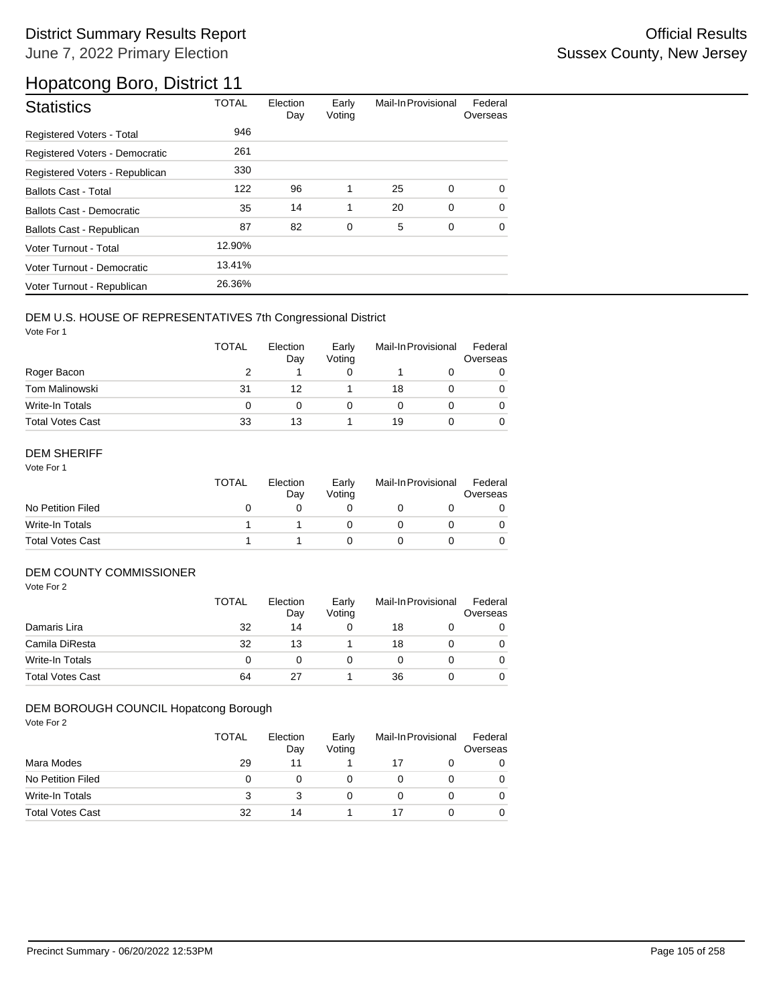| <b>Statistics</b>                | <b>TOTAL</b> | Election<br>Day | Early<br>Voting | Mail-In Provisional |             | Federal<br>Overseas |
|----------------------------------|--------------|-----------------|-----------------|---------------------|-------------|---------------------|
| Registered Voters - Total        | 946          |                 |                 |                     |             |                     |
| Registered Voters - Democratic   | 261          |                 |                 |                     |             |                     |
| Registered Voters - Republican   | 330          |                 |                 |                     |             |                     |
| <b>Ballots Cast - Total</b>      | 122          | 96              | 1               | 25                  | $\mathbf 0$ | $\Omega$            |
| <b>Ballots Cast - Democratic</b> | 35           | 14              | 1               | 20                  | 0           | $\Omega$            |
| Ballots Cast - Republican        | 87           | 82              | 0               | 5                   | 0           | 0                   |
| Voter Turnout - Total            | 12.90%       |                 |                 |                     |             |                     |
| Voter Turnout - Democratic       | 13.41%       |                 |                 |                     |             |                     |
| Voter Turnout - Republican       | 26.36%       |                 |                 |                     |             |                     |

### DEM U.S. HOUSE OF REPRESENTATIVES 7th Congressional District

Vote For 1

|                         | <b>TOTAL</b> | Election<br>Day | Early<br>Voting | Mail-In Provisional |  | Federal<br>Overseas |
|-------------------------|--------------|-----------------|-----------------|---------------------|--|---------------------|
| Roger Bacon             |              |                 |                 |                     |  |                     |
| <b>Tom Malinowski</b>   | 31           | 12              |                 | 18                  |  |                     |
| Write-In Totals         | 0            | 0               |                 |                     |  |                     |
| <b>Total Votes Cast</b> | 33           | 13              |                 | 19                  |  |                     |

### DEM SHERIFF

Vote For 1

|                         | <b>TOTAL</b> | Election<br>Dav | Early<br>Votina | Mail-In Provisional |  | Federal<br>Overseas |
|-------------------------|--------------|-----------------|-----------------|---------------------|--|---------------------|
| No Petition Filed       |              |                 |                 |                     |  |                     |
| Write-In Totals         |              |                 |                 |                     |  |                     |
| <b>Total Votes Cast</b> |              |                 |                 |                     |  |                     |

### DEM COUNTY COMMISSIONER

Vote For 2

|                         | TOTAL | Election<br>Day | Early<br>Votina |    | Mail-In Provisional |   |
|-------------------------|-------|-----------------|-----------------|----|---------------------|---|
| Damaris Lira            | 32    | 14              |                 | 18 |                     | 0 |
| Camila DiResta          | 32    | 13              |                 | 18 |                     | 0 |
| Write-In Totals         | 0     |                 |                 |    |                     | 0 |
| <b>Total Votes Cast</b> | 64    | 27              |                 | 36 |                     | 0 |

#### DEM BOROUGH COUNCIL Hopatcong Borough

|                         | <b>TOTAL</b> | Election<br>Day | Early<br>Voting | Mail-In Provisional |  | Federal<br>Overseas |
|-------------------------|--------------|-----------------|-----------------|---------------------|--|---------------------|
| Mara Modes              | 29           | 11              |                 |                     |  |                     |
| No Petition Filed       | 0            |                 |                 |                     |  |                     |
| Write-In Totals         | 3            |                 | 0               |                     |  |                     |
| <b>Total Votes Cast</b> | 32           | 14              |                 |                     |  |                     |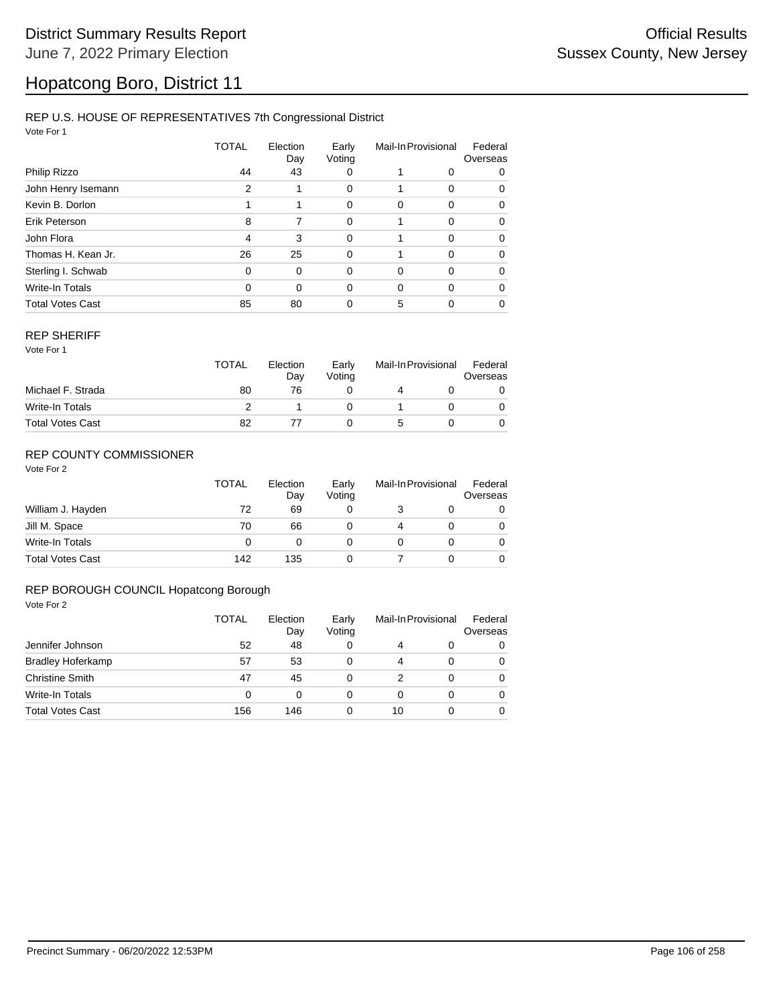### REP U.S. HOUSE OF REPRESENTATIVES 7th Congressional District

Vote For 1

|                         | TOTAL | Election<br>Day | Early<br>Voting | Mail-In Provisional |          | Federal<br>Overseas |  |
|-------------------------|-------|-----------------|-----------------|---------------------|----------|---------------------|--|
| Philip Rizzo            | 44    | 43              | 0               |                     | 0        | 0                   |  |
| John Henry Isemann      | 2     |                 | 0               |                     | 0        | $\Omega$            |  |
| Kevin B. Dorlon         |       | 1               | 0               | 0                   | 0        | 0                   |  |
| Erik Peterson           | 8     | 7               | 0               |                     | $\Omega$ | $\Omega$            |  |
| John Flora              | 4     | 3               | $\mathbf 0$     | 1                   | $\Omega$ | $\Omega$            |  |
| Thomas H. Kean Jr.      | 26    | 25              | 0               |                     | $\Omega$ | $\Omega$            |  |
| Sterling I. Schwab      | 0     | $\Omega$        | $\Omega$        | 0                   | $\Omega$ | $\Omega$            |  |
| Write-In Totals         | 0     | $\Omega$        | 0               | 0                   | $\Omega$ | $\Omega$            |  |
| <b>Total Votes Cast</b> | 85    | 80              | 0               | 5                   | 0        | $\Omega$            |  |

#### REP SHERIFF

Vote For 1

|                         | TOTAL | Election<br>Day | Early<br>Votina | Mail-In Provisional |  | Federal<br>Overseas |
|-------------------------|-------|-----------------|-----------------|---------------------|--|---------------------|
| Michael F. Strada       | 80    | 76              |                 |                     |  |                     |
| Write-In Totals         |       |                 |                 |                     |  |                     |
| <b>Total Votes Cast</b> | 82    |                 |                 |                     |  |                     |

### REP COUNTY COMMISSIONER

Vote For 2

|                         | TOTAL | Election<br>Day | Early<br>Voting | Mail-In Provisional |  | Federal<br>Overseas |
|-------------------------|-------|-----------------|-----------------|---------------------|--|---------------------|
| William J. Hayden       | 72    | 69              |                 |                     |  | 0                   |
| Jill M. Space           | 70    | 66              |                 |                     |  | 0                   |
| Write-In Totals         | 0     |                 |                 |                     |  | 0                   |
| <b>Total Votes Cast</b> | 142   | 135             |                 |                     |  |                     |

#### REP BOROUGH COUNCIL Hopatcong Borough

|                          | TOTAL<br>52 | Election<br>Day<br>48 | Early<br>Voting<br>0 | Mail-In Provisional |          | Federal<br>Overseas |  |
|--------------------------|-------------|-----------------------|----------------------|---------------------|----------|---------------------|--|
| Jennifer Johnson         |             |                       |                      | 4                   | 0        | 0                   |  |
| <b>Bradley Hoferkamp</b> | 57          | 53                    | 0                    |                     | 0        | 0                   |  |
| <b>Christine Smith</b>   | 47          | 45                    | 0                    |                     | $\Omega$ | 0                   |  |
| <b>Write-In Totals</b>   | 0           | 0                     | 0                    | 0                   | 0        | $\Omega$            |  |
| <b>Total Votes Cast</b>  | 156         | 146                   | 0                    | 10                  |          | 0                   |  |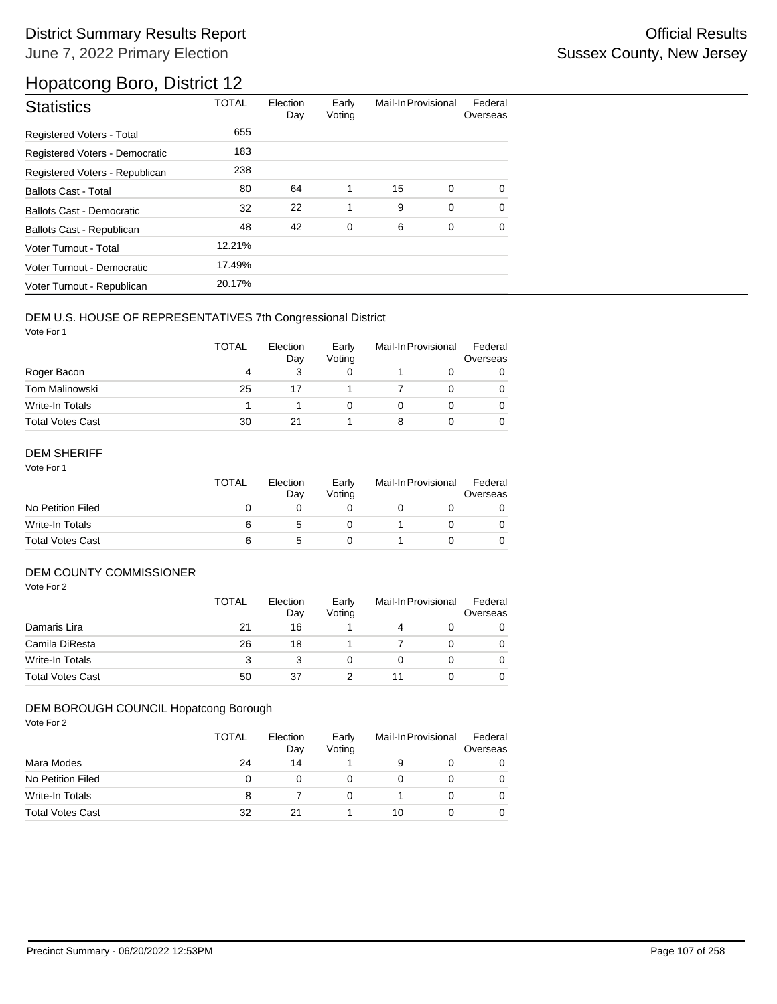| <b>Statistics</b>                | <b>TOTAL</b> | Election<br>Day | Early<br>Voting | Mail-In Provisional |             | Federal<br>Overseas |
|----------------------------------|--------------|-----------------|-----------------|---------------------|-------------|---------------------|
| Registered Voters - Total        | 655          |                 |                 |                     |             |                     |
| Registered Voters - Democratic   | 183          |                 |                 |                     |             |                     |
| Registered Voters - Republican   | 238          |                 |                 |                     |             |                     |
| <b>Ballots Cast - Total</b>      | 80           | 64              | 1               | 15                  | 0           | $\Omega$            |
| <b>Ballots Cast - Democratic</b> | 32           | 22              | 1               | 9                   | $\mathbf 0$ | $\Omega$            |
| Ballots Cast - Republican        | 48           | 42              | 0               | 6                   | 0           | $\Omega$            |
| Voter Turnout - Total            | 12.21%       |                 |                 |                     |             |                     |
| Voter Turnout - Democratic       | 17.49%       |                 |                 |                     |             |                     |
| Voter Turnout - Republican       | 20.17%       |                 |                 |                     |             |                     |

### DEM U.S. HOUSE OF REPRESENTATIVES 7th Congressional District

Vote For 1

|                         | <b>TOTAL</b> | Election<br>Day | Early<br>Voting | Mail-In Provisional |  | Federal<br>Overseas |
|-------------------------|--------------|-----------------|-----------------|---------------------|--|---------------------|
| Roger Bacon             | 4            |                 |                 |                     |  |                     |
| Tom Malinowski          | 25           |                 |                 |                     |  | 0                   |
| Write-In Totals         |              |                 |                 |                     |  |                     |
| <b>Total Votes Cast</b> | 30           | 21              |                 |                     |  | 0                   |

### DEM SHERIFF

Vote For 1

|                         | TOTAL | Election<br>Dav | Early<br>Votina | Mail-In Provisional |  | Federal<br>Overseas |
|-------------------------|-------|-----------------|-----------------|---------------------|--|---------------------|
| No Petition Filed       |       |                 |                 |                     |  |                     |
| Write-In Totals         |       |                 |                 |                     |  |                     |
| <b>Total Votes Cast</b> | 6     |                 |                 |                     |  |                     |

### DEM COUNTY COMMISSIONER

Vote For 2

|                         | TOTAL | Election<br>Day | Early<br>Votina | Mail-In Provisional |  | Federal<br>Overseas |
|-------------------------|-------|-----------------|-----------------|---------------------|--|---------------------|
| Damaris Lira            | 21    | 16              |                 |                     |  | 0                   |
| Camila DiResta          | 26    | 18              |                 |                     |  | 0                   |
| Write-In Totals         | 3     |                 |                 |                     |  | 0                   |
| <b>Total Votes Cast</b> | 50    | 37              |                 |                     |  | 0                   |

#### DEM BOROUGH COUNCIL Hopatcong Borough

|                         | <b>TOTAL</b> | Election<br>Day | Early<br>Voting | Mail-In Provisional |  | Federal<br>Overseas |
|-------------------------|--------------|-----------------|-----------------|---------------------|--|---------------------|
| Mara Modes              | 24           | 14              |                 |                     |  |                     |
| No Petition Filed       | 0            |                 |                 |                     |  |                     |
| Write-In Totals         | 8            |                 | 0               |                     |  |                     |
| <b>Total Votes Cast</b> | 32           | 21              |                 | 10                  |  |                     |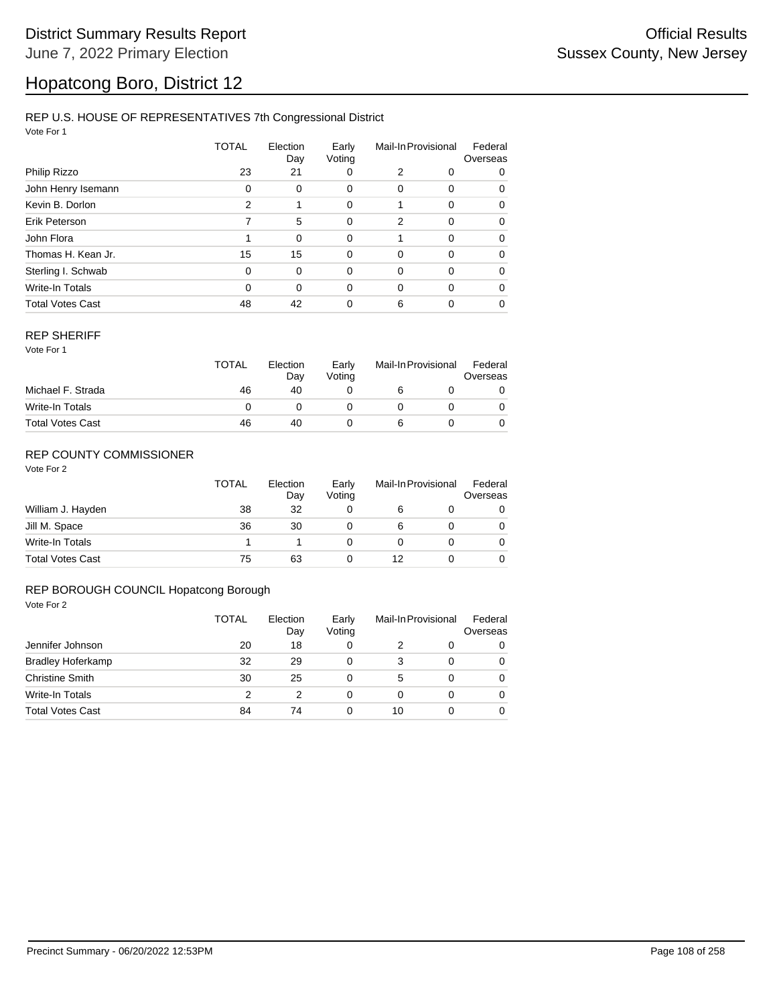### REP U.S. HOUSE OF REPRESENTATIVES 7th Congressional District

Vote For 1

|                         | TOTAL    | Election<br>Day | Early<br>Voting<br>0 | Mail-In Provisional |          | Federal<br>Overseas |
|-------------------------|----------|-----------------|----------------------|---------------------|----------|---------------------|
| Philip Rizzo            | 23       | 21              |                      | 2                   | 0        | 0                   |
| John Henry Isemann      | $\Omega$ | 0               | 0                    | 0                   | 0        | 0                   |
| Kevin B. Dorlon         | 2        | 1               | 0                    |                     | 0        | 0                   |
| Erik Peterson           |          | 5               | 0                    | $\overline{2}$      | 0        | $\Omega$            |
| John Flora              |          | $\Omega$        | 0                    |                     | 0        | 0                   |
| Thomas H. Kean Jr.      | 15       | 15              | 0                    | 0                   | $\Omega$ | 0                   |
| Sterling I. Schwab      | $\Omega$ | $\Omega$        | 0                    | 0                   | 0        | 0                   |
| Write-In Totals         | $\Omega$ | $\Omega$        | 0                    | $\Omega$            | $\Omega$ | 0                   |
| <b>Total Votes Cast</b> | 48       | 42              | 0                    | 6                   | 0        | 0                   |

#### REP SHERIFF

Vote For 1

|                         | <b>TOTAL</b> | Election<br>Day | Early<br>Votina | Mail-In Provisional |  | Federal<br>Overseas |
|-------------------------|--------------|-----------------|-----------------|---------------------|--|---------------------|
| Michael F. Strada       | 46           | 40              |                 |                     |  |                     |
| Write-In Totals         |              |                 |                 |                     |  |                     |
| <b>Total Votes Cast</b> | 46           | 40              |                 |                     |  |                     |

### REP COUNTY COMMISSIONER

Vote For 2

|                         | TOTAL | Election<br>Day | Early<br>Voting | Mail-In Provisional |  | Federal<br>Overseas |
|-------------------------|-------|-----------------|-----------------|---------------------|--|---------------------|
| William J. Hayden       | 38    | 32              |                 | 6                   |  | 0                   |
| Jill M. Space           | 36    | 30              |                 | 6                   |  | 0                   |
| Write-In Totals         |       |                 | 0               |                     |  | 0                   |
| <b>Total Votes Cast</b> | 75    | 63              |                 | 12                  |  |                     |

#### REP BOROUGH COUNCIL Hopatcong Borough

|                          | TOTAL | Election<br>Day<br>18 | Early<br>Voting<br>0 | Mail-In Provisional |   | Federal<br>Overseas |  |
|--------------------------|-------|-----------------------|----------------------|---------------------|---|---------------------|--|
| Jennifer Johnson         | 20    |                       |                      | 2                   | 0 | 0                   |  |
| <b>Bradley Hoferkamp</b> | 32    | 29                    | 0                    | 3                   | 0 | 0                   |  |
| <b>Christine Smith</b>   | 30    | 25                    | 0                    | 5                   | 0 | $\Omega$            |  |
| Write-In Totals          | 2     | 2                     | 0                    | 0                   | 0 | $\Omega$            |  |
| <b>Total Votes Cast</b>  | 84    | 74                    |                      | 10                  | 0 | $\Omega$            |  |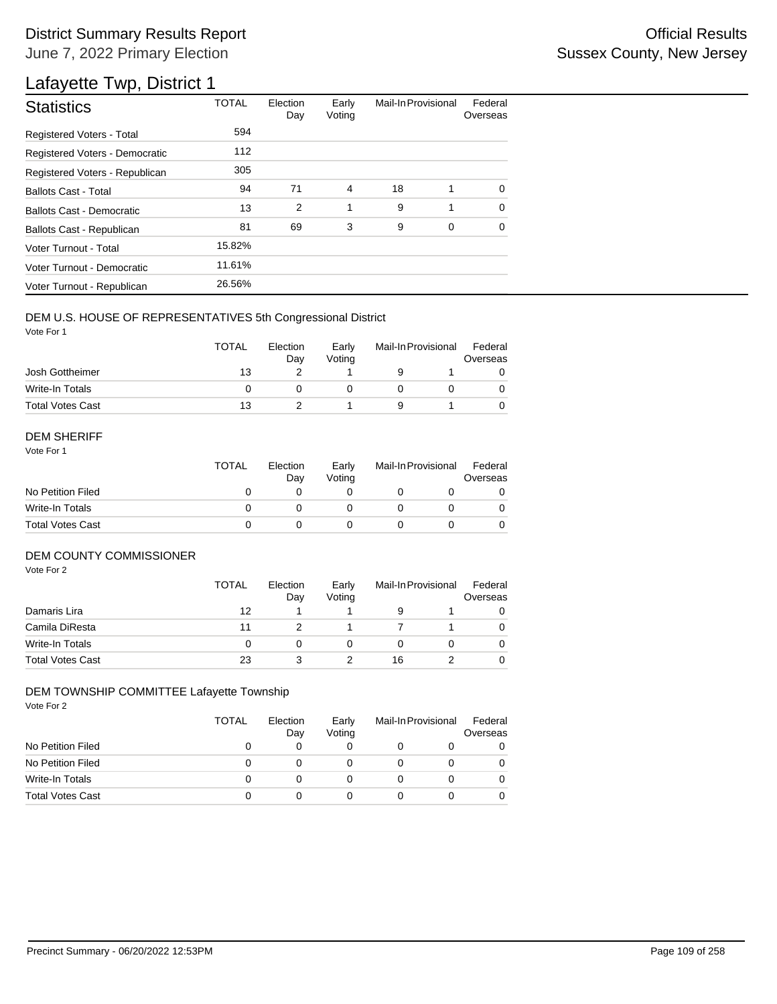## District Summary Results Report **Container and Container Container Container Container Container Container Container** June 7, 2022 Primary Election

## Lafayette Twp, District 1

| <b>Statistics</b>                | <b>TOTAL</b> | Election<br>Day | Early<br>Voting | Mail-In Provisional |   | Federal<br>Overseas |
|----------------------------------|--------------|-----------------|-----------------|---------------------|---|---------------------|
| Registered Voters - Total        | 594          |                 |                 |                     |   |                     |
| Registered Voters - Democratic   | 112          |                 |                 |                     |   |                     |
| Registered Voters - Republican   | 305          |                 |                 |                     |   |                     |
| <b>Ballots Cast - Total</b>      | 94           | 71              | $\overline{4}$  | 18                  | 1 | $\Omega$            |
| <b>Ballots Cast - Democratic</b> | 13           | 2               | 1               | 9                   | 1 | $\Omega$            |
| Ballots Cast - Republican        | 81           | 69              | 3               | 9                   | 0 | 0                   |
| Voter Turnout - Total            | 15.82%       |                 |                 |                     |   |                     |
| Voter Turnout - Democratic       | 11.61%       |                 |                 |                     |   |                     |
| Voter Turnout - Republican       | 26.56%       |                 |                 |                     |   |                     |

## DEM U.S. HOUSE OF REPRESENTATIVES 5th Congressional District

Vote For 1

|                         | <b>TOTAL</b> | Election<br>Dav | Early<br>Votina | Mail-In Provisional |  | Federal<br>Overseas |  |
|-------------------------|--------------|-----------------|-----------------|---------------------|--|---------------------|--|
| Josh Gottheimer         | 13           |                 |                 |                     |  |                     |  |
| Write-In Totals         |              |                 |                 |                     |  |                     |  |
| <b>Total Votes Cast</b> | 13           |                 |                 |                     |  |                     |  |

#### DEM SHERIFF

Vote For 1

|                         | <b>TOTAL</b> | Election<br>Dav | Early<br>Votina | Mail-In Provisional |  | Federal<br>Overseas |  |
|-------------------------|--------------|-----------------|-----------------|---------------------|--|---------------------|--|
| No Petition Filed       |              |                 |                 |                     |  |                     |  |
| Write-In Totals         |              |                 |                 |                     |  | 0                   |  |
| <b>Total Votes Cast</b> |              |                 |                 |                     |  |                     |  |

## DEM COUNTY COMMISSIONER

Vote For 2

|                         | TOTAL | Election<br>Day | Early<br>Votina | Mail-In Provisional |  | Federal<br>Overseas |
|-------------------------|-------|-----------------|-----------------|---------------------|--|---------------------|
| Damaris Lira            | 12    |                 |                 | 9                   |  | 0                   |
| Camila DiResta          | 11    |                 |                 |                     |  | 0                   |
| Write-In Totals         |       |                 |                 |                     |  | 0                   |
| <b>Total Votes Cast</b> | 23    | 3               |                 | 16                  |  | $\Omega$            |

## DEM TOWNSHIP COMMITTEE Lafayette Township

|                         | TOTAL | Election<br>Day | Early<br>Voting | Mail-In Provisional | Federal<br>Overseas |
|-------------------------|-------|-----------------|-----------------|---------------------|---------------------|
| No Petition Filed       | 0     |                 |                 |                     | O                   |
| No Petition Filed       | 0     |                 |                 |                     |                     |
| Write-In Totals         | 0     |                 |                 |                     |                     |
| <b>Total Votes Cast</b> | Ω     |                 |                 |                     |                     |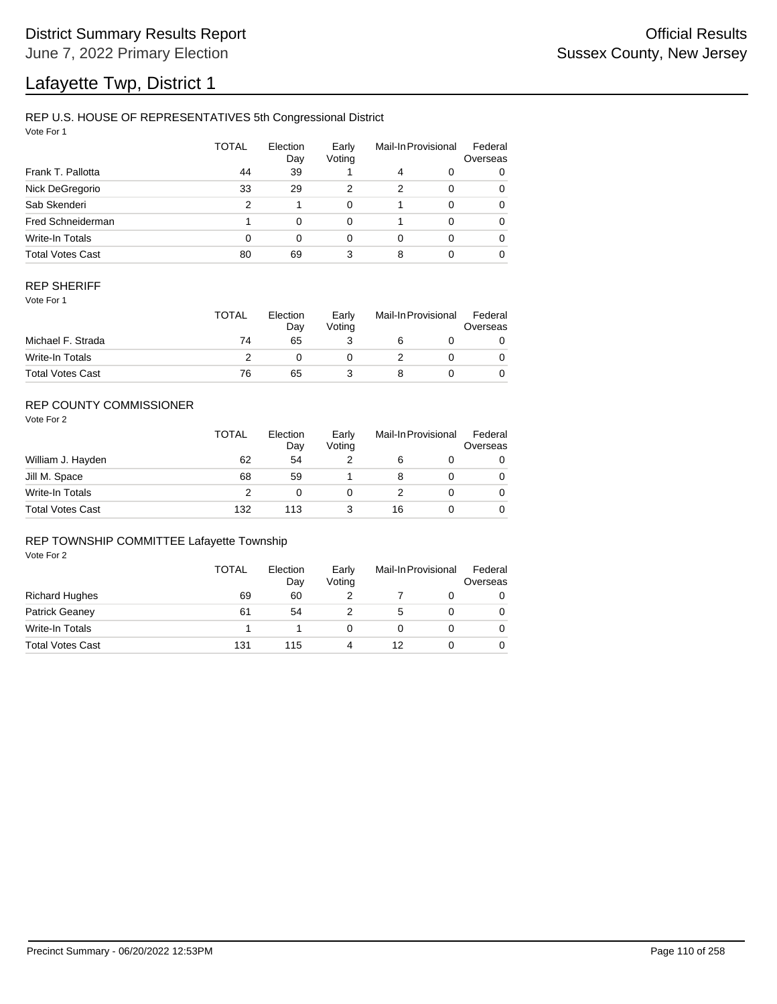# Lafayette Twp, District 1

## REP U.S. HOUSE OF REPRESENTATIVES 5th Congressional District

Vote For 1

|                         | <b>TOTAL</b> | Election<br>Day | Early<br>Voting |   | Mail-In Provisional | Federal<br>Overseas |
|-------------------------|--------------|-----------------|-----------------|---|---------------------|---------------------|
| Frank T. Pallotta       | 44           | 39              |                 | 4 | 0                   | 0                   |
| Nick DeGregorio         | 33           | 29              | 2               | 2 | $\Omega$            | 0                   |
| Sab Skenderi            | 2            |                 | 0               |   | $\Omega$            | 0                   |
| Fred Schneiderman       |              | $\Omega$        | 0               |   | $\Omega$            | 0                   |
| Write-In Totals         | 0            | $\Omega$        | 0               | 0 | $\Omega$            | 0                   |
| <b>Total Votes Cast</b> | 80           | 69              | 3               | 8 |                     | 0                   |

## REP SHERIFF

Vote For 1

|                         | <b>TOTAL</b> | Election<br>Dav | Early<br>Votina | Mail-In Provisional |  | Federal<br>Overseas |
|-------------------------|--------------|-----------------|-----------------|---------------------|--|---------------------|
| Michael F. Strada       | 74           | 65              |                 |                     |  |                     |
| Write-In Totals         |              |                 |                 |                     |  |                     |
| <b>Total Votes Cast</b> | 76           | 65              |                 |                     |  |                     |

## REP COUNTY COMMISSIONER

Vote For 2

|                         | <b>TOTAL</b> | Election<br>Day | Early<br>Voting | Mail-In Provisional |  | Federal<br>Overseas |
|-------------------------|--------------|-----------------|-----------------|---------------------|--|---------------------|
| William J. Hayden       | 62           | 54              |                 | 6                   |  | 0                   |
| Jill M. Space           | 68           | 59              |                 | 8                   |  | 0                   |
| Write-In Totals         | っ            |                 |                 |                     |  | 0                   |
| <b>Total Votes Cast</b> | 132          | 113             |                 | 16                  |  | 0                   |

#### REP TOWNSHIP COMMITTEE Lafayette Township

|                         | TOTAL | Election<br>Day | Early<br>Voting | Mail-In Provisional |  | Federal<br>Overseas |
|-------------------------|-------|-----------------|-----------------|---------------------|--|---------------------|
| <b>Richard Hughes</b>   | 69    | 60              |                 |                     |  |                     |
| <b>Patrick Geanev</b>   | 61    | 54              |                 | 5.                  |  | 0                   |
| Write-In Totals         |       |                 |                 |                     |  |                     |
| <b>Total Votes Cast</b> | 131   | 115             |                 | 12                  |  |                     |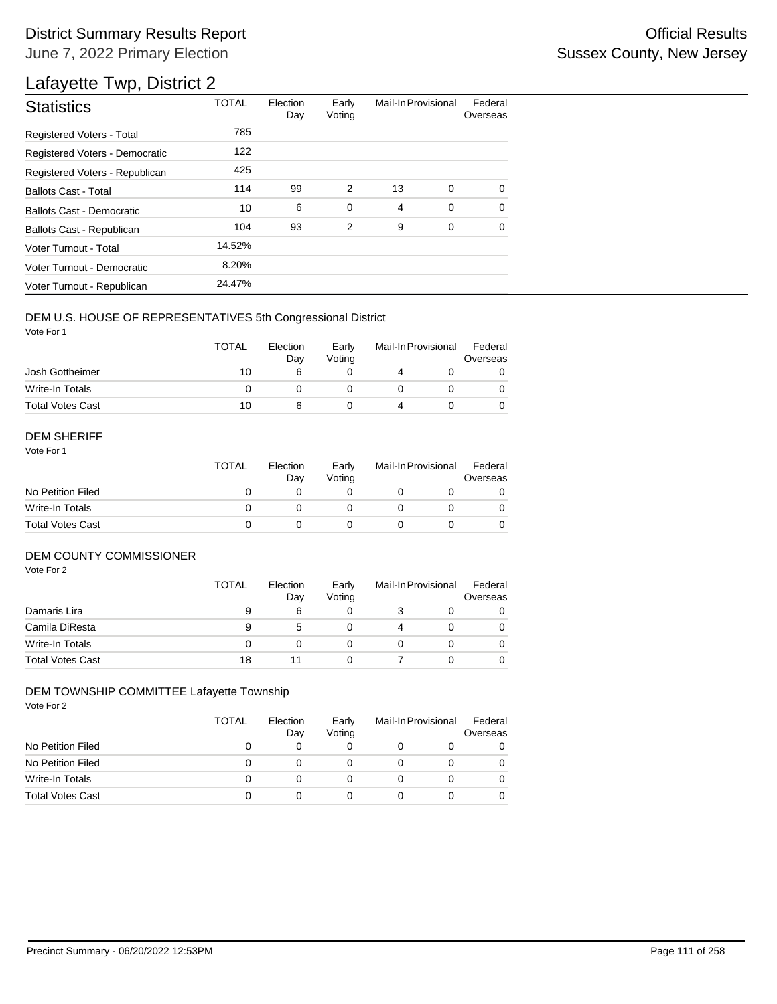## District Summary Results Report **Container and Container Container Container Container Container Container Container** June 7, 2022 Primary Election

## Lafayette Twp, District 2

| <b>Statistics</b>                | <b>TOTAL</b> | Election<br>Day | Early<br>Voting | Mail-In Provisional |             | Federal<br>Overseas |
|----------------------------------|--------------|-----------------|-----------------|---------------------|-------------|---------------------|
| Registered Voters - Total        | 785          |                 |                 |                     |             |                     |
| Registered Voters - Democratic   | 122          |                 |                 |                     |             |                     |
| Registered Voters - Republican   | 425          |                 |                 |                     |             |                     |
| <b>Ballots Cast - Total</b>      | 114          | 99              | 2               | 13                  | 0           | 0                   |
| <b>Ballots Cast - Democratic</b> | 10           | 6               | $\mathbf 0$     | 4                   | $\mathbf 0$ | $\Omega$            |
| Ballots Cast - Republican        | 104          | 93              | 2               | 9                   | 0           | $\Omega$            |
| Voter Turnout - Total            | 14.52%       |                 |                 |                     |             |                     |
| Voter Turnout - Democratic       | 8.20%        |                 |                 |                     |             |                     |
| Voter Turnout - Republican       | 24.47%       |                 |                 |                     |             |                     |

## DEM U.S. HOUSE OF REPRESENTATIVES 5th Congressional District

Vote For 1

|                         | <b>TOTAL</b> | Election<br>Dav | Early<br>Votina | Mail-In Provisional |  | Federal<br>Overseas |  |
|-------------------------|--------------|-----------------|-----------------|---------------------|--|---------------------|--|
| Josh Gottheimer         | 10           |                 |                 |                     |  |                     |  |
| Write-In Totals         |              |                 |                 |                     |  |                     |  |
| <b>Total Votes Cast</b> | 10           |                 |                 |                     |  |                     |  |

#### DEM SHERIFF

Vote For 1

|                         | <b>TOTAL</b> | Election<br>Dav | Early<br>Votina | Mail-In Provisional |  | Federal<br>Overseas |  |
|-------------------------|--------------|-----------------|-----------------|---------------------|--|---------------------|--|
| No Petition Filed       |              |                 |                 |                     |  |                     |  |
| Write-In Totals         |              |                 |                 |                     |  | $\Omega$            |  |
| <b>Total Votes Cast</b> |              |                 |                 |                     |  |                     |  |

## DEM COUNTY COMMISSIONER

Vote For 2

|                         | <b>TOTAL</b> | Election<br>Day | Early<br>Voting | Mail-In Provisional | Federal<br>Overseas |
|-------------------------|--------------|-----------------|-----------------|---------------------|---------------------|
| Damaris Lira            | 9            | 6               |                 |                     | 0                   |
| Camila DiResta          | 9            | 5               |                 |                     | $\Omega$            |
| Write-In Totals         |              |                 |                 |                     | $\Omega$            |
| <b>Total Votes Cast</b> | 18           |                 |                 |                     | 0                   |

#### DEM TOWNSHIP COMMITTEE Lafayette Township

|                         | TOTAL | Election<br>Day | Early<br>Voting | Mail-In Provisional | Federal<br>Overseas |
|-------------------------|-------|-----------------|-----------------|---------------------|---------------------|
| No Petition Filed       | 0     |                 |                 |                     | O                   |
| No Petition Filed       | 0     |                 |                 |                     |                     |
| Write-In Totals         | 0     |                 |                 |                     |                     |
| <b>Total Votes Cast</b> | O     |                 |                 |                     |                     |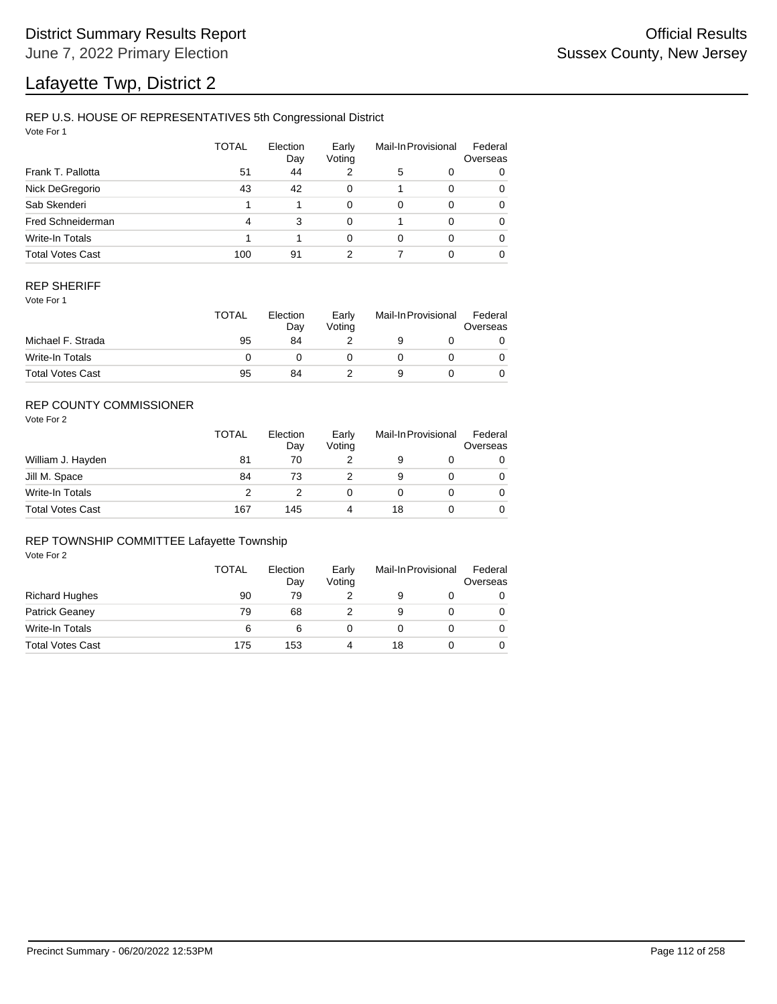# Lafayette Twp, District 2

## REP U.S. HOUSE OF REPRESENTATIVES 5th Congressional District

Vote For 1

|                         | <b>TOTAL</b> | Election<br>Day | Early<br>Voting |   | Mail-In Provisional | Federal<br>Overseas |
|-------------------------|--------------|-----------------|-----------------|---|---------------------|---------------------|
| Frank T. Pallotta       | 51           | 44              |                 | 5 | 0                   | 0                   |
| Nick DeGregorio         | 43           | 42              | 0               |   | $\Omega$            | 0                   |
| Sab Skenderi            |              |                 | 0               | 0 | $\Omega$            | 0                   |
| Fred Schneiderman       | 4            | 3               | 0               |   | $\Omega$            | 0                   |
| Write-In Totals         |              |                 | 0               | 0 | $\Omega$            | 0                   |
| <b>Total Votes Cast</b> | 100          | 91              | 2               |   | $\Omega$            | 0                   |

## REP SHERIFF

Vote For 1

|                         | TOTAL | Election<br>Day | Early<br>Votina | Mail-In Provisional |  | Federal<br>Overseas |
|-------------------------|-------|-----------------|-----------------|---------------------|--|---------------------|
| Michael F. Strada       | 95    | 84              |                 |                     |  |                     |
| Write-In Totals         |       |                 |                 |                     |  |                     |
| <b>Total Votes Cast</b> | 95    | 84              |                 |                     |  |                     |

## REP COUNTY COMMISSIONER

Vote For 2

|                         | TOTAL | Election<br>Day | Early<br>Voting |    | Mail-In Provisional | Federal<br>Overseas |
|-------------------------|-------|-----------------|-----------------|----|---------------------|---------------------|
| William J. Hayden       | 81    | 70              |                 | 9  |                     | 0                   |
| Jill M. Space           | 84    | 73              |                 | 9  |                     | 0                   |
| Write-In Totals         | っ     |                 |                 |    |                     | 0                   |
| <b>Total Votes Cast</b> | 167   | 145             | 4               | 18 |                     | 0                   |

#### REP TOWNSHIP COMMITTEE Lafayette Township

|                         | TOTAL | Election<br>Day | Early<br>Voting | Mail-In Provisional |  | Federal<br>Overseas |
|-------------------------|-------|-----------------|-----------------|---------------------|--|---------------------|
| <b>Richard Hughes</b>   | 90    | 79              |                 |                     |  | 0                   |
| <b>Patrick Geaney</b>   | 79    | 68              |                 | 9                   |  |                     |
| Write-In Totals         | 6     | 6               |                 |                     |  |                     |
| <b>Total Votes Cast</b> | 175   | 153             |                 | 18                  |  |                     |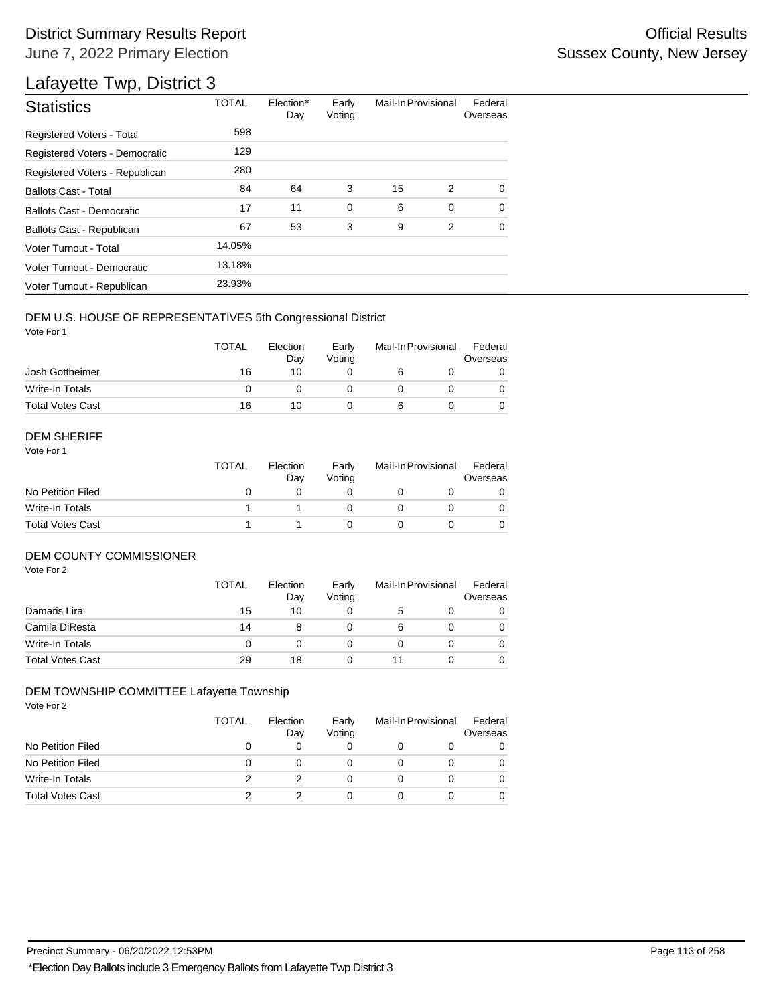## District Summary Results Report **Contract Contract Contract Contract Contract Contract Contract Contract Contract Contract Contract Contract Contract Contract Contract Contract Contract Contract Contract Contract Contract** June 7, 2022 Primary Election

## Lafayette Twp, District 3

| <b>Statistics</b>                                                          | <b>TOTAL</b> | Election*<br>Day | Early<br>Voting | Mail-In Provisional |        | Federal<br>Overseas |  |
|----------------------------------------------------------------------------|--------------|------------------|-----------------|---------------------|--------|---------------------|--|
| Registered Voters - Total                                                  | 598          |                  |                 |                     |        |                     |  |
| Registered Voters - Democratic                                             | 129          |                  |                 |                     |        |                     |  |
| Registered Voters - Republican                                             | 280          |                  |                 |                     |        |                     |  |
| <b>Ballots Cast - Total</b>                                                | 84           | 64               | 3               | 15                  | 2      | 0                   |  |
| <b>Ballots Cast - Democratic</b>                                           | 17           | 11               | 0               | 6                   | 0      | 0                   |  |
| Ballots Cast - Republican                                                  | 67           | 53               | 3               | 9                   | 2      | 0                   |  |
| Voter Turnout - Total                                                      | 14.05%       |                  |                 |                     |        |                     |  |
| Voter Turnout - Democratic                                                 | 13.18%       |                  |                 |                     |        |                     |  |
| Voter Turnout - Republican                                                 | 23.93%       |                  |                 |                     |        |                     |  |
| DEM U.S. HOUSE OF REPRESENTATIVES 5th Congressional District<br>Vote For 1 |              |                  |                 |                     |        |                     |  |
|                                                                            | <b>TOTAL</b> | Election<br>Day  | Early<br>Voting | Mail-In Provisional |        | Federal<br>Overseas |  |
| Josh Gottheimer                                                            | 16           | 10               | 0               | 6                   | 0      | 0                   |  |
| Write-In Totals                                                            | 0            | 0                | 0               | 0                   | 0      | 0                   |  |
| <b>Total Votes Cast</b>                                                    | 16           | 10               | 0               | 6                   | 0      | 0                   |  |
| <b>DEM SHERIFF</b><br>Vote For 1                                           |              |                  |                 |                     |        |                     |  |
|                                                                            | <b>TOTAL</b> | Election<br>Day  | Early<br>Voting | Mail-In Provisional |        | Federal<br>Overseas |  |
| No Petition Filed                                                          | 0            | 0                | 0               | 0                   | 0      | 0                   |  |
| Write-In Totals                                                            | 1            | 1                | 0               | 0                   | 0      | 0                   |  |
| <b>DEM COUNTY COMMISSIONER</b><br>Vote For 2                               | <b>TOTAL</b> | Election<br>Day  | Early<br>Voting | Mail-In Provisional |        | Federal<br>Overseas |  |
| Damaris Lira                                                               | 15           | 10               | 0               | 5                   | 0      | 0                   |  |
| Camila DiResta                                                             | 14           | 8                | 0               | 6                   | 0      | 0                   |  |
| <b>Write-In Totals</b>                                                     | 0            | 0                | 0               | 0                   | 0      | 0                   |  |
| Total Votes Cast                                                           | 29           | 18               | 0               | 11                  | 0      | 0                   |  |
| DEM TOWNSHIP COMMITTEE Lafayette Township<br>Vote For 2                    |              |                  |                 |                     |        |                     |  |
|                                                                            | <b>TOTAL</b> | Election<br>Day  | Early<br>Voting | Mail-In Provisional |        | Federal<br>Overseas |  |
| No Petition Filed<br>No Petition Filed                                     | 0<br>0       | 0<br>0           | 0<br>0          | 0<br>0              | 0<br>0 | 0<br>0              |  |
| <b>Write-In Totals</b>                                                     | 2            | 2                | 0               | 0                   | 0      | 0                   |  |
| <b>Total Votes Cast</b>                                                    | 2            | 2                | 0               | 0                   | 0      | 0                   |  |
|                                                                            |              |                  |                 |                     |        |                     |  |

## DEM U.S. HOUSE OF REPRESENTATIVES 5th Congressional District

|                         | <b>TOTAL</b> | Election<br>Dav | Early<br>Votina | Mail-In Provisional |  | Federal<br>Overseas |  |
|-------------------------|--------------|-----------------|-----------------|---------------------|--|---------------------|--|
| Josh Gottheimer         | 16           | 10              |                 |                     |  |                     |  |
| Write-In Totals         |              |                 |                 |                     |  |                     |  |
| <b>Total Votes Cast</b> | 16           | 10              |                 |                     |  |                     |  |

#### DEM SHERIFF

|                         | <b>TOTAL</b> | Election<br>Dav | Early<br>Votina | Mail-In Provisional |  | Federal<br>Overseas |  |
|-------------------------|--------------|-----------------|-----------------|---------------------|--|---------------------|--|
| No Petition Filed       |              |                 |                 |                     |  |                     |  |
| Write-In Totals         |              |                 |                 |                     |  | $\Omega$            |  |
| <b>Total Votes Cast</b> |              |                 |                 |                     |  |                     |  |

## DEM COUNTY COMMISSIONER

|                         | <b>TOTAL</b> | Election<br>Day | Early<br>Voting |   | Mail-In Provisional | Federal<br>Overseas |
|-------------------------|--------------|-----------------|-----------------|---|---------------------|---------------------|
| Damaris Lira            | 15           | 10              |                 | 5 |                     | 0                   |
| Camila DiResta          | 14           | 8               |                 | 6 |                     | $\Omega$            |
| Write-In Totals         |              |                 |                 |   |                     | $\Omega$            |
| <b>Total Votes Cast</b> | 29           | 18              |                 |   |                     | 0                   |

## DEM TOWNSHIP COMMITTEE Lafayette Township

|                         | <b>TOTAL</b> | Election<br>Day | Early<br>Voting | Mail-In Provisional |  | Federal<br>Overseas |
|-------------------------|--------------|-----------------|-----------------|---------------------|--|---------------------|
| No Petition Filed       |              |                 | 0               |                     |  |                     |
| No Petition Filed       |              |                 | O               |                     |  |                     |
| Write-In Totals         |              |                 | 0               |                     |  |                     |
| <b>Total Votes Cast</b> |              |                 | 0               |                     |  |                     |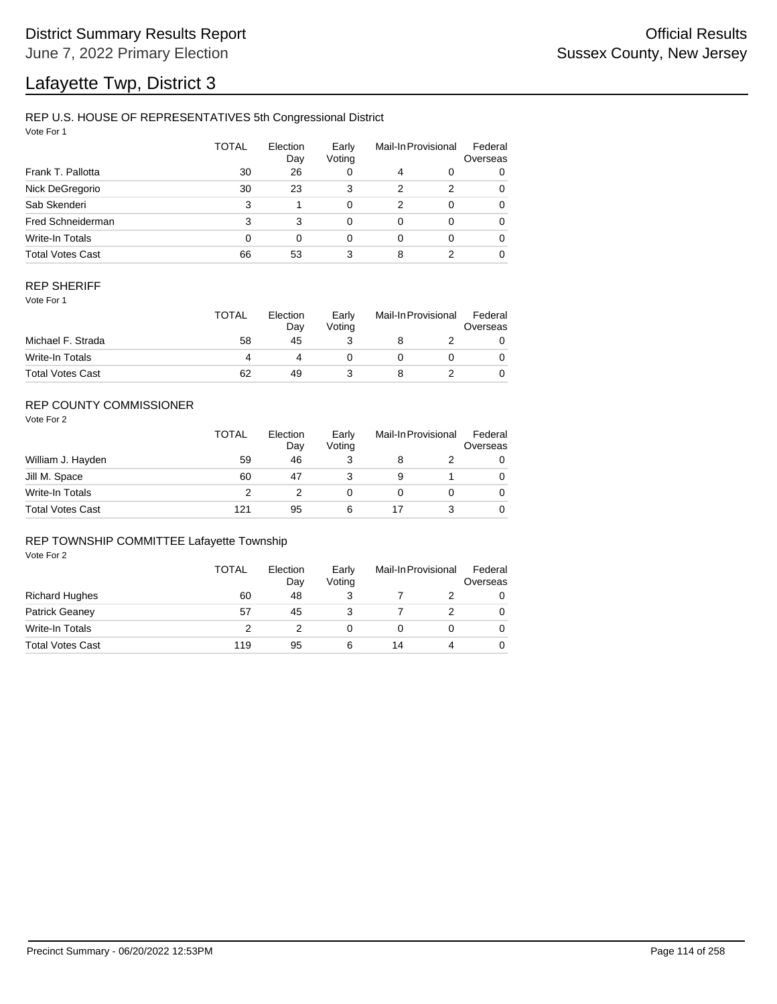# Lafayette Twp, District 3

## REP U.S. HOUSE OF REPRESENTATIVES 5th Congressional District

Vote For 1

|                         | <b>TOTAL</b> | Election<br>Day | Early<br>Voting |   | Mail-In Provisional | Federal<br>Overseas |
|-------------------------|--------------|-----------------|-----------------|---|---------------------|---------------------|
| Frank T. Pallotta       | 30           | 26              | 0               | 4 | 0                   | 0                   |
| Nick DeGregorio         | 30           | 23              | 3               | 2 | 2                   | 0                   |
| Sab Skenderi            | 3            |                 | 0               | 2 | $\Omega$            | 0                   |
| Fred Schneiderman       | 3            | 3               | 0               | 0 | $\Omega$            | 0                   |
| Write-In Totals         | 0            | $\Omega$        | 0               | 0 | $\Omega$            | 0                   |
| <b>Total Votes Cast</b> | 66           | 53              | 3               | 8 |                     | 0                   |

## REP SHERIFF

Vote For 1

|                         | <b>TOTAL</b> | Election<br>Dav | Early<br>Votina | Mail-In Provisional |  | Federal<br>Overseas |  |
|-------------------------|--------------|-----------------|-----------------|---------------------|--|---------------------|--|
| Michael F. Strada       | 58           | 45              |                 |                     |  |                     |  |
| Write-In Totals         |              |                 |                 |                     |  |                     |  |
| <b>Total Votes Cast</b> | 62           | 49              |                 |                     |  |                     |  |

## REP COUNTY COMMISSIONER

Vote For 2

|                         | <b>TOTAL</b> | Election<br>Day | Early<br>Voting | Mail-In Provisional |  | Federal<br>Overseas |
|-------------------------|--------------|-----------------|-----------------|---------------------|--|---------------------|
| William J. Hayden       | 59           | 46              | 3               | 8                   |  | 0                   |
| Jill M. Space           | 60           | 47              |                 | 9                   |  | 0                   |
| Write-In Totals         | っ            |                 |                 |                     |  | 0                   |
| <b>Total Votes Cast</b> | 121          | 95              | 6               |                     |  | 0                   |

## REP TOWNSHIP COMMITTEE Lafayette Township

|                         | <b>TOTAL</b> | Election<br>Day | Early<br>Voting | Mail-In Provisional |  | Federal<br>Overseas |
|-------------------------|--------------|-----------------|-----------------|---------------------|--|---------------------|
| <b>Richard Hughes</b>   | 60           | 48              |                 |                     |  | O                   |
| <b>Patrick Geanev</b>   | 57           | 45              |                 |                     |  | 0                   |
| Write-In Totals         |              |                 |                 |                     |  |                     |
| <b>Total Votes Cast</b> | 119          | 95              | 6               | 14                  |  |                     |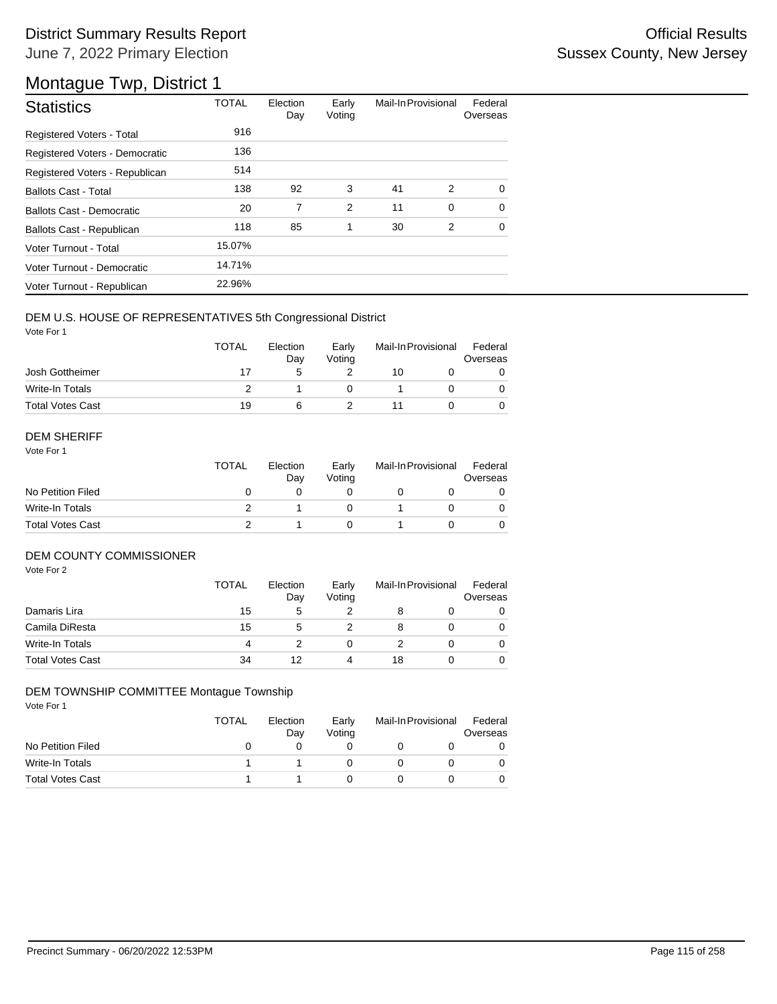## District Summary Results Report **Contract Contract Contract Contract Contract Contract Contract Contract Contract Contract Contract Contract Contract Contract Contract Contract Contract Contract Contract Contract Contract** June 7, 2022 Primary Election

## Montague Twp, District 1

| <b>Statistics</b>              | <b>TOTAL</b> | Election<br>Day | Early<br>Voting | Mail-In Provisional |          | Federal<br>Overseas |
|--------------------------------|--------------|-----------------|-----------------|---------------------|----------|---------------------|
| Registered Voters - Total      | 916          |                 |                 |                     |          |                     |
| Registered Voters - Democratic | 136          |                 |                 |                     |          |                     |
| Registered Voters - Republican | 514          |                 |                 |                     |          |                     |
| <b>Ballots Cast - Total</b>    | 138          | 92              | 3               | 41                  | 2        | $\Omega$            |
| Ballots Cast - Democratic      | 20           | 7               | 2               | 11                  | $\Omega$ | $\Omega$            |
| Ballots Cast - Republican      | 118          | 85              | 1               | 30                  | 2        | $\Omega$            |
| Voter Turnout - Total          | 15.07%       |                 |                 |                     |          |                     |
| Voter Turnout - Democratic     | 14.71%       |                 |                 |                     |          |                     |
| Voter Turnout - Republican     | 22.96%       |                 |                 |                     |          |                     |

## DEM U.S. HOUSE OF REPRESENTATIVES 5th Congressional District

Vote For 1

|                         | <b>TOTAL</b> | Election<br>Dav | Early<br>Votina | Mail-In Provisional |  | Federal<br>Overseas |  |
|-------------------------|--------------|-----------------|-----------------|---------------------|--|---------------------|--|
| Josh Gottheimer         | 17           |                 |                 | 10                  |  |                     |  |
| Write-In Totals         |              |                 |                 |                     |  |                     |  |
| <b>Total Votes Cast</b> | 19           |                 |                 |                     |  |                     |  |

#### DEM SHERIFF

Vote For 1

|                         | <b>TOTAL</b> | Election<br>Day | Early<br>Votina | Mail-In Provisional |  | Federal<br>Overseas |  |
|-------------------------|--------------|-----------------|-----------------|---------------------|--|---------------------|--|
| No Petition Filed       |              |                 |                 |                     |  |                     |  |
| Write-In Totals         |              |                 |                 |                     |  | $\Omega$            |  |
| <b>Total Votes Cast</b> |              |                 |                 |                     |  |                     |  |

## DEM COUNTY COMMISSIONER

Vote For 2

|                         | <b>TOTAL</b> | Election<br>Day | Early<br>Voting |    | Mail-In Provisional | Federal<br>Overseas |
|-------------------------|--------------|-----------------|-----------------|----|---------------------|---------------------|
| Damaris Lira            | 15           | 5               |                 |    |                     | 0                   |
| Camila DiResta          | 15           | 5               |                 | 8  |                     | $\Omega$            |
| Write-In Totals         | 4            |                 |                 |    |                     | $\Omega$            |
| <b>Total Votes Cast</b> | 34           | 12              | 4               | 18 |                     | 0                   |

#### DEM TOWNSHIP COMMITTEE Montague Township

|                         | <b>TOTAL</b> | Election<br>Day | Early<br>Votina | Mail-In Provisional | Federal<br>Overseas |
|-------------------------|--------------|-----------------|-----------------|---------------------|---------------------|
| No Petition Filed       |              |                 |                 |                     |                     |
| Write-In Totals         |              |                 |                 |                     |                     |
| <b>Total Votes Cast</b> |              |                 |                 |                     |                     |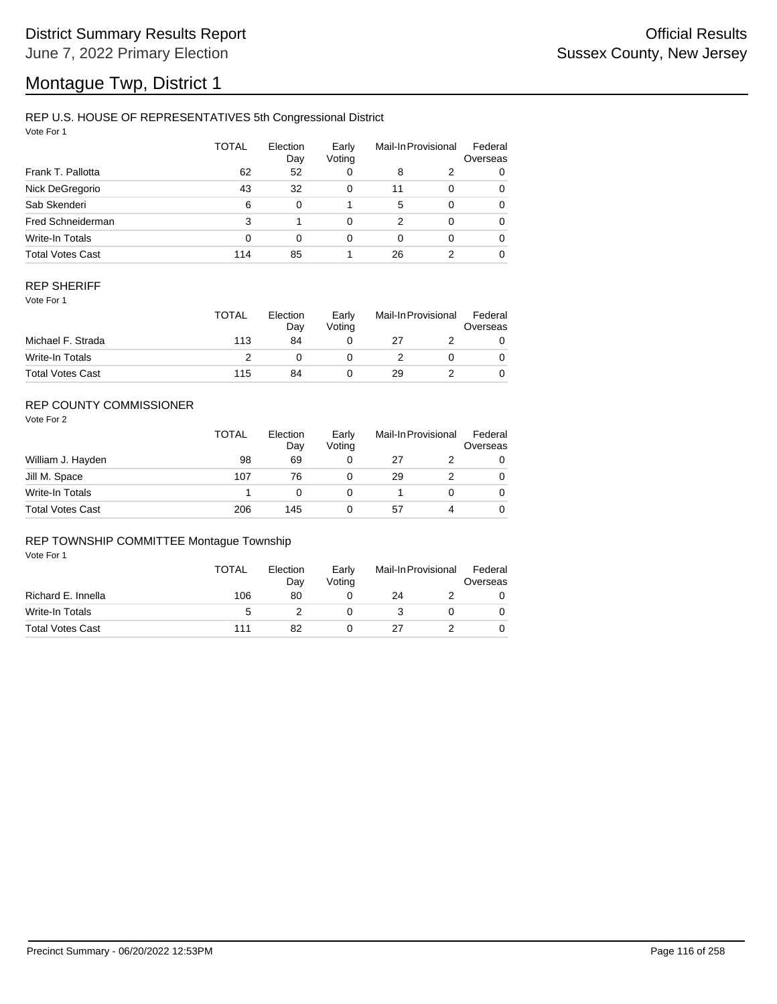# Montague Twp, District 1

## REP U.S. HOUSE OF REPRESENTATIVES 5th Congressional District

Vote For 1

|                         | <b>TOTAL</b> | Election<br>Day | Early<br>Voting |    | Mail-In Provisional | Federal<br>Overseas |
|-------------------------|--------------|-----------------|-----------------|----|---------------------|---------------------|
| Frank T. Pallotta       | 62           | 52              | 0               | 8  | 2                   | 0                   |
| Nick DeGregorio         | 43           | 32              | 0               | 11 | $\Omega$            | 0                   |
| Sab Skenderi            | 6            | $\Omega$        |                 | 5  | $\Omega$            | 0                   |
| Fred Schneiderman       | 3            |                 | 0               | 2  | $\Omega$            | 0                   |
| Write-In Totals         | 0            | $\Omega$        | 0               | 0  | $\Omega$            | 0                   |
| <b>Total Votes Cast</b> | 114          | 85              |                 | 26 |                     | 0                   |

## REP SHERIFF

Vote For 1

|                         | TOTAL | Election<br>Day | Early<br>Votina | Mail-In Provisional |  | Federal<br>Overseas |
|-------------------------|-------|-----------------|-----------------|---------------------|--|---------------------|
| Michael F. Strada       | 113   | 84              |                 | 27                  |  |                     |
| Write-In Totals         |       |                 |                 |                     |  |                     |
| <b>Total Votes Cast</b> | 115   | 84              |                 | 29                  |  |                     |

## REP COUNTY COMMISSIONER

Vote For 2

|                         | <b>TOTAL</b> | Election<br>Day | Early<br>Voting | Mail-In Provisional |   | Federal<br>Overseas |
|-------------------------|--------------|-----------------|-----------------|---------------------|---|---------------------|
| William J. Hayden       | 98           | 69              | 0               | 27                  |   | 0                   |
| Jill M. Space           | 107          | 76              |                 | 29                  |   | 0                   |
| Write-In Totals         |              |                 |                 |                     |   | 0                   |
| <b>Total Votes Cast</b> | 206          | 145             |                 | 57                  | 4 | 0                   |

#### REP TOWNSHIP COMMITTEE Montague Township

|                         | <b>TOTAL</b> | Election<br>Day | Early<br>Votina | Mail-In Provisional |  | Federal<br>Overseas |
|-------------------------|--------------|-----------------|-----------------|---------------------|--|---------------------|
| Richard E. Innella      | 106          | 80              |                 | 24                  |  |                     |
| Write-In Totals         | 5            |                 |                 |                     |  |                     |
| <b>Total Votes Cast</b> | 111          | 82              |                 | 27                  |  |                     |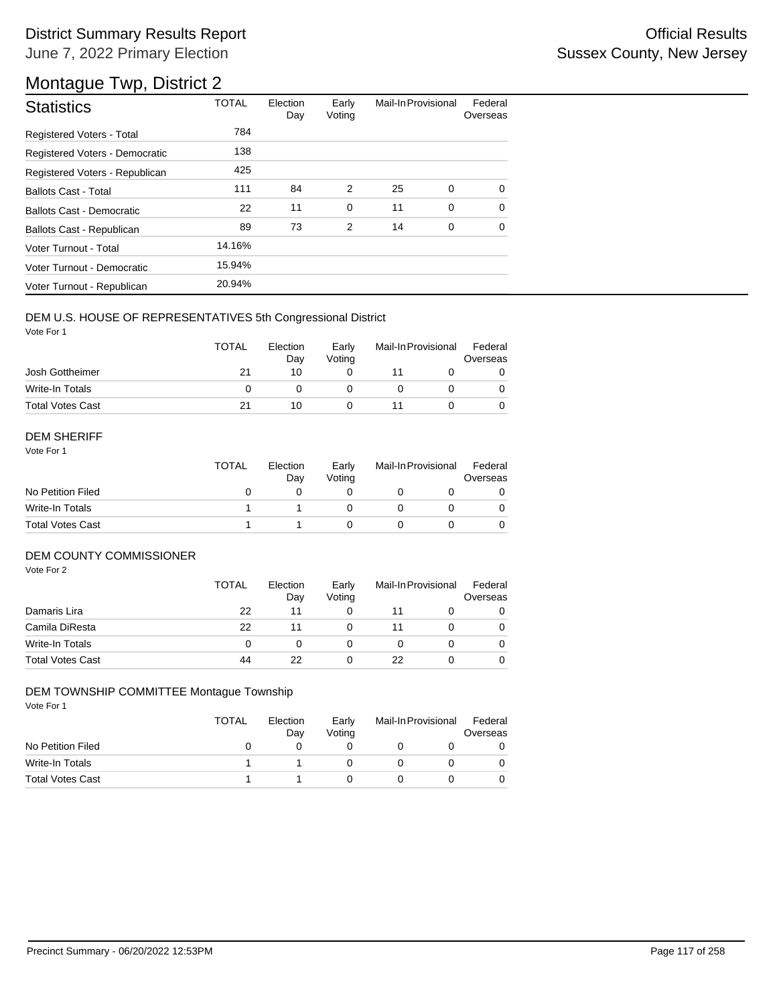## District Summary Results Report **Contract Contract Contract Contract Contract Contract Contract Contract Contract Contract Contract Contract Contract Contract Contract Contract Contract Contract Contract Contract Contract** June 7, 2022 Primary Election

# Montague Twp, District 2

| <b>Statistics</b>                | <b>TOTAL</b> | Election<br>Day | Early<br>Voting | Mail-In Provisional |   | Federal<br>Overseas |
|----------------------------------|--------------|-----------------|-----------------|---------------------|---|---------------------|
| Registered Voters - Total        | 784          |                 |                 |                     |   |                     |
| Registered Voters - Democratic   | 138          |                 |                 |                     |   |                     |
| Registered Voters - Republican   | 425          |                 |                 |                     |   |                     |
| <b>Ballots Cast - Total</b>      | 111          | 84              | 2               | 25                  | 0 | $\Omega$            |
| <b>Ballots Cast - Democratic</b> | 22           | 11              | $\mathbf 0$     | 11                  | 0 | $\Omega$            |
| Ballots Cast - Republican        | 89           | 73              | 2               | 14                  | 0 | $\Omega$            |
| Voter Turnout - Total            | 14.16%       |                 |                 |                     |   |                     |
| Voter Turnout - Democratic       | 15.94%       |                 |                 |                     |   |                     |
| Voter Turnout - Republican       | 20.94%       |                 |                 |                     |   |                     |

## DEM U.S. HOUSE OF REPRESENTATIVES 5th Congressional District

Vote For 1

|                         | <b>TOTAL</b> | Election<br>Day | Early<br>Votina | Mail-In Provisional |  | Federal<br>Overseas |  |
|-------------------------|--------------|-----------------|-----------------|---------------------|--|---------------------|--|
| Josh Gottheimer         | 21           | 10              |                 |                     |  |                     |  |
| Write-In Totals         |              |                 |                 |                     |  |                     |  |
| <b>Total Votes Cast</b> |              | 10              |                 |                     |  |                     |  |

#### DEM SHERIFF

Vote For 1

|                         | <b>TOTAL</b> | Election<br>Dav | Early<br>Votina | Mail-In Provisional |  | Federal<br>Overseas |  |
|-------------------------|--------------|-----------------|-----------------|---------------------|--|---------------------|--|
| No Petition Filed       |              |                 |                 |                     |  |                     |  |
| Write-In Totals         |              |                 |                 |                     |  | $\Omega$            |  |
| <b>Total Votes Cast</b> |              |                 |                 |                     |  |                     |  |

#### DEM COUNTY COMMISSIONER

Vote For 2

|                         | <b>TOTAL</b> | Election<br>Day | Early<br>Voting | Mail-In Provisional |  | Federal<br>Overseas |
|-------------------------|--------------|-----------------|-----------------|---------------------|--|---------------------|
| Damaris Lira            | 22           | 11              |                 |                     |  | 0                   |
| Camila DiResta          | 22           | 11              |                 |                     |  | $\Omega$            |
| Write-In Totals         |              |                 |                 |                     |  | $\Omega$            |
| <b>Total Votes Cast</b> | 44           | 22              |                 | 22                  |  | 0                   |

#### DEM TOWNSHIP COMMITTEE Montague Township

|                         | TOTAL | Election<br>Day | Early<br>Votina | Mail-In Provisional |  | Federal<br>Overseas |
|-------------------------|-------|-----------------|-----------------|---------------------|--|---------------------|
| No Petition Filed       |       |                 |                 |                     |  |                     |
| Write-In Totals         |       |                 |                 |                     |  |                     |
| <b>Total Votes Cast</b> |       |                 |                 |                     |  |                     |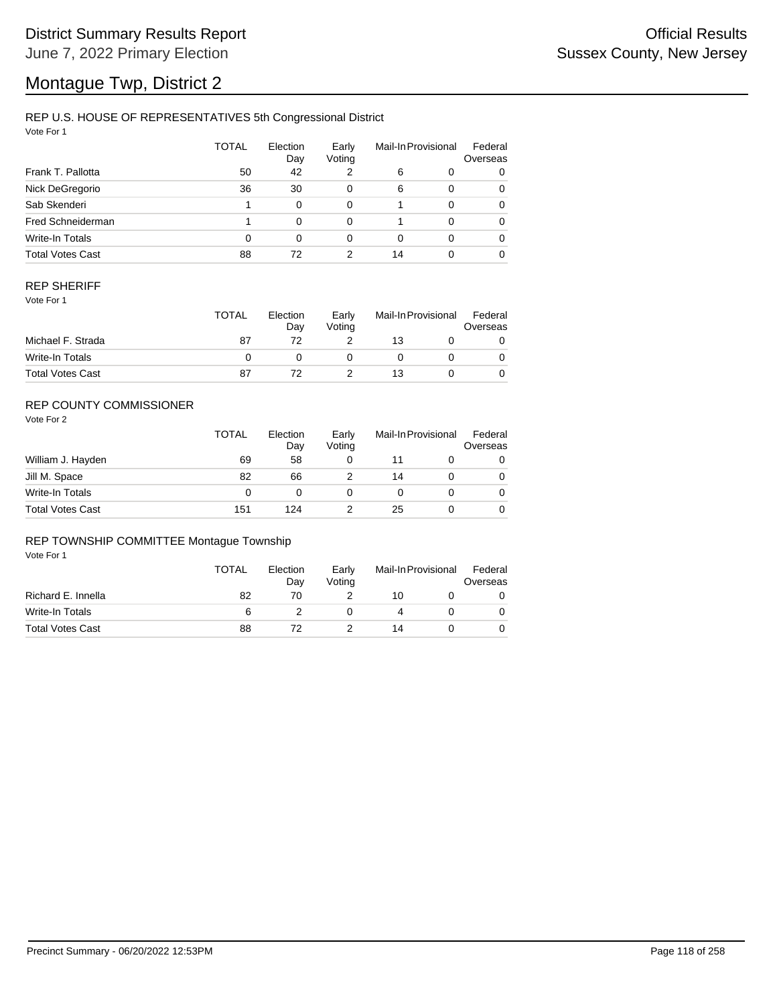# Montague Twp, District 2

## REP U.S. HOUSE OF REPRESENTATIVES 5th Congressional District

Vote For 1

|                         | <b>TOTAL</b> | Election<br>Day | Early<br>Voting |    | Mail-In Provisional | Federal<br>Overseas |
|-------------------------|--------------|-----------------|-----------------|----|---------------------|---------------------|
| Frank T. Pallotta       | 50           | 42              | 2               | 6  | 0                   | 0                   |
| Nick DeGregorio         | 36           | 30              | 0               | 6  | $\Omega$            | 0                   |
| Sab Skenderi            |              | 0               | $\Omega$        |    | $\Omega$            | 0                   |
| Fred Schneiderman       |              | 0               | $\Omega$        |    | $\Omega$            | 0                   |
| Write-In Totals         | 0            | 0               | 0               | 0  | $\Omega$            | 0                   |
| <b>Total Votes Cast</b> | 88           | 72              | 2               | 14 |                     | 0                   |

### REP SHERIFF

Vote For 1

|                         | <b>TOTAL</b> | Election<br>Dav | Early<br>Votina | Mail-In Provisional |  | Federal<br>Overseas |
|-------------------------|--------------|-----------------|-----------------|---------------------|--|---------------------|
| Michael F. Strada       | 87           |                 |                 | 13                  |  |                     |
| Write-In Totals         |              |                 |                 |                     |  |                     |
| <b>Total Votes Cast</b> | 87           |                 |                 | 13                  |  |                     |

## REP COUNTY COMMISSIONER

Vote For 2

|                         | <b>TOTAL</b> | Election<br>Day | Early<br>Voting | Mail-In Provisional |  | Federal<br>Overseas |
|-------------------------|--------------|-----------------|-----------------|---------------------|--|---------------------|
| William J. Hayden       | 69           | 58              |                 |                     |  | 0                   |
| Jill M. Space           | 82           | 66              |                 | 14                  |  | 0                   |
| Write-In Totals         | 0            |                 |                 |                     |  | $\Omega$            |
| <b>Total Votes Cast</b> | 151          | 124             |                 | 25                  |  | 0                   |

#### REP TOWNSHIP COMMITTEE Montague Township

|                         | <b>TOTAL</b> | Election<br>Dav | Early<br>Votina | Mail-In Provisional |  | Federal<br>Overseas |  |
|-------------------------|--------------|-----------------|-----------------|---------------------|--|---------------------|--|
| Richard E. Innella      | 82           | 70              |                 | 10                  |  |                     |  |
| Write-In Totals         | 6            |                 |                 |                     |  |                     |  |
| <b>Total Votes Cast</b> | 88           |                 |                 | 14                  |  |                     |  |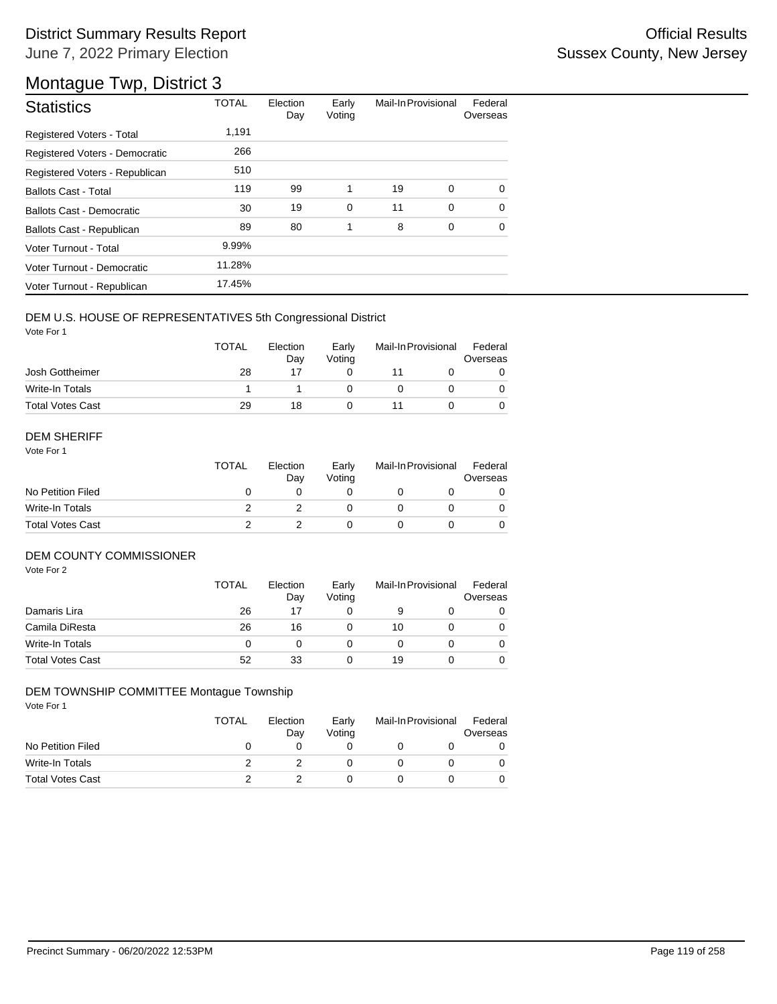## District Summary Results Report **Contract Contract Contract Contract Contract Contract Contract Contract Contract Contract Contract Contract Contract Contract Contract Contract Contract Contract Contract Contract Contract** June 7, 2022 Primary Election

## Montague Twp, District 3

| <b>Statistics</b>              | <b>TOTAL</b> | Election<br>Day | Early<br>Voting | Mail-In Provisional |   | Federal<br>Overseas |
|--------------------------------|--------------|-----------------|-----------------|---------------------|---|---------------------|
| Registered Voters - Total      | 1,191        |                 |                 |                     |   |                     |
| Registered Voters - Democratic | 266          |                 |                 |                     |   |                     |
| Registered Voters - Republican | 510          |                 |                 |                     |   |                     |
| <b>Ballots Cast - Total</b>    | 119          | 99              | 1               | 19                  | 0 | $\Omega$            |
| Ballots Cast - Democratic      | 30           | 19              | 0               | 11                  | 0 | $\Omega$            |
| Ballots Cast - Republican      | 89           | 80              | 1               | 8                   | 0 | $\Omega$            |
| Voter Turnout - Total          | 9.99%        |                 |                 |                     |   |                     |
| Voter Turnout - Democratic     | 11.28%       |                 |                 |                     |   |                     |
| Voter Turnout - Republican     | 17.45%       |                 |                 |                     |   |                     |

## DEM U.S. HOUSE OF REPRESENTATIVES 5th Congressional District

Vote For 1

|                         | <b>TOTAL</b> | Election<br>Dav | Early<br>Votina | Mail-In Provisional |  | Federal<br>Overseas |  |
|-------------------------|--------------|-----------------|-----------------|---------------------|--|---------------------|--|
| Josh Gottheimer         | 28           |                 |                 |                     |  |                     |  |
| Write-In Totals         |              |                 |                 |                     |  |                     |  |
| <b>Total Votes Cast</b> | 29           | 18              |                 |                     |  |                     |  |

#### DEM SHERIFF

Vote For 1

|                         | <b>TOTAL</b> | Election<br>Dav | Early<br>Votina | Mail-In Provisional |  | Federal<br>Overseas |  |
|-------------------------|--------------|-----------------|-----------------|---------------------|--|---------------------|--|
| No Petition Filed       |              |                 |                 |                     |  |                     |  |
| Write-In Totals         |              |                 |                 |                     |  | $\Omega$            |  |
| <b>Total Votes Cast</b> |              |                 |                 |                     |  |                     |  |

## DEM COUNTY COMMISSIONER

Vote For 2

|                         | <b>TOTAL</b> | Election<br>Day | Early<br>Voting | Mail-In Provisional |  | Federal<br>Overseas |
|-------------------------|--------------|-----------------|-----------------|---------------------|--|---------------------|
| Damaris Lira            | 26           | 17              |                 | 9                   |  | 0                   |
| Camila DiResta          | 26           | 16              |                 | 10                  |  | $\Omega$            |
| Write-In Totals         |              |                 |                 |                     |  | $\Omega$            |
| <b>Total Votes Cast</b> | 52           | 33              |                 | 19                  |  | 0                   |

#### DEM TOWNSHIP COMMITTEE Montague Township

|                         | <b>TOTAL</b> | Election<br>Day | Early<br>Votina | Mail-In Provisional |  | Federal<br>Overseas |
|-------------------------|--------------|-----------------|-----------------|---------------------|--|---------------------|
| No Petition Filed       |              |                 |                 |                     |  |                     |
| Write-In Totals         |              |                 |                 |                     |  |                     |
| <b>Total Votes Cast</b> |              |                 |                 |                     |  |                     |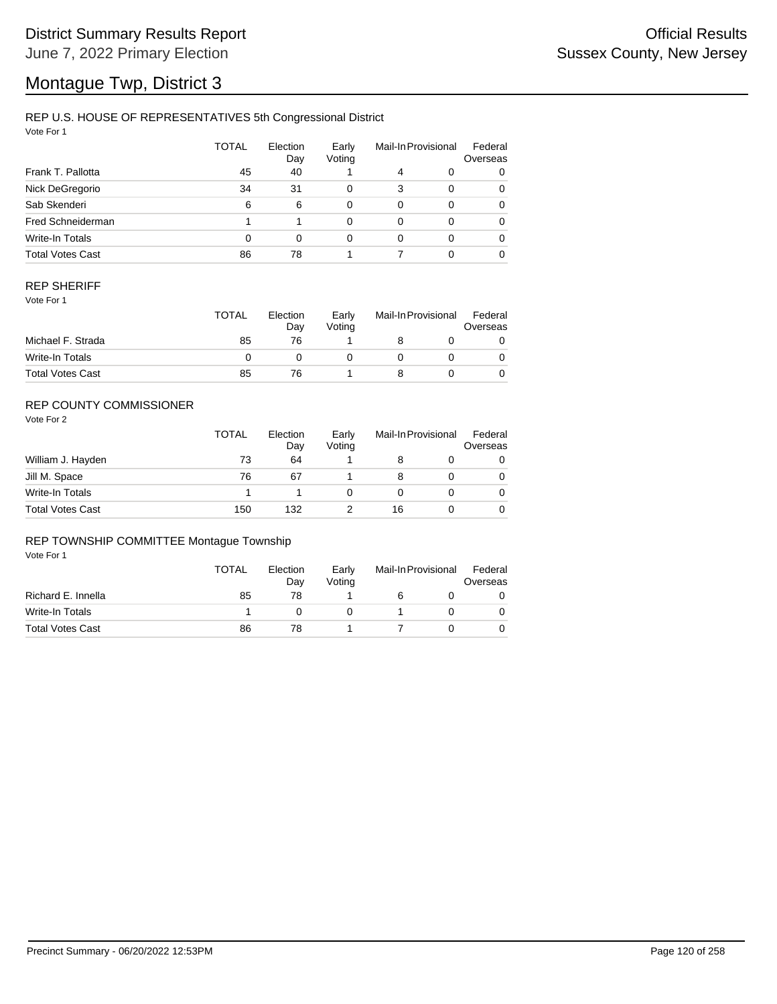# Montague Twp, District 3

## REP U.S. HOUSE OF REPRESENTATIVES 5th Congressional District

Vote For 1

|                         | <b>TOTAL</b> | Election<br>Day | Early<br>Voting |          | Mail-In Provisional | Federal<br>Overseas |
|-------------------------|--------------|-----------------|-----------------|----------|---------------------|---------------------|
| Frank T. Pallotta       | 45           | 40              |                 | 4        | 0                   | 0                   |
| Nick DeGregorio         | 34           | 31              | 0               | 3        | $\Omega$            | 0                   |
| Sab Skenderi            | 6            | 6               | 0               | $\Omega$ | $\Omega$            | 0                   |
| Fred Schneiderman       |              |                 | 0               | $\Omega$ | $\Omega$            | 0                   |
| Write-In Totals         | 0            | 0               | 0               | $\Omega$ | $\Omega$            | 0                   |
| <b>Total Votes Cast</b> | 86           | 78              |                 |          | 0                   | 0                   |

## REP SHERIFF

Vote For 1

|                         | TOTAL | Election<br>Dav | Early<br>Votina | Mail-In Provisional |  | Federal<br>Overseas |  |
|-------------------------|-------|-----------------|-----------------|---------------------|--|---------------------|--|
| Michael F. Strada       | 85    | 76              |                 |                     |  |                     |  |
| Write-In Totals         |       |                 |                 |                     |  |                     |  |
| <b>Total Votes Cast</b> | 85    | 76              |                 |                     |  |                     |  |

## REP COUNTY COMMISSIONER

Vote For 2

|                         | <b>TOTAL</b> | Election<br>Day | Early<br>Voting | Mail-In Provisional |  | Federal<br>Overseas |
|-------------------------|--------------|-----------------|-----------------|---------------------|--|---------------------|
| William J. Hayden       | 73           | 64              |                 |                     |  | 0                   |
| Jill M. Space           | 76           | 67              |                 | 8                   |  | 0                   |
| Write-In Totals         |              |                 |                 |                     |  | 0                   |
| <b>Total Votes Cast</b> | 150          | 132             |                 | 16                  |  | 0                   |

## REP TOWNSHIP COMMITTEE Montague Township

|                         | <b>TOTAL</b> | Election<br>Day | Early<br>Votina | Mail-In Provisional |  | Federal<br>Overseas |
|-------------------------|--------------|-----------------|-----------------|---------------------|--|---------------------|
| Richard E. Innella      | 85           | 78              |                 |                     |  |                     |
| Write-In Totals         |              |                 |                 |                     |  |                     |
| <b>Total Votes Cast</b> | 86           | 78              |                 |                     |  |                     |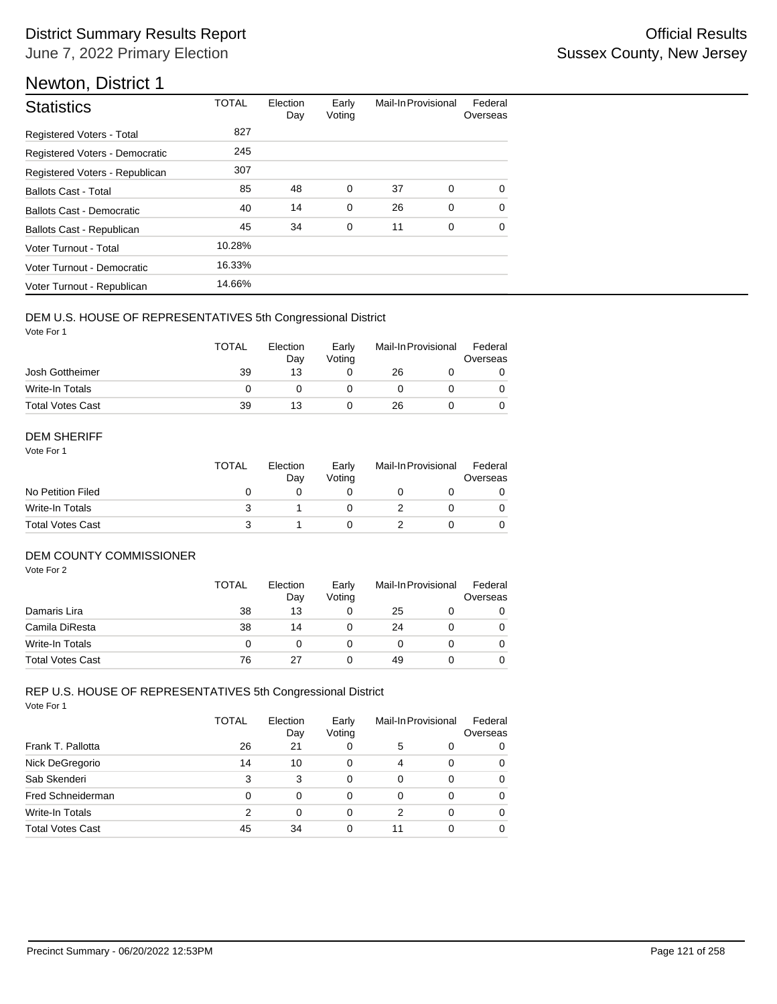| <b>Statistics</b>                | <b>TOTAL</b> | Election<br>Day | Early<br>Voting | Mail-In Provisional |   | Federal<br>Overseas |
|----------------------------------|--------------|-----------------|-----------------|---------------------|---|---------------------|
| <b>Registered Voters - Total</b> | 827          |                 |                 |                     |   |                     |
| Registered Voters - Democratic   | 245          |                 |                 |                     |   |                     |
| Registered Voters - Republican   | 307          |                 |                 |                     |   |                     |
| <b>Ballots Cast - Total</b>      | 85           | 48              | 0               | 37                  | 0 | $\Omega$            |
| Ballots Cast - Democratic        | 40           | 14              | 0               | 26                  | 0 | $\Omega$            |
| Ballots Cast - Republican        | 45           | 34              | $\mathbf 0$     | 11                  | 0 | $\Omega$            |
| Voter Turnout - Total            | 10.28%       |                 |                 |                     |   |                     |
| Voter Turnout - Democratic       | 16.33%       |                 |                 |                     |   |                     |
| Voter Turnout - Republican       | 14.66%       |                 |                 |                     |   |                     |

## DEM U.S. HOUSE OF REPRESENTATIVES 5th Congressional District

Vote For 1

|                         | <b>TOTAL</b> | Election<br>Day | Early<br>Votina | Mail-In Provisional |  | Federal<br>Overseas |  |
|-------------------------|--------------|-----------------|-----------------|---------------------|--|---------------------|--|
| Josh Gottheimer         | 39           | 13              |                 | 26                  |  |                     |  |
| Write-In Totals         |              |                 |                 |                     |  |                     |  |
| <b>Total Votes Cast</b> | 39           | 13              |                 | 26                  |  |                     |  |

#### DEM SHERIFF

Vote For 1

|                         | <b>TOTAL</b> | Election<br>Dav | Early<br>Votina | Mail-In Provisional |  | Federal<br>Overseas |  |
|-------------------------|--------------|-----------------|-----------------|---------------------|--|---------------------|--|
| No Petition Filed       |              |                 |                 |                     |  |                     |  |
| Write-In Totals         |              |                 |                 |                     |  | $\Omega$            |  |
| <b>Total Votes Cast</b> |              |                 |                 |                     |  |                     |  |

## DEM COUNTY COMMISSIONER

Vote For 2

|                         | <b>TOTAL</b> | Election<br>Day | Early<br>Votina | Mail-In Provisional |  | Federal<br>Overseas |
|-------------------------|--------------|-----------------|-----------------|---------------------|--|---------------------|
| Damaris Lira            | 38           | 13              |                 | 25                  |  | 0                   |
| Camila DiResta          | 38           | 14              |                 | 24                  |  | 0                   |
| Write-In Totals         | 0            |                 |                 |                     |  | $\Omega$            |
| <b>Total Votes Cast</b> | 76           | 27              |                 | 49                  |  | 0                   |

#### Vote For 1 REP U.S. HOUSE OF REPRESENTATIVES 5th Congressional District

|                         | <b>TOTAL</b> | Election<br>Day | Early<br>Voting |          | Mail-In Provisional | Federal<br>Overseas |
|-------------------------|--------------|-----------------|-----------------|----------|---------------------|---------------------|
| Frank T. Pallotta       | 26           | 21              | 0               | 5        | 0                   | 0                   |
| Nick DeGregorio         | 14           | 10              | 0               | 4        | 0                   | 0                   |
| Sab Skenderi            | 3            | 3               | 0               | $\Omega$ | 0                   | 0                   |
| Fred Schneiderman       | 0            | $\Omega$        | 0               | 0        | 0                   | 0                   |
| Write-In Totals         | 2            | $\Omega$        | 0               | 2        | 0                   | 0                   |
| <b>Total Votes Cast</b> | 45           | 34              | 0               | 11       | 0                   | 0                   |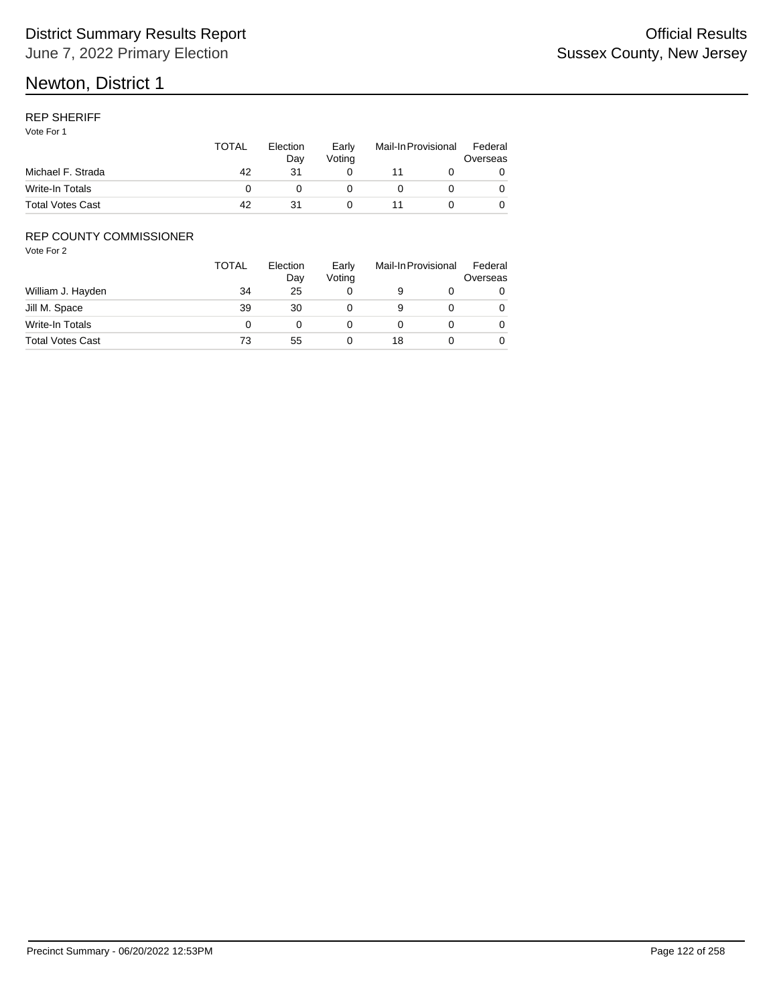## REP SHERIFF

Vote For 1

|                         | TOTAL | Election<br>Dav | Early<br>Votina | Mail-In Provisional |  | Federal<br>Overseas |
|-------------------------|-------|-----------------|-----------------|---------------------|--|---------------------|
| Michael F. Strada       | 42    | 31              |                 |                     |  |                     |
| Write-In Totals         |       |                 |                 |                     |  |                     |
| <b>Total Votes Cast</b> | 42    |                 |                 |                     |  |                     |

## REP COUNTY COMMISSIONER

|                         | TOTAL | Election<br>Day | Early<br>Voting |    | Mail-In Provisional | Federal<br>Overseas |
|-------------------------|-------|-----------------|-----------------|----|---------------------|---------------------|
| William J. Hayden       | 34    | 25              |                 |    |                     | 0                   |
| Jill M. Space           | 39    | 30              |                 | 9  |                     | 0                   |
| Write-In Totals         |       |                 |                 |    |                     | 0                   |
| <b>Total Votes Cast</b> | 73    | 55              |                 | 18 |                     | 0                   |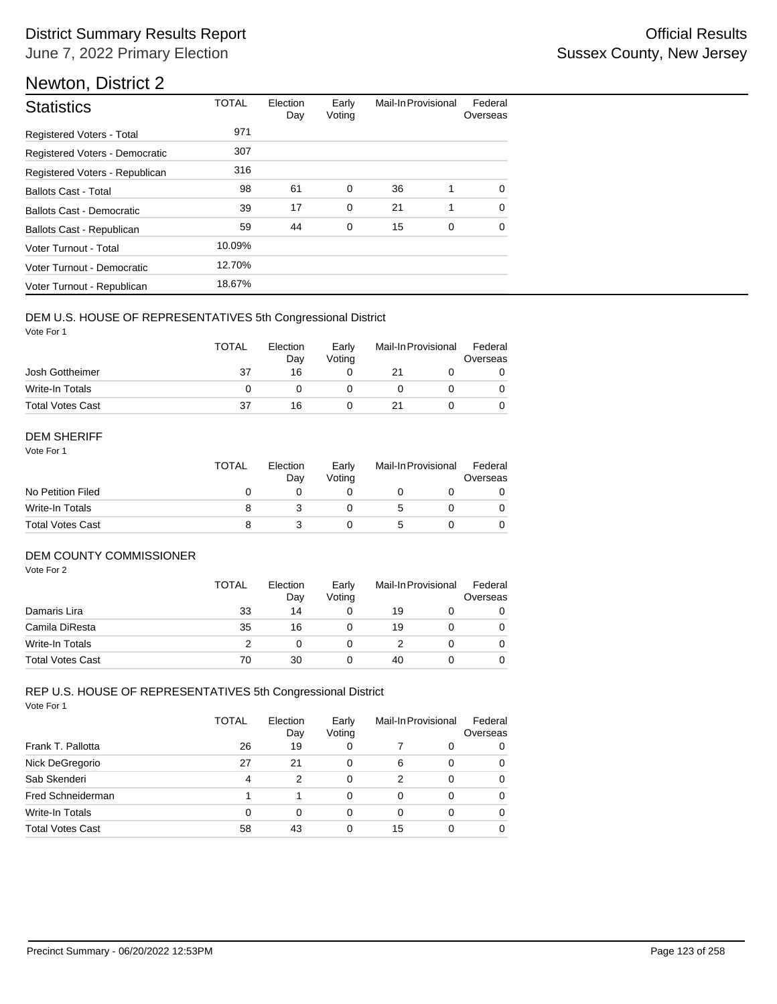| <b>Statistics</b>              | <b>TOTAL</b> | Election<br>Day | Early<br>Voting | Mail-In Provisional |             | Federal<br>Overseas |  |
|--------------------------------|--------------|-----------------|-----------------|---------------------|-------------|---------------------|--|
| Registered Voters - Total      | 971          |                 |                 |                     |             |                     |  |
| Registered Voters - Democratic | 307          |                 |                 |                     |             |                     |  |
| Registered Voters - Republican | 316          |                 |                 |                     |             |                     |  |
| <b>Ballots Cast - Total</b>    | 98           | 61              | 0               | 36                  | 1           | 0                   |  |
| Ballots Cast - Democratic      | 39           | 17              | 0               | 21                  | 1           | $\Omega$            |  |
| Ballots Cast - Republican      | 59           | 44              | 0               | 15                  | $\mathbf 0$ | $\mathbf 0$         |  |
| Voter Turnout - Total          | 10.09%       |                 |                 |                     |             |                     |  |
| Voter Turnout - Democratic     | 12.70%       |                 |                 |                     |             |                     |  |
| Voter Turnout - Republican     | 18.67%       |                 |                 |                     |             |                     |  |

## DEM U.S. HOUSE OF REPRESENTATIVES 5th Congressional District

Vote For 1

|                         | <b>TOTAL</b> | Election<br>Dav | Early<br>Votina | Mail-In Provisional |  | Federal<br>Overseas |
|-------------------------|--------------|-----------------|-----------------|---------------------|--|---------------------|
| Josh Gottheimer         | 37           | 16              |                 |                     |  |                     |
| Write-In Totals         |              |                 |                 |                     |  |                     |
| <b>Total Votes Cast</b> | 37           | 16              |                 |                     |  |                     |

#### DEM SHERIFF

Vote For 1

|                         | <b>TOTAL</b> | Election<br>Day | Early<br>Votina | Mail-In Provisional | Federal<br>Overseas |
|-------------------------|--------------|-----------------|-----------------|---------------------|---------------------|
| No Petition Filed       |              |                 |                 |                     |                     |
| Write-In Totals         |              |                 |                 | 5                   | 0                   |
| <b>Total Votes Cast</b> |              |                 |                 |                     |                     |

## DEM COUNTY COMMISSIONER

Vote For 2

|                         | <b>TOTAL</b> | Election<br>Day | Early<br>Votina |    | Mail-In Provisional | Federal<br>Overseas |
|-------------------------|--------------|-----------------|-----------------|----|---------------------|---------------------|
| Damaris Lira            | 33           | 14              |                 | 19 |                     | 0                   |
| Camila DiResta          | 35           | 16              |                 | 19 |                     | 0                   |
| Write-In Totals         |              |                 |                 |    |                     | $\Omega$            |
| <b>Total Votes Cast</b> | 70           | 30              |                 | 40 |                     | 0                   |

#### Vote For 1 REP U.S. HOUSE OF REPRESENTATIVES 5th Congressional District

|                         | TOTAL | Election<br>Day | Early<br>Voting | Mail-In Provisional |   | Federal<br>Overseas |
|-------------------------|-------|-----------------|-----------------|---------------------|---|---------------------|
| Frank T. Pallotta       | 26    | 19              | 0               |                     | 0 | 0                   |
| Nick DeGregorio         | 27    | 21              | 0               | 6                   | 0 | 0                   |
| Sab Skenderi            | 4     | 2               | 0               | 2                   | 0 | 0                   |
| Fred Schneiderman       |       |                 | 0               | 0                   | 0 | 0                   |
| <b>Write-In Totals</b>  | 0     | 0               | 0               | 0                   | 0 | 0                   |
| <b>Total Votes Cast</b> | 58    | 43              | 0               | 15                  | 0 | 0                   |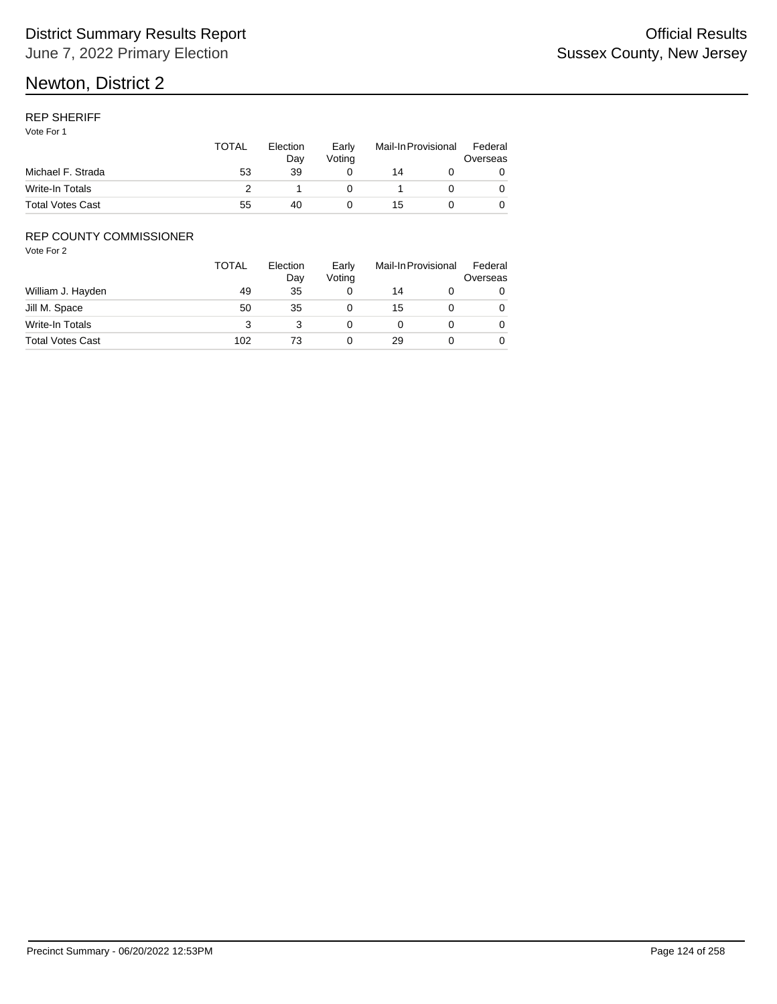## REP SHERIFF

Vote For 1

|                         | TOTAL | Election<br>Dav | Early<br>Votina | Mail-In Provisional |  | Federal<br>Overseas |
|-------------------------|-------|-----------------|-----------------|---------------------|--|---------------------|
| Michael F. Strada       | 53    | 39              |                 | 14                  |  |                     |
| Write-In Totals         |       |                 |                 |                     |  |                     |
| <b>Total Votes Cast</b> | 55    | 40              |                 | 15                  |  |                     |

## REP COUNTY COMMISSIONER

|                         | TOTAL | Election<br>Day | Early<br>Voting |    | Mail-In Provisional | Federal<br>Overseas |
|-------------------------|-------|-----------------|-----------------|----|---------------------|---------------------|
| William J. Hayden       | 49    | 35              |                 | 14 |                     | 0                   |
| Jill M. Space           | 50    | 35              |                 | 15 |                     | 0                   |
| Write-In Totals         | 3     |                 |                 |    |                     | 0                   |
| <b>Total Votes Cast</b> | 102   | 73              |                 | 29 |                     | 0                   |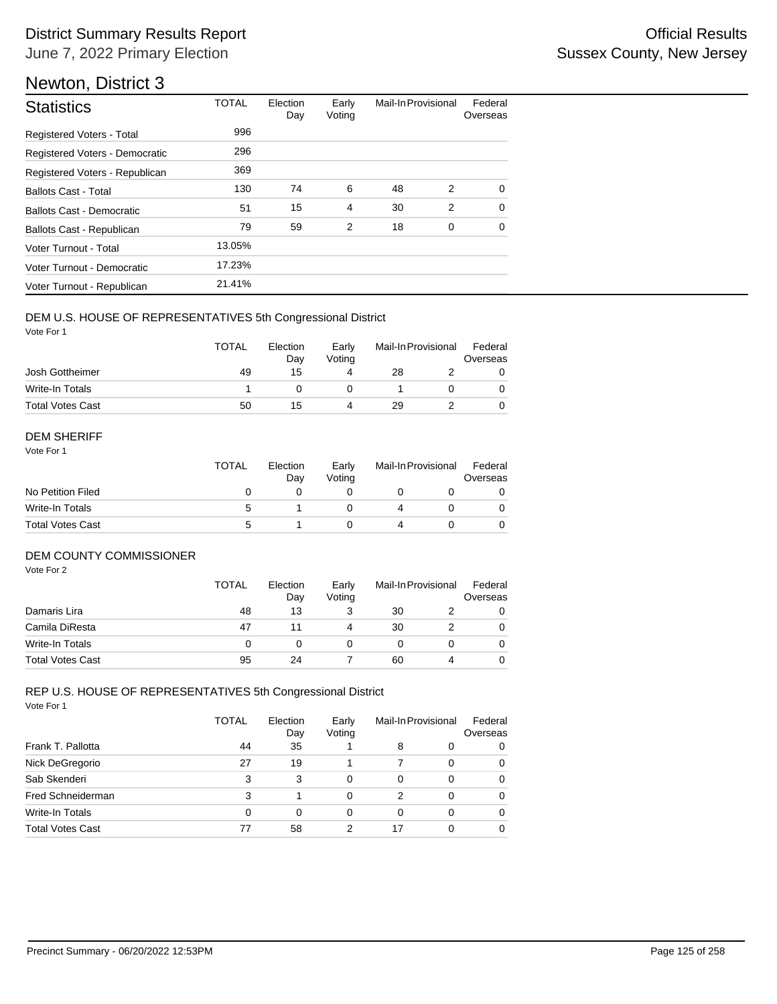| <b>Statistics</b>              | <b>TOTAL</b> | Election<br>Day | Early<br>Voting | Mail-In Provisional |             | Federal<br>Overseas |
|--------------------------------|--------------|-----------------|-----------------|---------------------|-------------|---------------------|
| Registered Voters - Total      | 996          |                 |                 |                     |             |                     |
| Registered Voters - Democratic | 296          |                 |                 |                     |             |                     |
| Registered Voters - Republican | 369          |                 |                 |                     |             |                     |
| <b>Ballots Cast - Total</b>    | 130          | 74              | 6               | 48                  | 2           | 0                   |
| Ballots Cast - Democratic      | 51           | 15              | $\overline{4}$  | 30                  | 2           | $\Omega$            |
| Ballots Cast - Republican      | 79           | 59              | 2               | 18                  | $\mathbf 0$ | $\mathbf 0$         |
| Voter Turnout - Total          | 13.05%       |                 |                 |                     |             |                     |
| Voter Turnout - Democratic     | 17.23%       |                 |                 |                     |             |                     |
| Voter Turnout - Republican     | 21.41%       |                 |                 |                     |             |                     |

## DEM U.S. HOUSE OF REPRESENTATIVES 5th Congressional District

Vote For 1

|                         | <b>TOTAL</b> | Election<br>Dav | Early<br>Votina | Mail-In Provisional |  | Federal<br>Overseas |
|-------------------------|--------------|-----------------|-----------------|---------------------|--|---------------------|
| Josh Gottheimer         | 49           | 15              | 4               | 28                  |  |                     |
| Write-In Totals         |              |                 |                 |                     |  |                     |
| <b>Total Votes Cast</b> | 50           | 15              | 4               | 29                  |  |                     |

#### DEM SHERIFF

Vote For 1

|                         | <b>TOTAL</b> | Election<br>Day | Early<br>Votina | Mail-In Provisional |  | Federal<br>Overseas |  |
|-------------------------|--------------|-----------------|-----------------|---------------------|--|---------------------|--|
| No Petition Filed       |              |                 |                 |                     |  |                     |  |
| Write-In Totals         | :5           |                 |                 |                     |  |                     |  |
| <b>Total Votes Cast</b> | :5           |                 |                 |                     |  |                     |  |

## DEM COUNTY COMMISSIONER

Vote For 2

|                         | <b>TOTAL</b> | Election<br>Day | Early<br>Votina |    | Mail-In Provisional | Federal<br>Overseas |
|-------------------------|--------------|-----------------|-----------------|----|---------------------|---------------------|
| Damaris Lira            | 48           | 13              |                 | 30 |                     | 0                   |
| Camila DiResta          | 47           |                 |                 | 30 |                     | 0                   |
| Write-In Totals         | 0            |                 |                 |    |                     | $\Omega$            |
| <b>Total Votes Cast</b> | 95           | 24              |                 | 60 | 4                   | 0                   |

#### Vote For 1 REP U.S. HOUSE OF REPRESENTATIVES 5th Congressional District

|                         | <b>TOTAL</b> | Election<br>Day | Early<br>Voting | Mail-In Provisional |   | Federal<br>Overseas |
|-------------------------|--------------|-----------------|-----------------|---------------------|---|---------------------|
| Frank T. Pallotta       | 44           | 35              |                 | 8                   | 0 | 0                   |
| Nick DeGregorio         | 27           | 19              |                 |                     | 0 | 0                   |
| Sab Skenderi            | 3            | 3               | 0               | $\Omega$            | 0 | 0                   |
| Fred Schneiderman       | 3            |                 | 0               | 2                   | 0 | 0                   |
| Write-In Totals         | 0            | 0               | 0               | 0                   | 0 | 0                   |
| <b>Total Votes Cast</b> | 77           | 58              | 2               | 17                  | 0 | 0                   |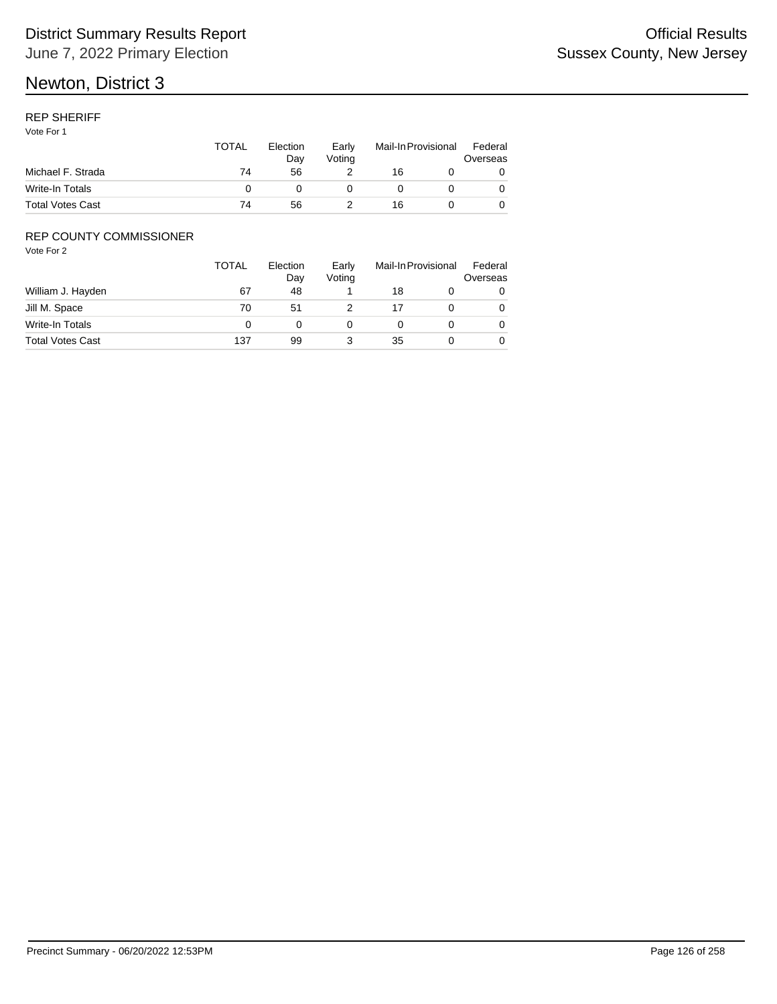## REP SHERIFF

Vote For 1

|                         | TOTAL | Election<br>Dav | Early<br>Votina | Mail-In Provisional |  | Federal<br>Overseas |
|-------------------------|-------|-----------------|-----------------|---------------------|--|---------------------|
| Michael F. Strada       | 74    | 56              |                 | 16                  |  |                     |
| Write-In Totals         |       |                 |                 |                     |  |                     |
| <b>Total Votes Cast</b> | 74    | 56              |                 | 16                  |  |                     |

## REP COUNTY COMMISSIONER

|                         | TOTAL | Election<br>Day | Early<br>Voting | Mail-In Provisional |  | Federal<br>Overseas |
|-------------------------|-------|-----------------|-----------------|---------------------|--|---------------------|
| William J. Hayden       | 67    | 48              |                 | 18                  |  | 0                   |
| Jill M. Space           | 70    | 51              |                 |                     |  | 0                   |
| Write-In Totals         |       |                 |                 |                     |  | 0                   |
| <b>Total Votes Cast</b> | 137   | 99              |                 | 35                  |  | 0                   |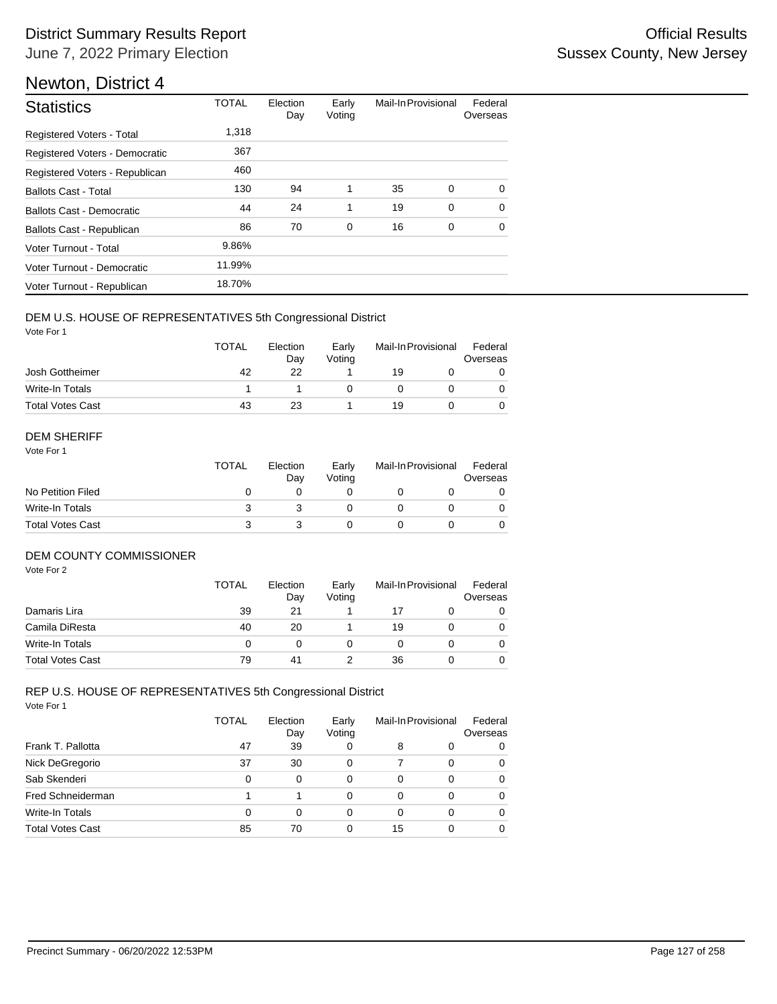| <b>Statistics</b>                | <b>TOTAL</b> | Election<br>Day | Early<br>Voting | Mail-In Provisional |             | Federal<br>Overseas |
|----------------------------------|--------------|-----------------|-----------------|---------------------|-------------|---------------------|
| Registered Voters - Total        | 1,318        |                 |                 |                     |             |                     |
| Registered Voters - Democratic   | 367          |                 |                 |                     |             |                     |
| Registered Voters - Republican   | 460          |                 |                 |                     |             |                     |
| <b>Ballots Cast - Total</b>      | 130          | 94              | 1               | 35                  | $\Omega$    | $\Omega$            |
| <b>Ballots Cast - Democratic</b> | 44           | 24              | 1               | 19                  | $\mathbf 0$ | $\Omega$            |
| Ballots Cast - Republican        | 86           | 70              | $\mathbf 0$     | 16                  | $\mathbf 0$ | $\Omega$            |
| Voter Turnout - Total            | 9.86%        |                 |                 |                     |             |                     |
| Voter Turnout - Democratic       | 11.99%       |                 |                 |                     |             |                     |
| Voter Turnout - Republican       | 18.70%       |                 |                 |                     |             |                     |

## DEM U.S. HOUSE OF REPRESENTATIVES 5th Congressional District

Vote For 1

|                         | <b>TOTAL</b> | Election<br>Dav | Early<br>Votina | Mail-In Provisional |  | Federal<br>Overseas |  |
|-------------------------|--------------|-----------------|-----------------|---------------------|--|---------------------|--|
| Josh Gottheimer         | 42           | 22              |                 | 19                  |  |                     |  |
| Write-In Totals         |              |                 |                 |                     |  |                     |  |
| <b>Total Votes Cast</b> | 43           | 23              |                 | 19                  |  |                     |  |

#### DEM SHERIFF

Vote For 1

|                         | <b>TOTAL</b> | Election<br>Dav | Early<br>Votina | Mail-In Provisional |  | Federal<br>Overseas |  |
|-------------------------|--------------|-----------------|-----------------|---------------------|--|---------------------|--|
| No Petition Filed       |              |                 |                 |                     |  |                     |  |
| Write-In Totals         |              |                 |                 |                     |  | $\Omega$            |  |
| <b>Total Votes Cast</b> |              |                 |                 |                     |  |                     |  |

## DEM COUNTY COMMISSIONER

Vote For 2

|                         | <b>TOTAL</b> | Election<br>Day | Early<br>Votina | Mail-In Provisional |  | Federal<br>Overseas |
|-------------------------|--------------|-----------------|-----------------|---------------------|--|---------------------|
| Damaris Lira            | 39           | 21              |                 | 17                  |  | 0                   |
| Camila DiResta          | 40           | 20              |                 | 19                  |  | 0                   |
| Write-In Totals         | 0            |                 |                 |                     |  | $\Omega$            |
| <b>Total Votes Cast</b> | 79           | 41              |                 | 36                  |  | 0                   |

#### Vote For 1 REP U.S. HOUSE OF REPRESENTATIVES 5th Congressional District

|                         | <b>TOTAL</b> | Election<br>Day | Early<br>Voting |    | Mail-In Provisional | Federal<br>Overseas |
|-------------------------|--------------|-----------------|-----------------|----|---------------------|---------------------|
| Frank T. Pallotta       | 47           | 39              | 0               | 8  | 0                   | 0                   |
| Nick DeGregorio         | 37           | 30              | 0               | 7  | 0                   | 0                   |
| Sab Skenderi            | 0            | $\Omega$        | 0               | 0  | 0                   | 0                   |
| Fred Schneiderman       |              |                 | 0               | 0  | 0                   | 0                   |
| Write-In Totals         | 0            | 0               | 0               | 0  | 0                   | 0                   |
| <b>Total Votes Cast</b> | 85           | 70              | 0               | 15 | 0                   | 0                   |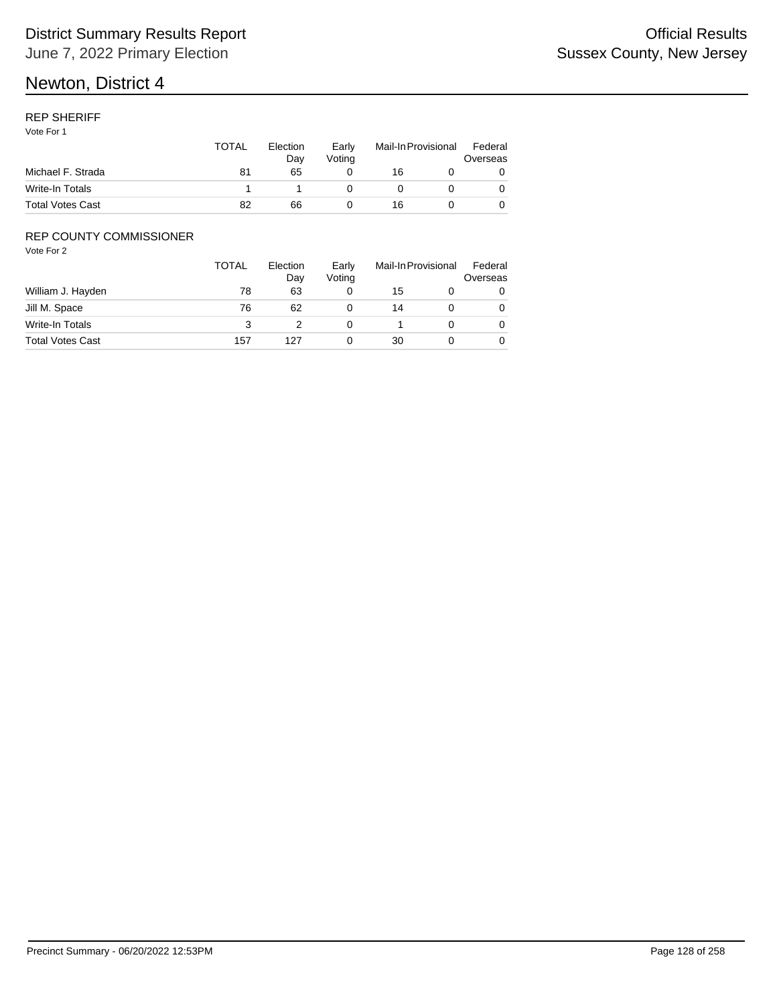## REP SHERIFF

Vote For 1

|                         | TOTAL | Election<br>Dav | Early<br>Votina | Mail-In Provisional |  | Federal<br>Overseas |
|-------------------------|-------|-----------------|-----------------|---------------------|--|---------------------|
| Michael F. Strada       | 81    | 65              |                 | 16                  |  |                     |
| Write-In Totals         |       |                 |                 |                     |  |                     |
| <b>Total Votes Cast</b> | 82    | 66              |                 | 16                  |  |                     |

## REP COUNTY COMMISSIONER

|                         | <b>TOTAL</b> | Election<br>Day | Early<br>Voting | Mail-In Provisional |  | Federal<br>Overseas |
|-------------------------|--------------|-----------------|-----------------|---------------------|--|---------------------|
| William J. Hayden       | 78           | 63              |                 | 15                  |  | 0                   |
| Jill M. Space           | 76           | 62              |                 | 14                  |  | 0                   |
| Write-In Totals         | 3            |                 |                 |                     |  | 0                   |
| <b>Total Votes Cast</b> | 157          | 127             |                 | 30                  |  | 0                   |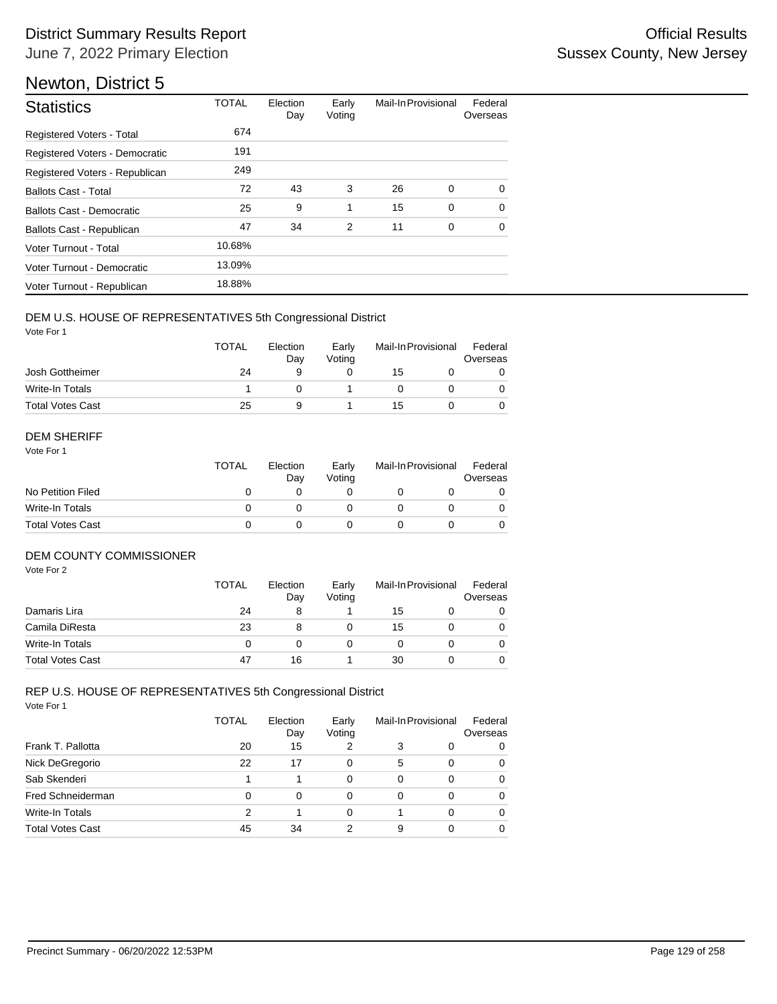| <b>Statistics</b>              | <b>TOTAL</b> | Election<br>Day | Early<br>Voting | Mail-In Provisional |             | Federal<br>Overseas |
|--------------------------------|--------------|-----------------|-----------------|---------------------|-------------|---------------------|
| Registered Voters - Total      | 674          |                 |                 |                     |             |                     |
| Registered Voters - Democratic | 191          |                 |                 |                     |             |                     |
| Registered Voters - Republican | 249          |                 |                 |                     |             |                     |
| <b>Ballots Cast - Total</b>    | 72           | 43              | 3               | 26                  | 0           | $\Omega$            |
| Ballots Cast - Democratic      | 25           | 9               | 1               | 15                  | $\mathbf 0$ | $\Omega$            |
| Ballots Cast - Republican      | 47           | 34              | 2               | 11                  | 0           | $\Omega$            |
| Voter Turnout - Total          | 10.68%       |                 |                 |                     |             |                     |
| Voter Turnout - Democratic     | 13.09%       |                 |                 |                     |             |                     |
| Voter Turnout - Republican     | 18.88%       |                 |                 |                     |             |                     |

## DEM U.S. HOUSE OF REPRESENTATIVES 5th Congressional District

Vote For 1

|                         | <b>TOTAL</b> | Election<br>Dav | Early<br>Votina | Mail-In Provisional |  | Federal<br>Overseas |
|-------------------------|--------------|-----------------|-----------------|---------------------|--|---------------------|
| Josh Gottheimer         | 24           | a               |                 | 15                  |  |                     |
| Write-In Totals         |              |                 |                 |                     |  |                     |
| <b>Total Votes Cast</b> | 25           | a               |                 | 15                  |  |                     |

#### DEM SHERIFF

Vote For 1

|                         | <b>TOTAL</b> | Election<br>Dav | Early<br>Votina | Mail-In Provisional |  | Federal<br>Overseas |  |
|-------------------------|--------------|-----------------|-----------------|---------------------|--|---------------------|--|
| No Petition Filed       |              |                 |                 |                     |  |                     |  |
| Write-In Totals         |              |                 |                 |                     |  | $\Omega$            |  |
| <b>Total Votes Cast</b> |              |                 |                 |                     |  |                     |  |

## DEM COUNTY COMMISSIONER

Vote For 2

|                         | <b>TOTAL</b> | Election<br>Day | Early<br>Votina |    | Mail-In Provisional | Federal<br>Overseas |
|-------------------------|--------------|-----------------|-----------------|----|---------------------|---------------------|
| Damaris Lira            | 24           | 8               |                 | 15 |                     | 0                   |
| Camila DiResta          | 23           | 8               |                 | 15 |                     | 0                   |
| Write-In Totals         |              |                 |                 |    |                     | 0                   |
| <b>Total Votes Cast</b> | 47           | 16              |                 | 30 |                     | 0                   |

#### Vote For 1 REP U.S. HOUSE OF REPRESENTATIVES 5th Congressional District

|                         | <b>TOTAL</b> | Election<br>Day | Early<br>Voting | Mail-In Provisional |   | Federal<br>Overseas |
|-------------------------|--------------|-----------------|-----------------|---------------------|---|---------------------|
| Frank T. Pallotta       | 20           | 15              | 2               | 3                   | 0 | 0                   |
| Nick DeGregorio         | 22           | 17              | 0               | 5                   | 0 | 0                   |
| Sab Skenderi            |              |                 | 0               | $\Omega$            | 0 | 0                   |
| Fred Schneiderman       | 0            | $\Omega$        | 0               | 0                   | 0 | 0                   |
| Write-In Totals         | 2            |                 | 0               |                     | 0 | 0                   |
| <b>Total Votes Cast</b> | 45           | 34              | 2               | 9                   | 0 | 0                   |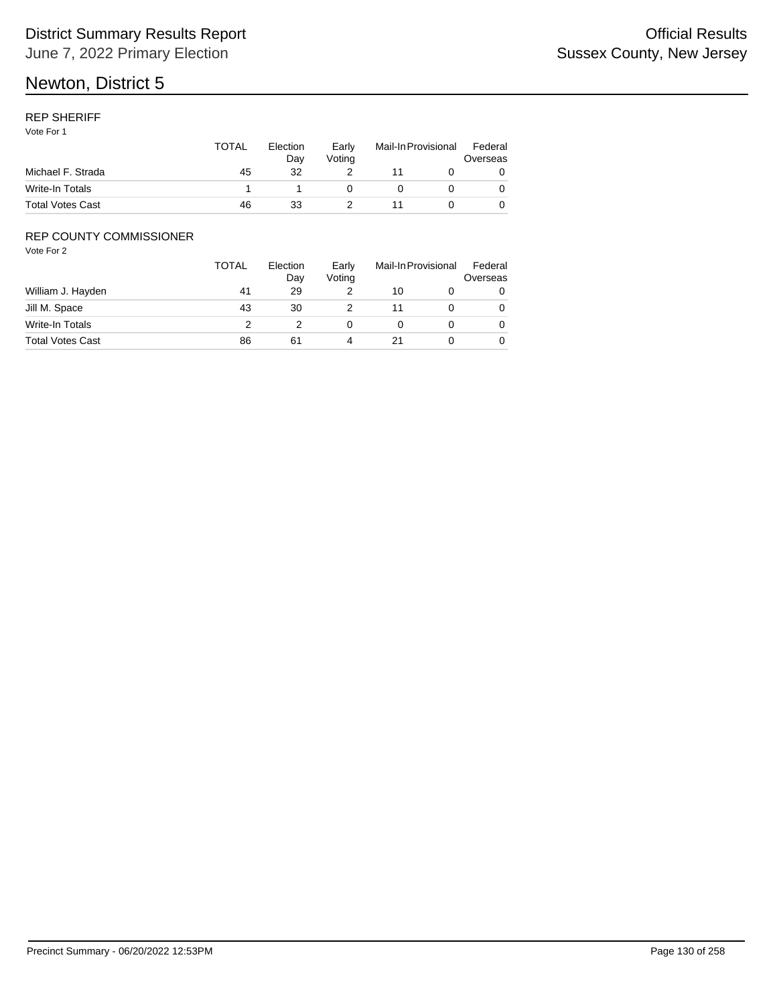## REP SHERIFF

Vote For 1

|                         | <b>TOTAL</b> | Election<br>Dav | Early<br>Votina | Mail-In Provisional |  | Federal<br>Overseas |
|-------------------------|--------------|-----------------|-----------------|---------------------|--|---------------------|
| Michael F. Strada       | 45           | 32              |                 |                     |  |                     |
| Write-In Totals         |              |                 |                 |                     |  |                     |
| <b>Total Votes Cast</b> | 46           | 33              |                 |                     |  |                     |

## REP COUNTY COMMISSIONER

|                         | <b>TOTAL</b> | Election<br>Day | Early<br>Voting | Mail-In Provisional |  | Federal<br>Overseas |
|-------------------------|--------------|-----------------|-----------------|---------------------|--|---------------------|
| William J. Hayden       | 41           | 29              |                 | 10                  |  |                     |
| Jill M. Space           | 43           | 30              |                 | 11                  |  | 0                   |
| Write-In Totals         |              |                 |                 |                     |  | 0                   |
| <b>Total Votes Cast</b> | 86           | 61              |                 |                     |  |                     |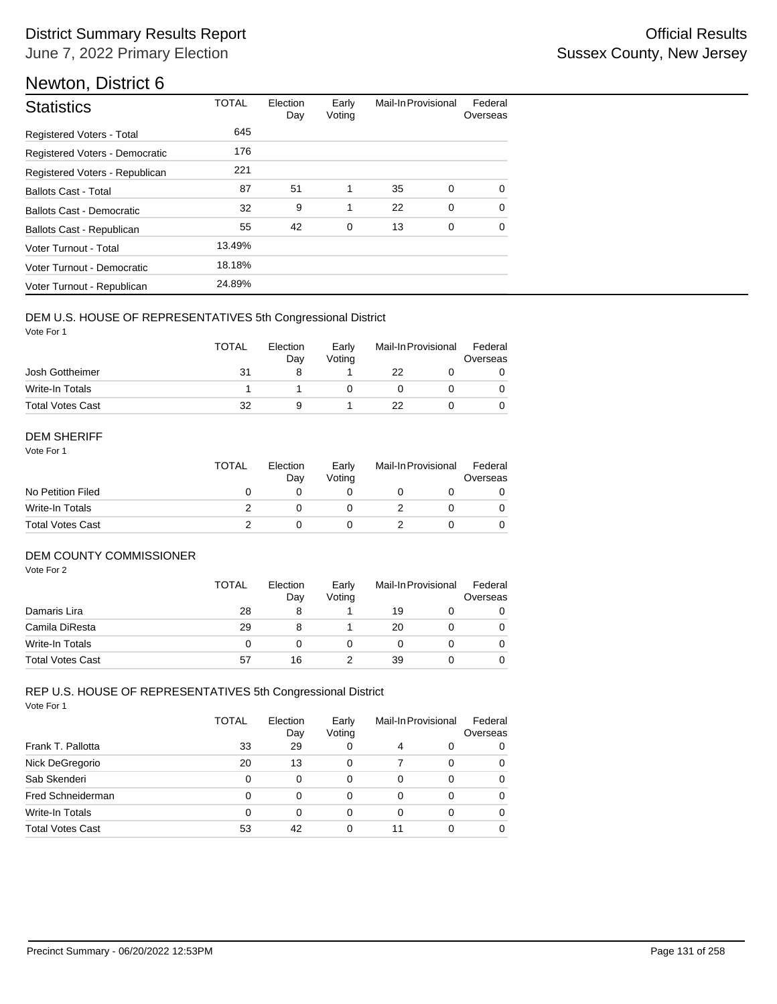| <b>Statistics</b>              | <b>TOTAL</b> | Election<br>Day | Early<br>Voting | Mail-In Provisional |             | Federal<br>Overseas |
|--------------------------------|--------------|-----------------|-----------------|---------------------|-------------|---------------------|
| Registered Voters - Total      | 645          |                 |                 |                     |             |                     |
| Registered Voters - Democratic | 176          |                 |                 |                     |             |                     |
| Registered Voters - Republican | 221          |                 |                 |                     |             |                     |
| <b>Ballots Cast - Total</b>    | 87           | 51              | 1               | 35                  | 0           | $\Omega$            |
| Ballots Cast - Democratic      | 32           | 9               | 1               | 22                  | $\mathbf 0$ | $\Omega$            |
| Ballots Cast - Republican      | 55           | 42              | 0               | 13                  | 0           | $\mathbf 0$         |
| Voter Turnout - Total          | 13.49%       |                 |                 |                     |             |                     |
| Voter Turnout - Democratic     | 18.18%       |                 |                 |                     |             |                     |
| Voter Turnout - Republican     | 24.89%       |                 |                 |                     |             |                     |

## DEM U.S. HOUSE OF REPRESENTATIVES 5th Congressional District

Vote For 1

|                         | <b>TOTAL</b> | Election<br>Dav | Early<br>Votina | Mail-In Provisional |  | Federal<br>Overseas |  |
|-------------------------|--------------|-----------------|-----------------|---------------------|--|---------------------|--|
| Josh Gottheimer         | 31           |                 |                 | 22                  |  |                     |  |
| Write-In Totals         |              |                 |                 |                     |  |                     |  |
| <b>Total Votes Cast</b> | 32           | 9               |                 | 22                  |  |                     |  |

#### DEM SHERIFF

Vote For 1

|                         | TOTAL | Election<br>Dav | Early<br>Votina | Mail-In Provisional |  | Federal<br>Overseas |  |
|-------------------------|-------|-----------------|-----------------|---------------------|--|---------------------|--|
| No Petition Filed       |       |                 |                 |                     |  |                     |  |
| Write-In Totals         |       |                 |                 |                     |  | $\Omega$            |  |
| <b>Total Votes Cast</b> |       |                 |                 |                     |  |                     |  |

## DEM COUNTY COMMISSIONER

Vote For 2

|                         | <b>TOTAL</b> | Election<br>Day | Early<br>Votina |    | Mail-In Provisional | Federal<br>Overseas |
|-------------------------|--------------|-----------------|-----------------|----|---------------------|---------------------|
| Damaris Lira            | 28           | 8               |                 | 19 |                     | 0                   |
| Camila DiResta          | 29           | 8               |                 | 20 |                     | 0                   |
| Write-In Totals         | 0            |                 |                 |    |                     | $\Omega$            |
| <b>Total Votes Cast</b> | 57           | 16              |                 | 39 |                     | 0                   |

#### Vote For 1 REP U.S. HOUSE OF REPRESENTATIVES 5th Congressional District

|                         | <b>TOTAL</b> | Election<br>Day | Early<br>Voting |          | Mail-In Provisional | Federal<br>Overseas |
|-------------------------|--------------|-----------------|-----------------|----------|---------------------|---------------------|
| Frank T. Pallotta       | 33           | 29              | 0               | 4        | 0                   | 0                   |
| Nick DeGregorio         | 20           | 13              | 0               | 7        | 0                   | 0                   |
| Sab Skenderi            | 0            | $\Omega$        | 0               | $\Omega$ | 0                   | 0                   |
| Fred Schneiderman       | 0            | $\Omega$        | 0               | 0        | 0                   | 0                   |
| Write-In Totals         | 0            | 0               | 0               | 0        | 0                   | 0                   |
| <b>Total Votes Cast</b> | 53           | 42              | 0               | 11       | 0                   | 0                   |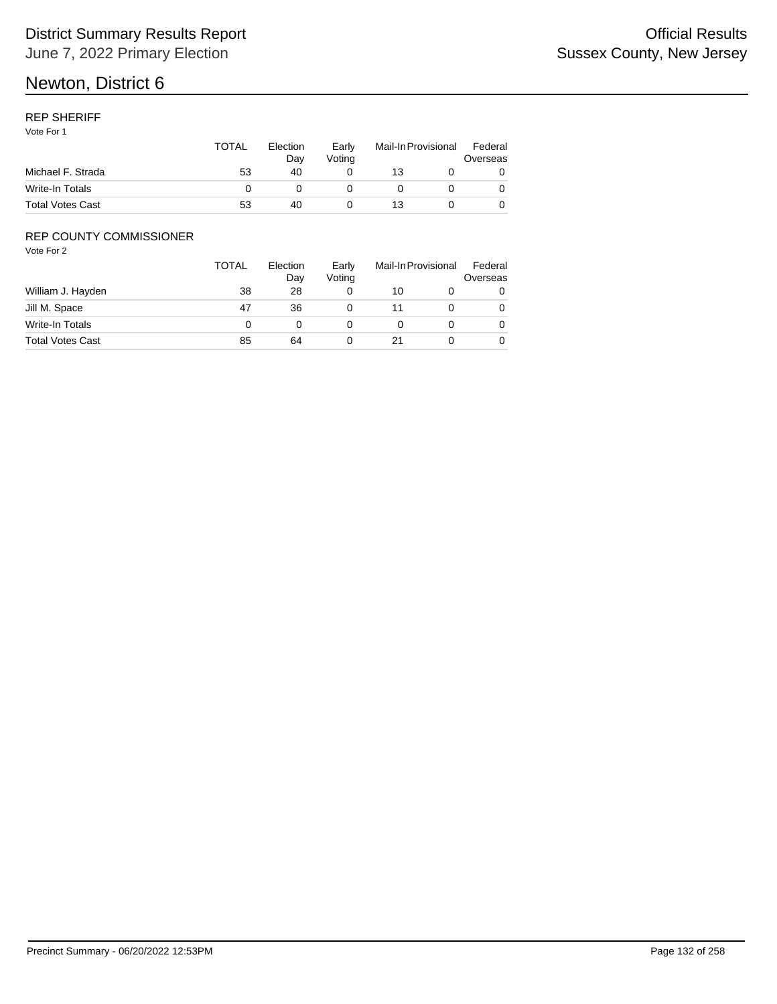## REP SHERIFF

Vote For 1

|                         | <b>TOTAL</b> | Election<br>Dav | Early<br>Votina | Mail-In Provisional |  | Federal<br>Overseas |
|-------------------------|--------------|-----------------|-----------------|---------------------|--|---------------------|
| Michael F. Strada       | 53           | 40              |                 | 13                  |  |                     |
| Write-In Totals         |              |                 |                 |                     |  |                     |
| <b>Total Votes Cast</b> | 53           | 40              |                 | 13                  |  |                     |

## REP COUNTY COMMISSIONER

|                         | <b>TOTAL</b> | Election<br>Day | Early<br>Voting |    | Mail-In Provisional |   |
|-------------------------|--------------|-----------------|-----------------|----|---------------------|---|
| William J. Hayden       | 38           | 28              |                 | 10 |                     |   |
| Jill M. Space           | 47           | 36              |                 | 11 |                     | 0 |
| Write-In Totals         | 0            |                 |                 |    |                     | 0 |
| <b>Total Votes Cast</b> | 85           | 64              |                 |    |                     |   |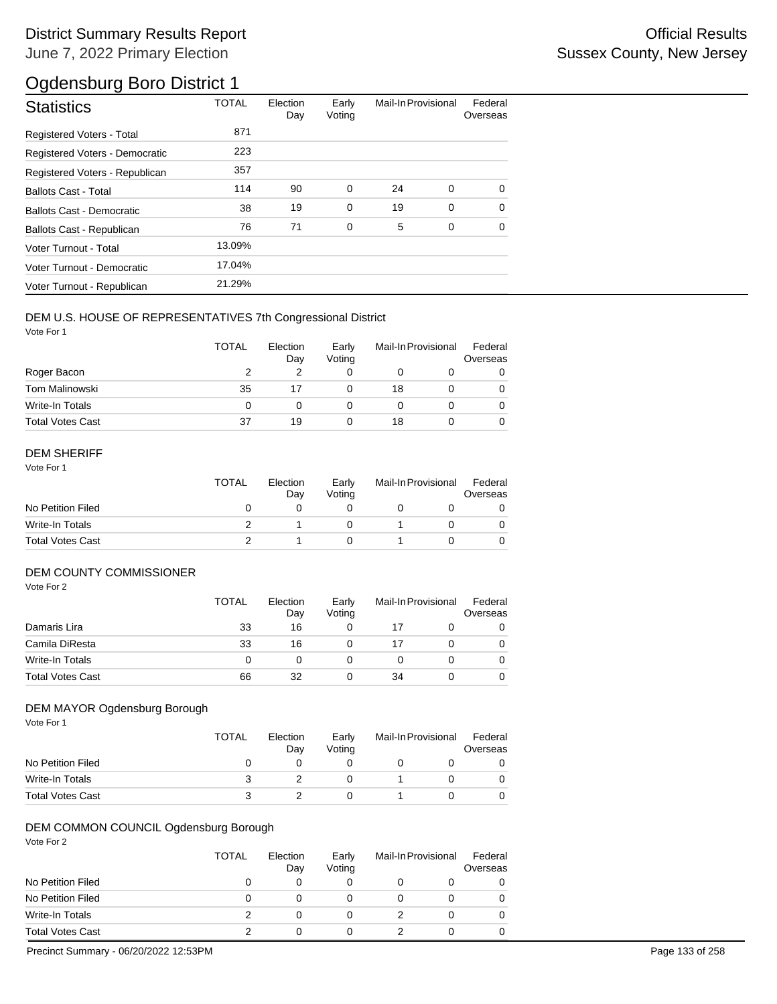| <b>Statistics</b>                | <b>TOTAL</b> | Election<br>Day | Early<br>Voting | Mail-In Provisional |   | Federal<br>Overseas |
|----------------------------------|--------------|-----------------|-----------------|---------------------|---|---------------------|
| Registered Voters - Total        | 871          |                 |                 |                     |   |                     |
| Registered Voters - Democratic   | 223          |                 |                 |                     |   |                     |
| Registered Voters - Republican   | 357          |                 |                 |                     |   |                     |
| <b>Ballots Cast - Total</b>      | 114          | 90              | 0               | 24                  | 0 | $\Omega$            |
| <b>Ballots Cast - Democratic</b> | 38           | 19              | $\mathbf 0$     | 19                  | 0 | $\Omega$            |
| Ballots Cast - Republican        | 76           | 71              | $\mathbf 0$     | 5                   | 0 | $\Omega$            |
| Voter Turnout - Total            | 13.09%       |                 |                 |                     |   |                     |
| Voter Turnout - Democratic       | 17.04%       |                 |                 |                     |   |                     |
| Voter Turnout - Republican       | 21.29%       |                 |                 |                     |   |                     |

## DEM U.S. HOUSE OF REPRESENTATIVES 7th Congressional District

Vote For 1

|                         | <b>TOTAL</b> | Election<br>Day | Early<br>Voting | Mail-In Provisional |  | Federal<br>Overseas |
|-------------------------|--------------|-----------------|-----------------|---------------------|--|---------------------|
| Roger Bacon             |              |                 |                 |                     |  |                     |
| <b>Tom Malinowski</b>   | 35           | 17              |                 | 18                  |  |                     |
| Write-In Totals         | 0            |                 |                 |                     |  |                     |
| <b>Total Votes Cast</b> | 37           | 19              |                 | 18                  |  |                     |

## DEM SHERIFF

Vote For 1

|                         | TOTAL | Election<br>Day | Early<br>Votina | Mail-In Provisional |  | Federal<br>Overseas |
|-------------------------|-------|-----------------|-----------------|---------------------|--|---------------------|
| No Petition Filed       |       |                 |                 |                     |  |                     |
| Write-In Totals         |       |                 |                 |                     |  |                     |
| <b>Total Votes Cast</b> |       |                 |                 |                     |  |                     |

## DEM COUNTY COMMISSIONER

Vote For 2

|                         | <b>TOTAL</b> | Election<br>Day | Early<br>Votina | Mail-In Provisional |  | Federal<br>Overseas |
|-------------------------|--------------|-----------------|-----------------|---------------------|--|---------------------|
| Damaris Lira            | 33           | 16              |                 | 17                  |  |                     |
| Camila DiResta          | 33           | 16              |                 | 17                  |  | 0                   |
| Write-In Totals         | 0            |                 |                 |                     |  | 0                   |
| <b>Total Votes Cast</b> | 66           | 32              |                 | 34                  |  | 0                   |

## DEM MAYOR Ogdensburg Borough

Vote For 1

|                         | TOTAL | Election<br>Day | Early<br>Votina | Mail-In Provisional |  | Federal<br>Overseas |
|-------------------------|-------|-----------------|-----------------|---------------------|--|---------------------|
| No Petition Filed       |       |                 |                 |                     |  |                     |
| Write-In Totals         |       |                 |                 |                     |  | 0                   |
| <b>Total Votes Cast</b> |       |                 |                 |                     |  |                     |

## DEM COMMON COUNCIL Ogdensburg Borough

Vote For 2

|                         | TOTAL | Election<br>Day | Early<br>Voting | Mail-In Provisional |  | Federal<br>Overseas |
|-------------------------|-------|-----------------|-----------------|---------------------|--|---------------------|
| No Petition Filed       | 0     |                 |                 |                     |  | 0                   |
| No Petition Filed       | 0     |                 |                 |                     |  | 0                   |
| Write-In Totals         |       |                 |                 |                     |  | 0                   |
| <b>Total Votes Cast</b> |       |                 |                 |                     |  |                     |

Precinct Summary - 06/20/2022 12:53PM Page 133 of 258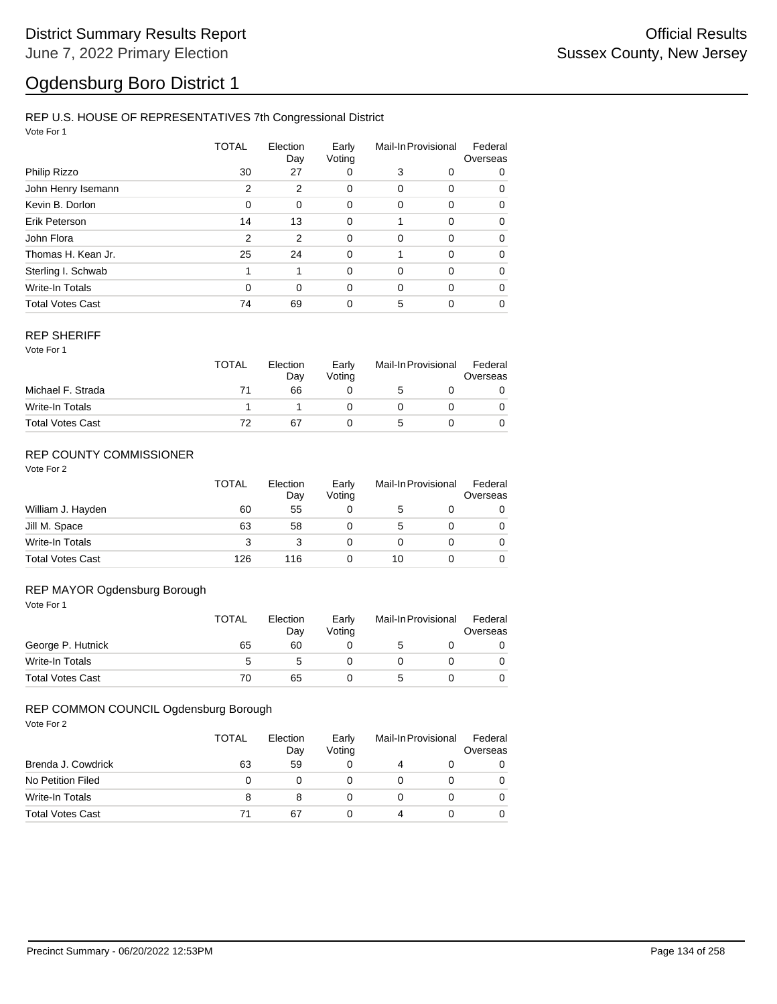## REP U.S. HOUSE OF REPRESENTATIVES 7th Congressional District

Vote For 1

|                         | TOTAL | Election<br>Day | Early<br>Voting | Mail-In Provisional |          | Federal<br>Overseas |  |
|-------------------------|-------|-----------------|-----------------|---------------------|----------|---------------------|--|
| Philip Rizzo            | 30    | 27              | 0               | 3                   | 0        | 0                   |  |
| John Henry Isemann      | 2     | 2               | 0               | 0                   | 0        | 0                   |  |
| Kevin B. Dorlon         | 0     | 0               | 0               | 0                   | 0        | 0                   |  |
| Erik Peterson           | 14    | 13              | $\mathbf 0$     |                     | $\Omega$ | 0                   |  |
| John Flora              | 2     | 2               | $\mathbf 0$     | 0                   | 0        | 0                   |  |
| Thomas H. Kean Jr.      | 25    | 24              | 0               |                     | 0        | 0                   |  |
| Sterling I. Schwab      | 1     | 1               | $\Omega$        | 0                   | 0        | 0                   |  |
| Write-In Totals         | 0     | $\Omega$        | 0               | $\Omega$            | $\Omega$ | 0                   |  |
| <b>Total Votes Cast</b> | 74    | 69              | 0               | 5                   | 0        | 0                   |  |

#### REP SHERIFF

Vote For 1

|                         | <b>TOTAL</b> | Election<br>Day | Early<br>Voting | Mail-In Provisional |  | Federal<br>Overseas |
|-------------------------|--------------|-----------------|-----------------|---------------------|--|---------------------|
| Michael F. Strada       |              | 66              |                 | 5                   |  |                     |
| Write-In Totals         |              |                 |                 |                     |  |                     |
| <b>Total Votes Cast</b> |              | 67              |                 |                     |  |                     |

## REP COUNTY COMMISSIONER

Vote For 2

|                         | <b>TOTAL</b> | Election<br>Dav | Early<br>Voting | Mail-In Provisional |  | Federal<br>Overseas |
|-------------------------|--------------|-----------------|-----------------|---------------------|--|---------------------|
| William J. Hayden       | 60           | 55              | 0               | 5                   |  | 0                   |
| Jill M. Space           | 63           | 58              |                 | 5                   |  | 0                   |
| Write-In Totals         | 3            |                 | 0               |                     |  | 0                   |
| <b>Total Votes Cast</b> | 126          | 116             |                 | 10                  |  |                     |

#### Vote For 1 REP MAYOR Ogdensburg Borough

|                         | <b>TOTAL</b> | Election<br>Day | Early<br>Votina | Mail-In Provisional |  | Federal<br>Overseas |
|-------------------------|--------------|-----------------|-----------------|---------------------|--|---------------------|
| George P. Hutnick       | 65           | 60              |                 |                     |  |                     |
| Write-In Totals         | 5            |                 |                 |                     |  |                     |
| <b>Total Votes Cast</b> | 70           | 65              |                 |                     |  |                     |

## REP COMMON COUNCIL Ogdensburg Borough

|                         | TOTAL | Election<br>Day | Early<br>Voting | Mail-In Provisional |  | Federal<br>Overseas |
|-------------------------|-------|-----------------|-----------------|---------------------|--|---------------------|
| Brenda J. Cowdrick      | 63    | 59              |                 |                     |  |                     |
| No Petition Filed       | 0     |                 |                 |                     |  |                     |
| <b>Write-In Totals</b>  | 8     |                 |                 |                     |  |                     |
| <b>Total Votes Cast</b> |       | 67              |                 |                     |  |                     |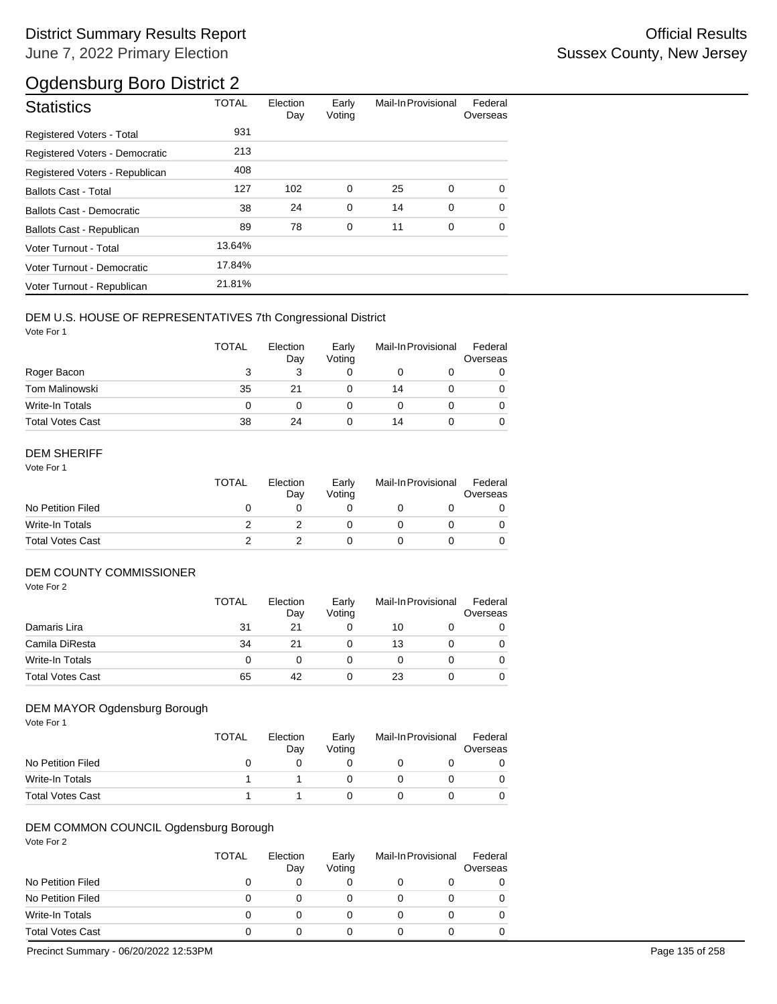| <b>Statistics</b>                | <b>TOTAL</b> | Election<br>Day | Early<br>Voting | Mail-In Provisional |   | Federal<br>Overseas |
|----------------------------------|--------------|-----------------|-----------------|---------------------|---|---------------------|
| Registered Voters - Total        | 931          |                 |                 |                     |   |                     |
| Registered Voters - Democratic   | 213          |                 |                 |                     |   |                     |
| Registered Voters - Republican   | 408          |                 |                 |                     |   |                     |
| <b>Ballots Cast - Total</b>      | 127          | 102             | 0               | 25                  | 0 | $\Omega$            |
| <b>Ballots Cast - Democratic</b> | 38           | 24              | $\mathbf 0$     | 14                  | 0 | $\Omega$            |
| <b>Ballots Cast - Republican</b> | 89           | 78              | $\mathbf 0$     | 11                  | 0 | $\Omega$            |
| Voter Turnout - Total            | 13.64%       |                 |                 |                     |   |                     |
| Voter Turnout - Democratic       | 17.84%       |                 |                 |                     |   |                     |
| Voter Turnout - Republican       | 21.81%       |                 |                 |                     |   |                     |

## DEM U.S. HOUSE OF REPRESENTATIVES 7th Congressional District

Vote For 1

|                         | <b>TOTAL</b> | Election<br>Day | Early<br>Voting | Mail-In Provisional |  | Federal<br>Overseas |
|-------------------------|--------------|-----------------|-----------------|---------------------|--|---------------------|
| Roger Bacon             | 3            |                 |                 |                     |  |                     |
| Tom Malinowski          | 35           | 21              |                 | 14                  |  | 0                   |
| Write-In Totals         | 0            |                 |                 |                     |  | 0                   |
| <b>Total Votes Cast</b> | 38           | 24              |                 | 14                  |  | 0                   |

## DEM SHERIFF

Vote For 1

|                         | TOTAL | Election<br>Dav | Early<br>Votina | Mail-In Provisional |  | Federal<br>Overseas |
|-------------------------|-------|-----------------|-----------------|---------------------|--|---------------------|
| No Petition Filed       |       |                 |                 |                     |  |                     |
| Write-In Totals         |       |                 |                 |                     |  |                     |
| <b>Total Votes Cast</b> |       |                 |                 |                     |  |                     |

## DEM COUNTY COMMISSIONER

Vote For 2

|                         | <b>TOTAL</b> | Election<br>Day | Early<br>Votina | Mail-In Provisional |  | Federal<br>Overseas |
|-------------------------|--------------|-----------------|-----------------|---------------------|--|---------------------|
| Damaris Lira            | 31           | 21              |                 | 10                  |  | 0                   |
| Camila DiResta          | 34           | 21              |                 | 13                  |  | 0                   |
| Write-In Totals         | 0            |                 |                 |                     |  | $\Omega$            |
| <b>Total Votes Cast</b> | 65           | 42              |                 | 23                  |  | 0                   |

## DEM MAYOR Ogdensburg Borough

Vote For 1

|                         | <b>TOTAL</b> | Election<br>Day | Early<br>Votina | Mail-In Provisional | Federal<br>Overseas |
|-------------------------|--------------|-----------------|-----------------|---------------------|---------------------|
| No Petition Filed       |              |                 |                 |                     |                     |
| Write-In Totals         |              |                 |                 |                     | 0                   |
| <b>Total Votes Cast</b> |              |                 |                 |                     | 0                   |

## DEM COMMON COUNCIL Ogdensburg Borough

Vote For 2

|                         | <b>TOTAL</b> | Election<br>Day | Early<br>Voting | Mail-In Provisional |  | Federal<br>Overseas |
|-------------------------|--------------|-----------------|-----------------|---------------------|--|---------------------|
| No Petition Filed       | $\mathbf{0}$ |                 |                 |                     |  |                     |
| No Petition Filed       | 0            |                 |                 |                     |  |                     |
| Write-In Totals         | 0            |                 |                 |                     |  |                     |
| <b>Total Votes Cast</b> | $\mathbf{0}$ |                 |                 |                     |  |                     |

Precinct Summary - 06/20/2022 12:53PM Page 135 of 258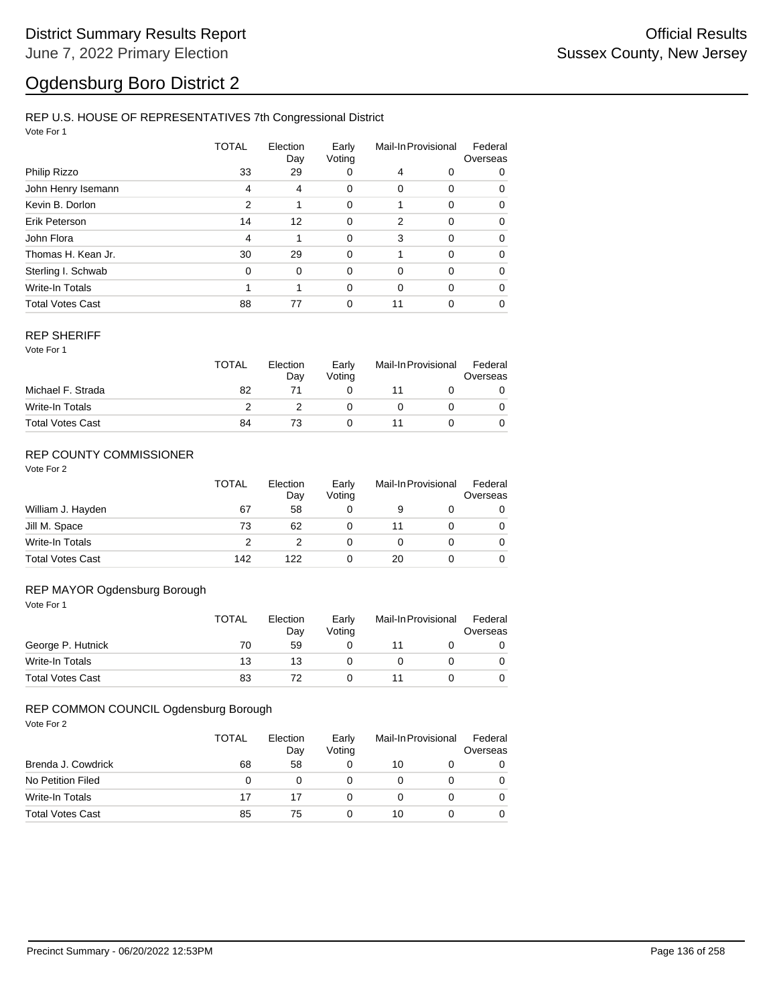## REP U.S. HOUSE OF REPRESENTATIVES 7th Congressional District

Vote For 1

|                         | TOTAL | Election<br>Day | Early<br>Voting | Mail-In Provisional |          | Federal<br>Overseas |  |
|-------------------------|-------|-----------------|-----------------|---------------------|----------|---------------------|--|
| Philip Rizzo            | 33    | 29              | 0               | 4                   | 0        | 0                   |  |
| John Henry Isemann      | 4     | 4               | 0               | 0                   | 0        | 0                   |  |
| Kevin B. Dorlon         | 2     | 1               | 0               |                     | 0        | 0                   |  |
| Erik Peterson           | 14    | 12              | 0               | 2                   | $\Omega$ | $\Omega$            |  |
| John Flora              | 4     | 1               | $\mathbf 0$     | 3                   | $\Omega$ | $\Omega$            |  |
| Thomas H. Kean Jr.      | 30    | 29              | 0               |                     | $\Omega$ | 0                   |  |
| Sterling I. Schwab      | 0     | $\Omega$        | $\Omega$        | 0                   | $\Omega$ | $\Omega$            |  |
| <b>Write-In Totals</b>  |       | 1               | 0               | 0                   | $\Omega$ | $\Omega$            |  |
| <b>Total Votes Cast</b> | 88    | 77              | 0               | 11                  | 0        | 0                   |  |

#### REP SHERIFF

Vote For 1

|                         | TOTAL | Election<br>Day | Early<br>Votina | Mail-In Provisional |  | Federal<br>Overseas |
|-------------------------|-------|-----------------|-----------------|---------------------|--|---------------------|
| Michael F. Strada       | 82    |                 |                 |                     |  |                     |
| Write-In Totals         |       |                 |                 |                     |  |                     |
| <b>Total Votes Cast</b> | 84    |                 |                 |                     |  |                     |

## REP COUNTY COMMISSIONER

Vote For 2

|                         | TOTAL | Election<br>Day | Early<br>Voting | Mail-In Provisional |  | Federal<br>Overseas |
|-------------------------|-------|-----------------|-----------------|---------------------|--|---------------------|
| William J. Hayden       | 67    | 58              | 0               |                     |  | 0                   |
| Jill M. Space           | 73    | 62              | 0               |                     |  | 0                   |
| Write-In Totals         |       |                 | 0               |                     |  | 0                   |
| <b>Total Votes Cast</b> | 142   | 122             | 0               | 20                  |  | 0                   |

#### Vote For 1 REP MAYOR Ogdensburg Borough

| .                       | <b>TOTAL</b> | Election<br>Dav | Early<br>Votina | Mail-In Provisional |  | Federal<br>Overseas |
|-------------------------|--------------|-----------------|-----------------|---------------------|--|---------------------|
| George P. Hutnick       | 70           | 59              |                 |                     |  |                     |
| Write-In Totals         | 13           | 13              |                 |                     |  |                     |
| <b>Total Votes Cast</b> | 83           |                 |                 |                     |  |                     |

## REP COMMON COUNCIL Ogdensburg Borough

|                         | TOTAL | Election<br>Day | Early<br>Votina | Mail-In Provisional |  | Federal<br>Overseas |
|-------------------------|-------|-----------------|-----------------|---------------------|--|---------------------|
| Brenda J. Cowdrick      | 68    | 58              |                 | 10                  |  |                     |
| No Petition Filed       | 0     |                 |                 |                     |  |                     |
| Write-In Totals         | 17    |                 |                 |                     |  | 0                   |
| <b>Total Votes Cast</b> | 85    | 75              |                 | 10                  |  |                     |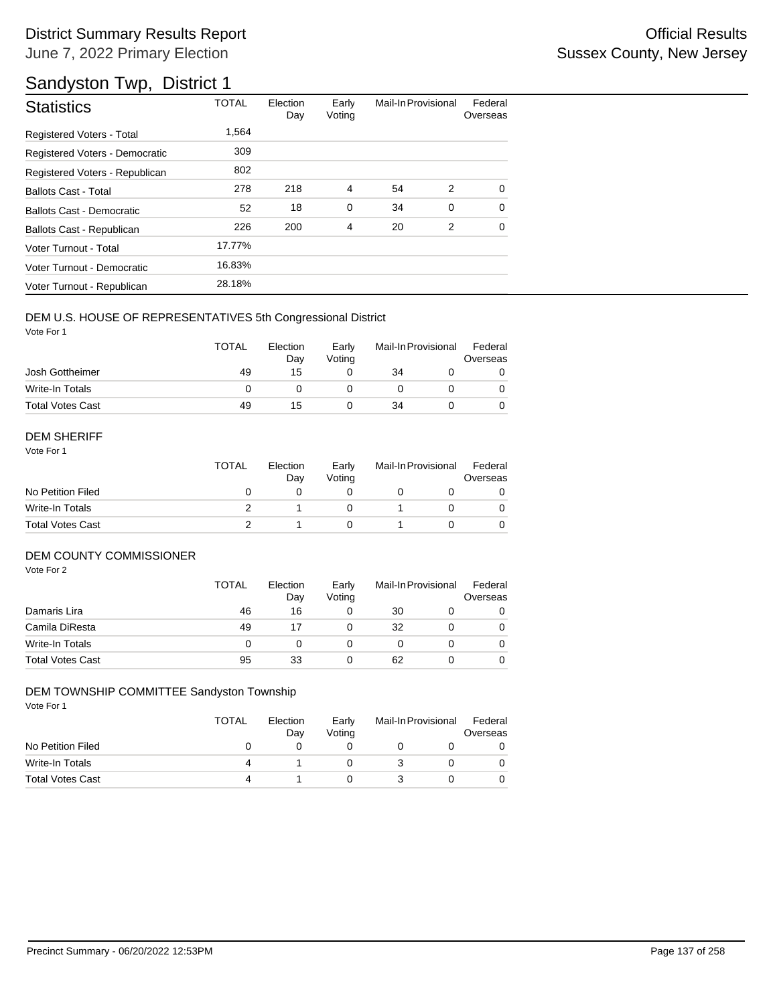# Sandyston Twp, District 1

| <b>Statistics</b>              | <b>TOTAL</b> | Election<br>Day | Early<br>Voting | Mail-In Provisional |          | Federal<br>Overseas |
|--------------------------------|--------------|-----------------|-----------------|---------------------|----------|---------------------|
| Registered Voters - Total      | 1.564        |                 |                 |                     |          |                     |
| Registered Voters - Democratic | 309          |                 |                 |                     |          |                     |
| Registered Voters - Republican | 802          |                 |                 |                     |          |                     |
| <b>Ballots Cast - Total</b>    | 278          | 218             | 4               | 54                  | 2        | $\Omega$            |
| Ballots Cast - Democratic      | 52           | 18              | $\mathbf 0$     | 34                  | $\Omega$ | $\Omega$            |
| Ballots Cast - Republican      | 226          | 200             | 4               | 20                  | 2        | $\Omega$            |
| Voter Turnout - Total          | 17.77%       |                 |                 |                     |          |                     |
| Voter Turnout - Democratic     | 16.83%       |                 |                 |                     |          |                     |
| Voter Turnout - Republican     | 28.18%       |                 |                 |                     |          |                     |

## DEM U.S. HOUSE OF REPRESENTATIVES 5th Congressional District

Vote For 1

|                         | <b>TOTAL</b> | Election<br>Day | Early<br>Votina | Mail-In Provisional |  | Federal<br>Overseas |
|-------------------------|--------------|-----------------|-----------------|---------------------|--|---------------------|
| Josh Gottheimer         | 49           | 15              |                 | 34                  |  |                     |
| Write-In Totals         |              |                 |                 |                     |  |                     |
| <b>Total Votes Cast</b> | 49           | 15              |                 | 34                  |  |                     |

#### DEM SHERIFF

Vote For 1

|                         | <b>TOTAL</b> | Election<br>Dav | Early<br>Votina | Mail-In Provisional |  | Federal<br>Overseas |  |
|-------------------------|--------------|-----------------|-----------------|---------------------|--|---------------------|--|
| No Petition Filed       |              |                 |                 |                     |  |                     |  |
| Write-In Totals         |              |                 |                 |                     |  | $\Omega$            |  |
| <b>Total Votes Cast</b> |              |                 |                 |                     |  |                     |  |

## DEM COUNTY COMMISSIONER

Vote For 2

|                         | <b>TOTAL</b> | Election<br>Day | Early<br>Voting |    | Mail-In Provisional | Federal<br>Overseas |
|-------------------------|--------------|-----------------|-----------------|----|---------------------|---------------------|
| Damaris Lira            | 46           | 16              |                 | 30 |                     | 0                   |
| Camila DiResta          | 49           |                 |                 | 32 |                     | $\Omega$            |
| Write-In Totals         |              |                 |                 |    |                     | $\Omega$            |
| <b>Total Votes Cast</b> | 95           | 33              |                 | 62 |                     | 0                   |

## DEM TOWNSHIP COMMITTEE Sandyston Township

|                         | TOTAL | Election<br>Day | Early<br>Votina | Mail-In Provisional | Federal<br>Overseas |
|-------------------------|-------|-----------------|-----------------|---------------------|---------------------|
| No Petition Filed       |       |                 |                 |                     |                     |
| Write-In Totals         | 4     |                 |                 |                     |                     |
| <b>Total Votes Cast</b> | 4     |                 |                 |                     |                     |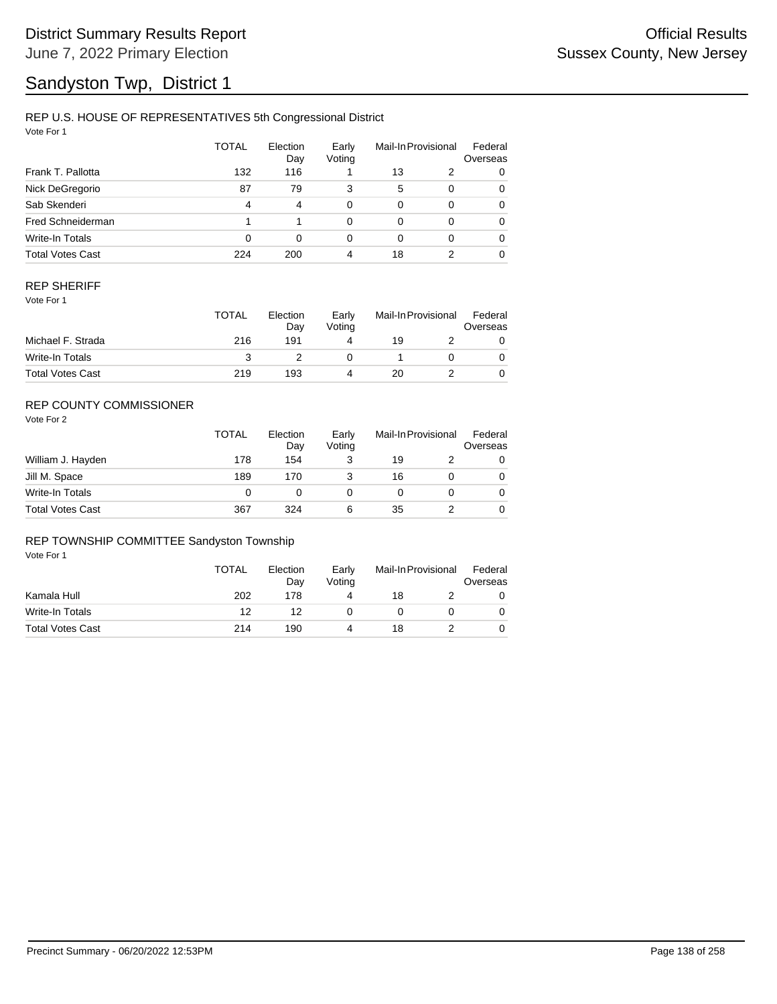# Sandyston Twp, District 1

## REP U.S. HOUSE OF REPRESENTATIVES 5th Congressional District

Vote For 1

|                         | TOTAL | Election<br>Day | Early<br>Voting |    | Mail-In Provisional | Federal<br>Overseas |
|-------------------------|-------|-----------------|-----------------|----|---------------------|---------------------|
| Frank T. Pallotta       | 132   | 116             |                 | 13 | 2                   | 0                   |
| Nick DeGregorio         | 87    | 79              | 3               | 5  | 0                   | 0                   |
| Sab Skenderi            | 4     | 4               | $\Omega$        | 0  | 0                   | 0                   |
| Fred Schneiderman       |       |                 | 0               | 0  | 0                   | $\Omega$            |
| <b>Write-In Totals</b>  | 0     | 0               | 0               | 0  | 0                   | $\Omega$            |
| <b>Total Votes Cast</b> | 224   | 200             | 4               | 18 | 2                   | 0                   |

## REP SHERIFF

Vote For 1

|                         | TOTAL | Election<br>Dav | Early<br>Votina | Mail-In Provisional |  | Federal<br>Overseas |
|-------------------------|-------|-----------------|-----------------|---------------------|--|---------------------|
| Michael F. Strada       | 216   | 191             |                 | 19                  |  |                     |
| Write-In Totals         |       |                 |                 |                     |  |                     |
| <b>Total Votes Cast</b> | 219   | 193             |                 | 20                  |  |                     |

## REP COUNTY COMMISSIONER

Vote For 2

|                         | <b>TOTAL</b> | Election<br>Day | Early<br>Voting | Mail-In Provisional |  | Federal<br>Overseas |
|-------------------------|--------------|-----------------|-----------------|---------------------|--|---------------------|
| William J. Hayden       | 178          | 154             | 3               | 19                  |  | 0                   |
| Jill M. Space           | 189          | 170             |                 | 16                  |  | 0                   |
| Write-In Totals         | 0            |                 |                 |                     |  | $\Omega$            |
| <b>Total Votes Cast</b> | 367          | 324             | 6               | 35                  |  | 0                   |

#### REP TOWNSHIP COMMITTEE Sandyston Township

|                         | <b>TOTAL</b> | Election<br>Dav | Early<br>Votina | Mail-In Provisional |  | Federal<br>Overseas |
|-------------------------|--------------|-----------------|-----------------|---------------------|--|---------------------|
| Kamala Hull             | 202          | 178             |                 | 18                  |  |                     |
| Write-In Totals         | 12           | 12              |                 |                     |  |                     |
| <b>Total Votes Cast</b> | 214          | 190             |                 | 18                  |  |                     |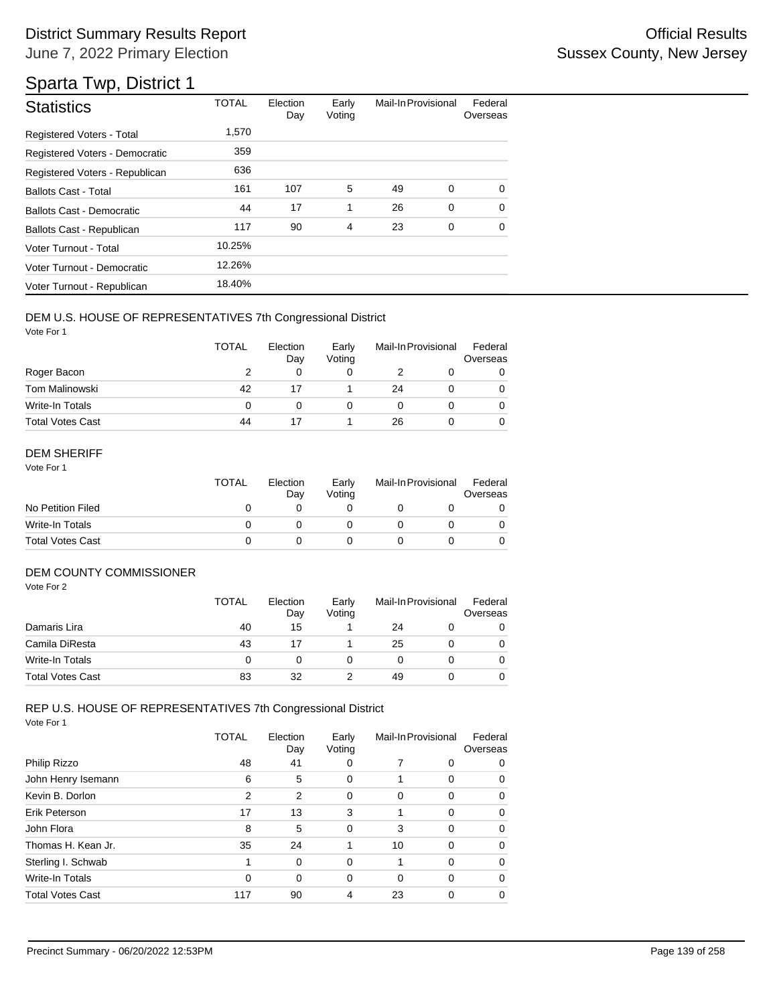| <b>Statistics</b>                | <b>TOTAL</b> | Election<br>Day | Early<br>Voting | Mail-In Provisional |   | Federal<br>Overseas |
|----------------------------------|--------------|-----------------|-----------------|---------------------|---|---------------------|
| <b>Registered Voters - Total</b> | 1,570        |                 |                 |                     |   |                     |
| Registered Voters - Democratic   | 359          |                 |                 |                     |   |                     |
| Registered Voters - Republican   | 636          |                 |                 |                     |   |                     |
| <b>Ballots Cast - Total</b>      | 161          | 107             | 5               | 49                  | 0 | $\Omega$            |
| <b>Ballots Cast - Democratic</b> | 44           | 17              | 1               | 26                  | 0 | $\Omega$            |
| Ballots Cast - Republican        | 117          | 90              | 4               | 23                  | 0 | $\Omega$            |
| Voter Turnout - Total            | 10.25%       |                 |                 |                     |   |                     |
| Voter Turnout - Democratic       | 12.26%       |                 |                 |                     |   |                     |
| Voter Turnout - Republican       | 18.40%       |                 |                 |                     |   |                     |

## DEM U.S. HOUSE OF REPRESENTATIVES 7th Congressional District

Vote For 1

|                         | <b>TOTAL</b> | Election<br>Day | Early<br>Voting | Mail-In Provisional |  | Federal<br>Overseas |
|-------------------------|--------------|-----------------|-----------------|---------------------|--|---------------------|
| Roger Bacon             |              | 0               |                 |                     |  |                     |
| Tom Malinowski          | 42           |                 |                 | 24                  |  | 0                   |
| Write-In Totals         | 0            |                 |                 |                     |  |                     |
| <b>Total Votes Cast</b> | 44           |                 |                 | 26                  |  |                     |

## DEM SHERIFF

Vote For 1

|                         | TOTAL | Election<br>Dav | Early<br>Votina | Mail-In Provisional |  | Federal<br>Overseas |
|-------------------------|-------|-----------------|-----------------|---------------------|--|---------------------|
| No Petition Filed       |       |                 |                 |                     |  |                     |
| Write-In Totals         |       |                 |                 |                     |  |                     |
| <b>Total Votes Cast</b> |       |                 |                 |                     |  |                     |

## DEM COUNTY COMMISSIONER

Vote For 2

|                         | <b>TOTAL</b> | Election<br>Day | Early<br>Votina | Mail-In Provisional |  | Federal<br>Overseas |
|-------------------------|--------------|-----------------|-----------------|---------------------|--|---------------------|
| Damaris Lira            | 40           | 15              |                 | 24                  |  |                     |
| Camila DiResta          | 43           |                 |                 | 25                  |  | 0                   |
| Write-In Totals         | O            |                 |                 |                     |  | 0                   |
| <b>Total Votes Cast</b> | 83           | 32              |                 | 49                  |  | 0                   |

## REP U.S. HOUSE OF REPRESENTATIVES 7th Congressional District

|                         | TOTAL    | Election<br>Day | Early<br>Voting | Mail-In Provisional |          | Federal<br>Overseas |
|-------------------------|----------|-----------------|-----------------|---------------------|----------|---------------------|
| Philip Rizzo            | 48       | 41              | 0               | 7                   | 0        | 0                   |
| John Henry Isemann      | 6        | 5               | 0               |                     | 0        | 0                   |
| Kevin B. Dorlon         | 2        | $\overline{2}$  | 0               | 0                   | 0        | 0                   |
| Erik Peterson           | 17       | 13              | 3               |                     | $\Omega$ | 0                   |
| John Flora              | 8        | 5               | 0               | 3                   | $\Omega$ | 0                   |
| Thomas H. Kean Jr.      | 35       | 24              | 1               | 10                  | $\Omega$ | 0                   |
| Sterling I. Schwab      |          | 0               | 0               |                     | 0        | 0                   |
| Write-In Totals         | $\Omega$ | 0               | 0               | $\Omega$            | $\Omega$ | 0                   |
| <b>Total Votes Cast</b> | 117      | 90              | 4               | 23                  | 0        | 0                   |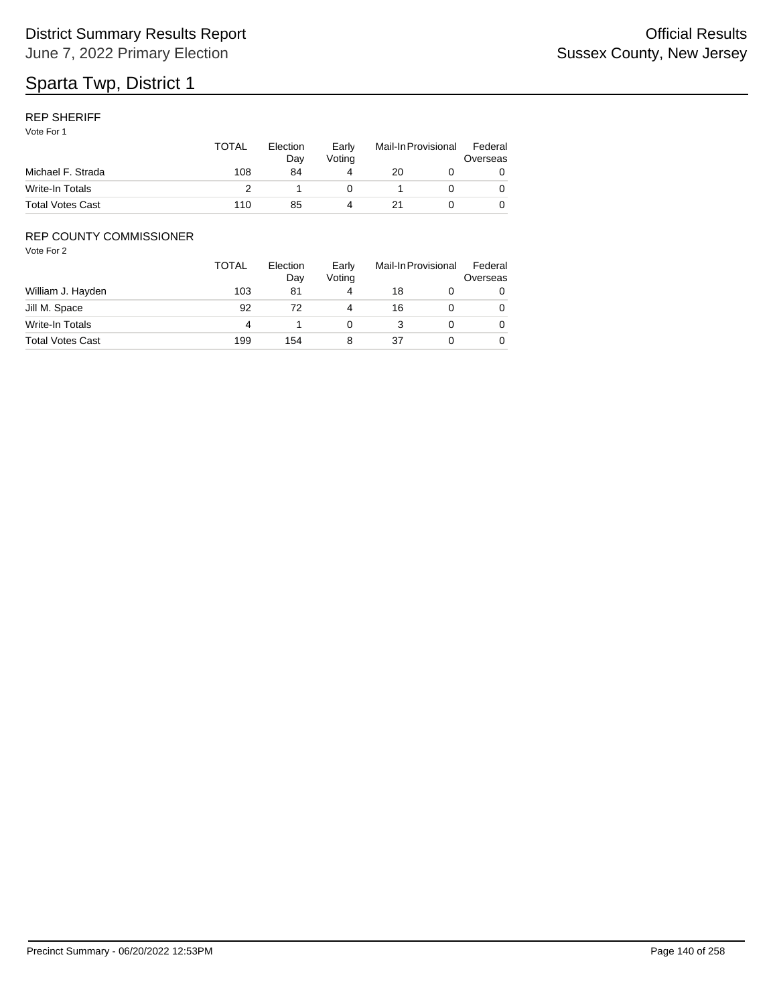## REP SHERIFF

Vote For 1

|                         | TOTAL | Election<br>Dav | Early<br>Votina | Mail-In Provisional |  | Federal<br>Overseas |
|-------------------------|-------|-----------------|-----------------|---------------------|--|---------------------|
| Michael F. Strada       | 108   | 84              |                 | 20                  |  |                     |
| Write-In Totals         |       |                 |                 |                     |  |                     |
| <b>Total Votes Cast</b> | 110   | 85              |                 |                     |  |                     |

## REP COUNTY COMMISSIONER

|                         | <b>TOTAL</b> | Election<br>Day | Early<br>Voting |    | Mail-In Provisional | Federal<br>Overseas |
|-------------------------|--------------|-----------------|-----------------|----|---------------------|---------------------|
| William J. Hayden       | 103          | 81              | 4               | 18 |                     | 0                   |
| Jill M. Space           | 92           | 72              | 4               | 16 |                     | 0                   |
| Write-In Totals         | 4            |                 |                 |    |                     | 0                   |
| <b>Total Votes Cast</b> | 199          | 154             |                 | 37 |                     | 0                   |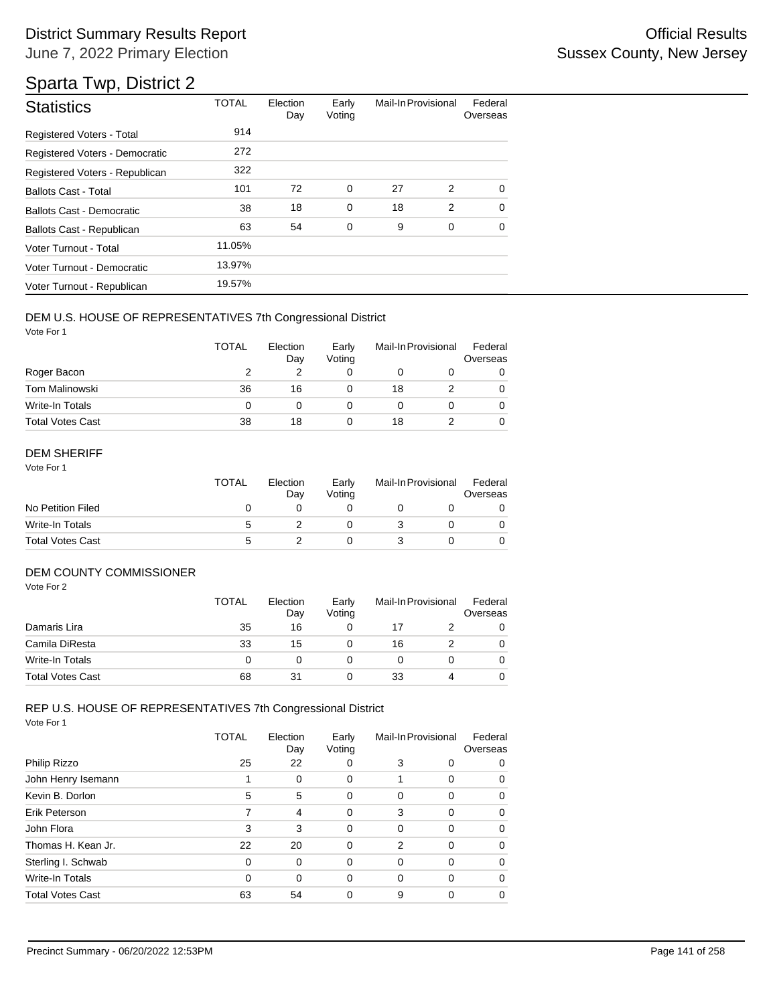## District Summary Results Report **Contract Contract Contract Contract Contract Contract Contract Contract Contract Contract Contract Contract Contract Contract Contract Contract Contract Contract Contract Contract Contract** June 7, 2022 Primary Election

## Sparta Twp, District 2

| <b>Statistics</b>                | <b>TOTAL</b> | Election<br>Day | Early<br>Voting | Mail-In Provisional |   | Federal<br>Overseas |
|----------------------------------|--------------|-----------------|-----------------|---------------------|---|---------------------|
| Registered Voters - Total        | 914          |                 |                 |                     |   |                     |
| Registered Voters - Democratic   | 272          |                 |                 |                     |   |                     |
| Registered Voters - Republican   | 322          |                 |                 |                     |   |                     |
| <b>Ballots Cast - Total</b>      | 101          | 72              | 0               | 27                  | 2 | 0                   |
| <b>Ballots Cast - Democratic</b> | 38           | 18              | $\mathbf 0$     | 18                  | 2 | $\Omega$            |
| Ballots Cast - Republican        | 63           | 54              | 0               | 9                   | 0 | $\Omega$            |
| Voter Turnout - Total            | 11.05%       |                 |                 |                     |   |                     |
| Voter Turnout - Democratic       | 13.97%       |                 |                 |                     |   |                     |
| Voter Turnout - Republican       | 19.57%       |                 |                 |                     |   |                     |

## DEM U.S. HOUSE OF REPRESENTATIVES 7th Congressional District

Vote For 1

|                         | <b>TOTAL</b> | Election<br>Day | Early<br>Voting | Mail-In Provisional |  | Federal<br>Overseas |
|-------------------------|--------------|-----------------|-----------------|---------------------|--|---------------------|
| Roger Bacon             |              |                 |                 |                     |  |                     |
| <b>Tom Malinowski</b>   | 36           | 16              |                 | 18                  |  | 0                   |
| Write-In Totals         | 0            |                 |                 |                     |  |                     |
| <b>Total Votes Cast</b> | 38           | 18              |                 | 18                  |  |                     |

## DEM SHERIFF

Vote For 1

|                         | <b>TOTAL</b> | Election<br>Dav | Early<br>Votina | Mail-In Provisional |  | Federal<br>Overseas |
|-------------------------|--------------|-----------------|-----------------|---------------------|--|---------------------|
| No Petition Filed       |              |                 |                 |                     |  |                     |
| Write-In Totals         | 5            |                 |                 |                     |  |                     |
| <b>Total Votes Cast</b> | 5            |                 |                 |                     |  |                     |

## DEM COUNTY COMMISSIONER

Vote For 2

|                         | TOTAL | Election<br>Day | Early<br>Votina | Mail-In Provisional |  | Federal<br>Overseas |
|-------------------------|-------|-----------------|-----------------|---------------------|--|---------------------|
| Damaris Lira            | 35    | 16              |                 |                     |  |                     |
| Camila DiResta          | 33    | 15              |                 | 16                  |  | $\Omega$            |
| Write-In Totals         | 0     |                 |                 |                     |  | 0                   |
| <b>Total Votes Cast</b> | 68    | 31              |                 | 33                  |  |                     |

# REP U.S. HOUSE OF REPRESENTATIVES 7th Congressional District

|                         | TOTAL    | Election<br>Day | Early<br>Voting |   | Mail-In Provisional | Federal<br>Overseas |
|-------------------------|----------|-----------------|-----------------|---|---------------------|---------------------|
| Philip Rizzo            | 25       | 22              | 0               | 3 | 0                   | 0                   |
| John Henry Isemann      |          | 0               | 0               |   | $\Omega$            | 0                   |
| Kevin B. Dorlon         | 5        | 5               | 0               | 0 | $\Omega$            | 0                   |
| Erik Peterson           | 7        | 4               | 0               | 3 | $\Omega$            | 0                   |
| John Flora              | 3        | 3               | 0               | 0 | $\Omega$            | 0                   |
| Thomas H. Kean Jr.      | 22       | 20              | 0               | 2 | $\Omega$            | 0                   |
| Sterling I. Schwab      | $\Omega$ | 0               | 0               | 0 | $\Omega$            | 0                   |
| Write-In Totals         | 0        | 0               | 0               | 0 | $\Omega$            | 0                   |
| <b>Total Votes Cast</b> | 63       | 54              | 0               | 9 | $\Omega$            | 0                   |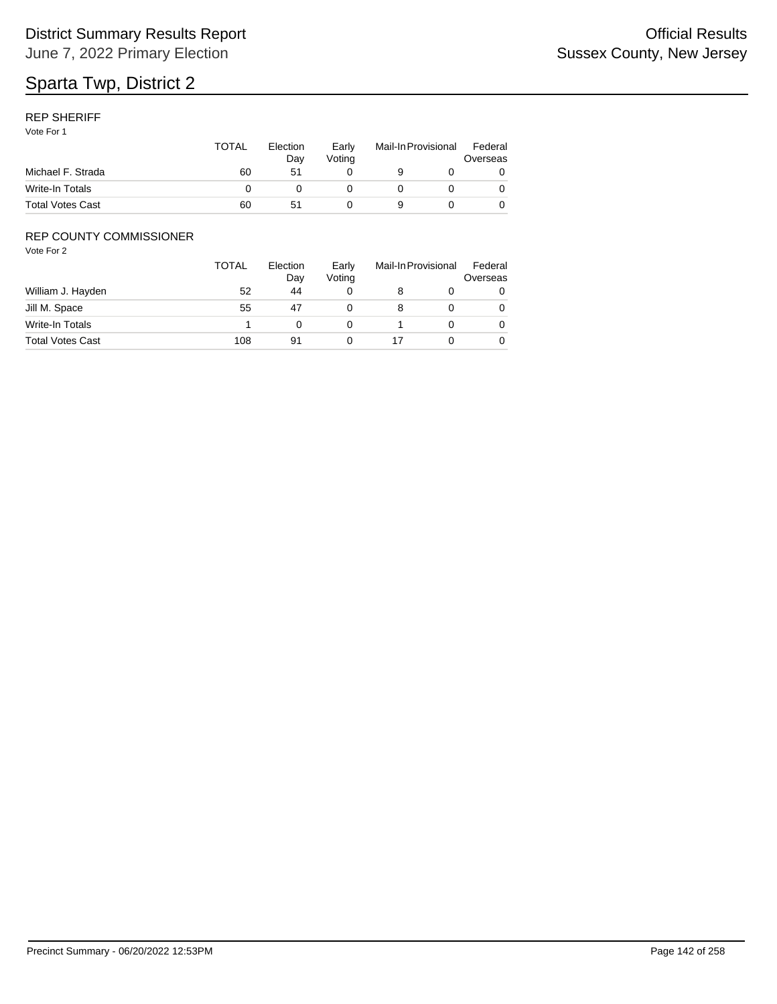## REP SHERIFF

Vote For 1

|                         | <b>TOTAL</b> | Election<br>Dav | Early<br>Votina | Mail-In Provisional |  | Federal<br>Overseas |  |
|-------------------------|--------------|-----------------|-----------------|---------------------|--|---------------------|--|
| Michael F. Strada       | 60           | 51              |                 |                     |  |                     |  |
| Write-In Totals         |              |                 |                 |                     |  |                     |  |
| <b>Total Votes Cast</b> | 60           | 51              |                 | 9                   |  |                     |  |

## REP COUNTY COMMISSIONER

|                         | TOTAL | Election<br>Day | Early<br>Voting | Mail-In Provisional | Federal<br>Overseas |
|-------------------------|-------|-----------------|-----------------|---------------------|---------------------|
| William J. Hayden       | 52    | 44              |                 |                     | 0                   |
| Jill M. Space           | 55    | 47              |                 |                     | 0                   |
| Write-In Totals         |       |                 |                 |                     | 0                   |
| <b>Total Votes Cast</b> | 108   | 91              |                 |                     | 0                   |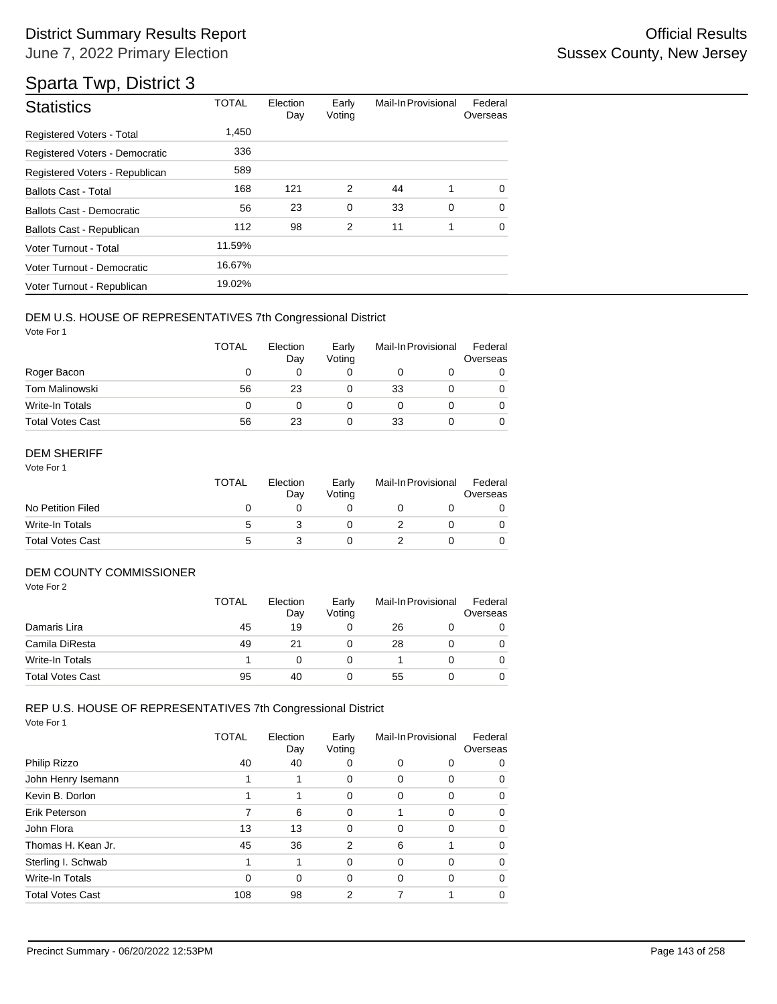| <b>Statistics</b>                | <b>TOTAL</b> | Election<br>Day | Early<br>Voting | Mail-In Provisional |   | Federal<br>Overseas |
|----------------------------------|--------------|-----------------|-----------------|---------------------|---|---------------------|
| <b>Registered Voters - Total</b> | 1,450        |                 |                 |                     |   |                     |
| Registered Voters - Democratic   | 336          |                 |                 |                     |   |                     |
| Registered Voters - Republican   | 589          |                 |                 |                     |   |                     |
| <b>Ballots Cast - Total</b>      | 168          | 121             | 2               | 44                  | 1 | $\Omega$            |
| Ballots Cast - Democratic        | 56           | 23              | $\mathbf 0$     | 33                  | 0 | $\Omega$            |
| Ballots Cast - Republican        | 112          | 98              | $\overline{2}$  | 11                  | 1 | $\Omega$            |
| Voter Turnout - Total            | 11.59%       |                 |                 |                     |   |                     |
| Voter Turnout - Democratic       | 16.67%       |                 |                 |                     |   |                     |
| Voter Turnout - Republican       | 19.02%       |                 |                 |                     |   |                     |

## DEM U.S. HOUSE OF REPRESENTATIVES 7th Congressional District

Vote For 1

|                         | <b>TOTAL</b> | Election<br>Day | Early<br>Voting |    | Mail-In Provisional | Federal<br>Overseas |
|-------------------------|--------------|-----------------|-----------------|----|---------------------|---------------------|
| Roger Bacon             | O            | 0               |                 |    |                     |                     |
| <b>Tom Malinowski</b>   | 56           | 23              |                 | 33 |                     |                     |
| Write-In Totals         | 0            | 0               |                 |    |                     |                     |
| <b>Total Votes Cast</b> | 56           | 23              |                 | 33 |                     |                     |

## DEM SHERIFF

Vote For 1

|                         | TOTAL | Election<br>Day | Early<br>Votina | Mail-In Provisional |  | Federal<br>Overseas |  |
|-------------------------|-------|-----------------|-----------------|---------------------|--|---------------------|--|
| No Petition Filed       |       |                 |                 |                     |  |                     |  |
| Write-In Totals         | :5    |                 |                 |                     |  |                     |  |
| <b>Total Votes Cast</b> | 5     |                 |                 |                     |  |                     |  |

## DEM COUNTY COMMISSIONER

Vote For 2

|                         | <b>TOTAL</b> | Election<br>Day | Early<br>Votina |    | Mail-In Provisional | Federal<br>Overseas |
|-------------------------|--------------|-----------------|-----------------|----|---------------------|---------------------|
| Damaris Lira            | 45           | 19              |                 | 26 |                     |                     |
| Camila DiResta          | 49           | 21              |                 | 28 |                     | 0                   |
| Write-In Totals         |              |                 |                 |    |                     | 0                   |
| <b>Total Votes Cast</b> | 95           | 40              |                 | 55 |                     |                     |

# REP U.S. HOUSE OF REPRESENTATIVES 7th Congressional District

|                         | TOTAL | Election<br>Day | Early<br>Voting | Mail-In Provisional |          | Federal<br>Overseas |
|-------------------------|-------|-----------------|-----------------|---------------------|----------|---------------------|
| Philip Rizzo            | 40    | 40              | 0               | 0                   | 0        | 0                   |
| John Henry Isemann      |       |                 | 0               | 0                   | 0        | 0                   |
| Kevin B. Dorlon         | 1     |                 | 0               | 0                   | $\Omega$ | 0                   |
| Erik Peterson           | 7     | 6               | 0               | 1                   | $\Omega$ | 0                   |
| John Flora              | 13    | 13              | 0               | 0                   | $\Omega$ | 0                   |
| Thomas H. Kean Jr.      | 45    | 36              | 2               | 6                   |          | 0                   |
| Sterling I. Schwab      | 1     | 1               | $\Omega$        | 0                   | $\Omega$ | 0                   |
| Write-In Totals         | 0     | 0               | 0               | 0                   | $\Omega$ | 0                   |
| <b>Total Votes Cast</b> | 108   | 98              | 2               | 7                   |          | 0                   |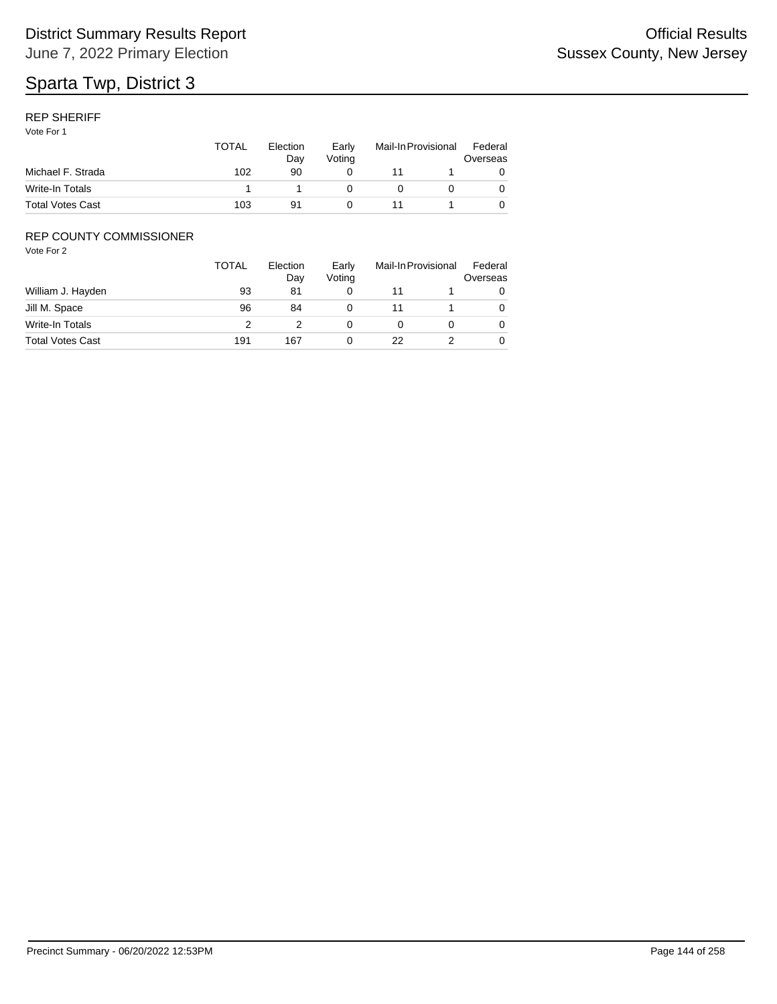## REP SHERIFF

Vote For 1

| Michael F. Strada       | <b>TOTAL</b><br>102 | Election<br>Dav<br>90 | Early<br>Votina | Mail-In Provisional |  | Federal<br>Overseas |
|-------------------------|---------------------|-----------------------|-----------------|---------------------|--|---------------------|
|                         |                     |                       |                 |                     |  |                     |
| Write-In Totals         |                     |                       |                 |                     |  |                     |
| <b>Total Votes Cast</b> | 103                 | 91                    |                 |                     |  |                     |

## REP COUNTY COMMISSIONER

|                         | <b>TOTAL</b> | Election<br>Day | Early<br>Voting |    | Mail-In Provisional | Federal<br>Overseas |
|-------------------------|--------------|-----------------|-----------------|----|---------------------|---------------------|
| William J. Hayden       | 93           | 81              | 0               |    |                     |                     |
| Jill M. Space           | 96           | 84              | 0               | 11 |                     | 0                   |
| Write-In Totals         |              |                 | Ω               |    |                     | 0                   |
| <b>Total Votes Cast</b> | 191          | 167             | 0               | 22 |                     | 0                   |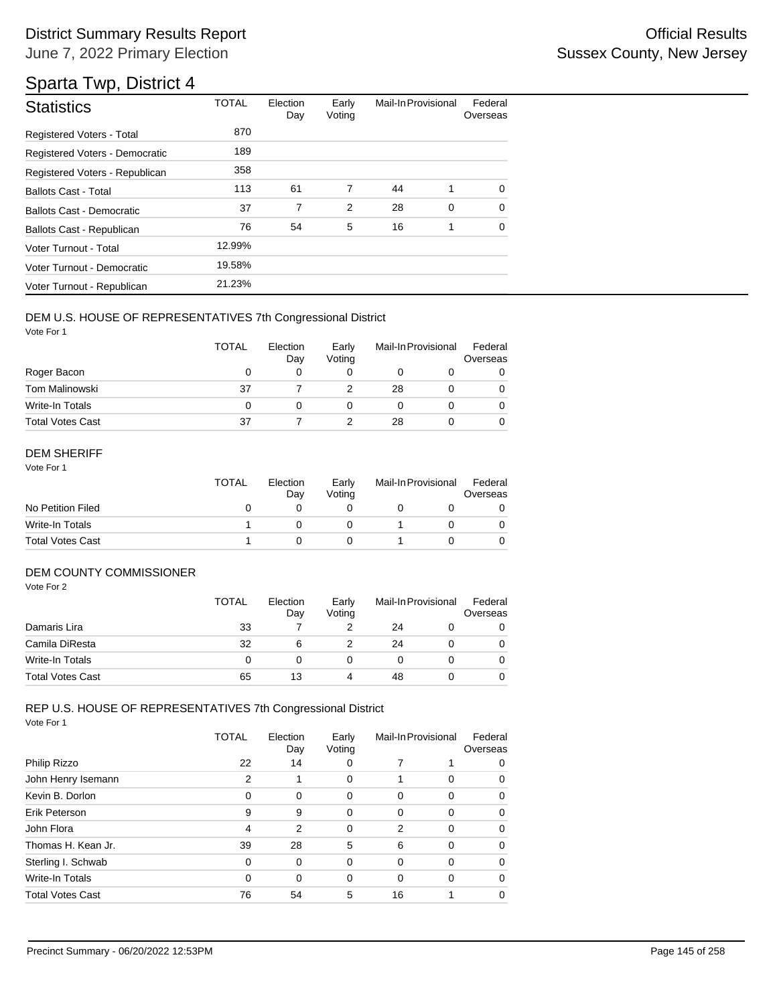## Sparta Twp, District 4

| <b>Statistics</b>                | <b>TOTAL</b> | Election<br>Day | Early<br>Voting | Mail-In Provisional |             | Federal<br>Overseas |
|----------------------------------|--------------|-----------------|-----------------|---------------------|-------------|---------------------|
| Registered Voters - Total        | 870          |                 |                 |                     |             |                     |
| Registered Voters - Democratic   | 189          |                 |                 |                     |             |                     |
| Registered Voters - Republican   | 358          |                 |                 |                     |             |                     |
| <b>Ballots Cast - Total</b>      | 113          | 61              | 7               | 44                  | 1           | $\Omega$            |
| <b>Ballots Cast - Democratic</b> | 37           | 7               | $\overline{2}$  | 28                  | $\mathbf 0$ | $\Omega$            |
| Ballots Cast - Republican        | 76           | 54              | 5               | 16                  | 1           | $\Omega$            |
| Voter Turnout - Total            | 12.99%       |                 |                 |                     |             |                     |
| Voter Turnout - Democratic       | 19.58%       |                 |                 |                     |             |                     |
| Voter Turnout - Republican       | 21.23%       |                 |                 |                     |             |                     |

#### DEM U.S. HOUSE OF REPRESENTATIVES 7th Congressional District

Vote For 1

|                         | <b>TOTAL</b> | Election<br>Day | Early<br>Voting | Mail-In Provisional |  | Federal<br>Overseas |
|-------------------------|--------------|-----------------|-----------------|---------------------|--|---------------------|
| Roger Bacon             | O            |                 |                 |                     |  |                     |
| Tom Malinowski          | 37           |                 |                 | 28                  |  |                     |
| Write-In Totals         | 0            |                 |                 |                     |  |                     |
| <b>Total Votes Cast</b> | 37           |                 |                 | 28                  |  |                     |

#### DEM SHERIFF

Vote For 1

|                         | <b>TOTAL</b> | Election<br>Dav | Early<br>Votina | Mail-In Provisional |  | Federal<br>Overseas |
|-------------------------|--------------|-----------------|-----------------|---------------------|--|---------------------|
| No Petition Filed       |              |                 |                 |                     |  |                     |
| Write-In Totals         |              |                 |                 |                     |  |                     |
| <b>Total Votes Cast</b> |              |                 |                 |                     |  |                     |

#### DEM COUNTY COMMISSIONER

Vote For 2

|                         | <b>TOTAL</b> | Election<br>Day | Early<br>Votina | Mail-In Provisional |  | Federal<br>Overseas |
|-------------------------|--------------|-----------------|-----------------|---------------------|--|---------------------|
| Damaris Lira            | 33           |                 |                 | 24                  |  | 0                   |
| Camila DiResta          | 32           | 6               |                 | 24                  |  | 0                   |
| Write-In Totals         | 0            |                 |                 |                     |  | 0                   |
| <b>Total Votes Cast</b> | 65           | 13              |                 | 48                  |  | 0                   |

## REP U.S. HOUSE OF REPRESENTATIVES 7th Congressional District

|                         | TOTAL    | Election<br>Day | Early<br>Voting | Mail-In Provisional |          | Federal<br>Overseas |
|-------------------------|----------|-----------------|-----------------|---------------------|----------|---------------------|
| Philip Rizzo            | 22       | 14              | 0               |                     |          | 0                   |
| John Henry Isemann      | 2        |                 | 0               |                     | $\Omega$ | 0                   |
| Kevin B. Dorlon         | 0        | 0               | 0               | 0                   | $\Omega$ | 0                   |
| Erik Peterson           | 9        | 9               | 0               | $\Omega$            | $\Omega$ | 0                   |
| John Flora              | 4        | $\overline{2}$  | 0               | 2                   | $\Omega$ | 0                   |
| Thomas H. Kean Jr.      | 39       | 28              | 5               | 6                   | $\Omega$ | 0                   |
| Sterling I. Schwab      | $\Omega$ | $\Omega$        | 0               | $\Omega$            | $\Omega$ | 0                   |
| Write-In Totals         | $\Omega$ | $\Omega$        | 0               | $\Omega$            | $\Omega$ | 0                   |
| <b>Total Votes Cast</b> | 76       | 54              | 5               | 16                  |          | 0                   |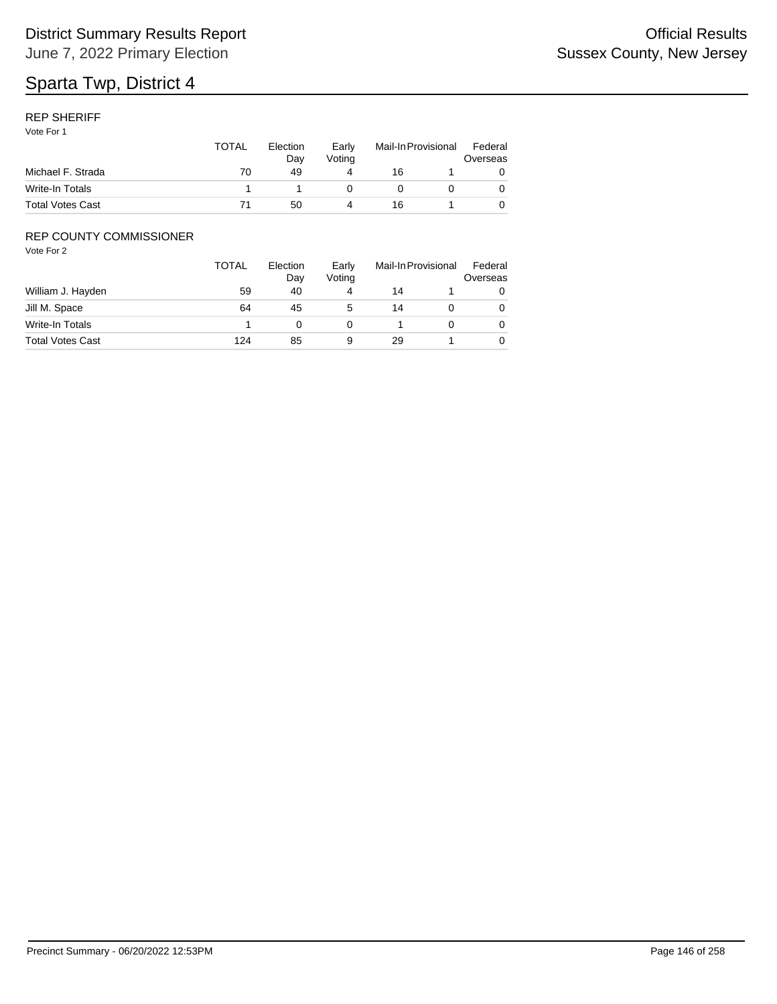#### REP SHERIFF

Vote For 1

|                         | TOTAL | Election<br>Dav | Early<br>Votina | Mail-In Provisional |  | Federal<br>Overseas |
|-------------------------|-------|-----------------|-----------------|---------------------|--|---------------------|
| Michael F. Strada       | 70    | 49              |                 | 16                  |  |                     |
| Write-In Totals         |       |                 |                 |                     |  |                     |
| <b>Total Votes Cast</b> |       | 50              |                 | 16                  |  |                     |

### REP COUNTY COMMISSIONER

|                         | TOTAL | Election<br>Day | Early<br>Voting |    | Mail-In Provisional |   |
|-------------------------|-------|-----------------|-----------------|----|---------------------|---|
| William J. Hayden       | 59    | 40              | 4               | 14 |                     | 0 |
| Jill M. Space           | 64    | 45              | 5               | 14 |                     | 0 |
| Write-In Totals         |       |                 |                 |    |                     | 0 |
| <b>Total Votes Cast</b> | 124   | 85              | 9               | 29 |                     | 0 |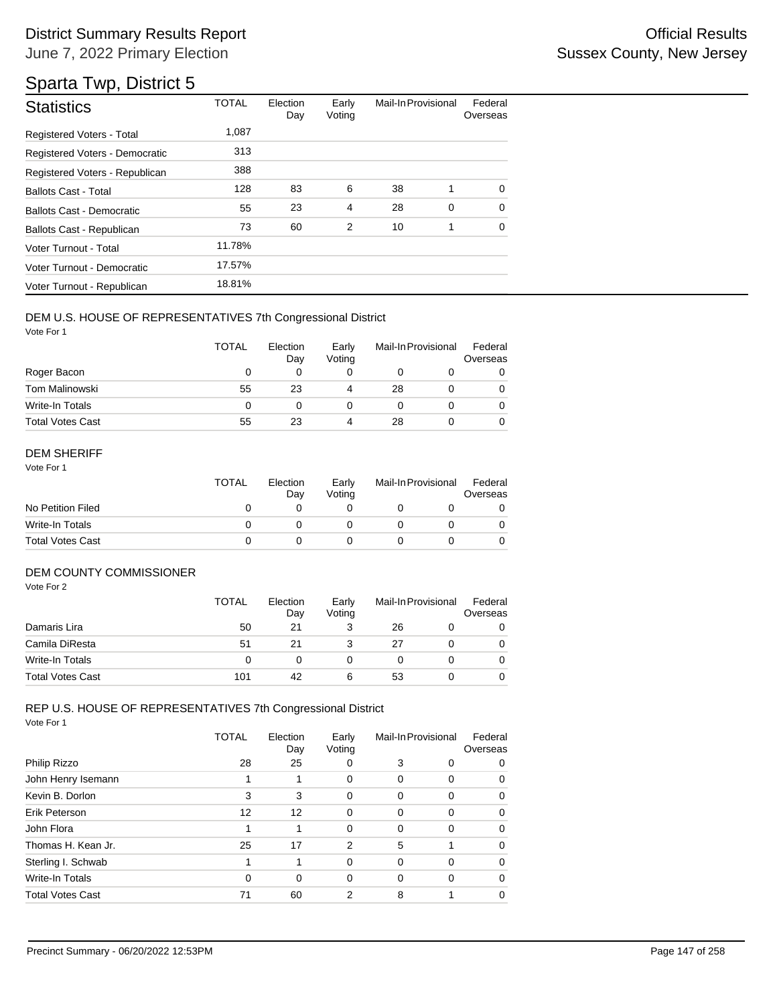| <b>Statistics</b>                | <b>TOTAL</b> | Election<br>Day | Early<br>Voting | Mail-In Provisional |   | Federal<br>Overseas |
|----------------------------------|--------------|-----------------|-----------------|---------------------|---|---------------------|
| <b>Registered Voters - Total</b> | 1,087        |                 |                 |                     |   |                     |
| Registered Voters - Democratic   | 313          |                 |                 |                     |   |                     |
| Registered Voters - Republican   | 388          |                 |                 |                     |   |                     |
| <b>Ballots Cast - Total</b>      | 128          | 83              | 6               | 38                  | 1 | $\Omega$            |
| <b>Ballots Cast - Democratic</b> | 55           | 23              | 4               | 28                  | 0 | $\Omega$            |
| Ballots Cast - Republican        | 73           | 60              | $\overline{2}$  | 10                  | 1 | $\Omega$            |
| Voter Turnout - Total            | 11.78%       |                 |                 |                     |   |                     |
| Voter Turnout - Democratic       | 17.57%       |                 |                 |                     |   |                     |
| Voter Turnout - Republican       | 18.81%       |                 |                 |                     |   |                     |

#### DEM U.S. HOUSE OF REPRESENTATIVES 7th Congressional District

Vote For 1

|                         | TOTAL | Election<br>Day | Early<br>Voting | Mail-In Provisional |  | Federal<br>Overseas |
|-------------------------|-------|-----------------|-----------------|---------------------|--|---------------------|
| Roger Bacon             | O     |                 |                 |                     |  |                     |
| Tom Malinowski          | 55    | 23              | 4               | 28                  |  |                     |
| Write-In Totals         | 0     |                 |                 |                     |  |                     |
| <b>Total Votes Cast</b> | 55    | 23              | 4               | 28                  |  |                     |

#### DEM SHERIFF

Vote For 1

|                         | TOTAL | Election<br>Dav | Early<br>Votina | Mail-In Provisional |  | Federal<br>Overseas |
|-------------------------|-------|-----------------|-----------------|---------------------|--|---------------------|
| No Petition Filed       |       |                 |                 |                     |  |                     |
| Write-In Totals         |       |                 |                 |                     |  |                     |
| <b>Total Votes Cast</b> |       |                 |                 |                     |  |                     |

### DEM COUNTY COMMISSIONER

Vote For 2

|                         | <b>TOTAL</b> | Election<br>Day | Early<br>Votina | Mail-In Provisional |  | Federal<br>Overseas |
|-------------------------|--------------|-----------------|-----------------|---------------------|--|---------------------|
| Damaris Lira            | 50           | 21              |                 | 26                  |  |                     |
| Camila DiResta          | 51           | 21              |                 | 27                  |  | 0                   |
| Write-In Totals         |              |                 |                 |                     |  | 0                   |
| <b>Total Votes Cast</b> | 101          | 42              | 6               | 53                  |  |                     |

## REP U.S. HOUSE OF REPRESENTATIVES 7th Congressional District

|                         | TOTAL    | Election<br>Day | Early<br>Voting | Mail-In Provisional |          | Federal<br>Overseas |
|-------------------------|----------|-----------------|-----------------|---------------------|----------|---------------------|
| Philip Rizzo            | 28       | 25              | 0               | 3                   | 0        | 0                   |
| John Henry Isemann      |          |                 | 0               | 0                   | 0        | 0                   |
| Kevin B. Dorlon         | 3        | 3               | 0               | 0                   | $\Omega$ | 0                   |
| Erik Peterson           | 12       | 12              | 0               | $\Omega$            | $\Omega$ | 0                   |
| John Flora              |          |                 | 0               | $\Omega$            | $\Omega$ | 0                   |
| Thomas H. Kean Jr.      | 25       | 17              | 2               | 5                   | 1        | 0                   |
| Sterling I. Schwab      |          |                 | $\Omega$        | $\Omega$            | $\Omega$ | 0                   |
| Write-In Totals         | $\Omega$ | $\Omega$        | 0               | $\Omega$            | $\Omega$ | 0                   |
| <b>Total Votes Cast</b> | 71       | 60              | 2               | 8                   |          | 0                   |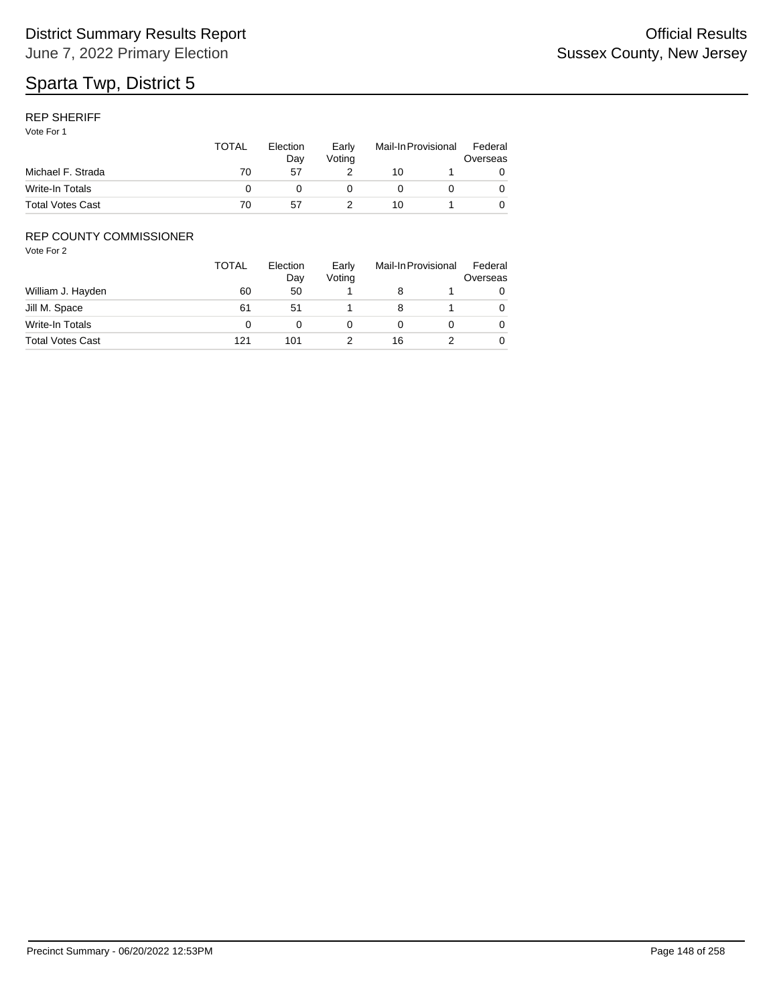#### REP SHERIFF

Vote For 1

|                         | <b>TOTAL</b> | Election<br>Dav | Early<br>Votina | Mail-In Provisional |  | Federal<br>Overseas |
|-------------------------|--------------|-----------------|-----------------|---------------------|--|---------------------|
| Michael F. Strada       | 70           | 57              |                 | 10                  |  |                     |
| Write-In Totals         |              |                 |                 |                     |  |                     |
| <b>Total Votes Cast</b> | 70           | 57              |                 | 10                  |  |                     |

### REP COUNTY COMMISSIONER

|                         | TOTAL | Election<br>Day | Early<br>Voting |    | Mail-In Provisional | Federal<br>Overseas |
|-------------------------|-------|-----------------|-----------------|----|---------------------|---------------------|
| William J. Hayden       | 60    | 50              |                 |    |                     | O                   |
| Jill M. Space           | 61    | 51              |                 |    |                     | 0                   |
| Write-In Totals         |       |                 |                 |    |                     | 0                   |
| <b>Total Votes Cast</b> | 121   | 101             |                 | 16 |                     | 0                   |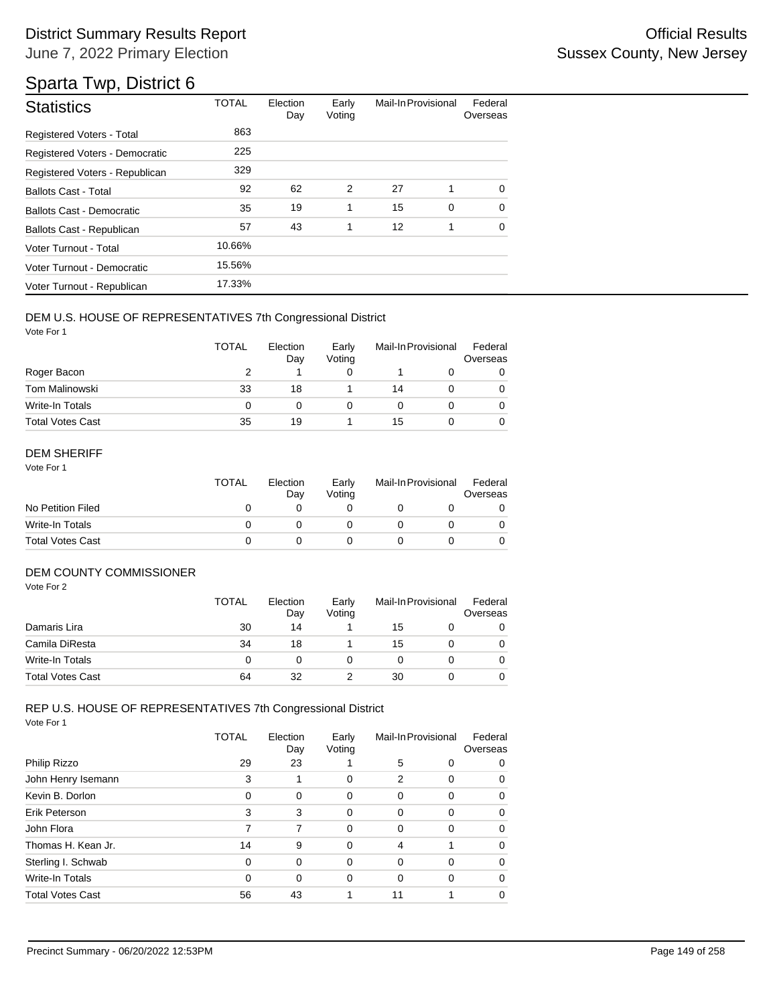# Sparta Twp, District 6

| <b>Statistics</b>              | <b>TOTAL</b> |    | Early<br>Voting | Mail-In Provisional |             | Federal<br>Overseas |
|--------------------------------|--------------|----|-----------------|---------------------|-------------|---------------------|
| Registered Voters - Total      | 863          |    |                 |                     |             |                     |
| Registered Voters - Democratic | 225          |    |                 |                     |             |                     |
| Registered Voters - Republican | 329          |    |                 |                     |             |                     |
| <b>Ballots Cast - Total</b>    | 92           | 62 | $\overline{2}$  | 27                  | 1           | $\Omega$            |
| Ballots Cast - Democratic      | 35           | 19 | 1               | 15                  | $\mathbf 0$ | $\Omega$            |
| Ballots Cast - Republican      | 57           | 43 | 1               | 12                  | 1           | 0                   |
| Voter Turnout - Total          | 10.66%       |    |                 |                     |             |                     |
| Voter Turnout - Democratic     | 15.56%       |    |                 |                     |             |                     |
| Voter Turnout - Republican     | 17.33%       |    |                 |                     |             |                     |

#### DEM U.S. HOUSE OF REPRESENTATIVES 7th Congressional District

Vote For 1

|                         | <b>TOTAL</b> | Election<br>Day | Early<br>Voting | Mail-In Provisional |  | Federal<br>Overseas |
|-------------------------|--------------|-----------------|-----------------|---------------------|--|---------------------|
| Roger Bacon             |              |                 |                 |                     |  |                     |
| Tom Malinowski          | 33           | 18              |                 | 14                  |  |                     |
| Write-In Totals         | 0            |                 |                 |                     |  |                     |
| <b>Total Votes Cast</b> | 35           | 19              |                 | 15                  |  |                     |

#### DEM SHERIFF

Vote For 1

|                         | <b>TOTAL</b> | Election<br>Dav | Early<br>Votina | Mail-In Provisional |  | Federal<br>Overseas |  |
|-------------------------|--------------|-----------------|-----------------|---------------------|--|---------------------|--|
| No Petition Filed       |              |                 |                 |                     |  |                     |  |
| Write-In Totals         |              |                 |                 |                     |  |                     |  |
| <b>Total Votes Cast</b> |              |                 |                 |                     |  |                     |  |

#### DEM COUNTY COMMISSIONER

Vote For 2

|                         | <b>TOTAL</b> | Election<br>Day | Early<br>Votina | Mail-In Provisional |  | Federal<br>Overseas |
|-------------------------|--------------|-----------------|-----------------|---------------------|--|---------------------|
| Damaris Lira            | 30           | 14              |                 | 15                  |  |                     |
| Camila DiResta          | 34           | 18              |                 | 15                  |  | 0                   |
| Write-In Totals         | O            |                 |                 |                     |  | 0                   |
| <b>Total Votes Cast</b> | 64           | 32              |                 | 30                  |  | 0                   |

## REP U.S. HOUSE OF REPRESENTATIVES 7th Congressional District

|                         | TOTAL    | Election<br>Day | Early<br>Voting |          | Mail-In Provisional | Federal<br>Overseas |
|-------------------------|----------|-----------------|-----------------|----------|---------------------|---------------------|
| Philip Rizzo            | 29       | 23              |                 | 5        | 0                   | 0                   |
| John Henry Isemann      | 3        |                 | 0               | 2        | 0                   | 0                   |
| Kevin B. Dorlon         | 0        | 0               | 0               | 0        | $\Omega$            | 0                   |
| Erik Peterson           | 3        | 3               | 0               | $\Omega$ | $\Omega$            | 0                   |
| John Flora              | 7        | 7               | 0               | 0        | $\Omega$            | 0                   |
| Thomas H. Kean Jr.      | 14       | 9               | 0               | 4        |                     | 0                   |
| Sterling I. Schwab      | $\Omega$ | 0               | $\Omega$        | 0        | $\Omega$            | 0                   |
| Write-In Totals         | 0        | 0               | 0               | 0        | $\Omega$            | 0                   |
| <b>Total Votes Cast</b> | 56       | 43              |                 | 11       |                     | 0                   |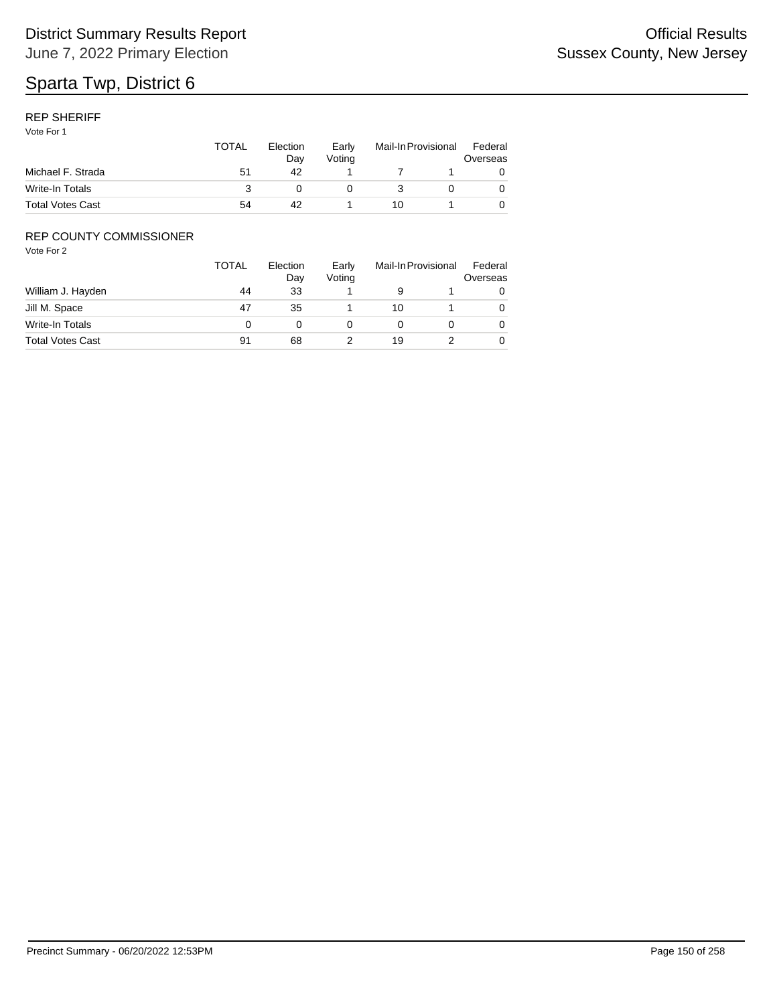#### REP SHERIFF

Vote For 1

|                         | <b>TOTAL</b> | Election<br>Dav | Early<br>Votina | Mail-In Provisional |  | Federal<br>Overseas |
|-------------------------|--------------|-----------------|-----------------|---------------------|--|---------------------|
| Michael F. Strada       | 51           | 42              |                 |                     |  |                     |
| Write-In Totals         |              |                 |                 |                     |  |                     |
| <b>Total Votes Cast</b> | 54           | 42              |                 | 10                  |  |                     |

### REP COUNTY COMMISSIONER

|                         | TOTAL | Election<br>Day | Early<br>Voting |    | Mail-In Provisional | Federal<br>Overseas |
|-------------------------|-------|-----------------|-----------------|----|---------------------|---------------------|
| William J. Hayden       | 44    | 33              |                 |    |                     | 0                   |
| Jill M. Space           | 47    | 35              |                 | 10 |                     | 0                   |
| Write-In Totals         |       |                 |                 |    |                     | 0                   |
| <b>Total Votes Cast</b> | 91    | 68              |                 | 19 |                     | 0                   |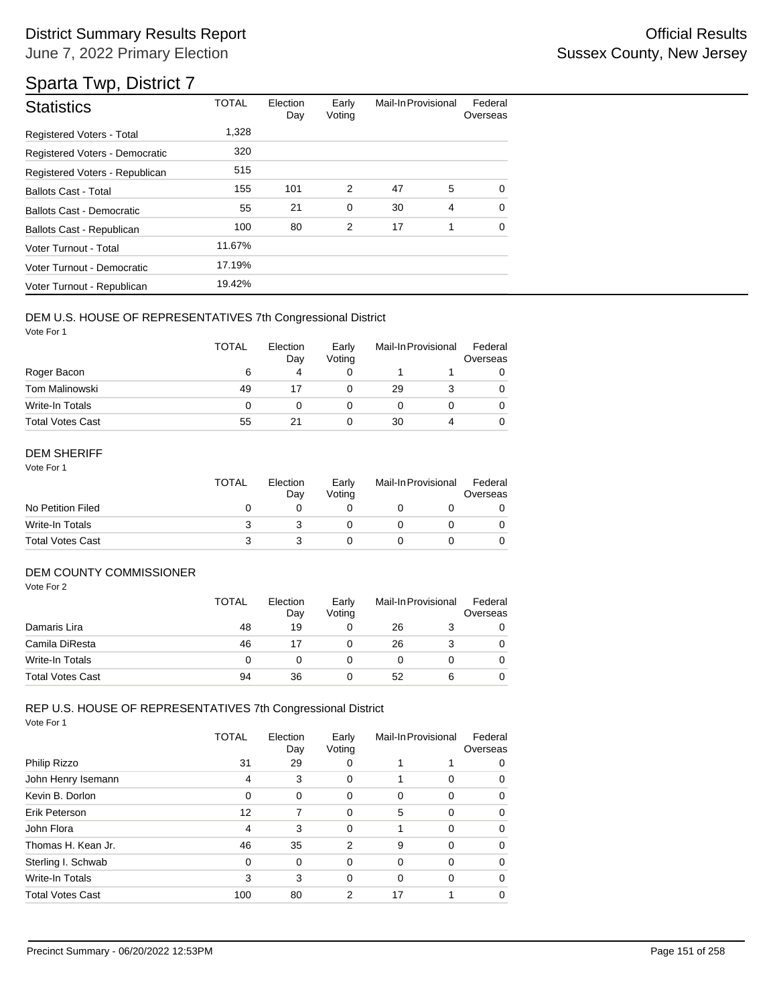# Sparta Twp, District 7

| <b>Statistics</b>                | <b>TOTAL</b> | Election<br>Day | Early<br>Voting | Mail-In Provisional |                | Federal<br>Overseas |
|----------------------------------|--------------|-----------------|-----------------|---------------------|----------------|---------------------|
| Registered Voters - Total        | 1,328        |                 |                 |                     |                |                     |
| Registered Voters - Democratic   | 320          |                 |                 |                     |                |                     |
| Registered Voters - Republican   | 515          |                 |                 |                     |                |                     |
| <b>Ballots Cast - Total</b>      | 155          | 101             | 2               | 47                  | 5              | 0                   |
| <b>Ballots Cast - Democratic</b> | 55           | 21              | 0               | 30                  | $\overline{4}$ | $\Omega$            |
| Ballots Cast - Republican        | 100          | 80              | 2               | 17                  | 1              | $\mathbf 0$         |
| Voter Turnout - Total            | 11.67%       |                 |                 |                     |                |                     |
| Voter Turnout - Democratic       | 17.19%       |                 |                 |                     |                |                     |
| Voter Turnout - Republican       | 19.42%       |                 |                 |                     |                |                     |

#### DEM U.S. HOUSE OF REPRESENTATIVES 7th Congressional District

Vote For 1

|                         | <b>TOTAL</b> | Election<br>Day | Early<br>Voting | Mail-In Provisional |  | Federal<br>Overseas |
|-------------------------|--------------|-----------------|-----------------|---------------------|--|---------------------|
| Roger Bacon             | 6            | 4               |                 |                     |  |                     |
| <b>Tom Malinowski</b>   | 49           |                 |                 | 29                  |  |                     |
| Write-In Totals         | 0            |                 |                 |                     |  |                     |
| <b>Total Votes Cast</b> | 55           |                 |                 | 30                  |  |                     |

#### DEM SHERIFF

Vote For 1

|                         | TOTAL | Election<br>Dav | Early<br>Votina | Mail-In Provisional |  | Federal<br>Overseas |
|-------------------------|-------|-----------------|-----------------|---------------------|--|---------------------|
| No Petition Filed       |       |                 |                 |                     |  |                     |
| Write-In Totals         |       |                 |                 |                     |  |                     |
| <b>Total Votes Cast</b> |       |                 |                 |                     |  |                     |

#### DEM COUNTY COMMISSIONER

Vote For 2

|                         | <b>TOTAL</b> | Election<br>Day | Early<br>Votina | Mail-In Provisional |  | Federal<br>Overseas |
|-------------------------|--------------|-----------------|-----------------|---------------------|--|---------------------|
| Damaris Lira            | 48           | 19              |                 | 26                  |  | 0                   |
| Camila DiResta          | 46           |                 |                 | 26                  |  | 0                   |
| Write-In Totals         |              |                 |                 |                     |  | 0                   |
| <b>Total Votes Cast</b> | 94           | 36              |                 | 52                  |  | 0                   |

## REP U.S. HOUSE OF REPRESENTATIVES 7th Congressional District

|                         | TOTAL    | Election<br>Day | Early<br>Voting | Mail-In Provisional |          | Federal<br>Overseas |
|-------------------------|----------|-----------------|-----------------|---------------------|----------|---------------------|
| Philip Rizzo            | 31       | 29              | 0               |                     |          | 0                   |
| John Henry Isemann      | 4        | 3               | 0               |                     | $\Omega$ | 0                   |
| Kevin B. Dorlon         | $\Omega$ | 0               | 0               | 0                   | 0        | 0                   |
| Erik Peterson           | 12       | 7               | 0               | 5                   | $\Omega$ | 0                   |
| John Flora              | 4        | 3               | 0               |                     | $\Omega$ | 0                   |
| Thomas H. Kean Jr.      | 46       | 35              | 2               | 9                   | $\Omega$ | 0                   |
| Sterling I. Schwab      | $\Omega$ | $\Omega$        | 0               | $\Omega$            | $\Omega$ | 0                   |
| Write-In Totals         | 3        | 3               | 0               | $\Omega$            | $\Omega$ | 0                   |
| <b>Total Votes Cast</b> | 100      | 80              | 2               | 17                  |          | 0                   |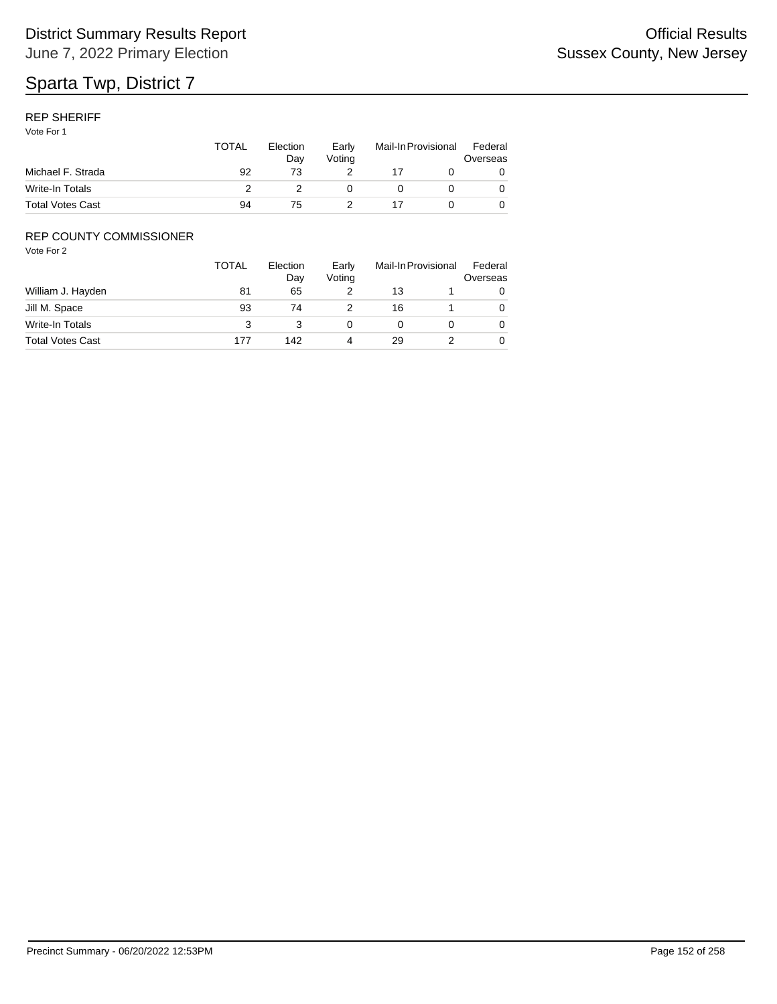#### REP SHERIFF

Vote For 1

|                         | TOTAL | Election<br>Dav | Early<br>Votina | Mail-In Provisional |  | Federal<br>Overseas |
|-------------------------|-------|-----------------|-----------------|---------------------|--|---------------------|
| Michael F. Strada       | 92    | 73              |                 |                     |  |                     |
| Write-In Totals         |       |                 |                 |                     |  |                     |
| <b>Total Votes Cast</b> | 94    | $\sqrt{5}$      |                 |                     |  |                     |

### REP COUNTY COMMISSIONER

|                         | <b>TOTAL</b> | Election<br>Day | Early<br>Voting | Mail-In Provisional |  | Federal<br>Overseas |
|-------------------------|--------------|-----------------|-----------------|---------------------|--|---------------------|
| William J. Hayden       | 81           | 65              |                 | 13                  |  | 0                   |
| Jill M. Space           | 93           | 74              |                 | 16                  |  | 0                   |
| Write-In Totals         | 3            |                 |                 |                     |  | 0                   |
| <b>Total Votes Cast</b> | 177          | 142             | 4               | 29                  |  | 0                   |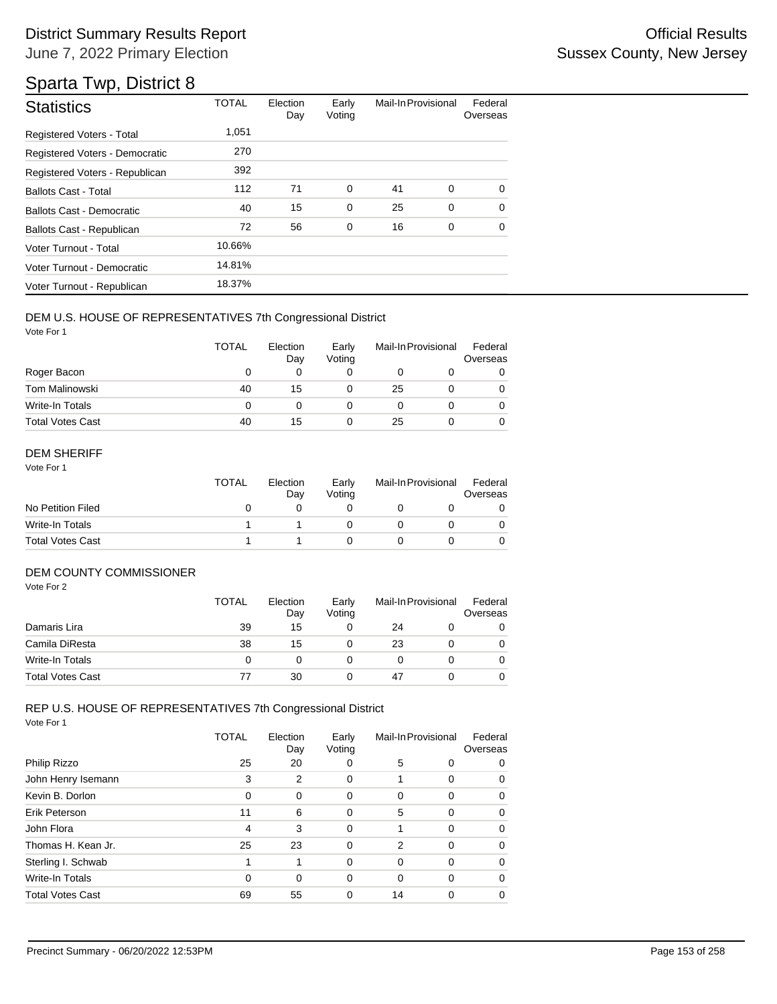| <b>Statistics</b>                | <b>TOTAL</b> | Election<br>Day | Early<br>Voting | Mail-In Provisional |   | Federal<br>Overseas |
|----------------------------------|--------------|-----------------|-----------------|---------------------|---|---------------------|
| <b>Registered Voters - Total</b> | 1,051        |                 |                 |                     |   |                     |
| Registered Voters - Democratic   | 270          |                 |                 |                     |   |                     |
| Registered Voters - Republican   | 392          |                 |                 |                     |   |                     |
| <b>Ballots Cast - Total</b>      | 112          | 71              | 0               | 41                  | 0 | $\Omega$            |
| <b>Ballots Cast - Democratic</b> | 40           | 15              | 0               | 25                  | 0 | $\Omega$            |
| Ballots Cast - Republican        | 72           | 56              | 0               | 16                  | 0 | 0                   |
| Voter Turnout - Total            | 10.66%       |                 |                 |                     |   |                     |
| Voter Turnout - Democratic       | 14.81%       |                 |                 |                     |   |                     |
| Voter Turnout - Republican       | 18.37%       |                 |                 |                     |   |                     |

#### DEM U.S. HOUSE OF REPRESENTATIVES 7th Congressional District

Vote For 1

|                         | <b>TOTAL</b> | Election<br>Day | Early<br>Voting | Mail-In Provisional |  | Federal<br>Overseas |
|-------------------------|--------------|-----------------|-----------------|---------------------|--|---------------------|
| Roger Bacon             | O            | 0               |                 |                     |  |                     |
| <b>Tom Malinowski</b>   | 40           | 15              |                 | 25                  |  |                     |
| Write-In Totals         | 0            | O               |                 |                     |  |                     |
| <b>Total Votes Cast</b> | 40           | 15              |                 | 25                  |  |                     |

#### DEM SHERIFF

Vote For 1

|                         | <b>TOTAL</b> | Election<br>Dav | Early<br>Votina | Mail-In Provisional |  | Federal<br>Overseas |  |
|-------------------------|--------------|-----------------|-----------------|---------------------|--|---------------------|--|
| No Petition Filed       |              |                 |                 |                     |  |                     |  |
| Write-In Totals         |              |                 |                 |                     |  |                     |  |
| <b>Total Votes Cast</b> |              |                 |                 |                     |  |                     |  |

#### DEM COUNTY COMMISSIONER

Vote For 2

|                         | <b>TOTAL</b> | Election<br>Day | Early<br>Votina | Mail-In Provisional |  | Federal<br>Overseas |
|-------------------------|--------------|-----------------|-----------------|---------------------|--|---------------------|
| Damaris Lira            | 39           | 15              |                 | 24                  |  |                     |
| Camila DiResta          | 38           | 15              |                 | 23                  |  | 0                   |
| Write-In Totals         | 0            |                 |                 |                     |  | 0                   |
| <b>Total Votes Cast</b> | 77           | 30              |                 | 47                  |  |                     |

## REP U.S. HOUSE OF REPRESENTATIVES 7th Congressional District

|                         | TOTAL | Election<br>Day | Early<br>Voting | Mail-In Provisional |          | Federal<br>Overseas |
|-------------------------|-------|-----------------|-----------------|---------------------|----------|---------------------|
| Philip Rizzo            | 25    | 20              | 0               | 5                   | 0        | 0                   |
| John Henry Isemann      | 3     | 2               | 0               | 1                   | 0        | 0                   |
| Kevin B. Dorlon         | 0     | 0               | 0               | 0                   | $\Omega$ | 0                   |
| Erik Peterson           | 11    | 6               | 0               | 5                   | $\Omega$ | 0                   |
| John Flora              | 4     | 3               | 0               | 1                   | $\Omega$ | 0                   |
| Thomas H. Kean Jr.      | 25    | 23              | 0               | 2                   | $\Omega$ | 0                   |
| Sterling I. Schwab      | 1     | 1               | $\Omega$        | 0                   | $\Omega$ | 0                   |
| Write-In Totals         | 0     | 0               | 0               | 0                   | $\Omega$ | 0                   |
| <b>Total Votes Cast</b> | 69    | 55              | 0               | 14                  | $\Omega$ | 0                   |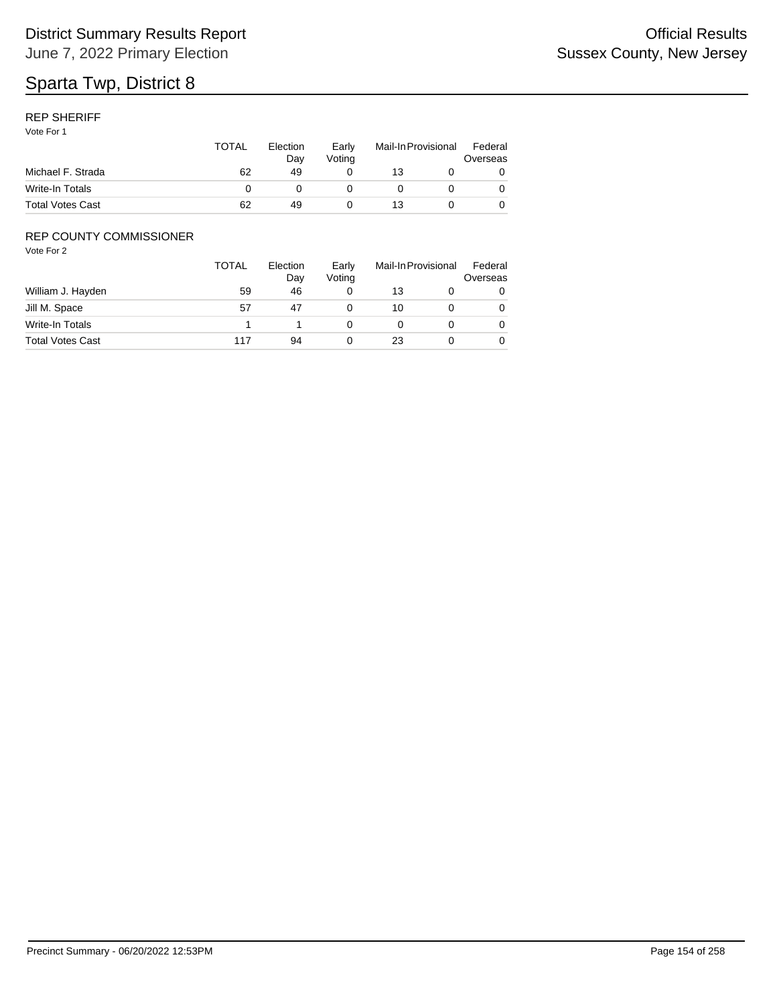#### REP SHERIFF

Vote For 1

|                         | <b>TOTAL</b> | Election<br>Dav | Early<br>Votina | Mail-In Provisional |  | Federal<br>Overseas |
|-------------------------|--------------|-----------------|-----------------|---------------------|--|---------------------|
| Michael F. Strada       | 62           | 49              |                 | 13                  |  |                     |
| Write-In Totals         |              |                 |                 |                     |  |                     |
| <b>Total Votes Cast</b> | 62           | 49              |                 | 13                  |  |                     |

### REP COUNTY COMMISSIONER

|                         | <b>TOTAL</b> | Election<br>Day | Early<br>Voting | Mail-In Provisional |  | Federal<br>Overseas |
|-------------------------|--------------|-----------------|-----------------|---------------------|--|---------------------|
| William J. Hayden       | 59           | 46              |                 | 13                  |  | 0                   |
| Jill M. Space           | 57           | 47              |                 | 10                  |  | 0                   |
| Write-In Totals         |              |                 |                 |                     |  | 0                   |
| <b>Total Votes Cast</b> | 117          | 94              |                 | 23                  |  | 0                   |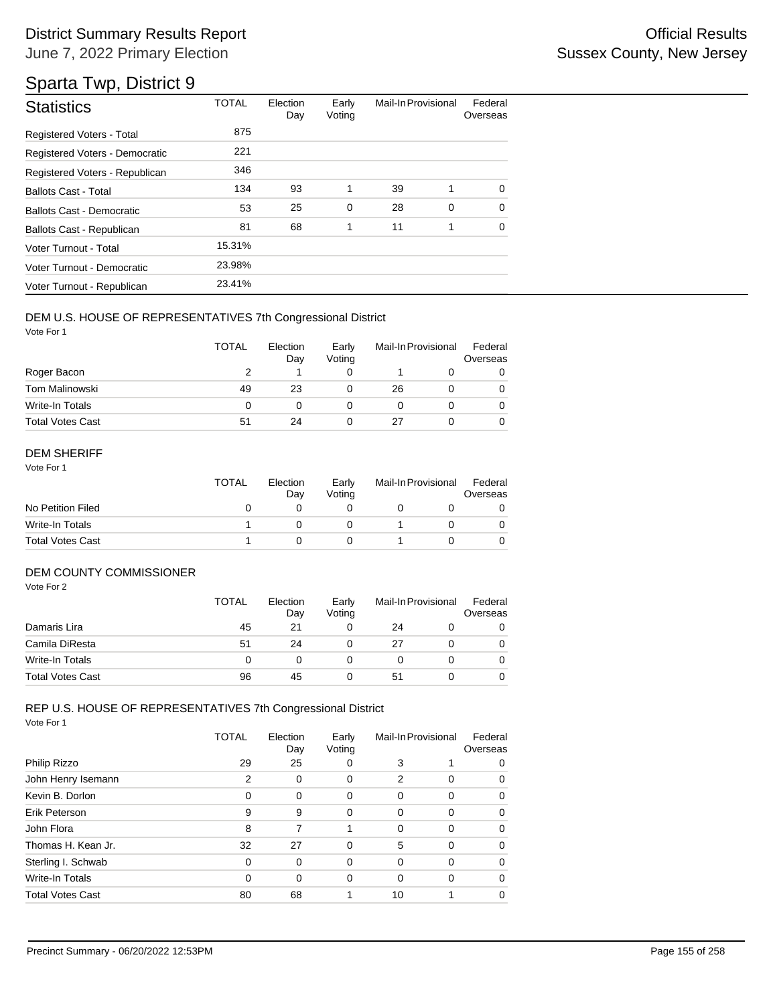# Sparta Twp, District 9

| <b>Statistics</b>                | <b>TOTAL</b> | Election<br>Day | Early<br>Voting | Mail-In Provisional |             | Federal<br>Overseas |
|----------------------------------|--------------|-----------------|-----------------|---------------------|-------------|---------------------|
| Registered Voters - Total        | 875          |                 |                 |                     |             |                     |
| Registered Voters - Democratic   | 221          |                 |                 |                     |             |                     |
| Registered Voters - Republican   | 346          |                 |                 |                     |             |                     |
| <b>Ballots Cast - Total</b>      | 134          | 93              | 1               | 39                  | 1           | 0                   |
| <b>Ballots Cast - Democratic</b> | 53           | 25              | $\mathbf 0$     | 28                  | $\mathbf 0$ | $\Omega$            |
| Ballots Cast - Republican        | 81           | 68              | 1               | 11                  | 1           | $\Omega$            |
| Voter Turnout - Total            | 15.31%       |                 |                 |                     |             |                     |
| Voter Turnout - Democratic       | 23.98%       |                 |                 |                     |             |                     |
| Voter Turnout - Republican       | 23.41%       |                 |                 |                     |             |                     |

#### DEM U.S. HOUSE OF REPRESENTATIVES 7th Congressional District

Vote For 1

|                         | <b>TOTAL</b> | Election<br>Day | Early<br>Voting | Mail-In Provisional |  | Federal<br>Overseas |
|-------------------------|--------------|-----------------|-----------------|---------------------|--|---------------------|
| Roger Bacon             |              |                 |                 |                     |  |                     |
| Tom Malinowski          | 49           | 23              |                 | 26                  |  | 0                   |
| Write-In Totals         | 0            |                 |                 |                     |  |                     |
| <b>Total Votes Cast</b> | 51           | 24              |                 | 27                  |  |                     |

#### DEM SHERIFF

Vote For 1

|                         | TOTAL | Election<br>Dav | Early<br>Votina | Mail-In Provisional |  | Federal<br>Overseas |  |
|-------------------------|-------|-----------------|-----------------|---------------------|--|---------------------|--|
| No Petition Filed       |       |                 |                 |                     |  |                     |  |
| Write-In Totals         |       |                 |                 |                     |  |                     |  |
| <b>Total Votes Cast</b> |       |                 |                 |                     |  |                     |  |

#### DEM COUNTY COMMISSIONER

Vote For 2

|                         | <b>TOTAL</b> | Election<br>Day | Early<br>Votina | Mail-In Provisional |  | Federal<br>Overseas |
|-------------------------|--------------|-----------------|-----------------|---------------------|--|---------------------|
| Damaris Lira            | 45           | 21              |                 | 24                  |  |                     |
| Camila DiResta          | 51           | 24              |                 | 27                  |  | 0                   |
| Write-In Totals         |              |                 |                 |                     |  | 0                   |
| <b>Total Votes Cast</b> | 96           | 45              |                 | 51                  |  |                     |

## REP U.S. HOUSE OF REPRESENTATIVES 7th Congressional District

|                         | TOTAL    | Election<br>Day | Early<br>Voting | Mail-In Provisional |          | Federal<br>Overseas |
|-------------------------|----------|-----------------|-----------------|---------------------|----------|---------------------|
| Philip Rizzo            | 29       | 25              | 0               | 3                   |          | 0                   |
| John Henry Isemann      | 2        | 0               | 0               | 2                   | $\Omega$ | 0                   |
| Kevin B. Dorlon         | 0        | 0               | 0               | 0                   | $\Omega$ | 0                   |
| Erik Peterson           | 9        | 9               | 0               | 0                   | $\Omega$ | 0                   |
| John Flora              | 8        | 7               |                 | $\Omega$            | $\Omega$ | 0                   |
| Thomas H. Kean Jr.      | 32       | 27              | 0               | 5                   | $\Omega$ | 0                   |
| Sterling I. Schwab      | 0        | 0               | 0               | 0                   | $\Omega$ | 0                   |
| Write-In Totals         | $\Omega$ | 0               | 0               | 0                   | $\Omega$ | 0                   |
| <b>Total Votes Cast</b> | 80       | 68              |                 | 10                  |          | 0                   |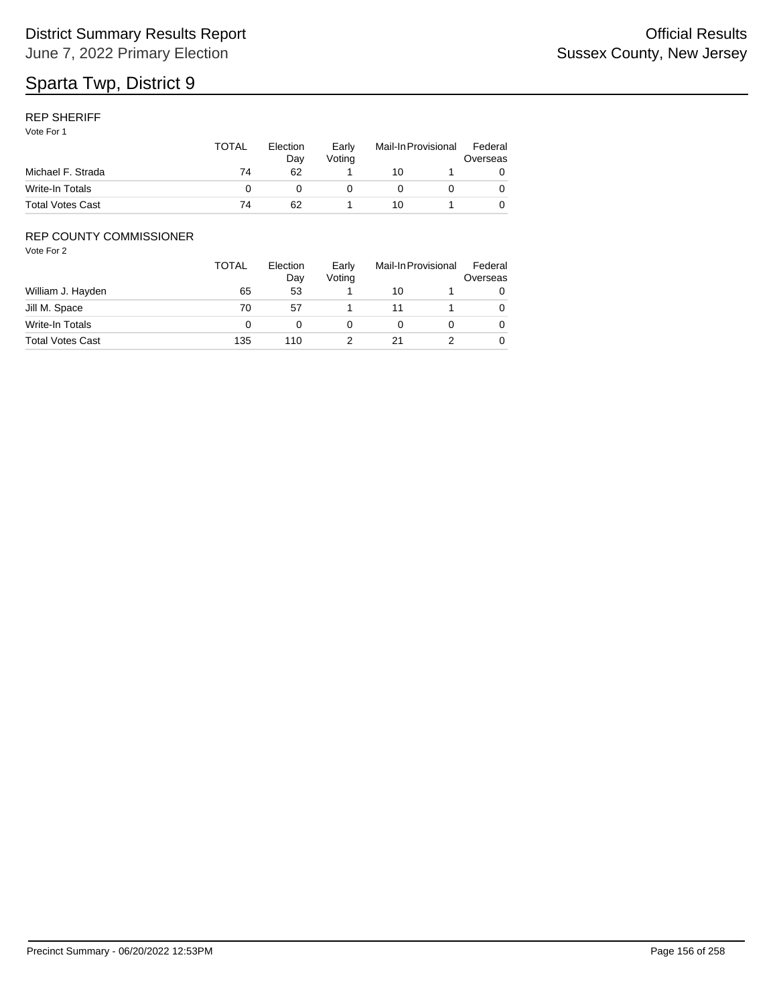#### REP SHERIFF

Vote For 1

|                         | TOTAL | Election<br>Dav | Early<br>Votina | Mail-In Provisional |  | Federal<br>Overseas |
|-------------------------|-------|-----------------|-----------------|---------------------|--|---------------------|
| Michael F. Strada       | 74    | 62              |                 | 10                  |  |                     |
| Write-In Totals         |       |                 |                 |                     |  |                     |
| <b>Total Votes Cast</b> | 74    | 62              |                 | 10                  |  |                     |

### REP COUNTY COMMISSIONER

|                         | <b>TOTAL</b> | Election<br>Day | Early<br>Voting | Mail-In Provisional |  | Federal<br>Overseas |
|-------------------------|--------------|-----------------|-----------------|---------------------|--|---------------------|
| William J. Hayden       | 65           | 53              |                 | 10                  |  | 0                   |
| Jill M. Space           | 70           | 57              |                 | 11                  |  | 0                   |
| Write-In Totals         |              |                 |                 |                     |  | 0                   |
| <b>Total Votes Cast</b> | 135          | 110             |                 | 21                  |  | 0                   |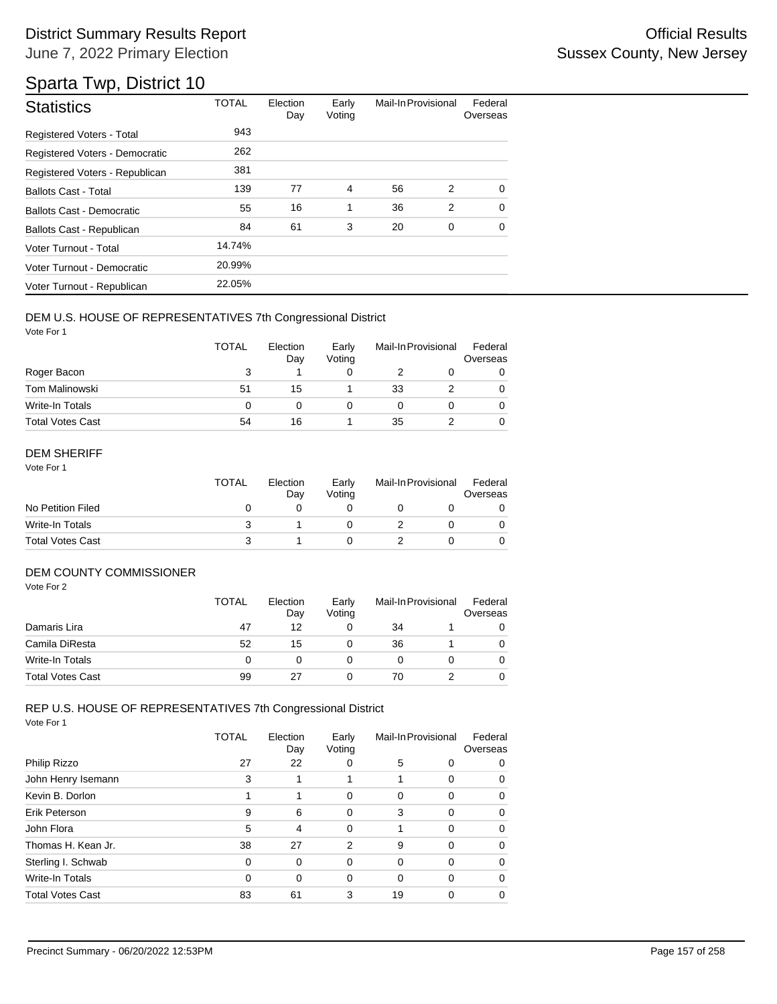# Sparta Twp, District 10

| <b>Statistics</b>                | <b>TOTAL</b> | Election<br>Day | Early<br>Voting | Mail-In Provisional |   | Federal<br>Overseas |
|----------------------------------|--------------|-----------------|-----------------|---------------------|---|---------------------|
| Registered Voters - Total        | 943          |                 |                 |                     |   |                     |
| Registered Voters - Democratic   | 262          |                 |                 |                     |   |                     |
| Registered Voters - Republican   | 381          |                 |                 |                     |   |                     |
| <b>Ballots Cast - Total</b>      | 139          | 77              | 4               | 56                  | 2 | $\Omega$            |
| <b>Ballots Cast - Democratic</b> | 55           | 16              | 1               | 36                  | 2 | $\Omega$            |
| <b>Ballots Cast - Republican</b> | 84           | 61              | 3               | 20                  | 0 | $\Omega$            |
| Voter Turnout - Total            | 14.74%       |                 |                 |                     |   |                     |
| Voter Turnout - Democratic       | 20.99%       |                 |                 |                     |   |                     |
| Voter Turnout - Republican       | 22.05%       |                 |                 |                     |   |                     |

#### DEM U.S. HOUSE OF REPRESENTATIVES 7th Congressional District

Vote For 1

|                         | <b>TOTAL</b> | Election<br>Day | Early<br>Voting | Mail-In Provisional |  | Federal<br>Overseas |
|-------------------------|--------------|-----------------|-----------------|---------------------|--|---------------------|
| Roger Bacon             |              |                 |                 |                     |  |                     |
| <b>Tom Malinowski</b>   | 51           | 15              |                 | 33                  |  | 0                   |
| Write-In Totals         | 0            | 0               |                 |                     |  |                     |
| <b>Total Votes Cast</b> | 54           | 16              |                 | 35                  |  |                     |

#### DEM SHERIFF

Vote For 1

|                         | <b>TOTAL</b> | Election<br>Dav | Early<br>Votina | Mail-In Provisional |  | Federal<br>Overseas |
|-------------------------|--------------|-----------------|-----------------|---------------------|--|---------------------|
| No Petition Filed       |              |                 |                 |                     |  |                     |
| Write-In Totals         |              |                 |                 |                     |  |                     |
| <b>Total Votes Cast</b> |              |                 |                 |                     |  |                     |

#### DEM COUNTY COMMISSIONER

Vote For 2

|                         | <b>TOTAL</b> | Election<br>Day | Early<br>Votina | Mail-In Provisional |  | Federal<br>Overseas |
|-------------------------|--------------|-----------------|-----------------|---------------------|--|---------------------|
| Damaris Lira            | 47           | 12              |                 | 34                  |  |                     |
| Camila DiResta          | 52           | 15              |                 | 36                  |  | 0                   |
| Write-In Totals         | O            |                 |                 |                     |  | 0                   |
| <b>Total Votes Cast</b> | 99           | 27              |                 | 70                  |  |                     |

## REP U.S. HOUSE OF REPRESENTATIVES 7th Congressional District

|                         | TOTAL | Election<br>Day | Early<br>Voting | Mail-In Provisional |          | Federal<br>Overseas |
|-------------------------|-------|-----------------|-----------------|---------------------|----------|---------------------|
| Philip Rizzo            | 27    | 22              | 0               | 5                   | 0        | 0                   |
| John Henry Isemann      | 3     |                 |                 |                     | $\Omega$ | 0                   |
| Kevin B. Dorlon         |       |                 | 0               | 0                   | $\Omega$ | 0                   |
| Erik Peterson           | 9     | 6               | 0               | 3                   | $\Omega$ | 0                   |
| John Flora              | 5     | 4               | 0               |                     | $\Omega$ | 0                   |
| Thomas H. Kean Jr.      | 38    | 27              | 2               | 9                   | $\Omega$ | 0                   |
| Sterling I. Schwab      | 0     | 0               | 0               | 0                   | $\Omega$ | 0                   |
| Write-In Totals         | 0     | 0               | 0               | 0                   | $\Omega$ | 0                   |
| <b>Total Votes Cast</b> | 83    | 61              | 3               | 19                  | $\Omega$ | 0                   |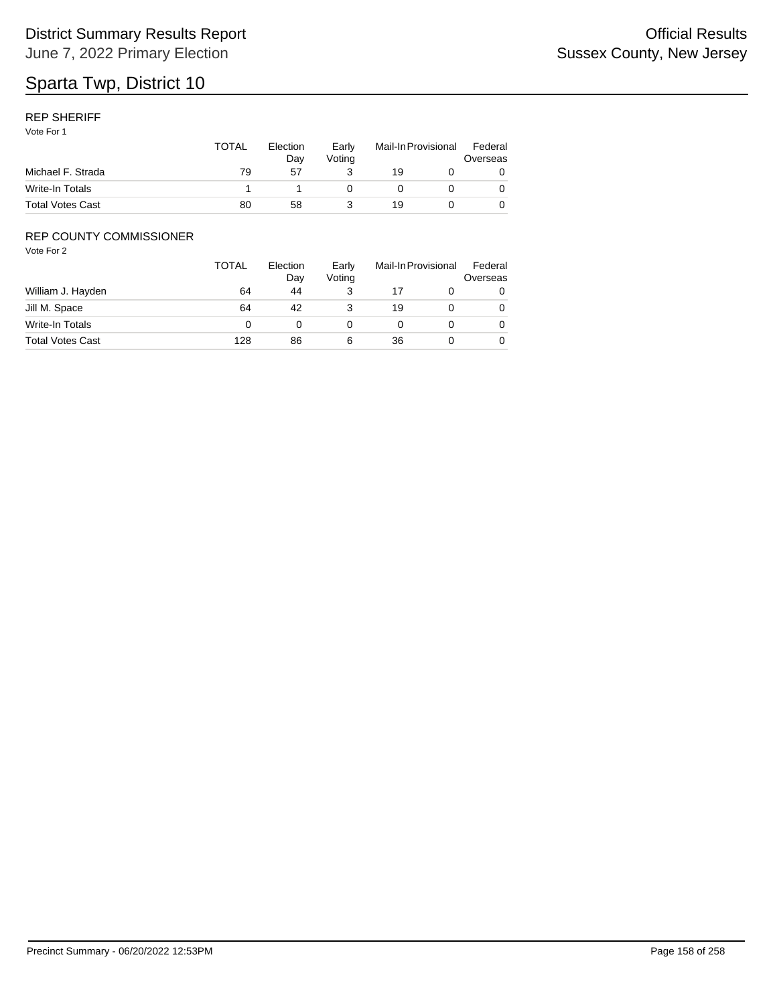#### REP SHERIFF

Vote For 1

|                         | TOTAL | Election<br>Dav | Early<br>Votina | Mail-In Provisional |  | Federal<br>Overseas |
|-------------------------|-------|-----------------|-----------------|---------------------|--|---------------------|
| Michael F. Strada       | 79    | 57              |                 | 19                  |  |                     |
| Write-In Totals         |       |                 |                 |                     |  |                     |
| <b>Total Votes Cast</b> | 80    | 58              |                 | 19                  |  |                     |

### REP COUNTY COMMISSIONER

|                         | <b>TOTAL</b> | Election<br>Day | Early<br>Voting |    | Mail-In Provisional | Federal<br>Overseas |
|-------------------------|--------------|-----------------|-----------------|----|---------------------|---------------------|
| William J. Hayden       | 64           | 44              |                 |    |                     | 0                   |
| Jill M. Space           | 64           | 42              |                 | 19 |                     | 0                   |
| Write-In Totals         |              |                 |                 |    |                     | 0                   |
| <b>Total Votes Cast</b> | 128          | 86              | 6               | 36 |                     | 0                   |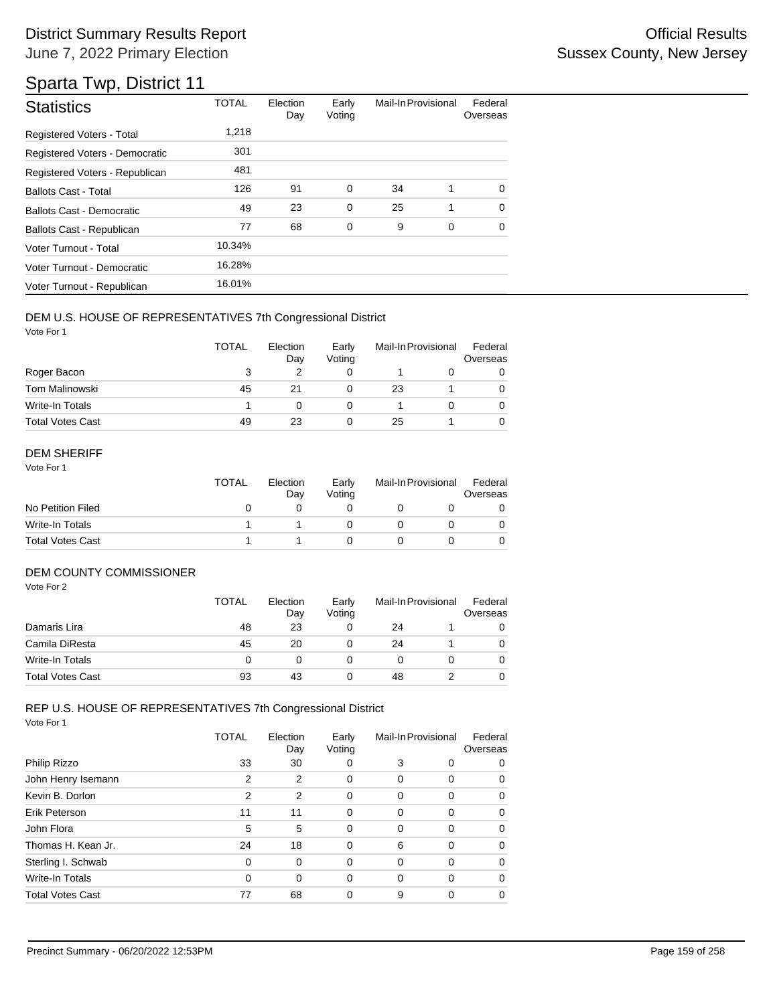| <b>Statistics</b>                | <b>TOTAL</b> | Election<br>Day | Early<br>Voting | Mail-In Provisional |   | Federal<br>Overseas |
|----------------------------------|--------------|-----------------|-----------------|---------------------|---|---------------------|
| <b>Registered Voters - Total</b> | 1,218        |                 |                 |                     |   |                     |
| Registered Voters - Democratic   | 301          |                 |                 |                     |   |                     |
| Registered Voters - Republican   | 481          |                 |                 |                     |   |                     |
| <b>Ballots Cast - Total</b>      | 126          | 91              | $\mathbf 0$     | 34                  | 1 | $\Omega$            |
| <b>Ballots Cast - Democratic</b> | 49           | 23              | $\mathbf 0$     | 25                  | 1 | $\Omega$            |
| Ballots Cast - Republican        | 77           | 68              | 0               | 9                   | 0 | $\Omega$            |
| Voter Turnout - Total            | 10.34%       |                 |                 |                     |   |                     |
| Voter Turnout - Democratic       | 16.28%       |                 |                 |                     |   |                     |
| Voter Turnout - Republican       | 16.01%       |                 |                 |                     |   |                     |

#### DEM U.S. HOUSE OF REPRESENTATIVES 7th Congressional District

Vote For 1

|                         | TOTAL | Election<br>Day | Early<br>Voting | Mail-In Provisional |  | Federal<br>Overseas |
|-------------------------|-------|-----------------|-----------------|---------------------|--|---------------------|
| Roger Bacon             |       |                 |                 |                     |  | 0                   |
| Tom Malinowski          | 45    | 21              |                 | 23                  |  |                     |
| Write-In Totals         |       |                 |                 |                     |  |                     |
| <b>Total Votes Cast</b> | 49    | 23              |                 | 25                  |  |                     |

#### DEM SHERIFF

Vote For 1

|                         | TOTAL | Election<br>Dav | Early<br>Votina | Mail-In Provisional |  | Federal<br>Overseas |  |
|-------------------------|-------|-----------------|-----------------|---------------------|--|---------------------|--|
| No Petition Filed       |       |                 |                 |                     |  |                     |  |
| Write-In Totals         |       |                 |                 |                     |  |                     |  |
| <b>Total Votes Cast</b> |       |                 |                 |                     |  |                     |  |

### DEM COUNTY COMMISSIONER

Vote For 2

|                         | <b>TOTAL</b> | Election<br>Day | Early<br>Votina |    | Mail-In Provisional | Federal<br>Overseas |
|-------------------------|--------------|-----------------|-----------------|----|---------------------|---------------------|
| Damaris Lira            | 48           | 23              |                 | 24 |                     | 0                   |
| Camila DiResta          | 45           | 20              |                 | 24 |                     | 0                   |
| Write-In Totals         | 0            | ი               |                 |    |                     | 0                   |
| <b>Total Votes Cast</b> | 93           | 43              |                 | 48 |                     | 0                   |

## REP U.S. HOUSE OF REPRESENTATIVES 7th Congressional District

|                         | TOTAL    | Election<br>Day | Early<br>Voting | Mail-In Provisional |          | Federal<br>Overseas |
|-------------------------|----------|-----------------|-----------------|---------------------|----------|---------------------|
| Philip Rizzo            | 33       | 30              | 0               | 3                   | 0        | 0                   |
| John Henry Isemann      | 2        | 2               | 0               | 0                   | 0        | 0                   |
| Kevin B. Dorlon         | 2        | $\overline{2}$  | 0               | 0                   | $\Omega$ | 0                   |
| Erik Peterson           | 11       | 11              | 0               | 0                   | $\Omega$ | 0                   |
| John Flora              | 5        | 5               | 0               | $\Omega$            | $\Omega$ | 0                   |
| Thomas H. Kean Jr.      | 24       | 18              | 0               | 6                   | $\Omega$ | 0                   |
| Sterling I. Schwab      | 0        | 0               | 0               | 0                   | $\Omega$ | 0                   |
| Write-In Totals         | $\Omega$ | 0               | 0               | 0                   | $\Omega$ | 0                   |
| <b>Total Votes Cast</b> | 77       | 68              | 0               | 9                   | $\Omega$ | 0                   |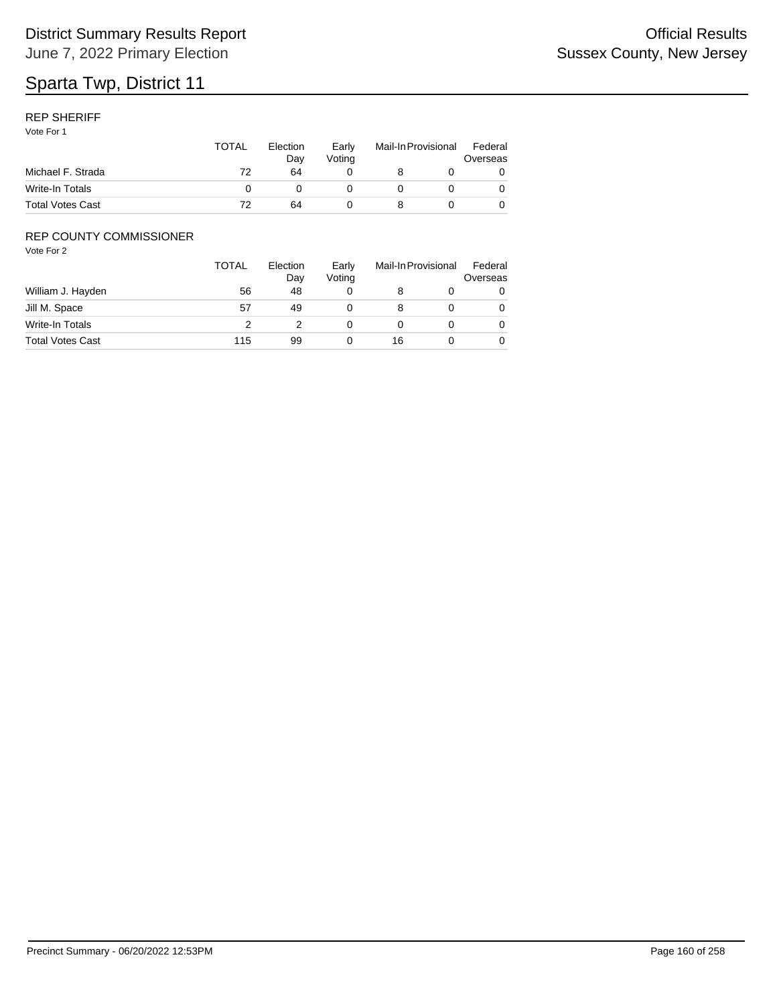#### REP SHERIFF

Vote For 1

|                         | TOTAL | Election<br>Dav | Early<br>Votina | Mail-In Provisional |  | Federal<br>Overseas |
|-------------------------|-------|-----------------|-----------------|---------------------|--|---------------------|
| Michael F. Strada       | 72    | 64              |                 |                     |  |                     |
| Write-In Totals         |       |                 |                 |                     |  |                     |
| <b>Total Votes Cast</b> | 72    | 64              |                 |                     |  |                     |

### REP COUNTY COMMISSIONER

|                         | <b>TOTAL</b> | Election<br>Day | Early<br>Voting |    | Mail-In Provisional | Federal<br>Overseas |
|-------------------------|--------------|-----------------|-----------------|----|---------------------|---------------------|
| William J. Hayden       | 56           | 48              |                 |    |                     | 0                   |
| Jill M. Space           | 57           | 49              |                 |    |                     | 0                   |
| Write-In Totals         | っ            |                 |                 |    |                     | 0                   |
| <b>Total Votes Cast</b> | 115          | 99              |                 | 16 |                     | 0                   |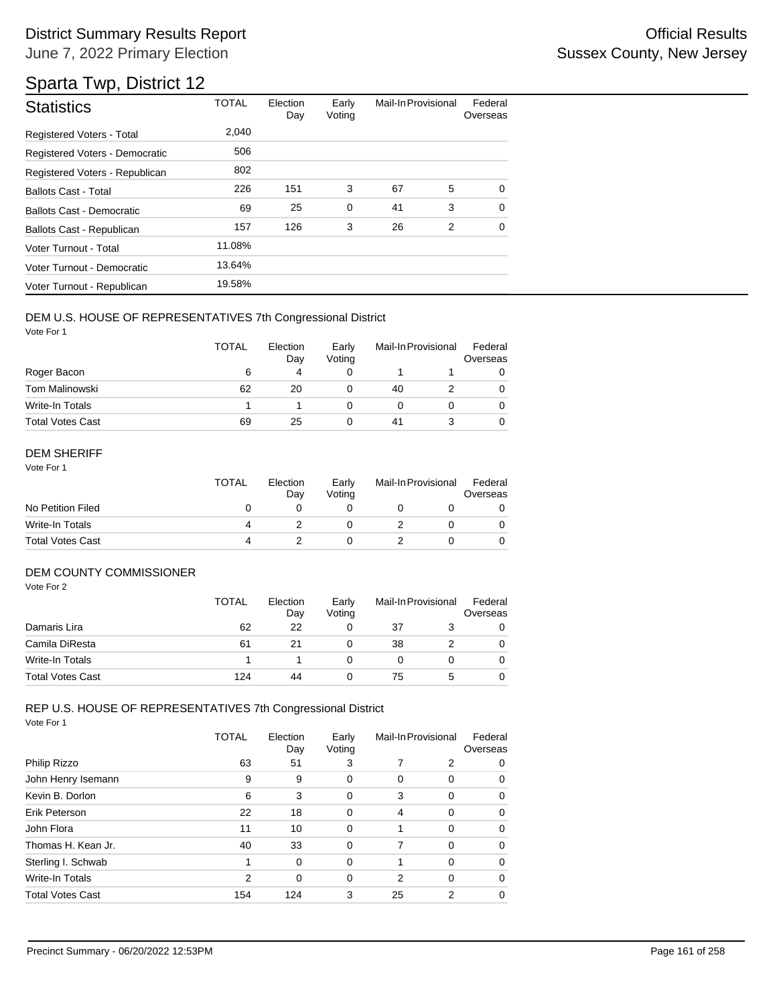## Sparta Twp, District 12

| <b>Statistics</b>                | <b>TOTAL</b> | Election<br>Day | Early<br>Voting | Mail-In Provisional |   | Federal<br>Overseas |
|----------------------------------|--------------|-----------------|-----------------|---------------------|---|---------------------|
| Registered Voters - Total        | 2,040        |                 |                 |                     |   |                     |
| Registered Voters - Democratic   | 506          |                 |                 |                     |   |                     |
| Registered Voters - Republican   | 802          |                 |                 |                     |   |                     |
| <b>Ballots Cast - Total</b>      | 226          | 151             | 3               | 67                  | 5 | $\Omega$            |
| Ballots Cast - Democratic        | 69           | 25              | $\mathbf 0$     | 41                  | 3 | $\Omega$            |
| <b>Ballots Cast - Republican</b> | 157          | 126             | 3               | 26                  | 2 | $\Omega$            |
| Voter Turnout - Total            | 11.08%       |                 |                 |                     |   |                     |
| Voter Turnout - Democratic       | 13.64%       |                 |                 |                     |   |                     |
| Voter Turnout - Republican       | 19.58%       |                 |                 |                     |   |                     |

#### DEM U.S. HOUSE OF REPRESENTATIVES 7th Congressional District

Vote For 1

|                         | <b>TOTAL</b> | Election<br>Day | Early<br>Voting | Mail-In Provisional |  | Federal<br>Overseas |
|-------------------------|--------------|-----------------|-----------------|---------------------|--|---------------------|
| Roger Bacon             | 6            | 4               |                 |                     |  |                     |
| <b>Tom Malinowski</b>   | 62           | 20              |                 | 40                  |  | 0                   |
| Write-In Totals         |              |                 |                 |                     |  |                     |
| <b>Total Votes Cast</b> | 69           | 25              |                 | 41                  |  |                     |

#### DEM SHERIFF

Vote For 1

|                         | <b>TOTAL</b> | Election<br>Dav | Early<br>Votina | Mail-In Provisional |  | Federal<br>Overseas |
|-------------------------|--------------|-----------------|-----------------|---------------------|--|---------------------|
| No Petition Filed       |              |                 |                 |                     |  |                     |
| Write-In Totals         |              |                 |                 |                     |  |                     |
| <b>Total Votes Cast</b> | Δ            |                 |                 |                     |  |                     |

#### DEM COUNTY COMMISSIONER

Vote For 2

|                         | TOTAL | Election<br>Day | Early<br>Votina |    | Mail-In Provisional | Federal<br>Overseas |
|-------------------------|-------|-----------------|-----------------|----|---------------------|---------------------|
| Damaris Lira            | 62    | 22              |                 | 37 |                     | 0                   |
| Camila DiResta          | 61    | 21              |                 | 38 |                     | $\Omega$            |
| Write-In Totals         |       |                 |                 |    |                     | 0                   |
| <b>Total Votes Cast</b> | 124   | 44              |                 | 75 |                     | 0                   |

## REP U.S. HOUSE OF REPRESENTATIVES 7th Congressional District

|                         | TOTAL | Election<br>Day | Early<br>Voting | Mail-In Provisional |             | Federal<br>Overseas |
|-------------------------|-------|-----------------|-----------------|---------------------|-------------|---------------------|
| Philip Rizzo            | 63    | 51              | 3               | 7                   | 2           | 0                   |
| John Henry Isemann      | 9     | 9               | 0               | 0                   | 0           | 0                   |
| Kevin B. Dorlon         | 6     | 3               | 0               | 3                   | $\mathbf 0$ | 0                   |
| Erik Peterson           | 22    | 18              | 0               | 4                   | $\Omega$    | $\Omega$            |
| John Flora              | 11    | 10              | 0               |                     | $\Omega$    | 0                   |
| Thomas H. Kean Jr.      | 40    | 33              | $\mathbf 0$     | 7                   | $\mathbf 0$ | 0                   |
| Sterling I. Schwab      | 1     | $\Omega$        | 0               |                     | $\Omega$    | 0                   |
| Write-In Totals         | 2     | $\Omega$        | 0               | 2                   | $\Omega$    | $\Omega$            |
| <b>Total Votes Cast</b> | 154   | 124             | 3               | 25                  | 2           | 0                   |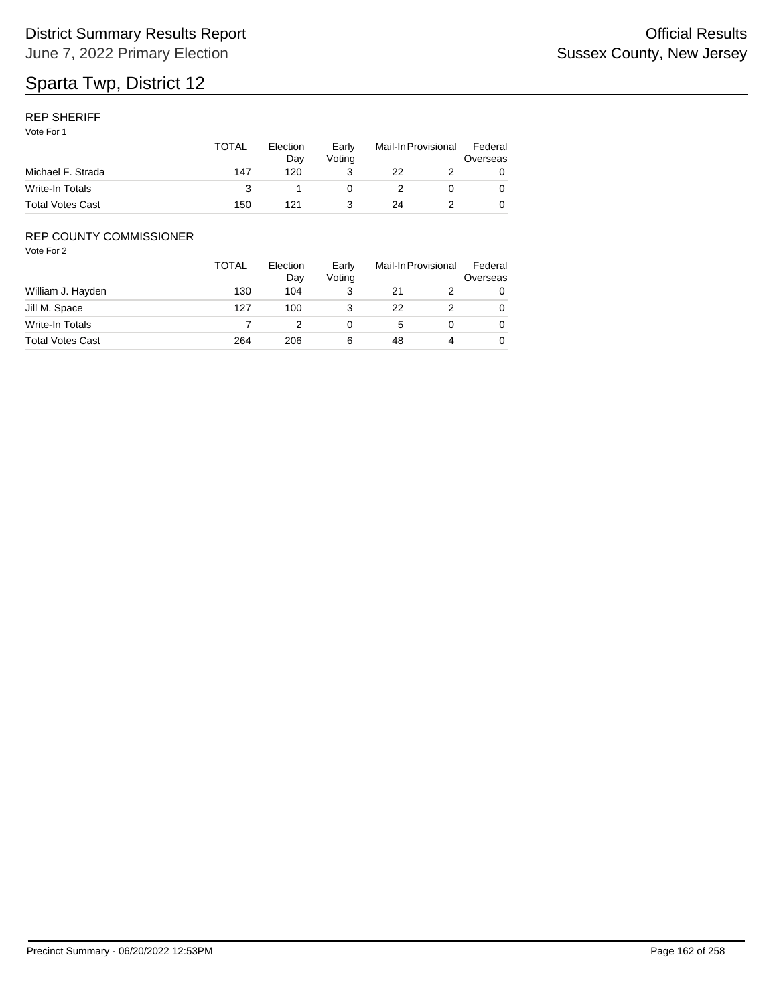#### REP SHERIFF

Vote For 1

|                         | TOTAL | Election<br>Dav<br>120 | Early<br>Votina | Mail-In Provisional |  | Federal<br>Overseas |
|-------------------------|-------|------------------------|-----------------|---------------------|--|---------------------|
| Michael F. Strada       | 147   |                        |                 | 22                  |  |                     |
| Write-In Totals         |       |                        |                 |                     |  |                     |
| <b>Total Votes Cast</b> | 150   | 121                    |                 | 24                  |  |                     |

### REP COUNTY COMMISSIONER

|                         | <b>TOTAL</b> | Election<br>Day | Early<br>Voting |    | Mail-In Provisional | Federal<br>Overseas |
|-------------------------|--------------|-----------------|-----------------|----|---------------------|---------------------|
| William J. Hayden       | 130          | 104             |                 | 21 |                     | 0                   |
| Jill M. Space           | 127          | 100             |                 | 22 |                     | 0                   |
| Write-In Totals         |              |                 |                 | 5  |                     | 0                   |
| <b>Total Votes Cast</b> | 264          | 206             | 6               | 48 |                     | 0                   |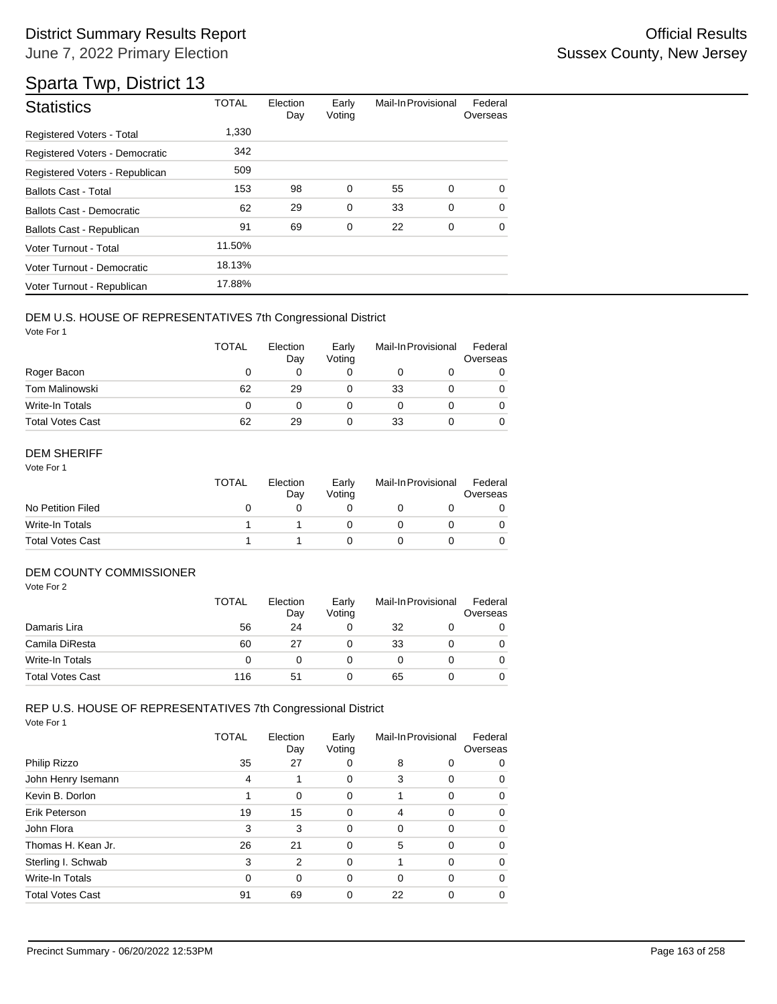# Sparta Twp, District 13

| <b>Statistics</b>                | <b>TOTAL</b> | Election<br>Day | Early<br>Voting | Mail-In Provisional |   | Federal<br>Overseas |
|----------------------------------|--------------|-----------------|-----------------|---------------------|---|---------------------|
| Registered Voters - Total        | 1.330        |                 |                 |                     |   |                     |
| Registered Voters - Democratic   | 342          |                 |                 |                     |   |                     |
| Registered Voters - Republican   | 509          |                 |                 |                     |   |                     |
| <b>Ballots Cast - Total</b>      | 153          | 98              | 0               | 55                  | 0 | $\Omega$            |
| <b>Ballots Cast - Democratic</b> | 62           | 29              | $\mathbf 0$     | 33                  | 0 | $\Omega$            |
| Ballots Cast - Republican        | 91           | 69              | $\mathbf 0$     | 22                  | 0 | $\Omega$            |
| Voter Turnout - Total            | 11.50%       |                 |                 |                     |   |                     |
| Voter Turnout - Democratic       | 18.13%       |                 |                 |                     |   |                     |
| Voter Turnout - Republican       | 17.88%       |                 |                 |                     |   |                     |

#### DEM U.S. HOUSE OF REPRESENTATIVES 7th Congressional District

Vote For 1

|                         | <b>TOTAL</b> | Election<br>Day | Early<br>Voting | Mail-In Provisional |  | Federal<br>Overseas |
|-------------------------|--------------|-----------------|-----------------|---------------------|--|---------------------|
| Roger Bacon             | O            |                 |                 |                     |  |                     |
| Tom Malinowski          | 62           | 29              |                 | 33                  |  |                     |
| Write-In Totals         | 0            |                 |                 |                     |  |                     |
| <b>Total Votes Cast</b> | 62           | 29              |                 | 33                  |  |                     |

#### DEM SHERIFF

Vote For 1

|                         | TOTAL | Election<br>Dav | Early<br>Votina | Mail-In Provisional |  | Federal<br>Overseas |
|-------------------------|-------|-----------------|-----------------|---------------------|--|---------------------|
| No Petition Filed       |       |                 |                 |                     |  |                     |
| Write-In Totals         |       |                 |                 |                     |  |                     |
| <b>Total Votes Cast</b> |       |                 |                 |                     |  |                     |

#### DEM COUNTY COMMISSIONER

Vote For 2

|                         | <b>TOTAL</b> | Election<br>Day | Early<br>Votina | Mail-In Provisional |  | Federal<br>Overseas |
|-------------------------|--------------|-----------------|-----------------|---------------------|--|---------------------|
| Damaris Lira            | 56           | 24              |                 | 32                  |  |                     |
| Camila DiResta          | 60           | 27              |                 | 33                  |  | 0                   |
| Write-In Totals         |              | O               |                 |                     |  | 0                   |
| <b>Total Votes Cast</b> | 116          | 51              |                 | 65                  |  |                     |

## REP U.S. HOUSE OF REPRESENTATIVES 7th Congressional District

|                         | <b>TOTAL</b> | Election<br>Day | Early<br>Voting | Mail-In Provisional |          | Federal<br>Overseas |
|-------------------------|--------------|-----------------|-----------------|---------------------|----------|---------------------|
| Philip Rizzo            | 35           | 27              | 0               | 8                   | 0        | 0                   |
| John Henry Isemann      | 4            |                 | 0               | 3                   | 0        | 0                   |
| Kevin B. Dorlon         |              | $\Omega$        | 0               |                     | $\Omega$ | 0                   |
| Erik Peterson           | 19           | 15              | 0               | 4                   | $\Omega$ | 0                   |
| John Flora              | 3            | 3               | 0               | $\Omega$            | $\Omega$ | 0                   |
| Thomas H. Kean Jr.      | 26           | 21              | 0               | 5                   | $\Omega$ | 0                   |
| Sterling I. Schwab      | 3            | $\overline{2}$  | 0               |                     | $\Omega$ | 0                   |
| Write-In Totals         | $\Omega$     | 0               | 0               | $\Omega$            | $\Omega$ | 0                   |
| <b>Total Votes Cast</b> | 91           | 69              | 0               | 22                  | 0        | 0                   |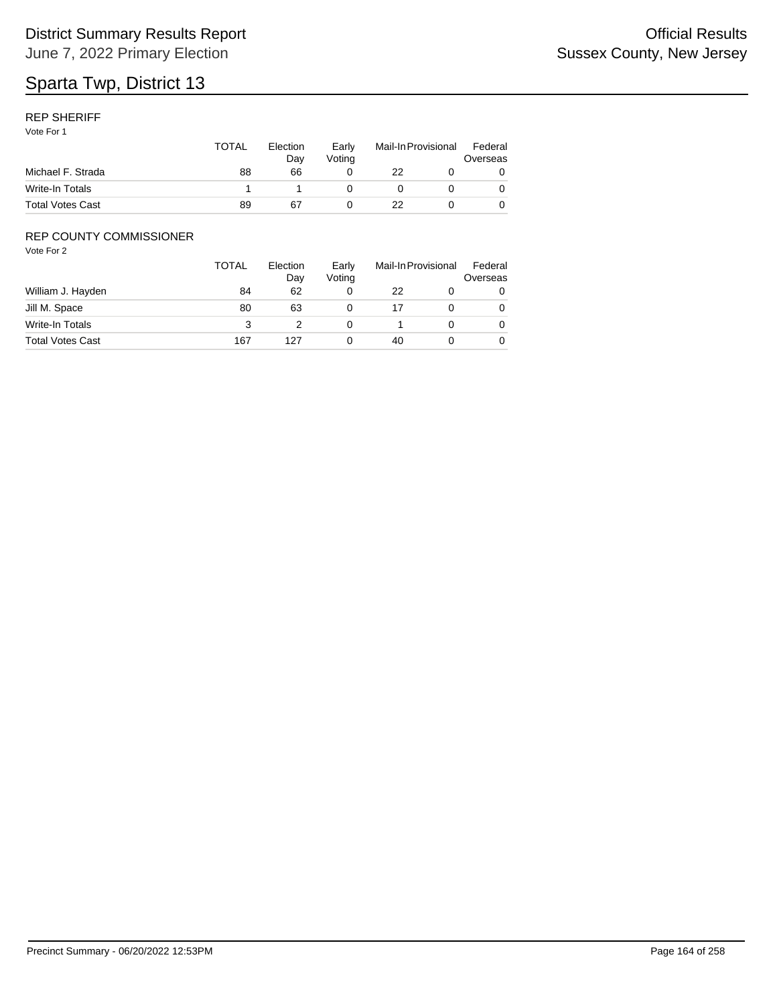#### REP SHERIFF

Vote For 1

|                         | TOTAL | Election<br>Dav<br>66 | Early<br>Votina | Mail-In Provisional |  | Federal<br>Overseas |
|-------------------------|-------|-----------------------|-----------------|---------------------|--|---------------------|
| Michael F. Strada       | 88    |                       |                 | 22                  |  |                     |
| Write-In Totals         |       |                       |                 |                     |  |                     |
| <b>Total Votes Cast</b> | 89    | 67                    |                 | 22                  |  |                     |

### REP COUNTY COMMISSIONER

|                         | <b>TOTAL</b> | Election<br>Day | Early<br>Voting |    | Mail-In Provisional | Federal<br>Overseas |
|-------------------------|--------------|-----------------|-----------------|----|---------------------|---------------------|
| William J. Hayden       | 84           | 62              |                 | 22 |                     | 0                   |
| Jill M. Space           | 80           | 63              |                 |    |                     | 0                   |
| Write-In Totals         | 3            |                 |                 |    |                     | 0                   |
| <b>Total Votes Cast</b> | 167          | 127             |                 | 40 |                     | 0                   |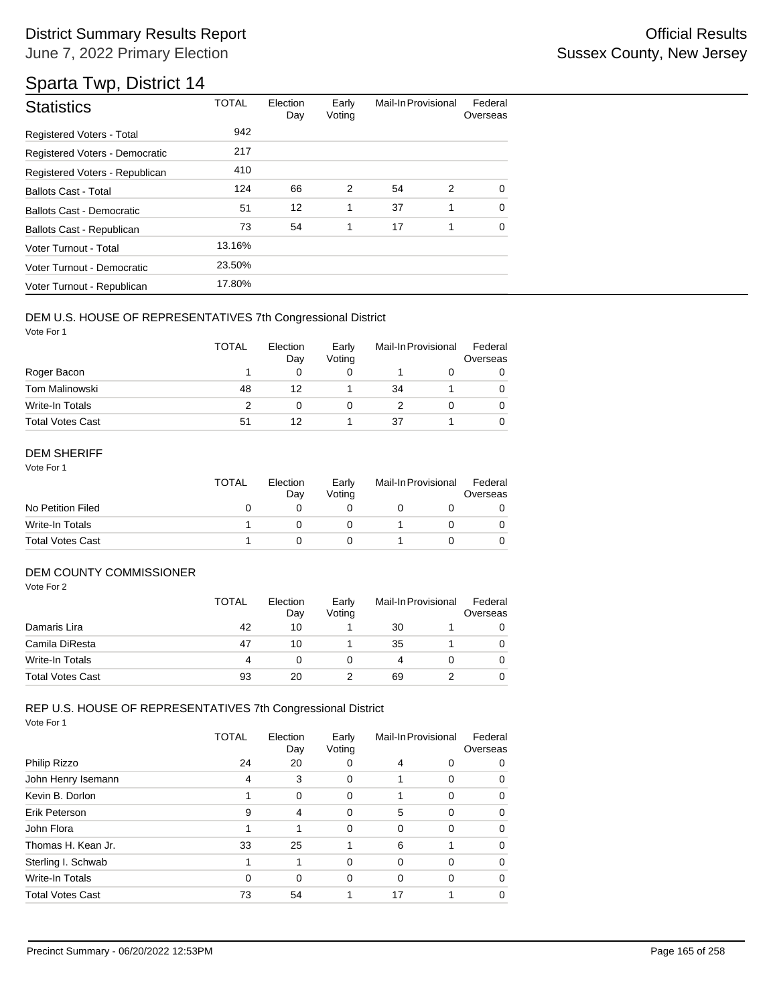### District Summary Results Report **Container and Container Container Container Container Container Container Container** June 7, 2022 Primary Election

## Sparta Twp, District 14

| <b>Statistics</b>                | <b>TOTAL</b> | Election<br>Day | Early<br>Voting | Mail-In Provisional |   | Federal<br>Overseas |
|----------------------------------|--------------|-----------------|-----------------|---------------------|---|---------------------|
| Registered Voters - Total        | 942          |                 |                 |                     |   |                     |
| Registered Voters - Democratic   | 217          |                 |                 |                     |   |                     |
| Registered Voters - Republican   | 410          |                 |                 |                     |   |                     |
| <b>Ballots Cast - Total</b>      | 124          | 66              | 2               | 54                  | 2 | 0                   |
| <b>Ballots Cast - Democratic</b> | 51           | 12              | 1               | 37                  | 1 | $\Omega$            |
| Ballots Cast - Republican        | 73           | 54              | 1               | 17                  | 1 | $\Omega$            |
| Voter Turnout - Total            | 13.16%       |                 |                 |                     |   |                     |
| Voter Turnout - Democratic       | 23.50%       |                 |                 |                     |   |                     |
| Voter Turnout - Republican       | 17.80%       |                 |                 |                     |   |                     |

#### DEM U.S. HOUSE OF REPRESENTATIVES 7th Congressional District

Vote For 1

|                         | <b>TOTAL</b> | Election<br>Day | Early<br>Voting | Mail-In Provisional |  | Federal<br>Overseas |
|-------------------------|--------------|-----------------|-----------------|---------------------|--|---------------------|
| Roger Bacon             |              |                 |                 |                     |  |                     |
| Tom Malinowski          | 48           | 12              |                 | 34                  |  |                     |
| Write-In Totals         |              | O               |                 |                     |  |                     |
| <b>Total Votes Cast</b> | 51           | 12              |                 | 37                  |  |                     |

#### DEM SHERIFF

Vote For 1

|                         | <b>TOTAL</b> | Election<br>Dav | Early<br>Votina | Mail-In Provisional |  | Federal<br>Overseas |
|-------------------------|--------------|-----------------|-----------------|---------------------|--|---------------------|
| No Petition Filed       |              |                 |                 |                     |  |                     |
| Write-In Totals         |              |                 |                 |                     |  |                     |
| <b>Total Votes Cast</b> |              |                 |                 |                     |  |                     |

#### DEM COUNTY COMMISSIONER

Vote For 2

|                         | <b>TOTAL</b> | Election<br>Day | Early<br>Votina | Mail-In Provisional |  | Federal<br>Overseas |
|-------------------------|--------------|-----------------|-----------------|---------------------|--|---------------------|
| Damaris Lira            | 42           | 10              |                 | 30                  |  |                     |
| Camila DiResta          | 47           | 10              |                 | 35                  |  | 0                   |
| Write-In Totals         | Δ            | O               |                 | 4                   |  | 0                   |
| <b>Total Votes Cast</b> | 93           | 20              |                 | 69                  |  |                     |

## REP U.S. HOUSE OF REPRESENTATIVES 7th Congressional District

|                         | TOTAL    | Election<br>Day | Early<br>Voting | Mail-In Provisional |             | Federal<br>Overseas |
|-------------------------|----------|-----------------|-----------------|---------------------|-------------|---------------------|
| Philip Rizzo            | 24       | 20              | 0               | 4                   | 0           | 0                   |
| John Henry Isemann      | 4        | 3               | 0               |                     | $\Omega$    | 0                   |
| Kevin B. Dorlon         |          | 0               | 0               |                     | $\Omega$    | 0                   |
| Erik Peterson           | 9        | 4               | 0               | 5                   | $\mathbf 0$ | 0                   |
| John Flora              |          |                 | 0               | $\Omega$            | $\Omega$    | 0                   |
| Thomas H. Kean Jr.      | 33       | 25              |                 | 6                   |             | 0                   |
| Sterling I. Schwab      |          |                 | $\Omega$        | $\Omega$            | $\Omega$    | 0                   |
| Write-In Totals         | $\Omega$ | 0               | 0               | $\Omega$            | $\Omega$    | 0                   |
| <b>Total Votes Cast</b> | 73       | 54              |                 | 17                  |             | 0                   |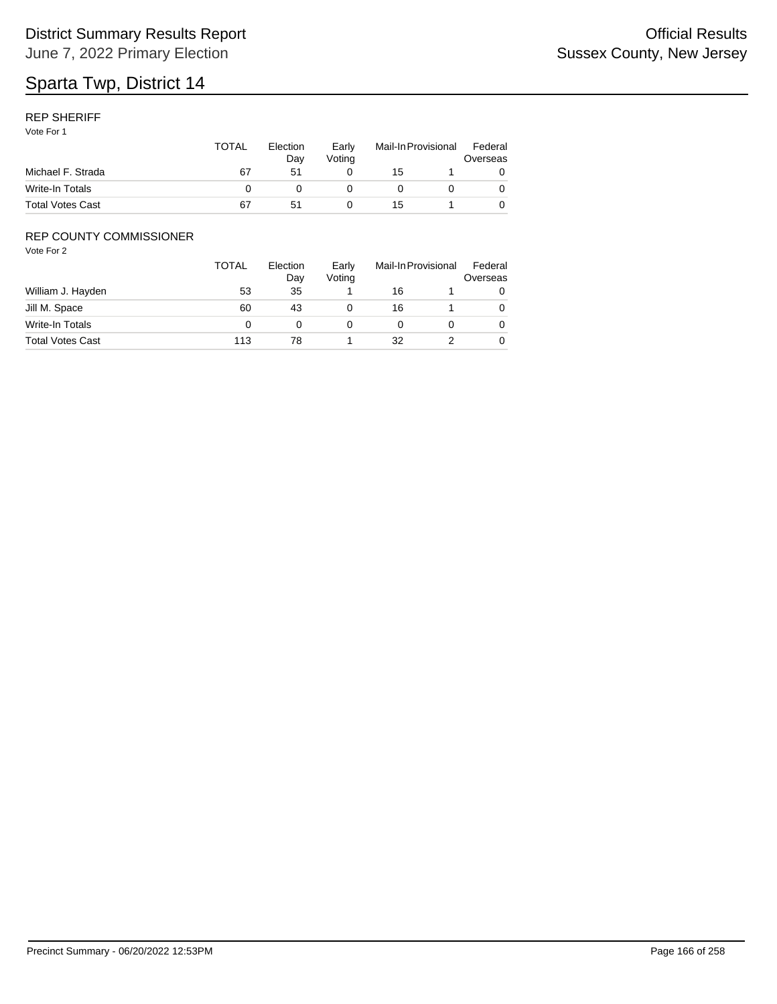#### REP SHERIFF

Vote For 1

|                         | TOTAL | Election<br>Dav | Early<br>Votina | Mail-In Provisional |  | Federal<br>Overseas |
|-------------------------|-------|-----------------|-----------------|---------------------|--|---------------------|
| Michael F. Strada       | 67    | 51              |                 | 15                  |  |                     |
| Write-In Totals         |       |                 |                 |                     |  |                     |
| <b>Total Votes Cast</b> | 67    | 51              |                 | 15                  |  |                     |

### REP COUNTY COMMISSIONER

|                         | <b>TOTAL</b> | Election<br>Day | Early<br>Voting |    | Mail-In Provisional | Federal<br>Overseas |
|-------------------------|--------------|-----------------|-----------------|----|---------------------|---------------------|
| William J. Hayden       | 53           | 35              |                 | 16 |                     |                     |
| Jill M. Space           | 60           | 43              |                 | 16 |                     | 0                   |
| Write-In Totals         |              |                 |                 |    |                     | 0                   |
| <b>Total Votes Cast</b> | 113          | 78              |                 | 32 |                     |                     |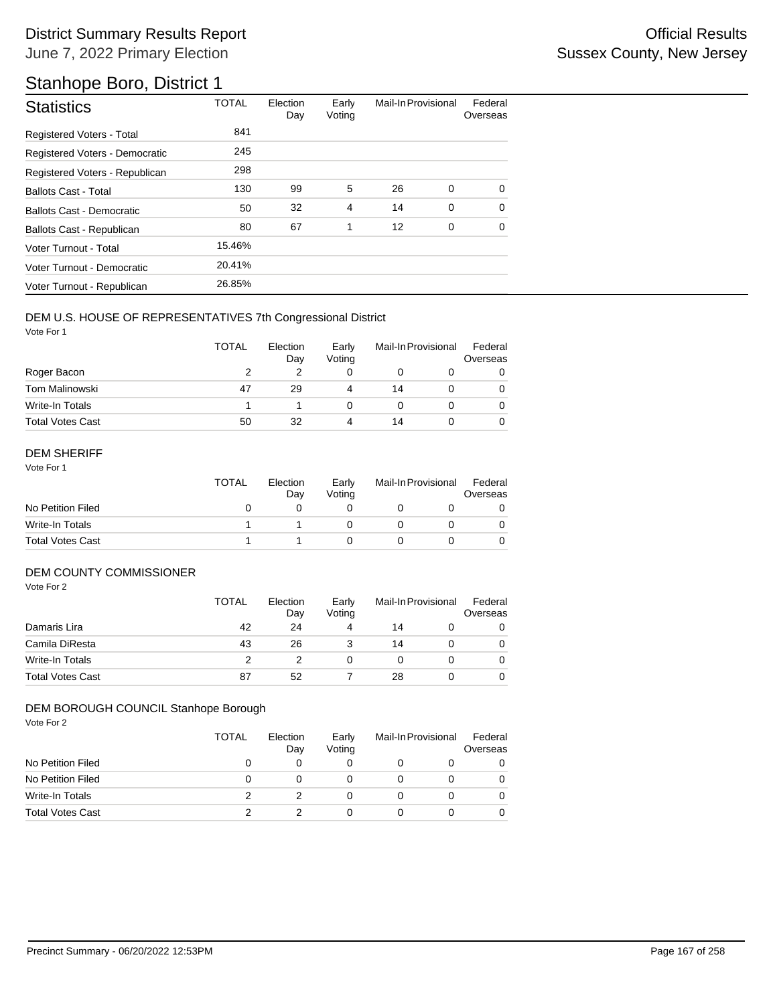## Stanhope Boro, District 1

| <b>Statistics</b>              | <b>TOTAL</b> | Election<br>Day | Early<br>Voting | Mail-In Provisional |             | Federal<br>Overseas |
|--------------------------------|--------------|-----------------|-----------------|---------------------|-------------|---------------------|
| Registered Voters - Total      | 841          |                 |                 |                     |             |                     |
| Registered Voters - Democratic | 245          |                 |                 |                     |             |                     |
| Registered Voters - Republican | 298          |                 |                 |                     |             |                     |
| <b>Ballots Cast - Total</b>    | 130          | 99              | 5               | 26                  | 0           | $\Omega$            |
| Ballots Cast - Democratic      | 50           | 32              | $\overline{4}$  | 14                  | $\mathbf 0$ | $\Omega$            |
| Ballots Cast - Republican      | 80           | 67              | 1               | 12                  | 0           | $\Omega$            |
| Voter Turnout - Total          | 15.46%       |                 |                 |                     |             |                     |
| Voter Turnout - Democratic     | 20.41%       |                 |                 |                     |             |                     |
| Voter Turnout - Republican     | 26.85%       |                 |                 |                     |             |                     |

#### DEM U.S. HOUSE OF REPRESENTATIVES 7th Congressional District

Vote For 1

|                         | TOTAL | Election<br>Day | Early<br>Voting | Mail-In Provisional |  | Federal<br>Overseas |
|-------------------------|-------|-----------------|-----------------|---------------------|--|---------------------|
| Roger Bacon             |       |                 |                 |                     |  |                     |
| <b>Tom Malinowski</b>   | 47    | 29              | 4               | 14                  |  |                     |
| Write-In Totals         |       |                 |                 |                     |  |                     |
| <b>Total Votes Cast</b> | 50    | 32              |                 | 14                  |  |                     |

#### DEM SHERIFF

Vote For 1

|                         | TOTAL | Election<br>Dav | Early<br>Votina | Mail-In Provisional |  | Federal<br>Overseas |
|-------------------------|-------|-----------------|-----------------|---------------------|--|---------------------|
| No Petition Filed       |       |                 |                 |                     |  |                     |
| Write-In Totals         |       |                 |                 |                     |  |                     |
| <b>Total Votes Cast</b> |       |                 |                 |                     |  |                     |

### DEM COUNTY COMMISSIONER

Vote For 2

|                         | <b>TOTAL</b> | Election<br>Day | Early<br>Votina |    | Mail-In Provisional | Federal<br>Overseas |
|-------------------------|--------------|-----------------|-----------------|----|---------------------|---------------------|
| Damaris Lira            | 42           | 24              | 4               | 14 |                     | 0                   |
| Camila DiResta          | 43           | 26              |                 | 14 |                     | 0                   |
| Write-In Totals         |              |                 |                 |    |                     | 0                   |
| <b>Total Votes Cast</b> | 87           | 52              |                 | 28 |                     | 0                   |

#### DEM BOROUGH COUNCIL Stanhope Borough

|                         | <b>TOTAL</b> | Election<br>Day | Early<br>Voting | Mail-In Provisional | Federal<br>Overseas |
|-------------------------|--------------|-----------------|-----------------|---------------------|---------------------|
| No Petition Filed       |              |                 | O               |                     |                     |
| No Petition Filed       |              |                 |                 |                     |                     |
| Write-In Totals         |              |                 | 0               |                     |                     |
| <b>Total Votes Cast</b> |              |                 |                 |                     |                     |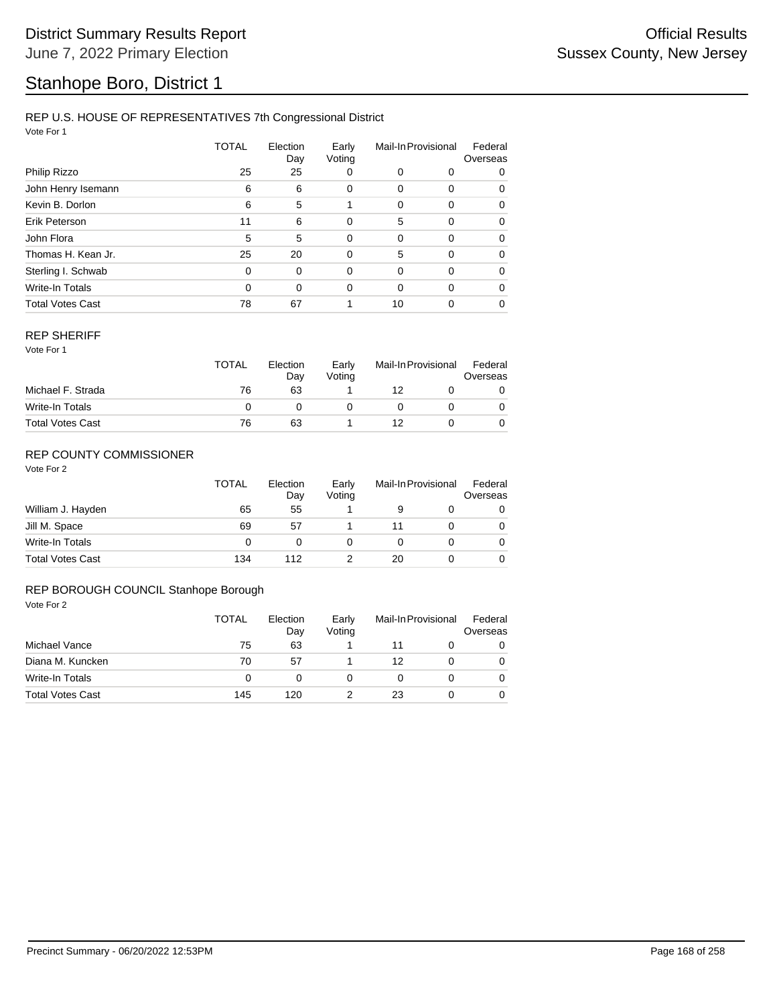## Stanhope Boro, District 1

#### REP U.S. HOUSE OF REPRESENTATIVES 7th Congressional District

Vote For 1

|                         | TOTAL    | Election<br>Day | Early<br>Voting | Mail-In Provisional |             | Federal<br>Overseas |  |
|-------------------------|----------|-----------------|-----------------|---------------------|-------------|---------------------|--|
| Philip Rizzo            | 25       | 25              | 0               | 0                   | 0           | 0                   |  |
| John Henry Isemann      | 6        | 6               | 0               | 0                   | 0           | 0                   |  |
| Kevin B. Dorlon         | 6        | 5               |                 | 0                   | $\Omega$    | 0                   |  |
| Erik Peterson           | 11       | 6               | $\Omega$        | 5                   | 0           | 0                   |  |
| John Flora              | 5        | 5               | $\mathbf 0$     | 0                   | $\mathbf 0$ | 0                   |  |
| Thomas H. Kean Jr.      | 25       | 20              | 0               | 5                   | 0           | 0                   |  |
| Sterling I. Schwab      | $\Omega$ | 0               | $\Omega$        | 0                   | $\Omega$    | $\Omega$            |  |
| Write-In Totals         | $\Omega$ | 0               | $\Omega$        | $\Omega$            | $\Omega$    | 0                   |  |
| <b>Total Votes Cast</b> | 78       | 67              |                 | 10                  | 0           | 0                   |  |

#### REP SHERIFF

Vote For 1

|                         | <b>TOTAL</b> | Election<br>Day | Early<br>Voting | Mail-In Provisional |  | Federal<br>Overseas |
|-------------------------|--------------|-----------------|-----------------|---------------------|--|---------------------|
| Michael F. Strada       | 76           | 63              |                 | 12                  |  |                     |
| Write-In Totals         |              |                 |                 |                     |  |                     |
| <b>Total Votes Cast</b> | 76           | 63              |                 | 12                  |  |                     |

### REP COUNTY COMMISSIONER

Vote For 2

|                         | <b>TOTAL</b> | Election<br>Day | Early<br>Voting | Mail-In Provisional |  | Federal<br>Overseas |
|-------------------------|--------------|-----------------|-----------------|---------------------|--|---------------------|
| William J. Hayden       | 65           | 55              |                 |                     |  | 0                   |
| Jill M. Space           | 69           | 57              |                 |                     |  | 0                   |
| Write-In Totals         | 0            |                 |                 |                     |  | 0                   |
| <b>Total Votes Cast</b> | 134          | 112             |                 | 20                  |  |                     |

#### REP BOROUGH COUNCIL Stanhope Borough

|                         | TOTAL | Election<br>Day | Early<br>Voting | Mail-In Provisional |  | Federal<br>Overseas |
|-------------------------|-------|-----------------|-----------------|---------------------|--|---------------------|
| Michael Vance           | 75    | 63              |                 |                     |  | 0                   |
| Diana M. Kuncken        | 70    | 57              |                 | 12                  |  | 0                   |
| Write-In Totals         | 0     |                 |                 |                     |  | 0                   |
| <b>Total Votes Cast</b> | 145   | 120             |                 | 23                  |  | 0                   |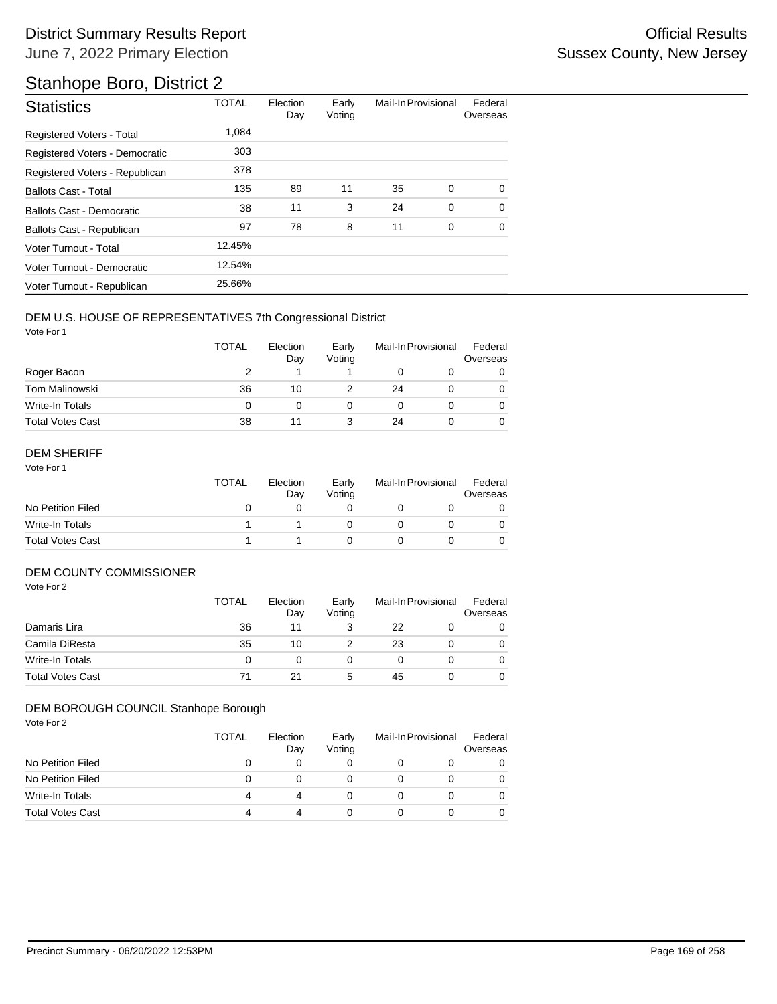## Stanhope Boro, District 2

| <b>Statistics</b>                | <b>TOTAL</b> | Election<br>Day | Early<br>Voting | Mail-In Provisional |          | Federal<br>Overseas |
|----------------------------------|--------------|-----------------|-----------------|---------------------|----------|---------------------|
| <b>Registered Voters - Total</b> | 1.084        |                 |                 |                     |          |                     |
| Registered Voters - Democratic   | 303          |                 |                 |                     |          |                     |
| Registered Voters - Republican   | 378          |                 |                 |                     |          |                     |
| <b>Ballots Cast - Total</b>      | 135          | 89              | 11              | 35                  | 0        | $\Omega$            |
| Ballots Cast - Democratic        | 38           | 11              | 3               | 24                  | $\Omega$ | $\Omega$            |
| Ballots Cast - Republican        | 97           | 78              | 8               | 11                  | 0        | $\Omega$            |
| Voter Turnout - Total            | 12.45%       |                 |                 |                     |          |                     |
| Voter Turnout - Democratic       | 12.54%       |                 |                 |                     |          |                     |
| Voter Turnout - Republican       | 25.66%       |                 |                 |                     |          |                     |

#### DEM U.S. HOUSE OF REPRESENTATIVES 7th Congressional District

Vote For 1

|                         | TOTAL | Election<br>Day | Early<br>Voting | Mail-In Provisional |  | Federal<br>Overseas |
|-------------------------|-------|-----------------|-----------------|---------------------|--|---------------------|
| Roger Bacon             |       |                 |                 |                     |  |                     |
| <b>Tom Malinowski</b>   | 36    | 10              |                 | 24                  |  |                     |
| Write-In Totals         | 0     |                 |                 |                     |  |                     |
| <b>Total Votes Cast</b> | 38    | 11              |                 | 24                  |  |                     |

#### DEM SHERIFF

Vote For 1

|                         | TOTAL | Election<br>Dav | Early<br>Votina | Mail-In Provisional |  | Federal<br>Overseas |
|-------------------------|-------|-----------------|-----------------|---------------------|--|---------------------|
| No Petition Filed       |       |                 |                 |                     |  |                     |
| Write-In Totals         |       |                 |                 |                     |  |                     |
| <b>Total Votes Cast</b> |       |                 |                 |                     |  |                     |

### DEM COUNTY COMMISSIONER

Vote For 2

|                         | <b>TOTAL</b> | Election<br>Day | Early<br>Votina | Mail-In Provisional |  | Federal<br>Overseas |
|-------------------------|--------------|-----------------|-----------------|---------------------|--|---------------------|
| Damaris Lira            | 36           | 11              |                 | 22                  |  | 0                   |
| Camila DiResta          | 35           | 10              |                 | 23                  |  | 0                   |
| Write-In Totals         | 0            |                 |                 |                     |  | $\Omega$            |
| <b>Total Votes Cast</b> | 71           | 21              | 5               | 45                  |  | 0                   |

#### DEM BOROUGH COUNCIL Stanhope Borough

|                         | <b>TOTAL</b> | Election<br>Day | Early<br>Voting | Mail-In Provisional | Federal<br>Overseas |
|-------------------------|--------------|-----------------|-----------------|---------------------|---------------------|
| No Petition Filed       |              |                 | O               |                     |                     |
| No Petition Filed       |              |                 |                 |                     |                     |
| Write-In Totals         |              |                 | $\mathbf{0}$    |                     |                     |
| <b>Total Votes Cast</b> |              |                 |                 |                     |                     |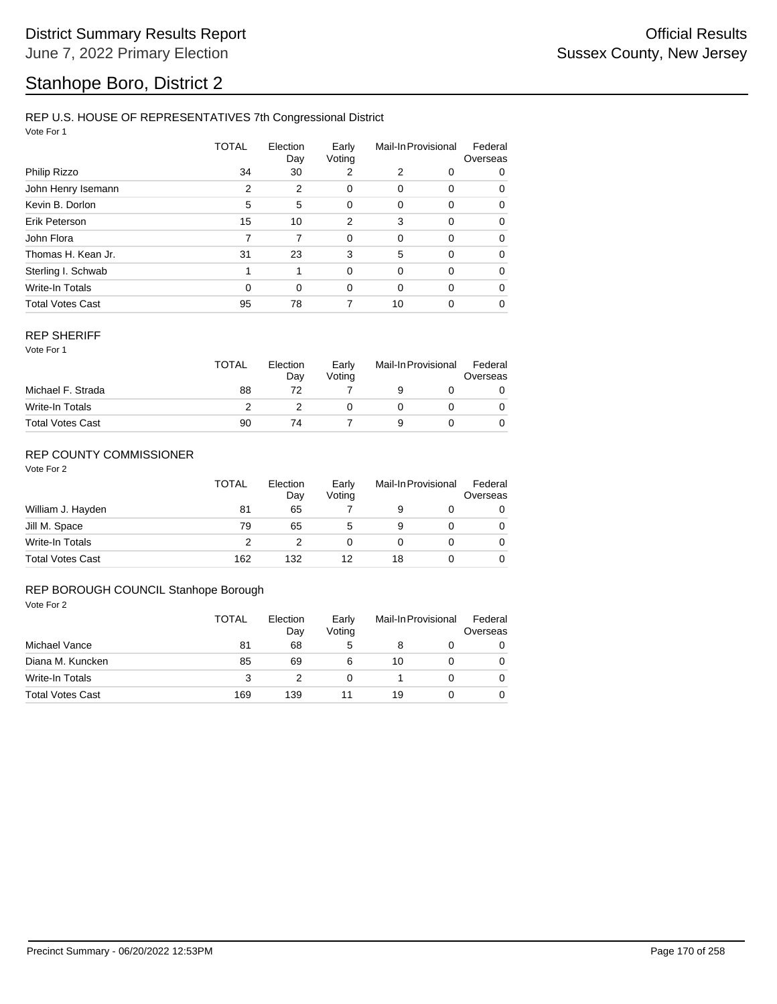## Stanhope Boro, District 2

#### REP U.S. HOUSE OF REPRESENTATIVES 7th Congressional District

Vote For 1

|                         | <b>TOTAL</b> | Election<br>Day | Early<br>Voting | Mail-In Provisional |             | Federal<br>Overseas |
|-------------------------|--------------|-----------------|-----------------|---------------------|-------------|---------------------|
| Philip Rizzo            | 34           | 30              | 2               | 2                   | 0           | 0                   |
| John Henry Isemann      | 2            | 2               | 0               | 0                   | 0           | 0                   |
| Kevin B. Dorlon         | 5            | 5               | $\Omega$        | 0                   | 0           | 0                   |
| Erik Peterson           | 15           | 10              | $\overline{2}$  | 3                   | 0           | 0                   |
| John Flora              | 7            | 7               | $\mathbf 0$     | 0                   | $\mathbf 0$ | 0                   |
| Thomas H. Kean Jr.      | 31           | 23              | 3               | 5                   | 0           | 0                   |
| Sterling I. Schwab      |              | 1               | $\Omega$        | 0                   | 0           | 0                   |
| Write-In Totals         | $\Omega$     | 0               | $\Omega$        | $\Omega$            | 0           | 0                   |
| <b>Total Votes Cast</b> | 95           | 78              |                 | 10                  | 0           | 0                   |

#### REP SHERIFF

Vote For 1

|                         | TOTAL | Election<br>Day | Early<br>Votina | Mail-In Provisional |  | Federal<br>Overseas |
|-------------------------|-------|-----------------|-----------------|---------------------|--|---------------------|
| Michael F. Strada       | 88    |                 |                 |                     |  |                     |
| Write-In Totals         |       |                 |                 |                     |  |                     |
| <b>Total Votes Cast</b> | 90    | 74              |                 |                     |  |                     |

### REP COUNTY COMMISSIONER

Vote For 2

|                         | <b>TOTAL</b> | Election<br>Day | Early<br>Voting | Mail-In Provisional |  | Federal<br>Overseas |
|-------------------------|--------------|-----------------|-----------------|---------------------|--|---------------------|
| William J. Hayden       | 81           | 65              |                 | 9                   |  | 0                   |
| Jill M. Space           | 79           | 65              | 5               | 9                   |  | 0                   |
| Write-In Totals         |              |                 | 0               |                     |  | 0                   |
| <b>Total Votes Cast</b> | 162          | 132             | 12              | 18                  |  |                     |

#### REP BOROUGH COUNCIL Stanhope Borough

|                         | TOTAL | Election<br>Day | Early<br>Voting | Mail-In Provisional |  | Federal<br>Overseas |
|-------------------------|-------|-----------------|-----------------|---------------------|--|---------------------|
| Michael Vance           | 81    | 68              | 5               | 8                   |  | 0                   |
| Diana M. Kuncken        | 85    | 69              | 6               | 10                  |  | 0                   |
| Write-In Totals         | 3     |                 | 0               |                     |  | 0                   |
| <b>Total Votes Cast</b> | 169   | 139             |                 | 19                  |  | 0                   |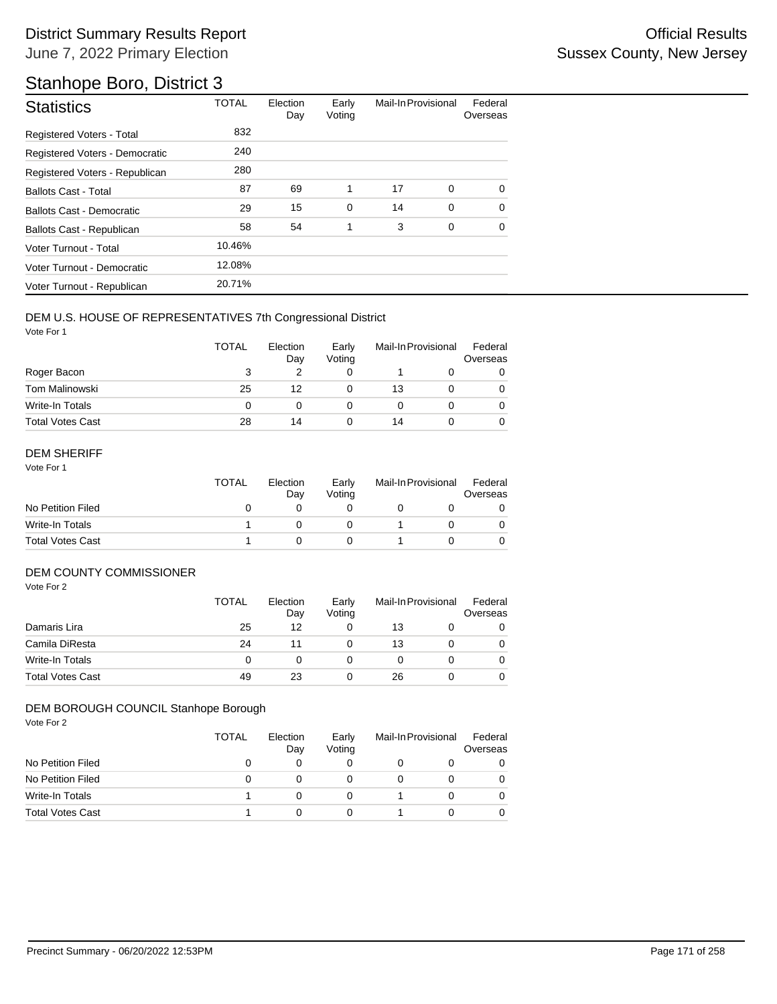## Stanhope Boro, District 3

| <b>Statistics</b>                | <b>TOTAL</b> | Election<br>Day | Early<br>Voting | Mail-In Provisional |   | Federal<br>Overseas |
|----------------------------------|--------------|-----------------|-----------------|---------------------|---|---------------------|
| <b>Registered Voters - Total</b> | 832          |                 |                 |                     |   |                     |
| Registered Voters - Democratic   | 240          |                 |                 |                     |   |                     |
| Registered Voters - Republican   | 280          |                 |                 |                     |   |                     |
| <b>Ballots Cast - Total</b>      | 87           | 69              | 1               | 17                  | 0 | $\Omega$            |
| Ballots Cast - Democratic        | 29           | 15              | $\mathbf 0$     | 14                  | 0 | $\Omega$            |
| Ballots Cast - Republican        | 58           | 54              | 1               | 3                   | 0 | $\Omega$            |
| Voter Turnout - Total            | 10.46%       |                 |                 |                     |   |                     |
| Voter Turnout - Democratic       | 12.08%       |                 |                 |                     |   |                     |
| Voter Turnout - Republican       | 20.71%       |                 |                 |                     |   |                     |

#### DEM U.S. HOUSE OF REPRESENTATIVES 7th Congressional District

Vote For 1

|                         | <b>TOTAL</b> | Election<br>Day | Early<br>Voting | Mail-In Provisional |  | Federal<br>Overseas |
|-------------------------|--------------|-----------------|-----------------|---------------------|--|---------------------|
| Roger Bacon             | 3            |                 |                 |                     |  | 0                   |
| <b>Tom Malinowski</b>   | 25           | 12              |                 | 13                  |  |                     |
| Write-In Totals         | O            |                 |                 |                     |  |                     |
| <b>Total Votes Cast</b> | 28           | 14              |                 | 14                  |  |                     |

#### DEM SHERIFF

Vote For 1

|                         | TOTAL | Election<br>Dav | Early<br>Votina | Mail-In Provisional |  | Federal<br>Overseas |
|-------------------------|-------|-----------------|-----------------|---------------------|--|---------------------|
| No Petition Filed       |       |                 |                 |                     |  |                     |
| Write-In Totals         |       |                 |                 |                     |  |                     |
| <b>Total Votes Cast</b> |       |                 |                 |                     |  |                     |

### DEM COUNTY COMMISSIONER

Vote For 2

|                         | <b>TOTAL</b> | Election<br>Day | Early<br>Votina | Mail-In Provisional | Federal<br>Overseas |
|-------------------------|--------------|-----------------|-----------------|---------------------|---------------------|
| Damaris Lira            | 25           | 12              |                 | 13                  | 0                   |
| Camila DiResta          | 24           | 11              |                 | 13                  | 0                   |
| Write-In Totals         | 0            |                 |                 |                     | $\Omega$            |
| <b>Total Votes Cast</b> | 49           | 23              |                 | 26                  | 0                   |

#### DEM BOROUGH COUNCIL Stanhope Borough

|                         | <b>TOTAL</b> | Election<br>Day | Early<br>Voting | Mail-In Provisional | Federal<br>Overseas |
|-------------------------|--------------|-----------------|-----------------|---------------------|---------------------|
| No Petition Filed       |              |                 | O               |                     |                     |
| No Petition Filed       |              |                 |                 |                     |                     |
| Write-In Totals         |              |                 | 0               |                     |                     |
| <b>Total Votes Cast</b> |              |                 |                 |                     |                     |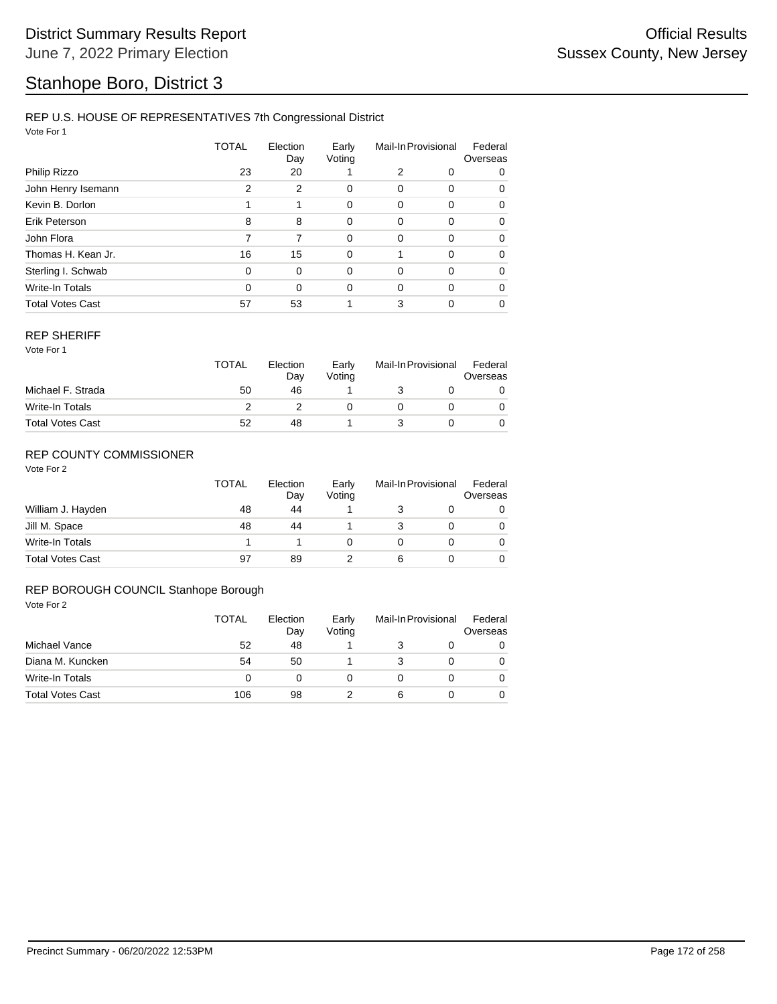## Stanhope Boro, District 3

#### REP U.S. HOUSE OF REPRESENTATIVES 7th Congressional District

Vote For 1

|                         | TOTAL    | Election<br>Day | Early<br>Voting | Mail-In Provisional |          | Federal<br>Overseas |  |
|-------------------------|----------|-----------------|-----------------|---------------------|----------|---------------------|--|
| Philip Rizzo            | 23       | 20              |                 | 2                   | 0        | 0                   |  |
| John Henry Isemann      | 2        | 2               | 0               | 0                   | 0        | 0                   |  |
| Kevin B. Dorlon         |          | 1               | 0               | 0                   | 0        | 0                   |  |
| Erik Peterson           | 8        | 8               | $\Omega$        | 0                   | $\Omega$ | $\Omega$            |  |
| John Flora              |          | 7               | $\Omega$        | $\Omega$            | $\Omega$ | $\Omega$            |  |
| Thomas H. Kean Jr.      | 16       | 15              | 0               |                     | $\Omega$ | $\Omega$            |  |
| Sterling I. Schwab      | $\Omega$ | $\Omega$        | $\Omega$        | 0                   | $\Omega$ | $\Omega$            |  |
| <b>Write-In Totals</b>  | $\Omega$ | $\Omega$        | $\Omega$        | 0                   | $\Omega$ | $\Omega$            |  |
| <b>Total Votes Cast</b> | 57       | 53              |                 | 3                   | 0        | $\Omega$            |  |

#### REP SHERIFF

Vote For 1

|                         | TOTAL | Election<br>Day | Early<br>Votina | Mail-In Provisional |  | Federal<br>Overseas |  |
|-------------------------|-------|-----------------|-----------------|---------------------|--|---------------------|--|
| Michael F. Strada       | 50    | 46              |                 |                     |  |                     |  |
| Write-In Totals         |       |                 |                 |                     |  |                     |  |
| <b>Total Votes Cast</b> | 52    | 48              |                 |                     |  |                     |  |

### REP COUNTY COMMISSIONER

Vote For 2

|                         | <b>TOTAL</b> | Election<br>Day | Early<br>Voting | Mail-In Provisional |  | Federal<br>Overseas |
|-------------------------|--------------|-----------------|-----------------|---------------------|--|---------------------|
| William J. Hayden       | 48           | 44              |                 |                     |  | 0                   |
| Jill M. Space           | 48           | 44              |                 |                     |  | 0                   |
| Write-In Totals         |              |                 |                 |                     |  | 0                   |
| <b>Total Votes Cast</b> | 97           | 89              |                 | 6                   |  | 0                   |

#### REP BOROUGH COUNCIL Stanhope Borough

|                         | <b>TOTAL</b> | Election<br>Day | Early<br>Voting | Mail-In Provisional |  | Federal<br>Overseas |
|-------------------------|--------------|-----------------|-----------------|---------------------|--|---------------------|
| Michael Vance           | 52           | 48              |                 |                     |  | 0                   |
| Diana M. Kuncken        | 54           | 50              |                 |                     |  | 0                   |
| Write-In Totals         | 0            |                 |                 |                     |  | 0                   |
| <b>Total Votes Cast</b> | 106          | 98              |                 | 6                   |  | 0                   |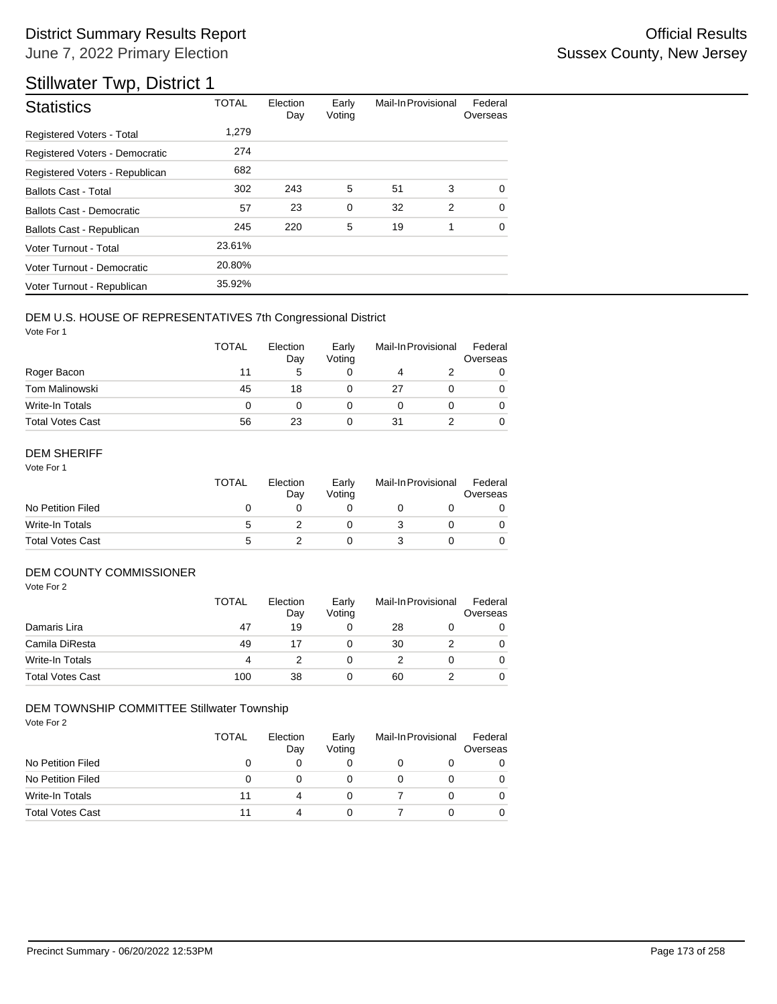## Stillwater Twp, District 1

| <b>Statistics</b>                | <b>TOTAL</b> | Election<br>Day | Early<br>Voting | Mail-In Provisional |   | Federal<br>Overseas |
|----------------------------------|--------------|-----------------|-----------------|---------------------|---|---------------------|
| Registered Voters - Total        | 1,279        |                 |                 |                     |   |                     |
| Registered Voters - Democratic   | 274          |                 |                 |                     |   |                     |
| Registered Voters - Republican   | 682          |                 |                 |                     |   |                     |
| <b>Ballots Cast - Total</b>      | 302          | 243             | 5               | 51                  | 3 | $\Omega$            |
| <b>Ballots Cast - Democratic</b> | 57           | 23              | $\mathbf 0$     | 32                  | 2 | $\Omega$            |
| Ballots Cast - Republican        | 245          | 220             | 5               | 19                  | 1 | $\Omega$            |
| Voter Turnout - Total            | 23.61%       |                 |                 |                     |   |                     |
| Voter Turnout - Democratic       | 20.80%       |                 |                 |                     |   |                     |
| Voter Turnout - Republican       | 35.92%       |                 |                 |                     |   |                     |

#### DEM U.S. HOUSE OF REPRESENTATIVES 7th Congressional District

Vote For 1

|                         | TOTAL | Election<br>Day | Early<br>Voting | Mail-In Provisional |  | Federal<br>Overseas |
|-------------------------|-------|-----------------|-----------------|---------------------|--|---------------------|
| Roger Bacon             | 11    | 5               |                 |                     |  | 0                   |
| <b>Tom Malinowski</b>   | 45    | 18              |                 | 27                  |  |                     |
| Write-In Totals         | 0     |                 |                 |                     |  |                     |
| <b>Total Votes Cast</b> | 56    | 23              |                 | 31                  |  |                     |

#### DEM SHERIFF

Vote For 1

|                         | <b>TOTAL</b> | Election<br>Dav | Early<br>Votina | Mail-In Provisional |  | Federal<br>Overseas |
|-------------------------|--------------|-----------------|-----------------|---------------------|--|---------------------|
| No Petition Filed       |              |                 |                 |                     |  |                     |
| Write-In Totals         | 5            |                 |                 |                     |  |                     |
| <b>Total Votes Cast</b> | 5            |                 |                 |                     |  |                     |

### DEM COUNTY COMMISSIONER

Vote For 2

|                         | <b>TOTAL</b> | Election<br>Day | Early<br>Votina |    | Mail-In Provisional | Federal<br>Overseas |
|-------------------------|--------------|-----------------|-----------------|----|---------------------|---------------------|
| Damaris Lira            | 47           | 19              |                 | 28 |                     | 0                   |
| Camila DiResta          | 49           |                 |                 | 30 |                     | 0                   |
| Write-In Totals         | 4            |                 |                 |    |                     | 0                   |
| <b>Total Votes Cast</b> | 100          | 38              |                 | 60 |                     | 0                   |

#### DEM TOWNSHIP COMMITTEE Stillwater Township

|                         | <b>TOTAL</b> | Election<br>Day | Early<br>Voting | Mail-In Provisional |  | Federal<br>Overseas |
|-------------------------|--------------|-----------------|-----------------|---------------------|--|---------------------|
| No Petition Filed       |              |                 |                 |                     |  |                     |
| No Petition Filed       | 0            |                 |                 |                     |  |                     |
| Write-In Totals         | 11           | Δ               |                 |                     |  |                     |
| <b>Total Votes Cast</b> |              |                 |                 |                     |  |                     |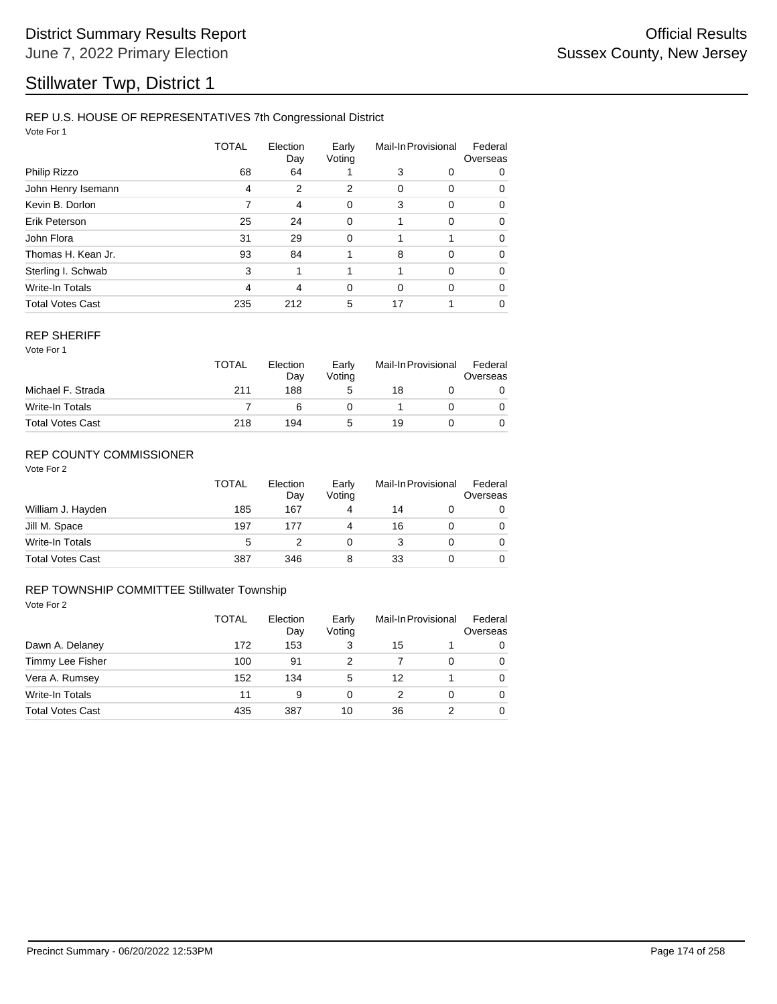## Stillwater Twp, District 1

#### REP U.S. HOUSE OF REPRESENTATIVES 7th Congressional District

Vote For 1

|                         | <b>TOTAL</b> | Election<br>Day | Early<br>Voting | Mail-In Provisional |          | Federal<br>Overseas |  |
|-------------------------|--------------|-----------------|-----------------|---------------------|----------|---------------------|--|
| Philip Rizzo            | 68           | 64              |                 | 3                   | 0        | 0                   |  |
| John Henry Isemann      | 4            | 2               | 2               | 0                   | 0        | 0                   |  |
| Kevin B. Dorlon         | 7            | 4               | 0               | 3                   | 0        | 0                   |  |
| Erik Peterson           | 25           | 24              | 0               | 1                   | $\Omega$ | 0                   |  |
| John Flora              | 31           | 29              | $\mathbf 0$     | 1                   | 1        | 0                   |  |
| Thomas H. Kean Jr.      | 93           | 84              | 1               | 8                   | 0        | 0                   |  |
| Sterling I. Schwab      | 3            | 1               |                 |                     | 0        | $\Omega$            |  |
| Write-In Totals         | 4            | 4               | $\Omega$        | $\Omega$            | $\Omega$ | 0                   |  |
| <b>Total Votes Cast</b> | 235          | 212             | 5               | 17                  |          | 0                   |  |

#### REP SHERIFF

Vote For 1

|                         | <b>TOTAL</b> | Election<br>Dav<br>188 | Early<br>Votina<br>5 | Mail-In Provisional |  | Federal<br>Overseas |
|-------------------------|--------------|------------------------|----------------------|---------------------|--|---------------------|
| Michael F. Strada       | 211          |                        |                      | 18                  |  |                     |
| Write-In Totals         |              |                        |                      |                     |  |                     |
| <b>Total Votes Cast</b> | 218          | 194                    | 5                    | 19                  |  |                     |

### REP COUNTY COMMISSIONER

Vote For 2

|                         | <b>TOTAL</b> | Election<br>Day | Early<br>Voting | Mail-In Provisional |  | Federal<br>Overseas |
|-------------------------|--------------|-----------------|-----------------|---------------------|--|---------------------|
| William J. Hayden       | 185          | 167             | 4               | 14                  |  | 0                   |
| Jill M. Space           | 197          | 177             | 4               | 16                  |  | 0                   |
| Write-In Totals         | 5            |                 |                 |                     |  | 0                   |
| <b>Total Votes Cast</b> | 387          | 346             | 8               | 33                  |  | 0                   |

#### Vote For 2 REP TOWNSHIP COMMITTEE Stillwater Township

|                         | <b>TOTAL</b> | Election<br>Day | Early<br>Voting | Mail-In Provisional |   | Federal<br>Overseas |
|-------------------------|--------------|-----------------|-----------------|---------------------|---|---------------------|
| Dawn A. Delaney         | 172          | 153             | 3               | 15                  |   | $\Omega$            |
| Timmy Lee Fisher        | 100          | 91              | 2               |                     | 0 | $\Omega$            |
| Vera A. Rumsey          | 152          | 134             | 5               | 12                  |   | $\Omega$            |
| Write-In Totals         | 11           | 9               | 0               |                     | 0 | $\Omega$            |
| <b>Total Votes Cast</b> | 435          | 387             | 10              | 36                  | 2 | $\Omega$            |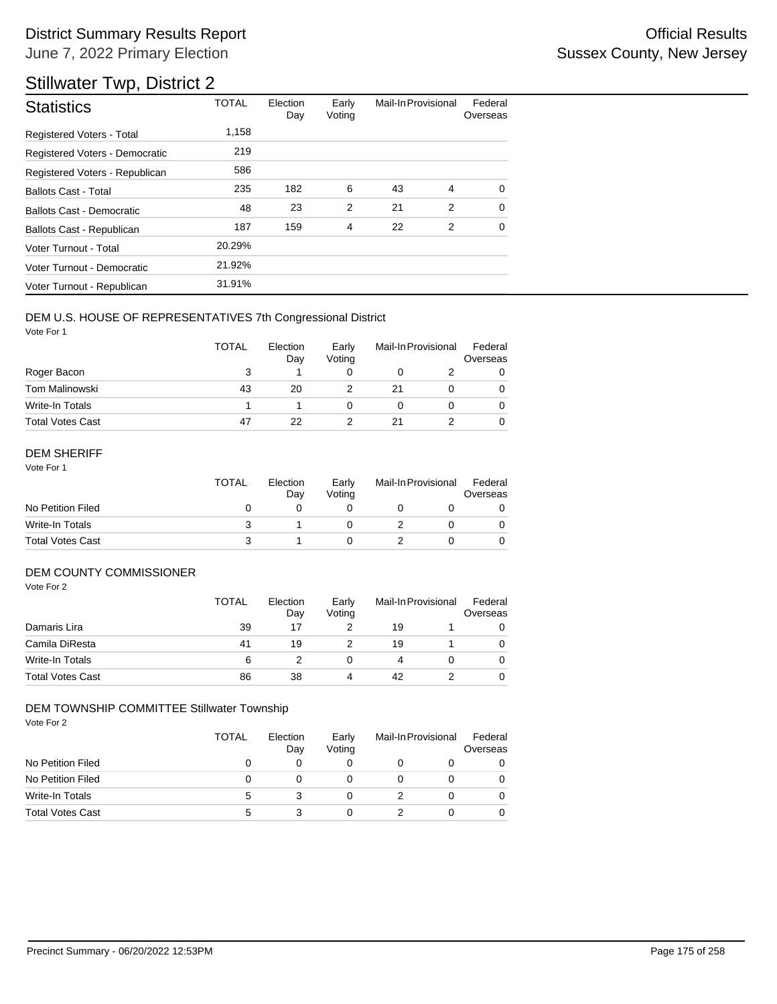## Stillwater Twp, District 2

| <b>Statistics</b>                | <b>TOTAL</b> | Election<br>Day | Early<br>Voting | Mail-In Provisional |   | Federal<br>Overseas |
|----------------------------------|--------------|-----------------|-----------------|---------------------|---|---------------------|
| Registered Voters - Total        | 1,158        |                 |                 |                     |   |                     |
| Registered Voters - Democratic   | 219          |                 |                 |                     |   |                     |
| Registered Voters - Republican   | 586          |                 |                 |                     |   |                     |
| <b>Ballots Cast - Total</b>      | 235          | 182             | 6               | 43                  | 4 | $\Omega$            |
| <b>Ballots Cast - Democratic</b> | 48           | 23              | $\overline{2}$  | 21                  | 2 | $\Omega$            |
| Ballots Cast - Republican        | 187          | 159             | 4               | 22                  | 2 | $\mathbf 0$         |
| Voter Turnout - Total            | 20.29%       |                 |                 |                     |   |                     |
| Voter Turnout - Democratic       | 21.92%       |                 |                 |                     |   |                     |
| Voter Turnout - Republican       | 31.91%       |                 |                 |                     |   |                     |

#### DEM U.S. HOUSE OF REPRESENTATIVES 7th Congressional District

Vote For 1

|                         | <b>TOTAL</b> | Election<br>Day | Early<br>Voting | Mail-In Provisional |  | Federal<br>Overseas |
|-------------------------|--------------|-----------------|-----------------|---------------------|--|---------------------|
| Roger Bacon             | 3            |                 |                 |                     |  |                     |
| Tom Malinowski          | 43           | 20              |                 | 21                  |  |                     |
| Write-In Totals         |              |                 |                 |                     |  |                     |
| <b>Total Votes Cast</b> | 47           | 22              |                 | 21                  |  |                     |

#### DEM SHERIFF

Vote For 1

|                         | TOTAL | Election<br>Dav | Early<br>Votina | Mail-In Provisional |  | Federal<br>Overseas |
|-------------------------|-------|-----------------|-----------------|---------------------|--|---------------------|
| No Petition Filed       |       |                 |                 |                     |  |                     |
| Write-In Totals         |       |                 |                 |                     |  |                     |
| <b>Total Votes Cast</b> |       |                 |                 |                     |  |                     |

### DEM COUNTY COMMISSIONER

Vote For 2

|                         | <b>TOTAL</b> | Election<br>Day | Early<br>Votina | Mail-In Provisional |  | Federal<br>Overseas |
|-------------------------|--------------|-----------------|-----------------|---------------------|--|---------------------|
| Damaris Lira            | 39           | 17              |                 | 19                  |  |                     |
| Camila DiResta          | 41           | 19              |                 | 19                  |  | 0                   |
| Write-In Totals         | 6            |                 |                 |                     |  | 0                   |
| <b>Total Votes Cast</b> | 86           | 38              | 4               | 42                  |  | 0                   |

#### DEM TOWNSHIP COMMITTEE Stillwater Township

|                         | <b>TOTAL</b> | Election<br>Day | Early<br>Voting | Mail-In Provisional | Federal<br>Overseas |
|-------------------------|--------------|-----------------|-----------------|---------------------|---------------------|
| No Petition Filed       |              |                 |                 |                     |                     |
| No Petition Filed       |              |                 |                 |                     |                     |
| Write-In Totals         | 5            |                 |                 |                     |                     |
| <b>Total Votes Cast</b> | 5            |                 |                 |                     |                     |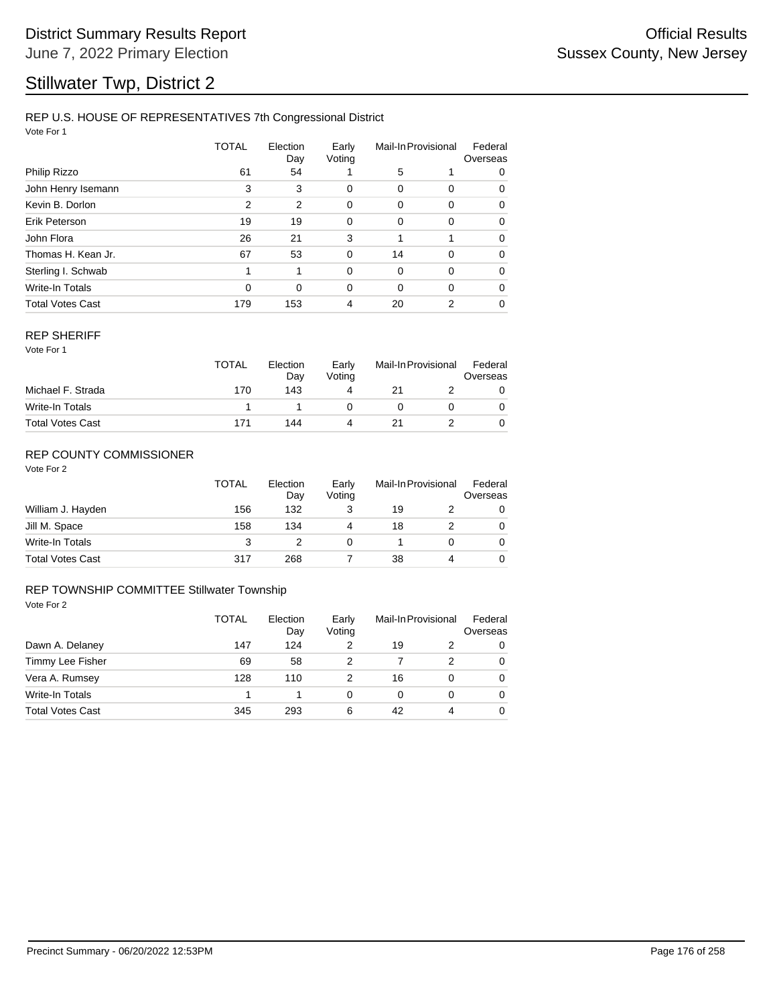## Stillwater Twp, District 2

#### REP U.S. HOUSE OF REPRESENTATIVES 7th Congressional District

Vote For 1

|                         | TOTAL    | Election<br>Day | Early<br>Voting | Mail-In Provisional |                | Federal<br>Overseas |  |
|-------------------------|----------|-----------------|-----------------|---------------------|----------------|---------------------|--|
| Philip Rizzo            | 61       | 54              |                 | 5                   |                | 0                   |  |
| John Henry Isemann      | 3        | 3               | 0               | 0                   | 0              | 0                   |  |
| Kevin B. Dorlon         | 2        | 2               | 0               | 0                   | 0              | 0                   |  |
| Erik Peterson           | 19       | 19              | 0               | 0                   | 0              | 0                   |  |
| John Flora              | 26       | 21              | 3               | 1                   | 1              | $\Omega$            |  |
| Thomas H. Kean Jr.      | 67       | 53              | 0               | 14                  | 0              | 0                   |  |
| Sterling I. Schwab      | 1        | 1               | $\Omega$        | $\Omega$            | 0              | $\Omega$            |  |
| Write-In Totals         | $\Omega$ | $\Omega$        | $\Omega$        | $\Omega$            | $\Omega$       | 0                   |  |
| <b>Total Votes Cast</b> | 179      | 153             | 4               | 20                  | $\overline{2}$ | 0                   |  |

#### REP SHERIFF

Vote For 1

|                         | <b>TOTAL</b> | Election<br>Day<br>143 | Early<br>Voting<br>4 | Mail-In Provisional |  | Federal<br>Overseas |
|-------------------------|--------------|------------------------|----------------------|---------------------|--|---------------------|
| Michael F. Strada       | 170          |                        |                      | 21                  |  |                     |
| Write-In Totals         |              |                        |                      |                     |  |                     |
| <b>Total Votes Cast</b> | 171          | 144                    | Δ                    | 21                  |  |                     |

### REP COUNTY COMMISSIONER

Vote For 2

|                         | <b>TOTAL</b> | Election<br>Day | Early<br>Voting | Mail-In Provisional |   | Federal<br>Overseas |
|-------------------------|--------------|-----------------|-----------------|---------------------|---|---------------------|
| William J. Hayden       | 156          | 132             |                 | 19                  |   | 0                   |
| Jill M. Space           | 158          | 134             | 4               | 18                  |   | 0                   |
| Write-In Totals         | 3            |                 | 0               |                     |   | 0                   |
| <b>Total Votes Cast</b> | 317          | 268             |                 | 38                  | 4 |                     |

#### Vote For 2 REP TOWNSHIP COMMITTEE Stillwater Township

|                         | <b>TOTAL</b> | Election<br>Day | Early<br>Voting | Mail-In Provisional |   | Federal<br>Overseas |
|-------------------------|--------------|-----------------|-----------------|---------------------|---|---------------------|
| Dawn A. Delaney         | 147          | 124             |                 | 19                  |   | $\Omega$            |
| Timmy Lee Fisher        | 69           | 58              | 2               |                     | 2 | $\Omega$            |
| Vera A. Rumsey          | 128          | 110             |                 | 16                  | 0 | 0                   |
| Write-In Totals         |              |                 | 0               | 0                   | 0 | $\Omega$            |
| <b>Total Votes Cast</b> | 345          | 293             | 6               | 42                  | 4 | $\Omega$            |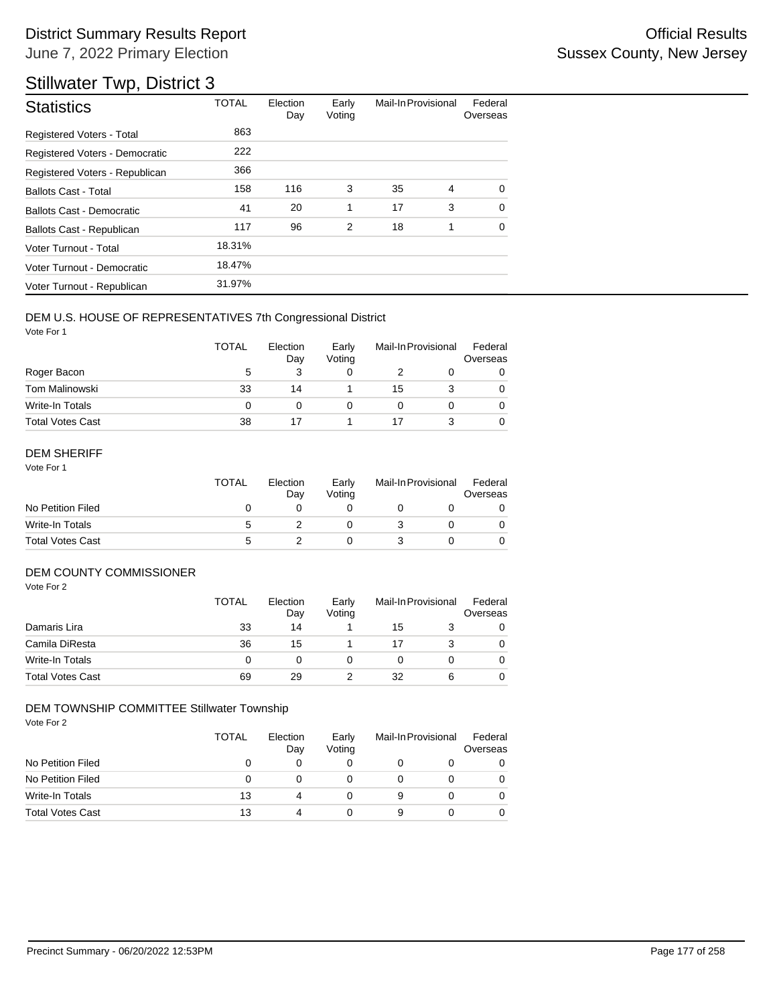## Stillwater Twp, District 3

| <b>Statistics</b>                | <b>TOTAL</b> | Election<br>Day | Early<br>Voting | Mail-In Provisional |   | Federal<br>Overseas |
|----------------------------------|--------------|-----------------|-----------------|---------------------|---|---------------------|
| <b>Registered Voters - Total</b> | 863          |                 |                 |                     |   |                     |
| Registered Voters - Democratic   | 222          |                 |                 |                     |   |                     |
| Registered Voters - Republican   | 366          |                 |                 |                     |   |                     |
| <b>Ballots Cast - Total</b>      | 158          | 116             | 3               | 35                  | 4 | 0                   |
| Ballots Cast - Democratic        | 41           | 20              | 1               | 17                  | 3 | $\Omega$            |
| Ballots Cast - Republican        | 117          | 96              | 2               | 18                  | 1 | $\Omega$            |
| Voter Turnout - Total            | 18.31%       |                 |                 |                     |   |                     |
| Voter Turnout - Democratic       | 18.47%       |                 |                 |                     |   |                     |
| Voter Turnout - Republican       | 31.97%       |                 |                 |                     |   |                     |

#### DEM U.S. HOUSE OF REPRESENTATIVES 7th Congressional District

Vote For 1

|                         | <b>TOTAL</b> | Election<br>Day | Early<br>Voting | Mail-In Provisional |  | Federal<br>Overseas |
|-------------------------|--------------|-----------------|-----------------|---------------------|--|---------------------|
| Roger Bacon             | 5            |                 |                 |                     |  |                     |
| <b>Tom Malinowski</b>   | 33           | 14              |                 | 15                  |  |                     |
| Write-In Totals         | 0            |                 |                 |                     |  |                     |
| <b>Total Votes Cast</b> | 38           |                 |                 |                     |  |                     |

#### DEM SHERIFF

Vote For 1

|                         | <b>TOTAL</b> | Election<br>Dav | Early<br>Votina | Mail-In Provisional |  | Federal<br>Overseas |
|-------------------------|--------------|-----------------|-----------------|---------------------|--|---------------------|
| No Petition Filed       |              |                 |                 |                     |  |                     |
| Write-In Totals         | 5            |                 |                 |                     |  |                     |
| <b>Total Votes Cast</b> | 5            |                 |                 |                     |  |                     |

### DEM COUNTY COMMISSIONER

Vote For 2

|                         | <b>TOTAL</b> | Election<br>Day | Early<br>Votina | Mail-In Provisional |   | Federal<br>Overseas |
|-------------------------|--------------|-----------------|-----------------|---------------------|---|---------------------|
| Damaris Lira            | 33           | 14              |                 | 15                  |   | 0                   |
| Camila DiResta          | 36           | 15              |                 |                     |   | 0                   |
| Write-In Totals         | 0            |                 |                 |                     |   | 0                   |
| <b>Total Votes Cast</b> | 69           | 29              |                 | 32                  | 6 | 0                   |

#### DEM TOWNSHIP COMMITTEE Stillwater Township

|                         | <b>TOTAL</b> | Election<br>Day | Early<br>Voting | Mail-In Provisional | Federal<br>Overseas |
|-------------------------|--------------|-----------------|-----------------|---------------------|---------------------|
| No Petition Filed       |              |                 |                 |                     |                     |
| No Petition Filed       | 0            |                 |                 |                     |                     |
| Write-In Totals         | 13           | 4               |                 |                     |                     |
| <b>Total Votes Cast</b> | 13           |                 |                 |                     |                     |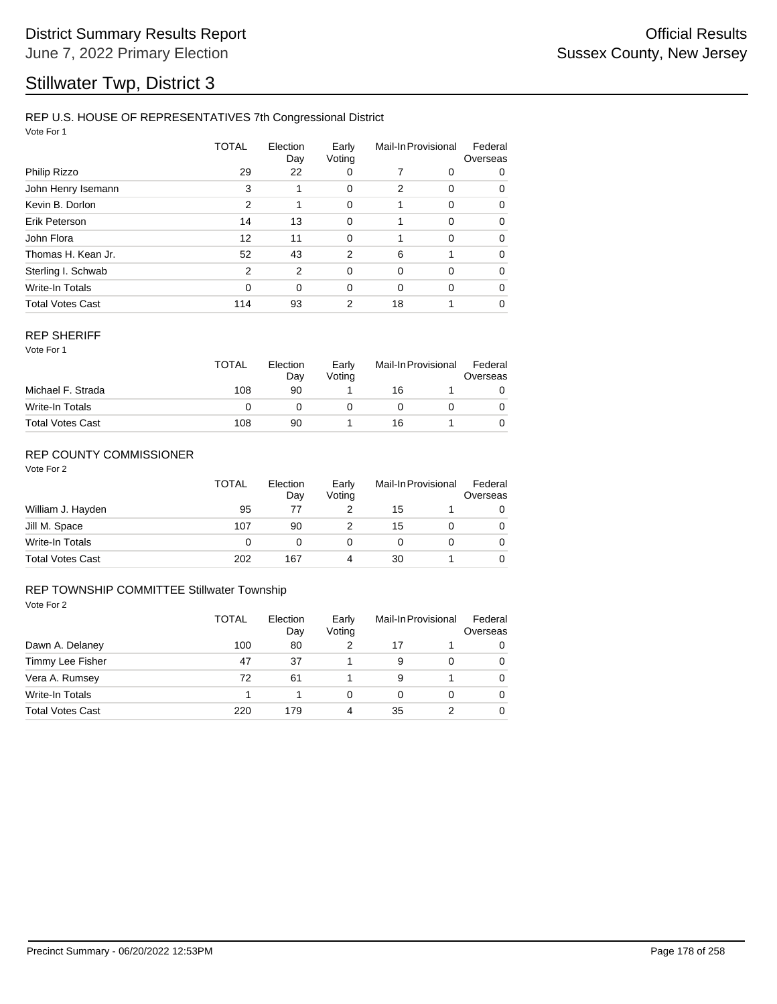## Stillwater Twp, District 3

#### REP U.S. HOUSE OF REPRESENTATIVES 7th Congressional District

Vote For 1

|                         | TOTAL          | Election<br>Day | Early<br>Voting | Mail-In Provisional |             | Federal<br>Overseas |  |
|-------------------------|----------------|-----------------|-----------------|---------------------|-------------|---------------------|--|
| Philip Rizzo            | 29             | 22              | 0               |                     | 0           | 0                   |  |
| John Henry Isemann      | 3              | 1               | 0               | $\overline{2}$      | 0           | 0                   |  |
| Kevin B. Dorlon         | 2              | 1               | 0               |                     | 0           | 0                   |  |
| Erik Peterson           | 14             | 13              | 0               |                     | $\Omega$    | $\Omega$            |  |
| John Flora              | 12             | 11              | $\mathbf 0$     | 1                   | $\mathbf 0$ | $\Omega$            |  |
| Thomas H. Kean Jr.      | 52             | 43              | 2               | 6                   | 1           | 0                   |  |
| Sterling I. Schwab      | $\mathfrak{p}$ | 2               | 0               | $\Omega$            | $\Omega$    | 0                   |  |
| <b>Write-In Totals</b>  | $\Omega$       | $\Omega$        | $\Omega$        | $\Omega$            | $\Omega$    | 0                   |  |
| <b>Total Votes Cast</b> | 114            | 93              | 2               | 18                  |             | 0                   |  |

#### REP SHERIFF

Vote For 1

|                         | <b>TOTAL</b> | Election<br>Day | Early<br>Votina | Mail-In Provisional |  | Federal<br>Overseas |
|-------------------------|--------------|-----------------|-----------------|---------------------|--|---------------------|
| Michael F. Strada       | 108          | 90              |                 | 16                  |  |                     |
| Write-In Totals         |              |                 |                 |                     |  |                     |
| <b>Total Votes Cast</b> | 108          | 90              |                 | 16                  |  |                     |

### REP COUNTY COMMISSIONER

Vote For 2

|                         | <b>TOTAL</b> | Election<br>Day | Early<br>Voting | Mail-In Provisional |  | Federal<br>Overseas |
|-------------------------|--------------|-----------------|-----------------|---------------------|--|---------------------|
| William J. Hayden       | 95           | 77              |                 | 15                  |  | 0                   |
| Jill M. Space           | 107          | 90              |                 | 15                  |  | 0                   |
| Write-In Totals         | 0            |                 |                 |                     |  | 0                   |
| <b>Total Votes Cast</b> | 202          | 167             | 4               | 30                  |  | 0                   |

#### Vote For 2 REP TOWNSHIP COMMITTEE Stillwater Township

|                         | <b>TOTAL</b> | Election<br>Day<br>80 | Early<br>Voting | Mail-In Provisional |   | Federal<br>Overseas |
|-------------------------|--------------|-----------------------|-----------------|---------------------|---|---------------------|
| Dawn A. Delaney         | 100          |                       |                 | 17                  |   | $\Omega$            |
| Timmy Lee Fisher        | 47           | 37                    |                 | 9                   | 0 | $\Omega$            |
| Vera A. Rumsey          | 72           | 61                    |                 | 9                   |   | $\Omega$            |
| Write-In Totals         |              |                       | 0               | 0                   | 0 | $\Omega$            |
| <b>Total Votes Cast</b> | 220          | 179                   | 4               | 35                  | 2 | $\Omega$            |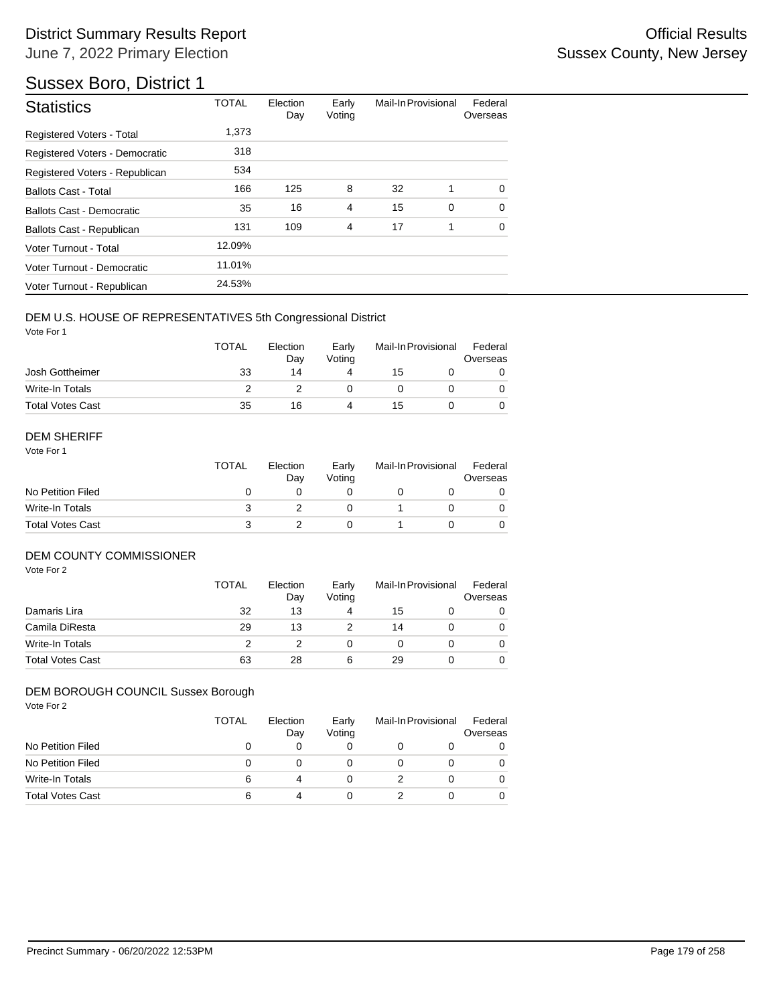## Sussex Boro, District 1

| <b>Statistics</b>                | <b>TOTAL</b> | Election<br>Day | Early<br>Voting | Mail-In Provisional |   | Federal<br>Overseas |
|----------------------------------|--------------|-----------------|-----------------|---------------------|---|---------------------|
| <b>Registered Voters - Total</b> | 1.373        |                 |                 |                     |   |                     |
| Registered Voters - Democratic   | 318          |                 |                 |                     |   |                     |
| Registered Voters - Republican   | 534          |                 |                 |                     |   |                     |
| <b>Ballots Cast - Total</b>      | 166          | 125             | 8               | 32                  | 1 | $\Omega$            |
| Ballots Cast - Democratic        | 35           | 16              | $\overline{4}$  | 15                  | 0 | $\Omega$            |
| Ballots Cast - Republican        | 131          | 109             | $\overline{4}$  | 17                  | 1 | $\Omega$            |
| Voter Turnout - Total            | 12.09%       |                 |                 |                     |   |                     |
| Voter Turnout - Democratic       | 11.01%       |                 |                 |                     |   |                     |
| Voter Turnout - Republican       | 24.53%       |                 |                 |                     |   |                     |

#### DEM U.S. HOUSE OF REPRESENTATIVES 5th Congressional District

Vote For 1

|                         | <b>TOTAL</b> | Election<br>Day |   | Mail-In Provisional |  | Federal<br>Overseas |  |
|-------------------------|--------------|-----------------|---|---------------------|--|---------------------|--|
| Josh Gottheimer         | 33           | 14              | 4 | 15                  |  |                     |  |
| Write-In Totals         |              |                 |   |                     |  |                     |  |
| <b>Total Votes Cast</b> | 35           | 16              | Δ | 15                  |  |                     |  |

#### DEM SHERIFF

Vote For 1

|                         | <b>TOTAL</b><br>Election |  | Early<br>Votina | Mail-In Provisional |  | Federal<br>Overseas |  |
|-------------------------|--------------------------|--|-----------------|---------------------|--|---------------------|--|
| No Petition Filed       |                          |  |                 |                     |  |                     |  |
| Write-In Totals         |                          |  |                 |                     |  | 0                   |  |
| <b>Total Votes Cast</b> |                          |  |                 |                     |  |                     |  |

#### DEM COUNTY COMMISSIONER

Vote For 2

|                         | <b>TOTAL</b> | Election<br>Day | Early<br>Votina |    | Mail-In Provisional | Federal<br>Overseas |
|-------------------------|--------------|-----------------|-----------------|----|---------------------|---------------------|
| Damaris Lira            | 32           | 13              | 4               | 15 |                     | 0                   |
| Camila DiResta          | 29           | 13              |                 | 14 |                     | 0                   |
| Write-In Totals         |              |                 |                 |    |                     | $\Omega$            |
| <b>Total Votes Cast</b> | 63           | 28              | 6               | 29 |                     | 0                   |

#### DEM BOROUGH COUNCIL Sussex Borough

| Vote For 2              | <b>TOTAL</b> | Election<br>Day | Early<br>Voting | Mail-In Provisional |   | Federal<br>Overseas |  |
|-------------------------|--------------|-----------------|-----------------|---------------------|---|---------------------|--|
| No Petition Filed       | 0            | 0               | 0               |                     | O |                     |  |
| No Petition Filed       | 0            | 0               | 0               |                     | 0 |                     |  |
| <b>Write-In Totals</b>  | 6            | 4               | 0               |                     | 0 |                     |  |
| <b>Total Votes Cast</b> | 6            | 4               | 0               |                     | 0 |                     |  |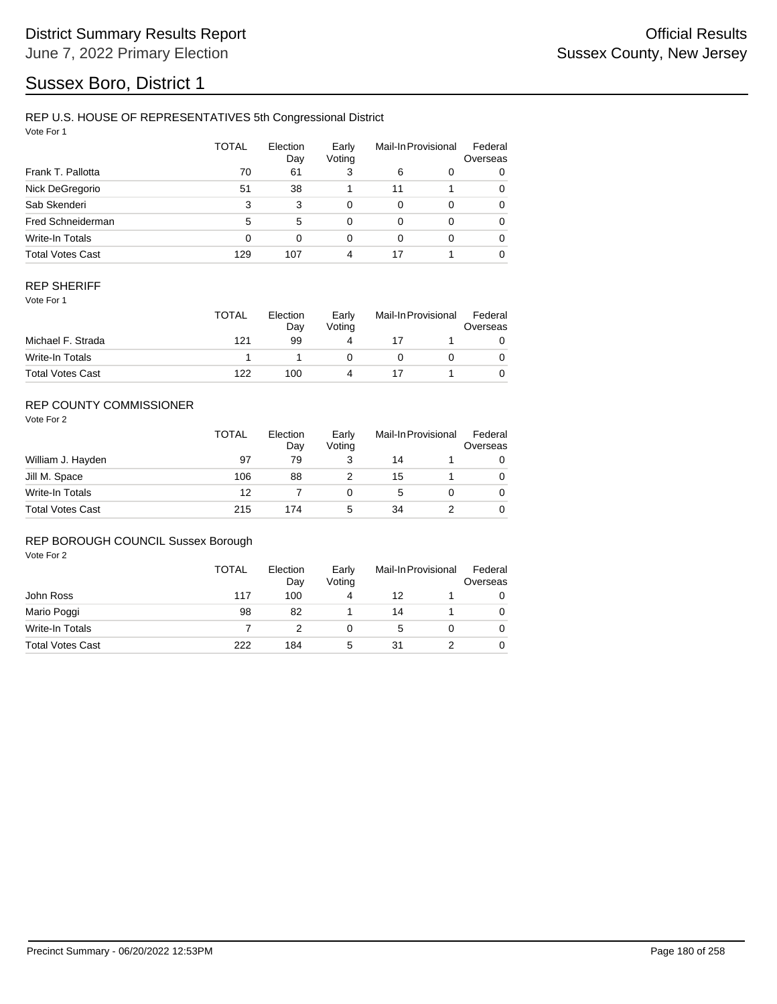## Sussex Boro, District 1

#### REP U.S. HOUSE OF REPRESENTATIVES 5th Congressional District

Vote For 1

|                         | <b>TOTAL</b> | Election<br>Day | Early<br>Voting | Mail-In Provisional |          | Federal<br>Overseas |
|-------------------------|--------------|-----------------|-----------------|---------------------|----------|---------------------|
| Frank T. Pallotta       | 70           | 61              | 3               | 6                   | 0        | 0                   |
| Nick DeGregorio         | 51           | 38              |                 | 11                  |          | 0                   |
| Sab Skenderi            | 3            | 3               | 0               | 0                   | $\Omega$ | 0                   |
| Fred Schneiderman       | 5            | 5               | 0               | 0                   | $\Omega$ | 0                   |
| Write-In Totals         | 0            | $\Omega$        | 0               | 0                   | $\Omega$ | 0                   |
| <b>Total Votes Cast</b> | 129          | 107             | 4               | 17                  |          | 0                   |

#### REP SHERIFF

Vote For 1

|                         | <b>TOTAL</b> | Election<br>Day | Early<br>Votina | Mail-In Provisional |  | Federal<br>Overseas |  |
|-------------------------|--------------|-----------------|-----------------|---------------------|--|---------------------|--|
| Michael F. Strada       | 121          | 99              | 4               |                     |  |                     |  |
| Write-In Totals         |              |                 |                 |                     |  |                     |  |
| <b>Total Votes Cast</b> | 122          | 100             |                 |                     |  |                     |  |

### REP COUNTY COMMISSIONER

Vote For 2

|                         | <b>TOTAL</b> | Election<br>Day | Early<br>Voting | Mail-In Provisional |  | Federal<br>Overseas |
|-------------------------|--------------|-----------------|-----------------|---------------------|--|---------------------|
| William J. Hayden       | 97           | 79              | 3               | 14                  |  | 0                   |
| Jill M. Space           | 106          | 88              |                 | 15                  |  | $\Omega$            |
| Write-In Totals         | 12           |                 |                 | 5                   |  | $\Omega$            |
| <b>Total Votes Cast</b> | 215          | 174             | 5               | 34                  |  | 0                   |

#### REP BOROUGH COUNCIL Sussex Borough

|                         | TOTAL | Election<br>Day | Early<br>Voting | Mail-In Provisional |  | Federal<br>Overseas |
|-------------------------|-------|-----------------|-----------------|---------------------|--|---------------------|
| John Ross               | 117   | 100             |                 | 12                  |  | 0                   |
| Mario Poggi             | 98    | 82              |                 | 14                  |  |                     |
| Write-In Totals         |       |                 |                 | :5                  |  | 0                   |
| <b>Total Votes Cast</b> | 222   | 184             | 5               | 31                  |  |                     |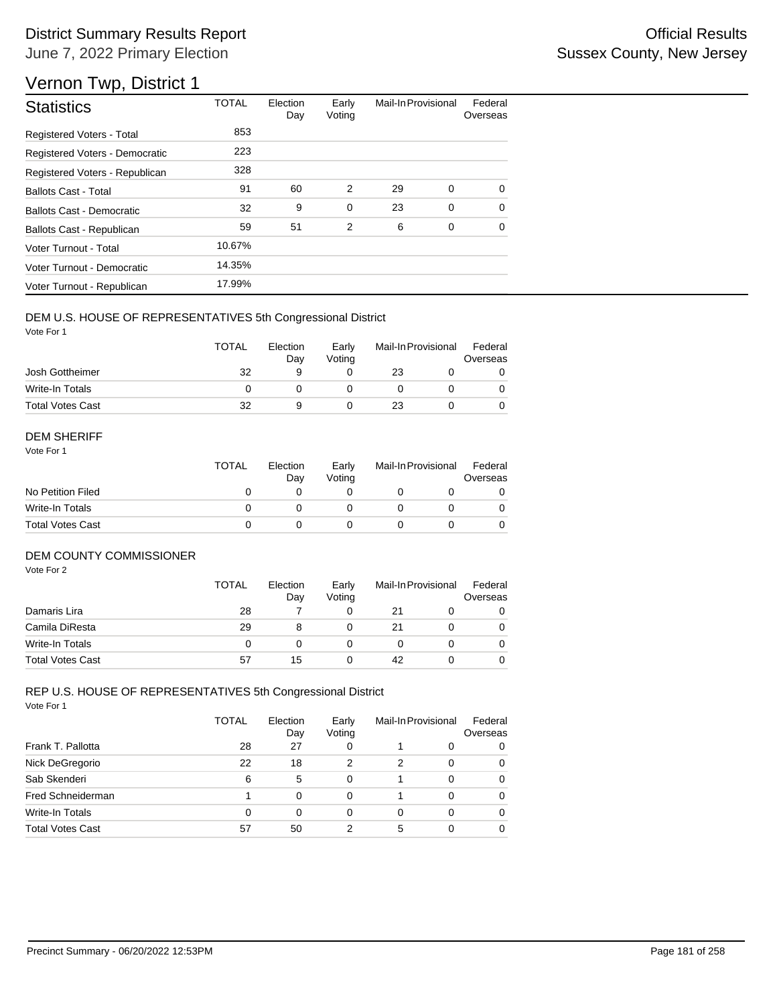# Vernon Twp, District 1

| <b>Statistics</b>                | <b>TOTAL</b> | Election<br>Day | Early<br>Voting | Mail-In Provisional |             | Federal<br>Overseas |
|----------------------------------|--------------|-----------------|-----------------|---------------------|-------------|---------------------|
| Registered Voters - Total        | 853          |                 |                 |                     |             |                     |
| Registered Voters - Democratic   | 223          |                 |                 |                     |             |                     |
| Registered Voters - Republican   | 328          |                 |                 |                     |             |                     |
| <b>Ballots Cast - Total</b>      | 91           | 60              | 2               | 29                  | 0           | $\Omega$            |
| <b>Ballots Cast - Democratic</b> | 32           | 9               | $\mathbf 0$     | 23                  | $\mathbf 0$ | $\Omega$            |
| Ballots Cast - Republican        | 59           | 51              | 2               | 6                   | 0           | 0                   |
| Voter Turnout - Total            | 10.67%       |                 |                 |                     |             |                     |
| Voter Turnout - Democratic       | 14.35%       |                 |                 |                     |             |                     |
| Voter Turnout - Republican       | 17.99%       |                 |                 |                     |             |                     |

#### DEM U.S. HOUSE OF REPRESENTATIVES 5th Congressional District

Vote For 1

|                         | <b>TOTAL</b> | Election<br>Dav | Early<br>Votina | Mail-In Provisional |  | Federal<br>Overseas |
|-------------------------|--------------|-----------------|-----------------|---------------------|--|---------------------|
| Josh Gottheimer         | 32           | 9               |                 | 23                  |  |                     |
| Write-In Totals         |              |                 |                 |                     |  |                     |
| <b>Total Votes Cast</b> | 32           | 9               |                 | 23                  |  |                     |

#### DEM SHERIFF

Vote For 1

|                         | <b>TOTAL</b> | Election<br>Day | Early<br>Votina | Mail-In Provisional |  | Federal<br>Overseas |  |
|-------------------------|--------------|-----------------|-----------------|---------------------|--|---------------------|--|
| No Petition Filed       |              |                 |                 |                     |  |                     |  |
| Write-In Totals         |              |                 |                 |                     |  | $\Omega$            |  |
| <b>Total Votes Cast</b> |              |                 |                 |                     |  |                     |  |

#### DEM COUNTY COMMISSIONER

Vote For 2

|                         | <b>TOTAL</b> | Election<br>Day | Early<br>Votina |    | Mail-In Provisional | Federal<br>Overseas |
|-------------------------|--------------|-----------------|-----------------|----|---------------------|---------------------|
| Damaris Lira            | 28           |                 |                 | 21 |                     | 0                   |
| Camila DiResta          | 29           |                 |                 | 21 |                     | 0                   |
| Write-In Totals         | 0            |                 |                 |    |                     | $\Omega$            |
| <b>Total Votes Cast</b> | 57           | 15              |                 | 42 |                     | 0                   |

|                         | TOTAL | Election<br>Day | Early<br>Voting | Mail-In Provisional |   | Federal<br>Overseas |
|-------------------------|-------|-----------------|-----------------|---------------------|---|---------------------|
| Frank T. Pallotta       | 28    | 27              | 0               |                     | 0 | 0                   |
| Nick DeGregorio         | 22    | 18              | 2               | 2                   | 0 | 0                   |
| Sab Skenderi            | 6     | 5               | 0               |                     | 0 | 0                   |
| Fred Schneiderman       |       | 0               | 0               |                     | 0 | 0                   |
| Write-In Totals         | 0     | 0               | 0               | 0                   | 0 | 0                   |
| <b>Total Votes Cast</b> | 57    | 50              | 2               | 5                   | 0 | 0                   |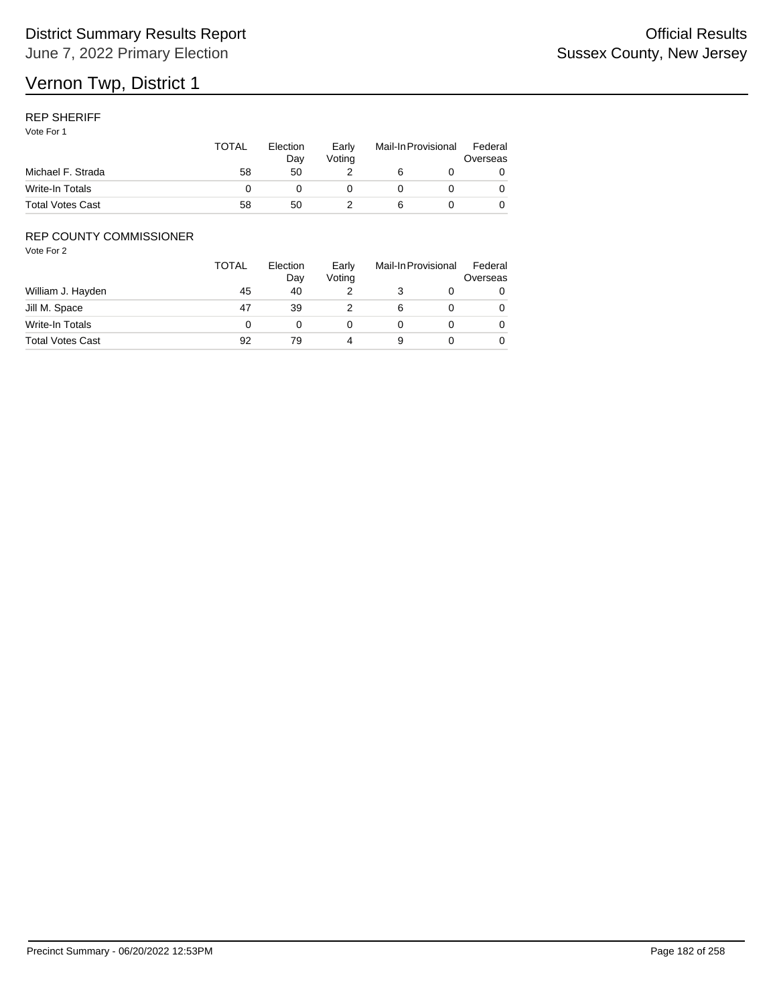### REP SHERIFF

Vote For 1

|                         | <b>TOTAL</b> | Election<br>Dav | Early<br>Votina | Mail-In Provisional |  | Federal<br>Overseas |
|-------------------------|--------------|-----------------|-----------------|---------------------|--|---------------------|
| Michael F. Strada       | 58           | 50              |                 |                     |  |                     |
| Write-In Totals         |              |                 |                 |                     |  |                     |
| <b>Total Votes Cast</b> | 58           | 50              |                 |                     |  |                     |

## REP COUNTY COMMISSIONER

|                         | <b>TOTAL</b> | Election<br>Day | Early<br>Voting | Mail-In Provisional |  | Federal<br>Overseas |
|-------------------------|--------------|-----------------|-----------------|---------------------|--|---------------------|
| William J. Hayden       | 45           | 40              |                 |                     |  |                     |
| Jill M. Space           | 47           | 39              |                 | 6                   |  | 0                   |
| Write-In Totals         |              |                 |                 |                     |  | 0                   |
| <b>Total Votes Cast</b> | 92           | 79              |                 | 9                   |  |                     |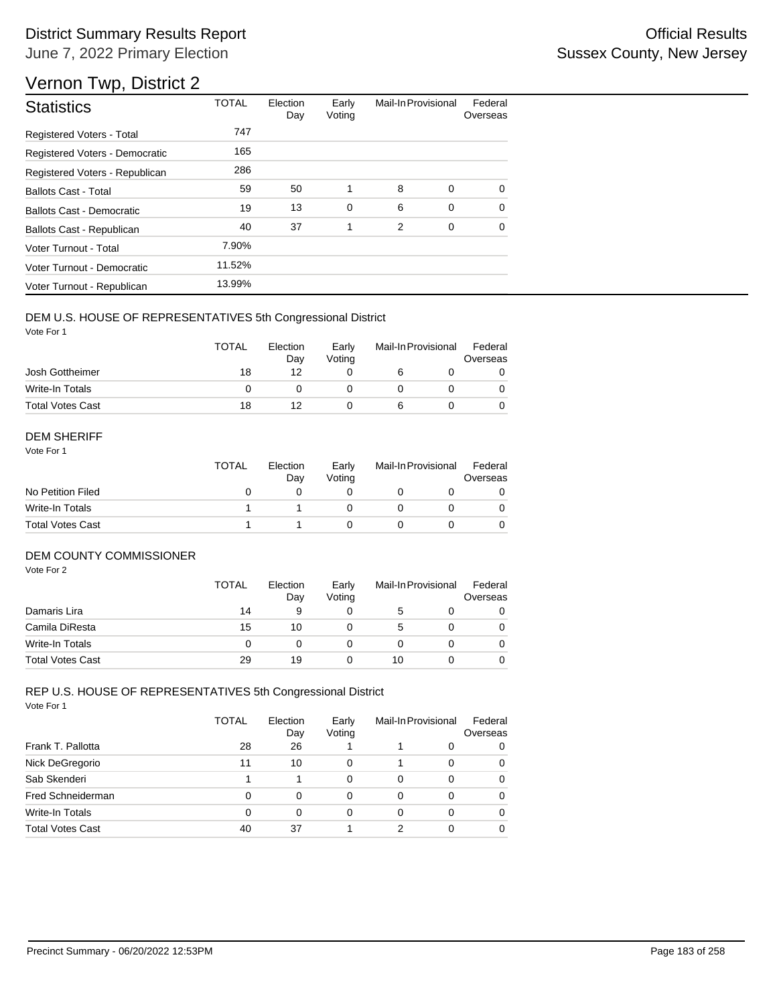# Vernon Twp, District 2

| <b>Statistics</b>                | <b>TOTAL</b> | Election<br>Day | Early<br>Voting | Mail-In Provisional |   | Federal<br>Overseas |
|----------------------------------|--------------|-----------------|-----------------|---------------------|---|---------------------|
| <b>Registered Voters - Total</b> | 747          |                 |                 |                     |   |                     |
| Registered Voters - Democratic   | 165          |                 |                 |                     |   |                     |
| Registered Voters - Republican   | 286          |                 |                 |                     |   |                     |
| <b>Ballots Cast - Total</b>      | 59           | 50              | 1               | 8                   | 0 | $\Omega$            |
| Ballots Cast - Democratic        | 19           | 13              | 0               | 6                   | 0 | $\Omega$            |
| Ballots Cast - Republican        | 40           | 37              | 1               | 2                   | 0 | $\Omega$            |
| Voter Turnout - Total            | 7.90%        |                 |                 |                     |   |                     |
| Voter Turnout - Democratic       | 11.52%       |                 |                 |                     |   |                     |
| Voter Turnout - Republican       | 13.99%       |                 |                 |                     |   |                     |

## DEM U.S. HOUSE OF REPRESENTATIVES 5th Congressional District

Vote For 1

|                         | <b>TOTAL</b> | Election<br>Dav | Early<br>Votina | Mail-In Provisional |  | Federal<br>Overseas |
|-------------------------|--------------|-----------------|-----------------|---------------------|--|---------------------|
| Josh Gottheimer         | 18           | 12              |                 |                     |  |                     |
| Write-In Totals         |              |                 |                 |                     |  |                     |
| <b>Total Votes Cast</b> | 18           |                 |                 |                     |  |                     |

#### DEM SHERIFF

Vote For 1

|                         | <b>TOTAL</b> | Election<br>Dav | Early<br>Votina | Mail-In Provisional |  | Federal<br>Overseas |  |
|-------------------------|--------------|-----------------|-----------------|---------------------|--|---------------------|--|
| No Petition Filed       |              |                 |                 |                     |  |                     |  |
| Write-In Totals         |              |                 |                 |                     |  | $\Omega$            |  |
| <b>Total Votes Cast</b> |              |                 |                 |                     |  |                     |  |

## DEM COUNTY COMMISSIONER

Vote For 2

|                         | <b>TOTAL</b> | Election<br>Day | Early<br>Votina | Mail-In Provisional |  | Federal<br>Overseas |
|-------------------------|--------------|-----------------|-----------------|---------------------|--|---------------------|
| Damaris Lira            | 14           | 9               |                 | 5                   |  | 0                   |
| Camila DiResta          | 15           | 10              |                 | 5                   |  | 0                   |
| Write-In Totals         | 0            |                 |                 |                     |  | 0                   |
| <b>Total Votes Cast</b> | 29           | 19              |                 | 10                  |  | 0                   |

|                         | <b>TOTAL</b> | Election<br>Day | Early<br>Voting |          | Mail-In Provisional | Federal<br>Overseas |
|-------------------------|--------------|-----------------|-----------------|----------|---------------------|---------------------|
| Frank T. Pallotta       | 28           | 26              |                 |          | 0                   | 0                   |
| Nick DeGregorio         | 11           | 10              | 0               |          | 0                   | 0                   |
| Sab Skenderi            |              |                 | 0               | $\Omega$ | 0                   | 0                   |
| Fred Schneiderman       | 0            | $\Omega$        | 0               | 0        | 0                   | 0                   |
| Write-In Totals         | 0            | 0               | 0               | 0        | 0                   | 0                   |
| <b>Total Votes Cast</b> | 40           | 37              |                 | 2        | 0                   | 0                   |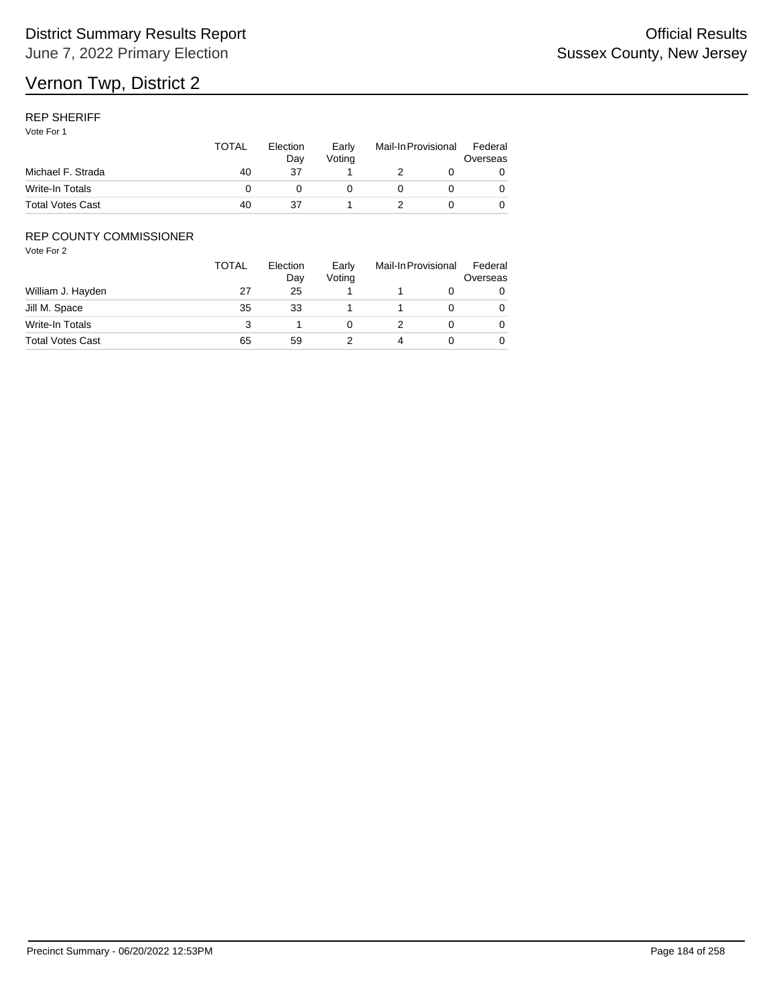### REP SHERIFF

Vote For 1

|                         | <b>TOTAL</b> | Election<br>Dav | Early<br>Votina | Mail-In Provisional |  | Federal<br>Overseas |  |
|-------------------------|--------------|-----------------|-----------------|---------------------|--|---------------------|--|
| Michael F. Strada       | 40           | 37              |                 |                     |  |                     |  |
| Write-In Totals         |              |                 |                 |                     |  |                     |  |
| <b>Total Votes Cast</b> | 40           | 37              |                 |                     |  |                     |  |

## REP COUNTY COMMISSIONER

|                         | <b>TOTAL</b> | Election<br>Day | Early<br>Voting | Mail-In Provisional |  | Federal<br>Overseas |
|-------------------------|--------------|-----------------|-----------------|---------------------|--|---------------------|
| William J. Hayden       | 27           | 25              |                 |                     |  | 0                   |
| Jill M. Space           | 35           | 33              |                 |                     |  | 0                   |
| Write-In Totals         |              |                 |                 |                     |  | 0                   |
| <b>Total Votes Cast</b> | 65           | 59              |                 |                     |  | 0                   |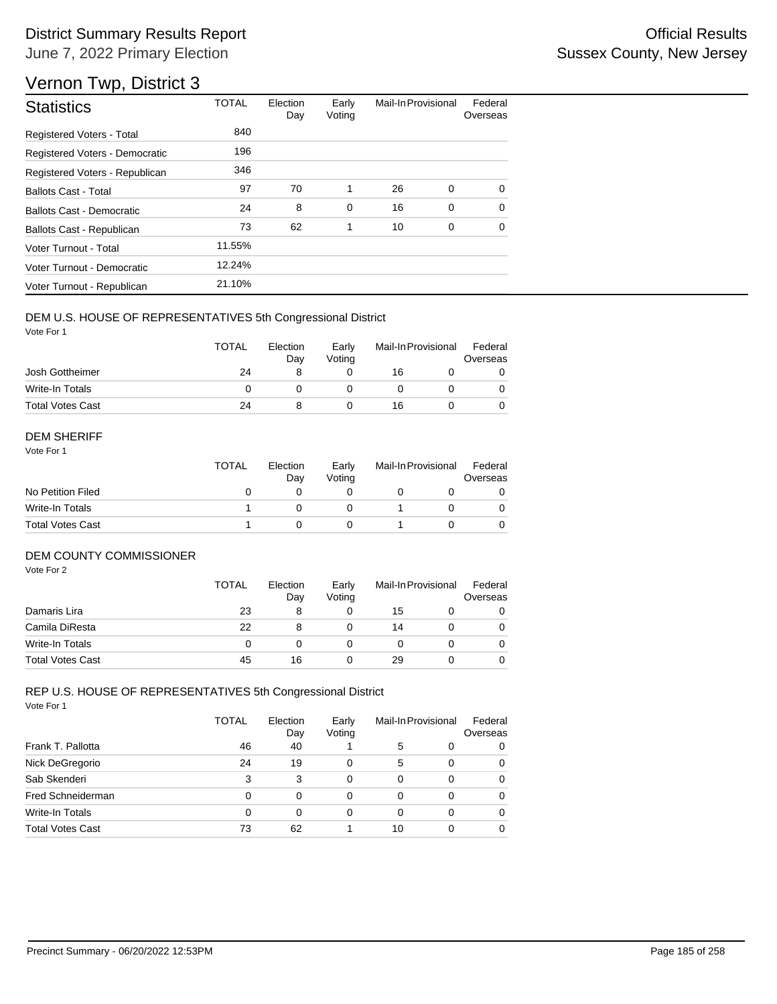# Vernon Twp, District 3

| <b>Statistics</b>                | <b>TOTAL</b> | Election<br>Day | Early<br>Voting | Mail-In Provisional |   | Federal<br>Overseas |
|----------------------------------|--------------|-----------------|-----------------|---------------------|---|---------------------|
| <b>Registered Voters - Total</b> | 840          |                 |                 |                     |   |                     |
| Registered Voters - Democratic   | 196          |                 |                 |                     |   |                     |
| Registered Voters - Republican   | 346          |                 |                 |                     |   |                     |
| <b>Ballots Cast - Total</b>      | 97           | 70              | 1               | 26                  | 0 | $\Omega$            |
| Ballots Cast - Democratic        | 24           | 8               | 0               | 16                  | 0 | $\Omega$            |
| Ballots Cast - Republican        | 73           | 62              | 1               | 10                  | 0 | $\Omega$            |
| Voter Turnout - Total            | 11.55%       |                 |                 |                     |   |                     |
| Voter Turnout - Democratic       | 12.24%       |                 |                 |                     |   |                     |
| Voter Turnout - Republican       | 21.10%       |                 |                 |                     |   |                     |

## DEM U.S. HOUSE OF REPRESENTATIVES 5th Congressional District

Vote For 1

|                         | <b>TOTAL</b> | Election<br>Day | Early<br>Votina | Mail-In Provisional |  | Federal<br>Overseas |
|-------------------------|--------------|-----------------|-----------------|---------------------|--|---------------------|
| Josh Gottheimer         | 24           |                 |                 | 16                  |  |                     |
| Write-In Totals         |              |                 |                 |                     |  |                     |
| <b>Total Votes Cast</b> | 24           |                 |                 | 16                  |  |                     |

#### DEM SHERIFF

Vote For 1

|                         | <b>TOTAL</b> | Election<br>Dav | Early<br>Votina | Mail-In Provisional |  | Federal<br>Overseas |  |
|-------------------------|--------------|-----------------|-----------------|---------------------|--|---------------------|--|
| No Petition Filed       |              |                 |                 |                     |  |                     |  |
| Write-In Totals         |              |                 |                 |                     |  | $\Omega$            |  |
| <b>Total Votes Cast</b> |              |                 |                 |                     |  |                     |  |

## DEM COUNTY COMMISSIONER

Vote For 2

|                         | <b>TOTAL</b> | Election<br>Day | Early<br>Votina | Mail-In Provisional |  | Federal<br>Overseas |
|-------------------------|--------------|-----------------|-----------------|---------------------|--|---------------------|
| Damaris Lira            | 23           | 8               |                 | 15                  |  | 0                   |
| Camila DiResta          | 22           | 8               |                 | 14                  |  | 0                   |
| <b>Write-In Totals</b>  |              |                 |                 |                     |  | 0                   |
| <b>Total Votes Cast</b> | 45           | 16              |                 | 29                  |  | 0                   |

|                         | TOTAL | Election<br>Day | Early<br>Voting | Mail-In Provisional |   | Federal<br>Overseas |
|-------------------------|-------|-----------------|-----------------|---------------------|---|---------------------|
| Frank T. Pallotta       | 46    | 40              |                 | 5                   | 0 | 0                   |
| Nick DeGregorio         | 24    | 19              | 0               | 5                   | 0 | 0                   |
| Sab Skenderi            | 3     | 3               | 0               | 0                   | 0 | 0                   |
| Fred Schneiderman       | 0     | 0               | 0               | 0                   | 0 | 0                   |
| <b>Write-In Totals</b>  | 0     | 0               | 0               | 0                   | 0 | 0                   |
| <b>Total Votes Cast</b> | 73    | 62              |                 | 10                  | ი | 0                   |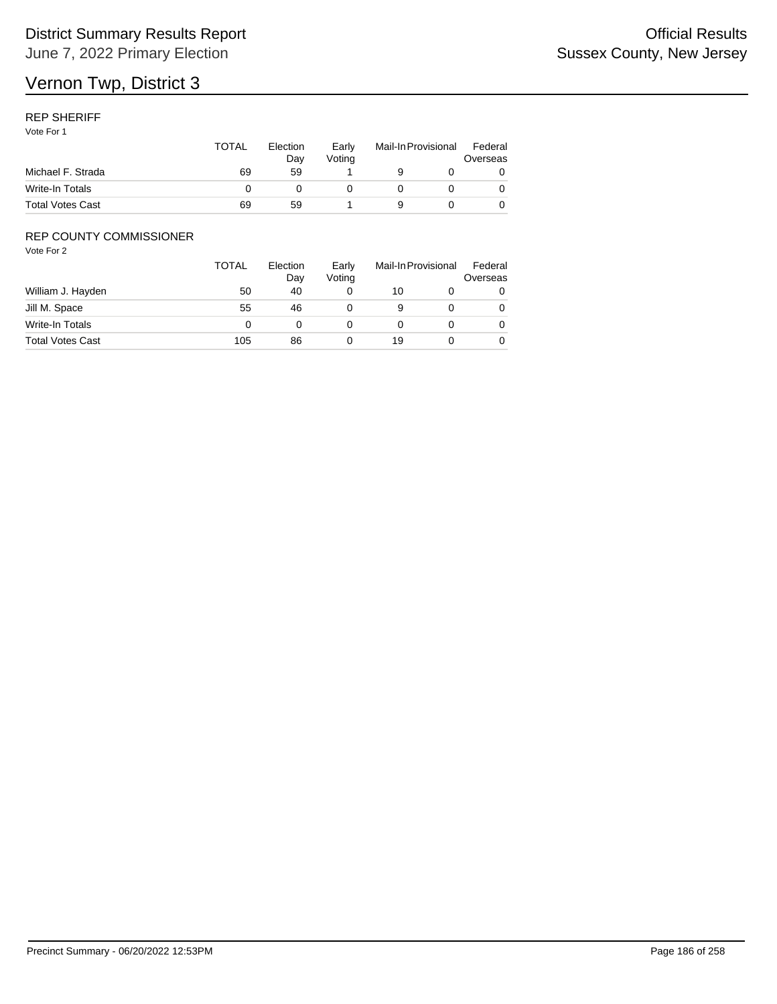## REP SHERIFF

Vote For 1

|                         | TOTAL | Election<br>Dav | Early<br>Votina | Mail-In Provisional |  | Federal<br>Overseas |  |
|-------------------------|-------|-----------------|-----------------|---------------------|--|---------------------|--|
| Michael F. Strada       | 69    | 59              |                 |                     |  |                     |  |
| Write-In Totals         |       |                 |                 |                     |  |                     |  |
| <b>Total Votes Cast</b> | 69    | 59              |                 | a                   |  |                     |  |

## REP COUNTY COMMISSIONER

|                         | TOTAL | Election<br>Day | Early<br>Voting |    | Mail-In Provisional |   |
|-------------------------|-------|-----------------|-----------------|----|---------------------|---|
| William J. Hayden       | 50    | 40              |                 | 10 |                     | 0 |
| Jill M. Space           | 55    | 46              |                 | 9  |                     | 0 |
| Write-In Totals         |       |                 |                 |    |                     | 0 |
| <b>Total Votes Cast</b> | 105   | 86              |                 | 19 |                     | 0 |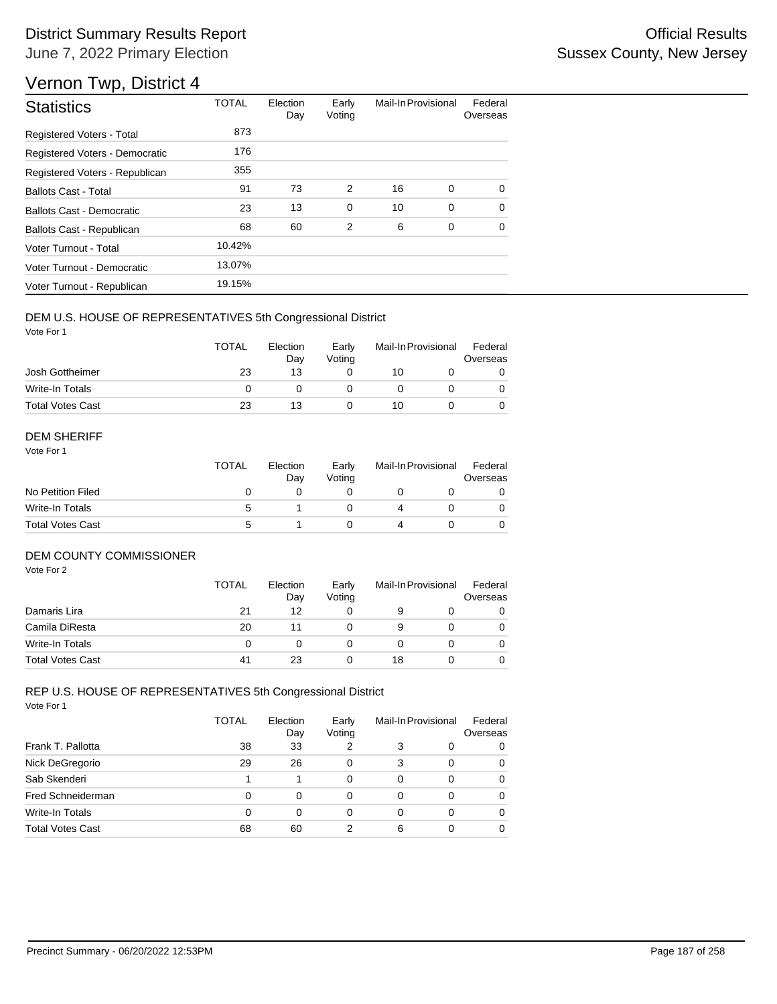# Vernon Twp, District 4

| <b>Statistics</b>                | <b>TOTAL</b> | Election<br>Day | Early<br>Voting | Mail-In Provisional |   | Federal<br>Overseas |
|----------------------------------|--------------|-----------------|-----------------|---------------------|---|---------------------|
| <b>Registered Voters - Total</b> | 873          |                 |                 |                     |   |                     |
| Registered Voters - Democratic   | 176          |                 |                 |                     |   |                     |
| Registered Voters - Republican   | 355          |                 |                 |                     |   |                     |
| <b>Ballots Cast - Total</b>      | 91           | 73              | 2               | 16                  | 0 | $\Omega$            |
| Ballots Cast - Democratic        | 23           | 13              | $\mathbf 0$     | 10                  | 0 | $\mathbf 0$         |
| Ballots Cast - Republican        | 68           | 60              | $\overline{2}$  | 6                   | 0 | $\Omega$            |
| Voter Turnout - Total            | 10.42%       |                 |                 |                     |   |                     |
| Voter Turnout - Democratic       | 13.07%       |                 |                 |                     |   |                     |
| Voter Turnout - Republican       | 19.15%       |                 |                 |                     |   |                     |

## DEM U.S. HOUSE OF REPRESENTATIVES 5th Congressional District

Vote For 1

|                         | <b>TOTAL</b> | Election<br>Dav | Early<br>Votina | Mail-In Provisional |  | Federal<br>Overseas |
|-------------------------|--------------|-----------------|-----------------|---------------------|--|---------------------|
| Josh Gottheimer         | 23           | 13              |                 | 10                  |  |                     |
| Write-In Totals         |              |                 |                 |                     |  |                     |
| <b>Total Votes Cast</b> | 23           | 13              |                 | 10                  |  |                     |

#### DEM SHERIFF

Vote For 1

| <b>TOTAL</b> | Election<br>Day | Early<br>Votina |  |  | Federal<br>Overseas |  |
|--------------|-----------------|-----------------|--|--|---------------------|--|
|              |                 |                 |  |  |                     |  |
| 5            |                 |                 |  |  | $\Omega$            |  |
| 5            |                 |                 |  |  |                     |  |
|              |                 |                 |  |  | Mail-In Provisional |  |

#### DEM COUNTY COMMISSIONER

Vote For 2

|                         | <b>TOTAL</b> | Election<br>Day | Early<br>Votina | Mail-In Provisional |  | Federal<br>Overseas |
|-------------------------|--------------|-----------------|-----------------|---------------------|--|---------------------|
| Damaris Lira            | 21           | 12              |                 | 9                   |  | 0                   |
| Camila DiResta          | 20           | 11              |                 | 9                   |  | 0                   |
| Write-In Totals         | 0            |                 |                 |                     |  | $\Omega$            |
| <b>Total Votes Cast</b> | 41           | 23              |                 | 18                  |  | 0                   |

|                         | <b>TOTAL</b> | Election<br>Day | Early<br>Voting | Mail-In Provisional |   | Federal<br>Overseas |
|-------------------------|--------------|-----------------|-----------------|---------------------|---|---------------------|
| Frank T. Pallotta       | 38           | 33              | 2               | 3                   | 0 | 0                   |
| Nick DeGregorio         | 29           | 26              | 0               | 3                   | 0 | 0                   |
| Sab Skenderi            |              |                 | 0               | $\Omega$            | 0 | 0                   |
| Fred Schneiderman       | 0            | $\Omega$        | 0               | 0                   | 0 | 0                   |
| Write-In Totals         | 0            | 0               | 0               | 0                   | 0 | 0                   |
| <b>Total Votes Cast</b> | 68           | 60              | 2               | 6                   | 0 | 0                   |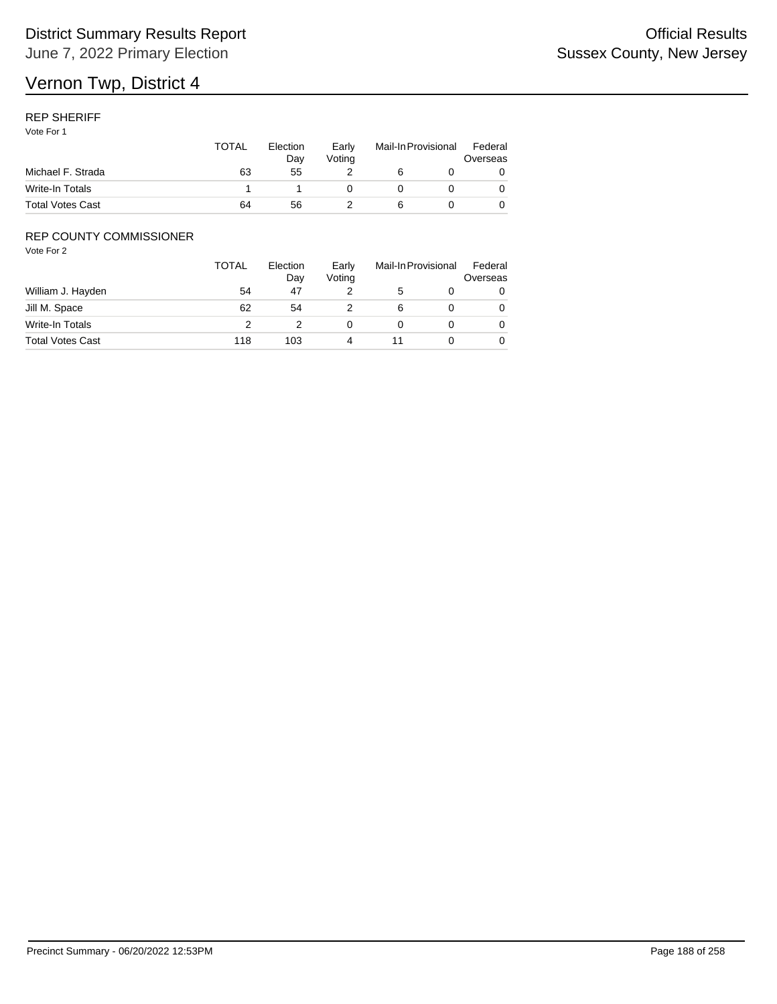## REP SHERIFF

Vote For 1

|                         | <b>TOTAL</b> | Election<br>Dav | Early<br>Votina | Mail-In Provisional |  | Federal<br>Overseas |  |
|-------------------------|--------------|-----------------|-----------------|---------------------|--|---------------------|--|
| Michael F. Strada       | 63           | 55              |                 |                     |  |                     |  |
| Write-In Totals         |              |                 |                 |                     |  |                     |  |
| <b>Total Votes Cast</b> | 64           | 56              |                 |                     |  |                     |  |

## REP COUNTY COMMISSIONER

|                         | <b>TOTAL</b> | Election<br>Day | Early<br>Voting | Mail-In Provisional |  | Federal<br>Overseas |
|-------------------------|--------------|-----------------|-----------------|---------------------|--|---------------------|
| William J. Hayden       | 54           | 47              |                 | 5                   |  | 0                   |
| Jill M. Space           | 62           | 54              |                 | 6                   |  | 0                   |
| Write-In Totals         |              |                 |                 |                     |  | 0                   |
| <b>Total Votes Cast</b> | 118          | 103             |                 |                     |  | 0                   |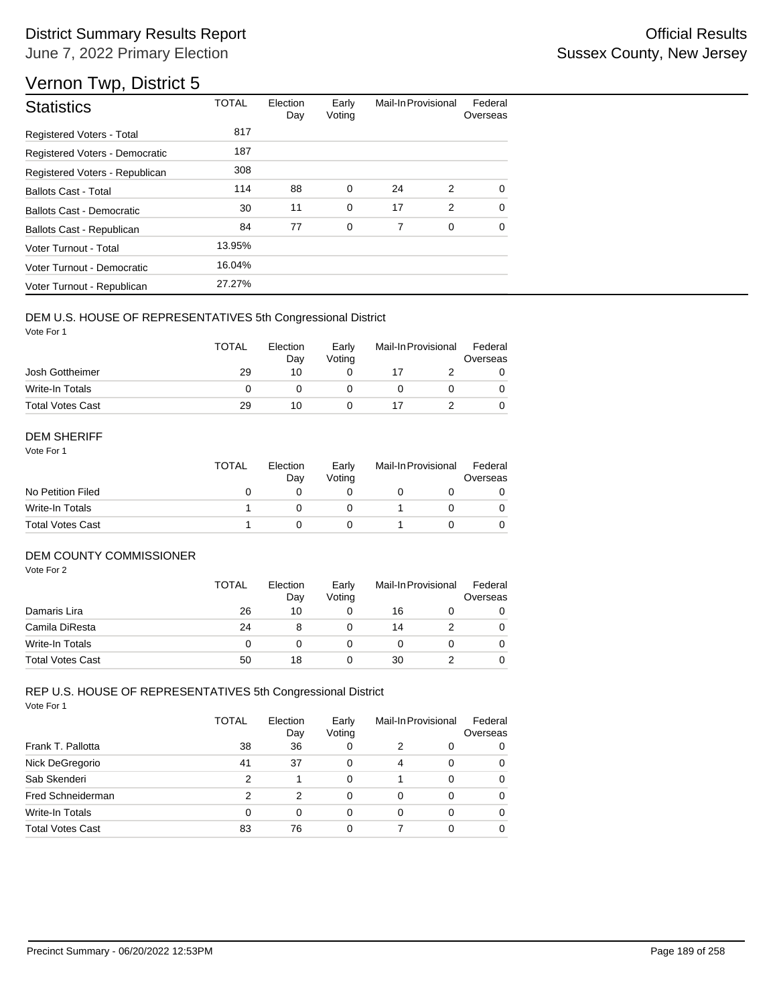# Vernon Twp, District 5

| <b>Statistics</b>                | <b>TOTAL</b> | Election<br>Day | Early<br>Voting | Mail-In Provisional |             | Federal<br>Overseas |
|----------------------------------|--------------|-----------------|-----------------|---------------------|-------------|---------------------|
| <b>Registered Voters - Total</b> | 817          |                 |                 |                     |             |                     |
| Registered Voters - Democratic   | 187          |                 |                 |                     |             |                     |
| Registered Voters - Republican   | 308          |                 |                 |                     |             |                     |
| <b>Ballots Cast - Total</b>      | 114          | 88              | 0               | 24                  | 2           | $\Omega$            |
| Ballots Cast - Democratic        | 30           | 11              | $\mathbf 0$     | 17                  | 2           | $\Omega$            |
| Ballots Cast - Republican        | 84           | 77              | 0               | 7                   | $\mathbf 0$ | $\Omega$            |
| Voter Turnout - Total            | 13.95%       |                 |                 |                     |             |                     |
| Voter Turnout - Democratic       | 16.04%       |                 |                 |                     |             |                     |
| Voter Turnout - Republican       | 27.27%       |                 |                 |                     |             |                     |

## DEM U.S. HOUSE OF REPRESENTATIVES 5th Congressional District

Vote For 1

|                         | <b>TOTAL</b> | Election<br>Day | Early<br>Votina | Mail-In Provisional |  | Federal<br>Overseas |
|-------------------------|--------------|-----------------|-----------------|---------------------|--|---------------------|
| Josh Gottheimer         | 29           | 10              |                 |                     |  |                     |
| Write-In Totals         |              |                 |                 |                     |  |                     |
| <b>Total Votes Cast</b> | 29           | 10              |                 |                     |  |                     |

#### DEM SHERIFF

Vote For 1

|                         | <b>TOTAL</b> | Election<br>Day | Early<br>Votina | Mail-In Provisional |  | Federal<br>Overseas |  |
|-------------------------|--------------|-----------------|-----------------|---------------------|--|---------------------|--|
| No Petition Filed       |              |                 |                 |                     |  |                     |  |
| Write-In Totals         |              |                 |                 |                     |  |                     |  |
| <b>Total Votes Cast</b> |              |                 |                 |                     |  |                     |  |

## DEM COUNTY COMMISSIONER

Vote For 2

|                         | <b>TOTAL</b> | Election<br>Day | Early<br>Votina | Mail-In Provisional |  | Federal<br>Overseas |
|-------------------------|--------------|-----------------|-----------------|---------------------|--|---------------------|
| Damaris Lira            | 26           | 10              |                 | 16                  |  | 0                   |
| Camila DiResta          | 24           | 8               |                 | 14                  |  | 0                   |
| Write-In Totals         |              |                 |                 |                     |  | 0                   |
| <b>Total Votes Cast</b> | 50           | 18              |                 | 30                  |  | 0                   |

|                         | <b>TOTAL</b> | Election<br>Day | Early<br>Voting |   | Mail-In Provisional | Federal<br>Overseas |
|-------------------------|--------------|-----------------|-----------------|---|---------------------|---------------------|
| Frank T. Pallotta       | 38           | 36              | 0               | 2 | 0                   | 0                   |
| Nick DeGregorio         | 41           | 37              | 0               | 4 | 0                   | 0                   |
| Sab Skenderi            | 2            |                 | 0               |   | 0                   | 0                   |
| Fred Schneiderman       | 2            | 2               | 0               | 0 | 0                   | 0                   |
| Write-In Totals         | 0            | 0               | 0               | 0 | 0                   | 0                   |
| <b>Total Votes Cast</b> | 83           | 76              | 0               |   | 0                   | 0                   |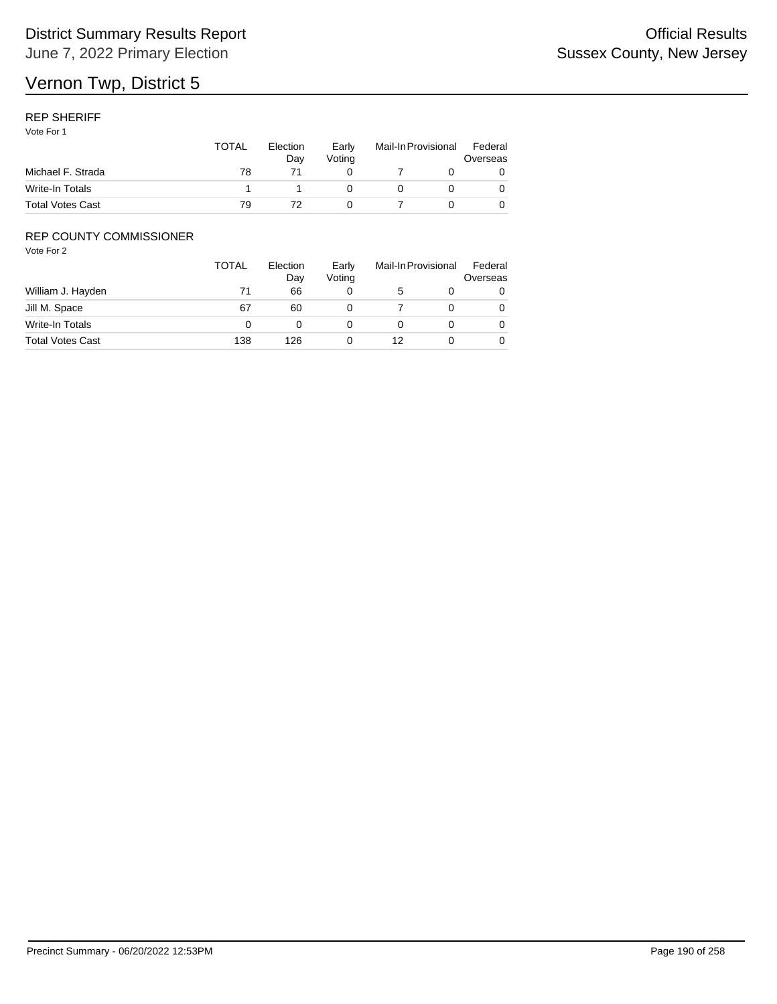## REP SHERIFF

Vote For 1

|                         | <b>TOTAL</b> | Election<br>Dav | Early<br>Votina | Mail-In Provisional |  | Federal<br>Overseas |  |
|-------------------------|--------------|-----------------|-----------------|---------------------|--|---------------------|--|
| Michael F. Strada       | 78           |                 |                 |                     |  |                     |  |
| Write-In Totals         |              |                 |                 |                     |  |                     |  |
| <b>Total Votes Cast</b> | 79           |                 |                 |                     |  |                     |  |

## REP COUNTY COMMISSIONER

|                         | <b>TOTAL</b> | Election<br>Day | Early<br>Voting |    | Mail-In Provisional |   |
|-------------------------|--------------|-----------------|-----------------|----|---------------------|---|
| William J. Hayden       | 71           | 66              |                 | 5  |                     | 0 |
| Jill M. Space           | 67           | 60              |                 |    |                     | 0 |
| Write-In Totals         |              |                 |                 |    |                     | 0 |
| <b>Total Votes Cast</b> | 138          | 126             |                 | 12 |                     | 0 |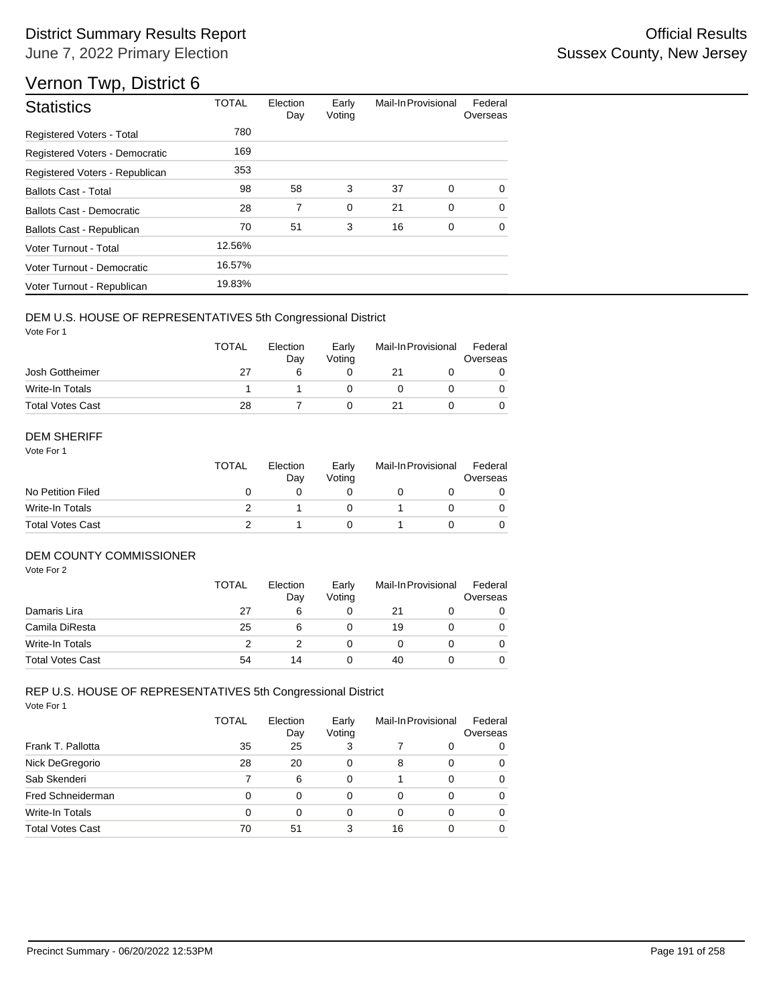# Vernon Twp, District 6

| <b>Statistics</b>                | <b>TOTAL</b> | Election<br>Day | Early<br>Voting | Mail-In Provisional |   | Federal<br>Overseas |
|----------------------------------|--------------|-----------------|-----------------|---------------------|---|---------------------|
| <b>Registered Voters - Total</b> | 780          |                 |                 |                     |   |                     |
| Registered Voters - Democratic   | 169          |                 |                 |                     |   |                     |
| Registered Voters - Republican   | 353          |                 |                 |                     |   |                     |
| <b>Ballots Cast - Total</b>      | 98           | 58              | 3               | 37                  | 0 | $\Omega$            |
| <b>Ballots Cast - Democratic</b> | 28           | 7               | $\mathbf 0$     | 21                  | 0 | $\Omega$            |
| Ballots Cast - Republican        | 70           | 51              | 3               | 16                  | 0 | $\Omega$            |
| Voter Turnout - Total            | 12.56%       |                 |                 |                     |   |                     |
| Voter Turnout - Democratic       | 16.57%       |                 |                 |                     |   |                     |
| Voter Turnout - Republican       | 19.83%       |                 |                 |                     |   |                     |

#### DEM U.S. HOUSE OF REPRESENTATIVES 5th Congressional District

Vote For 1

|                         | <b>TOTAL</b> | Election<br>Dav | Early<br>Votina | Mail-In Provisional |  | Federal<br>Overseas |  |
|-------------------------|--------------|-----------------|-----------------|---------------------|--|---------------------|--|
| Josh Gottheimer         | 27           |                 |                 |                     |  |                     |  |
| Write-In Totals         |              |                 |                 |                     |  |                     |  |
| <b>Total Votes Cast</b> | 28           |                 |                 |                     |  |                     |  |

#### DEM SHERIFF

Vote For 1

|                         | <b>TOTAL</b> | Election<br>Dav | Early<br>Votina | Mail-In Provisional |  | Federal<br>Overseas |  |
|-------------------------|--------------|-----------------|-----------------|---------------------|--|---------------------|--|
| No Petition Filed       |              |                 |                 |                     |  |                     |  |
| Write-In Totals         |              |                 |                 |                     |  | $\Omega$            |  |
| <b>Total Votes Cast</b> |              |                 |                 |                     |  |                     |  |

## DEM COUNTY COMMISSIONER

Vote For 2

|                         | <b>TOTAL</b> | Election<br>Day | Early<br>Votina | Mail-In Provisional |  | Federal<br>Overseas |
|-------------------------|--------------|-----------------|-----------------|---------------------|--|---------------------|
| Damaris Lira            | 27           | 6               |                 | 21                  |  | 0                   |
| Camila DiResta          | 25           | 6               |                 | 19                  |  | 0                   |
| <b>Write-In Totals</b>  |              |                 |                 |                     |  | 0                   |
| <b>Total Votes Cast</b> | 54           | 14              |                 | 40                  |  | 0                   |

|                         | <b>TOTAL</b> | Election<br>Day | Early<br>Voting |    | Mail-In Provisional | Federal<br>Overseas |
|-------------------------|--------------|-----------------|-----------------|----|---------------------|---------------------|
| Frank T. Pallotta       | 35           | 25              | 3               |    | 0                   | 0                   |
| Nick DeGregorio         | 28           | 20              | 0               | 8  | 0                   | 0                   |
| Sab Skenderi            |              | 6               | 0               |    | 0                   | 0                   |
| Fred Schneiderman       | 0            | $\Omega$        | 0               | 0  | 0                   | 0                   |
| Write-In Totals         | 0            | 0               | 0               | 0  | 0                   | 0                   |
| <b>Total Votes Cast</b> | 70           | 51              | 3               | 16 | 0                   | 0                   |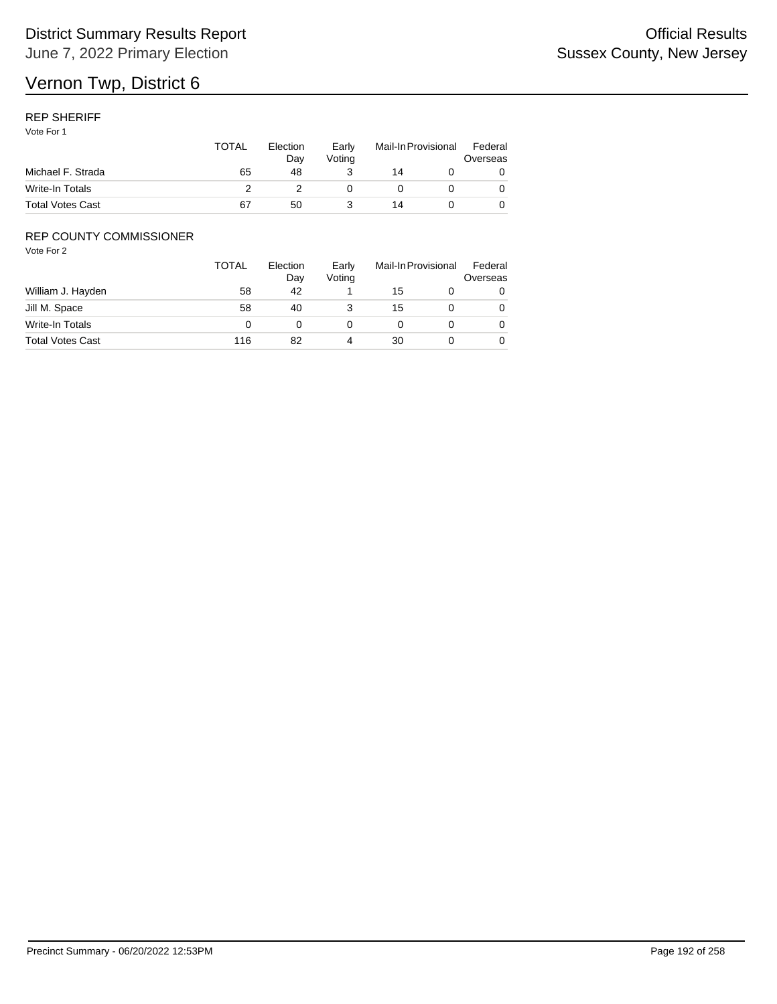### REP SHERIFF

Vote For 1

|                         | TOTAL | Election<br>Dav<br>48 | Early<br>Votina | Mail-In Provisional |  | Federal<br>Overseas |
|-------------------------|-------|-----------------------|-----------------|---------------------|--|---------------------|
| Michael F. Strada       | 65    |                       |                 | 14                  |  |                     |
| Write-In Totals         |       |                       |                 |                     |  |                     |
| <b>Total Votes Cast</b> | 67    | 50                    |                 | 14                  |  |                     |

## REP COUNTY COMMISSIONER

|                         | <b>TOTAL</b> | Election<br>Day | Early<br>Voting | Mail-In Provisional |  | Federal<br>Overseas |
|-------------------------|--------------|-----------------|-----------------|---------------------|--|---------------------|
| William J. Hayden       | 58           | 42              |                 | 15                  |  | 0                   |
| Jill M. Space           | 58           | 40              |                 | 15                  |  | 0                   |
| Write-In Totals         |              |                 |                 |                     |  | 0                   |
| <b>Total Votes Cast</b> | 116          | 82              | 4               | 30                  |  | 0                   |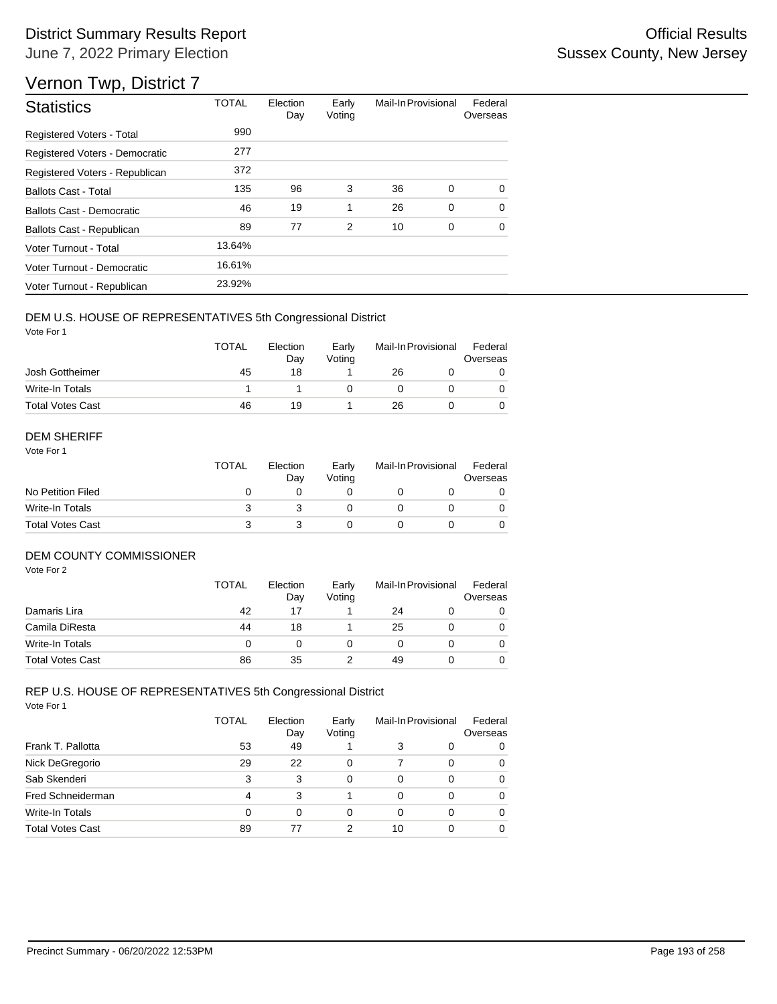# Vernon Twp, District 7

| <b>Statistics</b>                | <b>TOTAL</b> | Election<br>Day | Early<br>Voting | Mail-In Provisional |             | Federal<br>Overseas |
|----------------------------------|--------------|-----------------|-----------------|---------------------|-------------|---------------------|
| Registered Voters - Total        | 990          |                 |                 |                     |             |                     |
| Registered Voters - Democratic   | 277          |                 |                 |                     |             |                     |
| Registered Voters - Republican   | 372          |                 |                 |                     |             |                     |
| <b>Ballots Cast - Total</b>      | 135          | 96              | 3               | 36                  | 0           | 0                   |
| <b>Ballots Cast - Democratic</b> | 46           | 19              | 1               | 26                  | $\mathbf 0$ | $\Omega$            |
| Ballots Cast - Republican        | 89           | 77              | $\overline{2}$  | 10                  | 0           | 0                   |
| Voter Turnout - Total            | 13.64%       |                 |                 |                     |             |                     |
| Voter Turnout - Democratic       | 16.61%       |                 |                 |                     |             |                     |
| Voter Turnout - Republican       | 23.92%       |                 |                 |                     |             |                     |

#### DEM U.S. HOUSE OF REPRESENTATIVES 5th Congressional District

Vote For 1

|                         | <b>TOTAL</b> | Election<br>Dav | Early<br>Votina | Mail-In Provisional |  | Federal<br>Overseas |
|-------------------------|--------------|-----------------|-----------------|---------------------|--|---------------------|
| Josh Gottheimer         | 45           | 18              |                 | 26                  |  |                     |
| Write-In Totals         |              |                 |                 |                     |  |                     |
| <b>Total Votes Cast</b> | 46           | 19              |                 | 26                  |  |                     |

#### DEM SHERIFF

Vote For 1

|                         | <b>TOTAL</b> | Election<br>Dav | Early<br>Votina | Mail-In Provisional |  | Federal<br>Overseas |  |
|-------------------------|--------------|-----------------|-----------------|---------------------|--|---------------------|--|
| No Petition Filed       |              |                 |                 |                     |  |                     |  |
| Write-In Totals         |              |                 |                 |                     |  | $\Omega$            |  |
| <b>Total Votes Cast</b> |              |                 |                 |                     |  |                     |  |

#### DEM COUNTY COMMISSIONER

Vote For 2

|                         | <b>TOTAL</b> | Election<br>Day | Early<br>Votina |    | Mail-In Provisional |          |
|-------------------------|--------------|-----------------|-----------------|----|---------------------|----------|
| Damaris Lira            | 42           | 17              |                 | 24 |                     | 0        |
| Camila DiResta          | 44           | 18              |                 | 25 |                     | 0        |
| Write-In Totals         |              |                 |                 |    |                     | $\Omega$ |
| <b>Total Votes Cast</b> | 86           | 35              |                 | 49 |                     | 0        |

|                         | TOTAL | Election<br>Day | Early<br>Voting | Mail-In Provisional |   | Federal<br>Overseas |
|-------------------------|-------|-----------------|-----------------|---------------------|---|---------------------|
| Frank T. Pallotta       | 53    | 49              |                 | 3                   | 0 | 0                   |
| Nick DeGregorio         | 29    | 22              | 0               |                     | 0 | 0                   |
| Sab Skenderi            | 3     | 3               | 0               | 0                   | 0 | 0                   |
| Fred Schneiderman       | 4     | 3               |                 | 0                   | 0 | 0                   |
| <b>Write-In Totals</b>  | 0     | 0               | 0               | 0                   | 0 | 0                   |
| <b>Total Votes Cast</b> | 89    | 77              | 2               | 10                  |   | 0                   |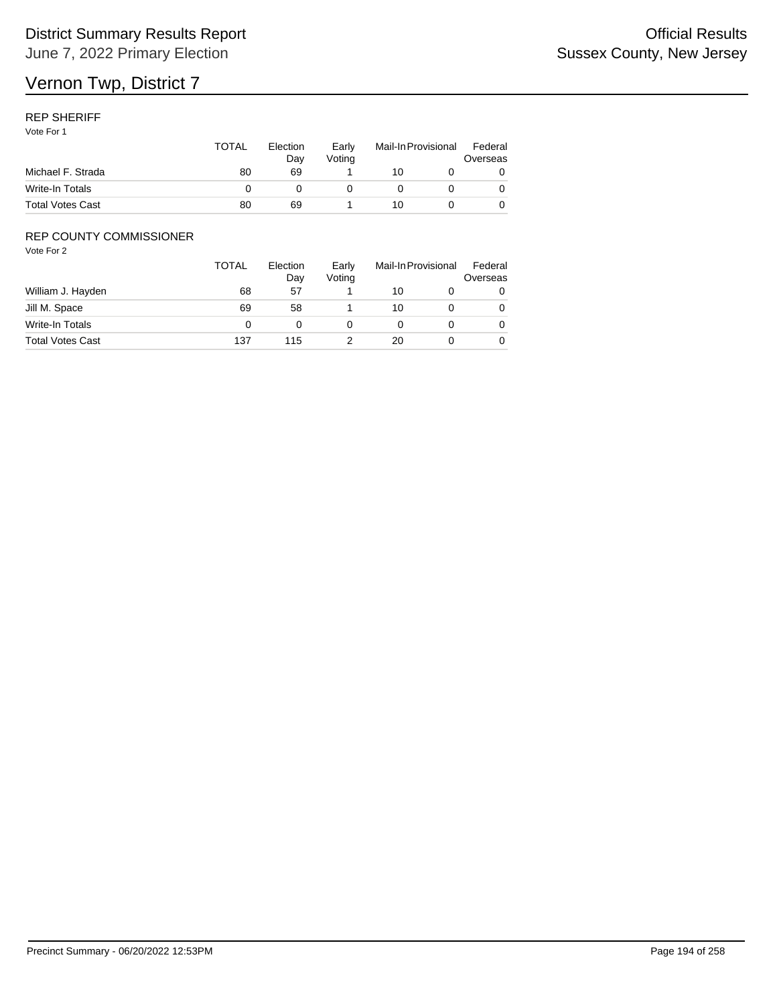## REP SHERIFF

Vote For 1

|                         | <b>TOTAL</b> | Election<br>Dav<br>69 | Early<br>Votina | Mail-In Provisional |  | Federal<br>Overseas |  |
|-------------------------|--------------|-----------------------|-----------------|---------------------|--|---------------------|--|
| Michael F. Strada       | 80           |                       |                 | 10                  |  |                     |  |
| Write-In Totals         |              |                       |                 |                     |  |                     |  |
| <b>Total Votes Cast</b> | 80           | 69                    |                 | 10                  |  |                     |  |

## REP COUNTY COMMISSIONER

|                         | <b>TOTAL</b> | Election<br>Day | Early<br>Voting |    | Mail-In Provisional | Federal<br>Overseas |
|-------------------------|--------------|-----------------|-----------------|----|---------------------|---------------------|
| William J. Hayden       | 68           | 57              |                 | 10 |                     | 0                   |
| Jill M. Space           | 69           | 58              |                 | 10 |                     | 0                   |
| Write-In Totals         |              |                 |                 |    |                     | 0                   |
| <b>Total Votes Cast</b> | 137          | 115             |                 | 20 |                     | 0                   |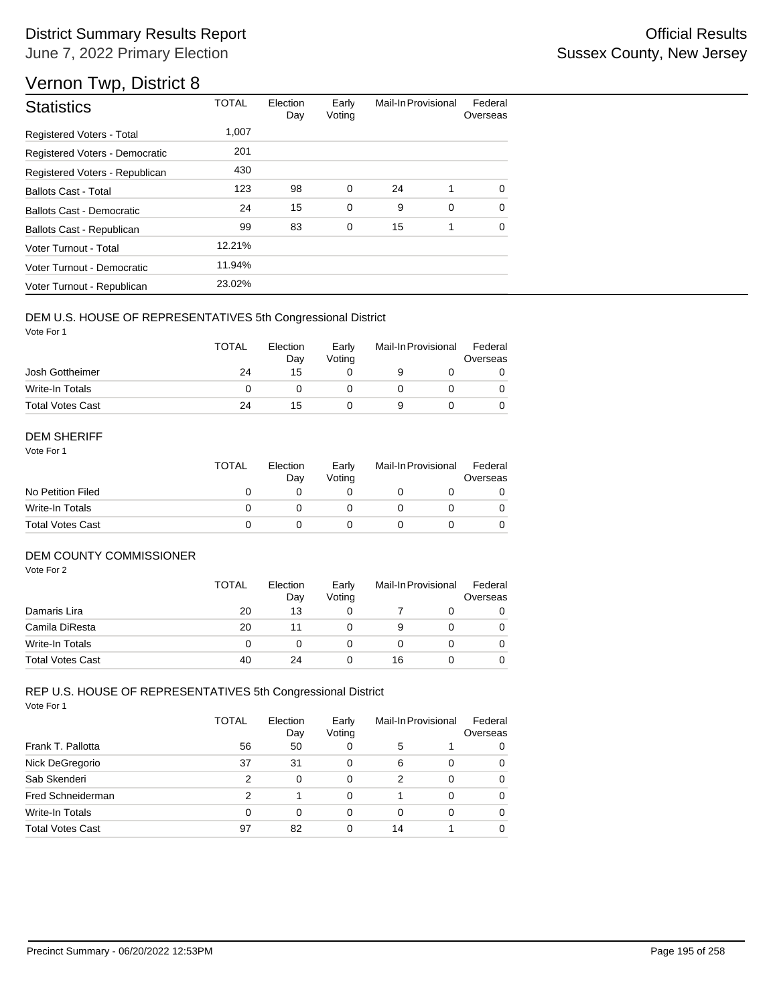# Vernon Twp, District 8

| <b>Statistics</b>                | <b>TOTAL</b> | Election<br>Day | Early<br>Voting | Mail-In Provisional |   | Federal<br>Overseas |
|----------------------------------|--------------|-----------------|-----------------|---------------------|---|---------------------|
| <b>Registered Voters - Total</b> | 1,007        |                 |                 |                     |   |                     |
| Registered Voters - Democratic   | 201          |                 |                 |                     |   |                     |
| Registered Voters - Republican   | 430          |                 |                 |                     |   |                     |
| <b>Ballots Cast - Total</b>      | 123          | 98              | 0               | 24                  | 1 | $\Omega$            |
| Ballots Cast - Democratic        | 24           | 15              | $\mathbf 0$     | 9                   | 0 | $\Omega$            |
| Ballots Cast - Republican        | 99           | 83              | $\mathbf 0$     | 15                  | 1 | $\Omega$            |
| Voter Turnout - Total            | 12.21%       |                 |                 |                     |   |                     |
| Voter Turnout - Democratic       | 11.94%       |                 |                 |                     |   |                     |
| Voter Turnout - Republican       | 23.02%       |                 |                 |                     |   |                     |

## DEM U.S. HOUSE OF REPRESENTATIVES 5th Congressional District

Vote For 1

|                         | <b>TOTAL</b> | Election<br>Day | Early<br>Votina | Mail-In Provisional |  | Federal<br>Overseas |  |
|-------------------------|--------------|-----------------|-----------------|---------------------|--|---------------------|--|
| Josh Gottheimer         | 24           | 15              |                 |                     |  |                     |  |
| Write-In Totals         |              |                 |                 |                     |  |                     |  |
| <b>Total Votes Cast</b> | 24           | 15              |                 |                     |  |                     |  |

#### DEM SHERIFF

Vote For 1

|                         | <b>TOTAL</b> | Election<br>Dav | Early<br>Votina | Mail-In Provisional |  | Federal<br>Overseas |  |
|-------------------------|--------------|-----------------|-----------------|---------------------|--|---------------------|--|
| No Petition Filed       |              |                 |                 |                     |  |                     |  |
| Write-In Totals         |              |                 |                 |                     |  | $\Omega$            |  |
| <b>Total Votes Cast</b> |              |                 |                 |                     |  |                     |  |

#### DEM COUNTY COMMISSIONER

Vote For 2

|                         | <b>TOTAL</b> | Election<br>Day | Early<br>Votina |    | Mail-In Provisional | Federal<br>Overseas |
|-------------------------|--------------|-----------------|-----------------|----|---------------------|---------------------|
| Damaris Lira            | 20           | 13              |                 |    |                     | 0                   |
| Camila DiResta          | 20           | 11              |                 | 9  |                     | 0                   |
| Write-In Totals         |              |                 |                 |    |                     | $\Omega$            |
| <b>Total Votes Cast</b> | 40           | 24              |                 | 16 |                     | 0                   |

|                         | TOTAL | Election<br>Day | Early<br>Voting | Mail-In Provisional |   | Federal<br>Overseas |
|-------------------------|-------|-----------------|-----------------|---------------------|---|---------------------|
| Frank T. Pallotta       | 56    | 50              | 0               | 5                   |   | 0                   |
| Nick DeGregorio         | 37    | 31              | 0               | 6                   | 0 | 0                   |
| Sab Skenderi            | 2     | $\Omega$        | 0               | 2                   | 0 | 0                   |
| Fred Schneiderman       | 2     |                 | 0               |                     | 0 | 0                   |
| <b>Write-In Totals</b>  | 0     | 0               | 0               | 0                   | 0 | 0                   |
| <b>Total Votes Cast</b> | 97    | 82              | 0               | 14                  |   | 0                   |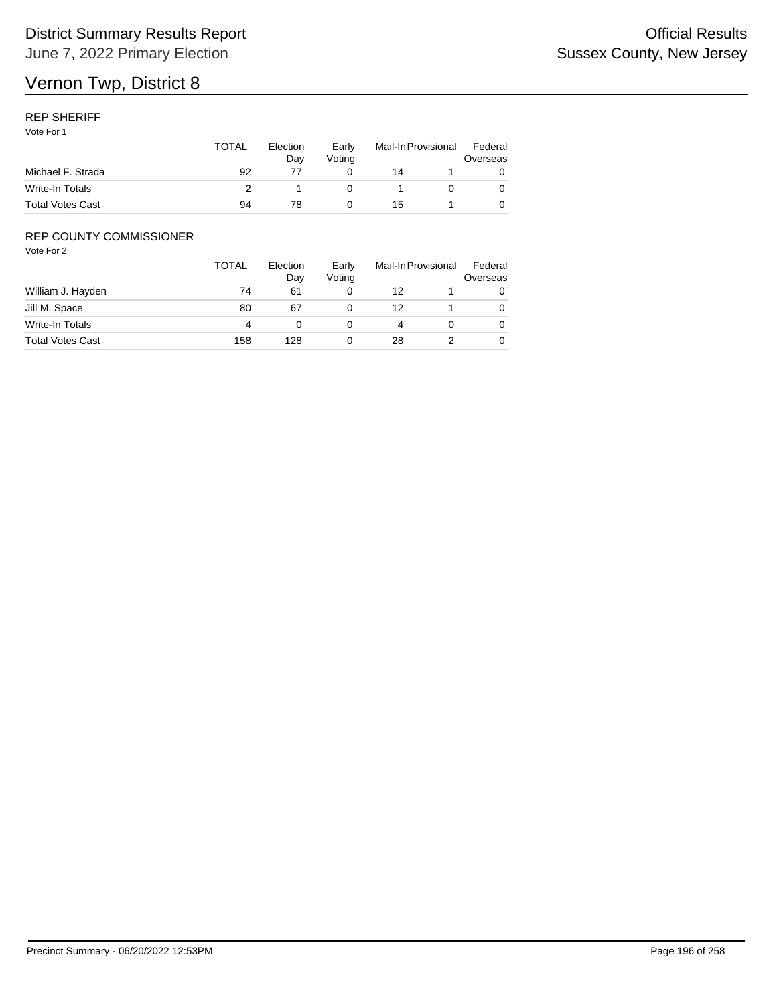## REP SHERIFF

Vote For 1

|                         | TOTAL | Election<br>Dav | Early<br>Votina | Mail-In Provisional |  | Federal<br>Overseas |
|-------------------------|-------|-----------------|-----------------|---------------------|--|---------------------|
| Michael F. Strada       | 92    |                 |                 | 14                  |  |                     |
| Write-In Totals         |       |                 |                 |                     |  |                     |
| <b>Total Votes Cast</b> | 94    |                 |                 | 15                  |  |                     |

## REP COUNTY COMMISSIONER

|                         | TOTAL | Election<br>Day | Early<br>Voting | Mail-In Provisional | Federal<br>Overseas |
|-------------------------|-------|-----------------|-----------------|---------------------|---------------------|
| William J. Hayden       | 74    | 61              |                 | 12                  |                     |
| Jill M. Space           | 80    | 67              |                 | 12                  | 0                   |
| Write-In Totals         | 4     |                 |                 |                     | 0                   |
| <b>Total Votes Cast</b> | 158   | 128             |                 | 28                  | 0                   |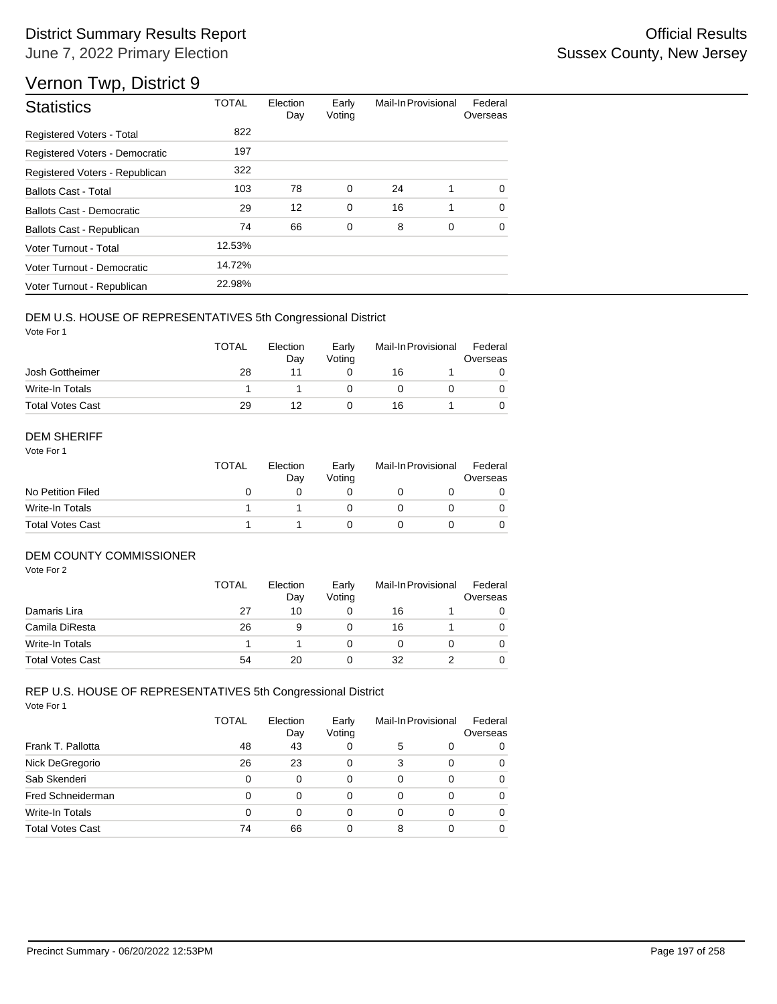# Vernon Twp, District 9

| <b>Statistics</b>                | <b>TOTAL</b> | Election<br>Day | Early<br>Voting | Mail-In Provisional |   | Federal<br>Overseas |
|----------------------------------|--------------|-----------------|-----------------|---------------------|---|---------------------|
| <b>Registered Voters - Total</b> | 822          |                 |                 |                     |   |                     |
| Registered Voters - Democratic   | 197          |                 |                 |                     |   |                     |
| Registered Voters - Republican   | 322          |                 |                 |                     |   |                     |
| <b>Ballots Cast - Total</b>      | 103          | 78              | 0               | 24                  | 1 | $\Omega$            |
| Ballots Cast - Democratic        | 29           | 12              | $\mathbf 0$     | 16                  | 1 | $\Omega$            |
| Ballots Cast - Republican        | 74           | 66              | 0               | 8                   | 0 | $\Omega$            |
| Voter Turnout - Total            | 12.53%       |                 |                 |                     |   |                     |
| Voter Turnout - Democratic       | 14.72%       |                 |                 |                     |   |                     |
| Voter Turnout - Republican       | 22.98%       |                 |                 |                     |   |                     |

## DEM U.S. HOUSE OF REPRESENTATIVES 5th Congressional District

Vote For 1

|                         | <b>TOTAL</b> | Election<br>Dav | Early<br>Votina | Mail-In Provisional |  | Federal<br>Overseas |  |
|-------------------------|--------------|-----------------|-----------------|---------------------|--|---------------------|--|
| Josh Gottheimer         | 28           |                 |                 | 16                  |  |                     |  |
| Write-In Totals         |              |                 |                 |                     |  |                     |  |
| <b>Total Votes Cast</b> | 29           | 12              |                 | 16                  |  |                     |  |

#### DEM SHERIFF

Vote For 1

|                         | <b>TOTAL</b> | Election<br>Dav | Early<br>Votina | Mail-In Provisional |  | Federal<br>Overseas |  |
|-------------------------|--------------|-----------------|-----------------|---------------------|--|---------------------|--|
| No Petition Filed       |              |                 |                 |                     |  |                     |  |
| Write-In Totals         |              |                 |                 |                     |  | $\Omega$            |  |
| <b>Total Votes Cast</b> |              |                 |                 |                     |  |                     |  |

#### DEM COUNTY COMMISSIONER

Vote For 2

|                         | <b>TOTAL</b> | Election<br>Day | Early<br>Votina |    | Mail-In Provisional | Federal<br>Overseas |
|-------------------------|--------------|-----------------|-----------------|----|---------------------|---------------------|
| Damaris Lira            | 27           | 10              |                 | 16 |                     | 0                   |
| Camila DiResta          | 26           | 9               |                 | 16 |                     | 0                   |
| Write-In Totals         |              |                 |                 |    |                     | 0                   |
| <b>Total Votes Cast</b> | 54           | 20              |                 | 32 |                     | 0                   |

|                         | TOTAL | Election<br>Day | Early<br>Voting | Mail-In Provisional |   | Federal<br>Overseas |
|-------------------------|-------|-----------------|-----------------|---------------------|---|---------------------|
| Frank T. Pallotta       | 48    | 43              | 0               | 5                   | 0 | 0                   |
| Nick DeGregorio         | 26    | 23              | 0               | 3                   | 0 | 0                   |
| Sab Skenderi            | 0     | $\Omega$        | 0               | 0                   | 0 | 0                   |
| Fred Schneiderman       | 0     | 0               | 0               | 0                   | 0 | 0                   |
| Write-In Totals         | 0     | 0               | 0               | 0                   | 0 | 0                   |
| <b>Total Votes Cast</b> | 74    | 66              | 0               | 8                   | ი | 0                   |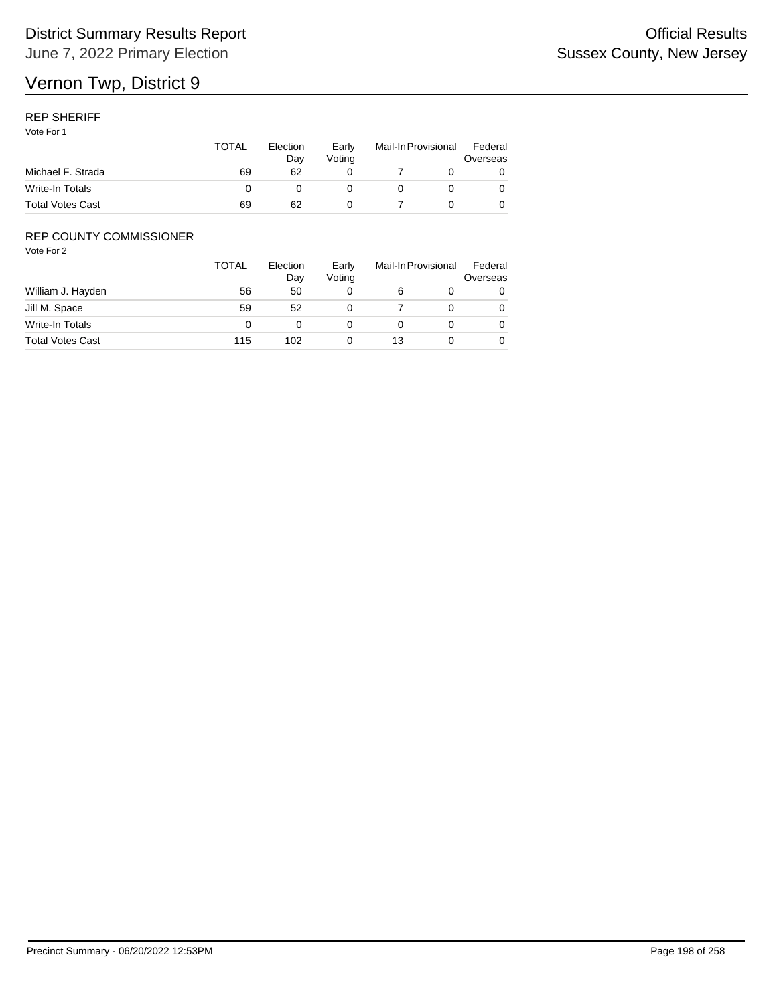### REP SHERIFF

Vote For 1

|                         | TOTAL | Election<br>Dav | Early<br>Votina | Mail-In Provisional |  | Federal<br>Overseas |
|-------------------------|-------|-----------------|-----------------|---------------------|--|---------------------|
| Michael F. Strada       | 69    | 62              |                 |                     |  |                     |
| Write-In Totals         |       |                 |                 |                     |  |                     |
| <b>Total Votes Cast</b> | 69    | 62              |                 |                     |  |                     |

## REP COUNTY COMMISSIONER

|                         | TOTAL | Election<br>Day | Early<br>Voting |    | Mail-In Provisional |   |
|-------------------------|-------|-----------------|-----------------|----|---------------------|---|
| William J. Hayden       | 56    | 50              |                 | 6  |                     | 0 |
| Jill M. Space           | 59    | 52              |                 |    |                     | 0 |
| Write-In Totals         |       |                 |                 |    |                     | 0 |
| <b>Total Votes Cast</b> | 115   | 102             |                 | 13 |                     | 0 |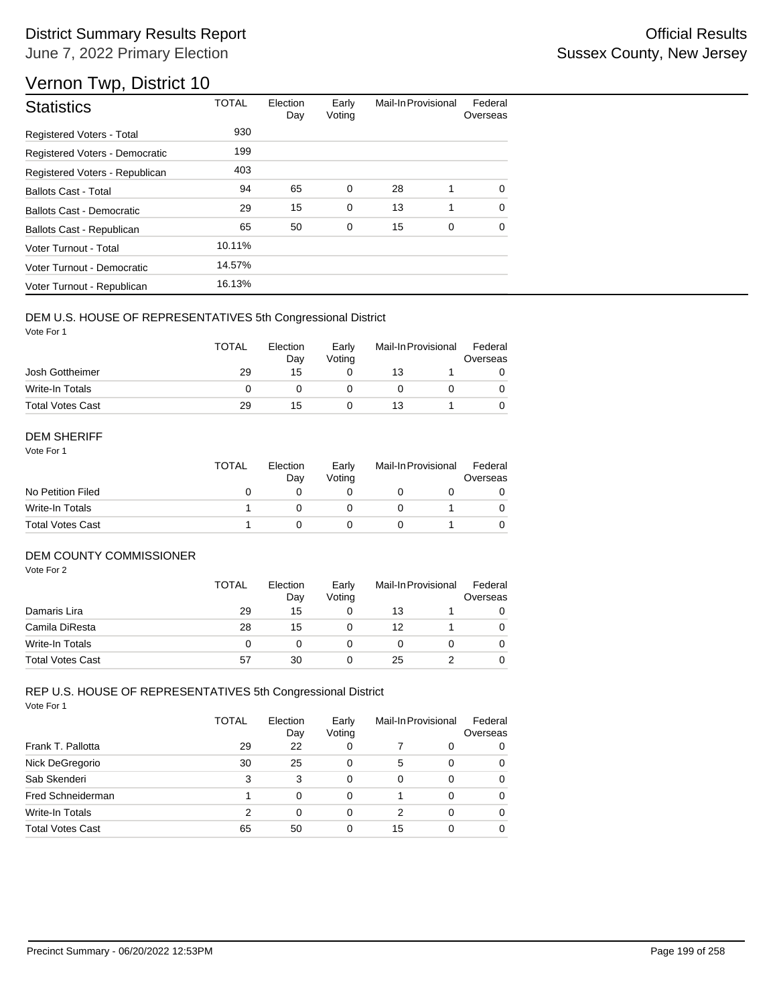# Vernon Twp, District 10

| <b>Statistics</b>                | <b>TOTAL</b> | Election<br>Day | Early<br>Voting | Mail-In Provisional |   | Federal<br>Overseas |
|----------------------------------|--------------|-----------------|-----------------|---------------------|---|---------------------|
| <b>Registered Voters - Total</b> | 930          |                 |                 |                     |   |                     |
| Registered Voters - Democratic   | 199          |                 |                 |                     |   |                     |
| Registered Voters - Republican   | 403          |                 |                 |                     |   |                     |
| <b>Ballots Cast - Total</b>      | 94           | 65              | $\mathbf 0$     | 28                  | 1 | $\Omega$            |
| Ballots Cast - Democratic        | 29           | 15              | $\mathbf 0$     | 13                  | 1 | $\Omega$            |
| Ballots Cast - Republican        | 65           | 50              | $\mathbf 0$     | 15                  | 0 | $\Omega$            |
| Voter Turnout - Total            | 10.11%       |                 |                 |                     |   |                     |
| Voter Turnout - Democratic       | 14.57%       |                 |                 |                     |   |                     |
| Voter Turnout - Republican       | 16.13%       |                 |                 |                     |   |                     |

#### DEM U.S. HOUSE OF REPRESENTATIVES 5th Congressional District

Vote For 1

|                         | <b>TOTAL</b> | Election<br>Day | Early<br>Votina | Mail-In Provisional |  | Federal<br>Overseas |
|-------------------------|--------------|-----------------|-----------------|---------------------|--|---------------------|
| Josh Gottheimer         | 29           | 15              |                 | 13                  |  |                     |
| Write-In Totals         |              |                 |                 |                     |  |                     |
| <b>Total Votes Cast</b> | 29           | 15              |                 | 13                  |  |                     |

#### DEM SHERIFF

Vote For 1

|                         | <b>TOTAL</b> | Election<br>Dav | Early<br>Votina | Mail-In Provisional |  | Federal<br>Overseas |
|-------------------------|--------------|-----------------|-----------------|---------------------|--|---------------------|
| No Petition Filed       |              |                 |                 |                     |  |                     |
| Write-In Totals         |              |                 |                 |                     |  |                     |
| <b>Total Votes Cast</b> |              |                 |                 |                     |  |                     |

#### DEM COUNTY COMMISSIONER

Vote For 2

|                         | <b>TOTAL</b> | Election<br>Day | Early<br>Votina |    | Mail-In Provisional | Federal<br>Overseas |
|-------------------------|--------------|-----------------|-----------------|----|---------------------|---------------------|
| Damaris Lira            | 29           | 15              |                 | 13 |                     | 0                   |
| Camila DiResta          | 28           | 15              |                 | 12 |                     | 0                   |
| Write-In Totals         |              |                 |                 |    |                     | 0                   |
| <b>Total Votes Cast</b> | 57           | 30              |                 | 25 |                     | 0                   |

|                         | <b>TOTAL</b> | Election<br>Day | Early<br>Voting |          | Mail-In Provisional | Federal<br>Overseas |
|-------------------------|--------------|-----------------|-----------------|----------|---------------------|---------------------|
| Frank T. Pallotta       | 29           | 22              | 0               |          | 0                   | 0                   |
| Nick DeGregorio         | 30           | 25              | 0               | 5        | $\Omega$            | $\Omega$            |
| Sab Skenderi            | 3            | 3               | 0               | $\Omega$ | $\Omega$            | $\Omega$            |
| Fred Schneiderman       |              | $\Omega$        | 0               |          | 0                   | $\Omega$            |
| Write-In Totals         | 2            | $\Omega$        | 0               | 2        | 0                   | $\Omega$            |
| <b>Total Votes Cast</b> | 65           | 50              | 0               | 15       |                     | $\Omega$            |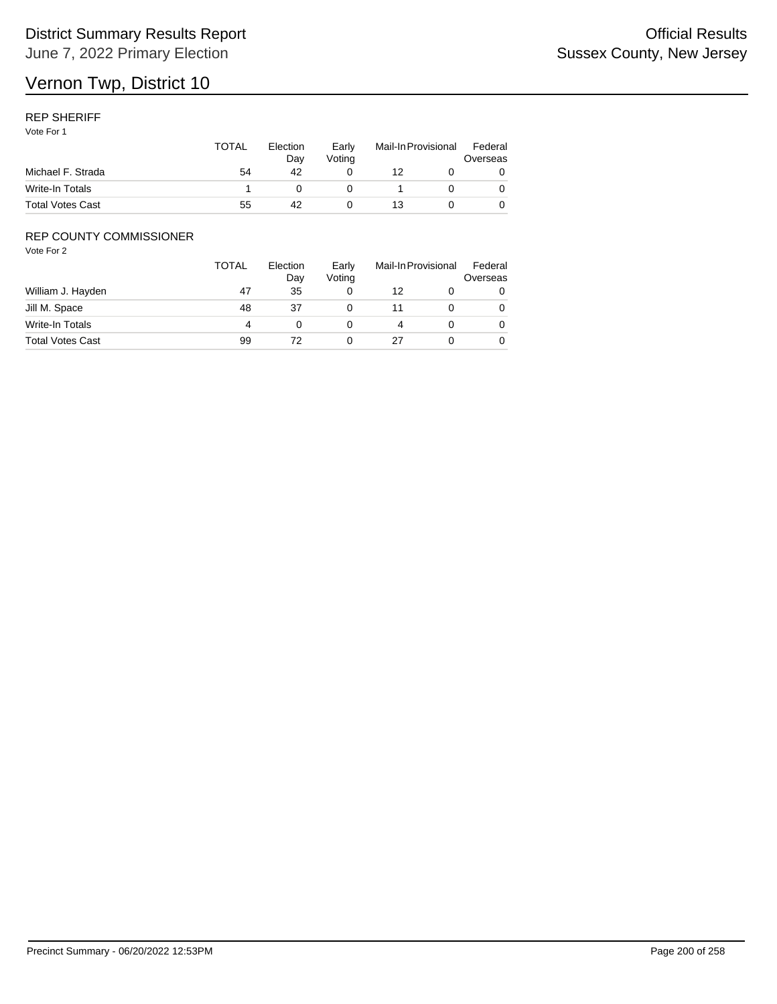### REP SHERIFF

Vote For 1

|                         | <b>TOTAL</b> | Election<br>Dav<br>42 | Early<br>Votina | Mail-In Provisional |  | Federal<br>Overseas |
|-------------------------|--------------|-----------------------|-----------------|---------------------|--|---------------------|
| Michael F. Strada       | 54           |                       |                 | 12                  |  |                     |
| Write-In Totals         |              |                       |                 |                     |  |                     |
| <b>Total Votes Cast</b> | 55           | 42                    |                 | 13                  |  |                     |

## REP COUNTY COMMISSIONER

|                         | <b>TOTAL</b> | Election<br>Day | Early<br>Voting | Mail-In Provisional |  | Federal<br>Overseas |
|-------------------------|--------------|-----------------|-----------------|---------------------|--|---------------------|
| William J. Hayden       | 47           | 35              |                 | 12                  |  | 0                   |
| Jill M. Space           | 48           | 37              |                 | 11                  |  | 0                   |
| Write-In Totals         | 4            |                 |                 |                     |  | 0                   |
| <b>Total Votes Cast</b> | 99           |                 |                 |                     |  | 0                   |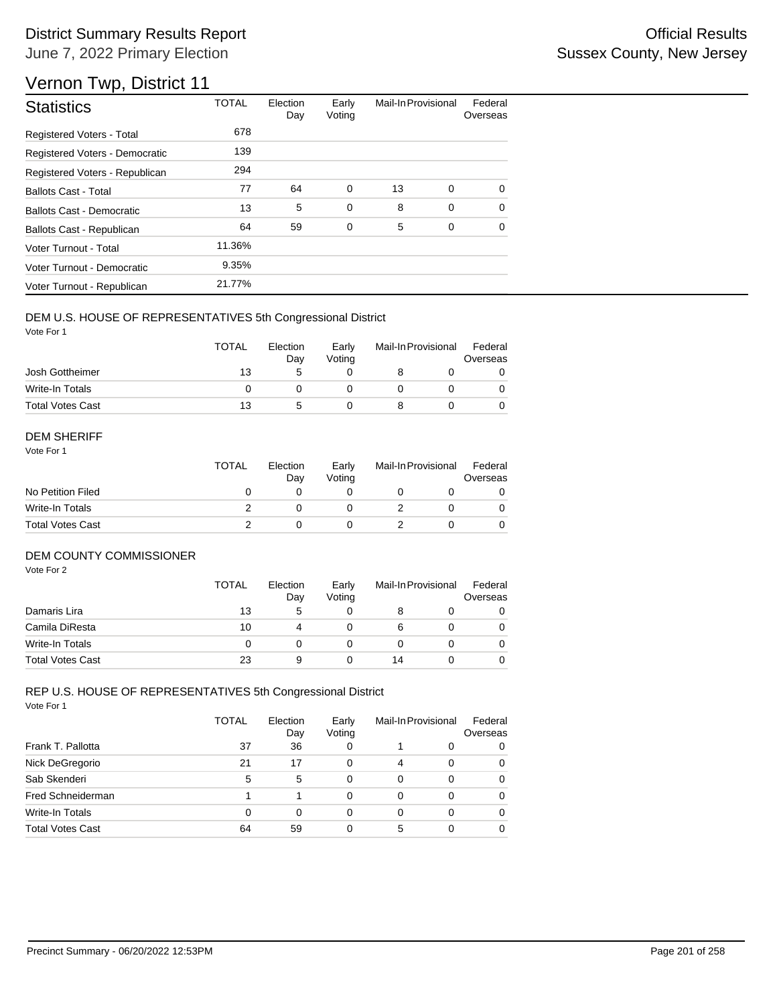# Vernon Twp, District 11

| <b>Statistics</b>                | <b>TOTAL</b> | Election<br>Day | Early<br>Voting | Mail-In Provisional |   | Federal<br>Overseas |
|----------------------------------|--------------|-----------------|-----------------|---------------------|---|---------------------|
| Registered Voters - Total        | 678          |                 |                 |                     |   |                     |
| Registered Voters - Democratic   | 139          |                 |                 |                     |   |                     |
| Registered Voters - Republican   | 294          |                 |                 |                     |   |                     |
| <b>Ballots Cast - Total</b>      | 77           | 64              | $\mathbf 0$     | 13                  | 0 | $\Omega$            |
| <b>Ballots Cast - Democratic</b> | 13           | 5               | $\mathbf 0$     | 8                   | 0 | $\Omega$            |
| Ballots Cast - Republican        | 64           | 59              | 0               | 5                   | 0 | 0                   |
| Voter Turnout - Total            | 11.36%       |                 |                 |                     |   |                     |
| Voter Turnout - Democratic       | 9.35%        |                 |                 |                     |   |                     |
| Voter Turnout - Republican       | 21.77%       |                 |                 |                     |   |                     |

#### DEM U.S. HOUSE OF REPRESENTATIVES 5th Congressional District

Vote For 1

|                         | <b>TOTAL</b> | Election<br>Dav | Early<br>Votina | Mail-In Provisional |  | Federal<br>Overseas |
|-------------------------|--------------|-----------------|-----------------|---------------------|--|---------------------|
| Josh Gottheimer         | 13           |                 |                 |                     |  |                     |
| Write-In Totals         |              |                 |                 |                     |  |                     |
| <b>Total Votes Cast</b> | 13           |                 |                 |                     |  |                     |

#### DEM SHERIFF

Vote For 1

|                         | TOTAL | Election<br>Dav | Early<br>Votina | Mail-In Provisional |  | Federal<br>Overseas |  |
|-------------------------|-------|-----------------|-----------------|---------------------|--|---------------------|--|
| No Petition Filed       |       |                 |                 |                     |  |                     |  |
| Write-In Totals         |       |                 |                 |                     |  | $\Omega$            |  |
| <b>Total Votes Cast</b> |       |                 |                 |                     |  |                     |  |

#### DEM COUNTY COMMISSIONER

Vote For 2

|                         | <b>TOTAL</b> | Election<br>Day | Early<br>Votina |    | Mail-In Provisional | Federal<br>Overseas |
|-------------------------|--------------|-----------------|-----------------|----|---------------------|---------------------|
| Damaris Lira            | 13           | 5               |                 |    |                     | 0                   |
| Camila DiResta          | 10           | 4               |                 |    |                     | 0                   |
| Write-In Totals         |              |                 |                 |    |                     | $\Omega$            |
| <b>Total Votes Cast</b> | 23           | 9               |                 | 14 |                     | 0                   |

|                         | TOTAL | Election<br>Day | Early<br>Voting | Mail-In Provisional |   | Federal<br>Overseas |
|-------------------------|-------|-----------------|-----------------|---------------------|---|---------------------|
| Frank T. Pallotta       | 37    | 36              | 0               |                     | 0 | 0                   |
| Nick DeGregorio         | 21    | 17              | 0               | $\overline{4}$      | 0 | 0                   |
| Sab Skenderi            | 5     | 5               | 0               | 0                   | 0 | 0                   |
| Fred Schneiderman       |       |                 | 0               | 0                   | 0 | 0                   |
| Write-In Totals         | 0     | 0               | 0               | 0                   | 0 | 0                   |
| <b>Total Votes Cast</b> | 64    | 59              | 0               | 5                   | 0 | 0                   |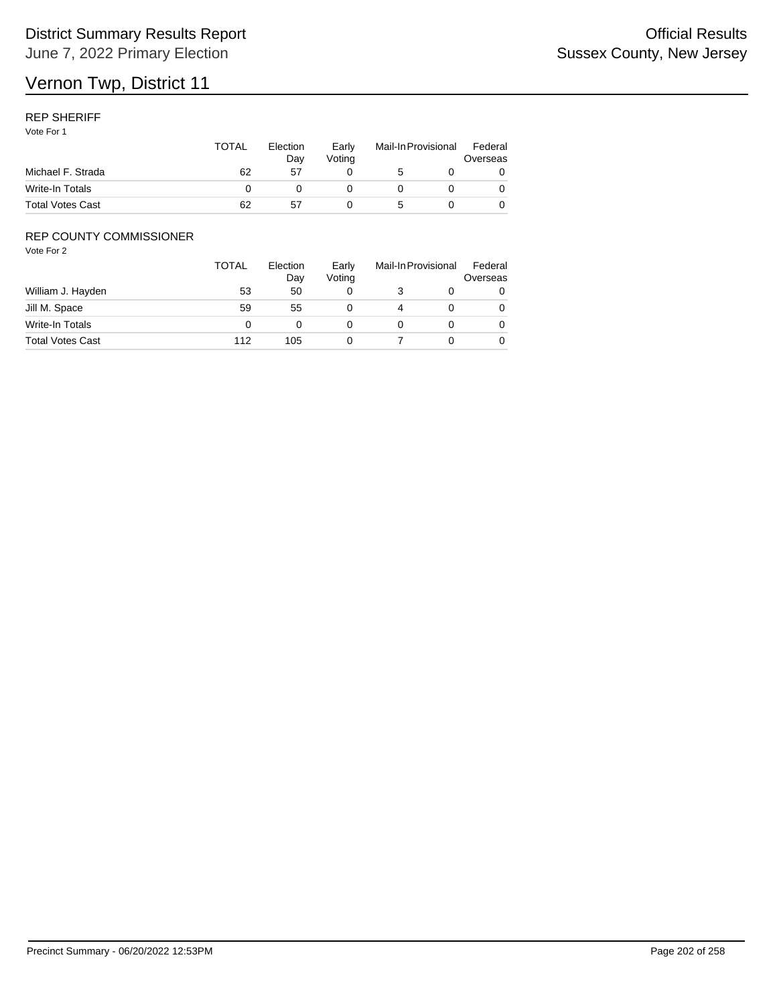#### REP SHERIFF

Vote For 1

|                         | <b>TOTAL</b> | Election<br>Dav | Early<br>Votina | Mail-In Provisional |  | Federal<br>Overseas |
|-------------------------|--------------|-----------------|-----------------|---------------------|--|---------------------|
| Michael F. Strada       | 62           | 57              |                 | 5                   |  |                     |
| Write-In Totals         |              |                 |                 |                     |  |                     |
| <b>Total Votes Cast</b> | 62           | 57              |                 |                     |  |                     |

## REP COUNTY COMMISSIONER

|                         | <b>TOTAL</b> | Election<br>Day | Early<br>Voting | Mail-In Provisional |  | Federal<br>Overseas |
|-------------------------|--------------|-----------------|-----------------|---------------------|--|---------------------|
| William J. Hayden       | 53           | 50              | 0               |                     |  | 0                   |
| Jill M. Space           | 59           | 55              |                 | 4                   |  | 0                   |
| Write-In Totals         |              |                 |                 |                     |  | 0                   |
| <b>Total Votes Cast</b> | 112          | 105             |                 |                     |  | 0                   |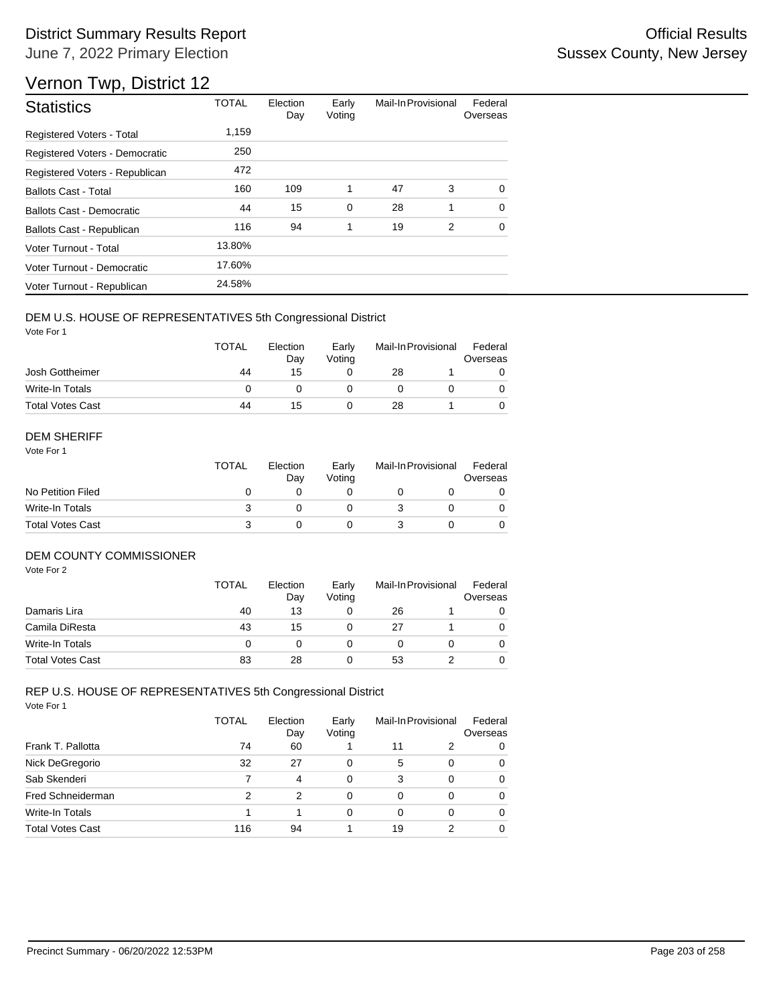# Vernon Twp, District 12

| <b>Statistics</b>              | <b>TOTAL</b> | Election<br>Day | Early<br>Voting | Mail-In Provisional |   | Federal<br>Overseas |
|--------------------------------|--------------|-----------------|-----------------|---------------------|---|---------------------|
| Registered Voters - Total      | 1,159        |                 |                 |                     |   |                     |
| Registered Voters - Democratic | 250          |                 |                 |                     |   |                     |
| Registered Voters - Republican | 472          |                 |                 |                     |   |                     |
| <b>Ballots Cast - Total</b>    | 160          | 109             | 1               | 47                  | 3 | $\Omega$            |
| Ballots Cast - Democratic      | 44           | 15              | 0               | 28                  | 1 | $\Omega$            |
| Ballots Cast - Republican      | 116          | 94              | 1               | 19                  | 2 | $\Omega$            |
| Voter Turnout - Total          | 13.80%       |                 |                 |                     |   |                     |
| Voter Turnout - Democratic     | 17.60%       |                 |                 |                     |   |                     |
| Voter Turnout - Republican     | 24.58%       |                 |                 |                     |   |                     |

## DEM U.S. HOUSE OF REPRESENTATIVES 5th Congressional District

Vote For 1

|                         | <b>TOTAL</b> | Election<br>Day | Early<br>Votina | Mail-In Provisional |  | Federal<br>Overseas |  |
|-------------------------|--------------|-----------------|-----------------|---------------------|--|---------------------|--|
| Josh Gottheimer         | 44           | 15              |                 | 28                  |  |                     |  |
| Write-In Totals         |              |                 |                 |                     |  |                     |  |
| <b>Total Votes Cast</b> | 44           | 15              |                 | 28                  |  |                     |  |

#### DEM SHERIFF

Vote For 1

|                         | <b>TOTAL</b> | Election<br>Dav | Early<br>Votina | Mail-In Provisional |  | Federal<br>Overseas |  |
|-------------------------|--------------|-----------------|-----------------|---------------------|--|---------------------|--|
| No Petition Filed       |              |                 |                 |                     |  |                     |  |
| Write-In Totals         |              |                 |                 |                     |  | $\Omega$            |  |
| <b>Total Votes Cast</b> |              |                 |                 |                     |  |                     |  |

#### DEM COUNTY COMMISSIONER

Vote For 2

|                         | <b>TOTAL</b> | Election<br>Day | Early<br>Votina |    | Mail-In Provisional | Federal<br>Overseas |
|-------------------------|--------------|-----------------|-----------------|----|---------------------|---------------------|
| Damaris Lira            | 40           | 13              |                 | 26 |                     |                     |
| Camila DiResta          | 43           | 15              |                 | 27 |                     | 0                   |
| Write-In Totals         | 0            |                 |                 |    |                     | $\Omega$            |
| <b>Total Votes Cast</b> | 83           | 28              |                 | 53 |                     | 0                   |

|                         | TOTAL | Election<br>Day | Early<br>Voting | Mail-In Provisional |   | Federal<br>Overseas |
|-------------------------|-------|-----------------|-----------------|---------------------|---|---------------------|
| Frank T. Pallotta       | 74    | 60              |                 | 11                  | 2 | 0                   |
| Nick DeGregorio         | 32    | 27              | 0               | 5                   | 0 | 0                   |
| Sab Skenderi            |       | 4               | 0               | 3                   | 0 | 0                   |
| Fred Schneiderman       | 2     | 2               | 0               | 0                   | 0 | 0                   |
| Write-In Totals         |       |                 | 0               | 0                   | 0 | 0                   |
| <b>Total Votes Cast</b> | 116   | 94              |                 | 19                  | 2 | 0                   |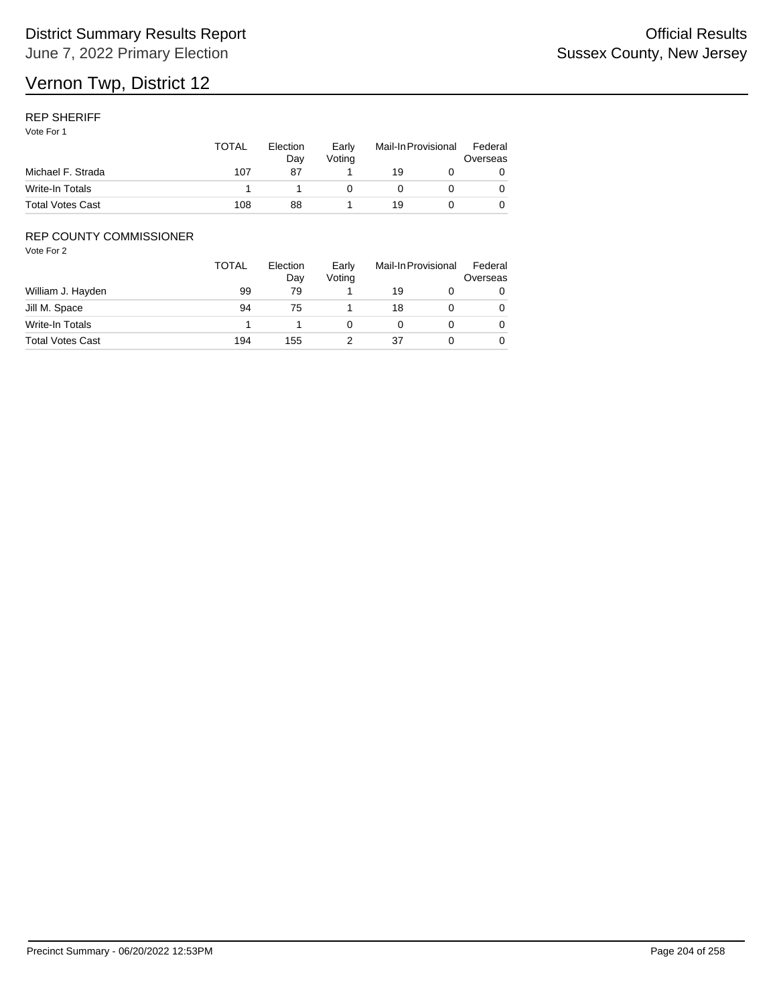### REP SHERIFF

Vote For 1

|                         | TOTAL | Election<br>Dav | Early<br>Votina | Mail-In Provisional |  | Federal<br>Overseas |
|-------------------------|-------|-----------------|-----------------|---------------------|--|---------------------|
| Michael F. Strada       | 107   | 87              |                 | 19                  |  |                     |
| Write-In Totals         |       |                 |                 |                     |  |                     |
| <b>Total Votes Cast</b> | 108   | 88              |                 | 19                  |  |                     |

## REP COUNTY COMMISSIONER

|                         | TOTAL | Election<br>Day | Early<br>Voting | Mail-In Provisional |  | Federal<br>Overseas |
|-------------------------|-------|-----------------|-----------------|---------------------|--|---------------------|
| William J. Hayden       | 99    | 79              |                 | 19                  |  | 0                   |
| Jill M. Space           | 94    | 75              |                 | 18                  |  | 0                   |
| Write-In Totals         |       |                 |                 |                     |  | 0                   |
| <b>Total Votes Cast</b> | 194   | 155             |                 | 37                  |  | 0                   |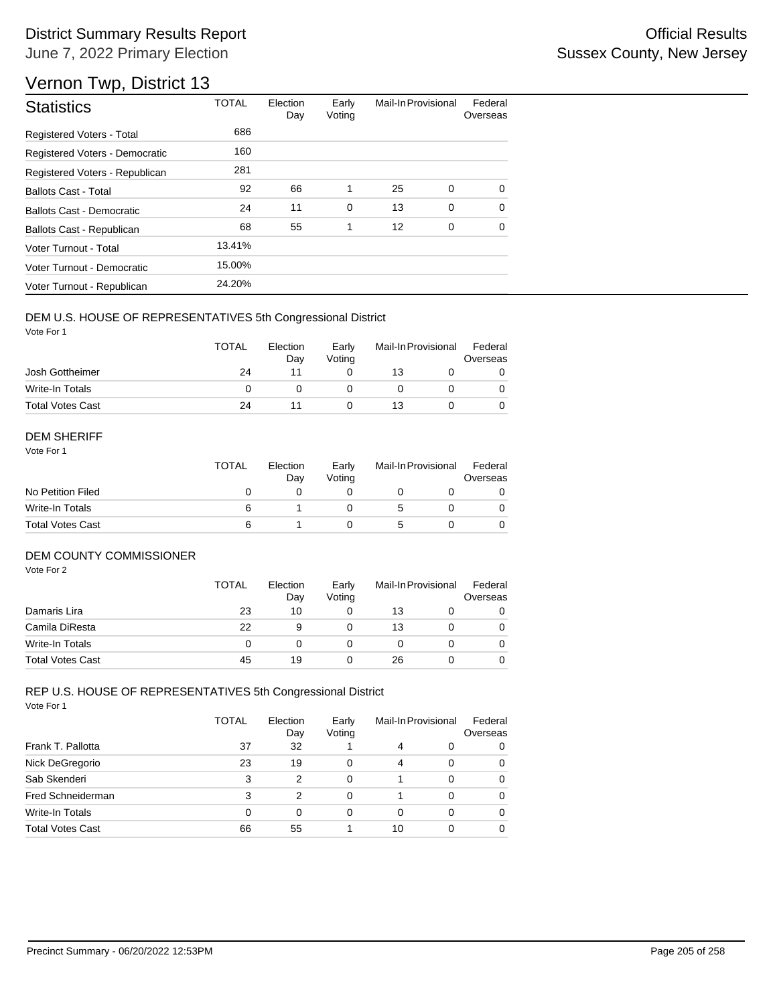# Vernon Twp, District 13

| <b>Statistics</b>                | <b>TOTAL</b> | Election<br>Day | Early<br>Voting | Mail-In Provisional |   | Federal<br>Overseas |
|----------------------------------|--------------|-----------------|-----------------|---------------------|---|---------------------|
| <b>Registered Voters - Total</b> | 686          |                 |                 |                     |   |                     |
| Registered Voters - Democratic   | 160          |                 |                 |                     |   |                     |
| Registered Voters - Republican   | 281          |                 |                 |                     |   |                     |
| <b>Ballots Cast - Total</b>      | 92           | 66              | 1               | 25                  | 0 | $\Omega$            |
| Ballots Cast - Democratic        | 24           | 11              | 0               | 13                  | 0 | $\Omega$            |
| Ballots Cast - Republican        | 68           | 55              | 1               | 12                  | 0 | $\Omega$            |
| Voter Turnout - Total            | 13.41%       |                 |                 |                     |   |                     |
| Voter Turnout - Democratic       | 15.00%       |                 |                 |                     |   |                     |
| Voter Turnout - Republican       | 24.20%       |                 |                 |                     |   |                     |

## DEM U.S. HOUSE OF REPRESENTATIVES 5th Congressional District

Vote For 1

|                         | <b>TOTAL</b> | Election<br>Dav | Early<br>Votina | Mail-In Provisional |  | Federal<br>Overseas |
|-------------------------|--------------|-----------------|-----------------|---------------------|--|---------------------|
| Josh Gottheimer         | 24           |                 |                 | 13                  |  |                     |
| Write-In Totals         |              |                 |                 |                     |  |                     |
| <b>Total Votes Cast</b> | 24           |                 |                 | 13                  |  |                     |

#### DEM SHERIFF

Vote For 1

|                         | <b>TOTAL</b> | Election<br>Dav | Early<br>Votina | Mail-In Provisional |  | Federal<br>Overseas |
|-------------------------|--------------|-----------------|-----------------|---------------------|--|---------------------|
| No Petition Filed       |              |                 |                 |                     |  |                     |
| Write-In Totals         | 6            |                 |                 | 5                   |  | $\Omega$            |
| <b>Total Votes Cast</b> | 6            |                 |                 |                     |  |                     |

#### DEM COUNTY COMMISSIONER

Vote For 2

|                         | <b>TOTAL</b> | Election<br>Day | Early<br>Votina | Mail-In Provisional |  | Federal<br>Overseas |
|-------------------------|--------------|-----------------|-----------------|---------------------|--|---------------------|
| Damaris Lira            | 23           | 10              |                 | 13                  |  | 0                   |
| Camila DiResta          | 22           | 9               |                 | 13                  |  | 0                   |
| Write-In Totals         | 0            |                 |                 |                     |  | $\Omega$            |
| <b>Total Votes Cast</b> | 45           | 19              |                 | 26                  |  | 0                   |

|                         | TOTAL | Election<br>Day | Early<br>Voting | Mail-In Provisional |   | Federal<br>Overseas |
|-------------------------|-------|-----------------|-----------------|---------------------|---|---------------------|
| Frank T. Pallotta       | 37    | 32              |                 | 4                   | 0 | 0                   |
| Nick DeGregorio         | 23    | 19              | 0               | $\overline{4}$      | 0 | 0                   |
| Sab Skenderi            | 3     | 2               | 0               |                     | 0 | 0                   |
| Fred Schneiderman       | 3     | 2               | 0               |                     | 0 | 0                   |
| Write-In Totals         | 0     | 0               | 0               | 0                   | 0 | 0                   |
| <b>Total Votes Cast</b> | 66    | 55              |                 | 10                  | ი | 0                   |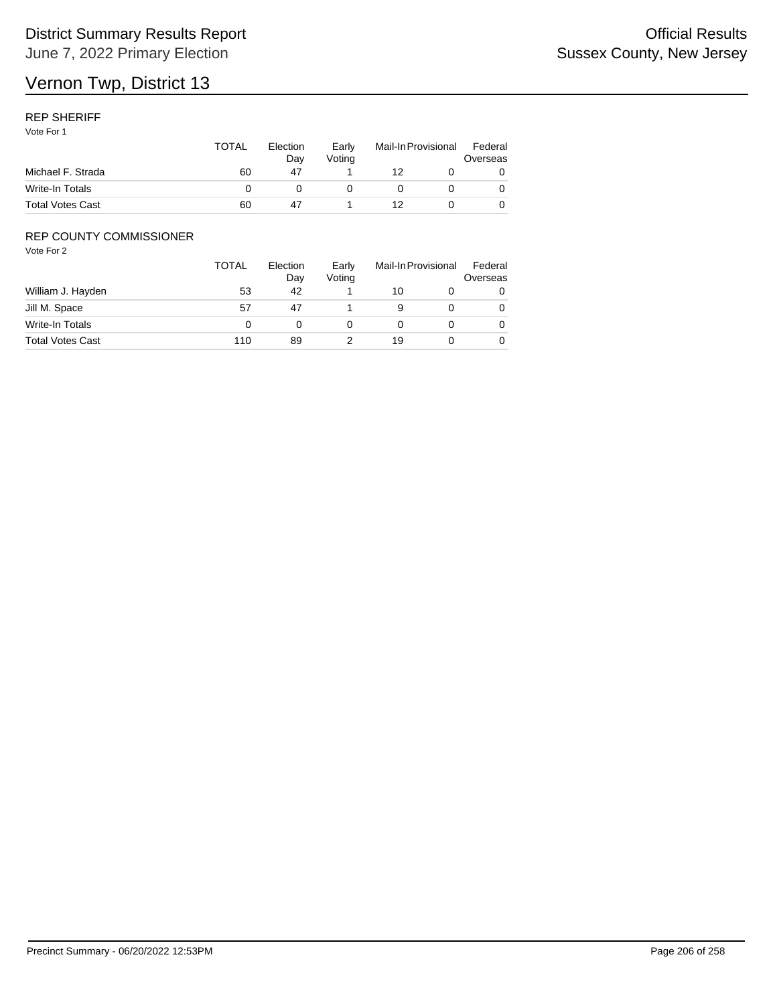### REP SHERIFF

Vote For 1

| Michael F. Strada       | TOTAL | Election<br>Dav<br>47 | Early<br>Votina | Mail-In Provisional |  | Federal<br>Overseas |
|-------------------------|-------|-----------------------|-----------------|---------------------|--|---------------------|
|                         | 60    |                       |                 | 12                  |  |                     |
| Write-In Totals         |       |                       |                 |                     |  |                     |
| <b>Total Votes Cast</b> | 60    | 47                    |                 |                     |  |                     |

## REP COUNTY COMMISSIONER

|                         | <b>TOTAL</b> | Election<br>Day | Early<br>Voting |    | Mail-In Provisional |   |
|-------------------------|--------------|-----------------|-----------------|----|---------------------|---|
| William J. Hayden       | 53           | 42              |                 | 10 |                     | 0 |
| Jill M. Space           | 57           | 47              |                 |    |                     | 0 |
| Write-In Totals         |              |                 |                 |    |                     | 0 |
| <b>Total Votes Cast</b> | 110          | 89              |                 | 19 |                     | 0 |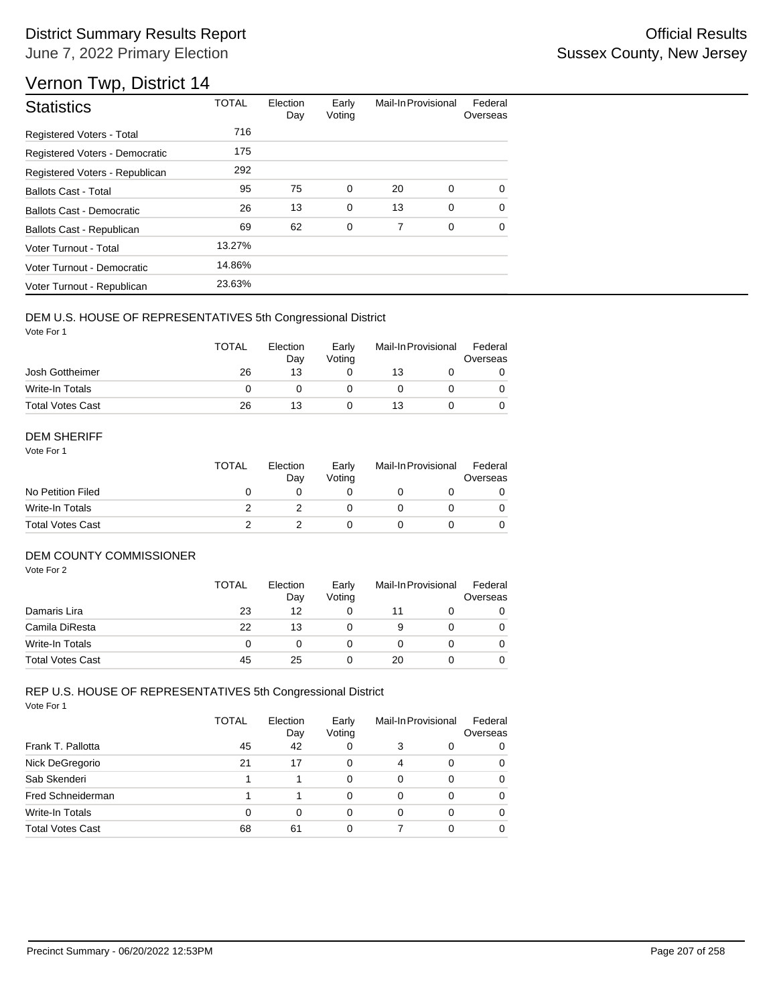# Vernon Twp, District 14

| <b>Statistics</b>                | <b>TOTAL</b> | Election<br>Day | Early<br>Voting | Mail-In Provisional |             | Federal<br>Overseas |
|----------------------------------|--------------|-----------------|-----------------|---------------------|-------------|---------------------|
| Registered Voters - Total        | 716          |                 |                 |                     |             |                     |
| Registered Voters - Democratic   | 175          |                 |                 |                     |             |                     |
| Registered Voters - Republican   | 292          |                 |                 |                     |             |                     |
| <b>Ballots Cast - Total</b>      | 95           | 75              | 0               | 20                  | 0           | $\Omega$            |
| <b>Ballots Cast - Democratic</b> | 26           | 13              | $\mathbf 0$     | 13                  | $\mathbf 0$ | $\Omega$            |
| Ballots Cast - Republican        | 69           | 62              | 0               | 7                   | 0           | $\Omega$            |
| Voter Turnout - Total            | 13.27%       |                 |                 |                     |             |                     |
| Voter Turnout - Democratic       | 14.86%       |                 |                 |                     |             |                     |
| Voter Turnout - Republican       | 23.63%       |                 |                 |                     |             |                     |

## DEM U.S. HOUSE OF REPRESENTATIVES 5th Congressional District

Vote For 1

|                         | <b>TOTAL</b> | Election<br>Day | Early<br>Votina | Mail-In Provisional |  | Federal<br>Overseas |
|-------------------------|--------------|-----------------|-----------------|---------------------|--|---------------------|
| Josh Gottheimer         | 26           | 13              |                 | 13                  |  |                     |
| Write-In Totals         |              |                 |                 |                     |  |                     |
| <b>Total Votes Cast</b> | 26           | 13              |                 | 13                  |  |                     |

#### DEM SHERIFF

Vote For 1

|                         | <b>TOTAL</b> | Election<br>Dav | Early<br>Votina | Mail-In Provisional |  | Federal<br>Overseas |  |
|-------------------------|--------------|-----------------|-----------------|---------------------|--|---------------------|--|
| No Petition Filed       |              |                 |                 |                     |  |                     |  |
| Write-In Totals         |              |                 |                 |                     |  | 0                   |  |
| <b>Total Votes Cast</b> |              |                 |                 |                     |  |                     |  |

#### DEM COUNTY COMMISSIONER

Vote For 2

|                         | <b>TOTAL</b> | Election<br>Day | Early<br>Votina | Mail-In Provisional |  | Federal<br>Overseas |
|-------------------------|--------------|-----------------|-----------------|---------------------|--|---------------------|
| Damaris Lira            | 23           | 12              |                 | 11                  |  | 0                   |
| Camila DiResta          | 22           | 13              |                 | 9                   |  | 0                   |
| Write-In Totals         | 0            |                 |                 |                     |  | $\Omega$            |
| <b>Total Votes Cast</b> | 45           | 25              |                 | 20                  |  | 0                   |

|                         | TOTAL | Election<br>Day | Early<br>Voting | Mail-In Provisional |   | Federal<br>Overseas |
|-------------------------|-------|-----------------|-----------------|---------------------|---|---------------------|
| Frank T. Pallotta       | 45    | 42              | 0               | 3                   | 0 | 0                   |
| Nick DeGregorio         | 21    | 17              | 0               | $\overline{4}$      | 0 | 0                   |
| Sab Skenderi            |       |                 | 0               | 0                   | 0 | 0                   |
| Fred Schneiderman       |       |                 | 0               | 0                   | 0 | 0                   |
| Write-In Totals         | 0     | 0               | 0               | 0                   | 0 | 0                   |
| <b>Total Votes Cast</b> | 68    | 61              | 0               |                     | 0 | 0                   |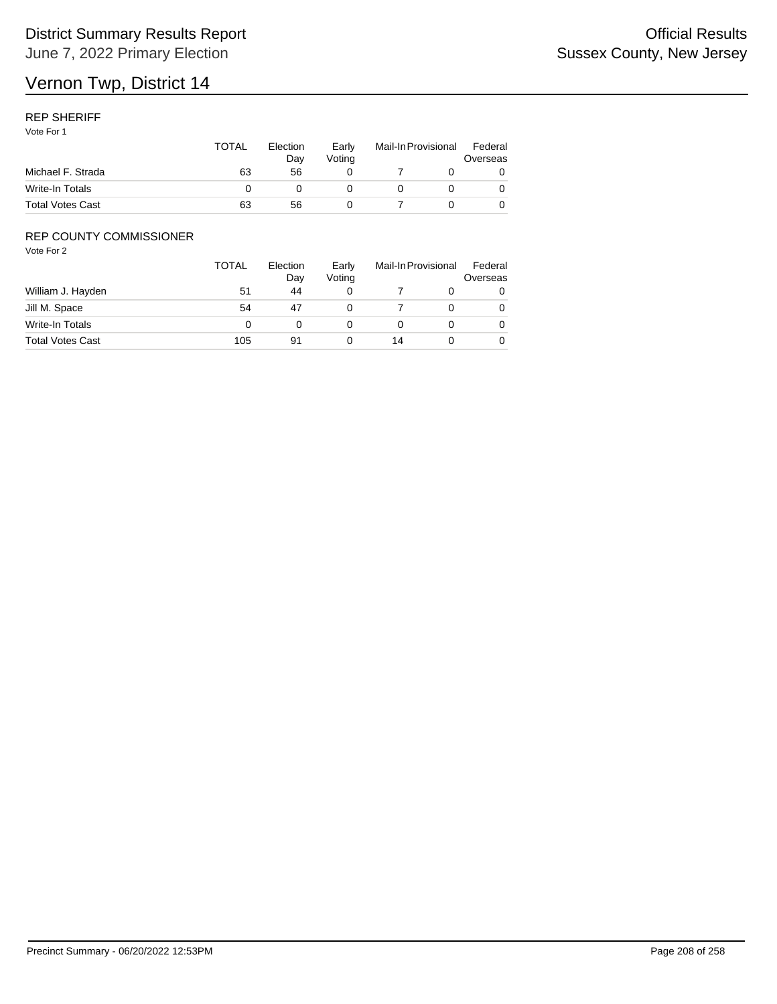### REP SHERIFF

Vote For 1

|                         | <b>TOTAL</b> | Election<br>Dav | Early<br>Votina | Mail-In Provisional |  | Federal<br>Overseas |  |
|-------------------------|--------------|-----------------|-----------------|---------------------|--|---------------------|--|
| Michael F. Strada       | 63           | 56              |                 |                     |  |                     |  |
| Write-In Totals         |              |                 |                 |                     |  |                     |  |
| <b>Total Votes Cast</b> | 63           | 56              |                 |                     |  |                     |  |

## REP COUNTY COMMISSIONER

|                         | <b>TOTAL</b> | Election<br>Day | Early<br>Voting |    | Mail-In Provisional |   |
|-------------------------|--------------|-----------------|-----------------|----|---------------------|---|
| William J. Hayden       | 51           | 44              |                 |    |                     | 0 |
| Jill M. Space           | 54           | 47              |                 |    |                     | 0 |
| Write-In Totals         |              |                 |                 |    |                     | 0 |
| <b>Total Votes Cast</b> | 105          | 91              |                 | 14 |                     | 0 |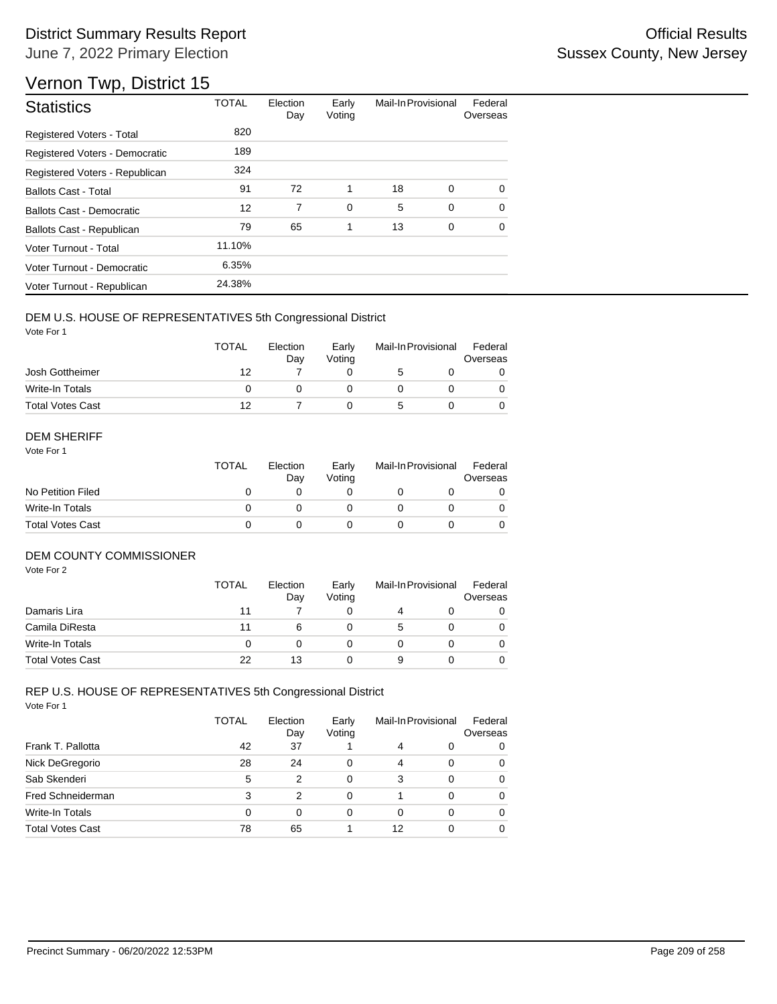# Vernon Twp, District 15

| <b>Statistics</b>              | <b>TOTAL</b> | Election<br>Day | Early<br>Voting | Mail-In Provisional |   | Federal<br>Overseas |
|--------------------------------|--------------|-----------------|-----------------|---------------------|---|---------------------|
| Registered Voters - Total      | 820          |                 |                 |                     |   |                     |
| Registered Voters - Democratic | 189          |                 |                 |                     |   |                     |
| Registered Voters - Republican | 324          |                 |                 |                     |   |                     |
| <b>Ballots Cast - Total</b>    | 91           | 72              | 1               | 18                  | 0 | $\Omega$            |
| Ballots Cast - Democratic      | 12           | 7               | $\mathbf 0$     | 5                   | 0 | $\Omega$            |
| Ballots Cast - Republican      | 79           | 65              | 1               | 13                  | 0 | $\Omega$            |
| Voter Turnout - Total          | 11.10%       |                 |                 |                     |   |                     |
| Voter Turnout - Democratic     | 6.35%        |                 |                 |                     |   |                     |
| Voter Turnout - Republican     | 24.38%       |                 |                 |                     |   |                     |

## DEM U.S. HOUSE OF REPRESENTATIVES 5th Congressional District

Vote For 1

|                         | TOTAL | Election<br>Dav | Early<br>Votina | Mail-In Provisional |  | Federal<br>Overseas |  |
|-------------------------|-------|-----------------|-----------------|---------------------|--|---------------------|--|
| Josh Gottheimer         | 12    |                 |                 |                     |  |                     |  |
| Write-In Totals         |       |                 |                 |                     |  |                     |  |
| <b>Total Votes Cast</b> | 12    |                 |                 |                     |  |                     |  |

#### DEM SHERIFF

Vote For 1

|                         | <b>TOTAL</b> | Election<br>Dav | Early<br>Votina | Mail-In Provisional |  | Federal<br>Overseas |  |
|-------------------------|--------------|-----------------|-----------------|---------------------|--|---------------------|--|
| No Petition Filed       |              |                 |                 |                     |  |                     |  |
| Write-In Totals         |              |                 |                 |                     |  | $\Omega$            |  |
| <b>Total Votes Cast</b> |              |                 |                 |                     |  |                     |  |

#### DEM COUNTY COMMISSIONER

Vote For 2

|                         | <b>TOTAL</b> | Election<br>Day | Early<br>Votina | Mail-In Provisional |  | Federal<br>Overseas |
|-------------------------|--------------|-----------------|-----------------|---------------------|--|---------------------|
| Damaris Lira            | 11           |                 |                 | 4                   |  | 0                   |
| Camila DiResta          | 11           |                 |                 | 5                   |  | 0                   |
| Write-In Totals         | 0            |                 |                 |                     |  | $\Omega$            |
| <b>Total Votes Cast</b> | 22           | 13              |                 | 9                   |  |                     |

|                         | TOTAL | Election<br>Day | Early<br>Voting | Mail-In Provisional |   | Federal<br>Overseas |
|-------------------------|-------|-----------------|-----------------|---------------------|---|---------------------|
| Frank T. Pallotta       | 42    | 37              |                 | 4                   | 0 | 0                   |
| Nick DeGregorio         | 28    | 24              | 0               | $\overline{4}$      | 0 | 0                   |
| Sab Skenderi            | 5     | 2               | 0               | 3                   | 0 | 0                   |
| Fred Schneiderman       | 3     | 2               | 0               |                     | 0 | 0                   |
| Write-In Totals         | 0     | 0               | 0               | 0                   | 0 | 0                   |
| <b>Total Votes Cast</b> | 78    | 65              |                 | 12                  | 0 | 0                   |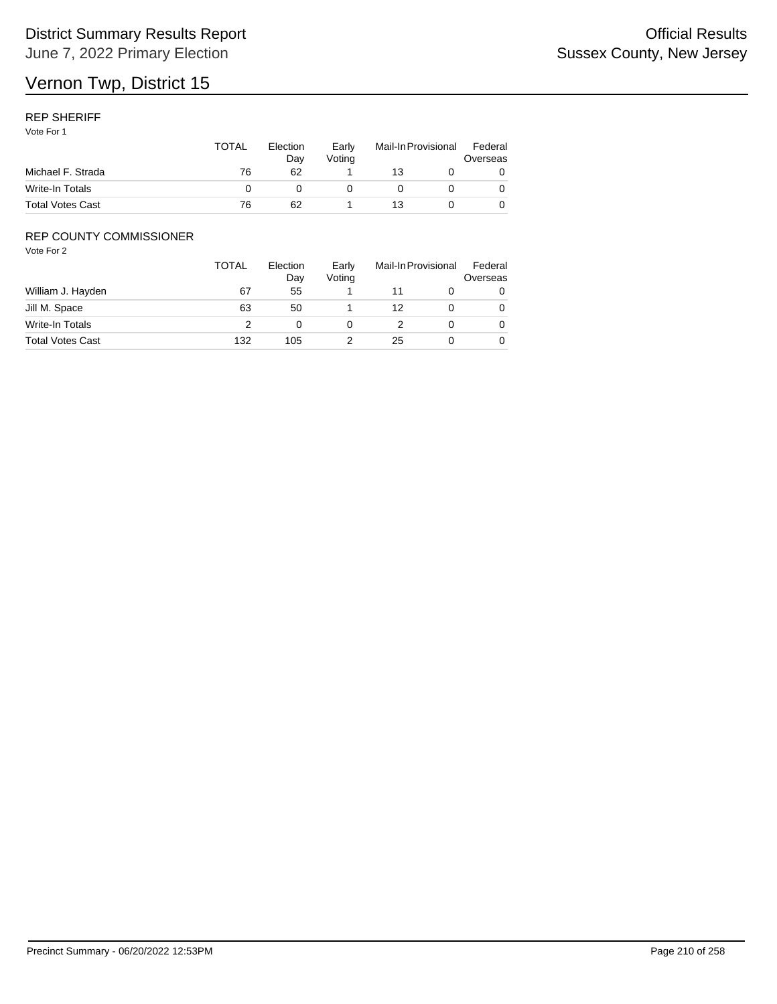### REP SHERIFF

Vote For 1

|                         | <b>TOTAL</b> | Election<br>Dav | Early<br>Votina | Mail-In Provisional |  | Federal<br>Overseas |  |
|-------------------------|--------------|-----------------|-----------------|---------------------|--|---------------------|--|
| Michael F. Strada       | 76           | 62              |                 | 13                  |  |                     |  |
| Write-In Totals         |              |                 |                 |                     |  |                     |  |
| <b>Total Votes Cast</b> | 76           | 62              |                 | 13                  |  |                     |  |

## REP COUNTY COMMISSIONER

|                         | <b>TOTAL</b> | Election<br>Day | Early<br>Voting |    | Mail-In Provisional |   |
|-------------------------|--------------|-----------------|-----------------|----|---------------------|---|
| William J. Hayden       | 67           | 55              |                 |    |                     | 0 |
| Jill M. Space           | 63           | 50              |                 | 12 |                     | 0 |
| Write-In Totals         |              |                 |                 |    |                     | 0 |
| <b>Total Votes Cast</b> | 132          | 105             |                 | 25 |                     | 0 |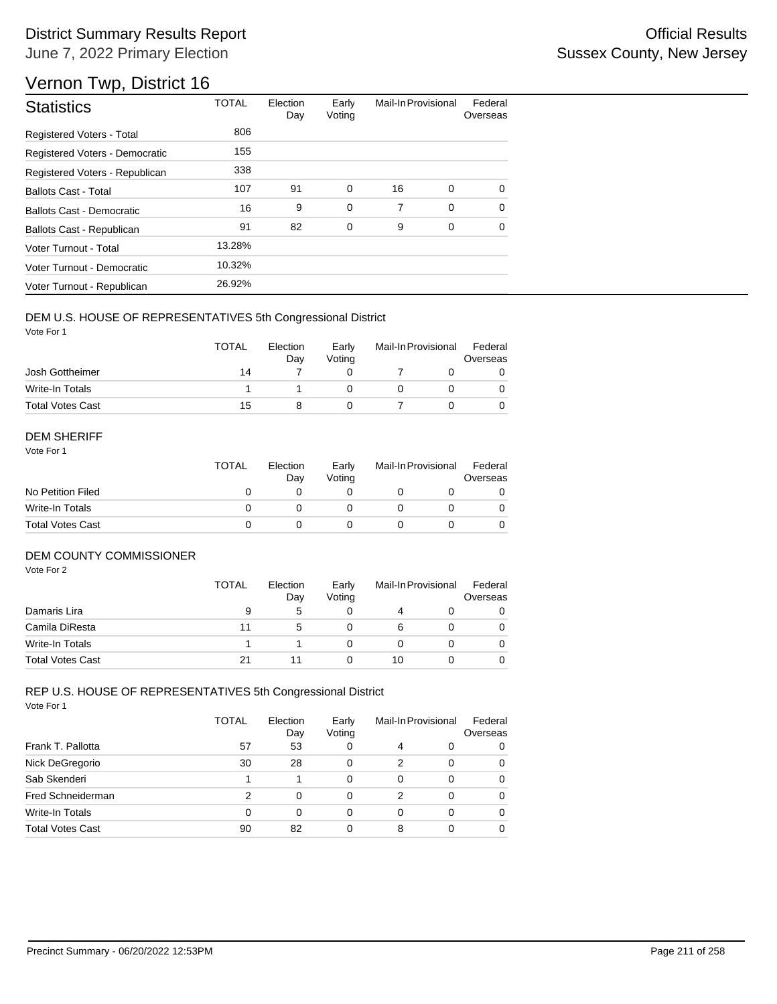# Vernon Twp, District 16

| <b>Statistics</b>                | <b>TOTAL</b> | Election<br>Day | Early<br>Voting | Mail-In Provisional |             | Federal<br>Overseas |
|----------------------------------|--------------|-----------------|-----------------|---------------------|-------------|---------------------|
| Registered Voters - Total        | 806          |                 |                 |                     |             |                     |
| Registered Voters - Democratic   | 155          |                 |                 |                     |             |                     |
| Registered Voters - Republican   | 338          |                 |                 |                     |             |                     |
| <b>Ballots Cast - Total</b>      | 107          | 91              | $\mathbf 0$     | 16                  | $\mathbf 0$ | $\Omega$            |
| <b>Ballots Cast - Democratic</b> | 16           | 9               | $\mathbf 0$     | 7                   | $\Omega$    | $\Omega$            |
| Ballots Cast - Republican        | 91           | 82              | 0               | 9                   | 0           | 0                   |
| Voter Turnout - Total            | 13.28%       |                 |                 |                     |             |                     |
| Voter Turnout - Democratic       | 10.32%       |                 |                 |                     |             |                     |
| Voter Turnout - Republican       | 26.92%       |                 |                 |                     |             |                     |

#### DEM U.S. HOUSE OF REPRESENTATIVES 5th Congressional District

Vote For 1

|                         | TOTAL | Election<br>Dav | Early<br>Votina | Mail-In Provisional |  | Federal<br>Overseas |  |
|-------------------------|-------|-----------------|-----------------|---------------------|--|---------------------|--|
| Josh Gottheimer         | 14    |                 |                 |                     |  |                     |  |
| Write-In Totals         |       |                 |                 |                     |  |                     |  |
| <b>Total Votes Cast</b> | 15    |                 |                 |                     |  |                     |  |

#### DEM SHERIFF

Vote For 1

|                         | <b>TOTAL</b> | Election<br>Dav | Early<br>Votina | Mail-In Provisional |  | Federal<br>Overseas |  |
|-------------------------|--------------|-----------------|-----------------|---------------------|--|---------------------|--|
| No Petition Filed       |              |                 |                 |                     |  |                     |  |
| Write-In Totals         |              |                 |                 |                     |  | $\Omega$            |  |
| <b>Total Votes Cast</b> |              |                 |                 |                     |  |                     |  |

#### DEM COUNTY COMMISSIONER

Vote For 2

|                         | <b>TOTAL</b> | Election<br>Day | Early<br>Votina | Mail-In Provisional |  | Federal<br>Overseas |
|-------------------------|--------------|-----------------|-----------------|---------------------|--|---------------------|
| Damaris Lira            | 9            | 5               |                 | 4                   |  | 0                   |
| Camila DiResta          | 11           | .5              |                 | 6                   |  | 0                   |
| Write-In Totals         |              |                 |                 |                     |  | $\Omega$            |
| <b>Total Votes Cast</b> | 21           |                 |                 | 10                  |  | 0                   |

|                         | TOTAL    | Election<br>Day | Early<br>Voting | Mail-In Provisional |   | Federal<br>Overseas |
|-------------------------|----------|-----------------|-----------------|---------------------|---|---------------------|
| Frank T. Pallotta       | 57       | 53              | 0               | 4                   | 0 | 0                   |
| Nick DeGregorio         | 30       | 28              | 0               | 2                   | 0 | 0                   |
| Sab Skenderi            |          |                 | 0               | 0                   | 0 | 0                   |
| Fred Schneiderman       | 2        | 0               | 0               | 2                   | 0 | 0                   |
| Write-In Totals         | $\Omega$ | 0               | 0               | 0                   | 0 | 0                   |
| <b>Total Votes Cast</b> | 90       | 82              | 0               | 8                   | 0 | 0                   |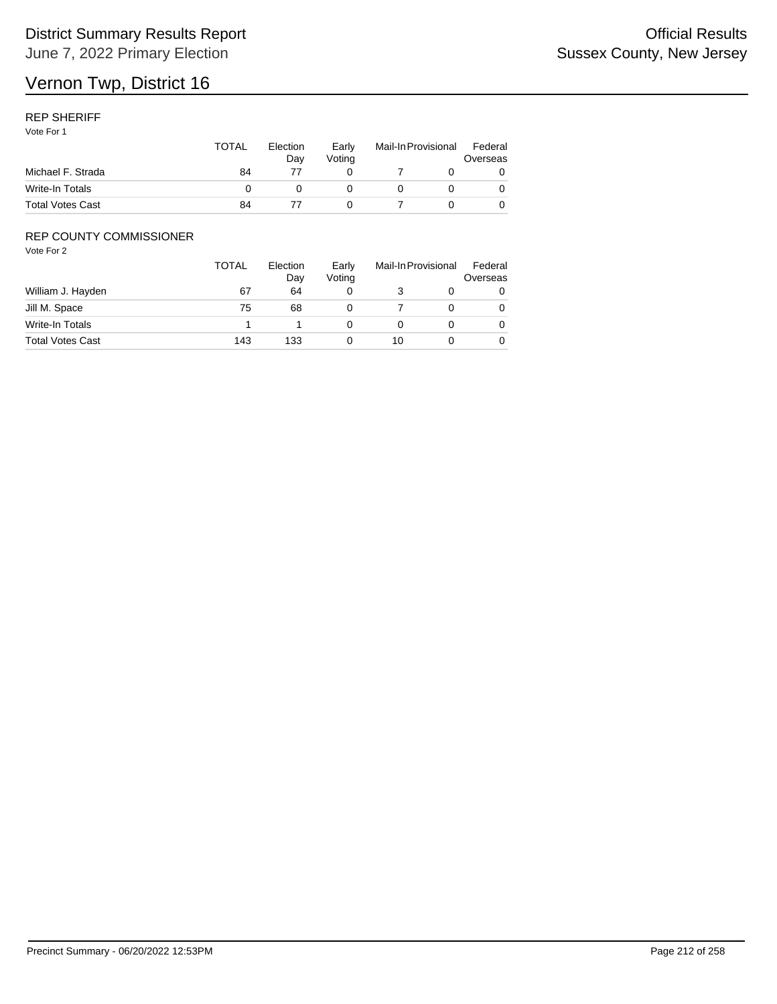#### REP SHERIFF

Vote For 1

|                         | <b>TOTAL</b> | Election<br>Dav | Early<br>Votina | Mail-In Provisional |  | Federal<br>Overseas |  |
|-------------------------|--------------|-----------------|-----------------|---------------------|--|---------------------|--|
| Michael F. Strada       | 84           |                 |                 |                     |  |                     |  |
| Write-In Totals         |              |                 |                 |                     |  |                     |  |
| <b>Total Votes Cast</b> | 84           |                 |                 |                     |  |                     |  |

## REP COUNTY COMMISSIONER

|                         | <b>TOTAL</b> | Election<br>Day | Early<br>Voting | Mail-In Provisional |  | Federal<br>Overseas |  |
|-------------------------|--------------|-----------------|-----------------|---------------------|--|---------------------|--|
| William J. Hayden       | 67           | 64              |                 |                     |  | 0                   |  |
| Jill M. Space           | 75           | 68              |                 |                     |  | 0                   |  |
| Write-In Totals         |              |                 |                 |                     |  | 0                   |  |
| <b>Total Votes Cast</b> | 143          | 133             |                 | 10                  |  | 0                   |  |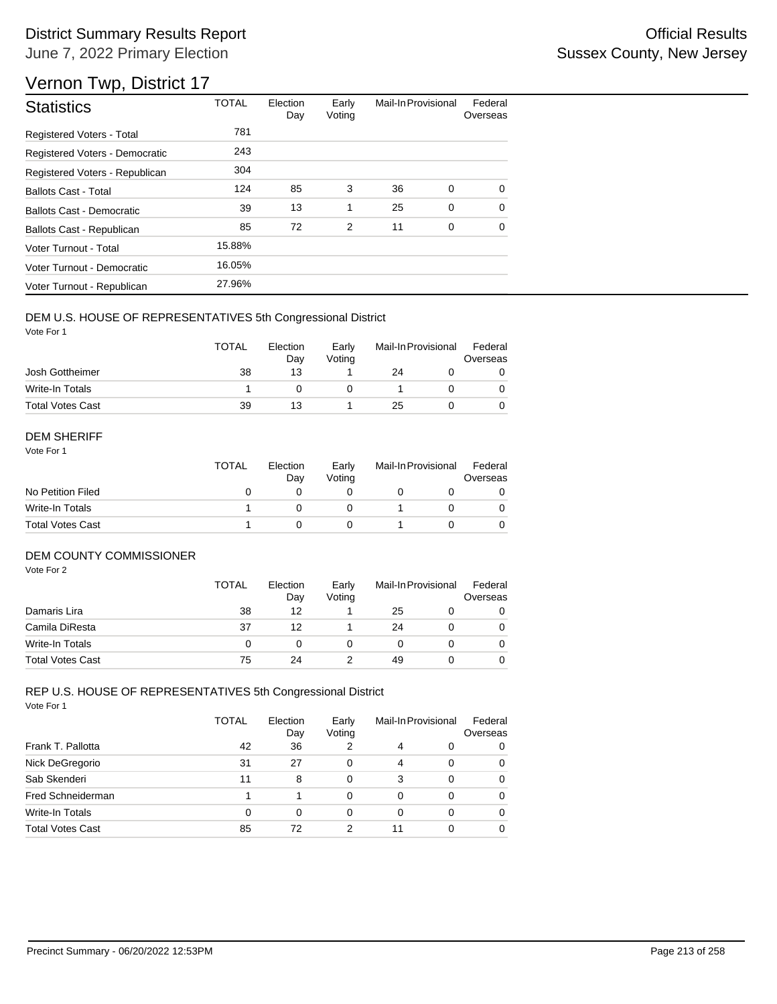# Vernon Twp, District 17

| <b>Statistics</b>                | <b>TOTAL</b> | Election<br>Day | Early<br>Voting | Mail-In Provisional |             | Federal<br>Overseas |
|----------------------------------|--------------|-----------------|-----------------|---------------------|-------------|---------------------|
| Registered Voters - Total        | 781          |                 |                 |                     |             |                     |
| Registered Voters - Democratic   | 243          |                 |                 |                     |             |                     |
| Registered Voters - Republican   | 304          |                 |                 |                     |             |                     |
| <b>Ballots Cast - Total</b>      | 124          | 85              | 3               | 36                  | 0           | $\Omega$            |
| <b>Ballots Cast - Democratic</b> | 39           | 13              | 1               | 25                  | $\mathbf 0$ | $\Omega$            |
| Ballots Cast - Republican        | 85           | 72              | 2               | 11                  | 0           | 0                   |
| Voter Turnout - Total            | 15.88%       |                 |                 |                     |             |                     |
| Voter Turnout - Democratic       | 16.05%       |                 |                 |                     |             |                     |
| Voter Turnout - Republican       | 27.96%       |                 |                 |                     |             |                     |

#### DEM U.S. HOUSE OF REPRESENTATIVES 5th Congressional District

Vote For 1

|                         | <b>TOTAL</b> | Election<br>Dav | Early<br>Votina | Mail-In Provisional |  | Federal<br>Overseas |  |
|-------------------------|--------------|-----------------|-----------------|---------------------|--|---------------------|--|
| Josh Gottheimer         | 38           | 13              |                 | 24                  |  |                     |  |
| Write-In Totals         |              |                 |                 |                     |  |                     |  |
| <b>Total Votes Cast</b> | 39           | 13              |                 | 25                  |  |                     |  |

#### DEM SHERIFF

Vote For 1

|                         | <b>TOTAL</b> | Election<br>Dav | Early<br>Votina | Mail-In Provisional |  | Federal<br>Overseas |  |
|-------------------------|--------------|-----------------|-----------------|---------------------|--|---------------------|--|
| No Petition Filed       |              |                 |                 |                     |  |                     |  |
| Write-In Totals         |              |                 |                 |                     |  | $\Omega$            |  |
| <b>Total Votes Cast</b> |              |                 |                 |                     |  |                     |  |

## DEM COUNTY COMMISSIONER

Vote For 2

|                         | <b>TOTAL</b> | Election<br>Day | Early<br>Votina | Mail-In Provisional |  | Federal<br>Overseas |
|-------------------------|--------------|-----------------|-----------------|---------------------|--|---------------------|
| Damaris Lira            | 38           | 12              |                 | 25                  |  | 0                   |
| Camila DiResta          | 37           | 12              |                 | 24                  |  | 0                   |
| Write-In Totals         |              |                 |                 |                     |  | 0                   |
| <b>Total Votes Cast</b> | 75           | 24              |                 | 49                  |  | 0                   |

|                         | TOTAL | Election<br>Day | Early<br>Voting | Mail-In Provisional |   | Federal<br>Overseas |
|-------------------------|-------|-----------------|-----------------|---------------------|---|---------------------|
| Frank T. Pallotta       | 42    | 36              | 2               | 4                   | 0 | 0                   |
| Nick DeGregorio         | 31    | 27              | 0               | $\overline{4}$      | 0 | 0                   |
| Sab Skenderi            | 11    | 8               | 0               | 3                   | 0 | 0                   |
| Fred Schneiderman       |       |                 | 0               | 0                   | 0 | 0                   |
| Write-In Totals         | 0     | 0               | 0               | 0                   | 0 | 0                   |
| <b>Total Votes Cast</b> | 85    | 72              | 2               | 11                  |   | 0                   |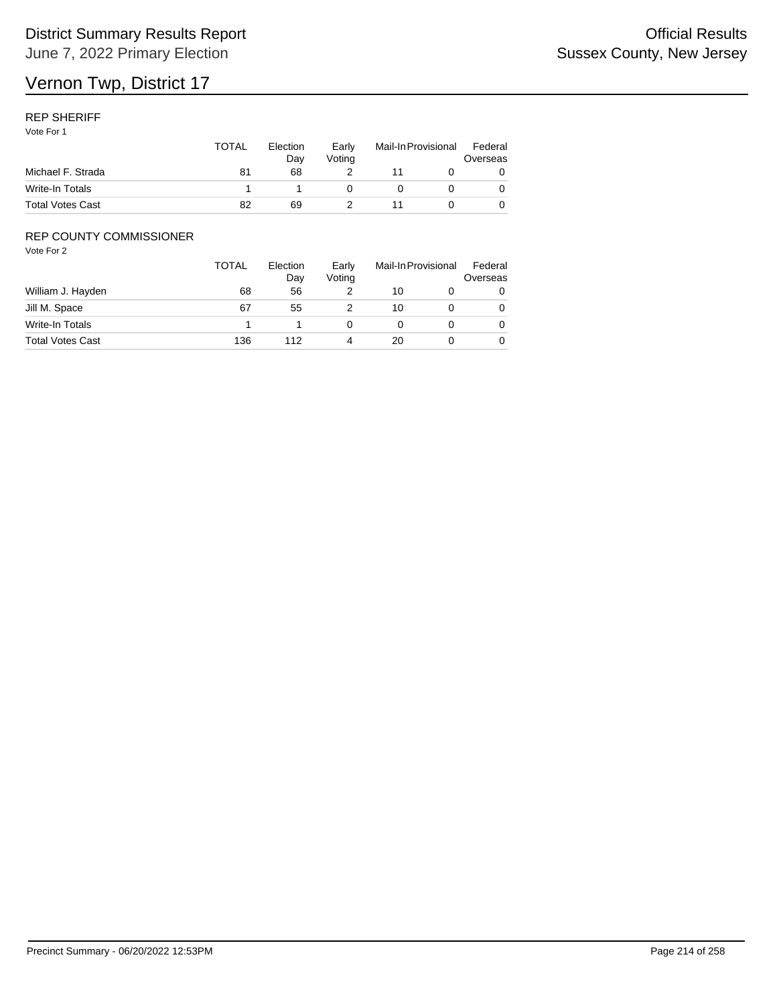### REP SHERIFF

Vote For 1

|                         | TOTAL | Election<br>Dav | Early<br>Votina | Mail-In Provisional |  | Federal<br>Overseas |  |
|-------------------------|-------|-----------------|-----------------|---------------------|--|---------------------|--|
| Michael F. Strada       | 81    | 68              |                 |                     |  |                     |  |
| Write-In Totals         |       |                 |                 |                     |  |                     |  |
| <b>Total Votes Cast</b> | 82    | 69              |                 |                     |  |                     |  |

## REP COUNTY COMMISSIONER

|                         | TOTAL | Election<br>Day | Early<br>Voting | Mail-In Provisional |  | Federal<br>Overseas |
|-------------------------|-------|-----------------|-----------------|---------------------|--|---------------------|
| William J. Hayden       | 68    | 56              |                 | 10                  |  | 0                   |
| Jill M. Space           | 67    | 55              |                 | 10                  |  | 0                   |
| Write-In Totals         |       |                 |                 |                     |  | 0                   |
| <b>Total Votes Cast</b> | 136   | 112             | 4               | 20                  |  | 0                   |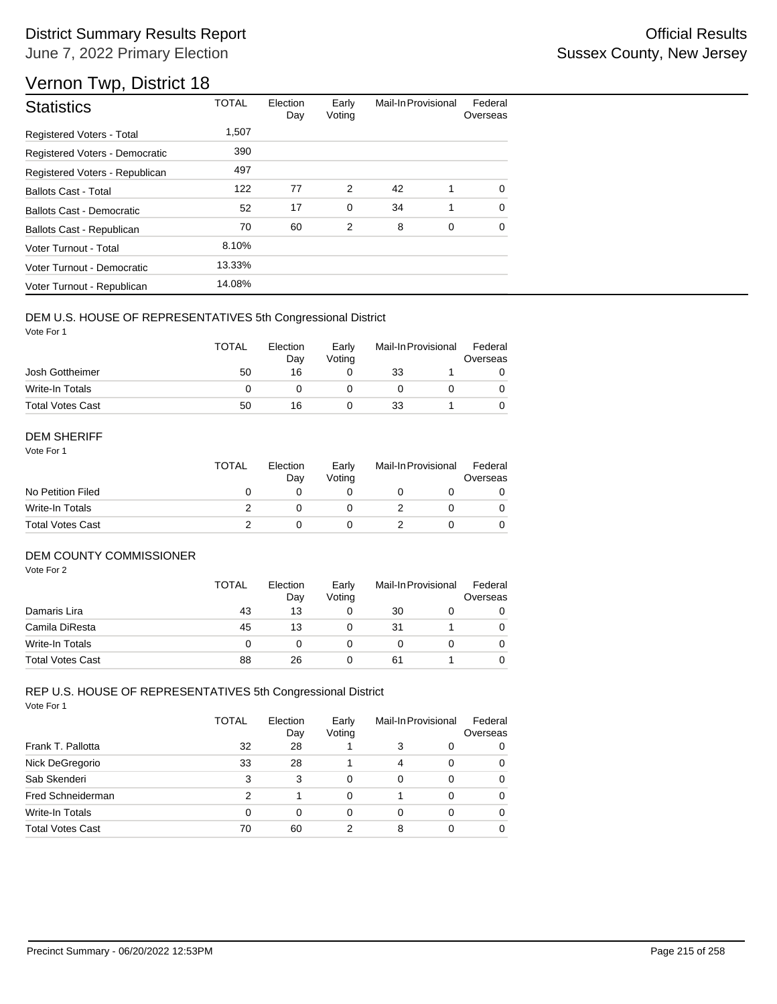# Vernon Twp, District 18

| <b>Statistics</b>              | <b>TOTAL</b> | Election<br>Day | Early<br>Voting | Mail-In Provisional |             | Federal<br>Overseas |
|--------------------------------|--------------|-----------------|-----------------|---------------------|-------------|---------------------|
| Registered Voters - Total      | 1,507        |                 |                 |                     |             |                     |
| Registered Voters - Democratic | 390          |                 |                 |                     |             |                     |
| Registered Voters - Republican | 497          |                 |                 |                     |             |                     |
| <b>Ballots Cast - Total</b>    | 122          | 77              | 2               | 42                  | 1           | $\Omega$            |
| Ballots Cast - Democratic      | 52           | 17              | 0               | 34                  | 1           | $\Omega$            |
| Ballots Cast - Republican      | 70           | 60              | 2               | 8                   | $\mathbf 0$ | $\mathbf 0$         |
| Voter Turnout - Total          | 8.10%        |                 |                 |                     |             |                     |
| Voter Turnout - Democratic     | 13.33%       |                 |                 |                     |             |                     |
| Voter Turnout - Republican     | 14.08%       |                 |                 |                     |             |                     |

## DEM U.S. HOUSE OF REPRESENTATIVES 5th Congressional District

Vote For 1

|                         | <b>TOTAL</b> | Election<br>Dav | Early<br>Votina | Mail-In Provisional |  | Federal<br>Overseas |
|-------------------------|--------------|-----------------|-----------------|---------------------|--|---------------------|
| Josh Gottheimer         | 50           | 16              |                 | 33                  |  |                     |
| Write-In Totals         |              |                 |                 |                     |  |                     |
| <b>Total Votes Cast</b> | 50           | 16              |                 | 33                  |  |                     |

#### DEM SHERIFF

Vote For 1

|                         | <b>TOTAL</b> | Election<br>Day | Early<br>Votina | Mail-In Provisional |  | Federal<br>Overseas |  |
|-------------------------|--------------|-----------------|-----------------|---------------------|--|---------------------|--|
| No Petition Filed       |              |                 |                 |                     |  |                     |  |
| Write-In Totals         |              |                 |                 |                     |  | 0                   |  |
| <b>Total Votes Cast</b> |              |                 |                 |                     |  |                     |  |

#### DEM COUNTY COMMISSIONER

Vote For 2

|                         | <b>TOTAL</b> | Election<br>Day | Early<br>Votina |    | Mail-In Provisional | Federal<br>Overseas |
|-------------------------|--------------|-----------------|-----------------|----|---------------------|---------------------|
| Damaris Lira            | 43           | 13              |                 | 30 |                     | 0                   |
| Camila DiResta          | 45           | 13              |                 | 31 |                     | 0                   |
| Write-In Totals         |              |                 |                 |    |                     | $\Omega$            |
| <b>Total Votes Cast</b> | 88           | 26              |                 | 61 |                     |                     |

|                         | TOTAL    | Election<br>Day | Early<br>Voting | Mail-In Provisional |   | Federal<br>Overseas |
|-------------------------|----------|-----------------|-----------------|---------------------|---|---------------------|
| Frank T. Pallotta       | 32       | 28              |                 | 3                   | 0 | 0                   |
| Nick DeGregorio         | 33       | 28              |                 | $\overline{4}$      | 0 | 0                   |
| Sab Skenderi            | 3        | 3               | 0               | 0                   | 0 | 0                   |
| Fred Schneiderman       | 2        |                 | 0               |                     | 0 | 0                   |
| Write-In Totals         | $\Omega$ | 0               | 0               | 0                   | 0 | 0                   |
| <b>Total Votes Cast</b> | 70       | 60              | 2               | 8                   | ი | 0                   |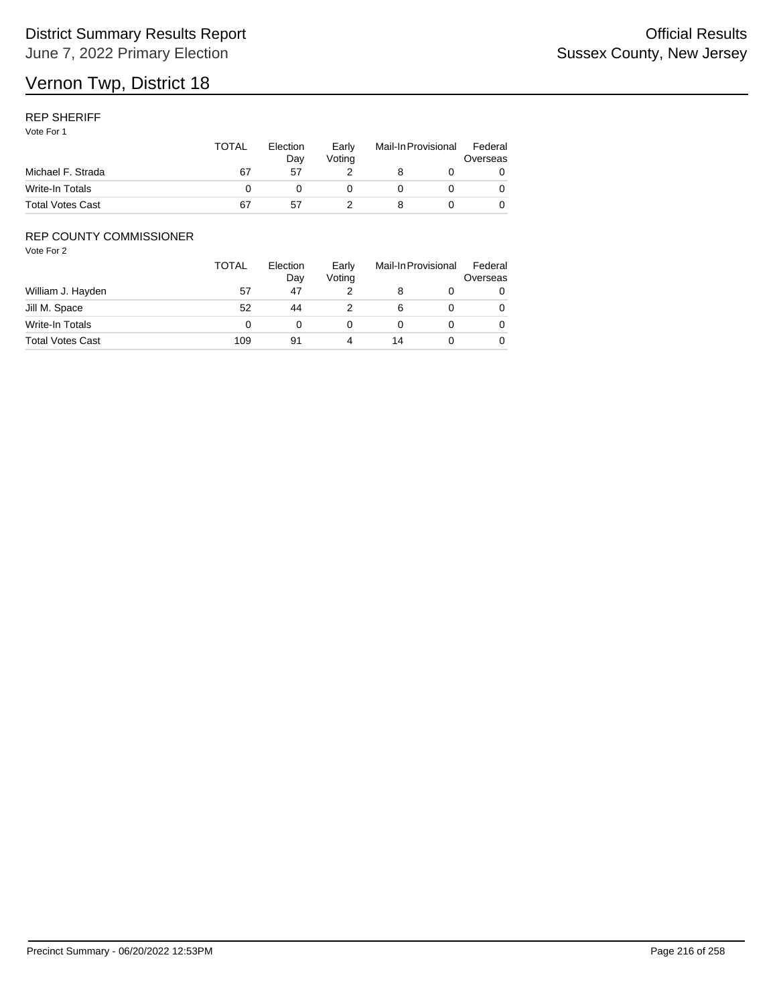### REP SHERIFF

Vote For 1

|                         | <b>TOTAL</b> | Election<br>Dav<br>57 | Early<br>Votina | Mail-In Provisional |  | Federal<br>Overseas |
|-------------------------|--------------|-----------------------|-----------------|---------------------|--|---------------------|
| Michael F. Strada       | 67           |                       |                 |                     |  |                     |
| Write-In Totals         |              |                       |                 |                     |  |                     |
| <b>Total Votes Cast</b> | 67           | 57                    |                 |                     |  |                     |

## REP COUNTY COMMISSIONER

|                         | <b>TOTAL</b> | Election<br>Day | Early<br>Voting |    | Mail-In Provisional | Federal<br>Overseas |
|-------------------------|--------------|-----------------|-----------------|----|---------------------|---------------------|
| William J. Hayden       | 57           | 47              |                 |    |                     | 0                   |
| Jill M. Space           | 52           | 44              |                 | 6  |                     | 0                   |
| Write-In Totals         |              |                 |                 |    |                     | $\Omega$            |
| <b>Total Votes Cast</b> | 109          | 91              |                 | 14 |                     | 0                   |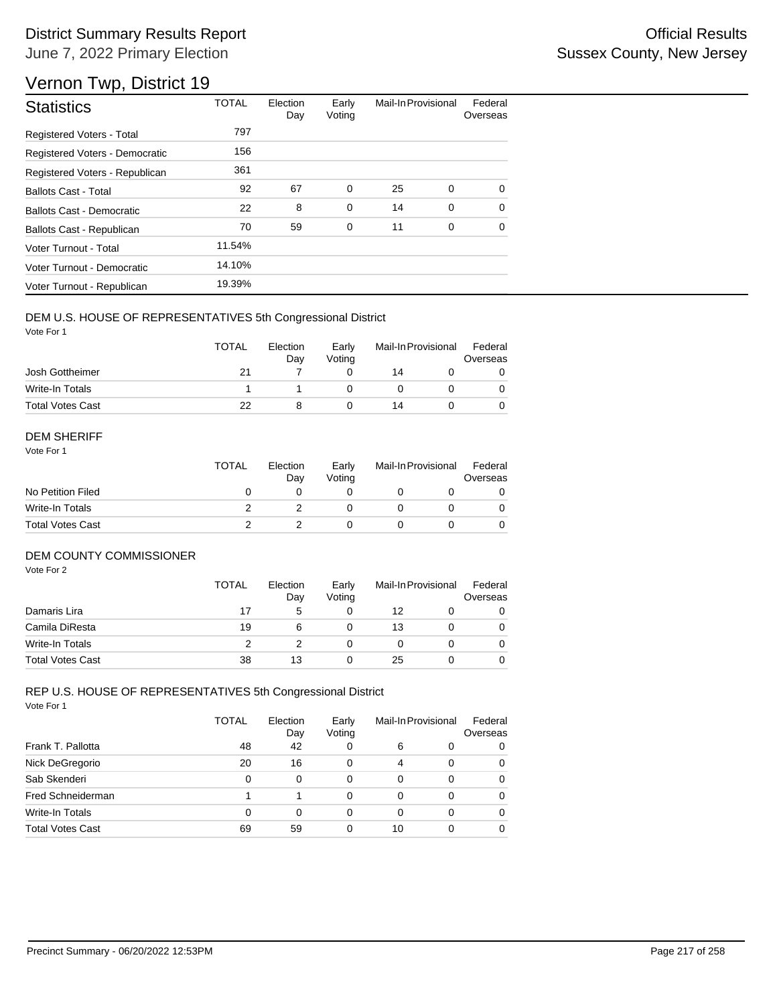# District Summary Results Report **Container and Container Container Container Container Container Container Container** June 7, 2022 Primary Election

# Vernon Twp, District 19

| <b>Statistics</b>                | <b>TOTAL</b> | Election<br>Day | Early<br>Voting | Mail-In Provisional |   | Federal<br>Overseas |
|----------------------------------|--------------|-----------------|-----------------|---------------------|---|---------------------|
| <b>Registered Voters - Total</b> | 797          |                 |                 |                     |   |                     |
| Registered Voters - Democratic   | 156          |                 |                 |                     |   |                     |
| Registered Voters - Republican   | 361          |                 |                 |                     |   |                     |
| <b>Ballots Cast - Total</b>      | 92           | 67              | $\mathbf 0$     | 25                  | 0 | $\Omega$            |
| Ballots Cast - Democratic        | 22           | 8               | $\mathbf 0$     | 14                  | 0 | $\Omega$            |
| Ballots Cast - Republican        | 70           | 59              | 0               | 11                  | 0 | $\Omega$            |
| Voter Turnout - Total            | 11.54%       |                 |                 |                     |   |                     |
| Voter Turnout - Democratic       | 14.10%       |                 |                 |                     |   |                     |
| Voter Turnout - Republican       | 19.39%       |                 |                 |                     |   |                     |

### DEM U.S. HOUSE OF REPRESENTATIVES 5th Congressional District

Vote For 1

|                         | <b>TOTAL</b> | Election<br>Dav | Early<br>Votina | Mail-In Provisional |  | Federal<br>Overseas |
|-------------------------|--------------|-----------------|-----------------|---------------------|--|---------------------|
| Josh Gottheimer         | 21           |                 |                 | 14                  |  |                     |
| Write-In Totals         |              |                 |                 |                     |  |                     |
| <b>Total Votes Cast</b> | 22           |                 |                 | 14                  |  |                     |

#### DEM SHERIFF

Vote For 1

|                         | <b>TOTAL</b> | Election<br>Dav | Early<br>Votina | Mail-In Provisional |  | Federal<br>Overseas |  |
|-------------------------|--------------|-----------------|-----------------|---------------------|--|---------------------|--|
| No Petition Filed       |              |                 |                 |                     |  |                     |  |
| Write-In Totals         |              |                 |                 |                     |  | $\Omega$            |  |
| <b>Total Votes Cast</b> |              |                 |                 |                     |  |                     |  |

### DEM COUNTY COMMISSIONER

Vote For 2

|                         | <b>TOTAL</b> | Election<br>Day | Early<br>Votina | Mail-In Provisional |  | Federal<br>Overseas |
|-------------------------|--------------|-----------------|-----------------|---------------------|--|---------------------|
| Damaris Lira            | 17           | 5               |                 | 12                  |  | 0                   |
| Camila DiResta          | 19           | 6               |                 | 13                  |  | 0                   |
| Write-In Totals         |              |                 |                 |                     |  | 0                   |
| <b>Total Votes Cast</b> | 38           | 13              |                 | 25                  |  | 0                   |

#### Vote For 1 REP U.S. HOUSE OF REPRESENTATIVES 5th Congressional District

|                         | <b>TOTAL</b> | Election<br>Day | Early<br>Voting | Mail-In Provisional |   | Federal<br>Overseas |
|-------------------------|--------------|-----------------|-----------------|---------------------|---|---------------------|
| Frank T. Pallotta       | 48           | 42              | 0               | 6                   | 0 | 0                   |
| Nick DeGregorio         | 20           | 16              | 0               | $\overline{4}$      | 0 | 0                   |
| Sab Skenderi            | 0            | 0               | 0               | 0                   | 0 | 0                   |
| Fred Schneiderman       |              |                 | 0               | 0                   | 0 | 0                   |
| Write-In Totals         | 0            | 0               | 0               | 0                   | 0 | 0                   |
| <b>Total Votes Cast</b> | 69           | 59              | 0               | 10                  |   | 0                   |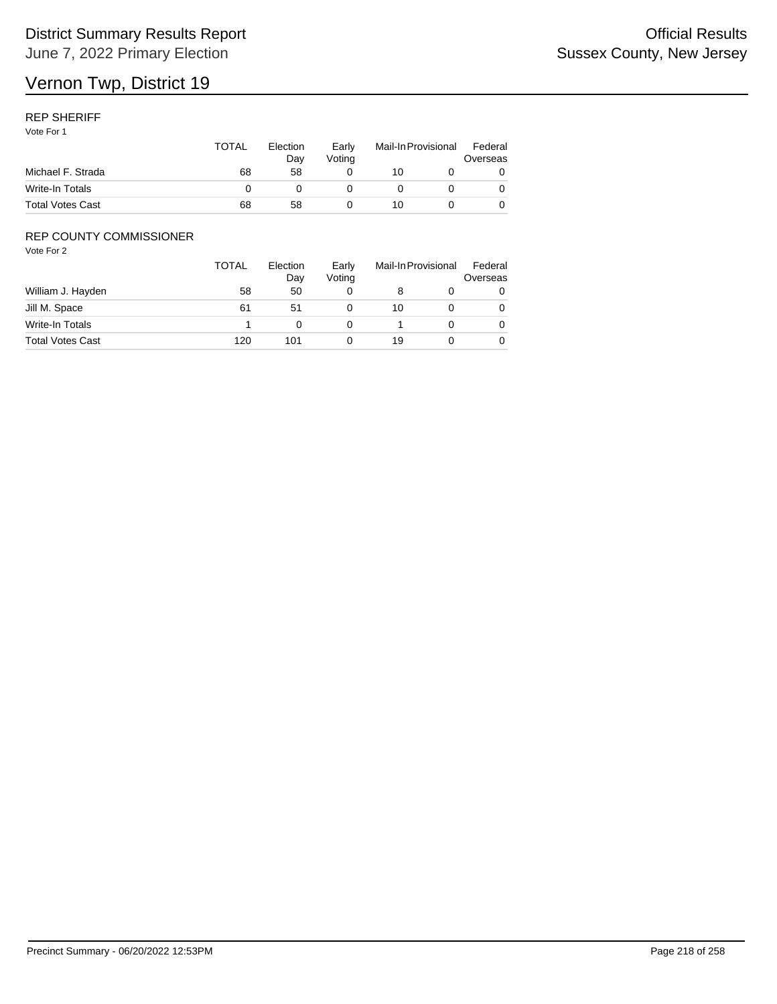# Vernon Twp, District 19

### REP SHERIFF

Vote For 1

|                         | TOTAL | Election<br>Dav | Early<br>Votina | Mail-In Provisional |  | Federal<br>Overseas |
|-------------------------|-------|-----------------|-----------------|---------------------|--|---------------------|
| Michael F. Strada       | 68    | 58              |                 | 10                  |  |                     |
| Write-In Totals         |       |                 |                 |                     |  |                     |
| <b>Total Votes Cast</b> | 68    | 58              |                 | 10                  |  |                     |

## REP COUNTY COMMISSIONER

|                         | <b>TOTAL</b> | Election<br>Day | Early<br>Voting | Mail-In Provisional |  | Federal<br>Overseas |
|-------------------------|--------------|-----------------|-----------------|---------------------|--|---------------------|
| William J. Hayden       | 58           | 50              |                 |                     |  | 0                   |
| Jill M. Space           | 61           | 51              |                 | 10                  |  | 0                   |
| Write-In Totals         |              |                 |                 |                     |  | 0                   |
| <b>Total Votes Cast</b> | 120          | 101             |                 | 19                  |  | 0                   |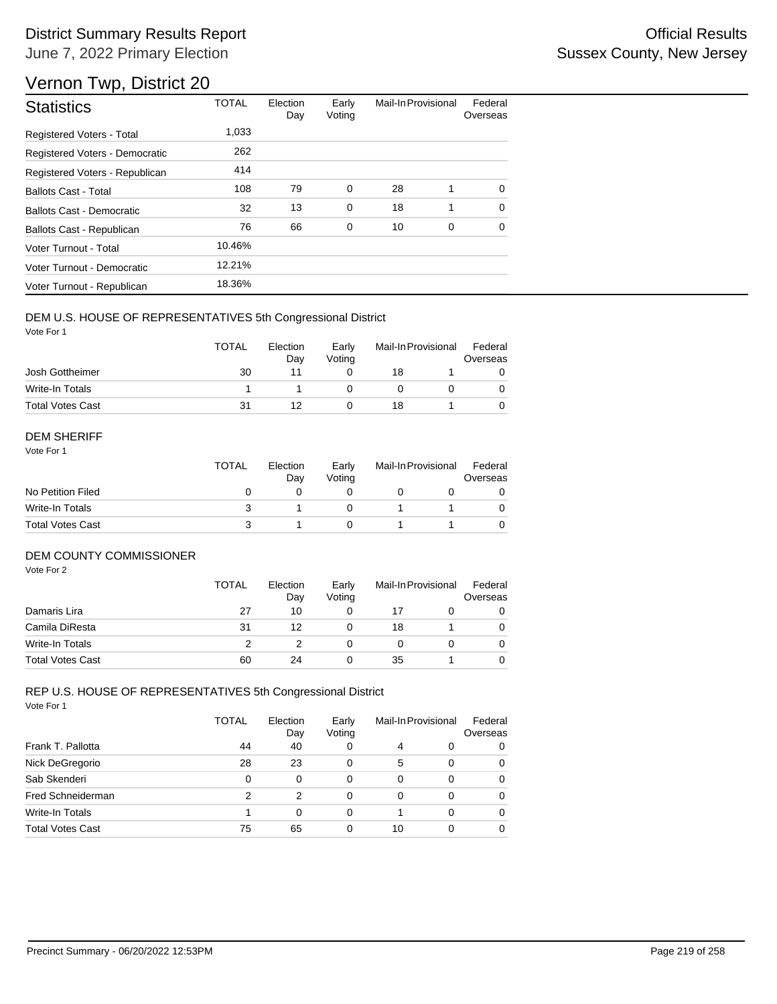# District Summary Results Report **Container and Container Container Container Container Container Container Container** June 7, 2022 Primary Election

# Vernon Twp, District 20

| <b>Statistics</b>              | <b>TOTAL</b> | Election<br>Day | Early<br>Voting | Mail-In Provisional |   | Federal<br>Overseas |
|--------------------------------|--------------|-----------------|-----------------|---------------------|---|---------------------|
| Registered Voters - Total      | 1,033        |                 |                 |                     |   |                     |
| Registered Voters - Democratic | 262          |                 |                 |                     |   |                     |
| Registered Voters - Republican | 414          |                 |                 |                     |   |                     |
| <b>Ballots Cast - Total</b>    | 108          | 79              | 0               | 28                  | 1 | $\Omega$            |
| Ballots Cast - Democratic      | 32           | 13              | $\mathbf 0$     | 18                  | 1 | $\Omega$            |
| Ballots Cast - Republican      | 76           | 66              | $\mathbf 0$     | 10                  | 0 | $\Omega$            |
| Voter Turnout - Total          | 10.46%       |                 |                 |                     |   |                     |
| Voter Turnout - Democratic     | 12.21%       |                 |                 |                     |   |                     |
| Voter Turnout - Republican     | 18.36%       |                 |                 |                     |   |                     |

### DEM U.S. HOUSE OF REPRESENTATIVES 5th Congressional District

Vote For 1

|                         | <b>TOTAL</b> | Election<br>Dav | Early<br>Votina | Mail-In Provisional |  | Federal<br>Overseas |  |
|-------------------------|--------------|-----------------|-----------------|---------------------|--|---------------------|--|
| Josh Gottheimer         | 30           |                 |                 | 18                  |  |                     |  |
| Write-In Totals         |              |                 |                 |                     |  |                     |  |
| <b>Total Votes Cast</b> | 31           |                 |                 | 18                  |  |                     |  |

#### DEM SHERIFF

Vote For 1

|                         | <b>TOTAL</b> | Election<br>Day | Early<br>Votina | Mail-In Provisional |  | Federal<br>Overseas |  |
|-------------------------|--------------|-----------------|-----------------|---------------------|--|---------------------|--|
| No Petition Filed       |              |                 |                 |                     |  |                     |  |
| Write-In Totals         |              |                 |                 |                     |  |                     |  |
| <b>Total Votes Cast</b> |              |                 |                 |                     |  |                     |  |

### DEM COUNTY COMMISSIONER

Vote For 2

|                         | <b>TOTAL</b> | Election<br>Day | Early<br>Votina | Mail-In Provisional |  | Federal<br>Overseas |
|-------------------------|--------------|-----------------|-----------------|---------------------|--|---------------------|
| Damaris Lira            | 27           | 10              |                 | 17                  |  | 0                   |
| Camila DiResta          | 31           | 12              |                 | 18                  |  | 0                   |
| Write-In Totals         |              |                 |                 |                     |  | $\Omega$            |
| <b>Total Votes Cast</b> | 60           | 24              |                 | 35                  |  |                     |

#### Vote For 1 REP U.S. HOUSE OF REPRESENTATIVES 5th Congressional District

|                         | <b>TOTAL</b> | Election<br>Day | Early<br>Voting |          | Mail-In Provisional | Federal<br>Overseas |
|-------------------------|--------------|-----------------|-----------------|----------|---------------------|---------------------|
| Frank T. Pallotta       | 44           | 40              | 0               | 4        | 0                   | 0                   |
| Nick DeGregorio         | 28           | 23              | 0               | 5        | 0                   | 0                   |
| Sab Skenderi            | 0            | $\Omega$        | 0               | $\Omega$ | 0                   | 0                   |
| Fred Schneiderman       | 2            | 2               | 0               | 0        | 0                   | 0                   |
| Write-In Totals         |              | $\Omega$        | 0               |          | 0                   | 0                   |
| <b>Total Votes Cast</b> | 75           | 65              | 0               | 10       | 0                   | 0                   |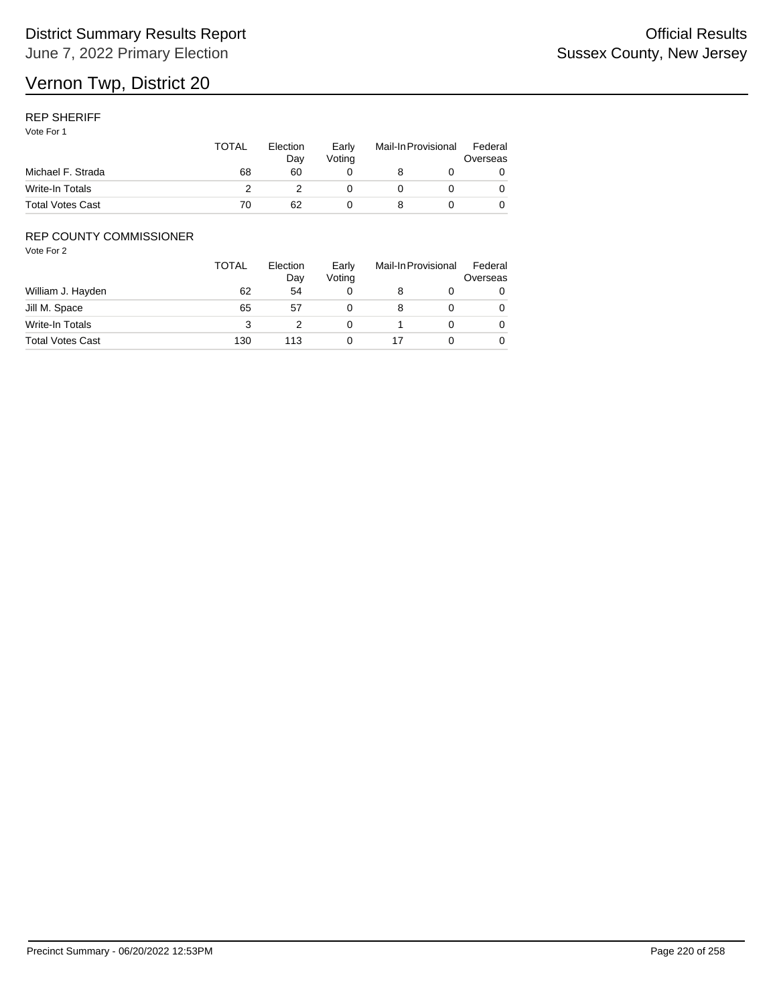# Vernon Twp, District 20

### REP SHERIFF

Vote For 1

|                         | <b>TOTAL</b> | Election<br>Dav | Early<br>Votina | Mail-In Provisional |  | Federal<br>Overseas |
|-------------------------|--------------|-----------------|-----------------|---------------------|--|---------------------|
| Michael F. Strada       | 68           | 60              |                 |                     |  |                     |
| Write-In Totals         |              |                 |                 |                     |  |                     |
| <b>Total Votes Cast</b> | 70           | 62              |                 |                     |  |                     |

## REP COUNTY COMMISSIONER

|                         | <b>TOTAL</b> | Election<br>Day | Early<br>Voting | Mail-In Provisional |   |
|-------------------------|--------------|-----------------|-----------------|---------------------|---|
| William J. Hayden       | 62           | 54              |                 |                     | 0 |
| Jill M. Space           | 65           | 57              |                 |                     | 0 |
| Write-In Totals         | 3            |                 |                 |                     | 0 |
| <b>Total Votes Cast</b> | 130          | 113             |                 |                     | 0 |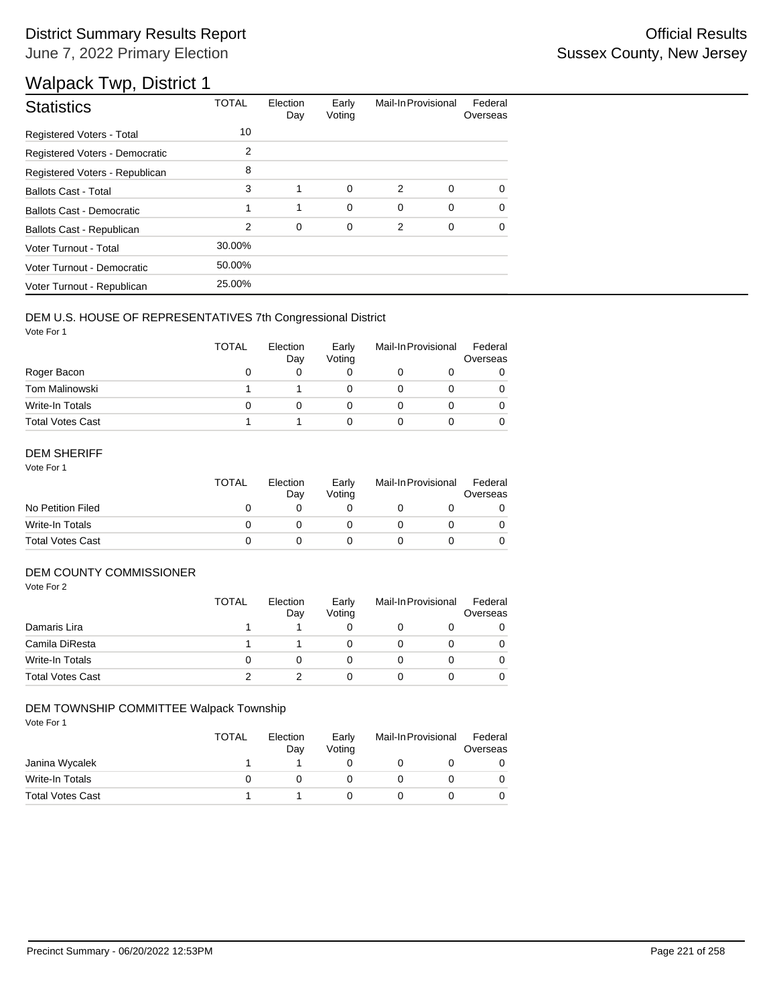# District Summary Results Report **Contract Contract Contract Contract Contract Contract Contract Contract Contract Contract Contract Contract Contract Contract Contract Contract Contract Contract Contract Contract Contract** June 7, 2022 Primary Election

# Walpack Twp, District 1

| <b>Statistics</b>                | <b>TOTAL</b> | Election<br>Day | Early<br>Voting | Mail-In Provisional |             | Federal<br>Overseas |
|----------------------------------|--------------|-----------------|-----------------|---------------------|-------------|---------------------|
| Registered Voters - Total        | 10           |                 |                 |                     |             |                     |
| Registered Voters - Democratic   | 2            |                 |                 |                     |             |                     |
| Registered Voters - Republican   | 8            |                 |                 |                     |             |                     |
| <b>Ballots Cast - Total</b>      | 3            | 1               | 0               | 2                   | 0           | 0                   |
| <b>Ballots Cast - Democratic</b> | 1            | 1               | $\mathbf 0$     | 0                   | $\mathbf 0$ | $\Omega$            |
| Ballots Cast - Republican        | 2            | $\mathbf 0$     | 0               | 2                   | 0           | $\Omega$            |
| Voter Turnout - Total            | 30.00%       |                 |                 |                     |             |                     |
| Voter Turnout - Democratic       | 50.00%       |                 |                 |                     |             |                     |
| Voter Turnout - Republican       | 25.00%       |                 |                 |                     |             |                     |

### DEM U.S. HOUSE OF REPRESENTATIVES 7th Congressional District

Vote For 1

|                         | <b>TOTAL</b> | Election<br>Day | Early<br>Voting | Mail-In Provisional |  | Federal<br>Overseas |
|-------------------------|--------------|-----------------|-----------------|---------------------|--|---------------------|
| Roger Bacon             | O            |                 |                 |                     |  |                     |
| Tom Malinowski          |              |                 |                 |                     |  |                     |
| Write-In Totals         | $\mathbf{I}$ |                 |                 |                     |  |                     |
| <b>Total Votes Cast</b> |              |                 |                 |                     |  |                     |

### DEM SHERIFF

Vote For 1

|                         | <b>TOTAL</b> | Election<br>Day | Early<br>Votina | Mail-In Provisional |  | Federal<br>Overseas |
|-------------------------|--------------|-----------------|-----------------|---------------------|--|---------------------|
| No Petition Filed       |              |                 |                 |                     |  |                     |
| Write-In Totals         |              |                 |                 |                     |  |                     |
| <b>Total Votes Cast</b> |              |                 |                 |                     |  |                     |

## DEM COUNTY COMMISSIONER

Vote For 2

|                         | <b>TOTAL</b> | Election<br>Day | Early<br>Voting | Mail-In Provisional |  | Federal<br>Overseas |
|-------------------------|--------------|-----------------|-----------------|---------------------|--|---------------------|
| Damaris Lira            |              |                 |                 |                     |  | 0                   |
| Camila DiResta          |              |                 |                 |                     |  | $\Omega$            |
| Write-In Totals         |              |                 |                 |                     |  | $\Omega$            |
| <b>Total Votes Cast</b> |              |                 |                 |                     |  | $\Omega$            |

### DEM TOWNSHIP COMMITTEE Walpack Township

|                         | <b>TOTAL</b> | Election<br>Dav | Early<br>Votina | Mail-In Provisional |  | Federal<br>Overseas |
|-------------------------|--------------|-----------------|-----------------|---------------------|--|---------------------|
| Janina Wycalek          |              |                 |                 |                     |  |                     |
| Write-In Totals         |              |                 |                 |                     |  |                     |
| <b>Total Votes Cast</b> |              |                 |                 |                     |  |                     |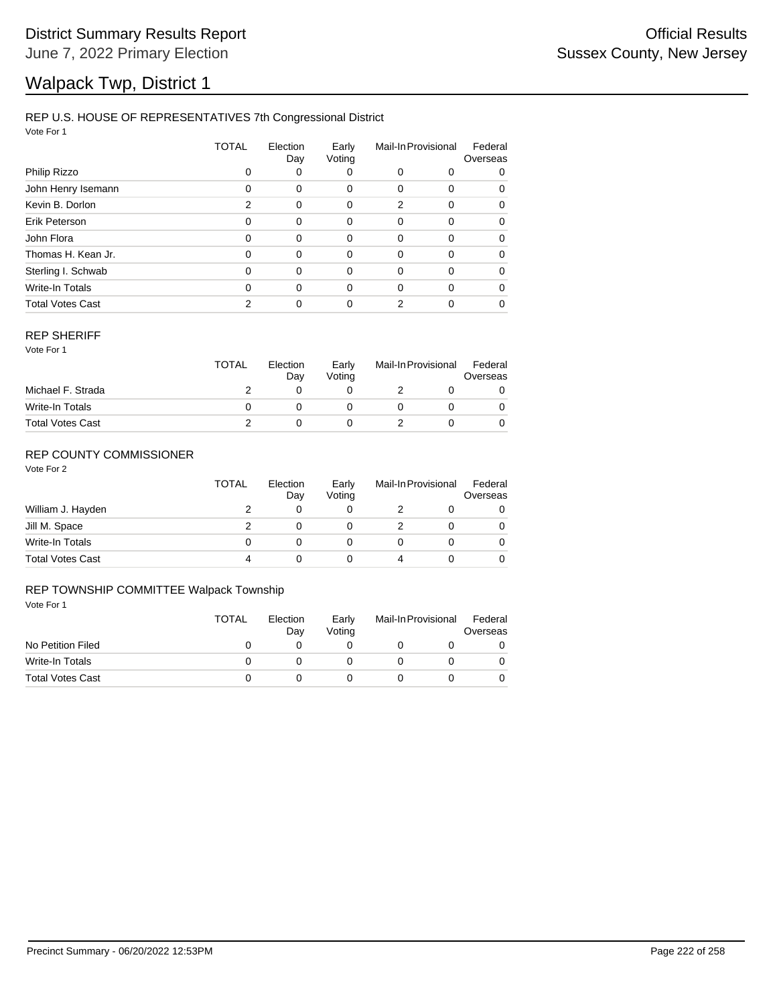# Walpack Twp, District 1

### REP U.S. HOUSE OF REPRESENTATIVES 7th Congressional District

Vote For 1

|                         | TOTAL    | Election<br>Day | Early<br>Voting | Mail-In Provisional |          | Federal<br>Overseas |  |
|-------------------------|----------|-----------------|-----------------|---------------------|----------|---------------------|--|
| Philip Rizzo            | 0        | 0               | 0               | 0                   | 0        | 0                   |  |
| John Henry Isemann      | $\Omega$ | 0               | 0               | 0                   | 0        | 0                   |  |
| Kevin B. Dorlon         | 2        | 0               | 0               | 2                   | $\Omega$ | 0                   |  |
| Erik Peterson           | 0        | 0               | 0               | 0                   | $\Omega$ | 0                   |  |
| John Flora              | 0        | 0               | 0               | 0                   | 0        | 0                   |  |
| Thomas H. Kean Jr.      | 0        | 0               | 0               | 0                   | $\Omega$ | 0                   |  |
| Sterling I. Schwab      | $\Omega$ | 0               | $\Omega$        | 0                   | 0        | 0                   |  |
| Write-In Totals         | 0        | $\Omega$        | $\Omega$        | 0                   | $\Omega$ | 0                   |  |
| <b>Total Votes Cast</b> | 2        | 0               | 0               | 2                   | ი        | 0                   |  |

#### REP SHERIFF

Vote For 1

|                         | <b>TOTAL</b> | Election<br>Dav | Early<br>Votina | Mail-In Provisional |  | Federal<br>Overseas |
|-------------------------|--------------|-----------------|-----------------|---------------------|--|---------------------|
| Michael F. Strada       |              |                 |                 |                     |  |                     |
| Write-In Totals         |              |                 |                 |                     |  |                     |
| <b>Total Votes Cast</b> |              |                 |                 |                     |  |                     |

## REP COUNTY COMMISSIONER

Vote For 2

|                         | <b>TOTAL</b> | Election<br>Day | Early<br>Voting | Mail-In Provisional |  | Federal<br>Overseas |
|-------------------------|--------------|-----------------|-----------------|---------------------|--|---------------------|
| William J. Hayden       |              |                 |                 |                     |  | 0                   |
| Jill M. Space           |              |                 |                 |                     |  | 0                   |
| Write-In Totals         | 0            |                 |                 |                     |  | 0                   |
| <b>Total Votes Cast</b> | 4            |                 |                 | 4                   |  | 0                   |

### REP TOWNSHIP COMMITTEE Walpack Township

|                         | <b>TOTAL</b> | Election<br>Dav | Early<br>Votina | Mail-In Provisional |  | Federal<br>Overseas |
|-------------------------|--------------|-----------------|-----------------|---------------------|--|---------------------|
| No Petition Filed       |              |                 |                 |                     |  |                     |
| Write-In Totals         |              |                 |                 |                     |  |                     |
| <b>Total Votes Cast</b> |              |                 |                 |                     |  |                     |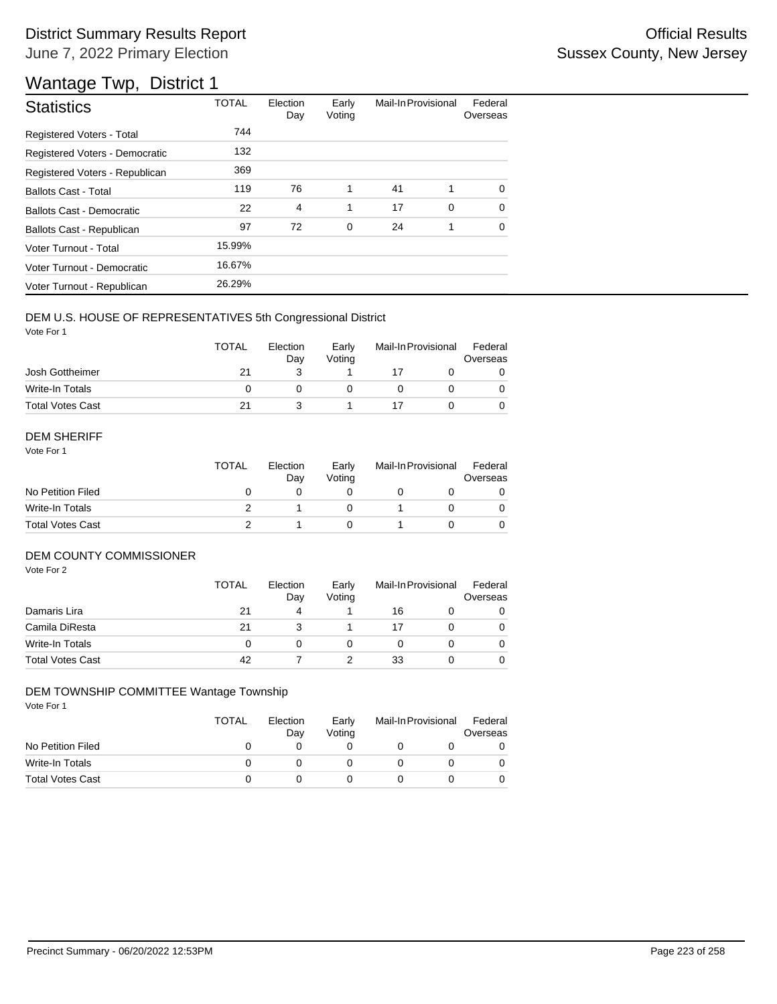# District Summary Results Report **Container and Container Container Container Container Container Container Container** June 7, 2022 Primary Election

# Wantage Twp, District 1

| <b>Statistics</b>                | <b>TOTAL</b> | Election<br>Day | Early<br>Voting | Mail-In Provisional |   | Federal<br>Overseas |
|----------------------------------|--------------|-----------------|-----------------|---------------------|---|---------------------|
| Registered Voters - Total        | 744          |                 |                 |                     |   |                     |
| Registered Voters - Democratic   | 132          |                 |                 |                     |   |                     |
| Registered Voters - Republican   | 369          |                 |                 |                     |   |                     |
| <b>Ballots Cast - Total</b>      | 119          | 76              | 1               | 41                  | 1 | $\Omega$            |
| <b>Ballots Cast - Democratic</b> | 22           | 4               | 1               | 17                  | 0 | $\Omega$            |
| Ballots Cast - Republican        | 97           | 72              | $\mathbf 0$     | 24                  | 1 | $\Omega$            |
| Voter Turnout - Total            | 15.99%       |                 |                 |                     |   |                     |
| Voter Turnout - Democratic       | 16.67%       |                 |                 |                     |   |                     |
| Voter Turnout - Republican       | 26.29%       |                 |                 |                     |   |                     |

### DEM U.S. HOUSE OF REPRESENTATIVES 5th Congressional District

Vote For 1

|                         | <b>TOTAL</b> | Election<br>Dav | Early<br>Votina | Mail-In Provisional |  | Federal<br>Overseas |  |
|-------------------------|--------------|-----------------|-----------------|---------------------|--|---------------------|--|
| Josh Gottheimer         | 21           |                 |                 |                     |  |                     |  |
| Write-In Totals         |              |                 |                 |                     |  |                     |  |
| <b>Total Votes Cast</b> | 21           |                 |                 |                     |  |                     |  |

#### DEM SHERIFF

Vote For 1

|                         | <b>TOTAL</b> | Election<br>Day | Early<br>Votina | Mail-In Provisional |  | Federal<br>Overseas |  |
|-------------------------|--------------|-----------------|-----------------|---------------------|--|---------------------|--|
| No Petition Filed       |              |                 |                 |                     |  |                     |  |
| Write-In Totals         |              |                 |                 |                     |  | $\Omega$            |  |
| <b>Total Votes Cast</b> |              |                 |                 |                     |  |                     |  |

### DEM COUNTY COMMISSIONER

Vote For 2

|                         | <b>TOTAL</b> | Election<br>Day | Early<br>Votina |    | Mail-In Provisional | Federal<br>Overseas |
|-------------------------|--------------|-----------------|-----------------|----|---------------------|---------------------|
| Damaris Lira            | 21           | 4               |                 | 16 |                     | 0                   |
| Camila DiResta          | 21           |                 |                 |    |                     | 0                   |
| Write-In Totals         |              |                 |                 |    |                     | $\Omega$            |
| <b>Total Votes Cast</b> | 42           |                 |                 | 33 |                     | 0                   |

## DEM TOWNSHIP COMMITTEE Wantage Township

|                         | TOTAL | Election<br>Dav | Early<br>Votina | Mail-In Provisional | Federal<br>Overseas |
|-------------------------|-------|-----------------|-----------------|---------------------|---------------------|
| No Petition Filed       |       |                 |                 |                     |                     |
| Write-In Totals         |       |                 |                 |                     |                     |
| <b>Total Votes Cast</b> |       |                 |                 |                     |                     |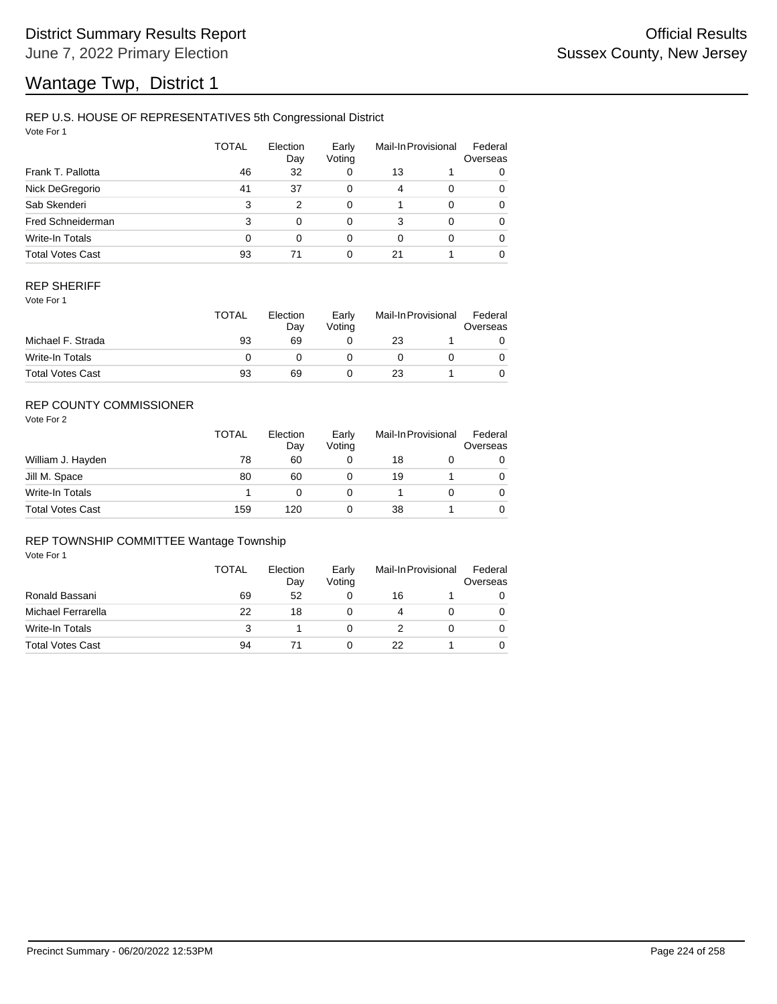### REP U.S. HOUSE OF REPRESENTATIVES 5th Congressional District

Vote For 1

|                         | <b>TOTAL</b> | Election<br>Day | Early<br>Voting | Mail-In Provisional |          | Federal<br>Overseas |  |
|-------------------------|--------------|-----------------|-----------------|---------------------|----------|---------------------|--|
| Frank T. Pallotta       | 46           | 32              | 0               | 13                  |          | 0                   |  |
| Nick DeGregorio         | 41           | 37              | 0               | 4                   | $\Omega$ | 0                   |  |
| Sab Skenderi            | 3            | 2               | $\Omega$        |                     | $\Omega$ | 0                   |  |
| Fred Schneiderman       | 3            | 0               | $\Omega$        | 3                   | $\Omega$ | 0                   |  |
| Write-In Totals         | 0            | 0               | 0               | $\Omega$            | $\Omega$ | 0                   |  |
| <b>Total Votes Cast</b> | 93           | 71              | 0               | 21                  |          | 0                   |  |

### REP SHERIFF

Vote For 1

|                         | <b>TOTAL</b> | Election<br>Day | Early<br>Votina | Mail-In Provisional |  | Federal<br>Overseas |
|-------------------------|--------------|-----------------|-----------------|---------------------|--|---------------------|
| Michael F. Strada       | 93           | 69              |                 | 23                  |  |                     |
| Write-In Totals         |              |                 |                 |                     |  |                     |
| <b>Total Votes Cast</b> | 93           | 69              |                 | 23                  |  |                     |

## REP COUNTY COMMISSIONER

Vote For 2

|                         | TOTAL | Election<br>Day | Early<br>Voting |    | Mail-In Provisional | Federal<br>Overseas |
|-------------------------|-------|-----------------|-----------------|----|---------------------|---------------------|
| William J. Hayden       | 78    | 60              |                 | 18 |                     | 0                   |
| Jill M. Space           | 80    | 60              |                 | 19 |                     | 0                   |
| Write-In Totals         |       | O               |                 |    |                     | 0                   |
| <b>Total Votes Cast</b> | 159   | 120             |                 | 38 |                     | 0                   |

#### REP TOWNSHIP COMMITTEE Wantage Township

|                         | TOTAL | Election<br>Day | Early<br>Voting | Mail-In Provisional |  | Federal<br>Overseas |
|-------------------------|-------|-----------------|-----------------|---------------------|--|---------------------|
| Ronald Bassani          | 69    | 52              | 0               | 16                  |  |                     |
| Michael Ferrarella      | 22    | 18              |                 | 4                   |  |                     |
| Write-In Totals         | 3     |                 |                 |                     |  |                     |
| <b>Total Votes Cast</b> | 94    |                 |                 | 22                  |  |                     |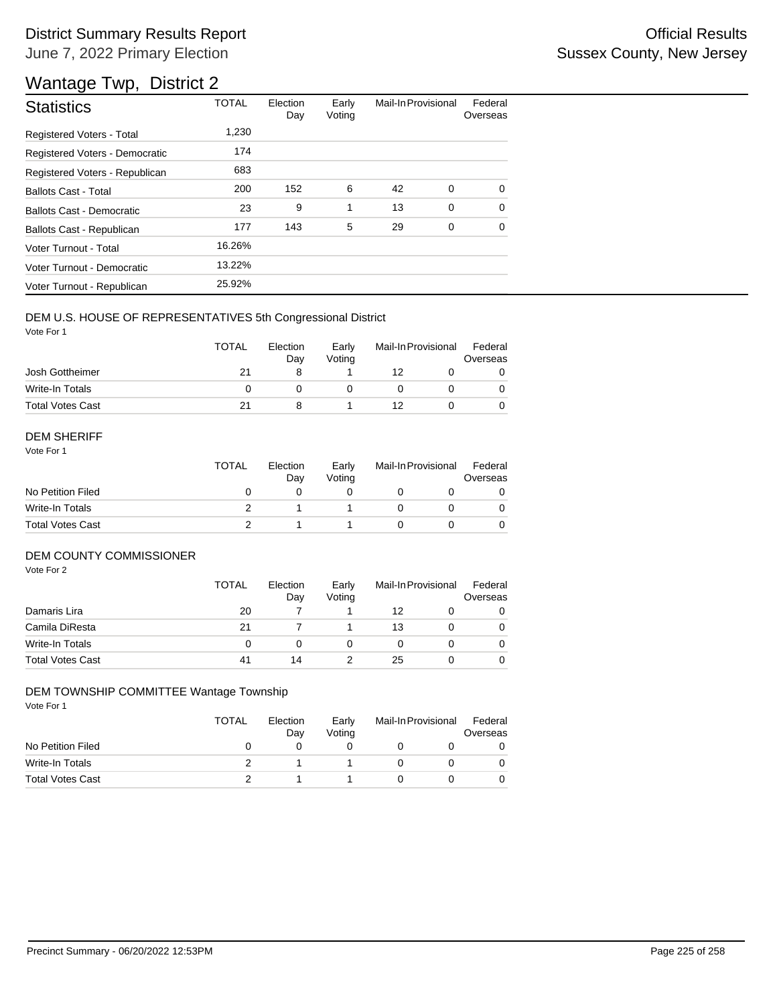# District Summary Results Report **Container and Container Container Container Container Container Container Container** June 7, 2022 Primary Election

# Wantage Twp, District 2

| <b>Statistics</b>                | <b>TOTAL</b> | Election<br>Day | Early<br>Voting | Mail-In Provisional |   | Federal<br>Overseas |
|----------------------------------|--------------|-----------------|-----------------|---------------------|---|---------------------|
| Registered Voters - Total        | 1,230        |                 |                 |                     |   |                     |
| Registered Voters - Democratic   | 174          |                 |                 |                     |   |                     |
| Registered Voters - Republican   | 683          |                 |                 |                     |   |                     |
| <b>Ballots Cast - Total</b>      | 200          | 152             | 6               | 42                  | 0 | $\Omega$            |
| <b>Ballots Cast - Democratic</b> | 23           | 9               | 1               | 13                  | 0 | $\Omega$            |
| Ballots Cast - Republican        | 177          | 143             | 5               | 29                  | 0 | 0                   |
| Voter Turnout - Total            | 16.26%       |                 |                 |                     |   |                     |
| Voter Turnout - Democratic       | 13.22%       |                 |                 |                     |   |                     |
| Voter Turnout - Republican       | 25.92%       |                 |                 |                     |   |                     |

### DEM U.S. HOUSE OF REPRESENTATIVES 5th Congressional District

Vote For 1

|                         | <b>TOTAL</b> | Election<br>Dav | Early<br>Votina | Mail-In Provisional |  | Federal<br>Overseas |
|-------------------------|--------------|-----------------|-----------------|---------------------|--|---------------------|
| Josh Gottheimer         | 21           |                 |                 | 12                  |  |                     |
| Write-In Totals         |              |                 |                 |                     |  |                     |
| <b>Total Votes Cast</b> | 21           |                 |                 | 12                  |  |                     |

#### DEM SHERIFF

Vote For 1

|                         | <b>TOTAL</b> | Election<br>Dav | Early<br>Votina | Mail-In Provisional |  | Federal<br>Overseas |  |
|-------------------------|--------------|-----------------|-----------------|---------------------|--|---------------------|--|
| No Petition Filed       |              |                 |                 |                     |  |                     |  |
| Write-In Totals         |              |                 |                 |                     |  | $\Omega$            |  |
| <b>Total Votes Cast</b> |              |                 |                 |                     |  |                     |  |

### DEM COUNTY COMMISSIONER

Vote For 2

|                         | <b>TOTAL</b> | Election<br>Day | Early<br>Votina |    | Mail-In Provisional | Federal<br>Overseas |
|-------------------------|--------------|-----------------|-----------------|----|---------------------|---------------------|
| Damaris Lira            | 20           |                 |                 | 12 |                     | 0                   |
| Camila DiResta          | 21           |                 |                 | 13 |                     | 0                   |
| Write-In Totals         |              |                 |                 |    |                     | 0                   |
| <b>Total Votes Cast</b> | 41           | 14              |                 | 25 |                     | 0                   |

## DEM TOWNSHIP COMMITTEE Wantage Township

|                         | TOTAL | Election<br>Day | Early<br>Votina | Mail-In Provisional | Federal<br>Overseas |
|-------------------------|-------|-----------------|-----------------|---------------------|---------------------|
| No Petition Filed       |       |                 |                 |                     |                     |
| Write-In Totals         |       |                 |                 |                     |                     |
| <b>Total Votes Cast</b> |       |                 |                 |                     |                     |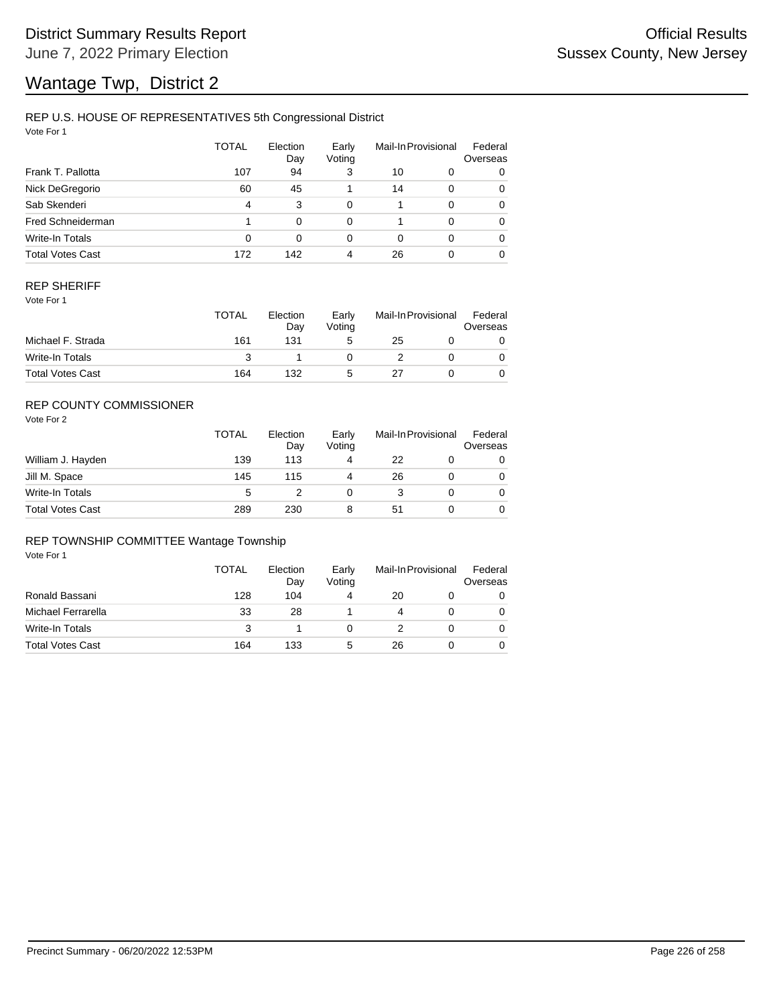## REP U.S. HOUSE OF REPRESENTATIVES 5th Congressional District

Vote For 1

|                         | <b>TOTAL</b> | Election<br>Day | Early<br>Voting |          | Mail-In Provisional | Federal<br>Overseas |
|-------------------------|--------------|-----------------|-----------------|----------|---------------------|---------------------|
| Frank T. Pallotta       | 107          | 94              | 3               | 10       | 0                   | 0                   |
| Nick DeGregorio         | 60           | 45              |                 | 14       | $\Omega$            | 0                   |
| Sab Skenderi            | 4            | 3               | $\Omega$        |          | $\Omega$            | 0                   |
| Fred Schneiderman       |              | 0               | $\Omega$        |          | $\Omega$            | 0                   |
| Write-In Totals         | 0            | 0               | 0               | $\Omega$ | $\Omega$            | 0                   |
| <b>Total Votes Cast</b> | 172          | 142             | 4               | 26       |                     | 0                   |

### REP SHERIFF

Vote For 1

|                         | TOTAL | Election<br>Day | Early<br>Votina | Mail-In Provisional |  | Federal<br>Overseas |
|-------------------------|-------|-----------------|-----------------|---------------------|--|---------------------|
| Michael F. Strada       | 161   | 131             | 5               | 25                  |  |                     |
| Write-In Totals         |       |                 |                 |                     |  |                     |
| <b>Total Votes Cast</b> | 164   | 132             | G               | 27                  |  |                     |

## REP COUNTY COMMISSIONER

Vote For 2

|                         | <b>TOTAL</b> | Election<br>Day | Early<br>Voting |    | Mail-In Provisional |   |
|-------------------------|--------------|-----------------|-----------------|----|---------------------|---|
| William J. Hayden       | 139          | 113             | 4               | 22 |                     | 0 |
| Jill M. Space           | 145          | 115             | 4               | 26 |                     | 0 |
| Write-In Totals         | 5            |                 |                 |    |                     | 0 |
| <b>Total Votes Cast</b> | 289          | 230             | 8               | 51 |                     | 0 |

### REP TOWNSHIP COMMITTEE Wantage Township

|                         | TOTAL | Election<br>Day | Early<br>Voting | Mail-In Provisional |  | Federal<br>Overseas |
|-------------------------|-------|-----------------|-----------------|---------------------|--|---------------------|
| Ronald Bassani          | 128   | 104             |                 | 20                  |  | 0                   |
| Michael Ferrarella      | 33    | 28              |                 |                     |  |                     |
| Write-In Totals         | 3     |                 |                 |                     |  |                     |
| <b>Total Votes Cast</b> | 164   | 133             | 5               | 26                  |  |                     |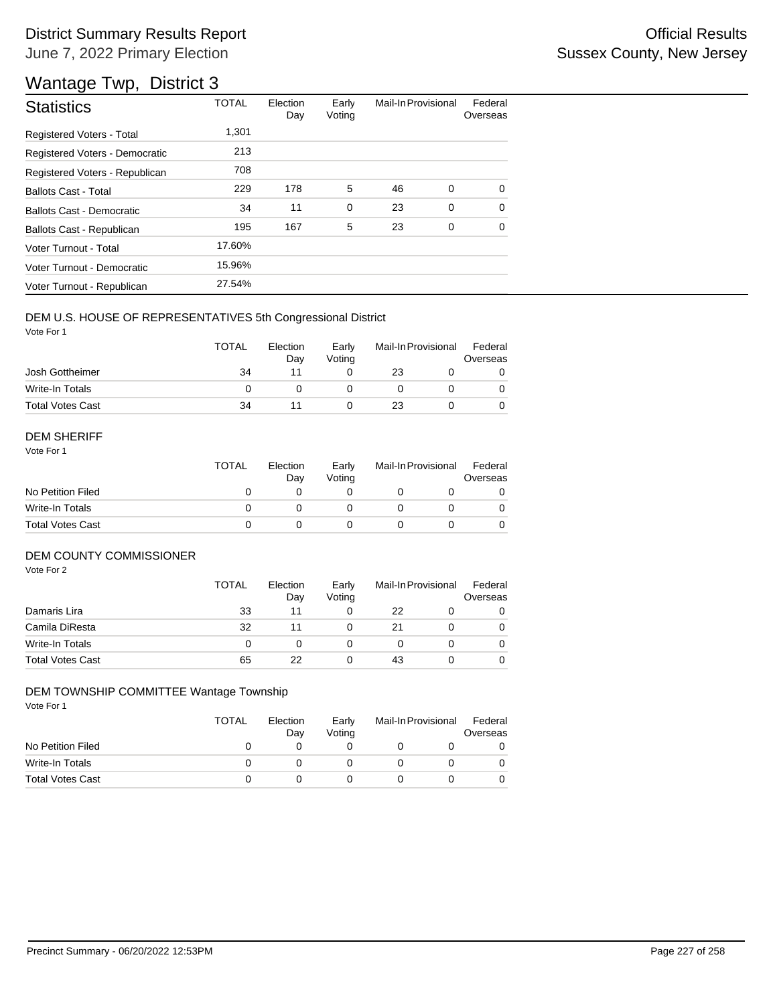| <b>Statistics</b>              | <b>TOTAL</b> | Election<br>Day | Early<br>Voting | Mail-In Provisional |   | Federal<br>Overseas |
|--------------------------------|--------------|-----------------|-----------------|---------------------|---|---------------------|
| Registered Voters - Total      | 1.301        |                 |                 |                     |   |                     |
| Registered Voters - Democratic | 213          |                 |                 |                     |   |                     |
| Registered Voters - Republican | 708          |                 |                 |                     |   |                     |
| <b>Ballots Cast - Total</b>    | 229          | 178             | 5               | 46                  | 0 | $\Omega$            |
| Ballots Cast - Democratic      | 34           | 11              | $\mathbf 0$     | 23                  | 0 | $\Omega$            |
| Ballots Cast - Republican      | 195          | 167             | 5               | 23                  | 0 | $\Omega$            |
| Voter Turnout - Total          | 17.60%       |                 |                 |                     |   |                     |
| Voter Turnout - Democratic     | 15.96%       |                 |                 |                     |   |                     |
| Voter Turnout - Republican     | 27.54%       |                 |                 |                     |   |                     |

### DEM U.S. HOUSE OF REPRESENTATIVES 5th Congressional District

Vote For 1

|                         | <b>TOTAL</b> | Election<br>Dav | Early<br>Votina | Mail-In Provisional |  | Federal<br>Overseas |
|-------------------------|--------------|-----------------|-----------------|---------------------|--|---------------------|
| Josh Gottheimer         | 34           |                 |                 | 23                  |  |                     |
| Write-In Totals         |              |                 |                 |                     |  |                     |
| <b>Total Votes Cast</b> | 34           |                 |                 | 23                  |  |                     |

#### DEM SHERIFF

Vote For 1

|                         | <b>TOTAL</b> | Election<br>Dav | Early<br>Votina | Mail-In Provisional |  | Federal<br>Overseas |  |
|-------------------------|--------------|-----------------|-----------------|---------------------|--|---------------------|--|
| No Petition Filed       |              |                 |                 |                     |  |                     |  |
| Write-In Totals         |              |                 |                 |                     |  | $\Omega$            |  |
| <b>Total Votes Cast</b> |              |                 |                 |                     |  |                     |  |

### DEM COUNTY COMMISSIONER

Vote For 2

|                         | <b>TOTAL</b> | Election<br>Day | Early<br>Voting | Mail-In Provisional |  | Federal<br>Overseas |
|-------------------------|--------------|-----------------|-----------------|---------------------|--|---------------------|
| Damaris Lira            | 33           | 11              |                 | 22                  |  | 0                   |
| Camila DiResta          | 32           | 11              |                 | 21                  |  | $\Omega$            |
| Write-In Totals         |              |                 |                 |                     |  | $\Omega$            |
| <b>Total Votes Cast</b> | 65           | 22              |                 | 43                  |  | 0                   |

### DEM TOWNSHIP COMMITTEE Wantage Township

|                         | TOTAL        | Election<br>Day | Early<br>Votina | Mail-In Provisional |  | Federal<br>Overseas |
|-------------------------|--------------|-----------------|-----------------|---------------------|--|---------------------|
| No Petition Filed       | $\mathbf{0}$ |                 |                 |                     |  |                     |
| Write-In Totals         |              |                 |                 |                     |  |                     |
| <b>Total Votes Cast</b> |              |                 |                 |                     |  |                     |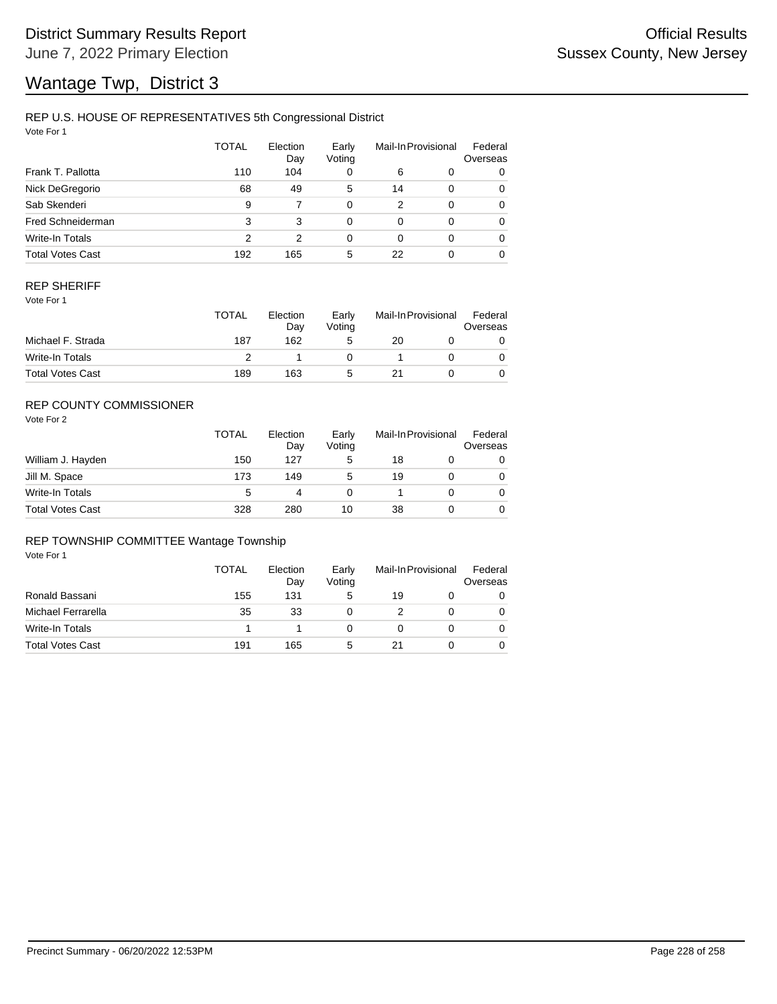## REP U.S. HOUSE OF REPRESENTATIVES 5th Congressional District

Vote For 1

|                         | <b>TOTAL</b> | Election<br>Day | Early<br>Voting |    | Mail-In Provisional | Federal<br>Overseas |
|-------------------------|--------------|-----------------|-----------------|----|---------------------|---------------------|
| Frank T. Pallotta       | 110          | 104             | 0               | 6  | 0                   | 0                   |
| Nick DeGregorio         | 68           | 49              | 5               | 14 | $\Omega$            | 0                   |
| Sab Skenderi            | 9            |                 | 0               | 2  | $\Omega$            | 0                   |
| Fred Schneiderman       | 3            | 3               | 0               | 0  | $\Omega$            | 0                   |
| Write-In Totals         | 2            | 2               | 0               | 0  | $\Omega$            | 0                   |
| <b>Total Votes Cast</b> | 192          | 165             | 5               | 22 | $\Omega$            | 0                   |

### REP SHERIFF

Vote For 1

|                         | <b>TOTAL</b> | Election<br>Day | Early<br>Votina | Mail-In Provisional |  | Federal<br>Overseas |
|-------------------------|--------------|-----------------|-----------------|---------------------|--|---------------------|
| Michael F. Strada       | 187          | 162             | 5               | 20                  |  |                     |
| Write-In Totals         |              |                 |                 |                     |  |                     |
| <b>Total Votes Cast</b> | 189          | 163             | G               | 21                  |  |                     |

## REP COUNTY COMMISSIONER

Vote For 2

|                         | <b>TOTAL</b> | Election<br>Day | Early<br>Voting | Mail-In Provisional |  | Federal<br>Overseas |
|-------------------------|--------------|-----------------|-----------------|---------------------|--|---------------------|
| William J. Hayden       | 150          | 127             | 5               | 18                  |  | 0                   |
| Jill M. Space           | 173          | 149             | 5               | 19                  |  | 0                   |
| Write-In Totals         | 5            |                 |                 |                     |  | 0                   |
| <b>Total Votes Cast</b> | 328          | 280             | 10              | 38                  |  | 0                   |

#### REP TOWNSHIP COMMITTEE Wantage Township

|                         | TOTAL | Election<br>Day | Early<br>Voting | Mail-In Provisional |  | Federal<br>Overseas |
|-------------------------|-------|-----------------|-----------------|---------------------|--|---------------------|
| Ronald Bassani          | 155   | 131             | 5               | 19                  |  | 0                   |
| Michael Ferrarella      | 35    | 33              |                 |                     |  |                     |
| Write-In Totals         |       |                 |                 |                     |  |                     |
| <b>Total Votes Cast</b> | 191   | 165             | 5               |                     |  |                     |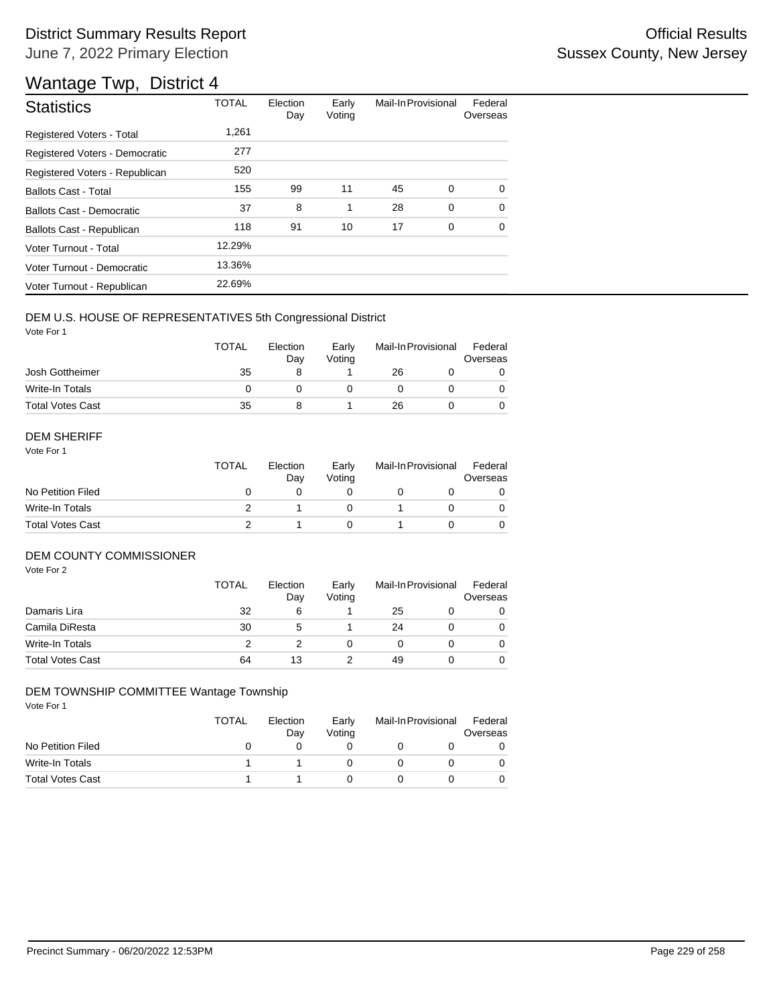| <b>Statistics</b>                | <b>TOTAL</b> | Election<br>Day | Early<br>Voting | Mail-In Provisional |             | Federal<br>Overseas |
|----------------------------------|--------------|-----------------|-----------------|---------------------|-------------|---------------------|
| Registered Voters - Total        | 1,261        |                 |                 |                     |             |                     |
| Registered Voters - Democratic   | 277          |                 |                 |                     |             |                     |
| Registered Voters - Republican   | 520          |                 |                 |                     |             |                     |
| <b>Ballots Cast - Total</b>      | 155          | 99              | 11              | 45                  | 0           | $\Omega$            |
| <b>Ballots Cast - Democratic</b> | 37           | 8               | 1               | 28                  | $\mathbf 0$ | $\Omega$            |
| Ballots Cast - Republican        | 118          | 91              | 10              | 17                  | 0           | 0                   |
| Voter Turnout - Total            | 12.29%       |                 |                 |                     |             |                     |
| Voter Turnout - Democratic       | 13.36%       |                 |                 |                     |             |                     |
| Voter Turnout - Republican       | 22.69%       |                 |                 |                     |             |                     |

### DEM U.S. HOUSE OF REPRESENTATIVES 5th Congressional District

Vote For 1

|                         | <b>TOTAL</b> | Election<br>Dav | Early<br>Votina | Mail-In Provisional |  | Federal<br>Overseas |  |
|-------------------------|--------------|-----------------|-----------------|---------------------|--|---------------------|--|
| Josh Gottheimer         | 35           |                 |                 | 26                  |  |                     |  |
| Write-In Totals         |              |                 |                 |                     |  |                     |  |
| <b>Total Votes Cast</b> | 35           |                 |                 | 26                  |  |                     |  |

#### DEM SHERIFF

Vote For 1

|                         | <b>TOTAL</b> | Election<br>Dav | Early<br>Votina | Mail-In Provisional |  | Federal<br>Overseas |  |
|-------------------------|--------------|-----------------|-----------------|---------------------|--|---------------------|--|
| No Petition Filed       |              |                 |                 |                     |  |                     |  |
| Write-In Totals         |              |                 |                 |                     |  | $\Omega$            |  |
| <b>Total Votes Cast</b> |              |                 |                 |                     |  |                     |  |

### DEM COUNTY COMMISSIONER

Vote For 2

|                         | <b>TOTAL</b> | Election<br>Day | Early<br>Voting | Mail-In Provisional |  | Federal<br>Overseas |
|-------------------------|--------------|-----------------|-----------------|---------------------|--|---------------------|
| Damaris Lira            | 32           | 6               |                 | 25                  |  | 0                   |
| Camila DiResta          | 30           | 5               |                 | 24                  |  | $\Omega$            |
| Write-In Totals         |              |                 |                 |                     |  | $\Omega$            |
| <b>Total Votes Cast</b> | 64           | 13              |                 | 49                  |  | 0                   |

### DEM TOWNSHIP COMMITTEE Wantage Township

|                         | TOTAL | Election<br>Day | Early<br>Votina | Mail-In Provisional |  | Federal<br>Overseas |
|-------------------------|-------|-----------------|-----------------|---------------------|--|---------------------|
| No Petition Filed       |       |                 |                 |                     |  |                     |
| Write-In Totals         |       |                 |                 |                     |  |                     |
| <b>Total Votes Cast</b> |       |                 |                 |                     |  |                     |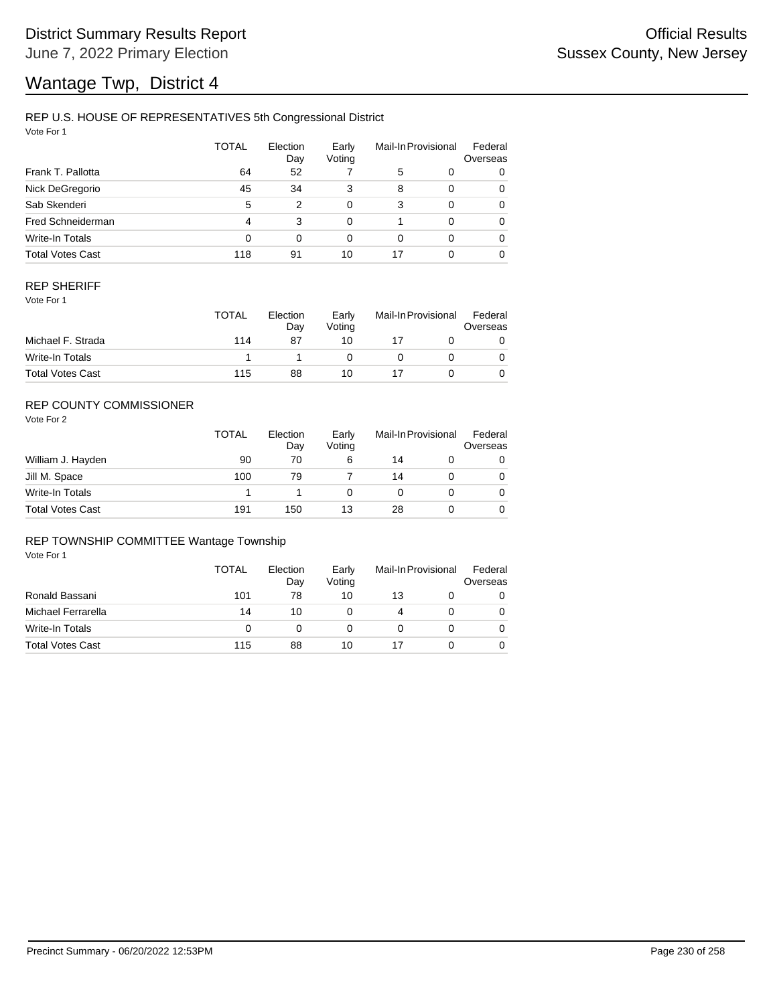## REP U.S. HOUSE OF REPRESENTATIVES 5th Congressional District

Vote For 1

|                         | <b>TOTAL</b> | Election<br>Day | Early<br>Voting |    | Mail-In Provisional | Federal<br>Overseas |
|-------------------------|--------------|-----------------|-----------------|----|---------------------|---------------------|
| Frank T. Pallotta       | 64           | 52              |                 | 5  | 0                   | 0                   |
| Nick DeGregorio         | 45           | 34              | 3               | 8  | $\Omega$            | 0                   |
| Sab Skenderi            | 5            | 2               | 0               | 3  | $\Omega$            | 0                   |
| Fred Schneiderman       | 4            | 3               | 0               |    | $\Omega$            | 0                   |
| Write-In Totals         | 0            | $\Omega$        | 0               | 0  | $\Omega$            | 0                   |
| <b>Total Votes Cast</b> | 118          | 91              | 10              | 17 | $\Omega$            | 0                   |

### REP SHERIFF

Vote For 1

|                         | <b>TOTAL</b> | Election<br>Day | Early<br>Votina | Mail-In Provisional |  | Federal<br>Overseas |
|-------------------------|--------------|-----------------|-----------------|---------------------|--|---------------------|
| Michael F. Strada       | 114          | 87              | 10              |                     |  |                     |
| Write-In Totals         |              |                 |                 |                     |  |                     |
| <b>Total Votes Cast</b> | 115          | 88              | 10              |                     |  |                     |

## REP COUNTY COMMISSIONER

Vote For 2

|                         | <b>TOTAL</b> | Election<br>Day | Early<br>Votina | Mail-In Provisional |  | Federal<br>Overseas |
|-------------------------|--------------|-----------------|-----------------|---------------------|--|---------------------|
| William J. Hayden       | 90           | 70              | 6               | 14                  |  | 0                   |
| Jill M. Space           | 100          | 79              |                 | 14                  |  | 0                   |
| Write-In Totals         |              |                 |                 |                     |  | 0                   |
| <b>Total Votes Cast</b> | 191          | 150             | 13              | 28                  |  | 0                   |

#### REP TOWNSHIP COMMITTEE Wantage Township

|                         | TOTAL    | Election<br>Day | Early<br>Voting | Mail-In Provisional |  | Federal<br>Overseas |
|-------------------------|----------|-----------------|-----------------|---------------------|--|---------------------|
| Ronald Bassani          | 101      | 78              | 10              | 13                  |  | 0                   |
| Michael Ferrarella      | 14       | 10              |                 | 4                   |  |                     |
| Write-In Totals         | $\Omega$ |                 |                 |                     |  |                     |
| <b>Total Votes Cast</b> | 115      | 88              | 10              |                     |  |                     |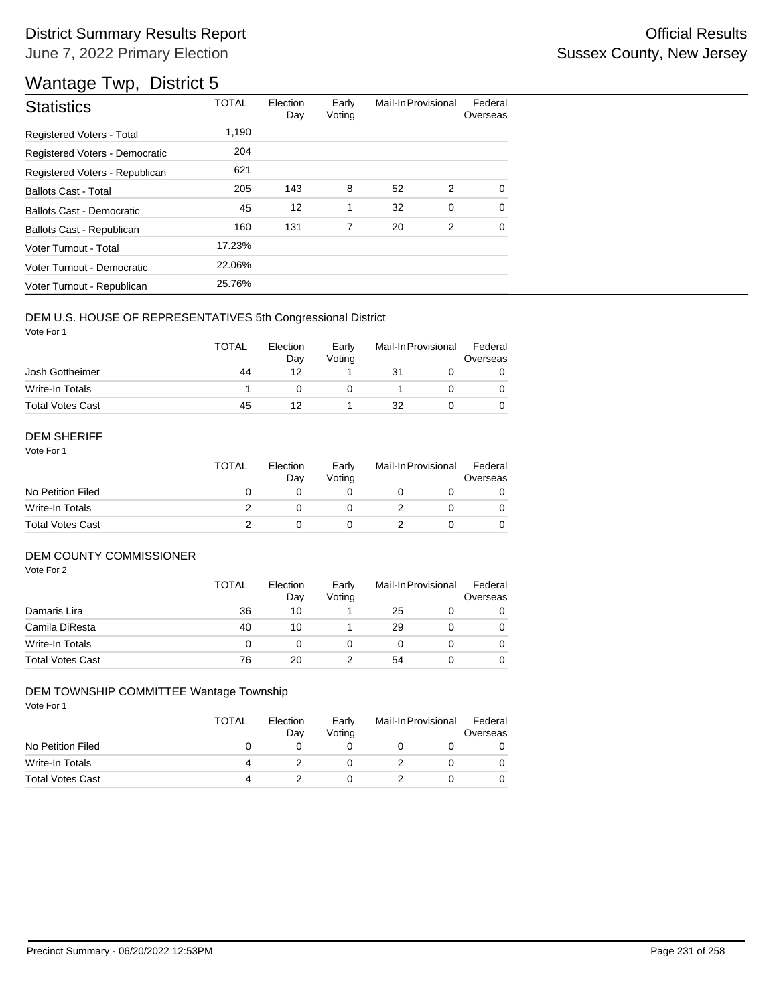| <b>Statistics</b>              | <b>TOTAL</b> | Election<br>Day | Early<br>Voting | Mail-In Provisional |   | Federal<br>Overseas |
|--------------------------------|--------------|-----------------|-----------------|---------------------|---|---------------------|
| Registered Voters - Total      | 1,190        |                 |                 |                     |   |                     |
| Registered Voters - Democratic | 204          |                 |                 |                     |   |                     |
| Registered Voters - Republican | 621          |                 |                 |                     |   |                     |
| <b>Ballots Cast - Total</b>    | 205          | 143             | 8               | 52                  | 2 | $\Omega$            |
| Ballots Cast - Democratic      | 45           | 12              | 1               | 32                  | 0 | $\Omega$            |
| Ballots Cast - Republican      | 160          | 131             | 7               | 20                  | 2 | $\Omega$            |
| Voter Turnout - Total          | 17.23%       |                 |                 |                     |   |                     |
| Voter Turnout - Democratic     | 22.06%       |                 |                 |                     |   |                     |
| Voter Turnout - Republican     | 25.76%       |                 |                 |                     |   |                     |

### DEM U.S. HOUSE OF REPRESENTATIVES 5th Congressional District

Vote For 1

|                         | <b>TOTAL</b> | Election<br>Dav | Early<br>Votina | Mail-In Provisional |  | Federal<br>Overseas |  |
|-------------------------|--------------|-----------------|-----------------|---------------------|--|---------------------|--|
| Josh Gottheimer         | 44           | 12              |                 | 31                  |  |                     |  |
| Write-In Totals         |              |                 |                 |                     |  |                     |  |
| <b>Total Votes Cast</b> | 45           |                 |                 | 32                  |  |                     |  |

#### DEM SHERIFF

Vote For 1

|                         | <b>TOTAL</b> | Election<br>Dav | Early<br>Votina | Mail-In Provisional |  | Federal<br>Overseas |  |
|-------------------------|--------------|-----------------|-----------------|---------------------|--|---------------------|--|
| No Petition Filed       |              |                 |                 |                     |  |                     |  |
| Write-In Totals         |              |                 |                 |                     |  | $\Omega$            |  |
| <b>Total Votes Cast</b> |              |                 |                 |                     |  |                     |  |

### DEM COUNTY COMMISSIONER

Vote For 2

|                         | <b>TOTAL</b> | Election<br>Day | Early<br>Voting | Mail-In Provisional |  | Federal<br>Overseas |
|-------------------------|--------------|-----------------|-----------------|---------------------|--|---------------------|
| Damaris Lira            | 36           | 10              |                 | 25                  |  | 0                   |
| Camila DiResta          | 40           | 10              |                 | 29                  |  | $\Omega$            |
| Write-In Totals         |              |                 |                 |                     |  | $\Omega$            |
| <b>Total Votes Cast</b> | 76           | 20              |                 | 54                  |  | 0                   |

### DEM TOWNSHIP COMMITTEE Wantage Township

|                         | TOTAL | Election<br>Day | Early<br>Votina | Mail-In Provisional |  | Federal<br>Overseas |
|-------------------------|-------|-----------------|-----------------|---------------------|--|---------------------|
| No Petition Filed       |       |                 |                 |                     |  |                     |
| Write-In Totals         | 4     |                 |                 |                     |  |                     |
| <b>Total Votes Cast</b> | 4     |                 |                 |                     |  |                     |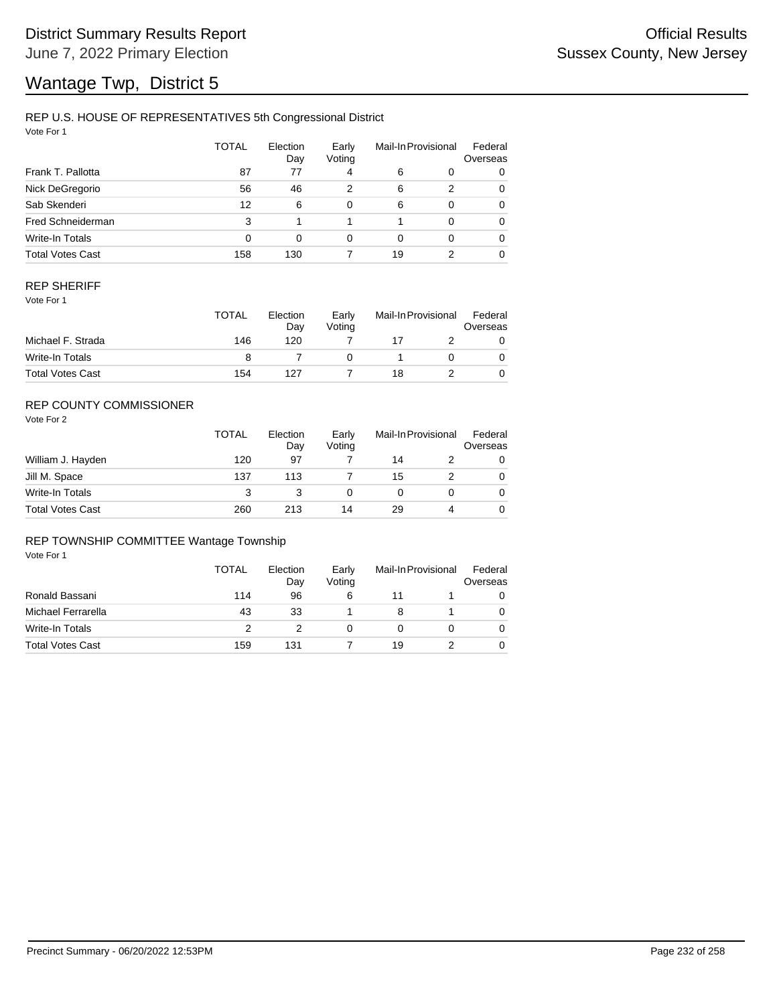### REP U.S. HOUSE OF REPRESENTATIVES 5th Congressional District

Vote For 1

|                         | TOTAL | Election<br>Day | Early<br>Voting |          | Mail-In Provisional | Federal<br>Overseas |
|-------------------------|-------|-----------------|-----------------|----------|---------------------|---------------------|
| Frank T. Pallotta       | 87    | 77              | 4               | 6        | 0                   | 0                   |
| Nick DeGregorio         | 56    | 46              | 2               | 6        | 2                   | 0                   |
| Sab Skenderi            | 12    | 6               | $\Omega$        | 6        | $\Omega$            | 0                   |
| Fred Schneiderman       | 3     |                 |                 |          | $\Omega$            | 0                   |
| Write-In Totals         | 0     | 0               | $\Omega$        | $\Omega$ | $\Omega$            | 0                   |
| <b>Total Votes Cast</b> | 158   | 130             |                 | 19       | 2                   | 0                   |

### REP SHERIFF

Vote For 1

|                         | <b>TOTAL</b> | Election<br>Dav | Early<br>Votina | Mail-In Provisional |  | Federal<br>Overseas |
|-------------------------|--------------|-----------------|-----------------|---------------------|--|---------------------|
| Michael F. Strada       | 146          | 120             |                 |                     |  |                     |
| Write-In Totals         |              |                 |                 |                     |  |                     |
| <b>Total Votes Cast</b> | 154          | 127             |                 | 18                  |  |                     |

## REP COUNTY COMMISSIONER

Vote For 2

|                         | <b>TOTAL</b> | Election<br>Day | Early<br>Votina | Mail-In Provisional |   | Federal<br>Overseas |
|-------------------------|--------------|-----------------|-----------------|---------------------|---|---------------------|
| William J. Hayden       | 120          | 97              |                 | 14                  |   | 0                   |
| Jill M. Space           | 137          | 113             |                 | 15                  |   | 0                   |
| Write-In Totals         | 3            |                 |                 |                     |   | 0                   |
| <b>Total Votes Cast</b> | 260          | 213             | 14              | 29                  | 4 | 0                   |

#### REP TOWNSHIP COMMITTEE Wantage Township

|                         | TOTAL | Election<br>Day | Early<br>Voting | Mail-In Provisional |  | Federal<br>Overseas |
|-------------------------|-------|-----------------|-----------------|---------------------|--|---------------------|
| Ronald Bassani          | 114   | 96              | 6               | 11                  |  |                     |
| Michael Ferrarella      | 43    | 33              |                 |                     |  |                     |
| Write-In Totals         |       |                 |                 |                     |  |                     |
| <b>Total Votes Cast</b> | 159   | 131             |                 | 19                  |  |                     |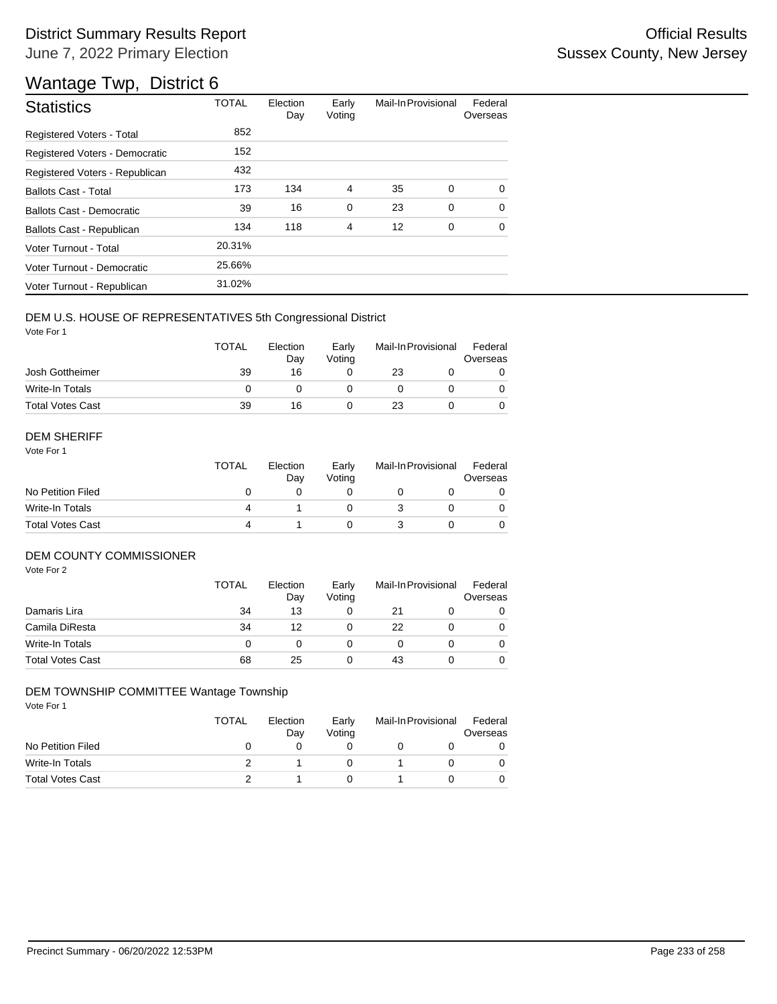# District Summary Results Report **Container and Container Container Container Container Container Container Container** June 7, 2022 Primary Election

# Wantage Twp, District 6

| <b>Statistics</b>              | <b>TOTAL</b> | Election<br>Day | Early<br>Voting | Mail-In Provisional |   | Federal<br>Overseas |
|--------------------------------|--------------|-----------------|-----------------|---------------------|---|---------------------|
| Registered Voters - Total      | 852          |                 |                 |                     |   |                     |
| Registered Voters - Democratic | 152          |                 |                 |                     |   |                     |
| Registered Voters - Republican | 432          |                 |                 |                     |   |                     |
| <b>Ballots Cast - Total</b>    | 173          | 134             | $\overline{4}$  | 35                  | 0 | $\Omega$            |
| Ballots Cast - Democratic      | 39           | 16              | 0               | 23                  | 0 | $\Omega$            |
| Ballots Cast - Republican      | 134          | 118             | $\overline{4}$  | 12                  | 0 | $\Omega$            |
| Voter Turnout - Total          | 20.31%       |                 |                 |                     |   |                     |
| Voter Turnout - Democratic     | 25.66%       |                 |                 |                     |   |                     |
| Voter Turnout - Republican     | 31.02%       |                 |                 |                     |   |                     |

### DEM U.S. HOUSE OF REPRESENTATIVES 5th Congressional District

Vote For 1

|                         | <b>TOTAL</b> | Election<br>Day | Early<br>Votina | Mail-In Provisional |  | Federal<br>Overseas |
|-------------------------|--------------|-----------------|-----------------|---------------------|--|---------------------|
| Josh Gottheimer         | 39           | 16              |                 | 23                  |  |                     |
| Write-In Totals         |              |                 |                 |                     |  |                     |
| <b>Total Votes Cast</b> | 39           | 16              |                 | 23                  |  |                     |

#### DEM SHERIFF

Vote For 1

|                         | <b>TOTAL</b> | Election<br>Dav | Early<br>Votina | Mail-In Provisional |  | Federal<br>Overseas |  |
|-------------------------|--------------|-----------------|-----------------|---------------------|--|---------------------|--|
| No Petition Filed       |              |                 |                 |                     |  |                     |  |
| Write-In Totals         |              |                 |                 |                     |  | $\Omega$            |  |
| <b>Total Votes Cast</b> |              |                 |                 |                     |  |                     |  |

#### DEM COUNTY COMMISSIONER

Vote For 2

|                         | <b>TOTAL</b> | Election<br>Day | Early<br>Voting | Mail-In Provisional |  | Federal<br>Overseas |
|-------------------------|--------------|-----------------|-----------------|---------------------|--|---------------------|
| Damaris Lira            | 34           | 13              |                 | 21                  |  | 0                   |
| Camila DiResta          | 34           | 12              |                 | 22                  |  | $\Omega$            |
| Write-In Totals         |              |                 |                 |                     |  | $\Omega$            |
| <b>Total Votes Cast</b> | 68           | 25              |                 | 43                  |  | 0                   |

### DEM TOWNSHIP COMMITTEE Wantage Township

|                         | TOTAL | Election<br>Day | Early<br>Voting | Mail-In Provisional |  | Federal<br>Overseas |  |
|-------------------------|-------|-----------------|-----------------|---------------------|--|---------------------|--|
| No Petition Filed       |       |                 |                 |                     |  |                     |  |
| Write-In Totals         |       |                 |                 |                     |  |                     |  |
| <b>Total Votes Cast</b> |       |                 |                 |                     |  |                     |  |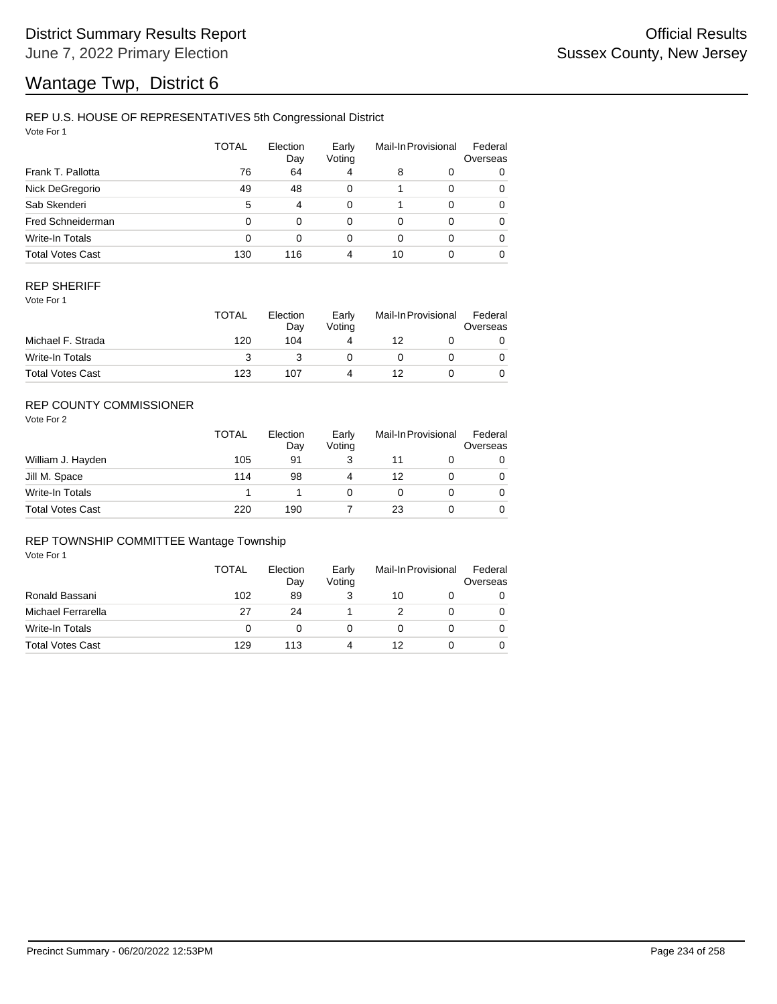## REP U.S. HOUSE OF REPRESENTATIVES 5th Congressional District

Vote For 1

|                         | <b>TOTAL</b> | Election<br>Day | Early<br>Voting |          | Mail-In Provisional | Federal<br>Overseas |
|-------------------------|--------------|-----------------|-----------------|----------|---------------------|---------------------|
| Frank T. Pallotta       | 76           | 64              | 4               | 8        | 0                   | 0                   |
| Nick DeGregorio         | 49           | 48              | 0               |          | $\Omega$            | 0                   |
| Sab Skenderi            | 5            | 4               | $\Omega$        |          | $\Omega$            | 0                   |
| Fred Schneiderman       | 0            | 0               | $\Omega$        | $\Omega$ | $\Omega$            | 0                   |
| Write-In Totals         | 0            | 0               | $\Omega$        | 0        | $\Omega$            | 0                   |
| <b>Total Votes Cast</b> | 130          | 116             | 4               | 10       |                     | 0                   |

### REP SHERIFF

Vote For 1

|                         | <b>TOTAL</b> | Election<br>Dav | Early<br>Votina | Mail-In Provisional |  | Federal<br>Overseas |
|-------------------------|--------------|-----------------|-----------------|---------------------|--|---------------------|
| Michael F. Strada       | 120          | 104             | 4               | 12                  |  |                     |
| Write-In Totals         |              |                 |                 |                     |  |                     |
| <b>Total Votes Cast</b> | 123          | 107             | 4               | 12                  |  |                     |

## REP COUNTY COMMISSIONER

Vote For 2

|                         | <b>TOTAL</b> | Election<br>Day | Early<br>Votina | Mail-In Provisional |  | Federal<br>Overseas |
|-------------------------|--------------|-----------------|-----------------|---------------------|--|---------------------|
| William J. Hayden       | 105          | 91              |                 |                     |  | 0                   |
| Jill M. Space           | 114          | 98              | 4               | 12                  |  | 0                   |
| Write-In Totals         |              |                 |                 |                     |  | 0                   |
| <b>Total Votes Cast</b> | 220          | 190             |                 | 23                  |  | 0                   |

#### REP TOWNSHIP COMMITTEE Wantage Township

|                         | TOTAL | Election<br>Day | Early<br>Voting | Mail-In Provisional |  | Federal<br>Overseas |
|-------------------------|-------|-----------------|-----------------|---------------------|--|---------------------|
| Ronald Bassani          | 102   | 89              |                 | 10                  |  | 0                   |
| Michael Ferrarella      | 27    | 24              |                 |                     |  |                     |
| Write-In Totals         | 0     |                 |                 |                     |  |                     |
| <b>Total Votes Cast</b> | 129   | 113             |                 | 12                  |  |                     |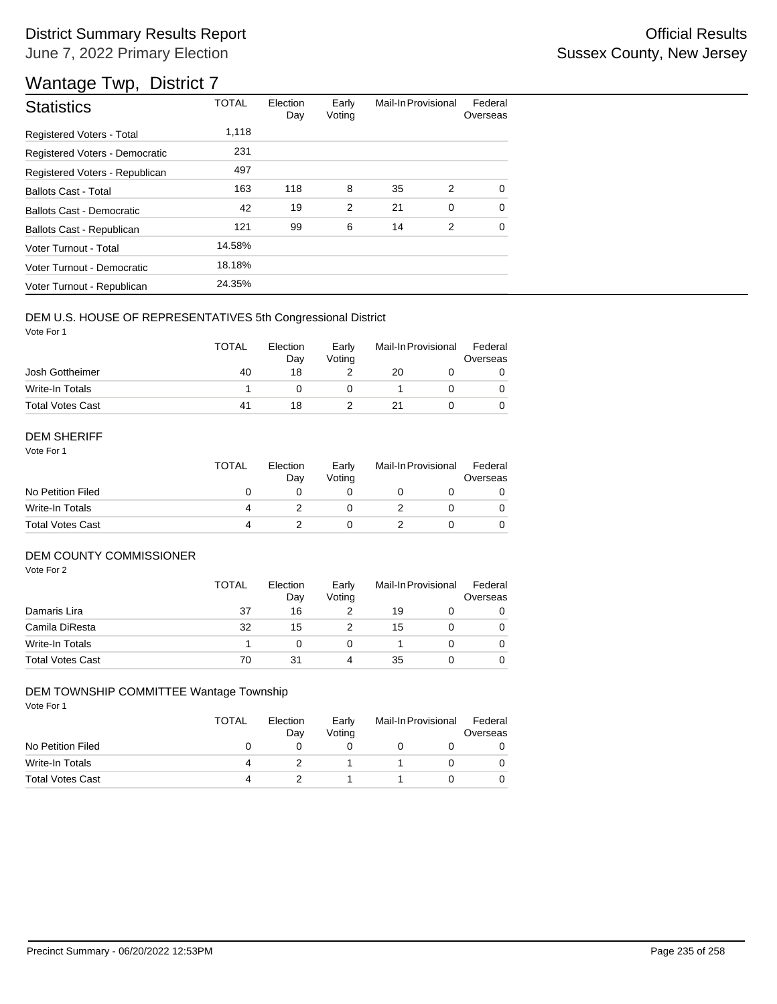| <b>Statistics</b>              | <b>TOTAL</b> | Election<br>Day | Early<br>Voting | Mail-In Provisional |          | Federal<br>Overseas |
|--------------------------------|--------------|-----------------|-----------------|---------------------|----------|---------------------|
| Registered Voters - Total      | 1,118        |                 |                 |                     |          |                     |
| Registered Voters - Democratic | 231          |                 |                 |                     |          |                     |
| Registered Voters - Republican | 497          |                 |                 |                     |          |                     |
| <b>Ballots Cast - Total</b>    | 163          | 118             | 8               | 35                  | 2        | $\Omega$            |
| Ballots Cast - Democratic      | 42           | 19              | 2               | 21                  | $\Omega$ | $\Omega$            |
| Ballots Cast - Republican      | 121          | 99              | 6               | 14                  | 2        | $\Omega$            |
| Voter Turnout - Total          | 14.58%       |                 |                 |                     |          |                     |
| Voter Turnout - Democratic     | 18.18%       |                 |                 |                     |          |                     |
| Voter Turnout - Republican     | 24.35%       |                 |                 |                     |          |                     |

### DEM U.S. HOUSE OF REPRESENTATIVES 5th Congressional District

Vote For 1

|                         | <b>TOTAL</b> | Election<br>Dav | Early<br>Votina | Mail-In Provisional |  | Federal<br>Overseas |  |
|-------------------------|--------------|-----------------|-----------------|---------------------|--|---------------------|--|
| Josh Gottheimer         | 40           | 18              |                 | 20                  |  |                     |  |
| Write-In Totals         |              |                 |                 |                     |  |                     |  |
| <b>Total Votes Cast</b> | 41           | 18              |                 |                     |  |                     |  |

#### DEM SHERIFF

Vote For 1

|                         | <b>TOTAL</b> | Election<br>Dav | Early<br>Votina | Mail-In Provisional |  | Federal<br>Overseas |  |
|-------------------------|--------------|-----------------|-----------------|---------------------|--|---------------------|--|
| No Petition Filed       |              |                 |                 |                     |  |                     |  |
| Write-In Totals         |              |                 |                 |                     |  | $\Omega$            |  |
| <b>Total Votes Cast</b> |              |                 |                 |                     |  |                     |  |

### DEM COUNTY COMMISSIONER

Vote For 2

|                         | <b>TOTAL</b> | Election<br>Day | Early<br>Voting | Mail-In Provisional |  | Federal<br>Overseas |
|-------------------------|--------------|-----------------|-----------------|---------------------|--|---------------------|
| Damaris Lira            | 37           | 16              |                 | 19                  |  | 0                   |
| Camila DiResta          | 32           | 15              |                 | 15                  |  | $\Omega$            |
| Write-In Totals         |              |                 |                 |                     |  | 0                   |
| <b>Total Votes Cast</b> | 70           | 31              | 4               | 35                  |  | 0                   |

### DEM TOWNSHIP COMMITTEE Wantage Township

|                         | TOTAL        | Election<br>Day | Early<br>Votina | Mail-In Provisional |  | Federal<br>Overseas |  |
|-------------------------|--------------|-----------------|-----------------|---------------------|--|---------------------|--|
| No Petition Filed       | $\mathbf{0}$ |                 |                 |                     |  |                     |  |
| Write-In Totals         | 4            |                 |                 |                     |  |                     |  |
| <b>Total Votes Cast</b> | 4            |                 |                 |                     |  |                     |  |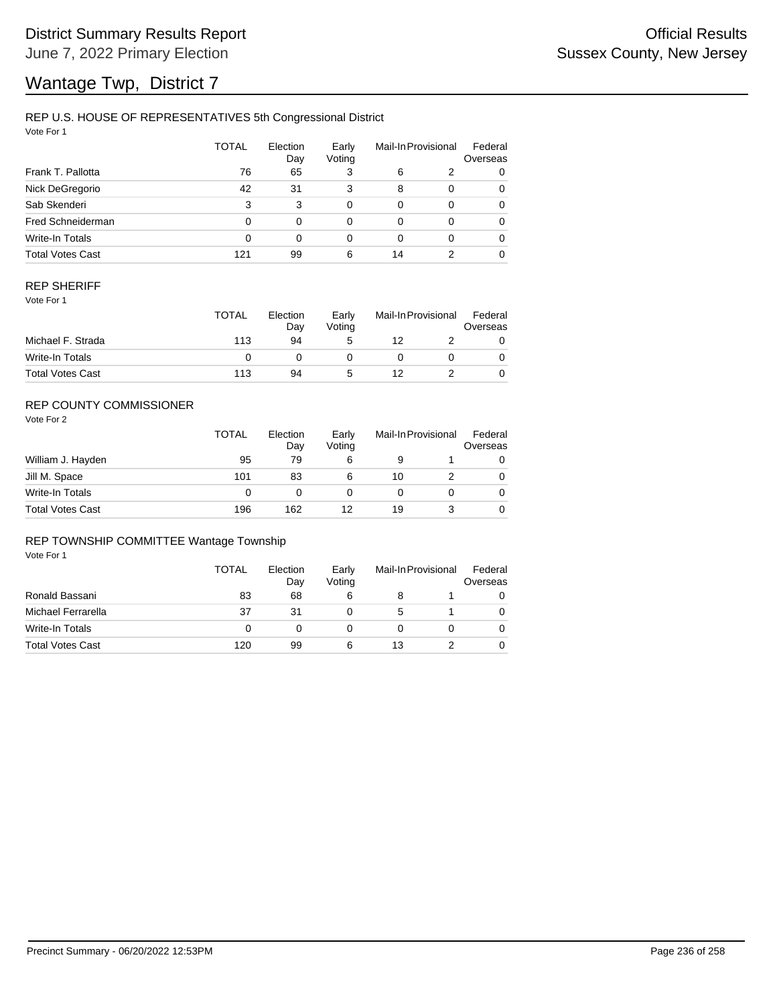### REP U.S. HOUSE OF REPRESENTATIVES 5th Congressional District

Vote For 1

|                         | TOTAL | Election<br>Day | Early<br>Voting |          | Mail-In Provisional | Federal<br>Overseas |
|-------------------------|-------|-----------------|-----------------|----------|---------------------|---------------------|
| Frank T. Pallotta       | 76    | 65              | 3               | 6        | 2                   | 0                   |
| Nick DeGregorio         | 42    | 31              | 3               | 8        | $\Omega$            | 0                   |
| Sab Skenderi            | 3     | 3               | 0               | $\Omega$ | $\Omega$            | 0                   |
| Fred Schneiderman       | 0     | 0               | 0               | $\Omega$ | 0                   | 0                   |
| Write-In Totals         | 0     | 0               | 0               | 0        | $\Omega$            | 0                   |
| <b>Total Votes Cast</b> | 121   | 99              | 6               | 14       |                     | 0                   |

### REP SHERIFF

Vote For 1

|                         | TOTAL | Election<br>Day | Early<br>Votina | Mail-In Provisional |  | Federal<br>Overseas |
|-------------------------|-------|-----------------|-----------------|---------------------|--|---------------------|
| Michael F. Strada       | 113   | 94              | 5               | 12                  |  |                     |
| Write-In Totals         |       |                 |                 |                     |  |                     |
| <b>Total Votes Cast</b> | 113   | 94              | G               | 12                  |  |                     |

## REP COUNTY COMMISSIONER

Vote For 2

|                         | <b>TOTAL</b> | Election<br>Day | Early<br>Voting | Mail-In Provisional |  | Federal<br>Overseas |
|-------------------------|--------------|-----------------|-----------------|---------------------|--|---------------------|
| William J. Hayden       | 95           | 79              | 6               | 9                   |  | 0                   |
| Jill M. Space           | 101          | 83              | 6               | 10                  |  | 0                   |
| Write-In Totals         | 0            |                 |                 |                     |  | 0                   |
| <b>Total Votes Cast</b> | 196          | 162             | 12              | 19                  |  | 0                   |

#### REP TOWNSHIP COMMITTEE Wantage Township

|                         | TOTAL    | Election<br>Day | Early<br>Voting | Mail-In Provisional |  | Federal<br>Overseas |
|-------------------------|----------|-----------------|-----------------|---------------------|--|---------------------|
| Ronald Bassani          | 83       | 68              | 6               |                     |  |                     |
| Michael Ferrarella      | 37       | 31              |                 | 5                   |  |                     |
| Write-In Totals         | $\Omega$ |                 |                 |                     |  |                     |
| <b>Total Votes Cast</b> | 120      | 99              | 6               | 13                  |  |                     |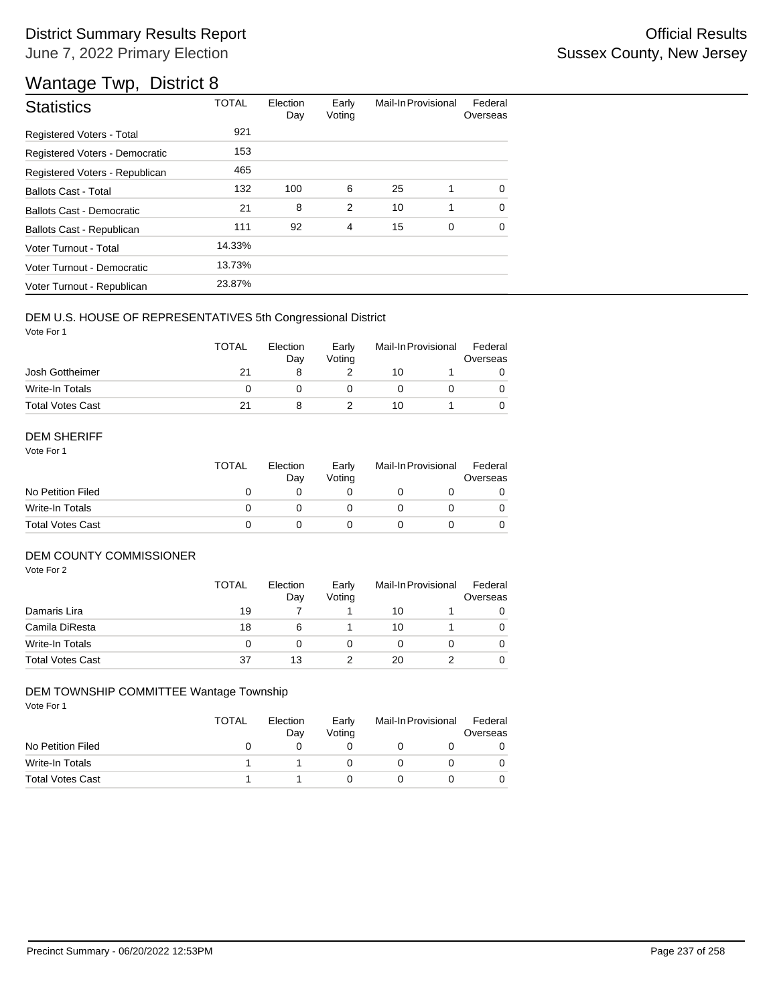| <b>Statistics</b>                | <b>TOTAL</b> | Election<br>Day | Early<br>Voting | Mail-In Provisional |   | Federal<br>Overseas |
|----------------------------------|--------------|-----------------|-----------------|---------------------|---|---------------------|
| Registered Voters - Total        | 921          |                 |                 |                     |   |                     |
| Registered Voters - Democratic   | 153          |                 |                 |                     |   |                     |
| Registered Voters - Republican   | 465          |                 |                 |                     |   |                     |
| <b>Ballots Cast - Total</b>      | 132          | 100             | 6               | 25                  | 1 | $\Omega$            |
| <b>Ballots Cast - Democratic</b> | 21           | 8               | $\overline{2}$  | 10                  | 1 | $\Omega$            |
| Ballots Cast - Republican        | 111          | 92              | $\overline{4}$  | 15                  | 0 | 0                   |
| Voter Turnout - Total            | 14.33%       |                 |                 |                     |   |                     |
| Voter Turnout - Democratic       | 13.73%       |                 |                 |                     |   |                     |
| Voter Turnout - Republican       | 23.87%       |                 |                 |                     |   |                     |

### DEM U.S. HOUSE OF REPRESENTATIVES 5th Congressional District

Vote For 1

|                         | <b>TOTAL</b> | Election<br>Dav | Early<br>Votina | Mail-In Provisional |  | Federal<br>Overseas |  |
|-------------------------|--------------|-----------------|-----------------|---------------------|--|---------------------|--|
| Josh Gottheimer         | 21           |                 |                 | 10                  |  |                     |  |
| Write-In Totals         |              |                 |                 |                     |  |                     |  |
| <b>Total Votes Cast</b> |              |                 |                 | 10                  |  |                     |  |

#### DEM SHERIFF

Vote For 1

|                         | <b>TOTAL</b> | Election<br>Dav | Early<br>Votina | Mail-In Provisional |  | Federal<br>Overseas |  |
|-------------------------|--------------|-----------------|-----------------|---------------------|--|---------------------|--|
| No Petition Filed       |              |                 |                 |                     |  |                     |  |
| Write-In Totals         |              |                 |                 |                     |  | $\Omega$            |  |
| <b>Total Votes Cast</b> |              |                 |                 |                     |  |                     |  |

#### DEM COUNTY COMMISSIONER

Vote For 2

|                         | <b>TOTAL</b> | Election<br>Day | Early<br>Voting | Mail-In Provisional |  | Federal<br>Overseas |
|-------------------------|--------------|-----------------|-----------------|---------------------|--|---------------------|
| Damaris Lira            | 19           |                 |                 | 10                  |  |                     |
| Camila DiResta          | 18           | 6               |                 | 10                  |  | 0                   |
| Write-In Totals         |              |                 |                 |                     |  | $\Omega$            |
| <b>Total Votes Cast</b> | 37           | 13              |                 | 20                  |  | 0                   |

### DEM TOWNSHIP COMMITTEE Wantage Township

|                         | TOTAL | Election<br>Dav | Early<br>Votina | Mail-In Provisional |  | Federal<br>Overseas |  |
|-------------------------|-------|-----------------|-----------------|---------------------|--|---------------------|--|
| No Petition Filed       |       |                 |                 |                     |  |                     |  |
| Write-In Totals         |       |                 |                 |                     |  |                     |  |
| <b>Total Votes Cast</b> |       |                 |                 |                     |  |                     |  |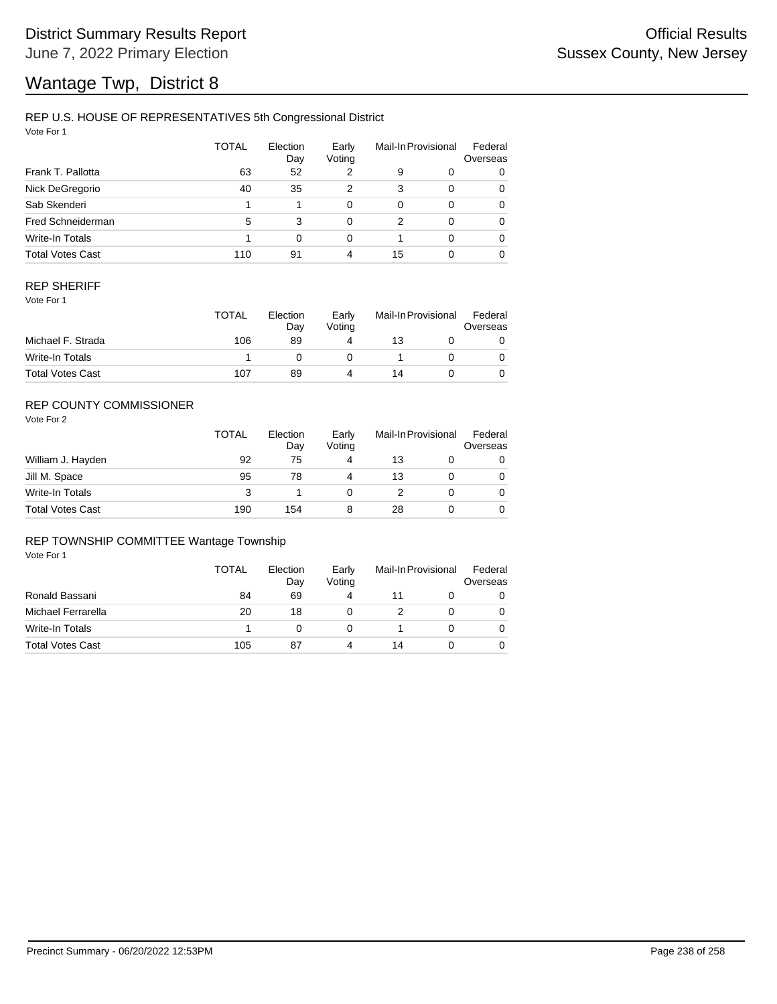## REP U.S. HOUSE OF REPRESENTATIVES 5th Congressional District

Vote For 1

|                         | <b>TOTAL</b> | Election<br>Day | Early<br>Voting | Mail-In Provisional |          | Federal<br>Overseas |
|-------------------------|--------------|-----------------|-----------------|---------------------|----------|---------------------|
| Frank T. Pallotta       | 63           | 52              | 2               | 9                   | 0        | 0                   |
| Nick DeGregorio         | 40           | 35              | 2               | 3                   | $\Omega$ | 0                   |
| Sab Skenderi            |              |                 | 0               | $\Omega$            | $\Omega$ | 0                   |
| Fred Schneiderman       | 5            | 3               | 0               | 2                   | $\Omega$ | 0                   |
| Write-In Totals         |              | $\Omega$        | 0               |                     | $\Omega$ | 0                   |
| <b>Total Votes Cast</b> | 110          | 91              | 4               | 15                  | $\Omega$ | 0                   |

### REP SHERIFF

Vote For 1

|                         | <b>TOTAL</b> | Election<br>Dav | Early<br>Votina | Mail-In Provisional |  | Federal<br>Overseas |
|-------------------------|--------------|-----------------|-----------------|---------------------|--|---------------------|
| Michael F. Strada       | 106          | 89              | 4               | 13                  |  |                     |
| Write-In Totals         |              |                 |                 |                     |  |                     |
| <b>Total Votes Cast</b> | 107          | 89              | Δ               | 14                  |  |                     |

## REP COUNTY COMMISSIONER

Vote For 2

|                         | <b>TOTAL</b> | Election<br>Day | Early<br>Votina | Mail-In Provisional |  | Federal<br>Overseas |
|-------------------------|--------------|-----------------|-----------------|---------------------|--|---------------------|
| William J. Hayden       | 92           | 75              | 4               | 13                  |  | 0                   |
| Jill M. Space           | 95           | 78              |                 | 13                  |  | 0                   |
| Write-In Totals         | 3            |                 |                 |                     |  | 0                   |
| <b>Total Votes Cast</b> | 190          | 154             |                 | 28                  |  | 0                   |

### REP TOWNSHIP COMMITTEE Wantage Township

|                         | TOTAL | Election<br>Day | Early<br>Voting | Mail-In Provisional |  | Federal<br>Overseas |
|-------------------------|-------|-----------------|-----------------|---------------------|--|---------------------|
| Ronald Bassani          | 84    | 69              |                 | 11                  |  | 0                   |
| Michael Ferrarella      | 20    | 18              |                 |                     |  |                     |
| Write-In Totals         |       |                 |                 |                     |  |                     |
| <b>Total Votes Cast</b> | 105   | 87              |                 | 14                  |  |                     |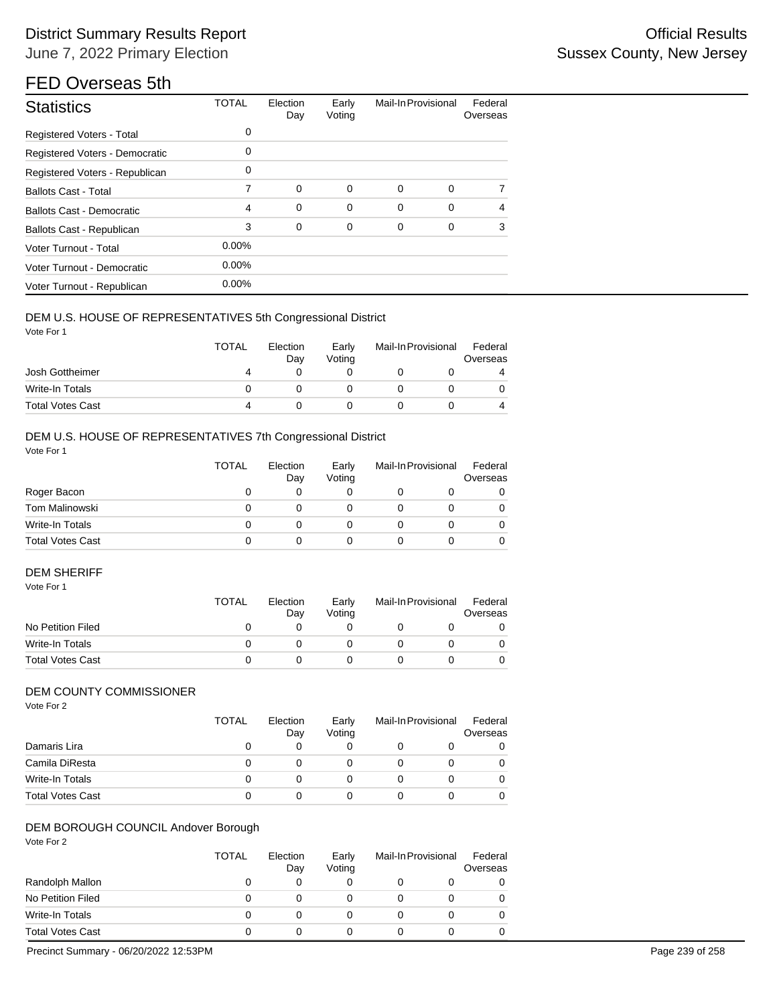# District Summary Results Report **Contract Contract Contract Contract Contract Contract Contract Contract Contract Contract Contract Contract Contract Contract Contract Contract Contract Contract Contract Contract Contract** June 7, 2022 Primary Election

# FED Overseas 5th

| <b>Statistics</b>                | <b>TOTAL</b> | Election<br>Day | Early<br>Voting | Mail-In Provisional |   | Federal<br>Overseas |
|----------------------------------|--------------|-----------------|-----------------|---------------------|---|---------------------|
| <b>Registered Voters - Total</b> | 0            |                 |                 |                     |   |                     |
| Registered Voters - Democratic   | 0            |                 |                 |                     |   |                     |
| Registered Voters - Republican   | 0            |                 |                 |                     |   |                     |
| <b>Ballots Cast - Total</b>      | 7            | $\mathbf 0$     | 0               | 0                   | 0 | 7                   |
| <b>Ballots Cast - Democratic</b> | 4            | $\mathbf 0$     | $\mathbf 0$     | 0                   | 0 | $\overline{4}$      |
| Ballots Cast - Republican        | 3            | $\mathbf 0$     | 0               | 0                   | 0 | 3                   |
| Voter Turnout - Total            | $0.00\%$     |                 |                 |                     |   |                     |
| Voter Turnout - Democratic       | $0.00\%$     |                 |                 |                     |   |                     |
| Voter Turnout - Republican       | $0.00\%$     |                 |                 |                     |   |                     |

#### DEM U.S. HOUSE OF REPRESENTATIVES 5th Congressional District

Vote For 1

|                         | TOTAL | Election<br>Day | Early<br>Votina | Mail-In Provisional |   |
|-------------------------|-------|-----------------|-----------------|---------------------|---|
| Josh Gottheimer         | 4     |                 |                 |                     | 4 |
| Write-In Totals         |       |                 |                 |                     |   |
| <b>Total Votes Cast</b> | 4     |                 |                 |                     | 4 |

## DEM U.S. HOUSE OF REPRESENTATIVES 7th Congressional District

Vote For 1

|                         | <b>TOTAL</b> | Election<br>Day | Early<br>Voting | Mail-In Provisional | Federal<br>Overseas |
|-------------------------|--------------|-----------------|-----------------|---------------------|---------------------|
| Roger Bacon             |              |                 |                 |                     | 0                   |
| Tom Malinowski          |              |                 |                 |                     | 0                   |
| Write-In Totals         |              |                 |                 |                     | 0                   |
| <b>Total Votes Cast</b> |              |                 |                 |                     | 0                   |

## DEM SHERIFF

| Vote For 1        |              |                 |                 |                     |                     |
|-------------------|--------------|-----------------|-----------------|---------------------|---------------------|
|                   | <b>TOTAL</b> | Election<br>Dav | Early<br>Votina | Mail-In Provisional | Federal<br>Overseas |
| No Petition Filed |              |                 |                 |                     |                     |
| Write-In Totals   |              |                 |                 |                     |                     |

## DEM COUNTY COMMISSIONER

Vote For 2

|                         | TOTAL | Election<br>Day | Early<br>Voting | Mail-In Provisional | Federal<br>Overseas |
|-------------------------|-------|-----------------|-----------------|---------------------|---------------------|
| Damaris Lira            | 0     | 0               |                 |                     | 0                   |
| Camila DiResta          | O     |                 |                 |                     | 0                   |
| Write-In Totals         | 0     |                 |                 |                     |                     |
| <b>Total Votes Cast</b> | 0     |                 |                 |                     |                     |

Total Votes Cast  $\begin{array}{ccccccccc}\n0 & 0 & 0 & 0 & 0 & 0\n\end{array}$ 

## DEM BOROUGH COUNCIL Andover Borough

|                         | TOTAL | Election<br>Day | Early<br>Voting | Mail-In Provisional | Federal<br>Overseas |
|-------------------------|-------|-----------------|-----------------|---------------------|---------------------|
| Randolph Mallon         |       | 0               |                 |                     |                     |
| No Petition Filed       | 0     |                 |                 |                     |                     |
| Write-In Totals         | 0     | O               |                 |                     |                     |
| <b>Total Votes Cast</b> |       |                 |                 |                     |                     |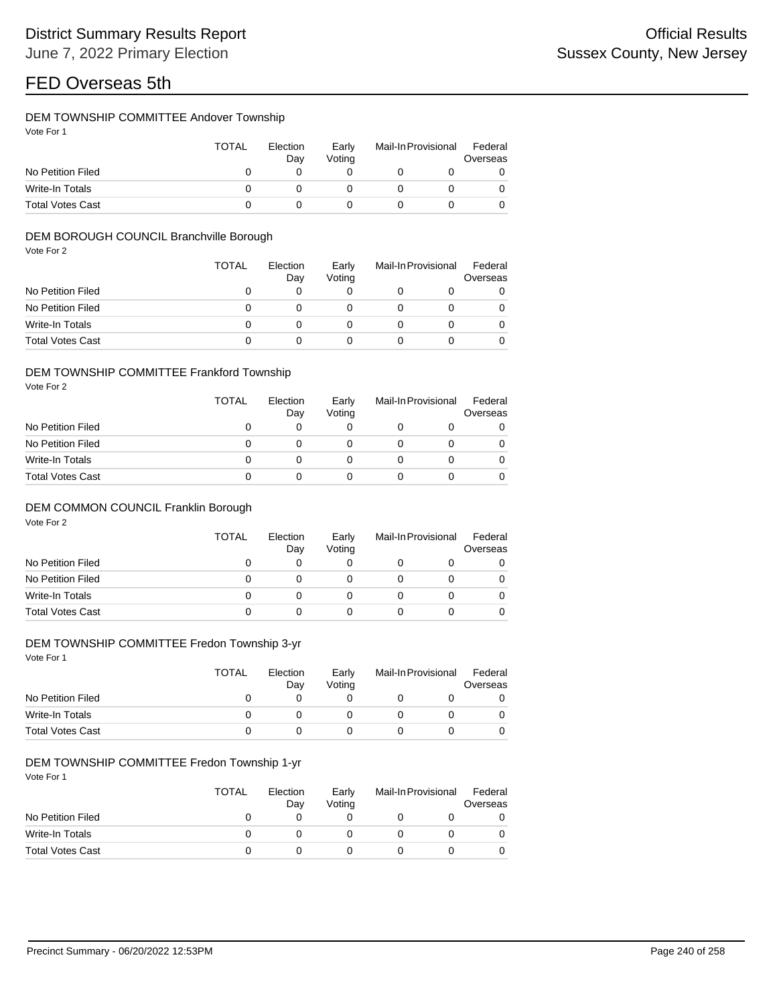### DEM TOWNSHIP COMMITTEE Andover Township

| Vote For |  |  |
|----------|--|--|
|          |  |  |

|                         | TOTAL | Election<br>Dav | Early<br>Votina | Mail-In Provisional | Federal<br>Overseas |
|-------------------------|-------|-----------------|-----------------|---------------------|---------------------|
| No Petition Filed       |       |                 |                 |                     |                     |
| Write-In Totals         |       |                 |                 |                     |                     |
| <b>Total Votes Cast</b> |       |                 |                 |                     |                     |

### DEM BOROUGH COUNCIL Branchville Borough

Vote For 2

|                         | <b>TOTAL</b> | Election<br>Day | Early<br>Voting | Mail-In Provisional |   |
|-------------------------|--------------|-----------------|-----------------|---------------------|---|
| No Petition Filed       |              |                 |                 |                     | 0 |
| No Petition Filed       |              |                 |                 |                     |   |
| Write-In Totals         |              |                 |                 |                     | 0 |
| <b>Total Votes Cast</b> |              |                 |                 |                     |   |

#### DEM TOWNSHIP COMMITTEE Frankford Township

Vote For 2

|                         | TOTAL | Election<br>Day | Early<br>Voting | Mail-In Provisional<br>Overseas |  |
|-------------------------|-------|-----------------|-----------------|---------------------------------|--|
| No Petition Filed       |       |                 |                 |                                 |  |
| No Petition Filed       |       |                 |                 |                                 |  |
| Write-In Totals         |       |                 |                 |                                 |  |
| <b>Total Votes Cast</b> |       |                 |                 |                                 |  |

### DEM COMMON COUNCIL Franklin Borough

Vote For 2

|                         | TOTAL | Election<br>Day | Early<br>Voting | Mail-In Provisional | Federal<br>Overseas |
|-------------------------|-------|-----------------|-----------------|---------------------|---------------------|
| No Petition Filed       | O     | 0               |                 |                     |                     |
| No Petition Filed       | 0     |                 |                 |                     |                     |
| Write-In Totals         | 0     |                 |                 |                     |                     |
| <b>Total Votes Cast</b> | 0     |                 |                 |                     |                     |

## DEM TOWNSHIP COMMITTEE Fredon Township 3-yr

Vote For 1

|                         | <b>TOTAL</b> | Election<br>Day | Early<br>Voting | Mail-In Provisional | Federal<br>Overseas |
|-------------------------|--------------|-----------------|-----------------|---------------------|---------------------|
| No Petition Filed       |              |                 |                 |                     |                     |
| Write-In Totals         |              |                 |                 |                     |                     |
| <b>Total Votes Cast</b> |              |                 |                 |                     |                     |

### DEM TOWNSHIP COMMITTEE Fredon Township 1-yr

|                         | <b>TOTAL</b> | Election<br>Dav | Early<br>Votina | Mail-In Provisional |  |
|-------------------------|--------------|-----------------|-----------------|---------------------|--|
| No Petition Filed       |              |                 |                 |                     |  |
| Write-In Totals         |              |                 |                 |                     |  |
| <b>Total Votes Cast</b> |              |                 |                 |                     |  |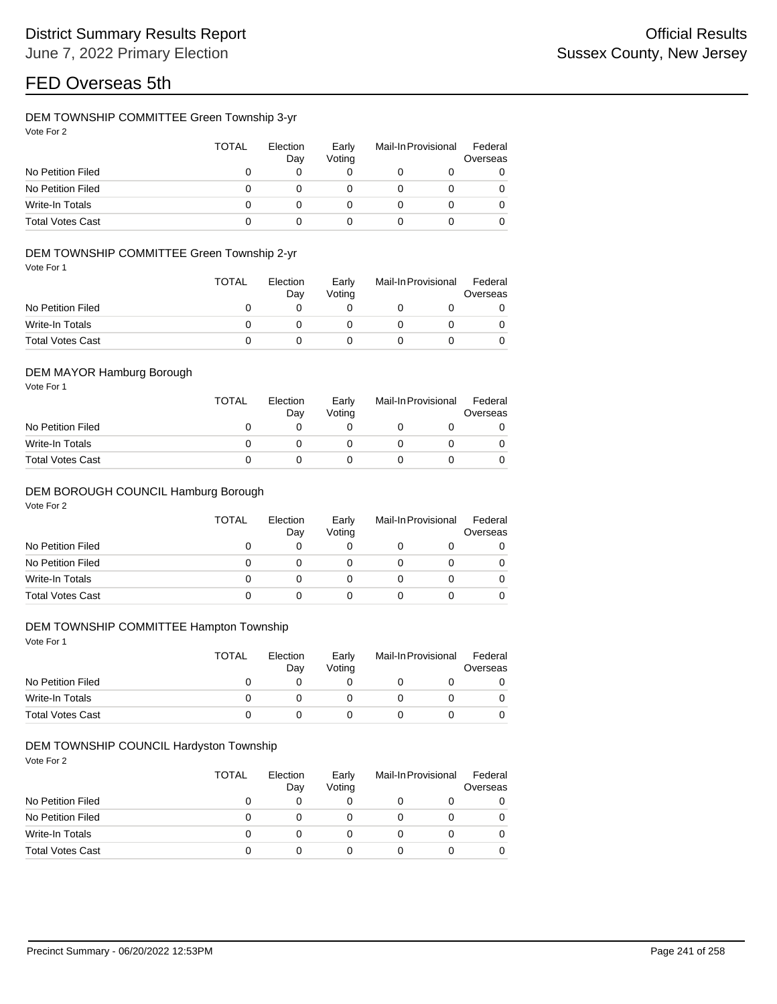### DEM TOWNSHIP COMMITTEE Green Township 3-yr

| Vote For 2 |  |
|------------|--|
|            |  |

|                         | TOTAL | Election<br>Day | Early<br>Voting | Mail-In Provisional | Federal<br>Overseas |
|-------------------------|-------|-----------------|-----------------|---------------------|---------------------|
| No Petition Filed       |       |                 |                 |                     | 0                   |
| No Petition Filed       | ი     |                 |                 |                     | 0                   |
| Write-In Totals         |       |                 |                 |                     | 0                   |
| <b>Total Votes Cast</b> |       |                 |                 |                     | 0                   |

### DEM TOWNSHIP COMMITTEE Green Township 2-yr

Vote For 1

|                         | TOTAL | Election<br>Dav | Early<br>Votina | Mail-In Provisional | Federal<br>Overseas |
|-------------------------|-------|-----------------|-----------------|---------------------|---------------------|
| No Petition Filed       |       |                 |                 |                     |                     |
| Write-In Totals         |       |                 |                 |                     |                     |
| <b>Total Votes Cast</b> |       |                 |                 |                     |                     |

### DEM MAYOR Hamburg Borough

Vote For 1

|                         | <b>TOTAL</b> | Election<br>Dav | Early<br>Votina | Mail-In Provisional |  |  |
|-------------------------|--------------|-----------------|-----------------|---------------------|--|--|
| No Petition Filed       |              |                 |                 |                     |  |  |
| Write-In Totals         |              |                 |                 |                     |  |  |
| <b>Total Votes Cast</b> |              |                 |                 |                     |  |  |

#### DEM BOROUGH COUNCIL Hamburg Borough

Vote For 2

|                         | TOTAL | Election<br>Day | Early<br>Voting | Mail-In Provisional |  | Federal<br>Overseas |  |
|-------------------------|-------|-----------------|-----------------|---------------------|--|---------------------|--|
| No Petition Filed       |       |                 |                 |                     |  |                     |  |
| No Petition Filed       |       |                 |                 |                     |  |                     |  |
| Write-In Totals         |       |                 |                 |                     |  |                     |  |
| <b>Total Votes Cast</b> |       |                 |                 |                     |  |                     |  |

### DEM TOWNSHIP COMMITTEE Hampton Township

Vote For 1

|                         | <b>TOTAL</b> | Election<br>Dav | Early<br>Votina | Mail-In Provisional |  |
|-------------------------|--------------|-----------------|-----------------|---------------------|--|
| No Petition Filed       |              |                 |                 |                     |  |
| Write-In Totals         |              |                 |                 |                     |  |
| <b>Total Votes Cast</b> |              |                 |                 |                     |  |

### DEM TOWNSHIP COUNCIL Hardyston Township

|                         | <b>TOTAL</b> | Election<br>Day | Early<br>Voting | Mail-In Provisional | Federal<br>Overseas |
|-------------------------|--------------|-----------------|-----------------|---------------------|---------------------|
| No Petition Filed       |              |                 |                 |                     | 0                   |
| No Petition Filed       |              |                 |                 |                     | 0                   |
| Write-In Totals         |              | $\mathbf{0}$    |                 |                     | 0                   |
| <b>Total Votes Cast</b> |              |                 |                 |                     | 0                   |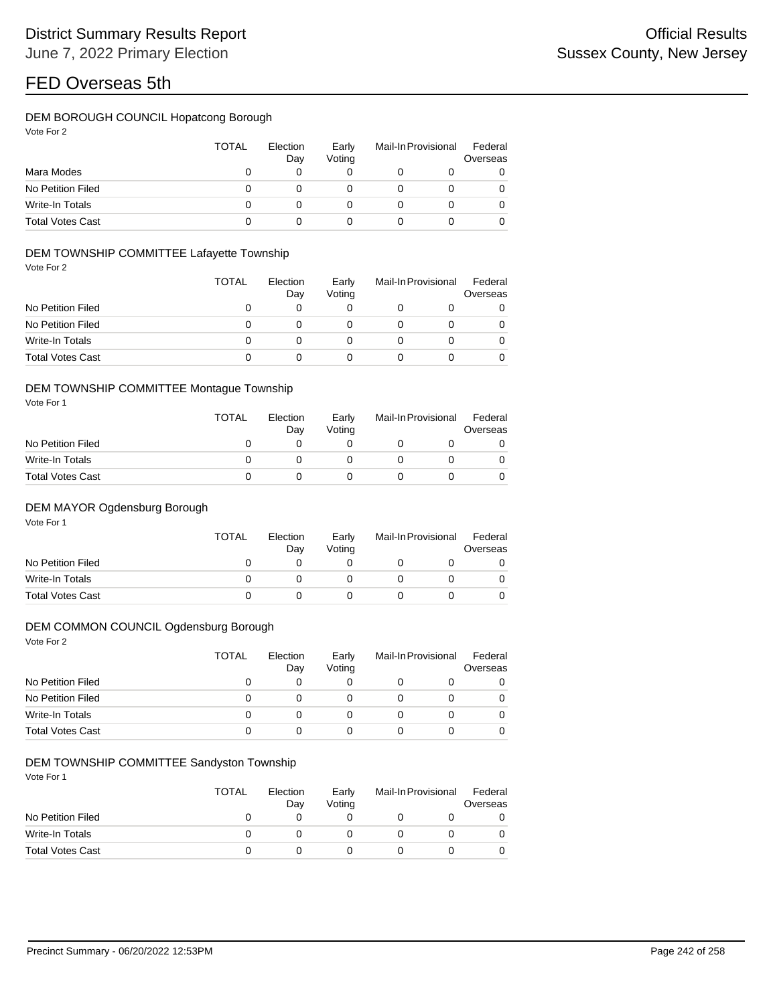## DEM BOROUGH COUNCIL Hopatcong Borough

| Vote For 2 |  |  |  |
|------------|--|--|--|
|------------|--|--|--|

|                         | <b>TOTAL</b> | Election<br>Day | Early<br>Voting | Mail-In Provisional |  | Federal<br>Overseas |  |
|-------------------------|--------------|-----------------|-----------------|---------------------|--|---------------------|--|
| Mara Modes              |              |                 |                 |                     |  | 0                   |  |
| No Petition Filed       |              |                 |                 |                     |  | 0                   |  |
| Write-In Totals         |              |                 |                 |                     |  | 0                   |  |
| <b>Total Votes Cast</b> |              |                 |                 |                     |  | 0                   |  |

### DEM TOWNSHIP COMMITTEE Lafayette Township

Vote For 2

|                         | <b>TOTAL</b> | Election<br>Day | Early<br>Voting | Mail-In Provisional | Federal<br>Overseas |
|-------------------------|--------------|-----------------|-----------------|---------------------|---------------------|
| No Petition Filed       | O            |                 |                 |                     | 0                   |
| No Petition Filed       | 0            |                 |                 |                     | 0                   |
| Write-In Totals         | O            |                 |                 |                     | $\Omega$            |
| <b>Total Votes Cast</b> | Ω            |                 |                 |                     | 0                   |

#### DEM TOWNSHIP COMMITTEE Montague Township

Vote For 1

|                         | <b>TOTAL</b> | Mail-In Provisional<br>Election<br>Early<br>Votina<br>Dav |  | Federal<br>Overseas |  |
|-------------------------|--------------|-----------------------------------------------------------|--|---------------------|--|
| No Petition Filed       |              |                                                           |  |                     |  |
| Write-In Totals         |              |                                                           |  |                     |  |
| <b>Total Votes Cast</b> |              |                                                           |  |                     |  |

### DEM MAYOR Ogdensburg Borough

Vote For 1

|                         | <b>TOTAL</b> | Election<br>Dav | Early<br>Votina | Mail-In Provisional | Federal<br>Overseas |
|-------------------------|--------------|-----------------|-----------------|---------------------|---------------------|
| No Petition Filed       |              |                 |                 |                     |                     |
| Write-In Totals         |              |                 |                 |                     |                     |
| <b>Total Votes Cast</b> |              |                 |                 |                     |                     |

### DEM COMMON COUNCIL Ogdensburg Borough

Vote For 2

|                         | TOTAL | Election<br>Day | Early<br>Votina | Mail-In Provisional |  | Federal<br>Overseas |
|-------------------------|-------|-----------------|-----------------|---------------------|--|---------------------|
| No Petition Filed       |       | 0               |                 |                     |  |                     |
| No Petition Filed       |       |                 |                 |                     |  |                     |
| Write-In Totals         | 0     |                 |                 |                     |  |                     |
| <b>Total Votes Cast</b> | O     |                 |                 |                     |  |                     |

### DEM TOWNSHIP COMMITTEE Sandyston Township

|                         | <b>TOTAL</b> | Election<br>Dav | Early<br>Votina | Mail-In Provisional | Federal<br>Overseas |
|-------------------------|--------------|-----------------|-----------------|---------------------|---------------------|
| No Petition Filed       |              |                 |                 |                     |                     |
| Write-In Totals         |              |                 |                 |                     |                     |
| <b>Total Votes Cast</b> |              |                 |                 |                     |                     |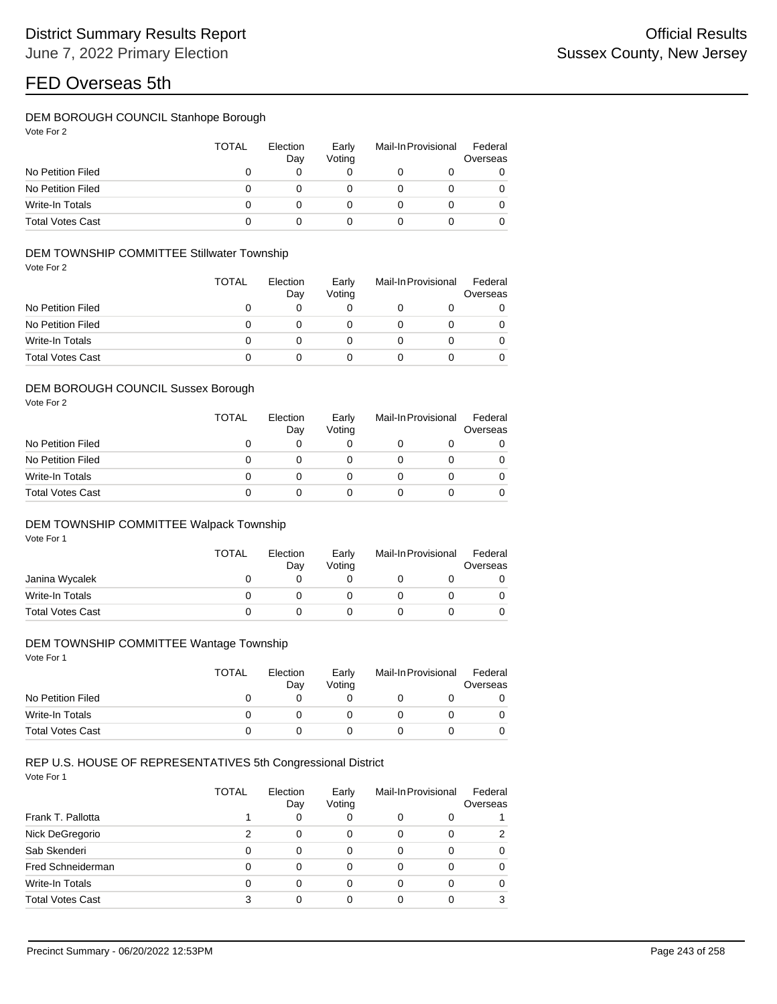## DEM BOROUGH COUNCIL Stanhope Borough

| Vote For 2 |  |  |
|------------|--|--|
|------------|--|--|

|                         | TOTAL | Election<br>Day | Early<br>Voting | Mail-In Provisional |  | Federal<br>Overseas |  |
|-------------------------|-------|-----------------|-----------------|---------------------|--|---------------------|--|
| No Petition Filed       |       |                 |                 |                     |  | 0                   |  |
| No Petition Filed       |       |                 |                 |                     |  | 0                   |  |
| Write-In Totals         |       |                 |                 |                     |  | 0                   |  |
| <b>Total Votes Cast</b> |       |                 |                 |                     |  | 0                   |  |

### DEM TOWNSHIP COMMITTEE Stillwater Township

Vote For 2

|                         | <b>TOTAL</b> | Election<br>Day |  | Mail-In Provisional<br>Early<br>Voting |  | Federal<br>Overseas |  |
|-------------------------|--------------|-----------------|--|----------------------------------------|--|---------------------|--|
| No Petition Filed       | 0            |                 |  |                                        |  | 0                   |  |
| No Petition Filed       | 0            |                 |  |                                        |  | 0                   |  |
| Write-In Totals         | 0            |                 |  |                                        |  | 0                   |  |
| <b>Total Votes Cast</b> | O            |                 |  |                                        |  | 0                   |  |

#### DEM BOROUGH COUNCIL Sussex Borough

Vote For 2

|                         | TOTAL | Election<br>Day | Early<br>Voting | Mail-In Provisional |   |
|-------------------------|-------|-----------------|-----------------|---------------------|---|
| No Petition Filed       | 0     | 0               |                 |                     | 0 |
| No Petition Filed       | Ω     |                 |                 |                     | 0 |
| Write-In Totals         | Ω     |                 |                 |                     | 0 |
| <b>Total Votes Cast</b> |       |                 |                 |                     |   |

### DEM TOWNSHIP COMMITTEE Walpack Township

Vote For 1

|                         | <b>TOTAL</b> | Election<br>Day | Early<br>Voting | Mail-In Provisional | Federal<br>Overseas |
|-------------------------|--------------|-----------------|-----------------|---------------------|---------------------|
| Janina Wycalek          |              |                 |                 |                     |                     |
| Write-In Totals         |              |                 |                 |                     |                     |
| <b>Total Votes Cast</b> |              |                 |                 |                     |                     |

#### DEM TOWNSHIP COMMITTEE Wantage Township

Vote For 1

|                         | <b>TOTAL</b> | Election<br>Day | Early<br>Voting | Mail-In Provisional |  | Federal<br>Overseas |  |
|-------------------------|--------------|-----------------|-----------------|---------------------|--|---------------------|--|
| No Petition Filed       |              |                 |                 |                     |  |                     |  |
| Write-In Totals         |              |                 |                 |                     |  |                     |  |
| <b>Total Votes Cast</b> |              |                 |                 |                     |  |                     |  |

### REP U.S. HOUSE OF REPRESENTATIVES 5th Congressional District

|                         | TOTAL    | Election<br>Early<br>Voting<br>Day |   | Mail-In Provisional |          | Federal<br>Overseas |
|-------------------------|----------|------------------------------------|---|---------------------|----------|---------------------|
| Frank T. Pallotta       |          | 0                                  | 0 | 0                   | 0        |                     |
| Nick DeGregorio         |          | 0                                  | 0 | 0                   | 0        | 2                   |
| Sab Skenderi            |          | 0                                  | 0 | 0                   | 0        | 0                   |
| Fred Schneiderman       | $\Omega$ | 0                                  | 0 | 0                   | 0        | 0                   |
| Write-In Totals         |          | 0                                  | 0 | 0                   | $\Omega$ | 0                   |
| <b>Total Votes Cast</b> | 3        | 0                                  | 0 | 0                   | 0        | 3                   |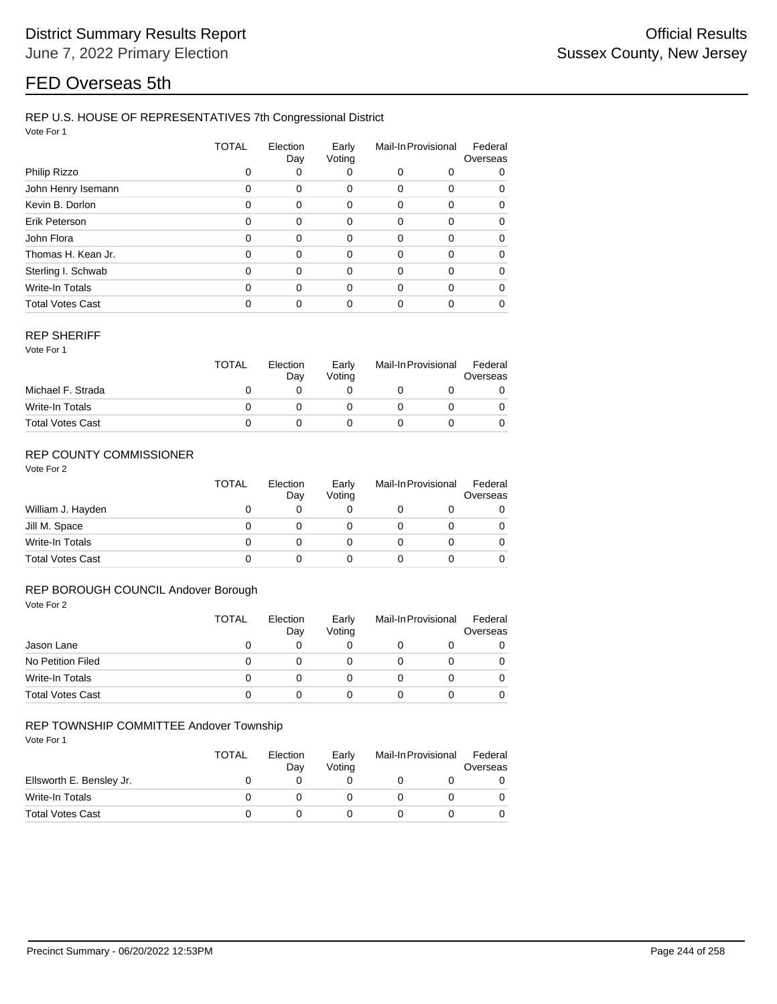### REP U.S. HOUSE OF REPRESENTATIVES 7th Congressional District

Vote For 1

|                         | TOTAL    | Election<br>Day |          |          | Mail-In Provisional |          |
|-------------------------|----------|-----------------|----------|----------|---------------------|----------|
| Philip Rizzo            |          | 0               | 0        | 0        | 0                   | 0        |
| John Henry Isemann      | $\Omega$ | $\Omega$        | 0        | 0        | 0                   | 0        |
| Kevin B. Dorlon         | $\Omega$ | $\Omega$        | 0        | $\Omega$ | 0                   | 0        |
| Erik Peterson           | $\Omega$ | $\Omega$        | $\Omega$ | 0        | 0                   | $\Omega$ |
| John Flora              | $\Omega$ | $\Omega$        | 0        | 0        | 0                   | 0        |
| Thomas H. Kean Jr.      | $\Omega$ | $\Omega$        | 0        | $\Omega$ | 0                   | $\Omega$ |
| Sterling I. Schwab      | $\Omega$ | $\Omega$        | $\Omega$ | 0        | 0                   | $\Omega$ |
| Write-In Totals         | $\Omega$ | $\Omega$        | $\Omega$ | $\Omega$ | 0                   | 0        |
| <b>Total Votes Cast</b> |          | 0               | 0        | 0        | 0                   | 0        |

#### REP SHERIFF

Vote For 1

|                         | <b>TOTAL</b><br>Election<br>Day |  | Early<br>Votina | Mail-In Provisional |  | Federal<br>Overseas |  |
|-------------------------|---------------------------------|--|-----------------|---------------------|--|---------------------|--|
| Michael F. Strada       |                                 |  |                 |                     |  |                     |  |
| Write-In Totals         |                                 |  |                 |                     |  |                     |  |
| <b>Total Votes Cast</b> |                                 |  |                 |                     |  |                     |  |

## REP COUNTY COMMISSIONER

Vote For 2

|                         | <b>TOTAL</b> | Election<br>Day | Early<br>Voting | Mail-In Provisional |   |
|-------------------------|--------------|-----------------|-----------------|---------------------|---|
| William J. Hayden       | 0            |                 | 0               |                     | 0 |
| Jill M. Space           | 0            |                 | O               |                     | 0 |
| Write-In Totals         | 0            |                 | O               |                     | 0 |
| <b>Total Votes Cast</b> | 0            |                 |                 |                     | 0 |

### REP BOROUGH COUNCIL Andover Borough

| Vote For 2              |              |                 |                 |                     |   |                     |
|-------------------------|--------------|-----------------|-----------------|---------------------|---|---------------------|
|                         | <b>TOTAL</b> | Election<br>Day | Early<br>Voting | Mail-In Provisional |   | Federal<br>Overseas |
| Jason Lane              | 0            | 0               | 0               | O                   | O | $\Omega$            |
| No Petition Filed       | 0            | 0               | 0               | 0                   | 0 | $\Omega$            |
| <b>Write-In Totals</b>  | 0            | 0               | 0               | 0                   | 0 | $\Omega$            |
| <b>Total Votes Cast</b> | 0            | 0               | 0               | 0                   | 0 | $\Omega$            |

#### REP TOWNSHIP COMMITTEE Andover Township

|                          | TOTAL | Election<br>Day | Early<br>Votina | Mail-In Provisional |  | Federal<br>Overseas |  |
|--------------------------|-------|-----------------|-----------------|---------------------|--|---------------------|--|
| Ellsworth E. Bensley Jr. |       |                 |                 |                     |  |                     |  |
| Write-In Totals          |       |                 |                 |                     |  |                     |  |
| <b>Total Votes Cast</b>  |       |                 |                 |                     |  |                     |  |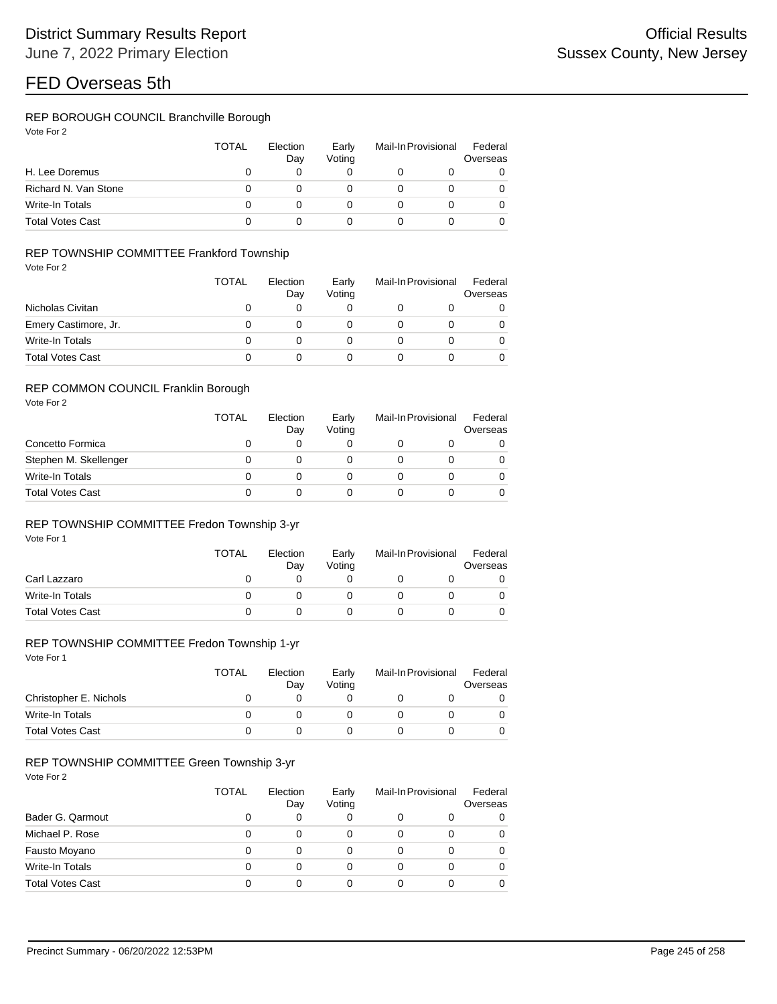### REP BOROUGH COUNCIL Branchville Borough

|                         | TOTAL | Election<br>Day | Early<br>Voting | Mail-In Provisional |  | Federal<br>Overseas |
|-------------------------|-------|-----------------|-----------------|---------------------|--|---------------------|
| H. Lee Doremus          | O     |                 |                 |                     |  | 0                   |
| Richard N. Van Stone    | 0     |                 |                 |                     |  | 0                   |
| Write-In Totals         | O     | O               |                 |                     |  | 0                   |
| <b>Total Votes Cast</b> |       |                 |                 |                     |  | 0                   |

### REP TOWNSHIP COMMITTEE Frankford Township

Vote For 2

|                         | <b>TOTAL</b> | Election<br>Day | Early<br>Voting | Mail-In Provisional |  | Federal<br>Overseas |  |
|-------------------------|--------------|-----------------|-----------------|---------------------|--|---------------------|--|
| Nicholas Civitan        |              |                 |                 |                     |  |                     |  |
| Emery Castimore, Jr.    |              |                 |                 |                     |  | 0                   |  |
| Write-In Totals         |              |                 |                 |                     |  | 0                   |  |
| <b>Total Votes Cast</b> |              |                 |                 |                     |  | 0                   |  |

#### REP COMMON COUNCIL Franklin Borough

Vote For 2

|                         | TOTAL | Election<br>Day | Early<br>Votina | Mail-In Provisional |  | Federal<br>Overseas |
|-------------------------|-------|-----------------|-----------------|---------------------|--|---------------------|
| Concetto Formica        | Ω     |                 |                 |                     |  | 0                   |
| Stephen M. Skellenger   | Ω     |                 |                 |                     |  | 0                   |
| Write-In Totals         | 0     |                 |                 |                     |  | 0                   |
| <b>Total Votes Cast</b> | 0     |                 |                 |                     |  |                     |

#### REP TOWNSHIP COMMITTEE Fredon Township 3-yr

Vote For 1

|                         | <b>TOTAL</b> | Election<br>Day | Early<br>Voting | Mail-In Provisional |  | Federal<br>Overseas |  |
|-------------------------|--------------|-----------------|-----------------|---------------------|--|---------------------|--|
| Carl Lazzaro            |              |                 |                 |                     |  |                     |  |
| Write-In Totals         |              |                 |                 |                     |  |                     |  |
| <b>Total Votes Cast</b> |              |                 |                 |                     |  |                     |  |

## REP TOWNSHIP COMMITTEE Fredon Township 1-yr

Vote For 1

|                         | TOTAL | Election<br>Day | Early<br>Voting | Mail-In Provisional |  | Federal<br>Overseas |  |
|-------------------------|-------|-----------------|-----------------|---------------------|--|---------------------|--|
| Christopher E. Nichols  |       |                 |                 |                     |  |                     |  |
| Write-In Totals         |       |                 |                 |                     |  |                     |  |
| <b>Total Votes Cast</b> |       |                 |                 |                     |  |                     |  |

### REP TOWNSHIP COMMITTEE Green Township 3-yr

|                         | <b>TOTAL</b> | Election<br>Day | Early<br>Voting | Mail-In Provisional |  | Federal<br>Overseas |  |
|-------------------------|--------------|-----------------|-----------------|---------------------|--|---------------------|--|
| Bader G. Qarmout        | 0            | 0               | 0               | 0                   |  | 0                   |  |
| Michael P. Rose         | 0            | 0               |                 | 0                   |  | 0                   |  |
| Fausto Moyano           | 0            | 0               | 0               | 0                   |  | 0                   |  |
| <b>Write-In Totals</b>  | 0            | 0               | 0               | 0                   |  | 0                   |  |
| <b>Total Votes Cast</b> | 0            | 0               |                 |                     |  | 0                   |  |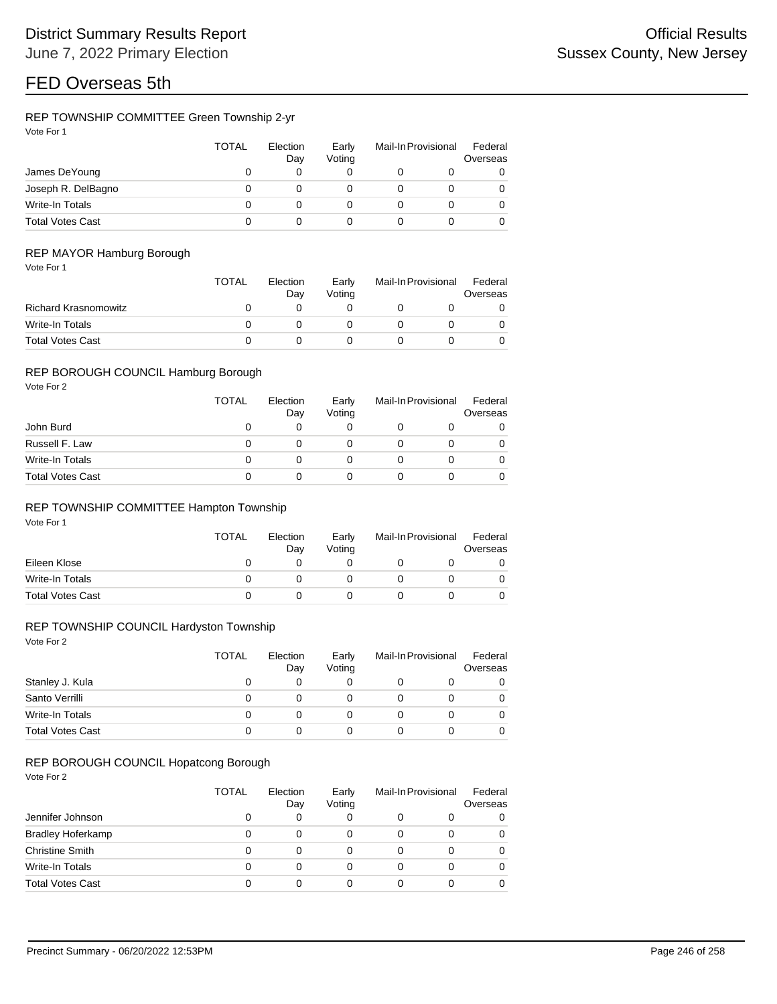### REP TOWNSHIP COMMITTEE Green Township 2-yr

| Vote For 1 |  |
|------------|--|
|            |  |

|                         | <b>TOTAL</b> | Election<br>Day | Early<br>Votina | Mail-In Provisional |  | Federal<br>Overseas |
|-------------------------|--------------|-----------------|-----------------|---------------------|--|---------------------|
| James DeYoung           |              |                 |                 |                     |  | 0                   |
| Joseph R. DelBagno      |              |                 |                 |                     |  | 0                   |
| Write-In Totals         |              |                 |                 |                     |  | 0                   |
| <b>Total Votes Cast</b> |              |                 |                 |                     |  | 0                   |

### REP MAYOR Hamburg Borough

|                             | <b>TOTAL</b> | Election<br>Dav | Early<br>Votina | Mail-In Provisional |  | Federal<br>Overseas |  |
|-----------------------------|--------------|-----------------|-----------------|---------------------|--|---------------------|--|
| <b>Richard Krasnomowitz</b> |              |                 |                 |                     |  |                     |  |
| Write-In Totals             |              |                 |                 |                     |  |                     |  |
| <b>Total Votes Cast</b>     |              |                 |                 |                     |  |                     |  |

#### REP BOROUGH COUNCIL Hamburg Borough

Vote For 2

|                         | <b>TOTAL</b> | Election<br>Day | Early<br>Votina | Mail-In Provisional | Federal<br>Overseas |  |
|-------------------------|--------------|-----------------|-----------------|---------------------|---------------------|--|
| John Burd               |              |                 |                 |                     |                     |  |
| Russell F. Law          |              |                 |                 |                     |                     |  |
| Write-In Totals         |              |                 |                 |                     |                     |  |
| <b>Total Votes Cast</b> |              |                 |                 |                     |                     |  |

### REP TOWNSHIP COMMITTEE Hampton Township

Vote For 1

|                         | <b>TOTAL</b> | Election<br>Early<br>Votina<br>Day |  | Mail-In Provisional |  | Federal<br>Overseas |  |
|-------------------------|--------------|------------------------------------|--|---------------------|--|---------------------|--|
| Eileen Klose            |              |                                    |  |                     |  |                     |  |
| Write-In Totals         |              |                                    |  |                     |  |                     |  |
| <b>Total Votes Cast</b> |              |                                    |  |                     |  |                     |  |

### REP TOWNSHIP COUNCIL Hardyston Township

Vote For 2

|                         | TOTAL | Election<br>Day | Early<br>Votina | Mail-In Provisional | Federal<br>Overseas |  |
|-------------------------|-------|-----------------|-----------------|---------------------|---------------------|--|
| Stanley J. Kula         |       | 0               |                 |                     |                     |  |
| Santo Verrilli          |       | O               |                 |                     |                     |  |
| Write-In Totals         |       | 0               |                 |                     |                     |  |
| <b>Total Votes Cast</b> |       |                 |                 |                     |                     |  |

### REP BOROUGH COUNCIL Hopatcong Borough

|                          | <b>TOTAL</b> | Election<br>Day | Early<br>Voting | Mail-In Provisional |   | Federal<br>Overseas |  |
|--------------------------|--------------|-----------------|-----------------|---------------------|---|---------------------|--|
| Jennifer Johnson         | O            | 0               |                 | 0                   |   | 0                   |  |
| <b>Bradley Hoferkamp</b> |              | 0               | 0               | 0                   |   | 0                   |  |
| <b>Christine Smith</b>   | 0            | 0               |                 | 0                   | 0 | 0                   |  |
| Write-In Totals          | 0            | 0               | 0               | 0                   | 0 | 0                   |  |
| <b>Total Votes Cast</b>  | 0            | 0               |                 | 0                   |   | 0                   |  |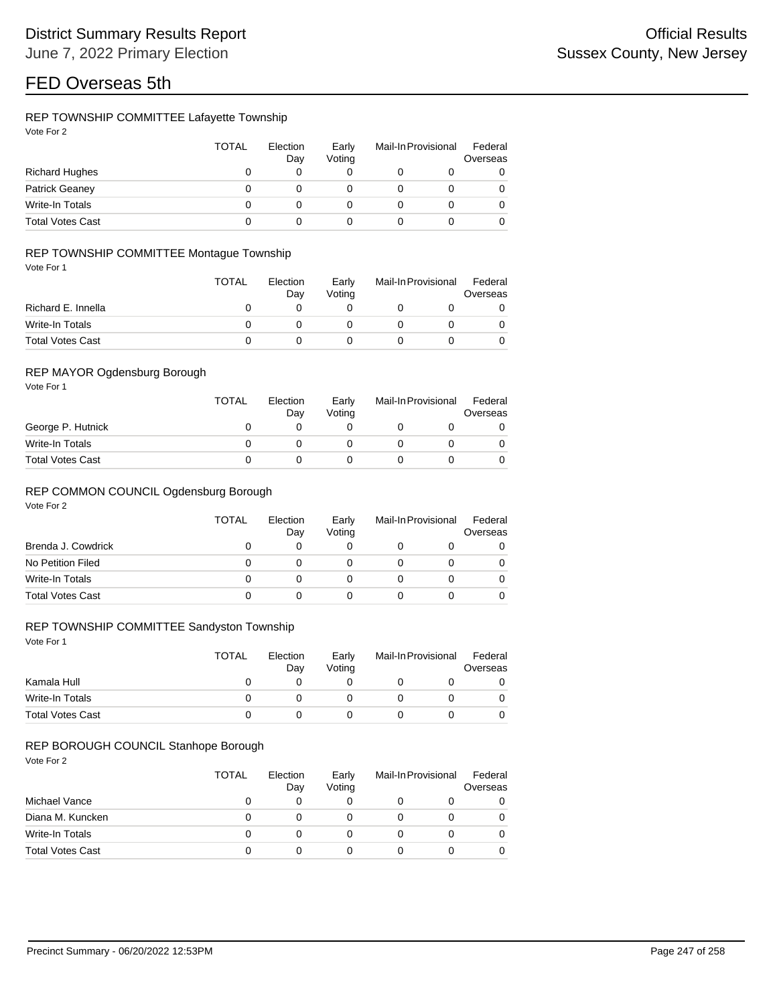### REP TOWNSHIP COMMITTEE Lafayette Township

| Vote For 2 |  |
|------------|--|
|            |  |

|                         | <b>TOTAL</b> | Election<br>Day | Early<br>Voting | Mail-In Provisional | Federal<br>Overseas |
|-------------------------|--------------|-----------------|-----------------|---------------------|---------------------|
| <b>Richard Hughes</b>   |              |                 |                 |                     | 0                   |
| <b>Patrick Geaney</b>   |              |                 |                 |                     | 0                   |
| Write-In Totals         |              |                 |                 |                     | 0                   |
| <b>Total Votes Cast</b> |              |                 |                 |                     | 0                   |

### REP TOWNSHIP COMMITTEE Montague Township

Vote For 1

|                         | <b>TOTAL</b> | Election<br>Dav | Early<br>Votina |  | Mail-In Provisional |  |
|-------------------------|--------------|-----------------|-----------------|--|---------------------|--|
| Richard E. Innella      |              |                 |                 |  |                     |  |
| Write-In Totals         |              |                 |                 |  |                     |  |
| <b>Total Votes Cast</b> |              |                 |                 |  |                     |  |

### REP MAYOR Ogdensburg Borough

Vote For 1

|                         | <b>TOTAL</b> | Election<br>Day | Early<br>Votina | Mail-In Provisional |  |
|-------------------------|--------------|-----------------|-----------------|---------------------|--|
| George P. Hutnick       |              |                 |                 |                     |  |
| Write-In Totals         |              |                 |                 |                     |  |
| <b>Total Votes Cast</b> |              |                 |                 |                     |  |

#### REP COMMON COUNCIL Ogdensburg Borough

Vote For 2

|                         | <b>TOTAL</b> | Election<br>Day | Early<br>Voting | Mail-In Provisional | Federal<br>Overseas |
|-------------------------|--------------|-----------------|-----------------|---------------------|---------------------|
| Brenda J. Cowdrick      |              |                 |                 |                     |                     |
| No Petition Filed       |              |                 |                 |                     |                     |
| Write-In Totals         |              |                 |                 |                     |                     |
| <b>Total Votes Cast</b> |              |                 |                 |                     |                     |

### REP TOWNSHIP COMMITTEE Sandyston Township

Vote For 1

|                         | TOTAL | Election<br>Dav | Early<br>Votina | Mail-In Provisional |  |
|-------------------------|-------|-----------------|-----------------|---------------------|--|
| Kamala Hull             |       |                 |                 |                     |  |
| Write-In Totals         |       |                 |                 |                     |  |
| <b>Total Votes Cast</b> |       |                 |                 |                     |  |

#### REP BOROUGH COUNCIL Stanhope Borough

|                         | <b>TOTAL</b> | Election<br>Day | Early<br>Voting | Mail-In Provisional | Federal<br>Overseas |  |
|-------------------------|--------------|-----------------|-----------------|---------------------|---------------------|--|
| Michael Vance           |              |                 |                 |                     | 0                   |  |
| Diana M. Kuncken        |              |                 |                 |                     | 0                   |  |
| Write-In Totals         |              | $\mathbf{0}$    |                 |                     | 0                   |  |
| <b>Total Votes Cast</b> |              |                 |                 |                     | 0                   |  |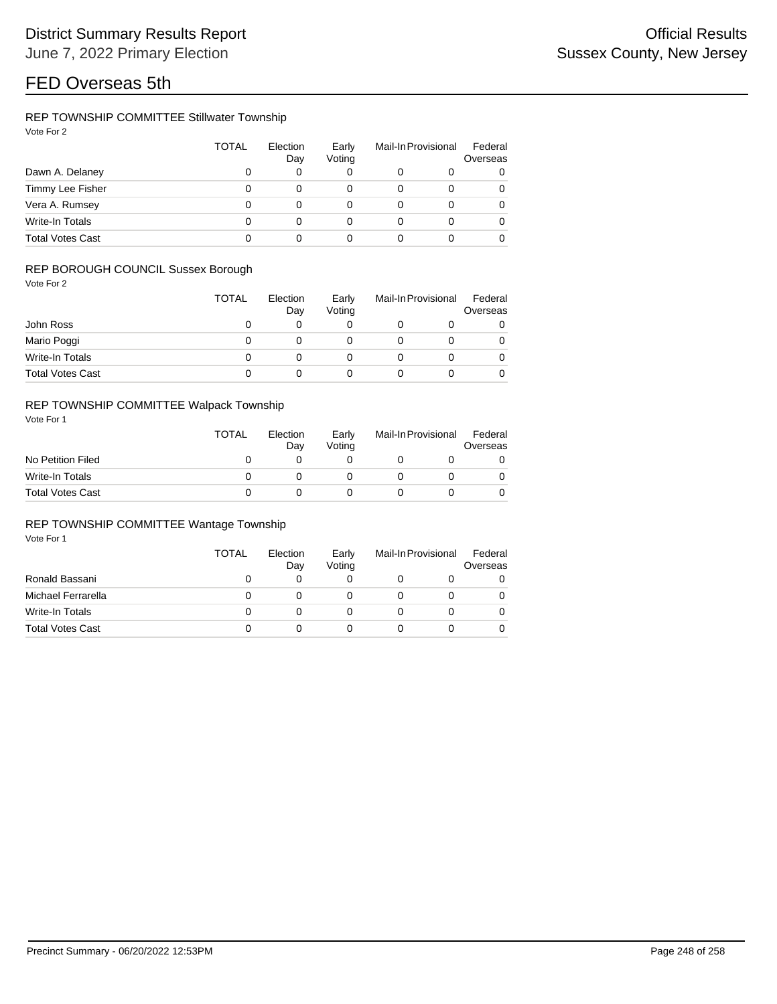### REP TOWNSHIP COMMITTEE Stillwater Township

| Vote For |  |
|----------|--|
|          |  |

|                         | <b>TOTAL</b> | Election<br>Day | Early<br>Voting | Mail-In Provisional |   | Federal<br>Overseas |
|-------------------------|--------------|-----------------|-----------------|---------------------|---|---------------------|
| Dawn A. Delaney         | 0            | 0               | 0               |                     |   |                     |
| Timmy Lee Fisher        | 0            | 0               | 0               |                     | 0 |                     |
| Vera A. Rumsey          | 0            | 0               | 0               |                     | o |                     |
| Write-In Totals         | 0            | 0               | 0               |                     | o | 0                   |
| <b>Total Votes Cast</b> | 0            |                 |                 |                     |   |                     |

### REP BOROUGH COUNCIL Sussex Borough

Vote For 2

|                         | <b>TOTAL</b> | Election<br>Day | Early<br>Votina | Mail-In Provisional | Federal<br>Overseas |
|-------------------------|--------------|-----------------|-----------------|---------------------|---------------------|
| John Ross               |              |                 |                 |                     | 0                   |
| Mario Poggi             |              |                 |                 |                     | 0                   |
| Write-In Totals         |              |                 |                 |                     | 0                   |
| <b>Total Votes Cast</b> |              |                 |                 |                     | 0                   |

## REP TOWNSHIP COMMITTEE Walpack Township

Vote For 1

|                         | <b>TOTAL</b> | Election<br>Dav | Early<br>Votina | Mail-In Provisional | Federal<br>Overseas |
|-------------------------|--------------|-----------------|-----------------|---------------------|---------------------|
| No Petition Filed       |              |                 |                 |                     |                     |
| Write-In Totals         |              |                 |                 |                     |                     |
| <b>Total Votes Cast</b> |              |                 |                 |                     |                     |

### REP TOWNSHIP COMMITTEE Wantage Township

|                         | TOTAL | Election<br>Day | Early<br>Votina | Mail-In Provisional | Federal<br>Overseas |
|-------------------------|-------|-----------------|-----------------|---------------------|---------------------|
| Ronald Bassani          | 0     | 0               | 0               | O                   |                     |
| Michael Ferrarella      | 0     |                 |                 |                     |                     |
| Write-In Totals         | 0     |                 |                 |                     |                     |
| <b>Total Votes Cast</b> | 0     |                 |                 |                     |                     |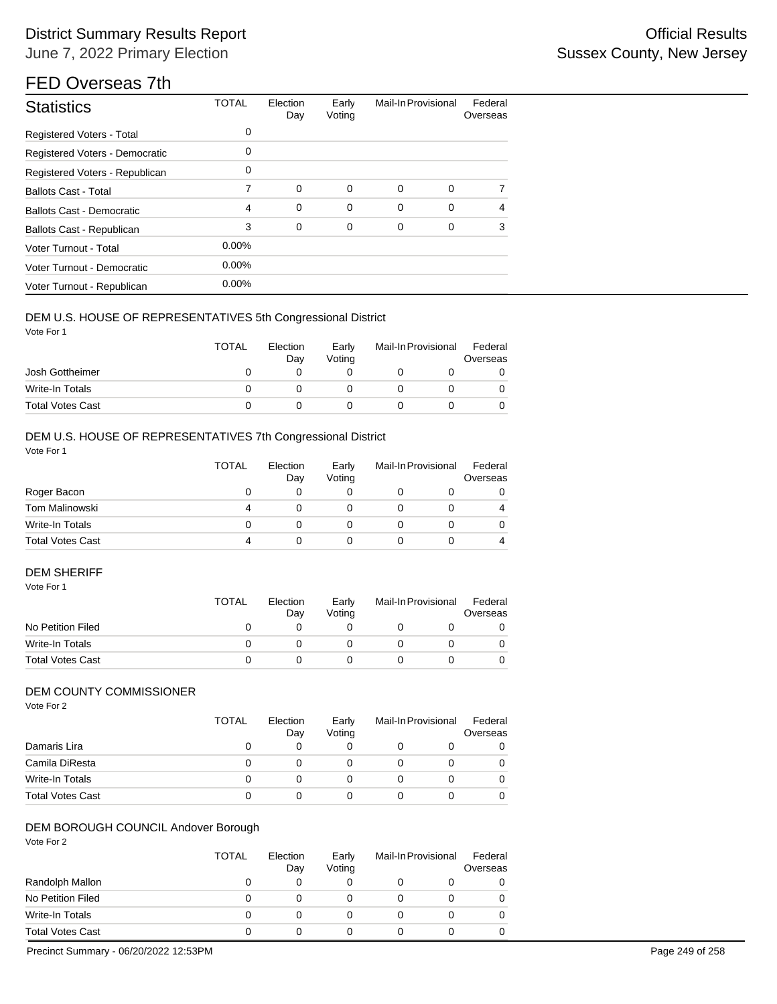# District Summary Results Report **Container and Container Container Container Container Container Container Container** June 7, 2022 Primary Election

# FED Overseas 7th

| <b>Statistics</b>                | <b>TOTAL</b> | Election<br>Day | Early<br>Voting | Mail-In Provisional |             | Federal<br>Overseas |
|----------------------------------|--------------|-----------------|-----------------|---------------------|-------------|---------------------|
| Registered Voters - Total        | 0            |                 |                 |                     |             |                     |
| Registered Voters - Democratic   | 0            |                 |                 |                     |             |                     |
| Registered Voters - Republican   | 0            |                 |                 |                     |             |                     |
| <b>Ballots Cast - Total</b>      | 7            | $\mathbf 0$     | 0               | 0                   | $\mathbf 0$ | 7                   |
| <b>Ballots Cast - Democratic</b> | 4            | 0               | 0               | 0                   | 0           | $\overline{4}$      |
| Ballots Cast - Republican        | 3            | 0               | 0               | 0                   | 0           | 3                   |
| Voter Turnout - Total            | $0.00\%$     |                 |                 |                     |             |                     |
| Voter Turnout - Democratic       | $0.00\%$     |                 |                 |                     |             |                     |
| Voter Turnout - Republican       | $0.00\%$     |                 |                 |                     |             |                     |

#### DEM U.S. HOUSE OF REPRESENTATIVES 5th Congressional District

Vote For 1

|                         | <b>TOTAL</b> | Election<br>Dav | Early<br>Votina | Mail-In Provisional | Federal<br>Overseas |
|-------------------------|--------------|-----------------|-----------------|---------------------|---------------------|
| Josh Gottheimer         |              |                 |                 |                     |                     |
| Write-In Totals         |              |                 |                 |                     |                     |
| <b>Total Votes Cast</b> |              |                 |                 |                     |                     |

## DEM U.S. HOUSE OF REPRESENTATIVES 7th Congressional District

Vote For 1

|                         | <b>TOTAL</b> | Election<br>Day | Early<br>Voting | Mail-In Provisional | Federal<br>Overseas |
|-------------------------|--------------|-----------------|-----------------|---------------------|---------------------|
| Roger Bacon             |              |                 |                 |                     | 0                   |
| Tom Malinowski          | 4            |                 |                 |                     | 4                   |
| Write-In Totals         |              |                 |                 |                     | 0                   |
| <b>Total Votes Cast</b> | 4            |                 |                 |                     | 4                   |

## DEM SHERIFF

| Vote For 1              |       |                 |                 |                     |                     |
|-------------------------|-------|-----------------|-----------------|---------------------|---------------------|
|                         | TOTAL | Election<br>Day | Early<br>Votina | Mail-In Provisional | Federal<br>Overseas |
| No Petition Filed       |       | O               |                 |                     | 0                   |
| Write-In Totals         |       |                 |                 |                     | 0                   |
| <b>Total Votes Cast</b> |       |                 |                 |                     |                     |

### DEM COUNTY COMMISSIONER

Vote For 2

|                         | <b>TOTAL</b> | Election<br>Day | Early<br>Voting | Mail-In Provisional | Federal<br>Overseas |
|-------------------------|--------------|-----------------|-----------------|---------------------|---------------------|
| Damaris Lira            | $\mathbf{0}$ | 0               |                 |                     |                     |
| Camila DiResta          | 0            |                 |                 |                     |                     |
| Write-In Totals         | O            |                 |                 |                     |                     |
| <b>Total Votes Cast</b> | 0            |                 |                 |                     |                     |

#### DEM BOROUGH COUNCIL Andover Borough

Vote For 2

|                         | <b>TOTAL</b> | Election<br>Day | Early<br>Voting | Mail-In Provisional | Federal<br>Overseas |
|-------------------------|--------------|-----------------|-----------------|---------------------|---------------------|
| Randolph Mallon         | $\mathbf{0}$ | 0               |                 |                     |                     |
| No Petition Filed       | 0            |                 |                 |                     |                     |
| Write-In Totals         | Ω            |                 |                 |                     |                     |
| <b>Total Votes Cast</b> | 0            |                 |                 |                     |                     |

Precinct Summary - 06/20/2022 12:53PM Page 249 of 258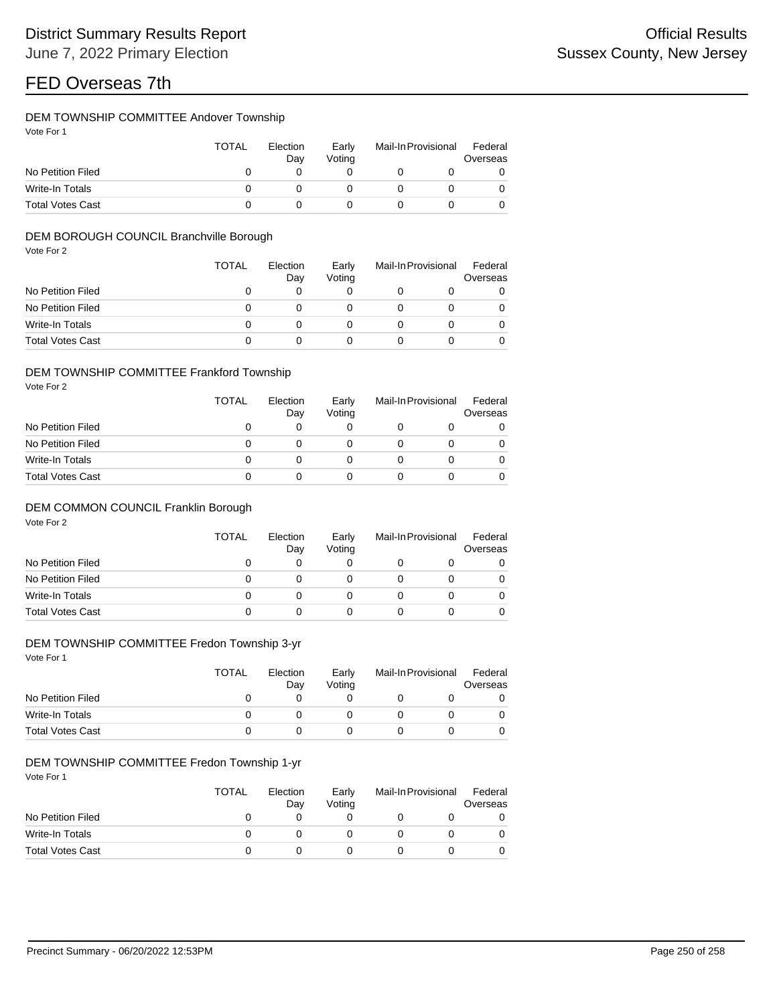### DEM TOWNSHIP COMMITTEE Andover Township

| Vote For |  |  |
|----------|--|--|
|          |  |  |

|                         | <b>TOTAL</b> | Election<br>Dav | Early<br>Votina |  | Mail-In Provisional |   |
|-------------------------|--------------|-----------------|-----------------|--|---------------------|---|
| No Petition Filed       |              |                 |                 |  |                     |   |
| Write-In Totals         |              |                 |                 |  |                     | 0 |
| <b>Total Votes Cast</b> |              |                 |                 |  |                     |   |

### DEM BOROUGH COUNCIL Branchville Borough

Vote For 2

|                         | <b>TOTAL</b> | Election<br>Day | Early<br>Voting | Mail-In Provisional | Federal<br>Overseas |  |
|-------------------------|--------------|-----------------|-----------------|---------------------|---------------------|--|
| No Petition Filed       |              |                 |                 |                     | 0                   |  |
| No Petition Filed       |              |                 |                 |                     | 0                   |  |
| Write-In Totals         |              |                 |                 |                     | 0                   |  |
| <b>Total Votes Cast</b> |              |                 |                 |                     |                     |  |

#### DEM TOWNSHIP COMMITTEE Frankford Township

Vote For 2

|                         | TOTAL | Election<br>Day | Early<br>Voting | Mail-In Provisional | Federal<br>Overseas |  |
|-------------------------|-------|-----------------|-----------------|---------------------|---------------------|--|
| No Petition Filed       |       |                 |                 |                     |                     |  |
| No Petition Filed       |       |                 |                 |                     |                     |  |
| Write-In Totals         |       |                 |                 |                     |                     |  |
| <b>Total Votes Cast</b> |       |                 |                 |                     |                     |  |

### DEM COMMON COUNCIL Franklin Borough

Vote For 2

|                         | TOTAL | Election<br>Day | Early<br>Voting | Mail-In Provisional |  | Federal<br>Overseas |
|-------------------------|-------|-----------------|-----------------|---------------------|--|---------------------|
| No Petition Filed       | O     | 0               |                 |                     |  |                     |
| No Petition Filed       | 0     |                 |                 |                     |  |                     |
| Write-In Totals         | 0     |                 |                 |                     |  |                     |
| <b>Total Votes Cast</b> | 0     |                 |                 |                     |  |                     |

## DEM TOWNSHIP COMMITTEE Fredon Township 3-yr

Vote For 1

|                         | <b>TOTAL</b> | Election<br>Day | Early<br>Voting | Mail-In Provisional |  | Federal<br>Overseas |  |
|-------------------------|--------------|-----------------|-----------------|---------------------|--|---------------------|--|
| No Petition Filed       |              |                 |                 |                     |  |                     |  |
| Write-In Totals         |              |                 |                 |                     |  |                     |  |
| <b>Total Votes Cast</b> |              |                 |                 |                     |  |                     |  |

### DEM TOWNSHIP COMMITTEE Fredon Township 1-yr

|                         | <b>TOTAL</b><br>Election<br>Day |  | Early<br>Votina | Mail-In Provisional |  | Federal<br>Overseas |  |
|-------------------------|---------------------------------|--|-----------------|---------------------|--|---------------------|--|
| No Petition Filed       |                                 |  |                 |                     |  |                     |  |
| Write-In Totals         |                                 |  |                 |                     |  |                     |  |
| <b>Total Votes Cast</b> |                                 |  |                 |                     |  |                     |  |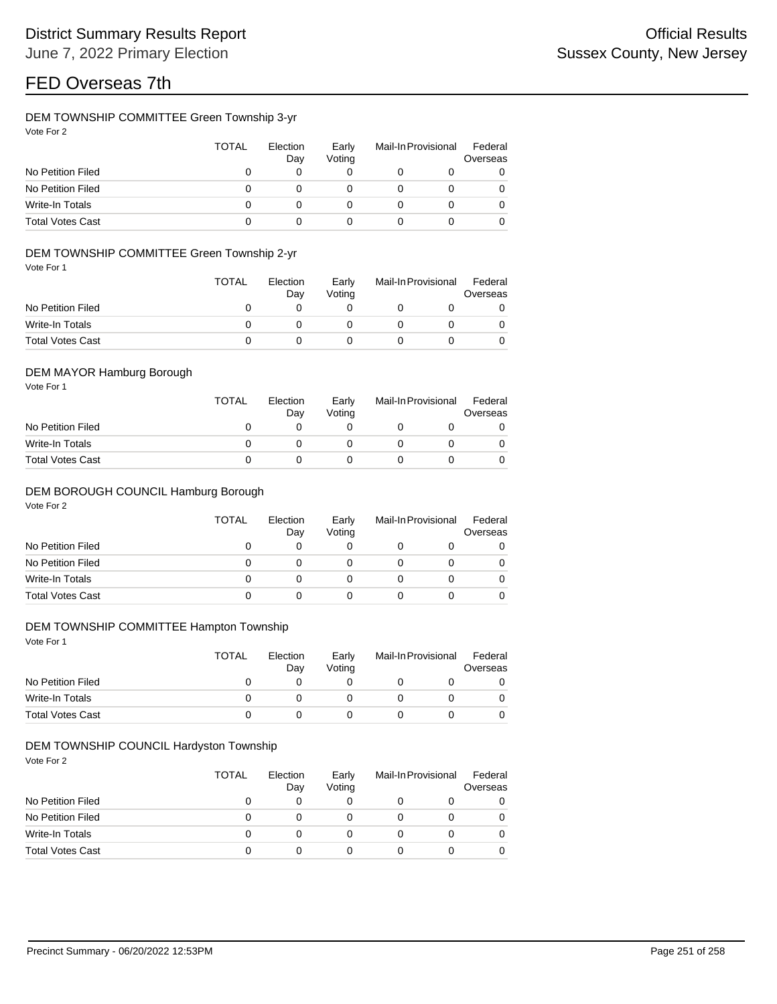### DEM TOWNSHIP COMMITTEE Green Township 3-yr

| Vote For 2 |  |
|------------|--|
|            |  |

|                         | TOTAL | Election<br>Day | Early<br>Voting | Mail-In Provisional | Federal<br>Overseas |
|-------------------------|-------|-----------------|-----------------|---------------------|---------------------|
| No Petition Filed       |       |                 |                 |                     | 0                   |
| No Petition Filed       | ი     |                 |                 |                     | 0                   |
| Write-In Totals         |       |                 |                 |                     | 0                   |
| <b>Total Votes Cast</b> |       |                 |                 |                     | 0                   |

### DEM TOWNSHIP COMMITTEE Green Township 2-yr

Vote For 1

|                         | <b>TOTAL</b> | Election<br>Dav | Early<br>Votina | Mail-In Provisional |  | Federal<br>Overseas |  |
|-------------------------|--------------|-----------------|-----------------|---------------------|--|---------------------|--|
| No Petition Filed       |              |                 |                 |                     |  |                     |  |
| Write-In Totals         |              |                 |                 |                     |  |                     |  |
| <b>Total Votes Cast</b> |              |                 |                 |                     |  |                     |  |

### DEM MAYOR Hamburg Borough

Vote For 1

|                         | <b>TOTAL</b> | Election<br>Dav | Early<br>Votina | Mail-In Provisional |  | Federal<br>Overseas |  |
|-------------------------|--------------|-----------------|-----------------|---------------------|--|---------------------|--|
| No Petition Filed       |              |                 |                 |                     |  |                     |  |
| Write-In Totals         |              |                 |                 |                     |  |                     |  |
| <b>Total Votes Cast</b> |              |                 |                 |                     |  |                     |  |

#### DEM BOROUGH COUNCIL Hamburg Borough

Vote For 2

|                         | <b>TOTAL</b> | Election<br>Day | Early<br>Voting | Mail-In Provisional | Federal<br>Overseas |  |
|-------------------------|--------------|-----------------|-----------------|---------------------|---------------------|--|
| No Petition Filed       |              | 0               |                 |                     |                     |  |
| No Petition Filed       |              |                 |                 |                     |                     |  |
| Write-In Totals         |              |                 |                 |                     |                     |  |
| <b>Total Votes Cast</b> |              |                 |                 |                     |                     |  |

### DEM TOWNSHIP COMMITTEE Hampton Township

Vote For 1

|                         | <b>TOTAL</b><br>Election<br>Dav |  | Early<br>Votina | Mail-In Provisional |  | Federal<br>Overseas |  |
|-------------------------|---------------------------------|--|-----------------|---------------------|--|---------------------|--|
| No Petition Filed       |                                 |  |                 |                     |  |                     |  |
| Write-In Totals         |                                 |  |                 |                     |  |                     |  |
| <b>Total Votes Cast</b> |                                 |  |                 |                     |  |                     |  |

### DEM TOWNSHIP COUNCIL Hardyston Township

|                         | <b>TOTAL</b> | Election<br>Day | Early<br>Voting | Mail-In Provisional | Federal<br>Overseas |
|-------------------------|--------------|-----------------|-----------------|---------------------|---------------------|
| No Petition Filed       |              |                 |                 |                     | 0                   |
| No Petition Filed       |              |                 |                 |                     | 0                   |
| Write-In Totals         |              |                 |                 |                     |                     |
| <b>Total Votes Cast</b> |              |                 |                 |                     |                     |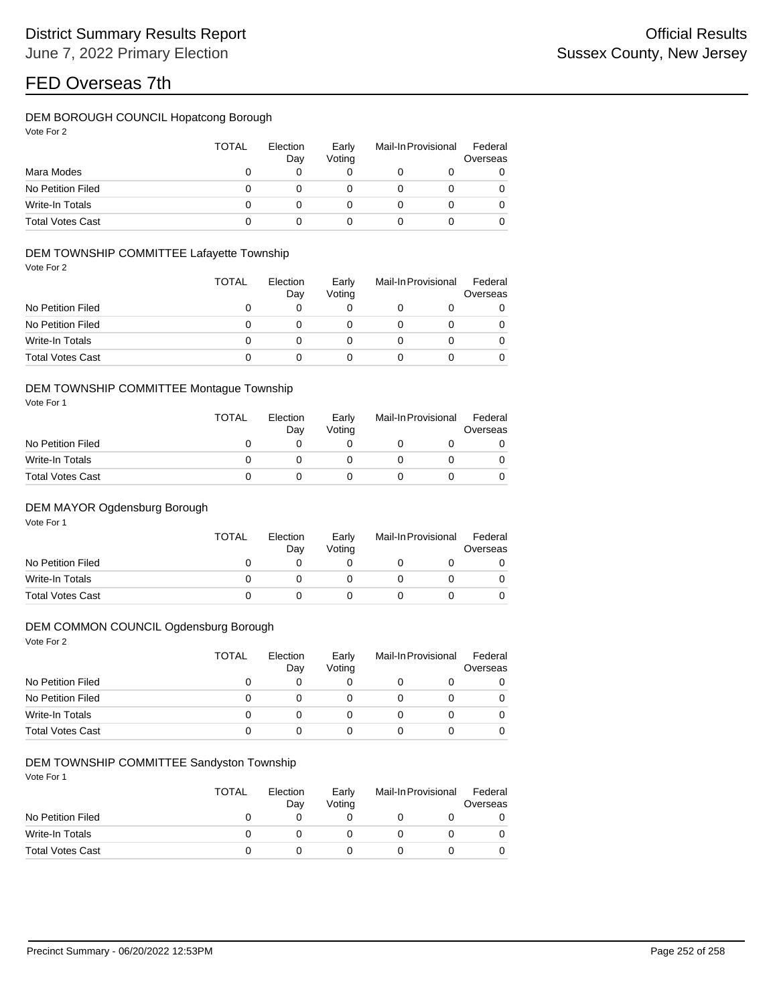## DEM BOROUGH COUNCIL Hopatcong Borough

| Vote For |  |
|----------|--|
|          |  |

|                         | TOTAL | Election<br>Day | Early<br>Voting | Mail-In Provisional |  | Federal<br>Overseas |
|-------------------------|-------|-----------------|-----------------|---------------------|--|---------------------|
| Mara Modes              |       |                 |                 |                     |  | 0                   |
| No Petition Filed       |       |                 |                 |                     |  | 0                   |
| Write-In Totals         |       |                 |                 |                     |  | 0                   |
| <b>Total Votes Cast</b> |       |                 |                 |                     |  | 0                   |

### DEM TOWNSHIP COMMITTEE Lafayette Township

Vote For 2

|                         | <b>TOTAL</b> | Election<br>Day | Early<br>Voting | Mail-In Provisional | Federal<br>Overseas |
|-------------------------|--------------|-----------------|-----------------|---------------------|---------------------|
| No Petition Filed       | O            |                 |                 |                     | 0                   |
| No Petition Filed       | 0            |                 |                 |                     | 0                   |
| Write-In Totals         | O            |                 |                 |                     | $\Omega$            |
| <b>Total Votes Cast</b> | Ω            |                 |                 |                     | 0                   |

#### DEM TOWNSHIP COMMITTEE Montague Township

Vote For 1

|                         | <b>TOTAL</b> | Election<br>Dav | Early<br>Votina | Mail-In Provisional |  | Federal<br>Overseas |
|-------------------------|--------------|-----------------|-----------------|---------------------|--|---------------------|
| No Petition Filed       |              |                 |                 |                     |  |                     |
| Write-In Totals         |              |                 |                 |                     |  |                     |
| <b>Total Votes Cast</b> |              |                 |                 |                     |  |                     |

### DEM MAYOR Ogdensburg Borough

Vote For 1

|                         | <b>TOTAL</b> | Election<br>Dav | Early<br>Votina | Mail-In Provisional | Federal<br>Overseas |
|-------------------------|--------------|-----------------|-----------------|---------------------|---------------------|
| No Petition Filed       |              |                 |                 |                     |                     |
| Write-In Totals         |              |                 |                 |                     |                     |
| <b>Total Votes Cast</b> |              |                 |                 |                     |                     |

### DEM COMMON COUNCIL Ogdensburg Borough

Vote For 2

|                         | TOTAL | Election<br>Day | Early<br>Votina | Mail-In Provisional |  | Federal<br>Overseas |
|-------------------------|-------|-----------------|-----------------|---------------------|--|---------------------|
| No Petition Filed       |       | 0               |                 |                     |  |                     |
| No Petition Filed       |       |                 |                 |                     |  |                     |
| Write-In Totals         | 0     |                 |                 |                     |  |                     |
| <b>Total Votes Cast</b> | O     |                 |                 |                     |  |                     |

### DEM TOWNSHIP COMMITTEE Sandyston Township

|                         | <b>TOTAL</b> | Election<br>Dav | Early<br>Votina | Mail-In Provisional | Federal<br>Overseas |
|-------------------------|--------------|-----------------|-----------------|---------------------|---------------------|
| No Petition Filed       |              |                 |                 |                     |                     |
| Write-In Totals         |              |                 |                 |                     |                     |
| <b>Total Votes Cast</b> |              |                 |                 |                     |                     |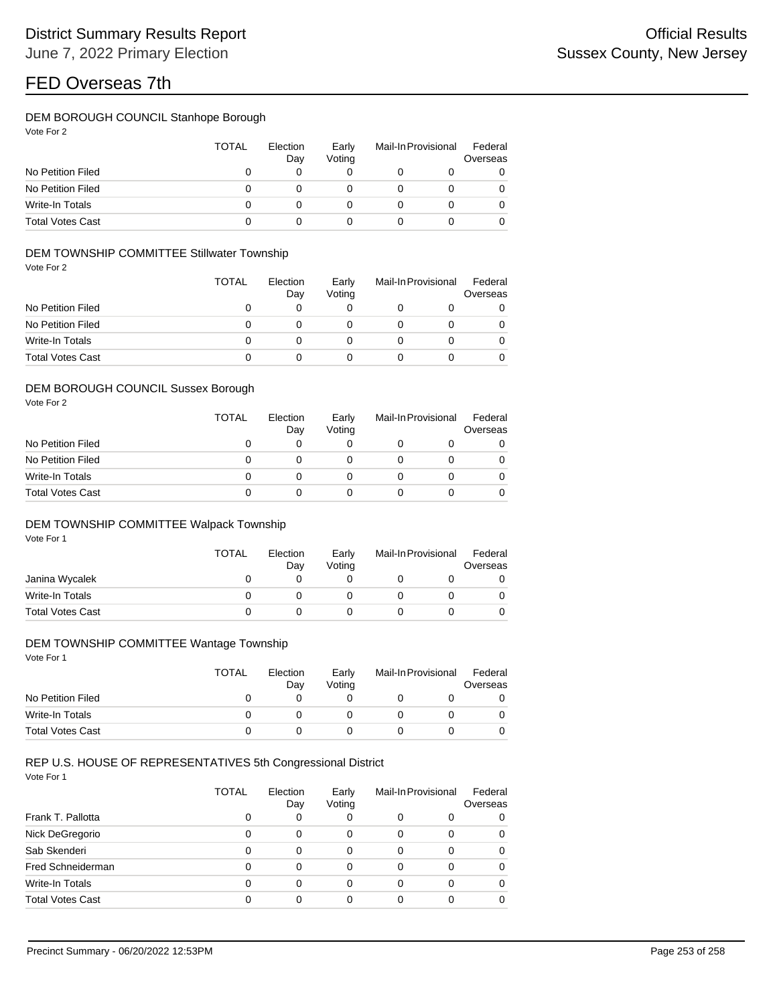## DEM BOROUGH COUNCIL Stanhope Borough

| Vote For 2 |  |  |
|------------|--|--|
|------------|--|--|

|                         | TOTAL | Election<br>Day | Early<br>Voting | Mail-In Provisional | Federal<br>Overseas |
|-------------------------|-------|-----------------|-----------------|---------------------|---------------------|
| No Petition Filed       |       |                 |                 |                     | 0                   |
| No Petition Filed       |       |                 |                 |                     | 0                   |
| Write-In Totals         |       |                 |                 |                     | 0                   |
| <b>Total Votes Cast</b> |       |                 |                 |                     | 0                   |

## DEM TOWNSHIP COMMITTEE Stillwater Township

Vote For 2

|                         | <b>TOTAL</b> | Election<br>Day | Early<br>Voting | Mail-In Provisional | Federal<br>Overseas |
|-------------------------|--------------|-----------------|-----------------|---------------------|---------------------|
| No Petition Filed       | 0            |                 |                 |                     | 0                   |
| No Petition Filed       | 0            |                 |                 |                     | 0                   |
| Write-In Totals         | 0            |                 |                 |                     | 0                   |
| <b>Total Votes Cast</b> | O            |                 |                 |                     | 0                   |

#### DEM BOROUGH COUNCIL Sussex Borough

Vote For 2

|                         | <b>TOTAL</b> | Election<br>Day | Early<br>Voting | Mail-In Provisional | Federal<br>Overseas |
|-------------------------|--------------|-----------------|-----------------|---------------------|---------------------|
| No Petition Filed       | 0            |                 |                 |                     | 0                   |
| No Petition Filed       | 0            |                 |                 |                     | 0                   |
| <b>Write-In Totals</b>  | 0            |                 |                 |                     | 0                   |
| <b>Total Votes Cast</b> | 0            |                 |                 |                     | 0                   |

## DEM TOWNSHIP COMMITTEE Walpack Township

Vote For 1

|                         | <b>TOTAL</b> | Election<br>Day | Early<br>Voting | Mail-In Provisional | Federal<br>Overseas |
|-------------------------|--------------|-----------------|-----------------|---------------------|---------------------|
| Janina Wycalek          |              |                 |                 |                     |                     |
| Write-In Totals         |              |                 |                 |                     |                     |
| <b>Total Votes Cast</b> |              |                 |                 |                     |                     |

#### DEM TOWNSHIP COMMITTEE Wantage Township

Vote For 1

|                         | <b>TOTAL</b> | Election<br>Day | Early<br>Voting | Mail-In Provisional | Federal<br>Overseas |
|-------------------------|--------------|-----------------|-----------------|---------------------|---------------------|
| No Petition Filed       |              |                 |                 |                     |                     |
| Write-In Totals         |              |                 |                 |                     |                     |
| <b>Total Votes Cast</b> |              |                 |                 |                     |                     |

## REP U.S. HOUSE OF REPRESENTATIVES 5th Congressional District

|                         | TOTAL    | Election<br>Day | Early<br>Voting |   | Mail-In Provisional | Federal<br>Overseas |
|-------------------------|----------|-----------------|-----------------|---|---------------------|---------------------|
| Frank T. Pallotta       |          | 0               | 0               | 0 | 0                   | 0                   |
| Nick DeGregorio         |          | 0               | 0               | 0 | 0                   | 0                   |
| Sab Skenderi            |          | 0               | 0               | 0 | 0                   | 0                   |
| Fred Schneiderman       | $\Omega$ | 0               | 0               | 0 | 0                   | 0                   |
| Write-In Totals         |          | 0               | 0               | 0 | 0                   | 0                   |
| <b>Total Votes Cast</b> |          | 0               | 0               | 0 | ი                   | 0                   |
|                         |          |                 |                 |   |                     |                     |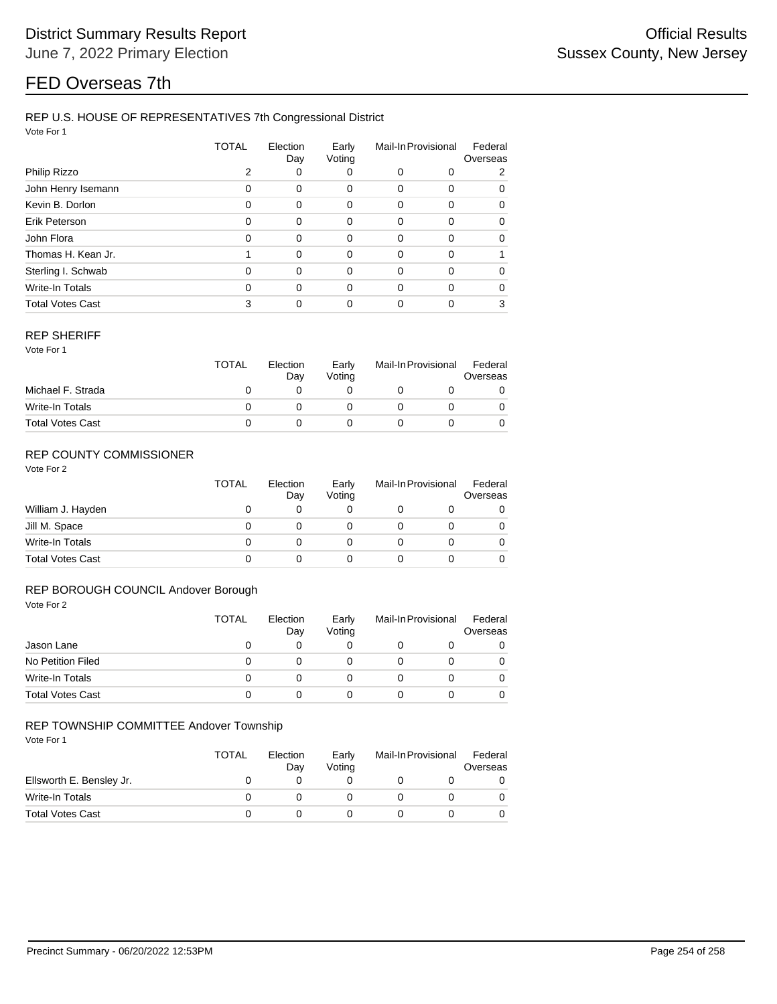## REP U.S. HOUSE OF REPRESENTATIVES 7th Congressional District

Vote For 1

|                         | TOTAL | Election<br>Day | Early<br>Voting | Mail-In Provisional |   | Federal<br>Overseas |  |
|-------------------------|-------|-----------------|-----------------|---------------------|---|---------------------|--|
| Philip Rizzo            |       | 0               | 0               | 0                   | 0 | 2                   |  |
| John Henry Isemann      | 0     | 0               | 0               | 0                   | 0 | 0                   |  |
| Kevin B. Dorlon         | 0     | 0               | $\Omega$        | 0                   | 0 | 0                   |  |
| Erik Peterson           | 0     | 0               | 0               | 0                   | 0 | 0                   |  |
| John Flora              | 0     | 0               | $\Omega$        | 0                   | 0 | 0                   |  |
| Thomas H. Kean Jr.      |       | 0               | $\Omega$        | 0                   | 0 |                     |  |
| Sterling I. Schwab      | 0     | 0               | $\Omega$        | 0                   | 0 | 0                   |  |
| Write-In Totals         | 0     | 0               | $\Omega$        | 0                   | 0 | $\Omega$            |  |
| <b>Total Votes Cast</b> |       | 0               | 0               | 0                   | 0 | 3                   |  |

#### REP SHERIFF

Vote For 1

|                         | <b>TOTAL</b> | Election<br>Day | Early<br>Votina | Mail-In Provisional | Federal<br>Overseas |
|-------------------------|--------------|-----------------|-----------------|---------------------|---------------------|
| Michael F. Strada       |              |                 |                 |                     |                     |
| Write-In Totals         |              |                 |                 |                     |                     |
| <b>Total Votes Cast</b> |              |                 |                 |                     |                     |

## REP COUNTY COMMISSIONER

Vote For 2

|                         | <b>TOTAL</b> | Election<br>Day | Early<br>Voting | Mail-In Provisional |  | Federal<br>Overseas |
|-------------------------|--------------|-----------------|-----------------|---------------------|--|---------------------|
| William J. Hayden       | 0            |                 | 0               |                     |  | 0                   |
| Jill M. Space           | 0            |                 | O               |                     |  | 0                   |
| Write-In Totals         | 0            |                 | O               |                     |  | 0                   |
| <b>Total Votes Cast</b> | 0            |                 |                 |                     |  | 0                   |

## REP BOROUGH COUNCIL Andover Borough

| Vote For 2              |              |                 |                 |                     |   |                     |
|-------------------------|--------------|-----------------|-----------------|---------------------|---|---------------------|
|                         | <b>TOTAL</b> | Election<br>Day | Early<br>Voting | Mail-In Provisional |   | Federal<br>Overseas |
| Jason Lane              | 0            | 0               | 0               | O                   | O | $\Omega$            |
| No Petition Filed       | 0            | 0               | 0               | 0                   | 0 | $\Omega$            |
| Write-In Totals         | 0            | 0               | 0               | 0                   | 0 | $\Omega$            |
| <b>Total Votes Cast</b> | 0            | 0               | 0               | 0                   | 0 | $\Omega$            |

#### REP TOWNSHIP COMMITTEE Andover Township

|                          | TOTAL | Election<br>Day | Early<br>Votina | Mail-In Provisional |  | Federal<br>Overseas |  |
|--------------------------|-------|-----------------|-----------------|---------------------|--|---------------------|--|
| Ellsworth E. Bensley Jr. |       |                 |                 |                     |  |                     |  |
| Write-In Totals          |       |                 |                 |                     |  |                     |  |
| <b>Total Votes Cast</b>  |       |                 |                 |                     |  |                     |  |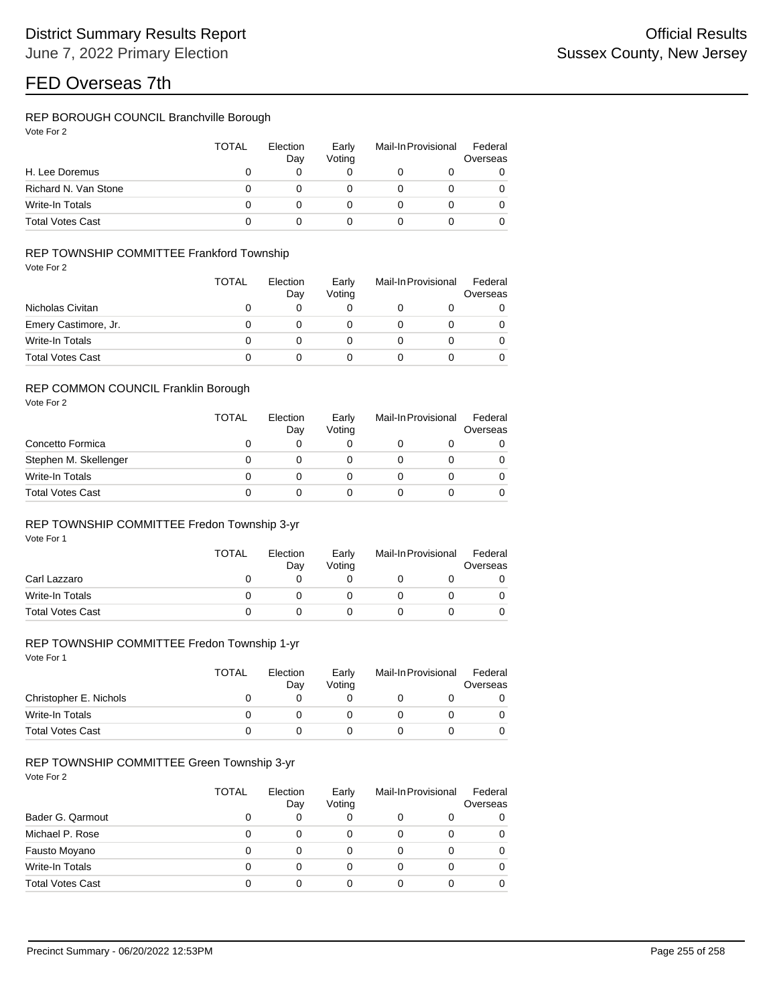## REP BOROUGH COUNCIL Branchville Borough

|                         | TOTAL | Election<br>Day | Early<br>Voting | Mail-In Provisional |  | Federal<br>Overseas |
|-------------------------|-------|-----------------|-----------------|---------------------|--|---------------------|
| H. Lee Doremus          | O     |                 |                 |                     |  | 0                   |
| Richard N. Van Stone    | 0     |                 |                 |                     |  | 0                   |
| Write-In Totals         | O     | O               |                 |                     |  | 0                   |
| <b>Total Votes Cast</b> |       |                 |                 |                     |  | 0                   |

## REP TOWNSHIP COMMITTEE Frankford Township

Vote For 2

|                         | <b>TOTAL</b> | Election<br>Day | Early<br>Voting | Mail-In Provisional | Federal<br>Overseas |
|-------------------------|--------------|-----------------|-----------------|---------------------|---------------------|
| Nicholas Civitan        | O            |                 |                 |                     | 0                   |
| Emery Castimore, Jr.    | 0            |                 |                 |                     | 0                   |
| Write-In Totals         | 0            |                 |                 |                     | 0                   |
| <b>Total Votes Cast</b> | O            |                 |                 |                     |                     |

#### REP COMMON COUNCIL Franklin Borough

Vote For 2

|                         | <b>TOTAL</b> | Election<br>Day | Early<br>Votina | Mail-In Provisional | Federal<br>Overseas |
|-------------------------|--------------|-----------------|-----------------|---------------------|---------------------|
| Concetto Formica        |              |                 |                 |                     | 0                   |
| Stephen M. Skellenger   |              |                 |                 |                     | 0                   |
| Write-In Totals         |              |                 |                 |                     | 0                   |
| <b>Total Votes Cast</b> |              |                 |                 |                     | 0                   |

#### REP TOWNSHIP COMMITTEE Fredon Township 3-yr

Vote For 1

|                         | <b>TOTAL</b> | Election<br>Day | Early<br>Votina | Mail-In Provisional |  | Federal<br>Overseas |  |
|-------------------------|--------------|-----------------|-----------------|---------------------|--|---------------------|--|
| Carl Lazzaro            |              |                 |                 |                     |  |                     |  |
| Write-In Totals         |              |                 |                 |                     |  |                     |  |
| <b>Total Votes Cast</b> |              |                 |                 |                     |  |                     |  |

## REP TOWNSHIP COMMITTEE Fredon Township 1-yr

Vote For 1

|                         | <b>TOTAL</b> | Election<br>Dav | Early<br>Voting | Mail-In Provisional |  | Federal<br>Overseas |  |
|-------------------------|--------------|-----------------|-----------------|---------------------|--|---------------------|--|
| Christopher E. Nichols  |              |                 |                 |                     |  |                     |  |
| Write-In Totals         |              |                 |                 |                     |  |                     |  |
| <b>Total Votes Cast</b> |              |                 |                 |                     |  |                     |  |

## REP TOWNSHIP COMMITTEE Green Township 3-yr

|                         | <b>TOTAL</b> | Election<br>Day | Early<br>Voting | Mail-In Provisional |  | Federal<br>Overseas |  |
|-------------------------|--------------|-----------------|-----------------|---------------------|--|---------------------|--|
| Bader G. Qarmout        | 0            | 0               |                 |                     |  | 0                   |  |
| Michael P. Rose         | 0            | 0               | 0               | 0                   |  | 0                   |  |
| Fausto Moyano           | 0            | 0               | 0               | 0                   |  | 0                   |  |
| Write-In Totals         | 0            | 0               | 0               | 0                   |  | 0                   |  |
| <b>Total Votes Cast</b> | 0            | 0               |                 | 0                   |  | 0                   |  |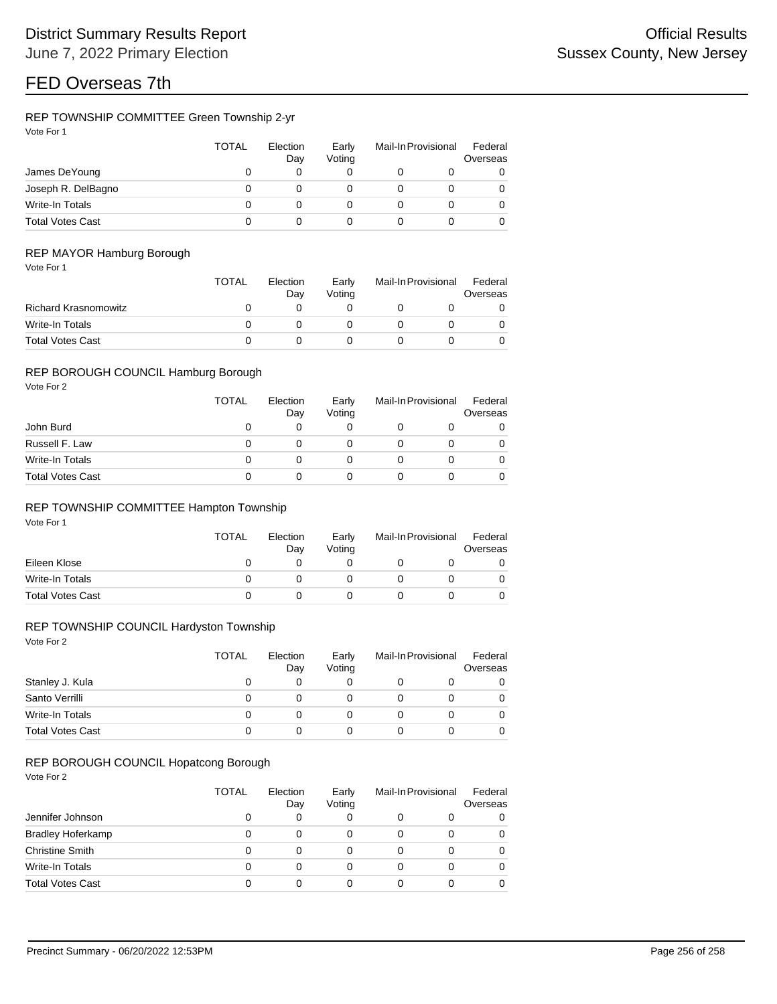## REP TOWNSHIP COMMITTEE Green Township 2-yr

| Vote For 1 |  |
|------------|--|
|            |  |

|                         | <b>TOTAL</b> | Election<br>Day | Early<br>Votina | Mail-In Provisional |  | Federal<br>Overseas |
|-------------------------|--------------|-----------------|-----------------|---------------------|--|---------------------|
| James DeYoung           |              |                 | 0               |                     |  | 0                   |
| Joseph R. DelBagno      |              |                 |                 |                     |  | 0                   |
| Write-In Totals         | 0            |                 |                 |                     |  | 0                   |
| <b>Total Votes Cast</b> |              |                 |                 |                     |  |                     |

## REP MAYOR Hamburg Borough

|                             | <b>TOTAL</b> | Election<br>Dav | Early<br>Votina | Mail-In Provisional |  | Federal<br>Overseas |  |
|-----------------------------|--------------|-----------------|-----------------|---------------------|--|---------------------|--|
| <b>Richard Krasnomowitz</b> |              |                 |                 |                     |  |                     |  |
| Write-In Totals             |              |                 |                 |                     |  |                     |  |
| <b>Total Votes Cast</b>     |              |                 |                 |                     |  |                     |  |

#### REP BOROUGH COUNCIL Hamburg Borough

Vote For 2

|                         | <b>TOTAL</b> | Election<br>Day | Early<br>Votina | Mail-In Provisional |  | Federal<br>Overseas |
|-------------------------|--------------|-----------------|-----------------|---------------------|--|---------------------|
| John Burd               |              |                 |                 |                     |  |                     |
| Russell F. Law          |              |                 |                 |                     |  |                     |
| Write-In Totals         |              |                 |                 |                     |  |                     |
| <b>Total Votes Cast</b> |              |                 |                 |                     |  |                     |

## REP TOWNSHIP COMMITTEE Hampton Township

Vote For 1

|                         | <b>TOTAL</b> | Election<br>Day | Early<br>Votina | Mail-In Provisional | Federal<br>Overseas |
|-------------------------|--------------|-----------------|-----------------|---------------------|---------------------|
| Eileen Klose            |              |                 |                 |                     |                     |
| Write-In Totals         |              |                 |                 |                     |                     |
| <b>Total Votes Cast</b> |              |                 |                 |                     |                     |

## REP TOWNSHIP COUNCIL Hardyston Township

Vote For 2

|                         | TOTAL | Election<br>Day | Early<br>Votina | Mail-In Provisional | Federal<br>Overseas |
|-------------------------|-------|-----------------|-----------------|---------------------|---------------------|
| Stanley J. Kula         |       | 0               |                 |                     |                     |
| Santo Verrilli          |       | O               |                 |                     |                     |
| Write-In Totals         |       | 0               |                 |                     |                     |
| <b>Total Votes Cast</b> |       |                 |                 |                     |                     |

## REP BOROUGH COUNCIL Hopatcong Borough

|                          | <b>TOTAL</b> | Election<br>Day | Early<br>Voting | Mail-In Provisional |   | Federal<br>Overseas |
|--------------------------|--------------|-----------------|-----------------|---------------------|---|---------------------|
| Jennifer Johnson         | O            | 0               |                 | 0                   |   | 0                   |
| <b>Bradley Hoferkamp</b> |              | 0               | 0               | 0                   |   | 0                   |
| <b>Christine Smith</b>   | 0            | 0               |                 | 0                   | 0 | 0                   |
| Write-In Totals          | 0            | 0               | 0               | 0                   | 0 | 0                   |
| <b>Total Votes Cast</b>  | 0            | 0               |                 | 0                   |   | 0                   |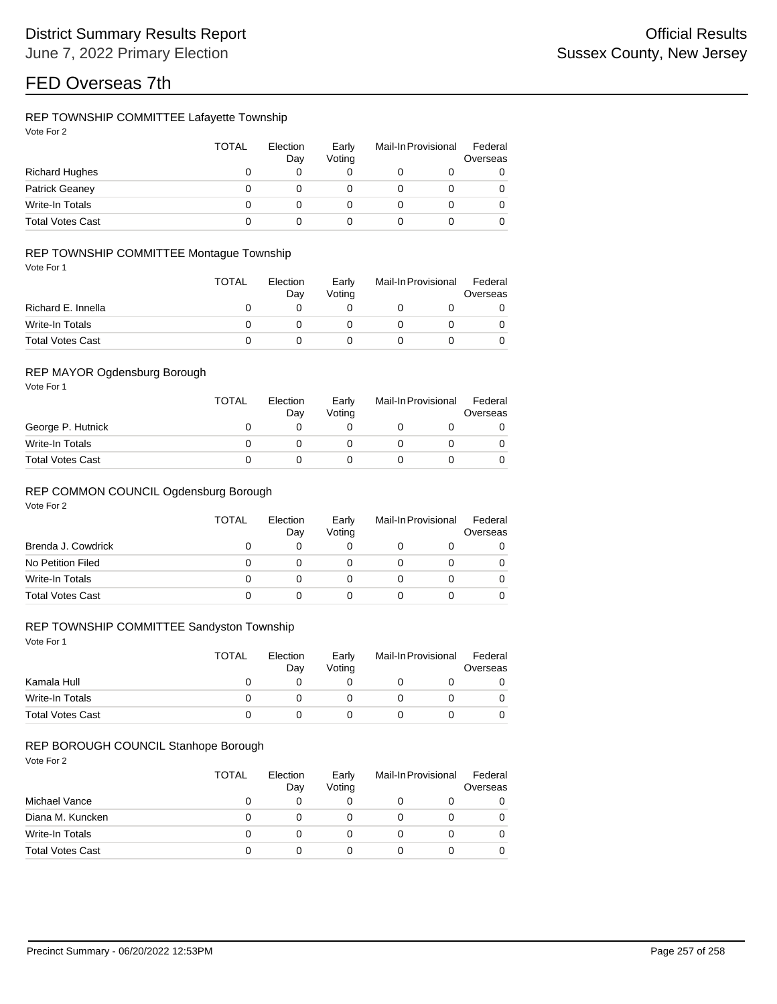## REP TOWNSHIP COMMITTEE Lafayette Township

| Vote For |  |
|----------|--|
|          |  |

|                         | <b>TOTAL</b> | Election<br>Day | Early<br>Votina | Mail-In Provisional | Federal<br>Overseas |
|-------------------------|--------------|-----------------|-----------------|---------------------|---------------------|
| <b>Richard Hughes</b>   |              |                 |                 |                     | 0                   |
| <b>Patrick Geaney</b>   |              |                 |                 |                     | 0                   |
| Write-In Totals         |              |                 |                 |                     | 0                   |
| <b>Total Votes Cast</b> |              |                 |                 |                     | 0                   |

## REP TOWNSHIP COMMITTEE Montague Township

Vote For 1

|                         | <b>TOTAL</b> | Election<br>Dav | Early<br>Votina | Mail-In Provisional | Federal<br>Overseas |
|-------------------------|--------------|-----------------|-----------------|---------------------|---------------------|
| Richard E. Innella      |              |                 |                 |                     |                     |
| Write-In Totals         |              |                 |                 |                     |                     |
| <b>Total Votes Cast</b> |              |                 |                 |                     |                     |

#### REP MAYOR Ogdensburg Borough

Vote For 1

|                         | <b>TOTAL</b> | Election<br>Day | Early<br>Votina | Mail-In Provisional | Federal<br>Overseas |
|-------------------------|--------------|-----------------|-----------------|---------------------|---------------------|
| George P. Hutnick       |              |                 |                 |                     |                     |
| Write-In Totals         |              |                 |                 |                     |                     |
| <b>Total Votes Cast</b> |              |                 |                 |                     |                     |

## REP COMMON COUNCIL Ogdensburg Borough

Vote For 2

|                         | <b>TOTAL</b> | Election<br>Day | Early<br>Voting | Mail-In Provisional | Federal<br>Overseas |
|-------------------------|--------------|-----------------|-----------------|---------------------|---------------------|
| Brenda J. Cowdrick      | O            |                 |                 |                     |                     |
| No Petition Filed       |              |                 |                 |                     |                     |
| Write-In Totals         |              |                 |                 |                     |                     |
| <b>Total Votes Cast</b> |              |                 |                 |                     |                     |

## REP TOWNSHIP COMMITTEE Sandyston Township

Vote For 1

|                         | <b>TOTAL</b> | Election<br>Dav | Early<br>Votina | Mail-In Provisional | Federal<br>Overseas |
|-------------------------|--------------|-----------------|-----------------|---------------------|---------------------|
| Kamala Hull             |              |                 |                 |                     |                     |
| Write-In Totals         |              |                 |                 |                     |                     |
| <b>Total Votes Cast</b> |              |                 |                 |                     |                     |

#### REP BOROUGH COUNCIL Stanhope Borough

|                         | TOTAL | Election<br>Day | Early<br>Voting | Mail-In Provisional | Federal<br>Overseas |
|-------------------------|-------|-----------------|-----------------|---------------------|---------------------|
| Michael Vance           |       |                 |                 |                     | 0                   |
| Diana M. Kuncken        | Ω     | O               |                 |                     | 0                   |
| Write-In Totals         | Ω     | $\Omega$        |                 |                     |                     |
| <b>Total Votes Cast</b> |       |                 |                 |                     |                     |